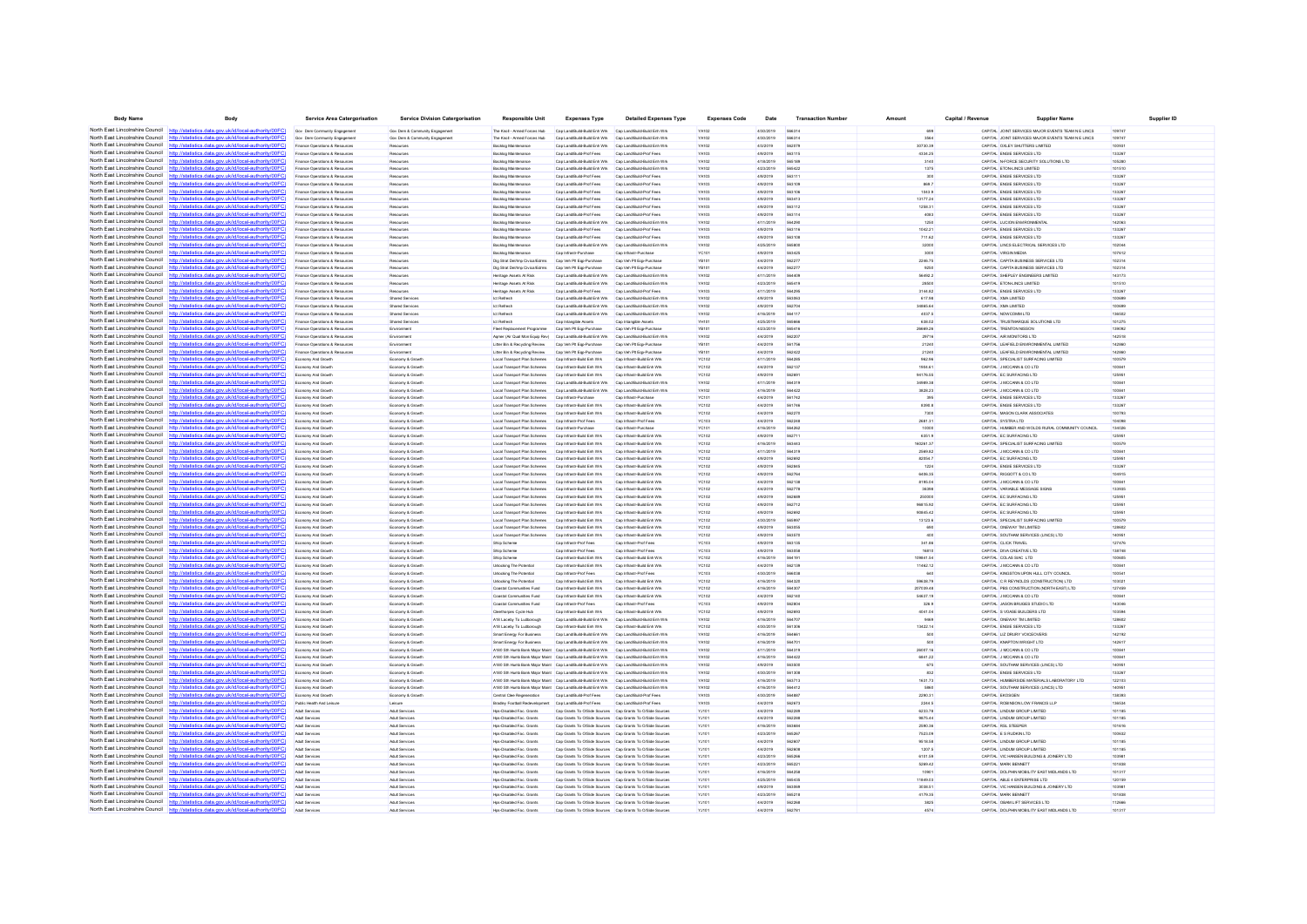| <b>Body Name</b>                                                   | Body                                                                                                                                                                            | Service Area Catergorisation                                     | <b>Service Division Catergorisation</b>  | <b>Responsible Unit</b>                                                                   | <b>Expenses Type</b>                                                                                                   | <b>Detailed Expenses Type</b>                                | <b>Expenses Code</b>         | Date                   | <b>Transaction Number</b> | Amount               | Capital / Revenue | <b>Supplier Name</b>                                                               | Supplier ID      |
|--------------------------------------------------------------------|---------------------------------------------------------------------------------------------------------------------------------------------------------------------------------|------------------------------------------------------------------|------------------------------------------|-------------------------------------------------------------------------------------------|------------------------------------------------------------------------------------------------------------------------|--------------------------------------------------------------|------------------------------|------------------------|---------------------------|----------------------|-------------------|------------------------------------------------------------------------------------|------------------|
| North East Lincolnshire Council http://stati                       | tics.data.gov.uk/id/local-authority/00FC)                                                                                                                                       | Gov Dem Community Engagement                                     | Gov Dem & Community Engagement           | The Knoll - Armed Forces Hub                                                              | Cap Land Build-Build Enh Wrk Cap Land Build-Build Enh Wrk                                                              |                                                              | YA102                        | 4/30/2019              | 566314                    | 699                  |                   | CAPITAL JOINT SERVICES MAJOR EVENTS TEAM N E LINCS                                 | 10974            |
| North East Lincolnshire Council                                    | http://statistics.data.gov.uk/id/local-authority/00FC                                                                                                                           | Gov Dem Community Engagement                                     | Gov Dem & Community Engagement           | The Knoll - Armed Forces Hub                                                              | Cap Land Build-Build Erih Wrk Cap Land Build-Build Enh Wrk                                                             |                                                              | YA102                        | 4/30/2019              | 566314                    | 3564                 |                   | CAPITAL JOINT SERVICES MAJOR EVENTS TEAM N E LINCS                                 | 109747           |
|                                                                    | North East Lincolnshire Council http://statistics.data.gov.uk/id/local-authority/00FC)                                                                                          | nce Operations & Resource                                        | Resource                                 | <b>Backlog Mainten</b>                                                                    | Cap Land/Build-Build Enh Wrk                                                                                           | Cap Land/Build-Build Enh Wri                                 | YA102                        | 4/3/2019               | 562079                    | 30730.39             |                   | CAPITAL OXLEY SHUTTERS LIMITED                                                     | 100931           |
| North East Lincolnshire Council                                    | http://statistics.data.gov.uk/id/local-authority/00FC)                                                                                                                          | Finance Operations & Resources                                   | Resources                                | Backlog Maintenance                                                                       | Cap Land/Build-Prof Fees                                                                                               | Cap Land/Build-Prof Fees                                     | YA103                        | 4/9/2019               | 563115                    | 4334.25              |                   | CAPITAL ENGIE SERVICES LTD                                                         | 13326            |
| North East Lincolnshire Council<br>North East Lincolnshire Council | http://statistics.data.gov.uk/id/local-authority/00FC                                                                                                                           | Finance Operations & Resources                                   | Resources                                | <b>Backlog Maintenance</b>                                                                | Cap Land Build-Build Enh Wrk                                                                                           | Cap Land/Build-Build Enh Wrk                                 | YA102                        | 4/18/2019              | 565189                    | 3140                 |                   | CAPITAL N-FORCE SECURITY SOLUTIONS LTD                                             | 105280           |
|                                                                    | http://statistics.data.gov.uk/id/local-authority/00FC<br>North East Lincolnshire Council http://statistics.data.gov.uk/id/local-authority/00FC                                  | Finance Operations & Resources                                   | Resources<br>Resource                    | Backlog Maintenance                                                                       | Cap Land Build-Build Enh Wrk Cap Land Build-Build Enh Wrk<br>Cap Land Build-Prof Fees                                  | Cap Land/Build-Prof Fees                                     | YA102<br>YA103               | 4/23/2019<br>4/9/2019  | 565422<br>56311           | 1375<br>300          |                   | CAPITAL ETON-LINCS LIMITED<br>CAPITAL ENGIE SERVICES LTD                           | 101510<br>13326  |
| North East Lincolnshire Council                                    | http://statistics.data.gov.uk/id/local-authority/00FC)                                                                                                                          | Finance Operations & Resources<br>Finance Operations & Resources | Resources                                | Backlog Maintenance<br><b>Backlog Maintenance</b>                                         | Cap Land Build-Prof Fees                                                                                               | Cap Land/Build-Prof Fees                                     | YA103                        | 4/9/2019               | 56310                     | 869.7                |                   | CAPITAL ENGIE SERVICES LTD                                                         | 13326            |
|                                                                    | North East Lincolnshire Council http://statistics.data.gov.uk/id/local-authority/00FC)                                                                                          | Finance Operations & Resources                                   | Resources                                | Backlog Maintenance                                                                       | Cap Land Build-Prof Fees                                                                                               | Cap Land/Build-Prof Fees                                     | YA103                        | 4/9/2019               | 563106                    | 1043.9               |                   | CAPITAL ENGIE SERVICES LTD                                                         | 133267           |
| North East Lincolnshire Council                                    | http://statistics.data.gov.uk/id/local-authority/00EC                                                                                                                           | Finance Operations & Resources                                   | Resource                                 | <b>Backlog Maintenance</b>                                                                | Cap Land Build-Prof Fees                                                                                               | Cap Land/Build-Prof Fees                                     | YA103                        | 4/9/2019               | 563413                    | 13177.24             |                   | CAPITAL ENGIE SERVICES LTD                                                         | 13326            |
| North East Lincolnshire Council                                    | http://statistics.data.gov.uk/id/local-authority/00FC                                                                                                                           | Finance Operations & Resources                                   | Resources                                | Backlog Maintenance                                                                       | Cap Land Build-Prof Fees                                                                                               | Cap Land/Build-Prof Fees                                     | YA103                        | 4/9/2019               | 563112                    | 1258.31              |                   | CAPITAL ENGIE SERVICES LTD                                                         | 13326            |
| North East Lincolnshire Council                                    | http://statistics.data.gov.uk/id/local-authority/00FC)                                                                                                                          | Finance Operations & Resources                                   | Resources                                | <b>Backlog Maintenance</b>                                                                | Cap Land/Build-Prof Fees                                                                                               | Cap Land/Build-Prof Fees                                     | YA103                        | 4/9/2019               | 563114                    | 4083                 |                   | CAPITAL ENGIE SERVICES LTD                                                         | 133267           |
| North East Lincolnshire Council                                    | http://statistics.data.gov.uk/id/local-authority/00FC                                                                                                                           | Finance Operations & Resources                                   | Resources                                | Backlog Maintenance                                                                       | Cap Land/Build-Build Enh Wrk                                                                                           | Cap Land/Build-Build Enh Wrk                                 | YA102                        | 4/11/2019              | 564290                    | 1250                 |                   | CAPITAL LUCION ENVIRONMENTAL                                                       | 142063           |
|                                                                    | North East Lincolnshire Council http://statistics.data.gov.uk/id/local-authority/00FC                                                                                           | Finance Operations & Resources                                   | Resources                                | Backlog Maintenance                                                                       | Cap Land/Build-Prof Fees                                                                                               | Cap Land/Build-Prof Fee                                      | YA103                        | 4/9/2019               | 563116                    | 1042.21              |                   | CAPITAL ENGIE SERVICES LTD                                                         | 133267           |
| North East Lincolnshire Council                                    | North East Lincolnshire Council http://statistics.data.gov.uk/id/local-authority/00FC)<br>http://statistics.data.gov.uk/id/local-authority/00FC                                 | Finance Operations & Resources                                   | Resources                                | Backlog Maintenance                                                                       | Cap Land/Build-Prof Fees<br>Cap Land Build-Build Enh Wrk                                                               | Cap Land/Build-Prof Fees                                     | YA103<br>YA102               | 4/9/2019               | 565800                    | 711.62<br>32000      |                   | CAPITAL ENGIE SERVICES LTD<br>CAPITAL LINCS ELECTRICAL SERVICES LTD                | 13326<br>102044  |
|                                                                    | North East Lincolnshire Council http://statistics.data.gov.uk/id/local-authority/00FC                                                                                           | Finance Operations & Resources<br>Finance Operations & Resources | Resources<br>Resources                   | <b>Backlog Maintenance</b><br>Backlog Maintenance                                         | Cap Infrastr-Purchase                                                                                                  | Cap Land/Build-Build Enh Wrk<br>Can Infrastr, Purchase       | <b>YC101</b>                 | 4/25/2019<br>4/9/2019  | 563425                    | 3000                 |                   | CAPITAL MRGIN MEDIA                                                                | 107612           |
|                                                                    | North East Lincolnshire Council http://statistics.data.gov.uk/id/local-authority/00FC                                                                                           | Finance Operations & Resources                                   | Resources                                | Dig Strat Del/Imp Civica/Edms                                                             | Cap Veh Pit Egp-Purchase                                                                                               | Cap Veh Pit Egp-Purchase                                     | YB101                        | 4/4/2019               | 56227                     | 2246.75              |                   | CAPITAL CAPITA BUSINESS SERVICES LTD                                               | 102314           |
| North East Lincolnshire Council                                    | http://statistics.data.gov.uk/id/local-authority/00FC                                                                                                                           | Finance Operations & Resources                                   | Resources                                | Dig Strat Del/Imp Civica/Edms                                                             | Cap Veh Pit Eqp Purchase                                                                                               | Cap Veh Pit Eqp-Purchase                                     | <b>YB101</b>                 | 4/4/2019               | 562277                    | 9250                 |                   | CAPITAL CAPITA BUSINESS SERVICES LTD                                               | 102314           |
| North East Lincolnshire Council                                    | http://statistics.data.gov.uk/id/local-authority/00FC                                                                                                                           | Finance Operations & Resources                                   | Resources                                | Heritage Assets At Risk                                                                   | Cap Land/Build-Build Enh Wrk                                                                                           | Cap Land/Build-Build Enh Wrk                                 | YA102                        | 4/11/2019              | <b>SA4409</b>             | 56492.2              |                   | CAPITAL SHEPLEY ENGINEERS LIMITED                                                  | 143173           |
| North East Lincolnshire Council                                    | http://statistics.data.gov.uk/id/local-authority/00FC                                                                                                                           | Finance Operations & Resources                                   | Resources                                | Heritage Assets At Risk                                                                   | Cap Land/Build-Build Enh Wrk                                                                                           | Cap Land/Build-Build Enh Wrk                                 | VA102                        | 4/23/2019              | 565419                    | 28500                |                   | CAPITAL ETON-LINCS LIMITED                                                         | 101510           |
| North East Lincolnshire Council                                    | http://statistics.data.gov.uk/id/local-authority/00FC                                                                                                                           | Finance Operations & Resources                                   | Resources                                | Heritage Assets At Risi                                                                   | Cap Land/Build-Prof Fees                                                                                               | Cap Land/Build-Prof Fe                                       | YA103                        | 4/11/2019              | 56429                     | 3144.82              |                   | CAPITAL ENGIE SERVICES LTD                                                         | 13326            |
| North East Lincolnshire Council<br>North East Lincolnshire Council | http://statistics.data.gov.uk/id/local-authority/00FC)<br>http://statistics.data.gov.uk/id/local-authority/00FC                                                                 | Finance Operations & Resources                                   | <b>Shared Services</b>                   | Ict Refresh                                                                               | Cap Land/Build Build Enh Wrk                                                                                           | Cap Land/Build-Build Enh Wrk                                 | YA102                        | 4/9/2019               | 563063                    | 617.98               |                   | CAPITAL XMA LIMITED                                                                | 100699           |
| North East Lincolnshire Council                                    | http://statistics.data.gov.uk/id/local-authority/00EC                                                                                                                           | Finance Operations & Resources<br>Finance Operations & Reso      | <b>Shared Services</b><br>Shared Service | <b>Ict Refrest</b><br><b>Ict Refresh</b>                                                  | Cap Land/Build-Build Enh Wrk<br>Cap Land/Build Build Enh Wrk                                                           | Cap Land/Build-Build Enh Wrk<br>Cap Land/Build-Build Enh Wri | YA102<br>YA102               | 4/9/2019<br>4/16/2019  | 562704<br>56411           | 34865.64<br>4037.5   |                   | CAPITAL XMA LIMITED<br>CAPITAL NOWCOMM LTD                                         | 100699<br>136502 |
| North East Lincolnshire Council                                    | http://statistics.data.gov.uk/id/local-authority/00FC                                                                                                                           | Finance Operations & Resources                                   | Shared Services                          | <b>Ict Refresh</b>                                                                        | Cap Intangible Assets                                                                                                  | Cap Intangible Assets                                        | YH101                        | 4/25/2019              | 565666                    | 638.02               |                   | CAPITAL TRUSTMARQUE SOLUTIONS LTD                                                  | 101275           |
| North East Lincolnshire Council                                    | http://statistics.data.gov.uk/id/local-authority/00FC]                                                                                                                          | Finance Operations & Resources                                   | Environment                              | Fleet Replacement Programme                                                               | Cap Veh Pit Ego-Purchase                                                                                               | Cap Veh Pit Egg-Purchase                                     | YB101                        | 4/23/2019              | 565416                    | 26669.26             |                   | CAPITAL TRENTON NISSON                                                             | 139092           |
| North East Lincolnshire Council                                    | http://statistics.data.gov.uk/id/local-authority/00EC                                                                                                                           | Finance Operations & Resources                                   | Environment                              | Agmer (Air Qual Mon Equip Rev) Cap Land/Build-Build Enh Wrk                               |                                                                                                                        | Can Land Ruilt-Ruid Feb Wrk                                  | VA102                        | 4/4/2019               | 562207                    | 29716                |                   | CAPITAL AIR MONITORS LTD                                                           | 142518           |
| North East Lincolnshire Council                                    | http://statistics.data.gov.uk/id/local-authority/00FC)                                                                                                                          | Finance Operations & Resources                                   | Environmen                               | Litter Bin & Recycling Review                                                             | Cap Veh Pit Eqp-Purchase                                                                                               | Cap Veh Pit Ego-Purchase                                     | YB101                        | 4/4/2019               | 56175                     | 21240                |                   | CAPITAL LEAFIELD ENVIRONMENTAL LIMITED                                             | 14286            |
| North East Lincolnshire Council                                    | istics.data.gov.uk/id/local-authority/00FC                                                                                                                                      | Finance Operations & Resources                                   | Environment                              | Litter Bin & Recycling Review                                                             | Cap Veh Pit Ego-Purchase                                                                                               | Cap Veh Pit Ego-Purchase                                     | YB101                        | 4/4/2019               | 562422                    | 21240                |                   | CAPITAL LEAFIELD ENVIRONMENTAL LIMITED                                             | 142860           |
| North East Lincolnshire Council                                    | http://statistics.data.gov.uk/id/local-authority/00FC]                                                                                                                          | Economy And Growth                                               | Economy & Growt                          | Local Transport Plan Schemes                                                              | Cap Infrastr-Build Enh Wrk                                                                                             | Cap Infrastr-Build Enh Wrk                                   | YC102                        | 4/11/2019              | 564285                    | 962.96               |                   | CAPITAL SPECIALIST SURFACING LIMITED                                               | 100579           |
| North East Lincolnshire Council                                    | http://statistics.data.gov.uk/id/local-authority/00FC                                                                                                                           | Economy And Growth                                               | Economy & Growt                          | Local Transport Plan Schemes                                                              | Cap Infrastr-Build Enh Wrk                                                                                             | Can Infrastr Ruild Feb Wrk                                   | <b>YC102</b>                 | 4/4/2019               | 562137                    | 1904.61              |                   | CAPITAL J MCCANN & CO LTD                                                          | 10084            |
| North East Lincolnshire Council<br>North East Lincolnshire Council | atistics.data.gov.uk/id/local-authority/00FC<br>ics.data.gov.uk/id/local-authority/00FC<br>http:                                                                                | Economy And Growth<br>Economy And Growth                         | Economy & Growth<br>Economy & Growth     | Local Transport Plan Schemes<br>Local Transport Plan Schemes                              | Cap Infrastr-Build Enh Wrk<br>Cap Land/Build-Build Enh Wrk                                                             | Cap Infrastr-Build Enh Wrk<br>Cap Land/Build-Build Enh Wrk   | <b>YC102</b><br>YA102        | 4/9/2019<br>4/11/2019  | 56269<br>564319           | 94176.55<br>34989.38 |                   | CAPITAL EC SURFACING LTD<br>CAPITAL J MCCANN & CO LTD                              | 12595<br>10084   |
| North East Lincolnshire Council                                    | http://statistics.data.gov.uk/id/local-authority/00EC                                                                                                                           | Economy And Growth                                               | Economy & Growth                         | Local Transport Plan Schemes                                                              | Can Land Ruild Ruild Frit Writ                                                                                         | Can Land Ruilt-Build Feb Wrk                                 | VA102                        | 4/16/2019              | 584422                    | 3828.23              |                   | CAPITAL J MCCANN & CO LTD                                                          | 10084            |
| North East Lincolnshire Council                                    | http://statistics.data.gov.uk/id/local-authority/00EC                                                                                                                           | omy And Grow                                                     | Economy & Grow                           | Local Transport Plan Scheme                                                               | Cap Infrastr-Purchas                                                                                                   | Cap Infrastr-Purcha                                          | YC101                        | 4/4/2019               | 561742                    | 395                  |                   | CAPITAL ENGIE SERVICES LTD                                                         | 13326            |
| North East Lincolnshire Council                                    | http://statistics.data.gov.uk/id/local-authority/00FC                                                                                                                           | Economy And Growth                                               | Economy & Growth                         | Local Transport Plan Schemes                                                              | Cap Infrastr-Build Enh Wrk                                                                                             | Cap Infrastr-Build Enh Wrk                                   | <b>YC102</b>                 | 4/4/2019               | 561746                    | 8390.8               |                   | CAPITAL ENGIE SERVICES LTD                                                         | 13326            |
| North East Lincolnshire Council                                    | http://statistics.data.gov.uk/id/local-authority/00FC]                                                                                                                          | Economy And Growth                                               | Economy & Growth                         | Local Transport Plan Schemes                                                              | Cap Infrastr-Build Enh Wrk                                                                                             | Cap Infrastr-Build Enh Wrk                                   | <b>YC102</b>                 | 4/4/2019               | 562270                    | 7300                 |                   | CAPITAL MASON CLARK ASSOCIATES                                                     | 100793           |
| North East Lincolnshire Council                                    | http://statistics.data.gov.uk/id/local-authority/00EC                                                                                                                           | Fronomy And Growth                                               | Footnomy & Growth                        | Local Transport Plan Schemes                                                              | Can Infrastr Prof Fees                                                                                                 | Can Infrastr, Prof Fees                                      | VC103                        | 4/4/2019               | <b>SA224R</b>             | 2681.31              |                   | CAPITAL SYSTRA I TD                                                                | 104098           |
|                                                                    | North East Lincolnshire Council http://statistics.data.gov.uk/id/local-authority/00FC                                                                                           | <b>Economy And Growt</b>                                         | Economy & Growt                          | Local Transport Plan Schemes                                                              | Cap Infrastr-Purchase                                                                                                  | Cap Infrastr-Purchase                                        | YC10                         | 4/16/2019              | 56426                     | 10000                |                   | CAPITAL HUMBER AND WOLDS RURAL COMMUNITY COUNCIL                                   | 13402            |
| North East Lincolnshire Council                                    | ics data nov uk/id/local-authority/00EC                                                                                                                                         | Economy And Growth                                               | Economy & Growth                         | Local Transport Plan Schemes                                                              | Cap Infrastr-Build Enh Wrk                                                                                             | Cap Infrastr-Build Enh Wrk                                   | <b>YC102</b>                 | 4/9/2019               | 562711                    | 6351.9               |                   | CAPITAL EC SURFACING LTD                                                           | 12595            |
|                                                                    | North East Lincolnshire Council http://statistics.data.onv.uk/id/local-authority/00FC<br>North East Lincolnshire Council http://statistics.data.gov.uk/id/local-authority/00FC  | Fronomy And Growth                                               | Economy & Growth                         | Local Transport Plan Schemes                                                              | Can Infrastr Ruild Frib Wrk                                                                                            | Can Infrastr Ruild Feb Wrk<br>Cap Infrastr-Build Enh Wrk     | vcsn2<br>YC102               | 4/16/2019              | 563447<br>564319          | 160261.37<br>2569.82 |                   | CAPITAL SPECIALIST SURFACING LIMITED                                               | 100579<br>10084  |
| North East Lincolnshire Council                                    | http://statistics.data.gov.uk/id/local-authority/00FC                                                                                                                           | <b>Economy And Growt</b><br>Economy And Growt                    | Economy & Growt<br>Economy & Growt       | Local Transport Plan Schemes<br>Local Transport Plan Schemes                              | Cap Infrastr-Build Enh Wrk<br>Cap Infrastr-Build Enh Wrk                                                               | Cap Infrastr-Build Enh Wrk                                   | <b>YC102</b>                 | 4/11/2019<br>4/9/2019  | 56269                     | 82054.7              |                   | CAPITAL J MCCANN & CO LTD<br>CAPITAL EC SURFACING LTD                              | 12595            |
| North East Lincolnshire Council                                    | http://statistics.data.gov.uk/id/local-authority/00FC)                                                                                                                          | Economy And Growth                                               | Economy & Growth                         | Local Transport Plan Schemes                                                              | Cap Infrastr-Build Enh Wrk                                                                                             | Cap Infrastr-Build Enh Wrk                                   | <b>YC102</b>                 | 4/9/2019               | 562845                    | 1224                 |                   | CAPITAL ENGIE SERVICES LTD                                                         | 133267           |
| North East Lincolnshire Council                                    | http://statistics.data.gov.uk/id/local-authority/00FC                                                                                                                           | Economy And Growth                                               | Economy & Growth                         | Local Transport Plan Schemes                                                              | Cap Infrastr-Build Enh Wrk                                                                                             | Cap Infrastr-Build Enh Wrk                                   | <b>YC102</b>                 | 4/9/2019               | 562764                    | 6406.35              |                   | CAPITAL RIGGOTT & CO LTD                                                           | 104915           |
| North East Lincolnshire Council                                    | http://statistics.data.gov.uk/id/local-authority/00FC                                                                                                                           | omy And Grow                                                     | Economy & Growt                          | Local Transport Plan Scheme                                                               | Cap Infrastr-Build Enh Wrk                                                                                             | Cap Infrastr-Build Enh Wrk                                   | YC102                        | 4/4/2019               | 562138                    | 8195.04              |                   | CAPITAL J MCCANN & CO LTD                                                          | 10084            |
| North East Lincolnshire Council                                    | http://statistics.data.gov.uk/id/local-authority/00FC)                                                                                                                          | Economy And Growth                                               | Economy & Growt                          | Local Transport Plan Schemes                                                              | Cap Infrastr-Build Enh Wrk                                                                                             | Cap Infrastr-Build Enh Wrk                                   | <b>YC102</b>                 | 4/4/2019               | 562778                    | 36398                |                   | CAPITAL VARIABLE MESSAGE SIGNS                                                     | 13393            |
| North East Lincolnshire Council                                    | http://statistics.data.gov.uk/id/local-authority/00FC]                                                                                                                          | Economy And Growth                                               | Economy & Growth                         | Local Transport Plan Schemes                                                              | Cap Infrastr-Build Enh Wrk                                                                                             | Cap Infrastr-Build Enh Wrk                                   | <b>YC102</b>                 | 4/9/2019               | 562689                    | 250000               |                   | CAPITAL EC SURFACING LTD                                                           | 12595            |
| North East Lincolnshire Council                                    | http://statistics.data.gov.uk/id/local-authority/00EC                                                                                                                           | Economy And Growt                                                | Economy & Growt                          | Local Transport Plan Schemes                                                              | Cap Infrastr-Build Enh Wrk                                                                                             | Can Infrastr, Build Feb Wrk                                  | YC102                        | 4/9/2019               | 562712                    | 96815.92             |                   | CAPITAL EC SURFACING LTD                                                           | 12595            |
| North East Lincolnshire Council<br>North East Lincolnshire Council | http://statistics.data.gov.uk/id/local-authority/00FC<br>http://statistics.data.gov.uk/id/local-authority/00FC                                                                  | Economy And Growth                                               | Economy & Growth                         | Local Transport Plan Schemes                                                              | Cap Infrastr-Build Enh Wrk                                                                                             | Cap Infrastr-Build Enh Wrk                                   | <b>YC102</b>                 | 4/9/2019               | 562692<br>565997          | 90845.42             |                   | CAPITAL EC SURFACING LTD<br>CAPITAL SPECIALIST SURFACING LIMITED                   | 12595            |
| North East Lincolnshire Council                                    | http://statistics.data.gov.uk/id/local-authority/00FC]                                                                                                                          | Economy And Growth<br>Economy And Growth                         | Economy & Growth<br>Economy & Growth     | Local Transport Plan Schemes<br>Local Transport Plan Schemes                              | Cap Infrastr-Build Enh Wrk<br>Cap Infrastr-Build Enh Wrk                                                               | Cap Infrastr-Build Enh Wrk<br>Cap Infrastr-Build Enh Wrk     | <b>YC102</b><br><b>YC102</b> | 4/30/2019<br>4/9/2019  | 563055                    | 13123.6<br>690       |                   | CAPITAL ONEWAY TM LIMITED                                                          | 100579<br>128602 |
| North East Lincolnshire Council                                    | http://statistics.data.gov.uk/id/local-authority/00FC                                                                                                                           | Economy And Growth                                               | Economy & Growt                          | Local Transport Plan Schemes                                                              | Cap Infrastr-Build Enh Wrk                                                                                             | Cap Infrastr-Build Enh Wrk                                   | YC102                        | 4/9/2019               | 563570                    | 400                  |                   | CAPITAL SOUTHAM SERVICES (LINCS) LTD                                               | 14095            |
| North East Lincolnshire Council                                    | http://statistics.data.gov.uk/id/local-authority/00FC                                                                                                                           | Economy And Grow                                                 | Economy & Growt                          | Ship Scheme                                                                               | Cap Infrastr-Prof Fees                                                                                                 | Cap Infrastr-Prof Fees                                       | YC103                        | 4/9/2019               |                           | 341.86               |                   | CAPITAL CLICK TRAVE                                                                | 127476           |
| North East Lincolnshire Council                                    | http://statistics.data.gov.uk/id/local-authority/00FC)                                                                                                                          | Economy And Growth                                               | Economy & Growth                         | Shiip Scheme                                                                              | Cap Infrastr-Prof Fees                                                                                                 | Cap Infrastr-Prof Fees                                       | <b>YC103</b>                 | 4/9/2019               | 563058                    | 16810                |                   | CAPITAL DIVA CREATIVE LTD                                                          | 138748           |
| North East Lincolnshire Council                                    | http://statistics.data.gov.uk/id/local-authority/00EC                                                                                                                           | Economy And Growth                                               | Economy & Growt                          | Ship Scheme                                                                               | Cap Infrastr-Build Enh Wrk                                                                                             | Cap Infrastr-Build Enh Wrk                                   | <b>YC102</b>                 | 4/16/2019              | 564191                    | 109841.54            |                   | CAPITAL COLAS SIAC LTD                                                             | 100605           |
| North East Lincolnshire Council                                    | stistics data nov uk/id/local-authority/00FC                                                                                                                                    | Economy And Growt                                                | Economy & Growt                          | <b>Uniocking The Potential</b>                                                            | Cap Infrastr-Build Enh Wrk                                                                                             | Cap Infrastr-Build Enh Wrk                                   | YC102                        | 4/4/2019               | 562139                    | 11462.12             |                   | CAPITAL J MCCANN & CO LTD                                                          | 10084            |
| North East Lincolnshire Council<br>North East Lincolnshire Council | http://statistics.data.gov.uk/id/local-authority/00FC)<br>http://statistics.data.gov.uk/id/local-authority/00FC                                                                 | Economy And Growth<br>Economy And Growth                         | Economy & Growth<br>Economy & Growth     | <b>Unlocking The Potential</b><br><b>Unlocking The Potential</b>                          | Cap Infrastr-Prof Fees<br>Cap Infrastr-Build Enh Wrk                                                                   | Cap Infrastr-Prof Fees<br>Cap Infrastr-Build Enh Wrk         | <b>YC103</b><br><b>YC102</b> | 4/30/2019<br>4/16/2019 | 566038<br>564320          | 640<br>59638.79      |                   | CAPITAL KINGSTON UPON HULL CITY COUNCIL<br>CAPITAL C R REYNOLDS (CONSTRUCTION) LTD | 10054<br>10302   |
| North East Lincolnshire Council                                    | http://statistics.data.gov.uk/id/local-authority/00FC                                                                                                                           | Economy And Growth                                               | Economy & Growth                         | Coastal Communities Fund                                                                  | Can Infrastr, Ruild Feb Wrk                                                                                            | Can Infrastr, Ruild Feb Wrk                                  | <b>YC102</b>                 | 4/16/2019              | 564307                    | 84 050705            |                   | CAPITAL PRS CONSTRUCTION INDRITH FASTLETT                                          | 127459           |
| North East Lincolnshire Council                                    | http://statistics.data.gov.uk/id/local-authority/00FC                                                                                                                           | <b>Economy And Growt</b>                                         | Economy & Growt                          | Coastal Communities Fund                                                                  | Cap Infrastr-Build Enh Wrk                                                                                             | Cap Infrastr-Build Enh Wrk                                   | YC10                         | 4/4/2019               |                           | 54637.19             |                   | CAPITAL J MCCANN & CO LTD                                                          | 10084            |
| North East Lincolnshire Council                                    | istics.data.gov.uk/id/local-authority/00FC                                                                                                                                      | Economy And Growth                                               | Economy & Growth                         | Coastal Communities Fund                                                                  | Cap Infrastr-Prof Fees                                                                                                 | Cap Infrastr-Prof Fees                                       | <b>YC103</b>                 | 4/9/2019               | 562804                    | 326.9                |                   | CAPITAL JASON BRUGES STUDIO LTD                                                    | 143046           |
| North East Lincolnshire Council                                    | http://statistics.data.gov.uk/id/local-authority/00FC                                                                                                                           | Economy And Growth                                               | Economy & Growth                         | Cleethorpes Cycle Hub                                                                     | Cap Infrastr-Build Enh Wrk                                                                                             | Cap Infrastr-Build Enh Wrk                                   | <b>YC102</b>                 | 4/9/2019               | <b>SA2A93</b>             | 4041.04              |                   | CAPITAL S VOASE BUILDERS LTD                                                       | 103594           |
|                                                                    | North East Lincolnshire Council http://statistics.data.gov.uk/id/local-authority/00FC                                                                                           | Economy And Growth                                               | Economy & Growt                          | A18 Laceby To Ludborough                                                                  | Cap Land/Build-Build Enh Wrk                                                                                           | Cap Land/Build-Build Enh Wri                                 | YA102                        | 4/16/2019              | 56470                     |                      |                   | CAPITAL ONEWAY TM LIMITED                                                          | 12860            |
| North East Lincolnshire Council                                    |                                                                                                                                                                                 | Economy And Growth                                               | Economy & Growth                         | A18 Laceby To Ludborough                                                                  | Cap Infrastr-Build Enh Wrk                                                                                             | Cap Infrastr-Build Enh Wrk                                   | <b>YC102</b>                 | 4/30/2019              | 561306                    | 13422.14             |                   | CAPITAL ENGIE SERVICES LTD                                                         | 13326            |
|                                                                    | North East Lincolnshire Council http://statistics.data.gov.uk/id/local-authority/00FC)<br>North East Lincolnshire Council http://statistics.data.gov.uk/id/local-authority/00FC | Economy And Growth                                               | Economy & Growth                         | Smart Energy For Business                                                                 | Cap Land/Build-Build Enh Wrk                                                                                           | Cap Land/Build-Build Enh Wrk                                 | YA102                        | 4/16/2019              | 564661                    | 500                  |                   | CAPITAL LIZ DRURY VOICEOVERS                                                       | 142192           |
| North East Lincolnshire Council                                    | http://statistics.data.gov.uk/id/local-authority/00FC                                                                                                                           | Economy And Growth<br><b>Economy And Grow</b>                    | Economy & Growth<br>Economy & Grow       | Smart Energy For Business<br>A180 Sth Humb Bank Major Maint Cap Land/Build-Build Enh Wrik | Cap Land/Build-Build Enh Wrk Cap Land/Build-Build Enh Wrk                                                              | Cap Land/Build-Build Enh Writ                                | VA102<br>YA102               | 4/16/2019<br>4/11/2019 | 56470<br>56431            | 500<br>26007.16      |                   | CAPITAL KNAPTON WRIGHT LTD<br>CAPITAL J MCCANN & CO LTD                            | 142617<br>10084  |
| North East Lincolnshire Council                                    | http://statistics.data.gov.uk/id/local-authority/00FC)                                                                                                                          | Economy And Growth                                               | Economy & Growth                         |                                                                                           | A180 Sth Humb Bank Major Maint Cap Land/Build-Build Enh Wrk Cap Land/Build-Build Enh Wrk                               |                                                              | YA102                        | 4/16/2019              | 564422                    | 6841.22              |                   | CAPITAL J MCCANN & CO LTD                                                          | 10084            |
| North East Lincolnshire Council                                    | http://statistics.data.gov.uk/id/local-authority/00FC]                                                                                                                          | Economy And Growth                                               | Economy & Growth                         |                                                                                           | A180 Sth Humb Bank Major Maint Cap Land/Build-Build Enh Wrk Cap Land/Build-Build Enh Wrk                               |                                                              | YA102                        | 4/9/2019               | 563500                    | 675                  |                   | CAPITAL SOUTHAM SERVICES (LINCS) LTD                                               | 14095            |
|                                                                    | North East Lincolnshire Council http://statistics.data.gov.uk/id/local-authority/00FC)                                                                                          | Forecasy And Growth                                              | Economy & Growt                          |                                                                                           | A180 Sth Humb Bank Maint Maint Can Land Build Auld Frit Wrk Can Land Build Rulet Feb Wrk                               |                                                              | VA102                        | 4/30/2019              | 561308                    | 832                  |                   | CAPITAL ENGIE SERVICES LTD.                                                        | 133267           |
|                                                                    | North East Lincolnshire Council http://statistics.data.gov.uk/id/local-authority/00FC)                                                                                          | Economy And Growth                                               | Economy & Growth                         |                                                                                           | A180 Sth Humb Bank Major Maint Cap Land/Build-Build Enh Wrk Cap Land/Build-Build Enh Wrk                               |                                                              | YA102                        | 4/16/2019              | 563713                    | 1631.73              |                   | CAPITAL HUMBERSIDE MATERIALS LABORATORY LTD                                        | 122103           |
| North East Lincolnshire Council                                    | cs data nov uk/id/local-auth<br>http:                                                                                                                                           | Economy And Growth                                               | Economy & Growth                         |                                                                                           | A180 Sth Humb Bank Major Maint Cap Land/Build-Build Enh Wrk Cap Land/Build-Build Enh Wrk                               |                                                              | YA102                        | 4/16/2019              | 564412                    | 5860                 |                   | CAPITAL SOUTHAM SERVICES (LINCS) LTD                                               | 140951           |
|                                                                    | North East Lincolnshire Council http://statistics.data.gov.uk/id/local-authority/00FC)                                                                                          | Economy And Growth                                               | Economy & Growt                          | Central Clee Regeneration                                                                 | Cap Land/Build-Prof Fees                                                                                               | Cap Land/Build-Prof Fees                                     | <b>YA103</b>                 | 4/30/2019              | <b>SAARR7</b>             | 2290.31              |                   | CAPITAL FICOSOFI                                                                   | 138303           |
| North East Lincolnshire Council                                    | North East Lincolnshire Council http://statistics.data.gov.uk/id/local-authority/00FC)                                                                                          | Public Health And Leisur                                         |                                          | Bradley Football Redevelopment Cap Land/Build-Prof Fees                                   |                                                                                                                        | Cap Land/Build-Prof Fees                                     | YA103                        | 4/4/2019               | 56267                     | 2244.5               |                   | CAPITAL ROBINSON LOW FRANCIS LLE                                                   | 13653            |
| North East Lincolnshire Council                                    | http://statistics.data.gov.uk/id/local-authority/00FC<br>http://statistics.data.gov.uk/id/local-authority/00FC)                                                                 | Adult Services<br>Adult Services                                 | Adult Services<br><b>Adult Services</b>  | Hos-Disabled Fac. Grants<br>Hos-Disabled Fac. Grants                                      | Cap Grants To O/Side Sources Cap Grants To O/Side Sources<br>Cap Grants To O/Side Sources Cap Grants To O/Side Sources |                                                              | YJ101<br>YJ101               | 4/4/2019<br>4/4/2019   | 562289<br>562288          | 6233.78<br>9875.44   |                   | CAPITAL LINDUM GROUP LIMITED<br>CAPITAL LINDUM GROUP LIMITED                       | 101185<br>101185 |
| North East Lincolnshire Council                                    | http://statistics.data.gov.uk/id/local-authority/00EC)                                                                                                                          | Arkit Services                                                   | Adult Services                           | Hos-Disabled Fac. Grants                                                                  | Cap Grants To O/Side Sources Cap Grants To O/Side Sources                                                              |                                                              | <b>Y.1101</b>                | 4/16/2019              | SARRA                     | 2590.36              |                   | CAPITAL RSL STEEPER                                                                | 101616           |
| North East Lincolnshire Council                                    | http://statistics.data.gov.uk/id/local-authority/00FC                                                                                                                           |                                                                  | Adult Service                            | Hps-Disabled Fac. Grants                                                                  |                                                                                                                        | Cap Grants To O/Side Sources Cap Grants To O/Side Sources    | YJ101                        | 4/23/2019              | 565267                    | 7523.09              |                   | CAPITAL E S RUDKIN LTD                                                             | 100632           |
|                                                                    | North East Lincolnshire Council http://statistics.data.gov.uk/id/local-authority/00FC)                                                                                          | Arkit Services                                                   | Adult Services                           | Hos-Disabled Fac. Grants                                                                  | Cap Grants To O/Side Sources Cap Grants To O/Side Sources                                                              |                                                              | YJ101                        | 4/4/2019               | 562607                    | 9518.58              |                   | CAPITAL LINDUM GROUP LIMITED                                                       | 101185           |
| North East Lincolnshire Council                                    | http://statistics.data.gov.uk/id/local-authority/00EC                                                                                                                           | Arkit Services                                                   | <b>Artist Services</b>                   | Hos-Disabled Fac. Grants                                                                  | Cap Grants To O/Side Sources Cap Grants To O/Side Sources                                                              |                                                              | <b>Y.1101</b>                | 4/4/2019               | 562608                    | 1207.5               |                   | CAPITAL LINDUM GROUP LIMITED                                                       | 101185           |
| North East Lincolnshire Council                                    | http://statistics.data.gov.uk/id/local-authority/00FC)                                                                                                                          | Adult Service                                                    | Adult Services                           | Hos-Disabled Fac. Grants                                                                  |                                                                                                                        | Cap Grants To O/Side Sources Cap Grants To O/Side Sources    | YJ101                        | 4/23/2019              | 585288                    | 6101.59              |                   | CAPITAL VIC HANSEN BUILDING & JOINERY LTD                                          | 10398            |
| North East Lincolnshire Council                                    | http://statistics.data.gov.uk/id/local-authority/00FC)                                                                                                                          | Adult Services                                                   | <b>Adult Services</b>                    | Hos-Disabled Fac. Grants                                                                  |                                                                                                                        | Cap Grants To O/Side Sources Cap Grants To O/Side Sources    | YJ101                        | 4/23/2019              | 56522                     | 5269.42              |                   | CAPITAL MARK BENNETT                                                               | 101838           |
| North East Lincolnshire Council<br>North East Lincolnshire Council | http://statistics.data.gov.uk/id/local-authority/00FC                                                                                                                           | Arkit Services                                                   | <b>Adult Services</b>                    | Hos-Disabled Fac. Grants                                                                  | Cap Grants To O/Side Sources Cap Grants To O/Side Sources                                                              |                                                              | YJ101                        | 4/16/2019              | 584258                    | 10901                |                   | CAPITAL DOLPHIN MOBILITY EAST MIDLANDS LTD                                         | 101317           |
| North East Lincolnshire Council                                    | http://statistics.data.gov.uk/id/local-authority/00EC<br>http://statistics.data.gov.uk/id/local-authority/00FC                                                                  | Add Canical                                                      | <b>Artist Services</b><br>Adult Services | Hns Dischled Fan Grants<br>Hps-Disabled Fac. Grants                                       | Can Grants To OfSide Sources Can Grants To OfSide Sources<br>Cap Grants To O/Side Sources Cap Grants To O/Side Source  |                                                              | <b>Y.1101</b><br>YJ10        | 4/25/2019<br>4/9/2019  | 565435                    | 11849.03<br>3038.51  |                   | CAPITAL ARLE 4 ENTERPRISE LTD.<br>CAPITAL VIC HANSEN BUILDING & JOINERY LTD        | 120159<br>10398  |
| North East Lincolnshire Council                                    | http://statistics.data.gov.uk/id/local-authority/00FC                                                                                                                           |                                                                  | <b>Adult Services</b>                    | Hos-Disabled Fac. Grants                                                                  | Cap Grants To O/Side Sources Cap Grants To O/Side Sources                                                              |                                                              | YJ101                        | 4/23/2019              | 565218                    | 4179.35              |                   | CAPITAL MARK BENNET                                                                | 101838           |
|                                                                    | North East Lincolnshire Council http://statistics.data.gov.uk/id/local-authority/00FC)                                                                                          | Arkit Services                                                   | <b>Adult Services</b>                    | Hos-Disabled Fac. Grants                                                                  | Cap Grants To O/Side Sources Cap Grants To O/Side Sources                                                              |                                                              | V.1101                       | 4/4/2019               | <b>SA22AR</b>             | 3825                 |                   | CAPITAL OBAM LIFT SERVICES LTD                                                     | 112666           |
| North East Lincolnshire Council                                    |                                                                                                                                                                                 |                                                                  | Adult Service                            | Hos-Disabled Fac. Grants                                                                  | Cap Grants To O/Side Sources Cap Grants To O/Side Sources                                                              |                                                              |                              | 4/4/2019               |                           | 4574                 |                   | CAPITAL DOLPHIN MOBILITY EAST MIDLANDS LTD                                         |                  |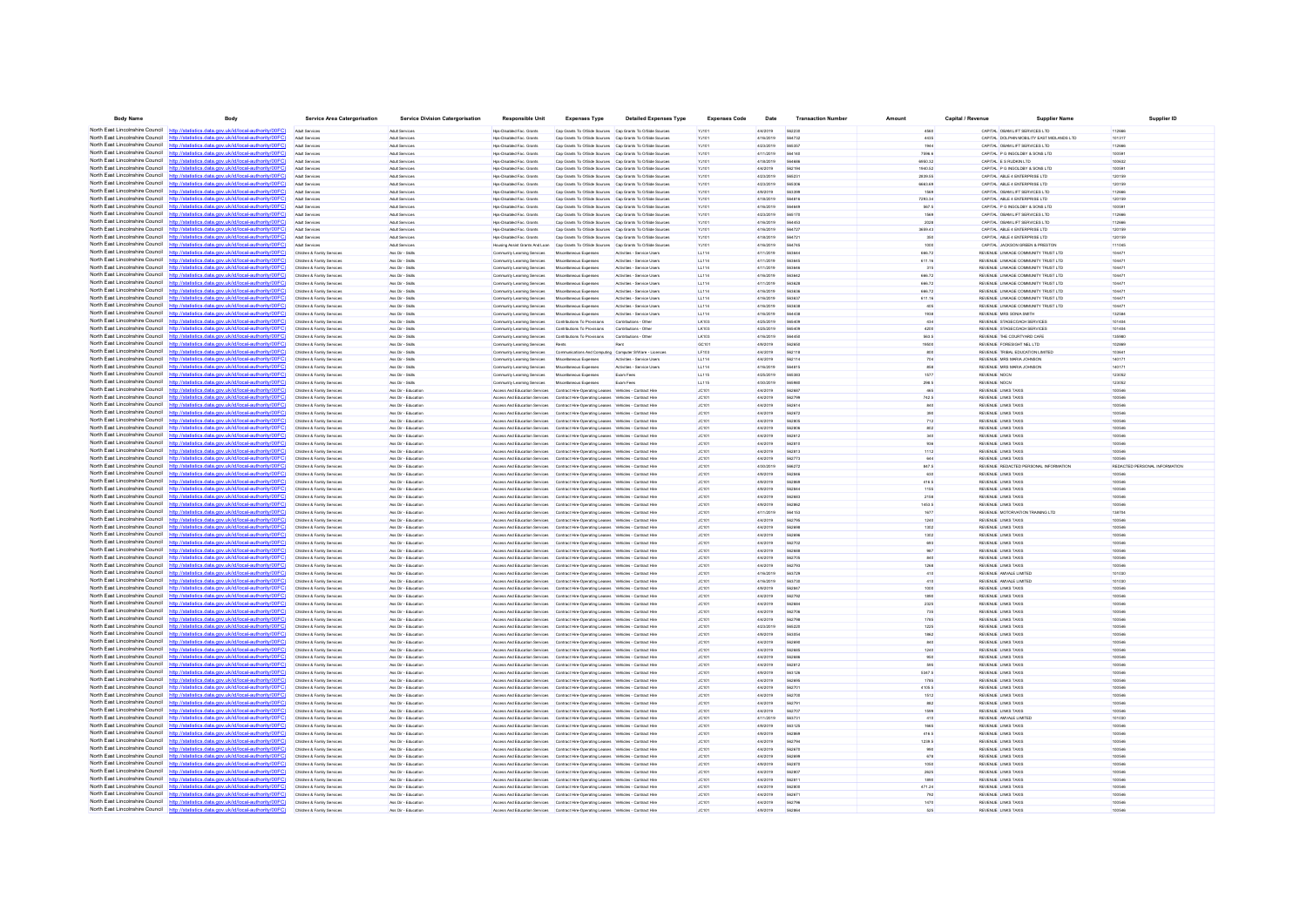| <b>Body Name</b>                                                   | Body                                                                                                                                                                             | <b>Service Area Catergorisation</b>                     | <b>Service Division Catergorisation</b>        | <b>Responsible Unit</b>                                    | <b>Expenses Type</b>                                                                                                                                                           | <b>Detailed Expenses Type</b>                           | <b>Expenses Code</b>  | Date                   | <b>Transaction Number</b>      | Amount             | Capital / Revenue | <b>Supplier Name</b>                                                       | Supplier ID                   |
|--------------------------------------------------------------------|----------------------------------------------------------------------------------------------------------------------------------------------------------------------------------|---------------------------------------------------------|------------------------------------------------|------------------------------------------------------------|--------------------------------------------------------------------------------------------------------------------------------------------------------------------------------|---------------------------------------------------------|-----------------------|------------------------|--------------------------------|--------------------|-------------------|----------------------------------------------------------------------------|-------------------------------|
| North East Lincolnshire Council http://stat                        | (ics.data.gov.uk/id/local-authority/00FC)                                                                                                                                        | Adult Services                                          | Adult Services                                 | Hos-Disabled Fac. Grants                                   | Cap Grants To O/Side Sources Cap Grants To O/Side Sources                                                                                                                      |                                                         | YJ101                 | 4/4/2019               | 562230                         | 4560               |                   | CAPITAL OBAM LIFT SERVICES LTD                                             | 112666                        |
| North East Lincolnshire Council                                    | http://statistics.data.gov.uk/id/local-authority/00FC                                                                                                                            | Adult Services                                          | <b>Adult Services</b>                          | Hos-Disabled Fac. Grants                                   | Cap Grants To O/Side Sources Cap Grants To O/Side Sources                                                                                                                      |                                                         | YJ101                 | 4/16/2019              | 564732                         | 4435               |                   | CAPITAL DOLPHIN MOBILITY EAST MIDLANDS LTD                                 | 101317                        |
|                                                                    | North East Lincolnshire Council http://statistics.data.gov.uk/id/local-authority/00FC)                                                                                           | Adult Services                                          | Adult Services                                 | Hps-Disabled Fac. Grant                                    | Cap Grants To O/Side Sources Cap Grants To O/Side Sources                                                                                                                      |                                                         | YJ101                 | 4/23/2019              | 565357                         | 1944               |                   | CAPITAL OBAM LIFT SERVICES LTD                                             | 112666                        |
| North East Lincolnshire Council                                    | http://statistics.data.gov.uk/id/local-authority/00FC)                                                                                                                           | Adult Services                                          | Adult Services                                 | Hps-Disabled Fac. Grants                                   | Cap Grants To O/Side Sources Cap Grants To O/Side Sources                                                                                                                      |                                                         | YJ10                  | 4/11/2019              |                                | 7596.6             |                   | CAPITAL P G INGOLDBY & SONS LTD                                            | 10059                         |
| North East Lincolnshire Council<br>North East Lincolnshire Council | http://statistics.data.gov.uk/id/local-authority/00FC)                                                                                                                           | Adult Services                                          | Adult Services                                 | Hos-Disabled Fac. Grants                                   | Cap Grants To O/Side Sources Cap Grants To O/Side Sources                                                                                                                      |                                                         | YJ101                 | 4/18/2019              | 564686                         | 6950.32            |                   | CAPITAL E S RUDKIN LTD                                                     | 100632                        |
| North East Lincolnshire Council                                    | http://statistics.data.gov.uk/id/local-authority/00FC)<br>http://statistics.data.gov.uk/id/local-authority/00FC)                                                                 | Adult Services<br>Adult Services                        | <b>Adult Services</b><br><b>Adult Services</b> | Hos-Disabled Fac. Grants<br>Hps-Disabled Fac. Grants       | Cap Grants To O/Side Sources Cap Grants To O/Side Sources<br>Cap Grants To O/Side Sources Cap Grants To O/Side Sources                                                         |                                                         | YJ101<br>YJ101        | 4/4/2019<br>4/23/2019  | 562194<br>56523                | 1940.52<br>2839.55 |                   | CAPITAL P G INGOLDBY & SONS LTD<br>CAPITAL ABLE 4 ENTERPRISE LTD           | 100591<br>120159              |
| North East Lincolnshire Council                                    | http://statistics.data.gov.uk/id/local-authority/00FC)                                                                                                                           |                                                         | <b>Adult Service</b>                           | Hps-Disabled Fac. Grant                                    | Cap Grants To O/Side Sources Cap Grants To O/Side Sources                                                                                                                      |                                                         | YJ10                  | 4/23/2019              |                                | 6663.69            |                   | CAPITAL ABLE 4 ENTERPRISE LTD                                              | 120159                        |
| North East Lincolnshire Council                                    | http://statistics.data.gov.uk/id/local-authority/00FC                                                                                                                            | Arkit Services                                          | <b>Adult Services</b>                          | Hos-Disabled Fac. Grants                                   | Cap Grants To O/Side Sources Cap Grants To O/Side Sources                                                                                                                      |                                                         | YJ101                 | 4/9/2019               | 563399                         | 1569               |                   | CAPITAL OBAM LIFT SERVICES LTD                                             | 112666                        |
| North East Lincolnshire Council                                    | http://statistics.data.gov.uk/id/local-authority/00EC                                                                                                                            | Adult Services                                          | Adult Services                                 | Hps-Disabled Fac. Grants                                   | Cap Grants To O/Side Sources Cap Grants To O/Side Sources                                                                                                                      |                                                         | YJ10                  | 4/18/2019              | <b>SAAR16</b>                  | 7293.34            |                   | CAPITAL ABLE 4 ENTERPRISE LTD                                              | 120159                        |
| North East Lincolnshire Council                                    | http://statistics.data.gov.uk/id/local-authority/00FC                                                                                                                            |                                                         | Adult Services                                 | Hps-Disabled Fac. Grants                                   | Cap Grants To O/Side Sources Cap Grants To O/Side Sources                                                                                                                      |                                                         | YJ10                  | 4/16/2019              | 56464                          | 567.5              |                   | CAPITAL P G INGOLDBY & SONS LTD                                            | 10059                         |
| North East Lincolnshire Council                                    | http://statistics.data.gov.uk/id/local-authority/00FC)                                                                                                                           | Adult Services                                          | <b>Adult Services</b>                          | Hos-Disabled Fac. Grants                                   | Cap Grants To O/Side Sources Cap Grants To O/Side Sources                                                                                                                      |                                                         | YJ101                 | 4/23/2019              | 565170                         | 1569               |                   | CAPITAL OBAM LIFT SERVICES LTD                                             | 112666                        |
| North East Lincolnshire Council                                    | http://statistics.data.gov.uk/id/local-authority/00FC)                                                                                                                           | Adult Services                                          | <b>Adult Services</b>                          | Hos-Disabled Fac. Grants                                   | Cap Grants To O/Side Sources Cap Grants To O/Side Sources                                                                                                                      |                                                         | YJ101                 | 4/16/2019              | 564453                         | 2028               |                   | CAPITAL OBAM LIFT SERVICES LTD                                             | 112666                        |
|                                                                    | North East Lincolnshire Council http://statistics.data.gov.uk/id/local-authority/00FC)<br>North East Lincolnshire Council http://statistics.data.gov.uk/id/local-authority/00FC) | Arkit Services                                          | Adult Services<br>Adult Services               | Hos-Disabled Fac. Grants<br>Hps-Disabled Fac. Grants       | Cap Grants To O/Side Sources Cap Grants To O/Side Sources<br>Cap Grants To O/Side Sources Cap Grants To O/Side Sources                                                         |                                                         | YJ101                 | 4/16/2019<br>4/18/2019 | <b>564727</b>                  | 3659.43<br>350     |                   | CAPITAL ABLE 4 ENTERPRISE LTD<br>CAPITAL ABLE 4 ENTERPRISE LTD             | 120159                        |
| North East Lincolnshire Council                                    | http://statistics.data.gov.uk/id/local-authority/00FC)                                                                                                                           | Adult Services<br>Adult Services                        | Adult Services                                 | Housing Assist Grants And Loan                             | Cap Grants To O/Side Sources Cap Grants To O/Side Sources                                                                                                                      |                                                         | YJ10<br>YJ101         | 4/16/2019              | 564745                         | 1000               |                   | CAPITAL JACKSON GREEN & PRESTON                                            | 12015<br>111045               |
|                                                                    | North East Lincolnshire Council http://statistics.data.gov.uk/id/local-authority/00FC                                                                                            | Children & Family Service                               | Ass Dir - Skils                                | Community Learning Services                                | Miscellaneous Expenses                                                                                                                                                         | Artivities - Service Lisen                              | LL114                 | 4/11/2019              | <b>SARALL</b>                  | 666.72             |                   | REVENUE LINKAGE COMMUNITY TRUST LTD                                        | 10447                         |
|                                                                    | North East Lincolnshire Council http://statistics.data.gov.uk/id/local-authority/00FC                                                                                            | Children & Family Service                               | Ass Dir - Skill                                | Community Learning Services                                | Miscellaneous Expenses                                                                                                                                                         | Activities - Service User                               | LL114                 | 4/11/2019              |                                | 611.16             |                   | REVENUE LINKAGE COMMUNITY TRUST LTD                                        | 0447                          |
| North East Lincolnshire Council                                    | http://statistics.data.gov.uk/id/local-authority/00FC                                                                                                                            | Children & Family Services                              | Ass Dir - Skills                               | Community Learning Services                                | Miscellaneous Expenses                                                                                                                                                         | Activities - Service Users                              | LL114                 | 4/11/2019              | 563646                         | 315                |                   | REVENUE LINKAGE COMMUNITY TRUST LTD                                        | 104471                        |
| North East Lincolnshire Council                                    | http://statistics.data.gov.uk/id/local-authority/00FC)                                                                                                                           | Children & Family Service                               | Ass Dir - Skills                               | Community Learning Services                                | Miscellaneous Expenses                                                                                                                                                         | Activities - Service Users                              | LL114                 | 4/16/2019              | 563642                         | 666.72             |                   | REVENUE LINKAGE COMMUNITY TRUST LTD                                        | 104471                        |
| North East Lincolnshire Council                                    | North East Lincolnshire Council http://statistics.data.gov.uk/id/local-authority/00FC                                                                                            | Children & Family Service                               | Ass Dir - Skils                                | Community Learning Services                                | Miscellaneous Expenses                                                                                                                                                         | Antivities - Service Lisen                              | LL114                 | 4/11/2019              | <b>563628</b>                  | 666.72             |                   | REVENUE LINKAGE COMMUNITY TRUST LTD                                        | 10447                         |
| North East Lincolnshire Council                                    | http://statistics.data.gov.uk/id/local-authority/00FC<br>http://statistics.data.gov.uk/id/local-authority/00FC)                                                                  | Children & Family Service<br>Children & Family Service  | Ass Dir - Skill<br>Ass Dir - Skils             | Community Learning Services<br>Community Learning Services | Miscellaneous Expenses                                                                                                                                                         | Activities - Service Use<br>Activities - Service User:  | LL114<br>LL114        | 4/16/2019<br>4/16/2019 | 56363<br>56363                 | 666.72<br>611.16   |                   | REVENUE LINKAGE COMMUNITY TRUST LTD<br>REVENUE LINKAGE COMMUNITY TRUST LTD | 0447<br>10447                 |
| North East Lincolnshire Council                                    | http://statistics.data.gov.uk/id/local-authority/00FC                                                                                                                            | Children & Family Services                              | Ass Dir - Skills                               | Community Learning Services                                | Miscellaneous Expenses<br>Miscellaneous Expenses                                                                                                                               | Activities - Service Users                              | LL114                 | 4/16/2019              | 563638                         | 405                |                   | REVENUE LINKAGE COMMUNITY TRUST LTD                                        | 104471                        |
|                                                                    | North East Lincolnshire Council http://statistics.data.gov.uk/id/local-authority/00FC)                                                                                           | dren & Family Service                                   | Ass Dir - Skill                                | Community Learning Services                                | Miscell<br>teous Expenses                                                                                                                                                      | Activities - Service Use                                | LL114                 | 4/16/2019              | 564438                         | 1938               |                   | REVENUE MRS SONIA SMITH                                                    | 132584                        |
| North East Lincolnshire Council                                    | http://statistics.data.gov.uk/id/local-authority/00FC                                                                                                                            | Children & Family Service                               | Ass Dir - Skils                                | Community Learning Services                                | Contributions To Provisions                                                                                                                                                    | Contributions - Other                                   | LK103                 | 4/25/2019              | 565409                         | 434                |                   | REVENUE STAGECOACH SERVICES                                                | 101404                        |
| North East Lincolnshire Council                                    | http://statistics.data.gov.uk/id/local-authority/00FC)                                                                                                                           | Children & Family Services                              | Ass Dir - Skills                               | Community Learning Services                                | Contributions To Provisions                                                                                                                                                    | Contributions - Other                                   | LK103                 | 4/25/2019              | 565409                         | 4200               |                   | REVENUE STAGECOACH SERVICES                                                | 101404                        |
| North East Lincolnshire Council                                    | http://statistics.data.gov.uk/id/local-authority/00FC                                                                                                                            | Children & Family Service                               | Ass Dir - Skills                               | Community Learning Services                                | Contributions To Provisions                                                                                                                                                    | Contributions - Other                                   | <b>IK103</b>          | 4/16/2019              | <b>SRAAS!</b>                  | 563.5              |                   | REVEN IF THE COURTYARD CAFE                                                | 135980                        |
| North East Lincolnshire Council                                    | http://statistics.data.gov.uk/id/local-authority/00FC)                                                                                                                           | Children & Family Service                               | Ass Dir - Skill                                | Community Learning Services                                | Rent                                                                                                                                                                           |                                                         | GC <sub>10</sub>      | 4/9/2019               | 56265                          | 19500              |                   | REVENUE FORESIGHT NEL LTD                                                  |                               |
| North East Lincolnshire Council<br>North East Lincolnshire Council | http://statistics.data.gov.uk/id/local-authority/00FC<br>http://statistics.data.gov.uk/id/local-authority/00FC                                                                   | Children & Family Service                               | Ass Dir - Skils                                | Community Learning Services                                | Communi                                                                                                                                                                        | ions And Computing Computer S/Ware - Licences           | LF103                 | 4/4/2019               | 562118<br>562114               | 800                |                   | REVENUE TRIBAL EDUCATION LIMITED                                           | 10364                         |
| North East Lincolnshire Council                                    | http://statistics.data.gov.uk/id/local-authority/00EC                                                                                                                            | Children & Family Service<br>Children & Family Service  | Ass Dir - Skills<br>Ass Dir - Skills           | Community Learning Services<br>Community Learning Services | Miscellaneous Expenses<br>Miscellaneous Expenses                                                                                                                               | Activities - Service User<br>Artivities - Service Lisen | LL114<br>11.114       | 4/4/2019<br>4/16/2019  | <b>GRAR1F</b>                  | 704<br>858         |                   | REVENUE MRS MARIA JOHNSON<br>REVEN IF MRS MARIA JOHNSON                    | 140171<br>140171              |
| North East Lincolnshire Council                                    | http://statistics.data.gov.uk/id/local-authority/00FC                                                                                                                            | Children & Family Service                               | Ass Dir - Skils                                | Community Learning Services                                | Miscellaneous Expenses                                                                                                                                                         | Exam Fees                                               | LL115                 | 4/25/2019              | 565383                         | 1577               |                   | <b>REVENUE NOCN</b>                                                        | 123052                        |
| North East Lincolnshire Council                                    | http://statistics.data.gov.uk/id/local-authority/00FC).                                                                                                                          | Children & Family Services                              | Ass Dir - Skills                               | Community Learning Services                                | Miscellaneous Expenses                                                                                                                                                         | Exam Fees                                               | LL115                 | 4/30/2019              | <b>SAS980</b>                  | 298.5              |                   | REVENUE NOCN                                                               | 123052                        |
| North East Lincolnshire Council                                    | http://statistics.data.gov.uk/id/local-authority/00EC                                                                                                                            | Children & Family Services                              | Ass Dir - Education                            |                                                            | Access And Education Services Contract Hire-Operating Leases Vehicles - Contract Hir                                                                                           |                                                         | <b>JC101</b>          | 4/4/2019               | <b>SAORR</b>                   | 465                |                   | REVENUE LINKS TAXIS                                                        | 100546                        |
| North East Lincolnshire Council                                    | http://statistics.data.gov.uk/id/local-authority/00FC                                                                                                                            | Children & Family Service                               | Ass Dir - Educatio                             | Access And Education Services                              | Contract Hire-Operating Leases Vehicles - Contract Hir                                                                                                                         |                                                         | JC10                  | 4/4/2019               | 562795                         | 742.5              |                   | REVENUE LINKS TAXIS                                                        | 100546                        |
| North East Lincolnshire Council                                    | http://statistics.data.gov.uk/id/local-authority/00FC)                                                                                                                           | Children & Family Service                               | Ass Dir - Education                            |                                                            | Access And Education Services Contract Hire-Operating Leases Vehicles - Contract Hire                                                                                          |                                                         | JC101                 | 4/4/2019               | 562614                         | 840                |                   | REVENUE LINKS TAXIS                                                        | 100546                        |
| North East Lincolnshire Council                                    | http://statistics.data.gov.uk/id/local-authority/00FC)                                                                                                                           | Children & Family Services                              | Ass Dir - Education                            |                                                            | Access And Education Services Contract Hire-Operating Leases Vehicles - Contract Hire                                                                                          |                                                         | JC101                 | 4/4/2019               | <b>SADATO</b>                  | 390                |                   | REVENUE LINKS TAXIS                                                        | 100546                        |
| North East Lincolnshire Council<br>North East Lincolnshire Council | http://statistics.data.gov.uk/id/local-authority/00EC<br>http://statistics.data.gov.uk/id/local-authority/00FC)                                                                  | Children & Family Service<br>Children & Family Service  | Ass Dir - Education<br>Ass Dir - Education     |                                                            | Access And Education Services Contract Hire-Operating Leases Vehicles - Contract Hire<br>Access And Education Services Contract Hire-Operating Leases Vehicles - Contract Hire |                                                         | JC101<br>JC10         | 4/4/2019<br>4/4/2019   | <b>SAZADE</b><br><b>GRORDE</b> | 712<br>802         |                   | REVENUE LINKS TAXIS<br>REVENUE LINKS TAXIS                                 | 100546<br>0054                |
| North East Lincolnshire Council                                    | cs data nov uk/id/local-authority/00FC                                                                                                                                           | Children & Family Services                              | Ass Dir - Education                            |                                                            | Access And Education Services Contract Hire-Operating Leases Vehicles - Contract Hire                                                                                          |                                                         | JC101                 | 4/4/2019               | <b>562612</b>                  | 340                |                   | REVENUE LINKS TAXIS                                                        | 100546                        |
| North East Lincolnshire Council                                    | /statistics data nov uk/id/local-authority/00FC                                                                                                                                  | Children & Family Services                              | Ass Dir - Education                            |                                                            | Anness And Education Services Contract Hire-Oneration Leases Vehicles - Contract Hire                                                                                          |                                                         | JC101                 | 4/4/2019               | <b>GA2810</b>                  | 936                |                   | REVENUE LINKS TAXIS                                                        | 100546                        |
| North East Lincolnshire Council                                    | http://statistics.data.gov.uk/id/local-authority/00FC                                                                                                                            | Children & Family Service                               | Ass Dir - Education                            |                                                            | Access And Education Services Contract Hire-Operating Leases Vehicles - Contract Hire                                                                                          |                                                         | JC10                  | 4/4/2019               | <b>GAZA13</b>                  | 1112               |                   | REVENUE LINKS TAXIS                                                        | 100546                        |
| North East Lincolnshire Council                                    | http://statistics.data.gov.uk/id/local-authority/00FC                                                                                                                            | Children & Family Service                               | .<br>Ass Dir - Educatio                        |                                                            | Access And Education Services Contract Hire-Operating Leases Vehicles - Contract Hir                                                                                           |                                                         | JC101                 | 4/4/2019               | 562773                         | 644                |                   | REVENUE LINKS TAXIS                                                        |                               |
| North East Lincolnshire Council                                    | http://statistics.data.gov.uk/id/local-authority/00FC)                                                                                                                           | Children & Family Services                              | Ass Dir - Education                            |                                                            | Access And Education Services Contract Hire-Operating Leases Vehicles - Contract Hire                                                                                          |                                                         | JC101                 | 4/30/2019              | 566272                         | 847.5              |                   | REVENUE REDACTED PERSONAL INFORMATION                                      | REDACTED PERSONAL INFORMATION |
| North East Lincolnshire Council                                    | http://statistics.data.gov.uk/id/local-authority/00FC]                                                                                                                           | Children & Family Services                              | Ass Dir - Education                            |                                                            | Access And Education Services Contract Hire-Operating Leases Vehicles - Contract Hire                                                                                          |                                                         | JC101                 | 4/9/2019               | 562846                         | 630                |                   | REVENUE LINKS TAXIS                                                        | 100546                        |
| North East Lincolnshire Council<br>North East Lincolnshire Council | http://statistics.data.gov.uk/id/local-authority/00FC<br>http://statistics.data.gov.uk/id/local-authority/00FC                                                                   | Children & Family Service<br>Children & Family Service  | Ass Dir - Education<br>Ass Dir - Education     |                                                            | Access And Education Services Contract Hire-Operating Leases Vehicles - Contract Hire<br>Access And Education Services Contract Hire-Operating Leases Vehicles - Contract Hire |                                                         | JC10<br>JC10          | 4/9/2019<br>4/9/2019   | <b>GAORAN</b>                  | 416.5<br>1155      |                   | REVENUE LINKS TAXIS<br>REVENUE LINKS TAXIS                                 | 100546<br>100546              |
| North East Lincolnshire Council                                    | http://statistics.data.gov.uk/id/local-authority/00FC]                                                                                                                           | Children & Family Services                              | Ass Dir - Education                            |                                                            | Access And Education Services Contract Hire-Operating Leases Vehicles - Contract Hire                                                                                          |                                                         | JC101                 | 4/4/2019               | 562683                         | 2158               |                   | REVENUE LINKS TAXIS                                                        | 100546                        |
| North East Lincolnshire Council                                    | statistics data ony uk/id/local-authority/00FC!                                                                                                                                  | Children & Family Service                               | Ass Dir - Education                            |                                                            | Access And Education Services Contract Hire-Operating Leases Vehicles - Contract Hire                                                                                          |                                                         | JC10                  | 4/9/2019               | 562862                         | 1453.5             |                   | REVENUE LINKS TAXIS                                                        | 100546                        |
| North East Lincolnshire Council                                    | http://statistics.data.gov.uk/id/local-authority/00FC                                                                                                                            | Children & Family Service                               | Ass Dir - Education                            |                                                            | Access And Education Services Contract Hire-Operating Leases Vehicles - Contract Hire                                                                                          |                                                         | JC10                  | 4/11/2019              | 564153                         | 1677               |                   | REVENUE MOTORVATION TRAINING LTD                                           | 138704                        |
| North East Lincolnshire Council                                    | http://statistics.data.gov.uk/id/local-authority/00FC                                                                                                                            | Children & Family Services                              | Ass Dir - Education                            |                                                            | Access And Education Services Contract Hire-Operating Leases Vehicles - Contract Hire                                                                                          |                                                         | JC101                 | 4/4/2019               | 562795                         | 1240               |                   | REVENUE LINKS TAXIS                                                        | 100546                        |
| North East Lincolnshire Council                                    | http://statistics.data.gov.uk/id/local-authority/00FC)                                                                                                                           | Children & Family Services                              | Ass Dir - Education                            |                                                            | Access And Education Services Contract Hire-Operating Leases Vehicles - Contract Hire                                                                                          |                                                         | JC101                 | 4/4/2019               | 562698                         | 1302               |                   | REVENUE LINKS TAXIS                                                        | 100546                        |
| North East Lincolnshire Council<br>North East Lincolnshire Council | http://statistics.data.gov.uk/id/local-authority/00FC<br>http://statistics.data.gov.uk/id/local-authority/00FC                                                                   | Children & Family Service<br>Children & Family Service  | Ass Dir - Education<br>Ass Dir - Educatio      | Access And Education Services                              | Access And Education Services Contract Hire-Operating Leases Vehicles - Contract Hire<br>Contract Hire-Operating Leases Vehicles - Contract Hi                                 |                                                         | JC10<br>JC10          | 4/4/2019<br>4/4/2019   | <b>56269</b><br>562702         | 1302<br>693        |                   | REVENUE LINKS TAXIS<br>REVENUE LINKS TAXIS                                 | 100546<br>0054                |
| North East Lincolnshire Council                                    | http://statistics.data.gov.uk/id/local-authority/00FC)                                                                                                                           | Children & Family Service                               | Ass Dir - Education                            |                                                            | Access And Education Services Contract Hire-Operating Leases Vehicles - Contract Hire                                                                                          |                                                         | JC101                 | 4/4/2019               | 562688                         | 987                |                   | REVENUE LINKS TAXIS                                                        | 100546                        |
| North East Lincolnshire Council                                    | http://statistics.data.gov.uk/id/local-authority/00EC                                                                                                                            | Children & Family Service                               | Ass Dir - Education                            |                                                            | Access And Education Services Contract Hire-Operating Leases Vehicles - Contract Hire                                                                                          |                                                         | JC10                  | 4/4/2019               | 562705                         | 840                |                   | REVENUE LINKS TAXIS                                                        | 100546                        |
| North East Lincolnshire Council                                    | tatistics data onu uklidlonal authoritu/00FC!                                                                                                                                    | Children & Family Service                               | Ass Dir - Education                            |                                                            | Access And Education Services Contract Hire-Operating Leases Vehicles - Contract Hir                                                                                           |                                                         | JC101                 | 4/4/2019               | 562793                         | 1268               |                   | REVENUE LINKS TAXIS                                                        | 0054                          |
|                                                                    | North East Lincolnshire Council http://statistics.data.gov.uk/id/local-authority/00FC)                                                                                           | Children & Family Services                              | Ass Dir - Education                            |                                                            | Access And Education Services Contract Hire-Operating Leases Vehicles - Contract Hire                                                                                          |                                                         | JC101                 | 4/16/2019              | 563729                         | 410                |                   | REVENUE AMVALE LIMITED                                                     | 101030                        |
| North East Lincolnshire Council                                    | http://statistics.data.gov.uk/id/local-authority/00FC]                                                                                                                           | Children & Family Services                              | Ass Dir - Education                            |                                                            | Access And Education Services Contract Hire-Operating Leases Vehicles - Contract Hire                                                                                          |                                                         | JC101                 | 4/16/2019              | 563730                         | 410                |                   | REVENUE AMVALE LIMITED                                                     | 101030                        |
|                                                                    | North East Lincolnshire Council http://statistics.data.gov.uk/id/local-authority/00FC)                                                                                           | Children & Family Service                               | Ass Dir - Education                            |                                                            | Access And Education Services Contract Hire-Operating Leases Vehicles - Contract Hire                                                                                          |                                                         | JC101                 | 4/9/2019               | <b>SADRAT</b>                  | 1000               |                   | REVENUE LINKS TAXIS                                                        | 100546                        |
| North East Lincolnshire Council                                    | North East Lincolnshire Council http://statistics.data.gov.uk/id/local-authority/00FC)<br>http://statistics.data.gov.uk/id/local-authority/00FC                                  | Children & Family Service<br>Children & Family Services | Ass Dir - Education<br>Ass Dir - Education     |                                                            | Access And Education Services Contract Hire-Operating Leases Vehicles - Contract Hire<br>Access And Education Services Contract Hire-Operating Leases Vehicles - Contract Hire |                                                         | JC10<br>JC101         | 4/4/2019<br>4/4/2019   | 562684                         | 1890<br>2325       |                   | REVENUE LINKS TAXIS<br>REVENUE LINKS TAXIS                                 | 0054<br>100546                |
|                                                                    | North East Lincolnshire Council http://statistics.data.gov.uk/id/local-authority/00FC)                                                                                           | Children & Family Service                               | Ass Dir - Education                            |                                                            | Access And Education Services Contract Hire-Operating Leases Vehicles - Contract Hire                                                                                          |                                                         | JC101                 | 4/4/2019               | 562706                         | 735                |                   | REVENUE LINKS TAXIS                                                        | 100546                        |
|                                                                    | North East Lincolnshire Council http://statistics.data.gov.uk/id/local-authority/00FC)                                                                                           | Children & Family Service                               | Ass Dir - Education                            |                                                            | Access And Education Services Contract Hire-Operating Leases Vehicles - Contract Hire                                                                                          |                                                         | JC10                  | 4/4/2019               |                                | 1785               |                   | REVENUE LINKS TAXIS                                                        | 10054                         |
| North East Lincolnshire Council                                    |                                                                                                                                                                                  | Children & Family Services                              | Ass Dir - Education                            |                                                            | Access And Education Services Contract Hire-Operating Leases Vehicles - Contract Hire                                                                                          |                                                         | JC101                 | 4/23/2019              | 565220                         | 1225               |                   | REVENUE LINKS TAXIS                                                        | 100546                        |
|                                                                    | North East Lincolnshire Council http://statistics.data.gov.uk/id/local-authority/00FC)                                                                                           | Children & Family Services                              | Ass Dir - Education                            |                                                            | Access And Education Services Contract Hire-Operating Leases Vehicles - Contract Hire                                                                                          |                                                         | JC101                 | 4/9/2019               | 563054                         | 1862               |                   | REVENUE LINKS TAXIS                                                        | 100546                        |
|                                                                    | North East Lincolnshire Council http://statistics.data.gov.uk/id/local-authority/00FC                                                                                            | Children & Family Services                              | Ass Dir - Education                            |                                                            | Access And Education Services Contract Hire-Operating Leases Vehicles - Contract Hire                                                                                          |                                                         | JC101                 | 4/4/2019               | <b>SA2RM</b>                   | 840                |                   | REVENUE LINKS TAXIS                                                        | 100546                        |
| North East Lincolnshire Council<br>North East Lincolnshire Council | http://statistics.data.gov.uk/id/local-authority/00FC)                                                                                                                           | Children & Family Service                               | Ass Dir - Educatio<br>Ass Dir - Education      | Access And Education Services                              | Contract Hire-Operating Leases Vehicles - Contract Hir                                                                                                                         |                                                         | JC10                  | 4/4/2019<br>4/4/2019   | 562685                         | 1240               |                   | REVENUE LINKS TAXIS<br>REVENUE LINKS TAXIS                                 | 00546                         |
| North East Lincolnshire Council                                    | http://statistics.data.gov.uk/id/local-authority/00FC)<br>http://statistics.data.gov.uk/id/local-authority/00FC                                                                  | Children & Family Service<br>Children & Family Services | Ass Dir - Education                            |                                                            | Access And Education Services Contract Hire-Operating Leases Vehicles - Contract Hire<br>Access And Education Services Contract Hire-Operating Leases Vehicles - Contract Hire |                                                         | JC101<br>JC101        | 4/4/2019               | 562686<br>562812               | 950<br>595         |                   | REVENUE LINKS TAXIS                                                        | 100546<br>100546              |
| North East Lincolnshire Council                                    | http://statistics.data.gov.uk/id/local-authority/00FC)                                                                                                                           | Children & Family Service                               | Ass Dir - Education                            |                                                            | Access And Education Services Contract Hire-Operating Leases Vehicles - Contract Hire                                                                                          |                                                         | JC101                 | 4/9/2019               | <b>563126</b>                  | 5347.5             |                   | REVENUE LINKS TAXIS                                                        | 100546                        |
|                                                                    | North East Lincolnshire Council http://statistics.data.gov.uk/id/local-authority/00FC)                                                                                           | Children & Family Service                               | Ass Dir - Education                            |                                                            | Access And Education Services Contract Hire-Operating Leases Vehicles - Contract Hire                                                                                          |                                                         | JC101                 | 4/4/2019               | 562695                         | 1785               |                   | REVENUE LINKS TAXIS                                                        | 100546                        |
| North East Lincolnshire Council                                    | ics data nov uk/id/local-authority/00FC<br>http://sta                                                                                                                            | Children & Family Services                              | Ass Dir - Education                            |                                                            | Access And Education Services Contract Hire-Operating Leases Vehicles - Contract Hire                                                                                          |                                                         | JC101                 | 4/4/2019               | 562701                         | 4105.5             |                   | REVENUE LINKS TAXIS                                                        | 100546                        |
| North East Lincolnshire Council                                    | http://statistics.data.gov.uk/id/local-authority/00FC                                                                                                                            | Children & Family Service                               | Ass Dir - Education                            |                                                            | Access And Education Services Contract Hire-Operating Leases Vehicles - Contract Hire                                                                                          |                                                         | JC101                 | 4/4/2019               | 562700                         | 1512               |                   | REVENUE LINKS TAXIS                                                        | 100546                        |
| North East Lincolnshire Council                                    | http://statistics.data.gov.uk/id/local-authority/00FC                                                                                                                            | Children & Family Service                               | Ass Dir - Education                            |                                                            | Access And Education Services Contract Hire-Operating Leases Vehicles - Contract Hir                                                                                           |                                                         | JC10                  | 4/4/2019               | 56279                          | 882                |                   | REVENUE LINKS TAXIS                                                        |                               |
| North East Lincolnshire Council<br>North East Lincolnshire Council | http://statistics.data.gov.uk/id/local-authority/00FC<br>http://statistics.data.gov.uk/id/local-authority/00FC                                                                   | Children & Family Service                               | Ass Dir - Education                            |                                                            | Access And Education Services Contract Hire-Operating Leases Vehicles - Contract Hire                                                                                          |                                                         | JC101                 | 4/4/2019               | 56270<br><b>663731</b>         | 1599               |                   | REVENUE LINKS TAXIS<br>REVENUE AMVALE LIMITED                              | 100546                        |
| North East Lincolnshire Council                                    | http://statistics.data.gov.uk/id/local-authority/00EC                                                                                                                            | Children & Family Services<br>Children & Family Service | Ass Dir - Education<br>Ass Dir - Education     |                                                            | Access And Education Services Contract Hire-Operating Leases Vehicles - Contract Hire<br>Access And Education Services Contract Hire-Operating Leases Vehicles - Contract Hire |                                                         | JC101<br>10101        | 4/11/2019<br>4/9/2019  | 563128                         | 410<br>1665        |                   | REVENUE LINKS TAXIS                                                        | 101030<br>100546              |
| North East Lincolnshire Council                                    | http://statistics.data.gov.uk/id/local-authority/00FC)                                                                                                                           | Children & Family Service                               | Ass Dir - Educatio                             | Access And Education Services                              | Contract Hire-Operating Leases Vehicles - Contract Hir                                                                                                                         |                                                         | JC10                  | 4/9/2019               | <b>GROBBI</b>                  | 416.5              |                   | REVENUE LINKS TAXIS                                                        | 100546                        |
| North East Lincolnshire Council                                    | http://statistics.data.gov.uk/id/local-authority/00FC                                                                                                                            | Children & Family Services                              | Ass Dir - Education                            |                                                            | Access And Education Services Contract Hire-Operating Leases Vehicles - Contract Hire                                                                                          |                                                         | JC101                 | 4/4/2019               | <b>562794</b>                  | 1239.5             |                   | REVENUE LINKS TAXIS                                                        | 100546                        |
| North East Lincolnshire Council                                    | http://statistics.data.gov.uk/id/local-authority/00EC                                                                                                                            | Children & Family Services                              | Ass Dir - Education                            |                                                            | Access And Education Services Contract Hire-Operating Leases Vehicles - Contract Hire                                                                                          |                                                         | 10101                 | 4/4/2019               | <b>562670</b>                  | oan                |                   | REVENUE LINKS TAXIS                                                        | 100546                        |
| North East Lincolnshire Council                                    | http://statistics.data.gov.uk/id/local-authority/00FC                                                                                                                            | Children & Family Service                               | Ass Dir - Education                            |                                                            | Access And Education Services Contract Hire-Operating Leases Vehicles - Contract Hire                                                                                          |                                                         | JC10                  | 4/4/2019               | <b>SADROS</b>                  | 678                |                   | REVENUE LINKS TAXIS                                                        | 100546                        |
| North East Lincolnshire Council                                    | http://statistics.data.gov.uk/id/local-authority/00FC)                                                                                                                           | Children & Family Service                               | Ass Dir - Education                            |                                                            | Access And Education Services Contract Hire-Operating Leases Vehicles - Contract Hire                                                                                          |                                                         | JC101                 | 4/9/2019               | 562870                         | 1050               |                   | REVENUE LINKS TAXIS                                                        | 100546                        |
| North East Lincolnshire Council<br>North East Lincolnshire Council | http://statistics.data.gov.uk/id/local-authority/00FC<br>http://statistics.data.gov.uk/id/local-authority/00EC                                                                   | Children & Family Services<br>Children & Family Service | Ass Dir - Education<br>Ass Dir - Education     |                                                            | Access And Education Services Contract Hire-Operating Leases Vehicles - Contract Hire<br>Access And Education Services Contract Hire-Operating Leases Vehicles - Contract Hire |                                                         | JC101<br><b>JC101</b> | 4/4/2019<br>4/4/2019   | <b>562807</b><br><b>GAOR1</b>  | 2625<br>1890       |                   | REVENUE LINKS TAXIS<br>REVENUE LINKS TAXIS                                 | 100546<br>100546              |
| North East Lincolnshire Council                                    | http://statistics.data.gov.uk/id/local-authority/00FC                                                                                                                            | Children & Family Service                               | Ass Dir - Education                            |                                                            | Access And Education Services Contract Hire-Operating Leases Vehicles - Contract Hire                                                                                          |                                                         | JC10                  | 4/4/2019               | <b>SA280</b>                   | 471.24             |                   | REVENUE LINKS TAXIS                                                        |                               |
| North East Lincolnshire Council                                    | http://statistics.data.gov.uk/id/local-authority/00FC                                                                                                                            | Children & Family Service                               | Ass Dir - Educatio                             |                                                            | Access And Education Services Contract Hire-Operating Leases Vehicles - Contract Hire                                                                                          |                                                         | JC101                 | 4/4/2019               | 56267                          | 792                |                   | REVENUE LINKS TAXIS                                                        | 0054                          |
|                                                                    | North East Lincolnshire Council http://statistics.data.gov.uk/id/local-authority/00FC)                                                                                           | Children & Family Services                              | Ass Dir - Education                            |                                                            | Access And Education Services Contract Hire-Operating Leases Vehicles - Contract Hire                                                                                          |                                                         | <b>JC101</b>          | 4/4/2019               | <b>562798</b>                  | 1470               |                   | REVENUE LINKS TAXIS                                                        | 100546                        |
| North East Lincolnshire Council                                    |                                                                                                                                                                                  |                                                         | Ass Dir - Educati                              |                                                            | Access And Education Services Contract Hire-Operating Leases Vehicles - Contract                                                                                               |                                                         |                       | 4/9/2019               |                                |                    |                   | REVENUE LINKS TAXIS                                                        |                               |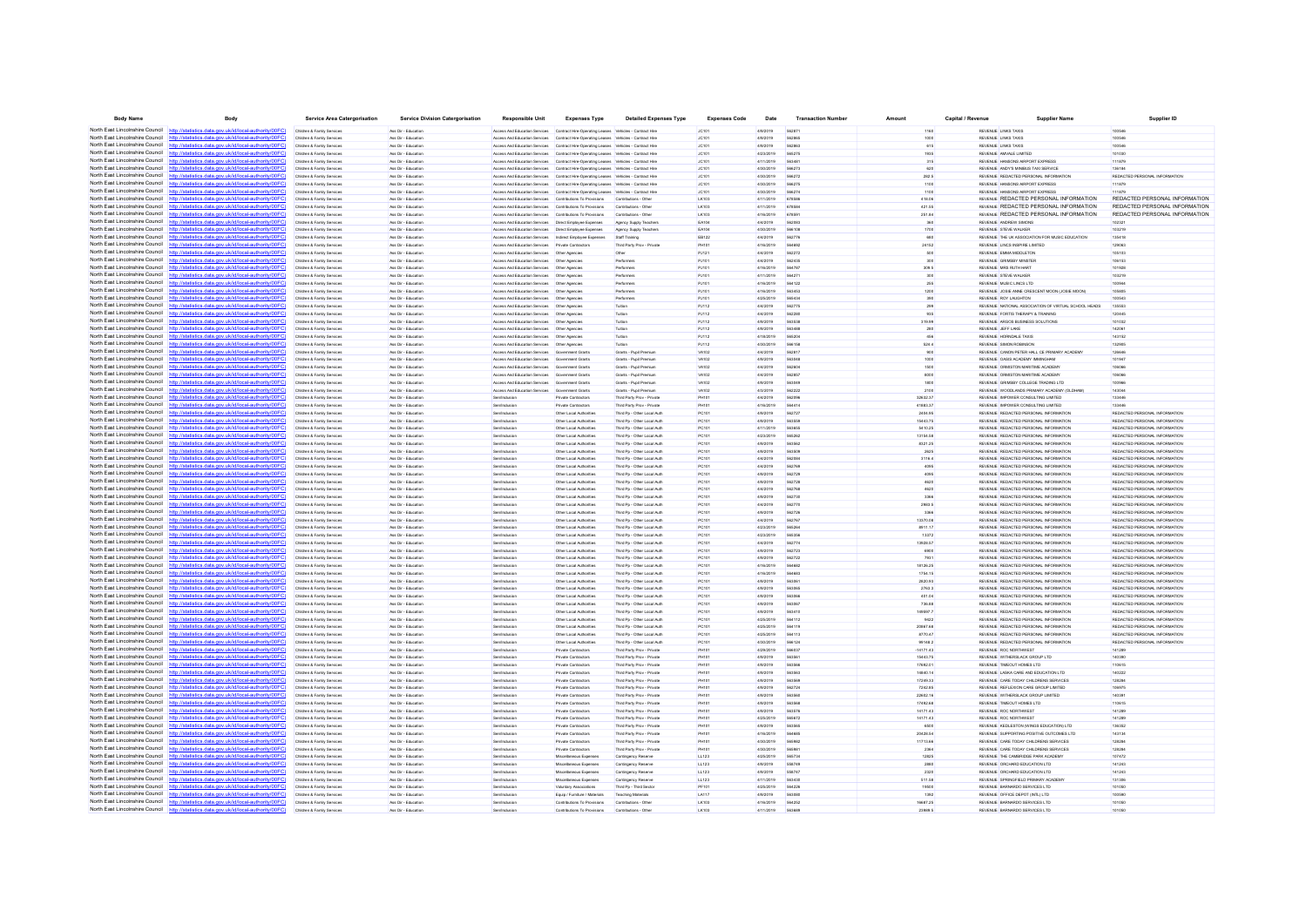| <b>Body Name</b>                                                   | Body                                                                                                                                                                             | <b>Service Area Catergorisation</b>                      | <b>Service Division Catergorisation</b>    | Responsible Uni                                                                                                    | <b>Expenses Type</b>                                                                  | <b>Detailed Expenses Type</b>                              | <b>Expenses Code</b> | Date                   | <b>Transaction Number</b> | Amount              | Capital / Revenue | <b>Supplier Name</b>                                                           | Supplier ID                                                    |
|--------------------------------------------------------------------|----------------------------------------------------------------------------------------------------------------------------------------------------------------------------------|----------------------------------------------------------|--------------------------------------------|--------------------------------------------------------------------------------------------------------------------|---------------------------------------------------------------------------------------|------------------------------------------------------------|----------------------|------------------------|---------------------------|---------------------|-------------------|--------------------------------------------------------------------------------|----------------------------------------------------------------|
|                                                                    | North East Lincolnshire Council http://statistics.data.gov.uk/id/local-authority/00FC).                                                                                          | Children & Family Services                               | Ass Dir - Education                        |                                                                                                                    | Access And Education Services Contract Hire-Operating Leases Vehicles - Contract Hire |                                                            | JC101                | 4/9/2019               |                           | 1160                |                   | REVENUE LINKS TAXIS                                                            |                                                                |
|                                                                    | North East Lincolnshire Council http://statistics.data.gov.uk/id/local-authority/00FC)                                                                                           | Children & Family Services                               | Ass Dir - Education                        |                                                                                                                    | Access And Education Services Contract Hire-Operating Leases Vehicles - Contract Hire |                                                            | JC101                | 4/9/2019               | 562865                    | 1000                |                   | REVENUE LINKS TAXIS                                                            | 100546                                                         |
|                                                                    | North East Lincolnshire Council http://statistics.data.gov.uk/id/local-authority/00FC)                                                                                           | Children & Family Services                               | Ass Dir - Education                        |                                                                                                                    | Access And Education Services Contract Hire-Operating Leases Vehicles - Contract Hire |                                                            | JC101                | 4/9/2019               | 562863                    | 615                 |                   | REVENUE LINKS TAXIS                                                            | 100546                                                         |
|                                                                    | North East Lincolnshire Council http://statistics.data.gov.uk/id/local-authority/00FC                                                                                            | Children & Family Services                               | Ass Dir - Education                        | Access And Education Services                                                                                      | Contract Hire-Operating Leases Vehicles - Contract Hire                               |                                                            | JC101                | 4/23/2019              | <b>SAS275</b>             | 1935                |                   | REVENUE AMVALE LIMITED                                                         | 101030                                                         |
| North East Lincolnshire Council                                    | http://statistics.data.gov.uk/id/local-authority/00FC                                                                                                                            | Children & Family Service                                | les Dir - Education                        | <b>Anness And Education Services</b>                                                                               | Contract Hire-Operating Leases Vehicles - Contract Hir                                |                                                            | <b>JC101</b>         | 4/11/2019              | 563481                    | 315                 |                   | REVENUE HANSONS AIRPORT EXPRES!                                                | 111879                                                         |
| North East Lincolnshire Council                                    | http://statistics.data.gov.uk/id/local-authority/00FC)                                                                                                                           | Children & Family Services                               | Ass Dir - Education                        |                                                                                                                    | Access And Education Services Contract Hire-Operating Leases Vehicles - Contract Hire |                                                            | <b>JC101</b>         | 4/30/2019              | 566273                    |                     |                   | REVENUE ANDY'S MINIBUS TAXI SERVICE                                            | 136184                                                         |
| North East Lincolnshire Council                                    | http://statistics.data.gov.uk/id/local-authority/00FC)                                                                                                                           | Children & Family Services                               | Ass Dir - Education                        | Access And Education Services                                                                                      | Contract Hire-Operating Leases Vehicles - Contract Hire                               |                                                            | JC101                | 4/30/2019              | 566272                    | 282.5               |                   | REVENUE REDACTED PERSONAL INFORMATION                                          | REDACTED PERSONAL INFORMATION                                  |
|                                                                    | North East Lincolnshire Council http://statistics.data.gov.uk/id/local-authority/00FC)                                                                                           | Children & Family Services                               | Ass Dir - Education                        |                                                                                                                    | Access And Education Services Contract Hire-Operating Leases Vehicles - Contract Hire |                                                            | JC101                | 4/30/2019              | 566275                    | 1100                |                   | REVENUE HANSONS AIRPORT EXPRESS                                                | 111879                                                         |
|                                                                    | North East Lincolnshire Council http://statistics.data.gov.uk/id/local-authority/00FC                                                                                            | Children & Family Services                               | Ass Dir - Education                        |                                                                                                                    | Access And Education Services Contract Hire-Operating Leases Vehicles - Contract Hire |                                                            | JC101                | 4/30/2019              |                           |                     |                   | REVENUE HANSONS AIRPORT EXPRESS                                                |                                                                |
| North East Lincolnshire Council                                    |                                                                                                                                                                                  | Children & Family Services                               | Ass Dir - Education                        | Access And Education Services Contributions To Provisions                                                          |                                                                                       | Contributions - Other                                      | LK103                | 4/11/2019              | 678586                    | 418.06              |                   | REVENUE REDACTED PERSONAL INFORMATION                                          | REDACTED PERSONAL INFORMATION                                  |
|                                                                    | North East Lincolnshire Council http://statistics.data.gov.uk/id/local-authority/00FC)                                                                                           | Children & Family Services                               | Ass Dir - Education                        | Access And Education Services Contributions To Provisions                                                          |                                                                                       | Contributions - Other                                      | LK103                | 4/11/2019              | 678584                    | 421.55              |                   | REVENUE REDACTED PERSONAL INFORMATION                                          | REDACTED PERSONAL INFORMATION                                  |
| North East Lincolnshire Council<br>North East Lincolnshire Council | http://statistics.data.gov.uk/id/local-authority/00EC)<br>http://statistics.data.gov.uk/id/local-authority/00FC)                                                                 | Children & Family Services                               | Ass Dir - Education<br>Ass Dir - Education | Anness And Education Services Contributions To Provisions                                                          |                                                                                       | Contributions - Other                                      | LK103                | 4/16/2019<br>4/4/2019  | 678591<br>562083          | 251.84<br>360       |                   | <b>REVENLE REDACTED PERSONAL INFORMATION</b><br>REVENUE ANDREW SIMONS          | REDACTED PERSONAL INFORMATION<br>10232                         |
| North East Lincolnshire Council                                    | http://statistics.data.gov.uk/id/local-authority/00FC                                                                                                                            | Children & Family Service<br>Children & Family Services  | Ass Dir - Education                        | Access And Education Services  Direct Employee Expenses<br>Access And Education Services  Direct Employee Expenses |                                                                                       | Agency Supply Teacher                                      | EA104                | 4/30/2019              |                           |                     |                   | REVENUE STEVE WALKER                                                           | 103219                                                         |
| North East Lincolnshire Council                                    | http://statistics.data.gov.uk/id/local-authority/00FC)                                                                                                                           | Children & Family Services                               | Ass Dir - Education                        | Access And Education Services   Indirect Employee Expenses                                                         |                                                                                       | Agency Supply Teacher<br>Staff Training                    | EA104<br>EB122       | 4/4/2019               | 562776                    | 1700<br>680         |                   | REVENUE THE UK ASSOCIATION FOR MUSIC EDUCATION                                 | 135418                                                         |
|                                                                    | North East Lincolnshire Council http://statistics.data.gov.uk/id/local-authority/00FC)                                                                                           | Children & Family Services                               | Ass Dir - Education                        | Access And Education Services Private Contractors                                                                  |                                                                                       | Third Party Prov - Private                                 | PH101                | 4/16/2019              | <b>SAAR92</b>             | 24152               |                   | REVENUE LINCS INSPIRE LIMITED                                                  | 129063                                                         |
|                                                                    | North East Lincolnshire Council http://statistics.data.gov.uk/id/local-authority/00FC                                                                                            | Children & Family Services                               | Ass Dir - Education                        | Access And Education Services    Cher Agencies                                                                     |                                                                                       |                                                            | PJ121                | 4/4/2019               | 562272                    |                     |                   | REVENUE EMMA MIDDLETO!                                                         | 10510                                                          |
| North East Lincolnshire Council                                    |                                                                                                                                                                                  | Children & Family Services                               | Ass Dir - Education                        | Access And Education Services   Other Agencies                                                                     |                                                                                       | Performers                                                 | PJ101                | 4/4/2019               | 562435                    | 300                 |                   | REVENUE GRIMSBY MINSTER                                                        | 106153                                                         |
|                                                                    | North East Lincolnshire Council http://statistics.data.gov.uk/id/local-authority/00FC)                                                                                           | Children & Family Services                               | Ass Dir - Education                        | Access And Education Services   Other Agencies                                                                     |                                                                                       | Performers                                                 | PJ101                | 4/16/2019              | <b>564787</b>             | 309.5               |                   | REVENUE MRS RUTH HART                                                          | 101928                                                         |
|                                                                    | North East Lincolnshire Council http://statistics.data.gov.uk/id/local-authority/00FC)                                                                                           | Children & Family Services                               | Ass Dir - Education                        | Access And Education Services   Other Agencies                                                                     |                                                                                       | Performers                                                 | PJ101                | 4/11/2019              | 564271                    | 300                 |                   | REVENUE STEVE WALKER                                                           | 103219                                                         |
|                                                                    | North East Lincolnshire Council http://statistics.data.gov.uk/id/local-authority/00FC)                                                                                           | Children & Family Service                                | Ass Dir - Education                        | Access And Education Services   Other Agencie                                                                      |                                                                                       | Performer                                                  | PJ101                | 4/16/2019              | 564122                    | 255                 |                   | REVENUE MUSIC LINCS LTD                                                        | 100944                                                         |
|                                                                    | North East Lincolnshire Council http://statistics.data.gov.uk/id/local-authority/00FC)                                                                                           | Children & Family Services                               | Ass Dir - Education                        | Access And Education Services   Other Agencies                                                                     |                                                                                       | Performers                                                 | PJ101                | 4/16/2019              |                           | 1200                |                   | REVENUE JOSIE ANNE CRESCENT MOON (JOSIE MOON)                                  | 10580                                                          |
| North East Lincolnshire Council                                    | http://statistics.data.gov.uk/id/local-authority/00FC)                                                                                                                           | Children & Family Services                               | Ass Dir - Education                        | Access And Education Services   Other Agencies                                                                     |                                                                                       | Performers                                                 | PJ101                | 4/25/2019              | 565434                    | 390                 |                   | REVENUE ROY LAUGHTON                                                           | 100543                                                         |
|                                                                    | North East Lincolnshire Council http://statistics.data.gov.uk/id/local-authority/00FC)                                                                                           | Children & Family Services                               | Ass Dir - Education                        | Access And Education Services   Other Agencies                                                                     |                                                                                       | Tution                                                     | PJ112                | 4/4/2019               | 562775                    | 299                 |                   | REVENUE NATIONAL ASSOCIATION OF VIRTUAL SCHOOL HEADS                           | 135553                                                         |
|                                                                    | North East Lincolnshire Council http://statistics.data.gov.uk/id/local-authority/00FC)                                                                                           | Children & Family Services                               | Ass Dir - Education                        | Access And Education Services   Other Agencies                                                                     |                                                                                       | lution                                                     | <b>PJ112</b>         | 4/4/2019               |                           |                     |                   | REVENUE FORTIS THERAPY & TRAINING                                              |                                                                |
| North East Lincolnshire Council                                    | المعاملات المستعملة                                                                                                                                                              | Children & Family Services                               | Ass Dir - Education                        | Access And Education Services   Other Agencies                                                                     |                                                                                       | <b>Tuition</b>                                             | PJ112                | 4/9/2019               | 563538                    | 319.99              |                   | REVENUE ARGOS BUSINESS SOLUTIONS                                               | 101032                                                         |
|                                                                    | North East Lincolnshire Council http://statistics.data.gov.uk/id/local-authority/00FC)                                                                                           | Children & Family Services                               | Ass Dir - Education                        | Access And Education Services   Other Agencies                                                                     |                                                                                       | Tuttion                                                    | PJ112                | 4/9/2019               | 563488                    | 280                 |                   | REVENUE JEFF LAKE                                                              | 142061                                                         |
|                                                                    | North East Lincolnshire Council http://statistics.data.gov.uk/id/local-authority/00FC)                                                                                           | Children & Family Services                               | Ass Dir - Education                        | Access And Education Services   Other Agencies                                                                     |                                                                                       | Tution                                                     | PJ112                | 4/18/2019              | 565204                    | 456                 |                   | REVENUE HORNDALE TAXIS                                                         | 143152                                                         |
|                                                                    | North East Lincolnshire Council http://statistics.data.gov.uk/id/local-authority/00FC)                                                                                           | Children & Family Service                                | Ass Dir - Education                        | Access And Education Services                                                                                      | Other Agencie                                                                         |                                                            | PJ112                | 4/30/2019              | 566158                    | 524.4               |                   | REVENUE SIMON ROBINSON                                                         | 132905                                                         |
|                                                                    | North East Lincolnshire Council http://statistics.data.gov.uk/id/local-authority/00FC)                                                                                           | Children & Family Services                               | Ass Dir - Education                        | Access And Education Services                                                                                      | Government Grant                                                                      | Grants - Pupil Premiur                                     | VA102                | 4/4/2019               |                           |                     |                   | REVENUE CANON PETER HALL CE PRIMARY ACADEM                                     | 126646                                                         |
| North East Lincolnshire Council                                    | http://statistics.data.gov.uk/id/local-authority/00FC)                                                                                                                           | Children & Family Services                               | Ass Dir - Education                        | Access And Education Services                                                                                      | Government Grants                                                                     | Grants - Pupil Premiun                                     | VA102                | 4/9/2019               | 563048                    | 1000                |                   | REVENUE OASIS ACADEMY IMMINGHAM                                                | 101947                                                         |
|                                                                    | North East Lincolnshire Council http://statistics.data.gov.uk/id/local-authority/00FC)                                                                                           | Children & Family Services                               | Ass Dir - Education                        | Access And Education Services Government Grants                                                                    |                                                                                       | Grants - Pupil Premiun                                     | VA102                | 4/4/2019               | 562604                    | 1500                |                   | REVENUE ORMISTON MARITIME ACADEMY                                              | 106066                                                         |
|                                                                    | North East Lincolnshire Council http://statistics.data.gov.uk/id/local-authority/00EC)                                                                                           | Children & Family Service                                | Ass Dir - Education                        | Access And Education Services                                                                                      | Government Grant                                                                      | Grants - Pupil Premiur                                     | VA102                | 4/4/2019               | CROSS                     | 8000                |                   | REVENUE ORMISTON MARITIME ACADEMY                                              | 106066                                                         |
| North East Lincolnshire Council                                    | tistics data.gov.uk/id/local-authority/00FC                                                                                                                                      | Children & Family Services                               | Ass Dir - Education                        | Access And Education Services                                                                                      | Government Grants                                                                     | Grants - Pupil Premiun                                     | VA102                | 4/9/2019               | 563049                    | 1800                |                   | REVENUE GRIMSBY COLLEGE TRADING LTD                                            | 100966                                                         |
|                                                                    | North East Lincolnshire Council http://statistics.data.gov.uk/id/local-authority/00FC)                                                                                           | Children & Family Services                               | Ass Dir - Education                        | Access And Education Services Government Grants                                                                    |                                                                                       | Grants - Pupil Premium                                     | VA102                | 4/3/2019               | 562222                    | 2100                |                   | REVENUE WOODLANDS PRIMARY ACADEMY (OLDHAM)                                     | 143044                                                         |
| North East Lincolnshire Council<br>North East Lincolnshire Council | http://statistics.data.gov.uk/id/local-authority/00FC)                                                                                                                           | Children & Family Services                               | Ass Dir - Education<br>Ass Dir - Education | Sen/Inclusion                                                                                                      | Private Contractors                                                                   | Third Party Prov - Private                                 | <b>PH101</b>         | 4/4/2019               | 562096                    | 32632.37            |                   | REVENUE IMPOWER CONSULTING LIMITED                                             | 133446                                                         |
|                                                                    | http://statistics.data.gov.uk/id/local-authority/00FC)<br>North East Lincolnshire Council http://statistics.data.gov.uk/id/local-authority/00FC)                                 | Children & Family Service<br>Children & Family Service   | Ass Dir - Education                        | Sentingtonio<br>en/Inclusio                                                                                        | Private Contractors<br>Other Local Authorities                                        | Third Party Proy - Private<br>Third Pp - Other Local Aut   | PH101<br>PC10        | 4/16/2019<br>4/9/2019  | 564414                    | 41883.37<br>2404.95 |                   | REVENUE IMPOWER CONSULTING LIMITED<br>REVENUE REDACTED PERSONAL INFORMATION    | 133446<br>REDACTED PERSONAL INFORMATION                        |
| North East Lincolnshire Council                                    | http://statistics.data.gov.uk/id/local-authority/00FC                                                                                                                            | Children & Family Services                               | Ass Dir - Education                        | Sen/Inclusion                                                                                                      |                                                                                       | Third Pp - Other Local Auth                                | PC101                | 4/9/2019               | 563559                    | 15443.75            |                   | REVENUE REDACTED PERSONAL INFORMATION                                          | REDACTED PERSONAL INFORMATION                                  |
|                                                                    | North East Lincolnshire Council http://statistics.data.gov.uk/id/local-authority/00FC)                                                                                           | Children & Family Services                               | Ass Dir - Education                        | Sen/Inclusion                                                                                                      | Other Local Authorities<br>Other Local Authorities                                    | Third Po - Other Local Auth                                | PC101                | 4/11/2019              | SARASE                    | 5410.25             |                   | REVENUE REDACTED PERSONAL INFORMATION                                          | REDACTED PERSONAL INFORMATION                                  |
|                                                                    | North East Lincolnshire Council http://etatistics.data.gov.uk/id/local.authority/00EC                                                                                            | Children & Family Service                                | Ass Dir - Education                        | <b>Sen/Inclusio</b>                                                                                                | Other Local Authorities                                                               | Third Pp - Other Local Auth                                | PC10                 | 4/23/2019              | 185282                    | 13154.58            |                   | REVENUE REDACTED PERSONAL INFORMATION                                          | REDACTED PERSONAL INFORMATION                                  |
| North East Lincolnshire Council                                    | tatistics data.gov.uk/id/local-authority/00FC                                                                                                                                    | Children & Family Services                               | Ass Dir - Education                        | Sen/Inclusion                                                                                                      | Other Local Authorities                                                               | Third Pp - Other Local Auth                                | PC101                | 4/9/2019               | 563562                    | 8321.25             |                   | REVENUE REDACTED PERSONAL INFORMATION                                          | REDACTED PERSONAL INFORMATION                                  |
|                                                                    | North East Lincolnshire Council http://statistics.data.gov.uk/id/local-authority/00FC)                                                                                           | Children & Family Services                               | Ass Dir - Education                        | Sen/Inclusion                                                                                                      | Other Local Authorities                                                               | Third Pp - Other Local Auth                                | PC101                | 4/9/2019               | 563509                    | 2625                |                   | REVENUE REDACTED PERSONAL INFORMATION                                          | REDACTED PERSONAL INFORMATION                                  |
| North East Lincolnshire Council                                    | http://statistics.data.gov.uk/id/local-authority/00FC)                                                                                                                           | Children & Family Services                               | Ass Dir - Education                        | Sen/Inclusion                                                                                                      | Other Local Authorities                                                               | Third Po - Other Local Auth                                | PC101                | 4/4/2019               | 562084                    | 3116.4              |                   | REVENUE REDACTED PERSONAL INFORMATION                                          | REDACTED PERSONAL INFORMATION                                  |
| North East Lincolnshire Council                                    | http://statistics.data.gov.uk/id/local-authority/00EC)                                                                                                                           | Children & Family Services                               | Ass Dir - Education                        | Sentinghain                                                                                                        | Other Local Authorities                                                               | Third Pn - Other Local Auth                                | PC101                | 4/4/2019               | 562765                    | 4095                |                   | REVENUE REDACTED PERSONAL INFORMATION                                          | REDACTED PERSONAL INFORMATION                                  |
|                                                                    | North East Lincolnshire Council http://statistics.data.gov.uk/id/local-authority/00FC)                                                                                           | Children & Family Service                                | Ass Dir - Education                        | Sen/Inclusi                                                                                                        | Other Local Authorities                                                               | Third Pp - Other Local Auth                                | PC10                 | 4/9/2019               |                           |                     |                   | REVENUE REDACTED PERSONAL INFORMATION                                          | REDACTED PERSONAL INFORMATION                                  |
| North East Lincolnshire Council                                    | http://statistics.data.gov.uk/id/local-authority/00FC                                                                                                                            | Children & Family Services                               | Ass Dir - Education                        | Sen/Inclusio                                                                                                       | Other Local Authorities                                                               | Third Po - Other Local Auth                                | PC101                | 4/9/2019               | 562728                    | 4620                |                   | REVENUE REDACTED PERSONAL INFORMATION                                          | REDACTED PERSONAL INFORMATION                                  |
|                                                                    | North East Lincolnshire Council http://statistics.data.gov.uk/id/local-authority/00FC)                                                                                           | Children & Family Services                               | Ass Dir - Education                        | Sen/Inclusion                                                                                                      | Other Local Authorities                                                               | Third Po - Other Local Auth                                | PC101                | 4/4/2019               | <b>SA27AR</b>             | 4620                |                   | REVENUE REDACTED PERSONAL INFORMATION                                          | REDACTED PERSONAL INFORMATION                                  |
|                                                                    | North East Lincolnshire Council http://statistics.data.gov.uk/id/local-authority/00FC                                                                                            | Children & Family Service                                | Ass Dir - Education                        | Sen/Inclusio                                                                                                       | Other Local Authorities                                                               | Third Pp - Other Local Auth                                | PC101                | 4/9/2019               | 562730                    | 3366                |                   | REVENUE REDACTED PERSONAL INFORMATION                                          | REDACTED PERSONAL INFORMATION                                  |
| North East Lincolnshire Council                                    | stistics data nov uk/id/local-authority/00EC                                                                                                                                     | Children & Family Services                               | Ass Dir - Education                        | Sen/Inclusion                                                                                                      | Other Local Authorities                                                               | Third Pp - Other Local Auth                                | PC101                | 4/4/2019               | 562770                    | 2983.5              |                   | REVENUE REDACTED PERSONAL INFORMATION                                          | REDACTED PERSONAL INFORMATION                                  |
|                                                                    | North East Lincolnshire Council http://statistics.data.gov.uk/id/local-authority/00FC)                                                                                           | Children & Family Services                               | Ass Dir - Education                        | Sen/Inclusion                                                                                                      | Other Local Authorities                                                               | Third Pp - Other Local Auth                                | PC101                | 4/9/2019               | 562726                    | 3366                |                   | REVENUE REDACTED PERSONAL INFORMATION                                          | REDACTED PERSONAL INFORMATION                                  |
|                                                                    | North East Lincolnshire Council http://statistics.data.gov.uk/id/local-authority/00FC)                                                                                           | Children & Family Services                               | Ass Dir - Education                        | Sen/Inclusion                                                                                                      | Other Local Authorities                                                               | Third Po - Other Local Auth                                | PC101                | 4/4/2019               | 562767                    | 13370.08            |                   | REVENUE REDACTED PERSONAL INFORMATION                                          | REDACTED PERSONAL INFORMATION                                  |
|                                                                    | North East Lincolnshire Council http://statistics.data.gov.uk/id/local-authority/00FC)                                                                                           | Children & Family Services                               | Ass Dir - Education                        | Sentingbrain                                                                                                       | Other Local Authorities                                                               | Third Pn - Other Local Auth                                | PC101                | 4/23/2019              | 565264                    | 8911.17             |                   | REVENUE REDACTED PERSONAL INFORMATION                                          | REDACTED PERSONAL INFORMATION                                  |
|                                                                    | North East Lincolnshire Council http://statistics.data.gov.uk/id/local-authority/00FC                                                                                            | Children & Family Service                                | Ass Dir - Education                        | Sen/Inclusio                                                                                                       | Other Local Authorities                                                               | Third Pp - Other Local Auth                                | PC10                 | 4/23/2019              | <b>CARAGE</b>             | 13372               |                   | REVENUE REDACTED PERSONAL INFORMATION                                          | REDACTED PERSONAL INFORMATION                                  |
| North East Lincolnshire Council                                    | http://statistics.data.gov.uk/id/local-authority/00FC                                                                                                                            | Children & Family Services                               | Ass Dir - Education                        | <b>Sen/Inclusion</b>                                                                                               | Other Local Authorities                                                               | Third Po - Other Local Auth                                | PC101                | 4/4/2019               | 562774                    | 13928.57            |                   | REVENUE REDACTED PERSONAL INFORMATION                                          | REDACTED PERSONAL INFORMATION                                  |
|                                                                    | North East Lincolnshire Council http://statistics.data.gov.uk/id/local-authority/00FC)                                                                                           | Children & Family Services                               | Ass Dir - Education                        | Sen/Inclusion                                                                                                      | Other Local Authorities                                                               | Third Pp - Other Local Auth                                | PC101                | 4/9/2019               | 562723                    | 6900                |                   | REVENUE REDACTED PERSONAL INFORMATION                                          | REDACTED PERSONAL INFORMATION                                  |
|                                                                    | North East Lincolnshire Council http://statistics.data.gov.uk/id/local-authority/00FC)<br>North East Lincolnshire Council http://statistics.data.oov.uk/id/local-authority/00FC) | Children & Family Service                                | Ass Dir - Education                        | Sen/Inclusio                                                                                                       | Other Local Authorities                                                               | Third Pp - Other Local Auth                                | PC101                | 4/9/2019               | 562722                    | 7931                |                   | REVENUE REDACTED PERSONAL INFORMATION                                          | REDACTED PERSONAL INFORMATION                                  |
|                                                                    |                                                                                                                                                                                  | Children & Family Services                               | Ass Dir - Education                        | Sen/Inclusio                                                                                                       | Other Local Authorities                                                               | Third Pp - Other Local Auth                                | PC101                | 4/16/2019              |                           | 18126.25            |                   | REVENUE REDACTED PERSONAL INFORMATION                                          | REDACTED PERSONAL INFORMATION                                  |
|                                                                    | North East Lincolnshire Council http://statistics.data.gov.uk/id/local-authority/00FC)<br>North East Lincolnshire Council http://statistics.data.gov.uk/id/local-authority/00FC) | Children & Family Services<br>Children & Family Services | Ass Dir - Education<br>Ass Dir - Education | Sen/Inclusion<br>Sen/Inclusion                                                                                     | Other Local Authorities<br>Other Local Authorities                                    | Third Pp - Other Local Auth<br>Third Po - Other Local Auth | PC101<br>PC101       | 4/16/2019<br>4/9/2019  | 564683<br>563061          | 1754.15<br>2820.93  |                   | REVENUE REDACTED PERSONAL INFORMATION<br>REVENUE REDACTED PERSONAL INFORMATION | REDACTED PERSONAL INFORMATION<br>REDACTED PERSONAL INFORMATION |
|                                                                    | North East Lincolnshire Council http://statistics.data.gov.uk/id/local-authority/00FC)                                                                                           | Children & Family Service                                | Ass Dir - Education                        | Sentingbrain                                                                                                       | Other Local Authorities                                                               | Third Pn - Other Local Auth                                | PC101                | 4/9/2019               | 563065                    | 2763.3              |                   | REVENUE REDACTED PERSONAL INFORMATION                                          | REDACTED PERSONAL INFORMATION                                  |
|                                                                    | North East Lincolnshire Council http://statistics.data.gov.uk/id/local-authority/00FC                                                                                            | Children & Family Service                                | Ass Dir - Education                        | Sen/Inclusi                                                                                                        | Other Local Authorities                                                               | Third Pp - Other Local Auth                                | PC10                 | 4/9/2019               |                           | 401.04              |                   | REVENUE REDACTED PERSONAL INFORMATION                                          | REDACTED PERSONAL INFORMATION                                  |
| North East Lincolnshire Council                                    | http://statistics.data.gov.uk/id/local-authority/00FC                                                                                                                            | Children & Family Services                               | Ass Dir - Education                        | Sen/Inclusion                                                                                                      | Other Local Authorities                                                               | Third Pp - Other Local Auth                                | PC101                | 4/9/2019               | 56306                     | 736.88              |                   | REVENUE REDACTED PERSONAL INFORMATION                                          | REDACTED PERSONAL INFORMATION                                  |
|                                                                    | North East Lincolnshire Council http://statistics.data.gov.uk/id/local-authority/00FC)                                                                                           | Children & Family Services                               | Ass Dir - Education                        | Sen/Inclusion                                                                                                      | Other Local Authorities                                                               | Third Pp - Other Local Auth                                | PC101                | 4/9/2019               | 563410                    | 149597.7            |                   | REVENUE REDACTED PERSONAL INFORMATION                                          | REDACTED PERSONAL INFORMATION                                  |
|                                                                    | North East Lincolnshire Council http://statistics.data.gov.uk/id/local-authority/00FC)                                                                                           | Children & Family Service                                | Ass Dir - Education                        | Sen/Inclusion                                                                                                      | Other Local Authorities                                                               | Third Pp - Other Local Auth                                | PC101                | 4/25/2019              | 564112                    | 9422                |                   | REVENUE REDACTED PERSONAL INFORMATION                                          | REDACTED PERSONAL INFORMATION                                  |
| North East Lincolnshire Council http:/                             | (statistics data nov uk/id/local-authority/00EC)                                                                                                                                 | Children & Family Service                                | Ass Dir - Educatio                         | Sen/Inclusio                                                                                                       | Other Local Authorities                                                               | Third Pp - Other Local Auth                                | PC101                | 4/25/2019              |                           | 20867.68            |                   | REVENUE REDACTED PERSONAL INFORMATION                                          | REDACTED PERSONAL INFORMATION                                  |
|                                                                    | North East Lincolnshire Council http://statistics.data.gov.uk/id/local-authority/00FC)                                                                                           | Children & Family Services                               | Ass Dir - Education                        | Sen/Inclusion                                                                                                      | Other Local Authorities                                                               | Third Pp - Other Local Auth                                | PC101                | 4/25/2019              | 564113                    | 8770.47             |                   | REVENUE REDACTED PERSONAL INFORMATION                                          | REDACTED PERSONAL INFORMATION                                  |
| North East Lincolnshire Council                                    | http://statistics.data.gov.uk/id/local-authority/00FC                                                                                                                            | Children & Family Services                               | Ass Dir - Education                        | Sen/Inclusion                                                                                                      | Other Local Authorities                                                               | Third Po - Other Local Auth                                | PC101                | 4/30/2019              | 566124                    | 99148.2             |                   | REVENUE REDACTED PERSONAL INFORMATION                                          | REDACTED PERSONAL INFORMATION                                  |
| North East Lincolnshire Council                                    | http://statistics.data.gov.uk/id/local-authority/00EC)                                                                                                                           | Children & Family Services                               | Ass Dir - Education                        | Sentingbrain                                                                                                       | Private Contractors                                                                   | Third Party Prov - Private                                 | PH101                | 4/29/2019              | 566037                    | $-14171.43$         |                   | REVENUE ROC NORTHWEST                                                          | 141289                                                         |
|                                                                    | North East Lincolnshire Council http://statistics.data.gov.uk/id/local-authority/00FC                                                                                            | Children & Family Service                                | Ass Dir - Education                        | Sen/Inclusio                                                                                                       | Private Contractors                                                                   | Third Party Prov - Private                                 | PH101                | 4/9/2019               | 63561                     | 15443.75            |                   | REVENUE WITHERSLACK GROUP LTD                                                  | 140391                                                         |
| North East Lincolnshire Council                                    | http://statistics.data.gov.uk/id/local-authority/00FC                                                                                                                            | Children & Family Service                                | Ass Dir - Education                        | Sen/Inclusio                                                                                                       | Private Contractors                                                                   | Third Party Prov - Private                                 | PH10                 | 4/9/2019               | 563566                    | 17692.01            |                   | REVENUE TIMEOUT HOMES LTD                                                      | 110615                                                         |
|                                                                    | North East Lincolnshire Council http://statistics.data.gov.uk/id/local-authority/00FC)                                                                                           | Children & Family Services                               | Ass Dir - Education                        | <b>Sen/Inclusion</b>                                                                                               | Private Contractors                                                                   | Third Party Prov - Private                                 | PH101                | 4/9/2019               | 563563                    | 14840.14            |                   | REVENUE LASKA CARE AND EDUCATION LTD                                           | 140222                                                         |
|                                                                    | North East Lincolnshire Council http://statistics.data.gov.uk/id/local-authority/00FC                                                                                            | Children & Family Services                               | Ass Dir - Education                        | Sentingbrain                                                                                                       | Private Contractors                                                                   | Third Party Prov - Private                                 | <b>PH101</b>         | 4/9/2019               | 563565                    | 17249.33            |                   | REVENUE CARE TODAY CHILDRENS SERVICES                                          | 128284                                                         |
| North East Lincolnshire Council                                    | statistics data nov uk/id/local-authority/00FC                                                                                                                                   | Children & Family Service                                | Ass Dir - Education                        |                                                                                                                    | Private Contractors                                                                   | hird Party Prov - Privat                                   | PH101                | 4/9/2019               | 562724                    | 7242.85             |                   | REVENUE REFLEXION CARE GROUP LIMITED                                           | 106975                                                         |
| North East Lincolnshire Council                                    | http://statistics.data.gov.uk/id/local-authority/00FC)                                                                                                                           | Children & Family Services                               | Ass Dir - Education                        | <b>Sen/Inclusion</b>                                                                                               | Private Contractors                                                                   | Third Party Prov - Private                                 | <b>PH101</b>         | 4/9/2019               | 563560                    | 22602.16            |                   | REVENUE WITHERSLACK GROUP LIMITED                                              | 140391                                                         |
| North East Lincolnshire Council                                    | http://statistics.data.gov.uk/id/local-authority/00FC)                                                                                                                           | Children & Family Services                               | Ass Dir - Education                        | Sen/Inclusion                                                                                                      | Private Contractors                                                                   | Third Party Proy - Private                                 | PH101                | 4/9/2019               | 563568                    | 17492.68            |                   | REVENUE TIMEOUT HOMES LTD                                                      | 110615                                                         |
| North East Lincolnshire Council                                    | http://statistics.data.gov.uk/id/local-authority/00FC)                                                                                                                           | Children & Family Services                               | Ass Dir - Education                        | Sen/Inclusion                                                                                                      | Private Contractors                                                                   | Third Party Prov - Private                                 | PH101                | 4/9/2019               | 563576                    | 14171.43            |                   | REVENUE ROC NORTHWEST                                                          | 141289                                                         |
| North East Lincolnshire Council                                    | North East Lincolnshire Council http://statistics.data.gov.uk/id/local-authority/00FC                                                                                            | Children & Family Service                                | Ass Dir - Education                        | Rentinctusio                                                                                                       | Private Contractors                                                                   | Third Party Prov - Privat                                  | PH101                | 4/25/2019              | 565672                    | 14171.43            |                   | REVENUE ROC NORTHWEST                                                          | 141289                                                         |
|                                                                    | http://statistics.data.gov.uk/id/local-authority/00FC                                                                                                                            | Children & Family Service                                | Ass Dir - Educatio                         |                                                                                                                    | Private Contractors                                                                   | Third Party Prov - Privat                                  | PH10                 | 4/9/2019               |                           |                     |                   | REVENUE KEDLESTON (WINGS EDUCATION) LTD                                        | 136352                                                         |
|                                                                    | North East Lincolnshire Council http://statistics.data.gov.uk/id/local-authority/00FC)<br>North East Lincolnshire Council http://statistics.data.gov.uk/id/local-authority/00FC) | Children & Family Services                               | Ass Dir - Education                        | Sen/Inclusion                                                                                                      | Private Contractors                                                                   | Third Party Prov - Private                                 | PH101                | 4/16/2019<br>4/30/2019 | 564685                    | 20428.54            |                   | REVENUE SUPPORTING POSITIVE OUTCOMES LTD                                       | 143134                                                         |
| North East Lincolnshire Council                                    | atietics data now uk/d/local-authority/00EC                                                                                                                                      | Children & Family Services<br>Children & Family Service  | Ass Dir - Education<br>Ass Dir - Educatio  | Sen/Inclusion                                                                                                      | Private Contractors<br>Private Contractors                                            | Third Party Prov - Private<br>Third Party Prov - Privar    | PH101<br>PH101       | 4/30/2019              | 565982                    | 11713.66<br>2364    |                   | REVENUE CARE TODAY CHILDRENS SERVICES<br>REVENUE CARE TODAY CHILDRENS SERVICES | 128284<br>128284                                               |
|                                                                    | North East Lincolnshire Council http://statistics.data.gov.uk/id/local-authority/00FC)                                                                                           | Children & Family Services                               | Ass Dir - Education                        | <b>Sen/Inclusion</b>                                                                                               | Miscellaneous Expenses                                                                | Contingency Reserve                                        | LL123                | 4/25/2019              | 565734                    | 12825               |                   | REVENUE THE CAMBRIDGE PARK ACADEMY                                             | 107472                                                         |
|                                                                    | North East Lincolnshire Council http://statistics.data.gov.uk/id/local-authority/00FC)                                                                                           | Children & Family Services                               | Ass Dir - Education                        | Sen/Inclusion                                                                                                      | Miscellaneous Expenses                                                                | Contingency Reserve                                        | LL123                | 4/9/2019               | 558749                    | 2880                |                   | REVENUE ORCHARD EDUCATION LTD                                                  | 141243                                                         |
|                                                                    | North East Lincolnshire Council http://statistics.data.gov.uk/id/local-authority/00FC)                                                                                           | Children & Family Services                               | Ass Dir - Education                        | Sen/Inclusion                                                                                                      | Miscellaneous Expenses                                                                | Contingency Reserve                                        | LL123                | 4/9/2019               | 558747                    | 2320                |                   | REVENUE ORCHARD EDUCATION LTD                                                  | 141243                                                         |
|                                                                    | North East Lincolnshire Council http://statistics.data.gov.uk/id/local-authority/00FC                                                                                            | Children & Family Service                                | Ass Dir - Education                        | <b>Sen/Inclusio</b>                                                                                                | Miscellaneous Expenses                                                                | Contingency Reserv                                         | LL123                | 4/11/2019              | 563430                    | 511.58              |                   | REVENUE SPRINGFIELD PRIMARY ACADEM                                             | 131306                                                         |
|                                                                    | North East Lincolnshire Council http://statistics.data.gov.uk/id/local-authority/00FC                                                                                            | Children & Family Service                                | Ass Dir - Educatio                         | Sen/Inclusio                                                                                                       | Voluntary Associations                                                                | Third Pp - Third Sect                                      | PF101                | 4/25/2019              | 564226                    |                     |                   | REVENUE BARNARDO SERVICES LTD                                                  | 101050                                                         |
|                                                                    | North East Lincolnshire Council http://statistics.data.gov.uk/id/local-authority/00FC)                                                                                           | Children & Family Services                               | Ass Dir - Education                        | <b>Sen/Inclusion</b>                                                                                               | Equip / Furniture / Materials                                                         | <b>Teaching Materials</b>                                  | LA117                | 4/9/2019               | 563080                    | 1392                |                   | REVENUE OFFICE DEPOT (INTL) LTD                                                | 100590                                                         |
|                                                                    | North East Lincolnshire Council http://statistics.data.gov.uk/id/local-authority/00FC)                                                                                           | Children & Family Services                               | Ass Dir - Education                        | Sen/Inclusion                                                                                                      | Contributions To Provisions                                                           | Contributions - Other                                      | LK103                | 4/16/2019              | 564252                    | 16687.25            |                   | REVENUE BARNARDO SERVICES LTD                                                  | 101050                                                         |
|                                                                    | North East Lincolnshire Council http://statistics.data.gov.uk/id/local-authority/00FC)                                                                                           |                                                          | Ass Dir - Educatio                         |                                                                                                                    | Contributions To Provisions                                                           | Contributions - Other                                      | LK103                | 4/11/2019              |                           | 23989.5             |                   | REVENUE BARNARDO SERVICES LTD                                                  | 101050                                                         |
|                                                                    |                                                                                                                                                                                  |                                                          |                                            |                                                                                                                    |                                                                                       |                                                            |                      |                        |                           |                     |                   |                                                                                |                                                                |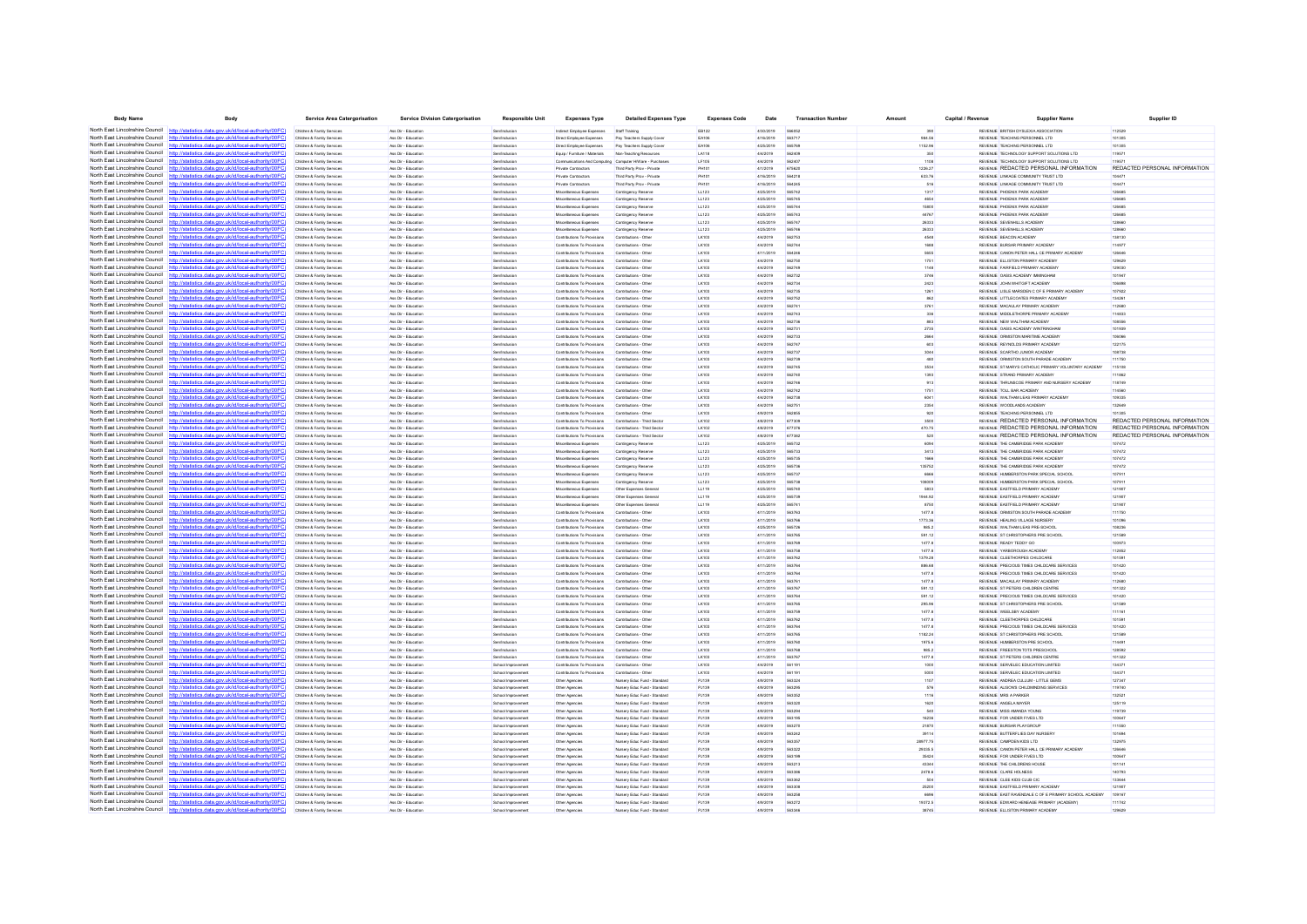| <b>Body Name</b>                                                   | Body                                                                                                                                                                             | <b>Service Area Catergorisation</b>                      | <b>Service Division Catergorisation</b>    | Responsible Uni                         | <b>Expenses Type</b>                                       | <b>Detailed Expenses Type</b>                                | <b>Expenses Code</b> | Date                   | <b>Transaction Number</b> | Amount            | Capital / Revenue | <b>Supplier Name</b>                                                            | Supplier ID                             |
|--------------------------------------------------------------------|----------------------------------------------------------------------------------------------------------------------------------------------------------------------------------|----------------------------------------------------------|--------------------------------------------|-----------------------------------------|------------------------------------------------------------|--------------------------------------------------------------|----------------------|------------------------|---------------------------|-------------------|-------------------|---------------------------------------------------------------------------------|-----------------------------------------|
|                                                                    | North East Lincolnshire Council http://statistics.data.gov.uk/id/local-authority/00FC).                                                                                          | Children & Family Services                               | Ass Dir - Education                        | Sen/Inclusion                           | Indirect Employee Expenses                                 | Staff Training                                               | EB122                | 4/30/2019              |                           |                   |                   | REVENUE BRITISH DYSLEXIA ASSOCIATION                                            | 112529                                  |
|                                                                    | North East Lincolnshire Council http://statistics.data.gov.uk/id/local-authority/00FC)                                                                                           | Children & Family Services                               | Ass Dir - Education                        | Sen/Inclusion                           | Direct Employee Expenses                                   | Pay Teachers Supply Cove                                     | EA106                | 4/16/2019              | 563717                    | 984.56            |                   | REVENUE TEACHING PERSONNEL LTD                                                  | 101305                                  |
|                                                                    | North East Lincolnshire Council http://statistics.data.gov.uk/id/local-authority/00FC)                                                                                           | Children & Family Services                               | Ass Dir - Education                        | Sen/Inclusion                           | Direct Employee Expenses                                   | Pay Teachers Supply Cover                                    | EA106                | 4/25/2019              | 565769                    | 1152.96           |                   | REVENUE TEACHING PERSONNEL LTD                                                  | 101305                                  |
|                                                                    | North East Lincolnshire Council http://statistics.data.gov.uk/id/local-authority/00FC                                                                                            | Children & Family Services                               | Ass Dir - Education                        | Sentingbrain                            | Equip / Fumiture / Materials                               | Non-Teaching Resources                                       | 1.4118               | 4/4/2019               | 562405                    | 350               |                   | REVENUE TECHNOLOGY SUPPORT SOLUTIONS LTD.                                       | 119571                                  |
| North East Lincolnshire Council<br>North East Lincolnshire Council | http://statistics.data.gov.uk/id/local-authority/00FC                                                                                                                            | Children & Family Service                                | les Dir - Education                        |                                         |                                                            | ications And Computing Computer HWare - Purcha               | LF105                | 4/4/2019               | connet                    | 1108              |                   | REVENUE TECHNOLOGY SUPPORT SOLUTIONS LTD                                        | $\cdots$                                |
| North East Lincolnshire Council                                    | http://statistics.data.gov.uk/id/local-authority/00FC)<br>http://statistics.data.gov.uk/id/local-authority/00FC)                                                                 | Children & Family Services                               | Ass Dir - Education                        | Sen/Inclusio                            | Private Contractors                                        | Third Party Prov - Private                                   | PH101<br>PH101       | 4/1/2019               | 675620<br>564218          | 1226.27           |                   | REVENUE REDACTED PERSONAL INFORMATION                                           | REDACTED PERSONAL INFORMATION<br>104471 |
|                                                                    | North East Lincolnshire Council http://statistics.data.gov.uk/id/local-authority/00FC)                                                                                           | Children & Family Services<br>Children & Family Services | Ass Dir - Education<br>Ass Dir - Education | Sen/Inclusion<br>Sen/Inclusion          | Private Contractors<br>Private Contractors                 | Third Party Prov - Private<br>Third Party Prov - Private     | PH101                | 4/16/2019<br>4/16/2019 | 564245                    | 633.76<br>516     |                   | REVENUE LINKAGE COMMUNITY TRUST LTD<br>REVENUE LINKAGE COMMUNITY TRUST LTD      | 104471                                  |
|                                                                    | North East Lincolnshire Council http://statistics.data.gov.uk/id/local-authority/00FC                                                                                            | Children & Family Services                               | Ass Dir - Education                        | en/Inclusio                             | Miscellaneous Expenses                                     | Contingency Reserve                                          | LL123                | 4/25/2019              |                           | 1317              |                   | REVENUE PHOENIX PARK ACADEMY                                                    | 12668                                   |
| North East Lincolnshire Council                                    |                                                                                                                                                                                  | Children & Family Services                               | Ass Dir - Education                        | Sen/Inclusion                           | Miscellaneous Expenses                                     | Contingency Reserve                                          | LL123                | 4/25/2019              | 565745                    | 4654              |                   | REVENUE PHOENIX PARK ACADEMY                                                    | 126685                                  |
|                                                                    | North East Lincolnshire Council http://statistics.data.gov.uk/id/local-authority/00FC)                                                                                           | Children & Family Services                               | Ass Dir - Education                        | Sen/Inclusion                           | Miscellaneous Expenses                                     | Contingency Reserve                                          | LL123                | 4/25/2019              | 565744                    | 15800             |                   | REVENUE PHOENIX PARK ACADEMY                                                    | 126685                                  |
| North East Lincolnshire Council                                    | http://statistics.data.gov.uk/id/local-authority/00EC)                                                                                                                           | Children & Family Services                               | Ass Dir - Education                        | Sentingbrain                            | Miscellaneous Expenses                                     | Contingency Reserve                                          | 11123                | 4/25/2019              | 565747                    | 44767             |                   | REVEN E PHOENIX PARK ACADEMY                                                    | 126685                                  |
| North East Lincolnshire Council                                    | http://statistics.data.gov.uk/id/local-authority/00FC)                                                                                                                           | Children & Family Service                                | Ass Dir - Education                        | Renthréasin                             | Miscellaneous Expense                                      | Contingency Reserv                                           | LL123                | 4/25/2019              | 565747                    | 26333             |                   | REVENUE SEVENHILLS ACADEM                                                       | 128661                                  |
| North East Lincolnshire Council                                    | http://statistics.data.gov.uk/id/local-authority/00FC                                                                                                                            | Children & Family Services                               | Ass Dir - Education                        | en/Inclusio                             | Miscellaneous Expenses                                     | Contingency Reserv                                           | LL123                | 4/25/2019              |                           | 26333             |                   | REVENUE SEVENHILLS ACADEMY                                                      |                                         |
| North East Lincolnshire Council                                    | http://statistics.data.gov.uk/id/local-authority/00FC                                                                                                                            | Children & Family Services                               | Ass Dir - Education                        | Sen/Inclusion                           | Contributions To Provisions                                | Contributions - Other                                        | LK103                | 4/4/2019               | 562753                    | 4548              |                   | REVENUE BEACON ACADEMY                                                          | 138130                                  |
|                                                                    | North East Lincolnshire Council http://statistics.data.gov.uk/id/local-authority/00FC)                                                                                           | Children & Family Services                               | Ass Dir - Education                        | Sen/Inclusion                           | Contributions To Provisions                                | Contributions - Other                                        | LK103                | 4/4/2019               | 562744                    | 1688              |                   | REVENUE BURSAR PRIMARY ACADEMY                                                  | 114977                                  |
| North East Lincolnshire Council                                    | North East Lincolnshire Council http://statistics.data.gov.uk/id/local-authority/00FC                                                                                            | Children & Family Services                               | Ass Dir - Education<br>Ass Dir - Education | <b>Sen/Inclusion</b>                    | Contributions To Provisions<br>Contributions To Provisions | Contributions - Other                                        | LK103<br>LK103       | 4/11/2019<br>4/4/2019  | 562750                    | 1751              |                   | REVENUE CANON PETER HALL CE PRIMARY ACADEM<br>REVENUE ELLISTON PRIMARY ACADEMY  | 129625                                  |
|                                                                    | North East Lincolnshire Council http://statistics.data.gov.uk/id/local-authority/00FC)                                                                                           | Children & Family Services<br>Children & Family Services | Ass Dir - Education                        | Sen/Inclusion<br>Sen/Inclusion          | Contributions To Provisions                                | Contributions - Other<br>Contributions - Other               | LK103                | 4/4/2019               | 562749                    | 1148              |                   | REVENUE FAIRFIELD PRIMARY ACADEMY                                               | 129030                                  |
|                                                                    | North East Lincolnshire Council http://statistics.data.gov.uk/id/local-authority/00FC)                                                                                           | Children & Family Services                               | Ass Dir - Education                        | Sen/Inclusion                           | Contributions To Provisions                                | Contributions - Other                                        | LK103                | 4/4/2019               | 562732                    | 3746              |                   | REVENUE OASIS ACADEMY IMMINGHAM                                                 | 101947                                  |
|                                                                    | North East Lincolnshire Council http://statistics.data.gov.uk/id/local-authority/00FC)                                                                                           | Children & Family Service                                | Ass Dir - Education                        | Renthrobisk                             | Contributions To Provisions                                | Contributions - Othe                                         | LK103                | 4/4/2019               | 562734                    | 2423              |                   | REVENUE JOHN WHITGIFT ACADEMY                                                   | 106891                                  |
|                                                                    | North East Lincolnshire Council http://statistics.data.gov.uk/id/local-authority/00FC)                                                                                           | Children & Family Services                               | Ass Dir - Education                        | Sen/Inclusion                           | Contributions To Provisions                                | Contributions - Other                                        | LK103                | 4/4/2019               | 562735                    | 1261              |                   | REVENUE LISLE MARSDEN C OF E PRIMARY ACADEM                                     | 10792                                   |
| North East Lincolnshire Council                                    | http://statistics.data.gov.uk/id/local-authority/00FC)                                                                                                                           | Children & Family Services                               | Ass Dir - Education                        | Sen/Inclusion                           | Contributions To Provisions                                | Contributions - Other                                        | LK103                | 4/4/2019               | 562752                    | 862               |                   | REVENUE LITTLECOATES PRIMARY ACADEMY                                            | 134261                                  |
|                                                                    | North East Lincolnshire Council http://statistics.data.gov.uk/id/local-authority/00FC)                                                                                           | Children & Family Services                               | Ass Dir - Education                        | Sen/Inclusion                           | Contributions To Provisions                                | Contributions - Other                                        | LK103                | 4/4/2019               | 562741                    | 3761              |                   | REVENUE MACAULAY PRIMARY ACADEMY                                                | 112680                                  |
|                                                                    | North East Lincolnshire Council http://statistics.data.gov.uk/id/local-authority/00FC)<br>atistics data now uk/id/local-authority/00EC                                           | Children & Family Services                               | Ass Dir - Education                        | Sen/Inclusio                            | Contributions To Provisions                                | Contributions - Othe                                         | LK103                | 4/4/2019               | 562743                    |                   |                   | REVENUE MIDDLETHORPE PRIMARY ACADEMY                                            | 11483                                   |
| North East Lincolnshire Council                                    |                                                                                                                                                                                  | Children & Family Services                               | Ass Dir - Education                        | Sen/Inclusion                           | Contributions To Provisions                                | Contributions - Other                                        | LK103                | 4/4/2019               | 562736                    | 883               |                   | REVENUE NEW WALTHAM ACADEMY                                                     | 108556                                  |
|                                                                    | North East Lincolnshire Council http://statistics.data.gov.uk/id/local-authority/00FC)<br>North East Lincolnshire Council http://statistics.data.gov.uk/id/local-authority/00FC) | Children & Family Services<br>Children & Family Services | Ass Dir - Education<br>Ass Dir - Education | Sen/Inclusion                           | Contributions To Provisions<br>Contributions To Provisions | Contributions - Other<br>Contributions - Other               | LK103                | 4/4/2019<br>4/4/2019   | 562731<br>562733          | 2735<br>2664      |                   | REVENUE OASIS ACADEMY WINTRINGHAM<br>REVENUE ORMISTON MARITIME ACADEMY          | 101939<br>106066                        |
|                                                                    | North East Lincolnshire Council http://statistics.data.gov.uk/id/local-authority/00FC)                                                                                           | Children & Family Service                                | Ass Dir - Education                        | Sen/Inclusion<br><b>Sen/Inclusio</b>    | Contributions To Provisions                                | Contributions - Othe                                         | LK103<br>LK103       | 4/4/2019               | 562747                    | 603               |                   | REVENUE REYNOLDS PRIMARY ACADEMY                                                | 122175                                  |
|                                                                    | North East Lincolnshire Council http://statistics.data.gov.uk/id/local-authority/00FC)                                                                                           | Children & Family Services                               | Ass Dir - Education                        | en/Inclusio                             | Contributions To Provisions                                | Contributions - Other                                        | LK103                | 4/4/2019               |                           |                   |                   | REVENUE SCARTHO JUNIOR ACADEMY                                                  | 108731                                  |
| North East Lincolnshire Council                                    | http://statistics.data.gov.uk/id/local-authority/00FC)                                                                                                                           | Children & Family Services                               | Ass Dir - Education                        | Sen/Inclusion                           | Contributions To Provisions                                | Contributions - Other                                        | LK103                | 4/4/2019               | 562739                    | 480               |                   | REVENUE ORMISTON SOUTH PARADE ACADEMY                                           | 111750                                  |
|                                                                    | North East Lincolnshire Council http://statistics.data.gov.uk/id/local-authority/00FC)                                                                                           | Children & Family Services                               | Ass Dir - Education                        | Sen/Inclusion                           | Contributions To Provisions                                | Contributions - Other                                        | LK103                | 4/4/2019               | 562745                    | 3534              |                   | REVENUE ST MARYS CATHOLIC PRIMARY VOLUNTARY ACADEMY                             | 115105                                  |
|                                                                    | North East Lincolnshire Council http://statistics.data.oov.uk/id/local-authority/00FC)                                                                                           | Children & Family Service                                | Ass Dir - Education                        | Sen/Inclusio                            | Contributions To Provisions                                | Contributions - Othe                                         | LK103                | 4/4/2019               | 562740                    | 1393              |                   | REVENUE STRAND PRIMARY ACADEMY                                                  | 111862                                  |
| North East Lincolnshire Council                                    | tistics data.gov.uk/id/local-authority/00FC                                                                                                                                      | Children & Family Services                               | Ass Dir - Education                        | Sen/Inclusion                           | Contributions To Provisions                                | Contributions - Other                                        | LK103                | 4/4/2019               | 562746                    | 913               |                   | REVENUE THRUNSCOE PRIMARY AND NURSERY ACADEMY                                   | 118749                                  |
|                                                                    | North East Lincolnshire Council http://statistics.data.gov.uk/id/local-authority/00FC)                                                                                           | Children & Family Services                               | Ass Dir - Education                        | Sen/Inclusion                           | Contributions To Provisions                                | Contributions - Other                                        | LK103                | 4/4/2019               | 562742                    | 1751              |                   | REVENUE TOLL BAR ACADEMY                                                        | 114560                                  |
| North East Lincolnshire Council                                    | http://statistics.data.gov.uk/id/local-authority/00FC)                                                                                                                           | Children & Family Services                               | Ass Dir - Education                        | Sen/Inclusion                           | Contributions To Provisions                                | Contributions - Other                                        | LK103                | 4/4/2019               | 562738                    | 6041              |                   | REVENUE WALTHAM LEAS PRIMARY ACADEMY                                            | 109335                                  |
| North East Lincolnshire Council                                    | http://statistics.data.gov.uk/id/local-authority/00FC)                                                                                                                           | Children & Family Service                                | Ass Dir - Education                        | Rentinctusio                            | Contributions To Provisions                                | Contributions - Other                                        | LK103                | 4/4/2019               | 562751                    | 2354              |                   | REVENUE WOODLANDS ACADEMY                                                       | 132649                                  |
| North East Lincolnshire Council                                    | North East Lincolnshire Council http://statistics.data.gov.uk/id/local-authority/00FC)                                                                                           | Children & Family Service                                | Ass Dir - Education                        | en/Inclusio                             | Contributions To Provisions                                | Contributions - Other                                        | LK103                | 4/9/2019               |                           |                   |                   | REVENUE TEACHING PERSONNEL LTD<br>REVENUE REDACTED PERSONAL INFORMATION         | REDACTED PERSONAL INFORMATION           |
|                                                                    | http://statistics.data.gov.uk/id/local-authority/00FC<br>North East Lincolnshire Council http://statistics.data.gov.uk/id/local-authority/00FC)                                  | Children & Family Services<br>Children & Family Services | Ass Dir - Education<br>Ass Dir - Education | Sen/Inclusion<br>Sen/Inclusion          | Contributions To Provisions<br>Contributions To Provisions | Contributions - Third Sector<br>Contributions - Third Sector | LK102<br>LK102       | 4/8/2019<br>4/8/2019   | 677309<br>677376          | 3500<br>470.75    |                   | REVENUE REDACTED PERSONAL INFORMATION                                           | REDACTED PERSONAL INFORMATION           |
|                                                                    | North East Lincolnshire Council http://etatistics.data.gov.uk/id/local.authority/00EC                                                                                            | Children & Family Service                                | Ass Dir - Education                        | <b>Sen/Inclusio</b>                     | Contributions To Provisions                                | Contributions - Third Sect                                   | LK102                | 4/8/2019               | 677382                    | 520               |                   | REVENUE REDACTED PERSONAL INFORMATION                                           | REDACTED PERSONAL INFORMATION           |
| North East Lincolnshire Council                                    | tatistics data.gov.uk/id/local-authority/00FC                                                                                                                                    | Children & Family Services                               | Ass Dir - Education                        | Sen/Inclusio                            | Miscellaneous Expenses                                     | Contingency Reserve                                          | LL123                | 4/25/2019              | 565732                    | 6094              |                   | REVENUE THE CAMBRIDGE PARK ACADEMY                                              | 107472                                  |
|                                                                    | North East Lincolnshire Council http://statistics.data.gov.uk/id/local-authority/00FC)                                                                                           | Children & Family Services                               | Ass Dir - Education                        | Sen/Inclusion                           | Miscellaneous Expenses                                     | Contingency Reserve                                          | LL123                | 4/25/2019              | 565733                    | 3413              |                   | REVENUE THE CAMBRIDGE PARK ACADEMY                                              | 107472                                  |
| North East Lincolnshire Council                                    | http://statistics.data.gov.uk/id/local-authority/00FC)                                                                                                                           | Children & Family Services                               | Ass Dir - Education                        | Sen/Inclusion                           | Miscellaneous Expenses                                     | Contingency Reserve                                          | LL123                | 4/25/2019              | 565735                    | 1666              |                   | REVENUE THE CAMBRIDGE PARK ACADEMY                                              | 107472                                  |
| North East Lincolnshire Council                                    | http://statistics.data.gov.uk/id/local-authority/00FC)                                                                                                                           | Children & Family Services                               | Ass Dir - Education                        | Sentingbrain                            | Miscellaneous Expenses                                     | Contingency Reserve                                          | LL123                | 4/25/2019              | 565736                    | 135752            |                   | REVENUE THE CAMBRIDGE PARK ACADEMY                                              | 107472                                  |
|                                                                    | North East Lincolnshire Council http://statistics.data.gov.uk/id/local-authority/00FC)                                                                                           | Children & Family Service                                | Ass Dir - Education                        | <b>Sen/Inclusi</b>                      | Miscellaneous Expenses                                     | Contingency Reserv                                           | LL123                | 4/25/2019              |                           |                   |                   | REVENUE HUMBERSTON PARK SPECIAL SCHOO                                           | 10791                                   |
| North East Lincolnshire Council                                    | http://statistics.data.gov.uk/id/local-authority/00FC                                                                                                                            | Children & Family Services                               | Ass Dir - Education                        | Sen/Inclusio                            | Miscellaneous Expenses                                     | Contingency Reserve                                          | LL123                | 4/25/2019              | 565738                    | 108009            |                   | REVENUE HUMBERSTON PARK SPECIAL SCHOOL                                          | 10791                                   |
|                                                                    | North East Lincolnshire Council http://statistics.data.gov.uk/id/local-authority/00FC)                                                                                           | Children & Family Services                               | Ass Dir - Education                        | Sen/Inclusion                           | Miscellaneous Expenses                                     | Other Expenses General                                       | LL119                | 4/25/2019              | 565740                    | 5833              |                   | REVENUE EASTFIELD PRIMARY ACADEMY                                               | 121907                                  |
|                                                                    | North East Lincolnshire Council http://statistics.data.gov.uk/id/local-authority/00FC                                                                                            | Children & Family Service                                | Ass Dir - Education                        | Sen/Inclusio                            | Miscellaneous Expenses                                     | Other Expenses Gener                                         | LL119                | 4/25/2019              | 565739                    | 1944.92           |                   | REVENUE EASTFIELD PRIMARY ACADEMY                                               | 121907                                  |
| North East Lincolnshire Council                                    | atistics data nov uk/id/local-authority/00FC                                                                                                                                     | Children & Family Services                               | Ass Dir - Education                        | Sen/Inclusion                           | Miscellaneous Expenses                                     | Other Expenses General                                       | LL119                | 4/25/2019              |                           | 8750              |                   | REVENUE EASTFIELD PRIMARY ACADEM                                                | 12190                                   |
|                                                                    | North East Lincolnshire Council http://statistics.data.gov.uk/id/local-authority/00FC)<br>North East Lincolnshire Council http://statistics.data.gov.uk/id/local-authority/00FC) | Children & Family Services<br>Children & Family Services | Ass Dir - Education<br>Ass Dir - Education | Sen/Inclusion<br>Sen/Inclusion          | Contributions To Provisions<br>Contributions To Provisions | Contributions - Other<br>Contributions - Other               | LK103<br>LK103       | 4/11/2019<br>4/11/2019 | 563763<br>563766          | 1477.8<br>1773.36 |                   | REVENUE ORMISTON SOUTH PARADE ACADEMY<br>REVENUE HEALING VILLAGE NURSERY        | 111750<br>101096                        |
|                                                                    | North East Lincolnshire Council http://statistics.data.gov.uk/id/local-authority/00FC)                                                                                           | Children & Family Services                               | Ass Dir - Education                        | <b>Rentinctiving</b>                    | Contributions To Provisions                                | Contributions - Other                                        | LK103                | 4/25/2019              | 565726                    | 9852              |                   | REVENLE WAI THAN LEAR PRE-SCHOOL                                                | 108236                                  |
|                                                                    | North East Lincolnshire Council http://statistics.data.gov.uk/id/local-authority/00FC                                                                                            | Children & Family Service                                | Ass Dir - Education                        | Sen/Inclusio                            | Contributions To Provisions                                | Contributions - Othe                                         | LK103                | 4/11/2019              | 563765                    | 591.12            |                   | REVENUE ST CHRISTOPHERS PRE SCHOOL                                              | 12158                                   |
| North East Lincolnshire Council                                    | http://statistics.data.gov.uk/id/local-authority/00FC                                                                                                                            | Children & Family Services                               | Ass Dir - Education                        | Sen/Inclusion                           | Contributions To Provisions                                | Contributions - Other                                        | LK103                | 4/11/2019              | 563769                    | 1477.8            |                   | REVENUE READY TEDDY GO                                                          | 100973                                  |
|                                                                    | North East Lincolnshire Council http://statistics.data.gov.uk/id/local-authority/00FC)                                                                                           | Children & Family Services                               | Ass Dir - Education                        | Sen/Inclusion                           | Contributions To Provisions                                | Contributions - Other                                        | LK103                | 4/11/2019              | 563758                    | 1477.8            |                   | REVENUE YARBOROUGH ACADEMY                                                      | 112852                                  |
|                                                                    | North East Lincolnshire Council http://statistics.data.gov.uk/id/local-authority/00FC)                                                                                           | Children & Family Service                                | Ass Dir - Education                        | Sen/Inclusio                            | Contributions To Provisions                                | Contributions - Othe                                         | LK103                | 4/11/2019              | 563762                    | 1379.28           |                   | REVENUE CLEETHORPES CHILDCARE                                                   | 10159                                   |
|                                                                    | North East Lincolnshire Council http://statistics.data.oov.uk/id/local-authority/00FC)                                                                                           | Children & Family Services                               | Ass Dir - Education                        | Sen/Inclusio                            | Contributions To Provisions                                | Contributions - Other                                        | LK103                | 4/11/2019              |                           | 886.68            |                   | REVENUE PRECIOUS TIMES CHILDCARE SERVICES                                       | 101420                                  |
|                                                                    | North East Lincolnshire Council http://statistics.data.gov.uk/id/local-authority/00FC)                                                                                           | Children & Family Services                               | Ass Dir - Education                        | Sen/Inclusion                           | Contributions To Provisions                                | Contributions - Other                                        | LK103                | 4/11/2019              | 563764                    | 1477.8            |                   | REVENUE PRECIOUS TIMES CHILDCARE SERVICES                                       | 101420                                  |
|                                                                    | North East Lincolnshire Council http://statistics.data.gov.uk/id/local-authority/00FC)                                                                                           | Children & Family Services                               | Ass Dir - Education                        | Sen/Inclusion                           | Contributions To Provisions                                | Contributions - Other                                        | LK103                | 4/11/2019              | 563761                    | 1477.8            |                   | REVENUE MACAULAY PRIMARY ACADEMY                                                | 112680                                  |
|                                                                    | North East Lincolnshire Council http://statistics.data.gov.uk/id/local-authority/00FC)<br>North East Lincolnshire Council http://statistics.data.gov.uk/id/local-authority/00FC  | Children & Family Service                                | Ass Dir - Education                        | Sentingbrain                            | Contributions To Provisions                                | Contributions - Other                                        | LK103<br>LK103       | 4/11/2019<br>4/11/2019 | <b>663767</b><br>563764   | 591.12            |                   | REVENUE ST PETERS CHILDREN CENTRE                                               | 101322                                  |
| North East Lincolnshire Council                                    | http://statistics.data.gov.uk/id/local-authority/00FC                                                                                                                            | Children & Family Service<br>Children & Family Services  | Ass Dir - Education<br>Ass Dir - Education | en/Inclusio<br>Sen/Inclusion            | Contributions To Provisions<br>Contributions To Provisions | Contributions - Othe<br>Contributions - Other                | LK103                | 4/11/2019              | 563765                    | 591.12<br>295.96  |                   | REVENUE PRECIOUS TIMES CHILDCARE SERVICES<br>REVENUE ST CHRISTOPHERS PRE SCHOOL | 101420<br>12158                         |
|                                                                    | North East Lincolnshire Council http://statistics.data.gov.uk/id/local-authority/00FC)                                                                                           | Children & Family Services                               | Ass Dir - Education                        | Sen/Inclusion                           | Contributions To Provisions                                | Contributions - Other                                        | LK103                | 4/11/2019              | 563759                    | 1477.8            |                   | REVENUE WEELSBY ACADEMY                                                         | 111161                                  |
|                                                                    | North East Lincolnshire Council http://statistics.data.gov.uk/id/local-authority/00FC)                                                                                           | Children & Family Service                                | Ass Dir - Education                        | Sen/Inclusio                            | Contributions To Provisions                                | Contributions - Other                                        | LK103                | 4/11/2019              | 563762                    | 1477.8            |                   | REVENUE CLEETHORPES CHILDCARE                                                   | 10159                                   |
| North East Lincolnshire Council http:/                             | statistics data.gov.uk/id/local-authority/00FC)                                                                                                                                  | Children & Family Service                                | Ass Dir - Educatio                         | Sen/Inclusio                            | Contributions To Provisions                                | Contributions - Other                                        | LK103                | 4/11/2019              |                           | 1477.8            |                   | REVENUE PRECIOUS TIMES CHILDCARE SERVICES                                       | 101420                                  |
|                                                                    | North East Lincolnshire Council http://statistics.data.gov.uk/id/local-authority/00FC)                                                                                           | Children & Family Services                               | Ass Dir - Education                        | <b>Sen/Inclusion</b>                    | Contributions To Provisions                                | Contributions - Other                                        | LK103                | 4/11/2019              | 563765                    | 1182.24           |                   | REVENUE ST CHRISTOPHERS PRE SCHOOL                                              | 121589                                  |
| North East Lincolnshire Council                                    | http://statistics.data.gov.uk/id/local-authority/00FC                                                                                                                            | Children & Family Services                               | Ass Dir - Education                        | Sen/Inclusion                           | Contributions To Provisions                                | Contributions - Other                                        | LK103                | 4/11/2019              | <b>563760</b>             | 1975.6            |                   | REVENUE HUMBERSTON PRE SCHOOL                                                   | 114491                                  |
| North East Lincolnshire Council                                    | http://statistics.data.gov.uk/id/local-authority/00EC)                                                                                                                           | Children & Family Services                               | Ass Dir - Education                        | Senting is ing                          | Contributions To Provisions                                | Contributions - Other                                        | <b>IK103</b>         | 4/11/2019              | <b>SA37AP</b>             | 9852              |                   | REVENUE ERFESTON TOTS PRESCHOOL                                                 | 128592                                  |
|                                                                    | North East Lincolnshire Council http://statistics.data.gov.uk/id/local-authority/00FC                                                                                            | Children & Family Service                                | Ass Dir - Education                        | Sen/Inclusio                            | Contributions To Provisions                                | Contributions - Othe                                         | LK103                | 4/11/2019              | 563767                    | 1477.8            |                   | REVENUE ST PETERS CHILDREN CENTRE                                               | 101322                                  |
| North East Lincolnshire Council                                    | http://statistics.data.gov.uk/id/local-authority/00FC                                                                                                                            | Children & Family Service                                | Ass Dir - Education                        | School Improvement                      | Contributions To Provisions                                | Contributions - Other                                        | LK103                | 4/4/2019               |                           | 1000              |                   | REVENUE SERVELEC EDUCATION LIMITED                                              | 13437                                   |
|                                                                    | North East Lincolnshire Council http://statistics.data.gov.uk/id/local-authority/00FC)                                                                                           | Children & Family Services                               | Ass Dir - Education                        | School Improvement                      | Contributions To Provisions                                | Contributions - Other                                        | LK103                | 4/4/2019               | 561191                    | 5000              |                   | REVENUE SERVELEC EDUCATION LIMITED                                              | 13437                                   |
| North East Lincolnshire Council                                    | North East Lincolnshire Council http://statistics.data.gov.uk/id/local-authority/00FC<br>statistics data nov uk/id/local-authority/00FC                                          | Children & Family Services                               | Ass Dir - Education                        | School Improvement                      | Other Agencies                                             | Nursery Educ Fund - Standard                                 | PJ139                | 4/9/2019               | 563324                    | 1107              |                   | REVENUE ANDREA CULLUM - LITTLE GEMS                                             | 127347                                  |
| North East Lincolnshire Council                                    | http://statistics.data.gov.uk/id/local-authority/00FC)                                                                                                                           | Children & Family Service<br>Children & Family Services  | Ass Dir - Educatio<br>Ass Dir - Education  | School Improvemen<br>School Improvement | Other Agencies<br>Other Agencies                           | Nursery Educ Fund - Standar<br>Nursery Educ Fund - Standard  | PJ139<br>PJ139       | 4/9/2019<br>4/9/2019   | 563295<br>563352          | 576<br>1116       |                   | REVENUE ALISON'S CHILDMINDING SERVICES<br><b>REVENUE MRS A PARKER</b>           | 11974<br>132521                         |
| North East Lincolnshire Council                                    | http://statistics.data.gov.uk/id/local-authority/00FC)                                                                                                                           | Children & Family Services                               | Ass Dir - Education                        | School Improvement                      | Other Agencies                                             | Nursery Educ Fund - Standard                                 | PJ139                | 4/9/2019               | <b>663320</b>             | 1620              |                   | REVENUE ANGELA MAYER                                                            | 125119                                  |
| North East Lincolnshire Council                                    | http://statistics.data.gov.uk/id/local-authority/00FC)                                                                                                                           | Children & Family Services                               | Ass Dir - Education                        | School Improvement                      | Other Agencies                                             | Nursery Educ Fund - Standard                                 | PJ139                | 4/9/2019               | 563294                    | 540               |                   | REVENUE MISS AMANDA YOUNG                                                       | 119739                                  |
|                                                                    | North East Lincolnshire Council http://statistics.data.gov.uk/id/local-authority/00FC                                                                                            | Children & Family Service                                | Ass Dir - Education                        | School Improvement                      | Other Agencies                                             | Nursery Educ Fund - Standard                                 | PJ139                | 4/9/2019               | 563195                    | 16236             |                   | REVENUE FOR UNDER FIVES LTD                                                     | 100647                                  |
| North East Lincolnshire Council                                    | http://statistics.data.gov.uk/id/local-authority/00FC                                                                                                                            | Children & Family Service                                | Ass Dir - Educatio                         | School Improvemen                       | Other Agencies                                             | Nursery Educ Fund - Standar                                  | PJ139                | 4/9/2019               |                           | 21870             |                   | REVENUE BURSAR PLAYGROL                                                         | 111550                                  |
|                                                                    | North East Lincolnshire Council http://statistics.data.gov.uk/id/local-authority/00FC)                                                                                           | Children & Family Services                               | Ass Dir - Education                        | School Improvement                      | Other Agencies                                             | Nursery Educ Fund - Standard                                 | PJ139                | 4/9/2019               | 563242                    | 39114             |                   | REVENUE BUTTERFLIES DAY NURSERY                                                 | 101694                                  |
|                                                                    | North East Lincolnshire Council http://statistics.data.gov.uk/id/local-authority/00FC)                                                                                           | Children & Family Services                               | Ass Dir - Education                        | School Improvement                      | Other Agencies                                             | Nursery Educ Fund - Standard                                 | P.1139               | 4/9/2019               | 563357                    | 28977.75          |                   | REVENUE CAMPDEN KIDS LTD                                                        | 132975                                  |
| North East Lincolnshire Council                                    | atietics data now uk/d/local-authority/00EC                                                                                                                                      | Children & Family Service                                | Ass Dir - Educatio                         | School Improvement                      | Other Agencies                                             | Nursery Educ Fund - Standar                                  | PJ139                | 4/9/2019               | 563322                    | 29335.5           |                   | REVENUE CANON PETER HALL CE PRIMARY ACADEM                                      | 126646                                  |
|                                                                    | North East Lincolnshire Council http://statistics.data.gov.uk/id/local-authority/00FC)                                                                                           | Children & Family Services                               | Ass Dir - Education                        | School Improvement                      | Other Agencies                                             | Nursery Educ Fund - Standard                                 | PJ139                | 4/9/2019               | 563199                    | 35424             |                   | REVENUE FOR UNDER FIVES LTD                                                     | 100647                                  |
|                                                                    | North East Lincolnshire Council http://statistics.data.gov.uk/id/local-authority/00FC)                                                                                           | Children & Family Services                               | Ass Dir - Education                        | School Improvement                      | Other Agencies                                             | Nursery Educ Fund - Standard                                 | PJ139                | 4/9/2019               | 563213                    | 43344             |                   | REVENUE THE CHILDRENS HOUSE                                                     | 101141                                  |
|                                                                    | North East Lincolnshire Council http://statistics.data.gov.uk/id/local-authority/00FC)                                                                                           | Children & Family Services                               | Ass Dir - Education                        | School Improvement                      | Other Agencies                                             | Nursery Educ Fund - Standard                                 | PJ139                | 4/9/2019               | 563386                    | 2478.6            |                   | REVENUE CLARE HOLNESS                                                           | 140793                                  |
|                                                                    | North East Lincolnshire Council http://statistics.data.gov.uk/id/local-authority/00FC<br>North East Lincolnshire Council http://statistics.data.gov.uk/id/local-authority/00FC   | Children & Family Service<br>Children & Family Service   | Ass Dir - Education<br>Ass Dir - Educatio  | School Improvement<br>School Improvemen | Other Agencies<br>Other Agencies                           | Nursery Educ Fund - Standard<br>Nursery Educ Fund - Standar  | PJ139<br>PJ139       | 4/9/2019<br>4/9/2019   | 563362<br>563308          | 504<br>25200      |                   | REVENUE CLEE KIDS CLUB CIC<br>EVENUE EASTFIELD PRIMARY ACADEM                   | 133644                                  |
|                                                                    | North East Lincolnshire Council http://statistics.data.gov.uk/id/local-authority/00FC)                                                                                           | Children & Family Services                               | Ass Dir - Education                        | School Improvement                      | Other Agencies                                             | Nursery Educ Fund - Standard                                 | PJ139                | 4/9/2019               | 563258                    | 6696              |                   | REVENUE EAST RAVENDALE C OF E PRIMARY SCHOOL ACADEMY                            | 109167                                  |
|                                                                    | North East Lincolnshire Council http://statistics.data.gov.uk/id/local-authority/00FC)                                                                                           | Children & Family Services                               | Ass Dir - Education                        | School Improvement                      | Other Agencies                                             | Nursery Educ Fund - Standard                                 | PJ139                | 4/9/2019               | 563272                    | 19372.5           |                   | REVENUE EDWARD HENEAGE PRIMARY (ACADEMY)                                        | 111742                                  |
|                                                                    | North East Lincolnshire Council http://statistics.data.gov.uk/id/local-authority/00FC)                                                                                           |                                                          | Ass Dir - Educatio                         | School Improvement                      | Other Agencies                                             | Nursery Educ Fund - Standard                                 | PJ139                | 4/9/2019               | 563346                    | 38745             |                   | REVENUE ELLISTON PRIMARY ACADEMY                                                | 129629                                  |
|                                                                    |                                                                                                                                                                                  |                                                          |                                            |                                         |                                                            |                                                              |                      |                        |                           |                   |                   |                                                                                 |                                         |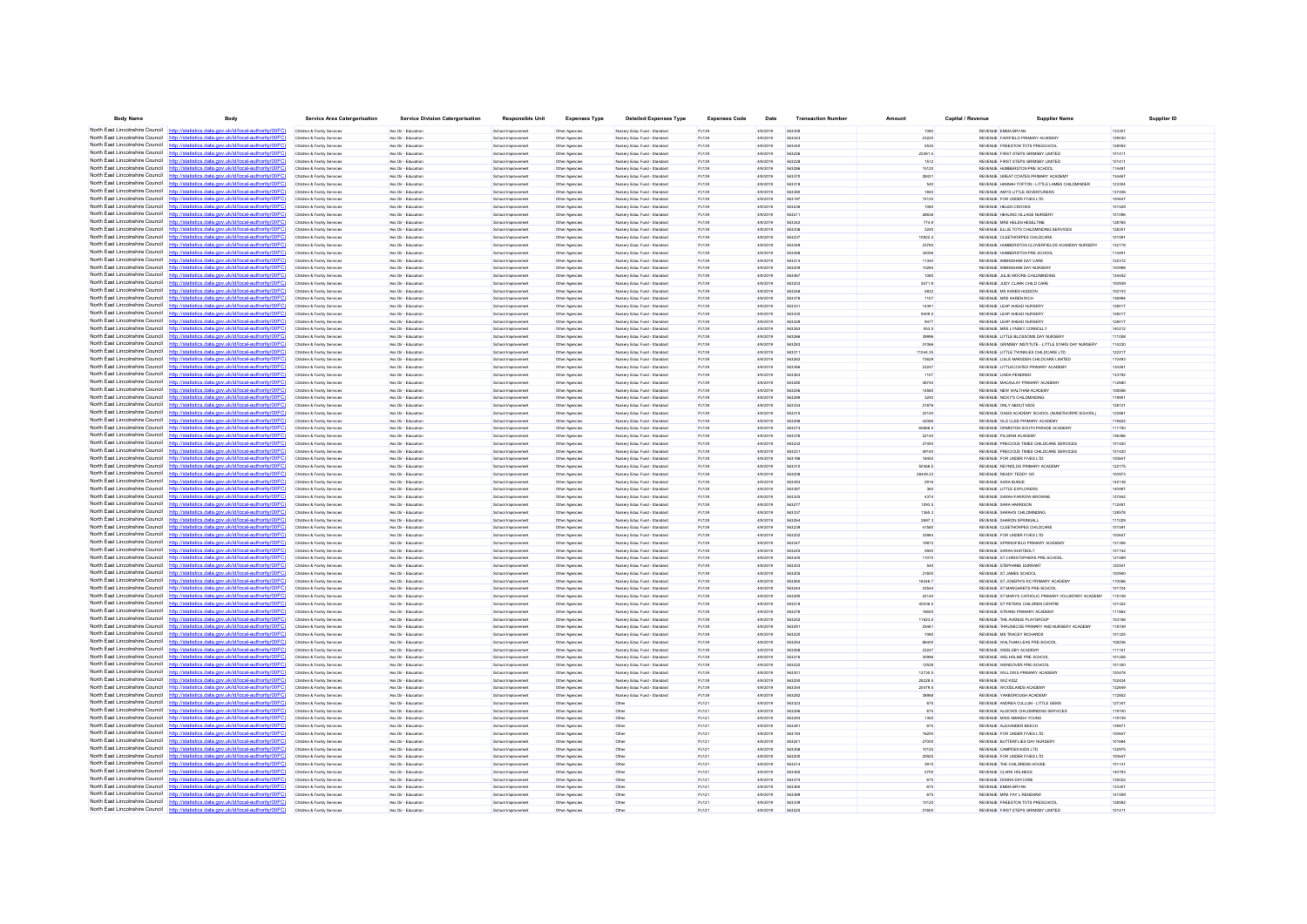| <b>Body Name</b>                                                   | Body                                                                                                                                                                             | <b>Service Area Catergorisation</b>                      | <b>Service Division Catergorisation</b>    | <b>Responsible Unit</b>                  | <b>Expenses Type</b>             | <b>Detailed Expenses Type</b>                                | <b>Expenses Code</b> | Date                 | <b>Transaction Number</b> | Amount           | Capital / Revenue | <b>Supplier Name</b>                                                                          | <b>Supplier ID</b> |
|--------------------------------------------------------------------|----------------------------------------------------------------------------------------------------------------------------------------------------------------------------------|----------------------------------------------------------|--------------------------------------------|------------------------------------------|----------------------------------|--------------------------------------------------------------|----------------------|----------------------|---------------------------|------------------|-------------------|-----------------------------------------------------------------------------------------------|--------------------|
|                                                                    | North East Lincolnshire Council http://statistics.data.gov.uk/id/local-authority/00FC)                                                                                           | Children & Family Services                               | Ass Dir - Education                        | School Improvement                       | Other Agencies                   | Nursery Educ Fund - Standard                                 | PJ139                | 4/9/2019             | 563359                    | 1080             |                   | REVENUE EMMA BRYAN                                                                            | 13330              |
|                                                                    | North East Lincolnshire Council http://statistics.data.gov.uk/id/local-authority/00FC)                                                                                           | Children & Family Services                               | Ass Dir - Education                        | School Improvement                       | Other Agencies                   | Nursery Educ Fund - Standard                                 | PJ139                | 4/9/2019             | 563343                    | 23220            |                   | REVENUE FAIRFIELD PRIMARY ACADEMY                                                             | 129030             |
|                                                                    | North East Lincolnshire Council http://statistics.data.gov.uk/id/local-authority/00FC)                                                                                           | Children & Family Services                               | Ass Dir - Education                        | School Improvement                       | Other Agencies                   | Nursery Educ Fund - Standard                                 | PJ139                | 4/9/2019             | 563340                    | 5535             |                   | REVENUE FREESTON TOTS PRESCHOOL                                                               | 128592             |
|                                                                    | North East Lincolnshire Council http://statistics.data.gov.uk/id/local-authority/00FC                                                                                            | Children & Family Services                               | Ass Dir - Educatio                         | School Improvement                       | Other Agencie                    | Nursery Educ Fund - Standard                                 | PJ139                | 4/9/2019             | 56322                     | 22361.4          |                   | REVENUE FIRST STEPS GRIMSBY LIMITED                                                           | 101411             |
| North East Lincolnshire Council                                    | http://statistics.data.gov.uk/id/local-authority/00FC                                                                                                                            | Children & Family Services                               | les Dir - Educatio                         | School Improvement                       | Other Agencies                   | Nursery Educ Fund - Standar                                  | PJ139                | 4/9/2019             | 563228                    | 1512             |                   | REVENUE FIRST STEPS GRIMSBY LIMITED                                                           | 10141              |
|                                                                    | North East Lincolnshire Council http://statistics.data.gov.uk/id/local-authority/00FC)<br>North East Lincolnshire Council http://statistics.data.gov.uk/id/local-authority/00FC) | Children & Family Services<br>Children & Family Services | Ass Dir - Education<br>Ass Dir - Education | School Improvement                       | Other Agencies                   | Nursery Educ Fund - Standard<br>Nursery Educ Fund - Standard | PJ139                | 4/9/2019<br>4/9/2019 | 563286<br>563370          | 15120<br>28431   |                   | REVENUE HUMBERSTON PRE SCHOOL<br>REVENUE GREAT COATES PRIMARY ACADEMY                         | 114491<br>134467   |
|                                                                    | North East Lincolnshire Council http://statistics.data.gov.uk/id/local-authority/00FC)                                                                                           | Children & Family Service                                | Ass Dir - Educatio                         | School Improvement<br>School Improvement | Other Agencies<br>Other Agencie  | Nursery Educ Fund - Standard                                 | PJ139<br>PJ139       | 4/9/2019             | 563318                    | 540              |                   | REVENUE HANNAH TOFTON - LITTLE LAMBS CHLDMINDER                                               | 123304             |
| North East Lincolnshire Council http:                              | tistics.data.gov.uk/id/local-authority/00FC)                                                                                                                                     | Children & Family Services                               | Ass Dir - Education                        | School Improvement                       | Other Agencies                   | Nursery Educ Fund - Standard                                 | PJ139                | 4/9/2019             | 563380                    | 1845             |                   | REVENUE AMYS LITTLE ADVENTURERS                                                               | 137406             |
| North East Lincolnshire Council                                    | http://statistics.data.gov.uk/id/local-authority/00FC                                                                                                                            | Children & Family Services                               | Ass Dir - Education                        | School Improvement                       | Other Agencies                   | Nursery Educ Fund - Standard                                 | PJ139                | 4/9/2019             | 563197                    | 15120            |                   | REVENUE FOR UNDER FIVES LTD                                                                   | 100647             |
|                                                                    | North East Lincolnshire Council http://statistics.data.gov.uk/id/local-authority/00FC)                                                                                           | Children & Family Service                                | Ass Dir - Educatio                         | School Improvement                       | Other Agencie                    | Nursery Educ Fund - Standard                                 | PJ139                | 4/9/2019             | 563236                    | 1080             |                   | REVENUE HELEN CROOK!                                                                          | 101529             |
|                                                                    | North East Lincolnshire Council http://statistics.data.gov.uk/id/local-authority/00FC)                                                                                           | Children & Family Services                               | Ass Dir - Educatio                         | School Improvement                       | Other Agencies                   | Nursery Educ Fund - Standard                                 | PJ139                | 4/9/2019             | 56321                     | 28638            |                   | REVENUE HEALING VILLAGE NURSER®                                                               | 10109              |
| North East Lincolnshire Council                                    | http://statistics.data.gov.uk/id/local-authority/00FC                                                                                                                            | Children & Family Services                               | Ass Dir - Education                        | School Improvement                       | Other Agencies                   | Nursery Educ Fund - Standard                                 | PJ139                | 4/9/2019             | 563342                    | 774.9            |                   | REVENUE MRS HELEN HESELTINE                                                                   | 128765             |
| North East Lincolnshire Council                                    | http://statistics.data.gov.uk/id/local-authority/00FC)                                                                                                                           | Children & Family Services                               | Ass Dir - Education                        | School Improvement                       | Other Agencies                   | Nursery Educ Fund - Standard                                 | PJ139                | 4/9/2019             | 563336                    | 3240             |                   | REVENUE ELLIE TOTS CHILDMINDING SERVICES                                                      | 128251             |
|                                                                    | North East Lincolnshire Council http://statistics.data.gov.uk/id/local-authority/00FC                                                                                            | Children & Family Services                               | Ass Dir - Education                        | School Improvement                       | Other Agencie                    | Nursery Educ Fund - Standard                                 | PJ139                | 4/9/2019             | 56323                     | 10922.4          |                   | REVENUE CLEETHORPES CHILDCARE                                                                 | 10159              |
| North East Lincolnshire Council                                    | http://statistics.data.gov.uk/id/local-authority/00FC                                                                                                                            | Children & Family Services                               | Ass Dir - Educatio                         | School Improvement                       | Other Agencies                   | Nursery Educ Fund - Standard                                 | PJ139                | 4/9/2019             | 56334                     | 23760            |                   | REVENUE HUMBERSTON CLOVERFIELDS ACADEMY NURSERY                                               | 132178             |
| North East Lincolnshire Council<br>North East Lincolnshire Council | /statistics.data.gov.uk/id/local-authority/00FC<br>http:/<br>dics data ony uk/id/local-authority/00FC<br>http:/                                                                  | Children & Family Services                               | Ass Dir - Education                        | School Improvement                       | Other Agencies                   | Nursery Educ Fund - Standard                                 | PJ139                | 4/9/2019             | 563288<br>563314          | 34056            |                   | REVENUE HUMBERSTON PRE SCHOOL                                                                 | 114491             |
| North East Lincolnshire Council                                    | tatistics.data.gov.uk/id/local-authority/00FC                                                                                                                                    | Children & Family Services<br>Children & Family Services | Ass Dir - Education<br>Ass Dir - Educatio  | School Improvement<br>School Improvement | Other Agencies<br>Other Agencies | Nursery Educ Fund - Standard<br>Nursery Educ Fund - Standard | PJ139<br>PJ139       | 4/9/2019<br>4/9/2019 | 563209                    | 11340<br>10260   |                   | REVENUE IMMINGHAM DAY CARE<br>REVENUE IMMINGHAM DAY NURSER                                    | 122312<br>100998   |
|                                                                    | North East Lincolnshire Council http://statistics.data.gov.uk/id/local-authority/00FC)                                                                                           | Children & Family Services                               | Ass Dir - Education                        | School Improvement                       | Other Agencies                   | Nursery Educ Fund - Standard                                 | PJ139                | 4/9/2019             | 563367                    | 1080             |                   | REVENUE JULIE MOORE CHLDMINDING                                                               | 134452             |
| North East Lincolnshire Council                                    | http://statistics.data.gov.uk/id/local-authority/00FC)                                                                                                                           | Children & Family Services                               | Ass Dir - Education                        | School Improvement                       | Other Agencies                   | Nursery Educ Fund - Standard                                 | PJ139                | 4/9/2019             | 563203                    | 5571.9           |                   | REVENUE JUDY CLARK CHILD CARE                                                                 | 100939             |
|                                                                    | North East Lincolnshire Council http://statistics.data.gov.uk/id/local-authority/00FC)                                                                                           | Children & Family Service                                | Ass Dir - Educatio                         | School Improvement                       | Other Agencie                    | Nursery Educ Fund - Standard                                 | PJ139                | 4/9/2019             | 563248                    | 5832             |                   | REVENUE MS KAREN HUDSON                                                                       | 102103             |
|                                                                    | North East Lincolnshire Council http://statistics.data.gov.uk/id/local-authority/00FC)                                                                                           | Children & Family Services                               | Ass Dir - Educatio                         | School Improvement                       | Other Agencies                   | Nursery Educ Fund - Standard                                 | PJ139                | 4/9/2019             | 563378                    |                  |                   | REVENUE MRS KAREN RICH                                                                        | 13699              |
| North East Lincolnshire Council                                    | http://statistics.data.gov.uk/id/local-authority/00FC)                                                                                                                           | Children & Family Services                               | Ass Dir - Education                        | School Improvement                       | Other Agencies                   | Nursery Educ Fund - Standard                                 | PJ139                | 4/9/2019             | 563331                    | 14391            |                   | REVENUE LEAP AHEAD NURSERY                                                                    | 128017             |
| North East Lincolnshire Council http:/                             | (statistics data nov uk/id/local-authority/00EC)                                                                                                                                 | tren & Family Service                                    | Ass Dir - Educatio                         | School Improvement                       | Other Agencie                    | Nursery Educ Fund - Standard                                 | PJ139                | 4/9/2019             | 563330                    | 9409.5           |                   | REVENUE LEAP AHEAD NURSERY                                                                    | 128017             |
|                                                                    | North East Lincolnshire Council http://statistics.data.gov.uk/id/local-authority/00FC)                                                                                           | Children & Family Services                               | Ass Dir - Education                        | School Improvement                       | Other Agencies                   | Nursery Educ Fund - Standard                                 | PJ139                | 4/9/2019             | 563329                    |                  |                   | REVENUE LEAP AHEAD NURSERY                                                                    | 12801              |
| North East Lincolnshire Council                                    | http://statistics.data.gov.uk/id/local-authority/00FC                                                                                                                            | Children & Family Services                               | Ass Dir - Education                        | School Improvement                       | Other Agencies                   | Nursery Educ Fund - Standard                                 | PJ139                | 4/9/2019             | 563383                    | 553.5            |                   | REVENUE MRS LYNSEY CONNOLLY                                                                   | 140212             |
|                                                                    | North East Lincolnshire Council http://statistics.data.gov.uk/id/local-authority/00FC)<br>North East Lincolnshire Council http://statistics.data.gov.uk/id/local-authority/00FC) | Children & Family Services                               | Ass Dir - Education                        | School Improvement                       | Other Agencies                   | Nursery Educ Fund - Standard                                 | PJ139                | 4/9/2019             | 563266<br>563287          | 39996            |                   | REVENUE LITTLE BLOSSOMS DAY NURSERY                                                           | 111058             |
|                                                                    | North East Lincolnshire Council http://statistics.data.gov.uk/id/local-authority/00FC)                                                                                           | Children & Family Services                               | Ass Dir - Education<br>Ass Dir - Educatio  | School Improvement<br>School Improvement | Other Agencie<br>Other Agencies  | Nursery Educ Fund - Standard<br>Nursery Educ Fund - Standard | PJ139<br>PJ139       | 4/9/2019<br>4/9/2019 | 56331                     | 51066<br>1044.35 |                   | REVENUE GRIMSBY INSTITUTE - LITTLE STARS DAY NURSERY<br>REVENUE LITTLE TWINKLES CHILDCARE LTD | 114230<br>122217   |
|                                                                    | North East Lincolnshire Council http://statistics.data.gov.uk/id/local-authority/00FC)                                                                                           | Children & Family Services<br>Children & Family Services | Ass Dir - Education                        | School Improvement                       | Other Agencies                   | Nursery Educ Fund - Standard                                 | PJ139                | 4/9/2019             | 563262                    | 73629            |                   | REVENUE LISLE MARSDEN CHILDCARE LIMITED                                                       | 110493             |
|                                                                    | North East Lincolnshire Council http://statistics.data.gov.uk/id/local-authority/00FC)                                                                                           | Children & Family Services                               | Ass Dir - Education                        | School Improvement                       | Other Agencies                   | Nursery Educ Fund - Standard                                 | PJ139                | 4/9/2019             | 563366                    | 23247            |                   | REVENUE LITTLECOATES PRIMARY ACADEMY                                                          | 134261             |
|                                                                    | North East Lincolnshire Council http://statistics.data.gov.uk/id/local-authority/00FC)                                                                                           | Children & Family Services                               | Ass Dir - Educatio                         | School Improvement                       | Other Agencies                   | Nursery Educ Fund - Standard                                 | PJ139                | 4/9/2019             | 563363                    | 1107             |                   | REVENUE LINDA PENDRED                                                                         | 133792             |
|                                                                    | North East Lincolnshire Council http://statistics.data.gov.uk/id/local-authority/00FC                                                                                            | Children & Family Services                               | Ass Dir - Education                        | School Improvement                       | Other Agencies                   | Nursery Educ Fund - Standard                                 | PJ139                | 4/9/2019             | 563280                    | 38745            |                   | REVENUE MACAULAY PRIMARY ACADEMY                                                              | 112680             |
|                                                                    | North East Lincolnshire Council http://statistics.data.gov.uk/id/local-authority/00FC)                                                                                           | Children & Family Services                               | Ass Dir - Education                        | School Improvement                       | Other Agencies                   | Nursery Educ Fund - Standard                                 | PJ139                | 4/9/2019             | 563256                    | 14580            |                   | REVENUE NEW WALTHAM ACADEMY                                                                   | 108556             |
|                                                                    | North East Lincolnshire Council http://statistics.data.gov.uk/id/local-authority/00FC)                                                                                           | Children & Family Service                                | Ass Dir - Educatio                         | School Improvement                       | Other Agencie                    | Nursery Educ Fund - Standard                                 | PJ139                | 4/9/2019             | 563290                    | 3240             |                   | REVENUE NICKY'S CHLDMNDING                                                                    | 11990:             |
|                                                                    | North East Lincolnshire Council http://statistics.data.gov.uk/id/local-authority/00FC)                                                                                           | Children & Family Services                               | Ass Dir - Educatio                         | School Improvement                       | Other Agencies                   | Nursery Educ Fund - Standard                                 | PJ139                | 4/9/2019             |                           | 21876            |                   | REVENUE ONLY ABOUT KIDS                                                                       | 12812              |
| North East Lincolnshire Council                                    | http://statistics.data.gov.uk/id/local-authority/00FC                                                                                                                            | Children & Family Services                               | Ass Dir - Education                        | School Improvement                       | Other Agencies                   | Nursery Educ Fund - Standard                                 | PJ139                | 4/9/2019             | 563315                    | 22140            |                   | REVENUE OASIS ACADEMY SCHOOL (NUNSTHORPE SCHOOL)                                              | 122861             |
|                                                                    | North East Lincolnshire Council http://statistics.data.gov.uk/id/local-authority/00FC)                                                                                           | Children & Family Services                               | Ass Dir - Education                        | School Improvement                       | Other Agencies                   | Nursery Educ Fund - Standard                                 | PJ139                | 4/9/2019             | 563298                    | 42066            |                   | REVENUE OLD CLEE PRIMARY ACADEMY                                                              | 119822             |
|                                                                    | North East Lincolnshire Council http://statistics.data.gov.uk/id/local-authority/00FC)                                                                                           | Children & Family Services                               | Ass Dir - Education                        | School Improvement                       | Other Agencie                    | Nursery Educ Fund - Standard                                 | PJ139                | 4/9/2019             | 563273                    | 65866.5          |                   | REVENUE ORMISTON SOUTH PARADE ACADEMY                                                         | 111750             |
| North East Lincolnshire Council                                    | atistics.data.gov.uk/id/local-authority/00FC<br>North East Lincolnshire Council http://statistics.data.gov.uk/id/local-authority/00FC)                                           | Children & Family Services                               | Ass Dir - Education                        | School Improvement                       | Other Agencies                   | Nursery Educ Fund - Standard                                 | PJ139                | 4/9/2019             | 563376                    | 22140            |                   | REVENUE PILGRIM ACADEMY                                                                       | 136366             |
|                                                                    | North East Lincolnshire Council http://statistics.data.gov.uk/id/local-authority/00FC                                                                                            | Children & Family Services<br>Children & Family Services | Ass Dir - Education<br>Ass Dir., Education | School Improvement<br>School Improvement | Other Agencies<br>Other Agencies | Nursery Educ Fund - Standard<br>Nursery Educ Fund - Standard | PJ139<br>PJ139       | 4/9/2019<br>4/9/2019 | 563232<br>56323           | 27450<br>49140   |                   | REVENUE PRECIOUS TIMES CHILDCARE SERVICES<br>REVENUE PRECIOUS TIMES CHILDCARE SERVICES        | 101420<br>101420   |
| North East Lincolnshire Council                                    | http://statistics.data.gov.uk/id/local-authority/00FC                                                                                                                            | Children & Family Service                                | les Dir - Educatio                         | School Improvement                       | Other Agencies                   | Nursery Educ Fund - Standar                                  | PJ139                | 4/9/2019             |                           | 18450            |                   | REVENUE FOR UNDER FIVES LTD                                                                   | 100647             |
| North East Lincolnshire Council                                    | http://statistics.data.gov.uk/id/local-authority/00FC)                                                                                                                           | Children & Family Services                               | Ass Dir - Education                        | School Improvement                       | Other Agencies                   | Nursery Educ Fund - Standard                                 | PJ139                | 4/9/2019             | 563310                    | 50368.5          |                   | REVENUE REYNOLDS PRIMARY ACADEMY                                                              | 122175             |
| North East Lincolnshire Council                                    | http://statistics.data.gov.uk/id/local-authority/00FC)                                                                                                                           | Children & Family Services                               | Ass Dir - Education                        | School Improvement                       | Other Agencies                   | Nursery Educ Fund - Standard                                 | PJ139                | 4/9/2019             | 563208                    | 28449.23         |                   | REVENUE READY TEDDY GO                                                                        | 100973             |
| North East Lincolnshire Council                                    | http://statistics.data.gov.uk/id/local-authority/00FC)                                                                                                                           | Children & Family Service                                | Ass Dir., Education                        | School Improvement                       | Other Agencies                   | Nursery Educ Fund - Standard                                 | PJ139                | 4/9/2019             | 563393                    | 2916             |                   | REVENUE SARA BUNCE                                                                            | 142138             |
|                                                                    | North East Lincolnshire Council http://statistics.data.gov.uk/id/local-authority/00FC)                                                                                           | Children & Family Services                               | Ass Dir - Educatio                         | School Improvement                       | Other Agencies                   | Nursery Educ Fund - Standard                                 | PJ139                | 4/9/2019             |                           |                  |                   | REVENUE LITTLE EXPLORER                                                                       |                    |
| North East Lincolnshire Council                                    | stics.data.gov.uk/id/local-authority/00FC                                                                                                                                        | Children & Family Services                               | Ass Dir - Education                        | School Improvement                       | Other Agencies                   | Nursery Educ Fund - Standard                                 | PJ139                | 4/9/2019             | 563325                    | 4374             |                   | REVENUE SARAH FARROW-BROWNE                                                                   | 127842             |
| North East Lincolnshire Council                                    | (statistics data nov uk/id/local-authority/00EC)<br>http:/                                                                                                                       | Children & Family Services                               | Ass Dir., Education                        | School Improvement                       | Other Agencies                   | Nursery Educ Fund - Standard                                 | PJ139                | 4/9/2019             | 563277                    | 1093.5           |                   | REVEN IF SARA HARRISON                                                                        | 112491             |
| North East Lincolnshire Council                                    | North East Lincolnshire Council http://statistics.data.gov.uk/id/local-authority/00FC)                                                                                           | Children & Family Services                               | Ass Dir - Educatio                         | School Improvement                       | Other Agencies                   | Nursery Educ Fund - Standard                                 | PJ139                | 4/9/2019             | 56333                     | 1365.3           |                   | REVENUE SARAH'S CHILDMINDING                                                                  | 12857              |
| North East Lincolnshire Council                                    | tics.data.gov.uk/id/local-authority/00FC<br>http://statistics.data.gov.uk/id/local-authority/00FC)                                                                               | Children & Family Services<br>Children & Family Services | Ass Dir - Education<br>Ass Dir - Education | School Improvement<br>School Improvement | Other Agencies<br>Other Agencies | Nursery Educ Fund - Standard<br>Nursery Educ Fund - Standard | PJ139<br>PJ139       | 4/9/2019<br>4/9/2019 | 563264<br>563239          | 2697.3<br>41580  |                   | REVENUE SHARON SPRINGALL<br>REVENUE CLEETHORPES CHILDCARE                                     | 111029<br>101591   |
| North East Lincolnshire Council                                    | http://statistics.data.gov.uk/id/local-authority/00EC                                                                                                                            | Children & Family Services                               | Ass Dir., Education                        | School Improvement                       | Other Agencies                   | Nursery Educ Fund - Standard                                 | P.1139               | 4/9/2019             | 563202                    | 33984            |                   | REVENUE FOR UNDER FIVES LTD.                                                                  | 100647             |
| North East Lincolnshire Council                                    | //statistics.data.gov.uk/id/local-authority/00FC                                                                                                                                 |                                                          | les Dir - Educatio                         | School Improvemer                        | Other Agencie                    | Nursery Educ Fund - Standar                                  | PJ139                | 4/9/201              | 56334                     | 19872            |                   | REVENUE SPRINGFIELD PRIMARY ACADEMY                                                           | 13130              |
|                                                                    | North East Lincolnshire Council http://statistics.data.gov.uk/id/local-authority/00FC)                                                                                           | Children & Family Services                               | Ass Dir - Education                        | School Improvement                       | Other Agencies                   | Nursery Educ Fund - Standard                                 | PJ139                | 4/9/2019             | 563245                    | 5940             |                   | REVENUE SARAH SHOTBOLT                                                                        | 101742             |
|                                                                    | North East Lincolnshire Council http://statistics.data.gov.uk/id/local-authority/00FC)                                                                                           | Children & Family Services                               | Ass Dir - Education                        | School Improvement                       | Other Agencies                   | Nursery Educ Fund - Standard                                 | PJ139                | 4/9/2019             | 563305                    | 11070            |                   | REVENUE ST CHRISTOPHERS PRE SCHOOL                                                            | 121589             |
| North East Lincolnshire Council                                    | hatietics data nou uklidlocal authority/00FC                                                                                                                                     | Children & Family Services                               | les Dir - Educatio                         | School Improvement                       | Other Agencies                   | Nursery Educ Fund - Standard                                 | PJ139                | 4/9/2019             | 563303                    | 540              |                   | REVENUE STEPHANIE DURRAN                                                                      | 12054              |
|                                                                    | North East Lincolnshire Council http://statistics.data.gov.uk/id/local-authority/00FC)                                                                                           | Children & Family Services                               | Ass Dir - Education                        | School Improvement                       | Other Agencies                   | Nursery Educ Fund - Standard                                 | PJ139                | 4/9/2019             | 563205                    | 21600            |                   | REVENUE ST JAMES SCHOOL                                                                       | 100940             |
| North East Lincolnshire Council                                    | http://statistics.data.gov.uk/id/local-authority/00FC)                                                                                                                           | Children & Family Services                               | Ass Dir - Education                        | School Improvement                       | Other Agencies                   | Nursery Educ Fund - Standard                                 | PJ139                | 4/9/2019             | 563260                    | 16346.7          |                   | REVENUE ST JOSEPH'S RC PRIMARY ACADEMY                                                        | 110066             |
|                                                                    | North East Lincolnshire Council http://statistics.data.gov.uk/id/local-authority/00FC)                                                                                           | Children & Family Services                               | Ass Dir., Education                        | School Improvement                       | Other Agencies                   | Nusery Educ Fund - Standard                                  | P.1139               | 4/9/2019             | 563244                    | 23544            |                   | REVENUE ST MARGARETS PRE-SCHOOL                                                               | 101724             |
| North East Lincolnshire Council                                    | North East Lincolnshire Council http://statistics.data.gov.uk/id/local-authority/00FC)<br>http://statistics.data.gov.uk/id/local-authority/00FC                                  | Children & Family Services<br>Children & Family Services | Ass Dir - Educatio<br>Ass Dir - Education  | School Improvement                       | Other Agencies                   | Nursery Educ Fund - Standard<br>Nursery Educ Fund - Standard | PJ139<br>PJ139       | 4/9/2019<br>4/9/2019 | 56329<br>563218           | 22140<br>40036.5 |                   | REVENUE ST MARYS CATHOLIC PRIMARY VOLUNTARY ACADEM<br>REVENUE ST PETERS CHILDREN CENTRE       | 11510<br>101322    |
|                                                                    | North East Lincolnshire Council http://statistics.data.gov.uk/id/local-authority/00FC)                                                                                           | Children & Family Services                               | Ass Dir - Education                        | School Improvement<br>School Improvement | Other Agencies<br>Other Agencies | Nursery Educ Fund - Standard                                 | PJ139                | 4/9/2019             | 563276                    | 16605            |                   | REVENUE STRAND PRIMARY ACADEMY                                                                | 111862             |
|                                                                    | North East Lincolnshire Council http://statistics.data.gov.uk/id/local-authority/00EC)                                                                                           | Children & Family Services                               | les Dir - Educatio                         | School Improvement                       | Other Agencies                   | Nursery Educ Fund - Standard                                 | PJ139                | 4/9/2019             | 563252                    | 11623.5          |                   | REVENUE THE AVENUE PLAYGROUP                                                                  | 10316              |
| North East Lincolnshire Council                                    |                                                                                                                                                                                  | Children & Family Services                               | Ass Dir - Education                        | School Improvement                       | Other Agencies                   | Nursery Educ Fund - Standard                                 | PJ139                | 4/9/2019             | 563291                    | 25461            |                   | REVENUE THRUNSCOE PRIMARY AND NURSERY ACADEMY                                                 | 118749             |
|                                                                    | North East Lincolnshire Council http://statistics.data.gov.uk/id/local-authority/00FC)                                                                                           | Children & Family Services                               | Ass Dir - Education                        | School Improvement                       | Other Agencies                   | Nursery Educ Fund - Standard                                 | PJ139                | 4/9/2019             | 563220                    | 1080             |                   | REVENUE MS TRACEY RICHARDS                                                                    | 101325             |
|                                                                    | North East Lincolnshire Council http://statistics.data.gov.uk/id/local-authority/00FC)                                                                                           | Children & Family Services                               | Ass Dir - Education                        | School Improvement                       | Other Agencies                   | Nursery Educ Fund - Standard                                 | P.1139               | 4/9/2019             | 563254                    | COARR            |                   | REVENUE WALTHAM LEAS PRE-SCHOOL                                                               | 108236             |
|                                                                    | North East Lincolnshire Council http://statistics.data.gov.uk/id/local-authority/00FC                                                                                            |                                                          | les Dir - Educatio                         | School Improvement                       | Other Agencies                   | <b>kirsery Educ Fund - Standar</b>                           | PJ139                | 4/9/2019             | 563268                    | 23247            |                   | REVENUE WEELSBY ACADEM                                                                        | 11116              |
|                                                                    | North East Lincolnshire Council http://statistics.data.gov.uk/id/local-authority/00FC)                                                                                           | Children & Family Services                               | Ass Dir - Education                        | School Improvement                       | Other Agencies                   | Nursery Educ Fund - Standard                                 | PJ139                | 4/9/2019             | 563216                    | 30996            |                   | REVENUE WELHOLME PRE SCHOOL                                                                   | 101258             |
| North East Lincolnshire Council                                    | http://statistics.data.gov.uk/id/local-authority/00FC)                                                                                                                           | Children & Family Services                               | Ass Dir - Education                        | School Improvement                       | Other Agencies                   | Nursery Educ Fund - Standard                                 | PJ139                | 4/9/2019             | 563222                    | 12528            |                   | REVENUE WENDOVER PRE-SCHOOL                                                                   | 101350             |
|                                                                    | North East Lincolnshire Council http://statistics.data.gov.uk/id/local-authority/00FC)                                                                                           | Children & Family Services                               | Ass Dir., Education                        | School Improvement                       | Other Agencies                   | Nusery Educ Fund - Standard                                  | P.1139               | 4/9/2019             | 563301                    | 12730.5          |                   | REVEN IF WILLOWS PRIMARY ACADEMY                                                              | 120478             |
| North East Lincolnshire Council http                               | North East Lincolnshire Council http://statistics.data.gov.uk/id/local-authority/00FC                                                                                            | Children & Family Services                               | Ass Dir - Education                        | School Improvement                       | Other Agencies                   | Nursery Educ Fund - Standard                                 | PJ139                | 4/9/2019             | 563250                    | 28228.5          |                   | REVENUE WIZ KIDZ                                                                              | 102424             |
|                                                                    | s data nov uk/id/local-auth<br>North East Lincolnshire Council http://statistics.data.gov.uk/id/local-authority/00FC)                                                            | Children & Family Services<br>Children & Family Services | Ass Dir - Education<br>Ass Dir - Education | School Improvement                       | Other Agencies                   | Nursery Educ Fund - Standard<br>Nursery Educ Fund - Standard | PJ139<br>PJ139       | 4/9/2019<br>4/9/2019 | 563354<br><b>563282</b>   | 20479.5<br>38988 |                   | REVENUE WOODLANDS ACADEMY<br>REVEN JE VARROROUGH ACADEMY                                      | 132649<br>112852   |
|                                                                    | North East Lincolnshire Council http://statistics.data.gov.uk/id/local-authority/00FC)                                                                                           | Children & Family Service                                | les Dir - Educatio                         | School Improvement<br>School Improvement | Other Agencies<br>Other Agencie  |                                                              | PJ121                | 4/9/2019             | 563323                    | 675              |                   | REVENUE ANDREA CULLUM - LITTLE GEMS                                                           | 127347             |
| North East Lincolnshire Council                                    | http://statistics.data.gov.uk/id/local-authority/00FC                                                                                                                            | Children & Family Services                               | Ass Dir - Educatio                         | School Improvement                       | Other Agencies                   | Other                                                        | PJ121                | 4/9/2019             | 563296                    | 675              |                   | REVENUE ALISON'S CHILDMINDING SERVICES                                                        | 119740             |
|                                                                    | North East Lincolnshire Council http://statistics.data.gov.uk/id/local-authority/00FC)                                                                                           | Children & Family Services                               | Ass Dir - Education                        | School Improvement                       | Other Agencies                   | Other                                                        | PJ121                | 4/9/2019             | 563293                    | 1350             |                   | REVENUE MISS AMANDA YOUNG                                                                     | 119739             |
|                                                                    | North East Lincolnshire Council http://statistics.data.gov.uk/id/local-authority/00FC)                                                                                           | Children & Family Services                               | Ass Dir - Education                        | School Improvement                       | Other Agencies                   | Other                                                        | P.1121               | 4/9/2019             | 563381                    | 675              |                   | REVENUE ALEXANDER REECH                                                                       | 139871             |
|                                                                    | North East Lincolnshire Council http://statistics.data.gov.uk/id/local-authority/00FC)                                                                                           |                                                          | les Dir - Educatio                         | School Improvemer                        | Other Agencies                   | Other                                                        | PJ121                | 4/9/2019             | 563193                    | 16200            |                   | REVENUE FOR UNDER FIVES LTD                                                                   | 100647             |
| North East Lincolnshire Council http://st.                         | tics.data.gov.uk/id/local-authority/00FC)                                                                                                                                        | Children & Family Services                               | Ass Dir - Education                        | School Improvement                       | Other Agencies                   | Other                                                        | PJ121                | 4/9/2019             | 563241                    | 27000            |                   | REVENUE BUTTERFLIES DAY NURSERY                                                               | 101694             |
| North East Lincolnshire Council                                    | http://statistics.data.gov.uk/id/local-authority/00EC                                                                                                                            | Children & Family Services                               | Ass Dir - Education                        | School Improvement                       | Other Agencies                   | Other                                                        | P.1121               | 4/9/2019             | 563358                    | 10125            |                   | REVENUE CAMPDEN KIDS I TD.                                                                    | 132975             |
|                                                                    | North East Lincolnshire Council http://statistics.data.gov.uk/id/local-authority/00FC                                                                                            | Children & Family Service                                | les Dir - Educatio                         | School Improvement                       | Other Agencie                    | Other                                                        | PJ121                | 4/9/2019             | 563200                    | 20925            |                   | REVENUE FOR UNDER FIVES LTD                                                                   | 100647             |
| North East Lincolnshire Council                                    | http://statistics.data.gov.uk/id/local-authority/00FC                                                                                                                            | Children & Family Services                               | Ass Dir - Education                        | School Improvement                       | Other Agencies                   | Other                                                        | PJ121                | 4/9/2019             | 563214                    | 3915             |                   | REVENUE THE CHILDRENS HOUSE                                                                   | 101141             |
| North East Lincolnshire Council                                    | http://statistics.data.gov.uk/id/local-authority/00FC                                                                                                                            | Children & Family Services                               | Ass Dir - Education                        | School Improvement                       | Other Agencies                   | Other                                                        | PJ121                | 4/9/2019             | 563385                    | 2700             |                   | REVENUE CLARE HOLNESS                                                                         | 140793             |
| North East Lincolnshire Council                                    | http://statistics.data.gov.uk/id/local-authority/00EC                                                                                                                            | Children & Family Services                               | Ass Dir - Education                        | School Improvement                       | Other Agencies                   | Other                                                        | P.1121               | 4/9/2019             | <b>663374</b><br>56336    | 675              |                   | REVEN IF DONNA DAYCARE                                                                        | 135022             |
| North East Lincolnshire Council                                    | North East Lincolnshire Council http://statistics.data.gov.uk/id/local-authority/00FC<br>http://statistics.data.gov.uk/id/local-authority/00FC                                   | Children & Family Service<br>Children & Family Services  | Ass Dir - Educatio<br>les Dir - Educatio   | School Improvemer<br>School Improvement  | Other Agencie<br>Other Agencies  | Other                                                        | PJ121<br>PJ121       | 4/9/2019<br>4/9/2019 | 563389                    | 675<br>675       |                   | REVENUE EMMA BRYAN<br>REVENUE MRS FAY L RENSHA                                                | 133307<br>141559   |
|                                                                    | North East Lincolnshire Council http://statistics.data.gov.uk/id/local-authority/00FC)                                                                                           | Children & Family Services                               | Ass Dir - Education                        | School Improvement                       | Other Agencies                   | Other                                                        | PJ121                | 4/9/2019             | <b>663339</b>             | 10125            |                   | REVENUE FREESTON TOTS PRESCHOOL                                                               | 128592             |
| North East Lincolnshire Council http                               |                                                                                                                                                                                  |                                                          | les Dir - Educatio                         |                                          | <b>Diher Agencies</b>            |                                                              |                      | 4/9/2019             |                           |                  |                   | REVENUE FIRST STEPS GRIMSBY LIMITE                                                            |                    |
|                                                                    |                                                                                                                                                                                  |                                                          |                                            |                                          |                                  |                                                              |                      |                      |                           |                  |                   |                                                                                               |                    |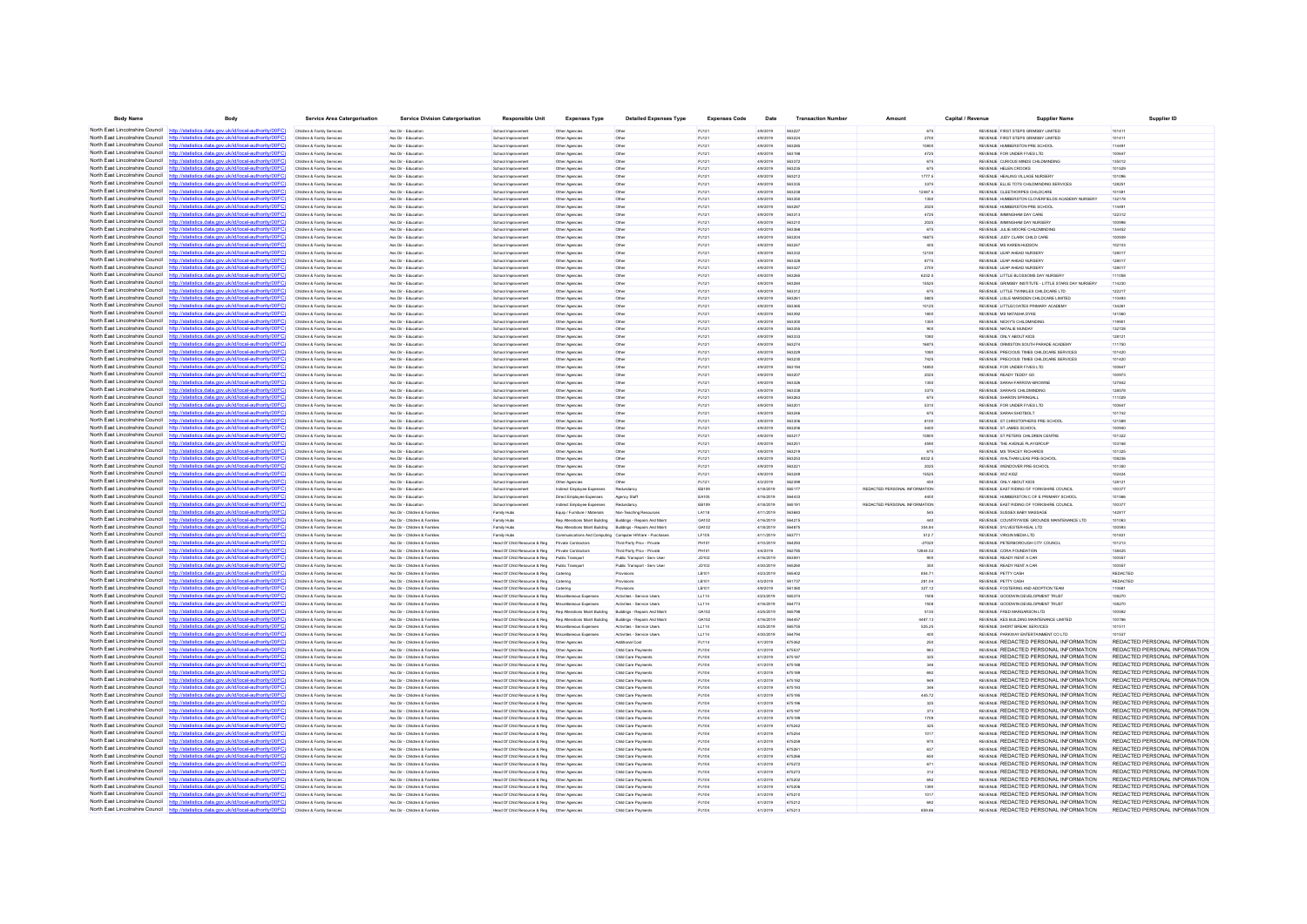| <b>Body Name</b>                                                   | Body                                                                                                                                                                            | <b>Service Area Catergorisation</b>                      | <b>Service Division Catergorisation</b>                       | <b>Responsible Unit</b>                                                       | <b>Expenses Type</b>                                            | <b>Detailed Expenses Type</b>                           | <b>Expenses Code</b> | Date                   | <b>Transaction Number</b> | Amount                        | Capital / Revenue | <b>Supplier Name</b>                                                           | Supplier ID                                                    |
|--------------------------------------------------------------------|---------------------------------------------------------------------------------------------------------------------------------------------------------------------------------|----------------------------------------------------------|---------------------------------------------------------------|-------------------------------------------------------------------------------|-----------------------------------------------------------------|---------------------------------------------------------|----------------------|------------------------|---------------------------|-------------------------------|-------------------|--------------------------------------------------------------------------------|----------------------------------------------------------------|
|                                                                    | North East Lincolnshire Council http://statistics.data.gov.uk/id/local-authority/00FC)                                                                                          | Children & Family Services                               | Ass Dir - Educatio                                            | School Improvement                                                            | Other Agencies                                                  | Other                                                   | PJ12                 | 4/9/2019               |                           | 675                           |                   | REVENUE FIRST STEPS GRIMSBY LIMITED                                            | 10141                                                          |
|                                                                    | North East Lincolnshire Council http://statistics.data.gov.uk/id/local-authority/00FC                                                                                           | Children & Family Services                               | Ass Dir - Educatio                                            | School Improvement                                                            | Other Agencies                                                  | Other                                                   | PJ121                | 4/9/2019               | 563224                    | 2700                          |                   | REVENUE FIRST STEPS GRIMSBY LIMITED                                            | 101411                                                         |
|                                                                    | North East Lincolnshire Council http://statistics.data.gov.uk/id/local-authority/00FC)                                                                                          | Children & Family Services                               | Ass Dir - Education                                           | School Improvement                                                            | Other Agencies                                                  | Other                                                   | PJ121                | 4/9/2019               | 563285                    | 10800                         |                   | REVENUE HUMBERSTON PRE SCHOOL                                                  | 114491                                                         |
|                                                                    | North East Lincolnshire Council http://statistics.data.gov.uk/id/local-authority/00FC                                                                                           | Children & Family Services                               | Ass Dir - Education                                           | School Improvement                                                            | Other Agencies                                                  | Cither                                                  | PJ121                | 4/9/2019               | <b>563198</b>             | 4725                          |                   | REVEN IF FOR UNDER FIVES ITD.                                                  | 100647                                                         |
| North East Lincolnshire Council<br>North East Lincolnshire Council | http://statistics.data.gov.uk/id/local-authority/00FC                                                                                                                           |                                                          | les Dir - Educatio                                            | School Improv                                                                 | Other Agencie                                                   | Other                                                   | PJ12                 | 4/9/2019               | 563373                    | 675                           |                   | REVENUE CURIOUS MINDS CHILDMINDIN                                              | 135013                                                         |
| North East Lincolnshire Council                                    | http://statistics.data.gov.uk/id/local-authority/00FC)<br>http://statistics.data.gov.uk/id/local-authority/00FC)                                                                | Children & Family Services<br>Children & Family Services | Ass Dir - Educatio<br>Ass Dir - Education                     | School Improvement<br>School Improvement                                      | Other Agencies<br>Other Agencies                                | Other<br>Other                                          | PJ121<br>PJ121       | 4/9/2019<br>4/9/2019   | 56323<br>563212           | 675<br>1777.5                 |                   | REVENUE HELEN CROOKS<br>REVENUE HEALING VILLAGE NURSERY                        | 10152<br>101096                                                |
|                                                                    | North East Lincolnshire Council http://statistics.data.gov.uk/id/local-authority/00FC)                                                                                          | Children & Family Services                               | Ass Dir - Education                                           | School Improvement                                                            | Other Agencies                                                  | Other                                                   | PJ121                | 4/9/2019               | 563335                    | 3375                          |                   | REVENUE ELLIE TOTS CHILDMINDING SERVICES                                       | 12825                                                          |
|                                                                    | North East Lincolnshire Council http://statistics.data.gov.uk/id/local-authority/00FC)                                                                                          | Children & Family Services                               | Ass Dir - Educatio                                            | School Improvement                                                            | Other Agencies                                                  | Other                                                   | PJ121                | 4/9/2019               |                           | 12487.5                       |                   | REVENUE CLEETHORPES CHILDCARE                                                  |                                                                |
| North East Lincolnshire Council                                    |                                                                                                                                                                                 | Children & Family Services                               | Ass Dir - Education                                           | School Improvement                                                            | Other Agencies                                                  | Other                                                   | PJ121                | 4/9/2019               | 563350                    | 1350                          |                   | REVENUE HUMBERSTON CLOVERFIELDS ACADEMY NURSERY                                | 132178                                                         |
|                                                                    | North East Lincolnshire Council http://statistics.data.gov.uk/id/local-authority/00FC)                                                                                          | Children & Family Services                               | Ass Dir - Education                                           | School Improvement                                                            | Other Agencies                                                  | Other                                                   | PJ121                | 4/9/2019               | 563287                    | 2025                          |                   | REVENUE HUMBERSTON PRE SCHOOL                                                  | 11449                                                          |
| North East Lincolnshire Council                                    | http://statistics.data.gov.uk/id/local-authority/00EC)                                                                                                                          | Children & Family Services                               | Ass Dir - Education                                           | School Improvement                                                            | Other Agencies                                                  | Cither                                                  | P.1121               | 4/9/2019               | 563313                    | 4725                          |                   | REVEN IF IMMINISHAM DAY CARE                                                   | 122312                                                         |
| North East Lincolnshire Council                                    | http://statistics.data.gov.uk/id/local-authority/00FC)                                                                                                                          | Children & Family Service                                | Ass Dir - Educatio                                            | School Improvemer                                                             | Other Agencie                                                   | Other                                                   | PJ12                 | 4/9/2019               | 563210                    | 2025                          |                   | REVENUE IMMINGHAM DAY NURSER                                                   | 100991                                                         |
| North East Lincolnshire Council                                    | http://statistics.data.gov.uk/id/local-authority/00FC                                                                                                                           | Children & Family Services                               | Ass Dir - Educatio                                            | School Improvement                                                            | Other Agencies                                                  | Other                                                   | PJ121                | 4/9/2019               | 563368                    | 675                           |                   | REVENUE JULIE MOORE CHILDMINDING                                               | 134452                                                         |
| North East Lincolnshire Council                                    | http://statistics.data.gov.uk/id/local-authority/00FC                                                                                                                           | Children & Family Services                               | Ass Dir - Education                                           | School Improvement                                                            | Other Agencies                                                  | Other                                                   | PJ121                | 4/9/2019               | 563204                    | 16875                         |                   | REVENUE JUDY CLARK CHILD CARE                                                  | 100935                                                         |
| North East Lincolnshire Council                                    | http://statistics.data.gov.uk/id/local-authority/00FC)                                                                                                                          | Children & Family Services                               | Ass Dir - Education                                           | School Improvement                                                            | Other Agencies                                                  | Other                                                   | PJ121                | 4/9/2019               | 563247                    | 405                           |                   | REVENUE MS KAREN HUDSON                                                        | 102103                                                         |
| North East Lincolnshire Council                                    | North East Lincolnshire Council http://statistics.data.gov.uk/id/local-authority/00FC                                                                                           | Children & Family Services                               | Ass Dir - Educatio                                            | School Improvement                                                            | Other Agencies                                                  |                                                         | PJ121                | 4/9/2019               |                           | 12150                         |                   | REVENUE LEAP AHEAD NURSER                                                      |                                                                |
|                                                                    | North East Lincolnshire Council http://statistics.data.gov.uk/id/local-authority/00FC)                                                                                          | Children & Family Services<br>Children & Family Services | Ass Dir - Education<br>Ass Dir - Education                    | School Improvement<br>School Improvement                                      | Other Agencies<br>Other Agencies                                | Other<br>Other                                          | PJ121<br>PJ121       | 4/9/2019<br>4/9/2019   | 563328<br>563327          | 8775<br>2700                  |                   | REVENUE LEAP AHEAD NURSERY<br>REVENUE LEAP AHEAD NURSERY                       | 128017<br>128017                                               |
|                                                                    | North East Lincolnshire Council http://statistics.data.gov.uk/id/local-authority/00FC)                                                                                          | Children & Family Services                               | Ass Dir - Education                                           | School Improvement                                                            | Other Agencies                                                  | Other                                                   | PJ121                | 4/9/2019               | 563265                    | 6232.5                        |                   | REVENUE LITTLE BLOSSOMS DAY NURSERY                                            | 11105                                                          |
|                                                                    | North East Lincolnshire Council http://statistics.data.gov.uk/id/local-authority/00FC)                                                                                          | Children & Family Service                                | les Dir - Educatio                                            | School Improvemer                                                             | Other Agencie                                                   | Other                                                   | PJ121                | 4/9/2019               | 563284                    | 15525                         |                   | REVENUE GRIMSBY INSTITUTE - LITTLE STARS DAY NURSER'                           | 11423                                                          |
|                                                                    | North East Lincolnshire Council http://statistics.data.gov.uk/id/local-authority/00FC)                                                                                          | Children & Family Services                               | Ass Dir - Educatio                                            | School Improvement                                                            | Other Agencies                                                  | Other                                                   | PJ121                | 4/9/2019               | 563312                    | 675                           |                   | REVENUE LITTLE TWINKLES CHILDCARE LTD                                          | 12221                                                          |
| North East Lincolnshire Council                                    | http://statistics.data.gov.uk/id/local-authority/00FC)                                                                                                                          | Children & Family Services                               | Ass Dir - Education                                           | School Improvement                                                            | Other Agencies                                                  | Other                                                   | PJ121                | 4/9/2019               | 56326                     | 5805                          |                   | REVENUE LISLE MARSDEN CHILDCARE LIMITED                                        | 110493                                                         |
|                                                                    | North East Lincolnshire Council http://statistics.data.gov.uk/id/local-authority/00FC)                                                                                          | Children & Family Services                               | Ass Dir - Education                                           | School Improvement                                                            | Other Agencies                                                  | Other                                                   | PJ121                | 4/9/2019               | 563365                    | 10125                         |                   | REVENUE LITTLECOATES PRIMARY ACADEMY                                           | 13426                                                          |
|                                                                    | North East Lincolnshire Council http://statistics.data.gov.uk/id/local-authority/00FC)                                                                                          | Children & Family Services                               | Ass Dir - Educatio                                            | School Improvement                                                            | Other Agencies                                                  | Other                                                   | PJ12                 | 4/9/2019               |                           |                               |                   | REVENUE MS NATASHA DYKE                                                        | 14156                                                          |
| North East Lincolnshire Council                                    |                                                                                                                                                                                 | Children & Family Services                               | Ass Dir - Education                                           | School Improvement                                                            | Other Agencies                                                  | Other                                                   | PJ121                | 4/9/2019               | 563300                    | 1350                          |                   | REVENUE NICKY'S CHILDMINDING                                                   | 11990                                                          |
|                                                                    | North East Lincolnshire Council http://statistics.data.gov.uk/id/local-authority/00FC)                                                                                          | Children & Family Services                               | Ass Dir - Education                                           | School Improvement                                                            | Other Agencies                                                  | Other                                                   | PJ121                | 4/9/2019               | 563355                    | onn                           |                   | REVENUE NATALIE MUNDAY                                                         | 132728                                                         |
|                                                                    | North East Lincolnshire Council http://statistics.data.gov.uk/id/local-authority/00FC)<br>North East Lincolnshire Council http://statistics.data.gov.uk/id/local-authority/00FC | Children & Family Services<br>Children & Family Service  | Ass Dir - Education<br>Ass Dir - Educatio                     | School Improvement                                                            | Other Agencies                                                  | Other<br>Other                                          | PJ121<br>PJ121       | 4/9/2019<br>4/9/2019   | 563333<br>563274          | 1080<br>16875                 |                   | REVENUE ONLY ABOUT KIDS<br>REVENUE CRMISTON SOUTH PARADE ACADEMY               | 12812<br>111750                                                |
|                                                                    | North East Lincolnshire Council http://statistics.data.gov.uk/id/local-authority/00FC)                                                                                          | Children & Family Services                               | Ass Dir - Educatio                                            | School Improv<br>School Improvement                                           | Other Agencie<br>Other Agencies                                 | Other                                                   | PJ121                | 4/9/2019               |                           |                               |                   | REVENUE PRECIOUS TIMES CHILDCARE SERVICES                                      | 10142                                                          |
| North East Lincolnshire Council                                    | http://statistics.data.gov.uk/id/local-authority/00FC)                                                                                                                          | Children & Family Services                               | Ass Dir - Educatio                                            | School Improvement                                                            | Other Agencies                                                  | Other                                                   | PJ121                | 4/9/2019               | 563230                    | 7425                          |                   | REVENUE PRECIOUS TIMES CHILDCARE SERVICES                                      | 101420                                                         |
|                                                                    | North East Lincolnshire Council http://statistics.data.gov.uk/id/local-authority/00FC)                                                                                          | Children & Family Services                               | Ass Dir - Education                                           | School Improvement                                                            | Other Agencies                                                  | Other                                                   | PJ121                | 4/9/2019               | 563194                    | 14850                         |                   | REVENUE FOR UNDER FIVES LTD                                                    | 100647                                                         |
|                                                                    | North East Lincolnshire Council http://statistics.data.gov.uk/id/local-authority/00EC)                                                                                          | Children & Family Service                                | Ass Dir - Educatio                                            | School Improvemer                                                             | Other Agencie                                                   |                                                         | PJ121                | 4/9/2019               | 563207                    |                               |                   | REVENUE READY TEDDY GO                                                         | 10097                                                          |
| North East Lincolnshire Council                                    |                                                                                                                                                                                 | Children & Family Services                               | Ass Dir - Educatio                                            | School Improvement                                                            | Other Agencies                                                  | Other                                                   | PJ121                | 4/9/2019               | 563326                    | 1350                          |                   | REVENUE SARAH FARROW-BROWN                                                     | 127842                                                         |
|                                                                    | North East Lincolnshire Council http://statistics.data.gov.uk/id/local-authority/00FC)                                                                                          | Children & Family Services                               | Ass Dir - Education                                           | School Improvement                                                            | Other Agencies                                                  | Other                                                   | PJ121                | 4/9/2019               | 563338                    | 3375                          |                   | REVENUE SARAH'S CHILDMINDING                                                   | 128578                                                         |
| North East Lincolnshire Council                                    | http://statistics.data.gov.uk/id/local-authority/00FC                                                                                                                           | Children & Family Services                               | Ass Dir - Education                                           | School Improvement                                                            | Other Agencies                                                  | Other                                                   | PJ121                | 4/9/2019               | 563263                    | 675                           |                   | REVENUE SHARON SPRINGALI                                                       | 111029                                                         |
| North East Lincolnshire Council                                    | http://statistics.data.gov.uk/id/local-authority/00FC)                                                                                                                          | Children & Family Service                                | Ass Dir., Franatio                                            | School Improvement                                                            | Other Agencie                                                   | Other                                                   | PJ121                | 4/9/2019               | 563201                    | 5310                          |                   | REVENUE FOR UNDER FIVES LTD                                                    | 100647                                                         |
|                                                                    | North East Lincolnshire Council http://statistics.data.gov.uk/id/local-authority/00FC)                                                                                          | Children & Family Service                                | Ass Dir - Educatio                                            | School Improvemer                                                             | Other Agencies                                                  | Other                                                   | PJ121                | 4/9/2019               |                           | 675                           |                   | REVENUE SARAH SHOTBOLT                                                         | 101742                                                         |
| North East Lincolnshire Council                                    | http://statistics.data.gov.uk/id/local-authority/00FC<br>North East Lincolnshire Council http://statistics.data.gov.uk/id/local-authority/00FC)                                 | Children & Family Services                               | Ass Dir - Educatio                                            | School Improvement                                                            | Other Agencies                                                  | Other                                                   | PJ121                | 4/9/2019               | 563306<br><b>563206</b>   | 8100                          |                   | REVENUE ST CHRISTOPHERS PRE SCHOOL                                             | 121589<br>100940                                               |
|                                                                    | North East Lincolnshire Council http://etatistics.data.gov.uk/id/local.authority/00EC                                                                                           | Children & Family Services<br>Children & Family Service  | Ass Dir - Education<br>Ass Dir - Educatio                     | School Improvement<br>School Improvemer                                       | Other Agencies<br>Other Agencie                                 | Other                                                   | PJ121<br>PJ12        | 4/9/2019<br>4/9/2019   | 563217                    | 5400                          |                   | REVENUE ST JAMES SCHOOL<br>REVENUE ST PETERS CHILDREN CENTRE                   | 101322                                                         |
| North East Lincolnshire Council                                    | atistics data nov uk/id/local-authority/00FC                                                                                                                                    | Children & Family Services                               | Ass Dir - Educatio                                            | School Improvement                                                            | Other Agencies                                                  | Other                                                   | PJ121                | 4/9/2019               | 56325                     | 4590                          |                   | REVENUE THE AVENUE PLAYGROUP                                                   | 10316                                                          |
|                                                                    | North East Lincolnshire Council http://statistics.data.gov.uk/id/local-authority/00FC)                                                                                          | Children & Family Services                               | Ass Dir - Education                                           | School Improvement                                                            | Other Agencies                                                  | Other                                                   | PJ121                | 4/9/2019               | 563219                    | 675                           |                   | REVENUE MS TRACEY RICHARDS                                                     | 101325                                                         |
| North East Lincolnshire Council                                    | http://statistics.data.gov.uk/id/local-authority/00FC)                                                                                                                          | Children & Family Services                               | Ass Dir - Education                                           | School Improvement                                                            | Other Agencies                                                  | Other                                                   | PJ121                | 4/9/2019               | 563253                    | 8032.5                        |                   | REVENUE WALTHAM LEAS PRE-SCHOOL                                                | 108236                                                         |
| North East Lincolnshire Council                                    | http://statistics.data.gov.uk/id/local-authority/00EC)                                                                                                                          | Children & Family Service                                | Ass Dir., Education                                           | School Improvement                                                            | Other Agencies                                                  | Cither                                                  | PJ121                | 4/9/2019               | <b>663221</b>             | 2025                          |                   | REVENUE WENDOVER PRE-SCHOOL                                                    | 101350                                                         |
|                                                                    | North East Lincolnshire Council http://statistics.data.gov.uk/id/local-authority/00FC)                                                                                          | Children & Family Service                                | Ass Dir - Educatio                                            | School Improvemer                                                             | Other Agencies                                                  |                                                         | PJ12                 | 4/9/2019               |                           |                               |                   | REVENUE WIZ KIDZ                                                               |                                                                |
| North East Lincolnshire Council                                    | http://statistics.data.gov.uk/id/local-authority/00FC                                                                                                                           | Children & Family Services                               | Ass Dir - Educatio                                            | School Improvement                                                            | Other Agencies                                                  |                                                         | PJ121                | 4/3/2019               | 562399                    |                               |                   | REVENUE ONLY ABOUT KIDS                                                        | 12812                                                          |
| North East Lincolnshire Council                                    | http://statistics.data.gov.uk/id/local-authority/00FC)                                                                                                                          | Children & Family Services                               | Ass Dir - Education                                           | School Improvement                                                            | Indirect Employee Expenses                                      | Redundance                                              | EB109                | 4/18/2019              | 565177                    | REDACTED PERSONAL INFORMATION |                   | REVENUE EAST RIDING OF YORKSHIRE COUNCIL                                       | 100377                                                         |
|                                                                    | North East Lincolnshire Council http://statistics.data.gov.uk/id/local-authority/00FC                                                                                           | Children & Family Service                                | Ass Dir - Educatio                                            | School Improvement                                                            | Direct Employee Expenses                                        | Agency Staf                                             | EA105                | 4/16/2019              | 564433                    |                               |                   | REVENUE HUMBERSTON C OF E PRIMARY SCHOOL                                       | 101566                                                         |
| North East Lincolnshire Council                                    | atistics data nov uk/id/local-authority/00EC                                                                                                                                    | Children & Family Services                               | Ass Dir - Educatio                                            | School Improvement                                                            | Indirect Employee Expense                                       |                                                         | EB109                | 4/18/2019              | 56519                     | REDACTED PERSONAL INFORMATION |                   | REVENUE EAST RIDING OF YORKSHIRE COUNCIL                                       | 10037                                                          |
| North East Lincolnshire Council                                    | North East Lincolnshire Council http://statistics.data.gov.uk/id/local-authority/00FC)<br>http://statistics.data.gov.uk/id/local-authority/00FC)                                | Children & Family Services<br>Children & Family Services | Ass Dir - Children & Famille<br>Ass Dir - Children & Families | Family Hubs<br>Family Hubs                                                    | Equip / Furniture / Materials<br>Rep Alterations Maint Building | Non-Teaching Resource<br>Buildings - Repairs And Main   | LA118<br>GA102       | 4/11/2019<br>4/16/2019 | 563683<br>564215          | 545<br>440                    |                   | REVENUE SUSSEX BABY MASSAGE<br>REVENUE COUNTRYWIDE GROUNDS MAINTENANCE LTD     | 14281<br>101063                                                |
|                                                                    | North East Lincolnshire Council http://statistics.data.gov.uk/id/local-authority/00FC)                                                                                          | Children & Family Service                                | Ass Dir - Children & Familie                                  | Family Hubs                                                                   | Ren Alterations Maint Rullding                                  | Buildings - Repairs And Main                            | GA102                | 4/18/2019              | <b>SAAR75</b>             | 304.84                        |                   | REVENUE SYLVESTER-KEAL LTD                                                     | 100591                                                         |
|                                                                    | North East Lincolnshire Council http://statistics.data.gov.uk/id/local-authority/00FC                                                                                           | Children & Family Service                                | Ass Dir - Children & Famille                                  | Family Hubs                                                                   | Communications And Computing Computer HWare - Purchase          |                                                         | LF10                 | 4/11/2019              | 56377                     | 512.7                         |                   | REVENUE VIRGIN MEDIA LTD                                                       | 10183                                                          |
| North East Lincolnshire Council                                    | http://statistics.data.gov.uk/id/local-authority/00FC                                                                                                                           | Children & Family Services                               | Ass Dir - Children & Familie                                  | Head Of Child Resource & Reg                                                  | Private Contractor                                              | Third Party Proy - Private                              | PH101                | 4/10/2019              | 564293                    | -27020                        |                   | REVENUE PETERBOROUGH CITY COUNCIL                                              | 101213                                                         |
|                                                                    | North East Lincolnshire Council http://statistics.data.gov.uk/id/local-authority/00FC)                                                                                          | Children & Family Services                               | Ass Dir - Children & Families                                 | Head Of Child Resource & Reg                                                  | Private Contractor                                              | Third Party Prov - Private                              | PH101                | 4/4/2019               | 562785                    | 12844.02                      |                   | REVENUE CORA FOUNDATION                                                        | 138425                                                         |
|                                                                    | North East Lincolnshire Council http://statistics.data.gov.uk/id/local-authority/00FC                                                                                           | Children & Family Service                                | Ass Dir - Children & Famile                                   | Head Of Child Resource & Reg                                                  | Public Transport                                                | Public Transport - Serv Use                             | JD102                | 4/16/2019              | 563591                    |                               |                   | REVENUE READY RENT A CAR                                                       | 100557                                                         |
|                                                                    | North East Lincolnshire Council http://statistics.data.gov.uk/id/local-authority/00FC                                                                                           | Children & Family Services                               | Ass Dir - Children & Famille                                  | Head Of Child Resource & Reg                                                  | Public Transpo                                                  | Public Transport - Serv Use                             | JD102                | 4/30/2019              |                           |                               |                   | REVENUE READY RENT A CAR                                                       |                                                                |
|                                                                    | North East Lincolnshire Council http://statistics.data.gov.uk/id/local-authority/00FC)                                                                                          | Children & Family Services                               | Ass Dir - Children & Familes                                  | Head Of Child Resource & Reg                                                  | Catering                                                        | Provisions                                              | LB101                | 4/23/2019              | 565402                    | 854.71                        |                   | REVENUE PETTY CASH                                                             | REDACTED                                                       |
|                                                                    | North East Lincolnshire Council http://statistics.data.gov.uk/id/local-authority/00FC)                                                                                          | Children & Family Services                               | Ass Dir - Children & Families                                 | Head Of Child Resource & Reg                                                  | Catering                                                        | Provisions                                              | LB101                | 4/3/2019               | 561737                    | 281.04                        |                   | REVENUE PETTY CASH                                                             | REDACTED                                                       |
|                                                                    | North East Lincolnshire Council http://statistics.data.gov.uk/id/local-authority/00FC)<br>North East Lincolnshire Council http://statistics.data.gov.uk/id/local-authority/00FC | Children & Family Service                                | Ass Dir - Children & Familie                                  | Head Of Child Resource & Reg                                                  | Caterin                                                         | Provisions                                              | <b>I R101</b>        | 4/9/2019               | 561360<br>565374          | 327.12                        |                   | REVENUE FOSTERING AND ADOPTION TEAM                                            | 110681<br>10827                                                |
| North East Lincolnshire Council                                    | http://statistics.data.gov.uk/id/local-authority/00FC                                                                                                                           | Children & Family Service                                | Ass Dir - Children & Famille<br>Ass Dir - Children & Famille  | Head Of Child Resource & Reg<br>Head Of Child Resource & Reg                  |                                                                 | Activities - Service User<br>Activities - Service User: | LL114                | 4/23/2019<br>4/16/2019 | 564773                    |                               |                   | REVENUE GOODWIN DEVELOPMENT TRUST<br>REVENUE GOODWIN DEVELOPMENT TRUST         | 10827                                                          |
|                                                                    | North East Lincolnshire Council http://statistics.data.gov.uk/id/local-authority/00FC)                                                                                          | Children & Family Services<br>Children & Family Services | Ass Dir - Children & Families                                 | Head Of Child Resource & Reg                                                  | Miscellaneous Expenses<br>Rep Alterations Maint Building        | Buildings - Repairs And Main                            | GA102                | 4/25/2019              | 565798                    | 5135                          |                   | REVENUE FRED MARGARSON LTD                                                     | 100592                                                         |
|                                                                    | North East Lincolnshire Council http://statistics.data.gov.uk/id/local-authority/00FC)                                                                                          | Children & Family Service                                | Ass Dir - Children & Famille                                  | Head Of Child Resource & Reg                                                  | Rep Alterations Maint Building                                  | Buildings - Repairs And Main                            | GA102                | 4/16/2019              | 564457                    | 4487.13                       |                   | REVENUE KES BUILDING MAINTENANCE LIMITED                                       | 100786                                                         |
| North East Lincolnshire Council http:/                             | statistics data.gov.uk/id/local-authority/00FC                                                                                                                                  | Children & Family Service                                | Ass Dir - Children & Famile                                   | Head Of Child Resource & Reg                                                  | Miscellaneous Expenses                                          | Activities - Service User                               | LL114                | 4/25/2019              | 565755                    | 525.25                        |                   | REVENUE SHORT BREAK SERVICES                                                   | 101511                                                         |
|                                                                    | North East Lincolnshire Council http://statistics.data.gov.uk/id/local-authority/00FC)                                                                                          | Children & Family Services                               | Ass Dir - Children & Familes                                  | Head Of Child Resource & Reg                                                  | Miscellaneous Expenses                                          | Activities - Service User:                              | LL114                | 4/30/2019              | 564794                    |                               |                   | REVENUE PARKWAY ENTERTAINMENT CO LTD                                           |                                                                |
| North East Lincolnshire Council                                    | http://statistics.data.gov.uk/id/local-authority/00FC                                                                                                                           | Children & Family Services                               | Ass Dir - Children & Families                                 | Head Of Child Resource & Reg                                                  | Other Agencies                                                  | Additional Cost                                         | PJ114                | 4/1/2019               | 675362                    | 250                           |                   | REVENUE REDACTED PERSONAL INFORMATION                                          | REDACTED PERSONAL INFORMATION                                  |
| North East Lincolnshire Council                                    | http://statistics.data.gov.uk/id/local-authority/00EC)                                                                                                                          | Children & Family Services                               | Ass Dir - Children & Familie                                  | Head Of Child Resource & Reg                                                  | Other Anencie                                                   | Child Care Payment                                      | P.I104               | 4/1/2019               | 675537                    | <b>GR3</b>                    |                   | <b>REVENLE REDACTED PERSONAL INFORMATION</b>                                   | REDACTED PERSONAL INFORMATION                                  |
|                                                                    | North East Lincolnshire Council http://statistics.data.gov.uk/id/local-authority/00FC)                                                                                          | Children & Family Service                                | Ass Dir - Children & Familie                                  | Head Of Child Resource & Reg                                                  | Other Agencie                                                   | Child Care Paymen                                       | PJ10                 | 4/1/2019               | 675187                    |                               |                   | REVENUE REDACTED PERSONAL INFORMATION                                          | REDACTED PERSONAL INFORMATION                                  |
| North East Lincolnshire Council<br>North East Lincolnshire Council | http://statistics.data.gov.uk/id/local-authority/00FC                                                                                                                           | Children & Family Services                               | Ass Dir - Children & Famile                                   | Head Of Child Resource & Reg                                                  | Other Agencies                                                  | Child Care Payment                                      | PJ104                | 4/1/2019               | 675188                    |                               |                   | REVENUE REDACTED PERSONAL INFORMATION                                          | REDACTED PERSONAL INFORMATION                                  |
|                                                                    | http://statistics.data.gov.uk/id/local-authority/00FC)                                                                                                                          | Children & Family Services                               | Ass Dir - Children & Families                                 | Head Of Child Resource & Reg                                                  | Other Agencies                                                  | Child Care Payment                                      | PJ104                | 4/1/2019               | 675189                    |                               |                   | REVENUE REDACTED PERSONAL INFORMATION                                          | REDACTED PERSONAL INFORMATION                                  |
| North East Lincolnshire Council<br>North East Lincolnshire Council | http://statistics.data.gov.uk/id/local-authority/00EC<br>statistics data nov uk/id/local-authority/00EC                                                                         | Children & Family Service                                | Ass Dir - Children & Familie                                  | Head Of Child Resource & Reg                                                  | Other Agencie                                                   | Child Care Payment                                      | PJ104                | 4/1/2019               | 675192                    |                               |                   | <b>REVENLE REDACTED PERSONAL INFORMATION</b>                                   | REDACTED PERSONAL INFORMATION                                  |
| North East Lincolnshire Council                                    | http://statistics.data.gov.uk/id/local-authority/00FC)                                                                                                                          | Children & Family Services<br>Children & Family Services | les Dir - Children & Familie<br>Ass Dir - Children & Familes  | Head Of Child Resource & Reg<br>Head Of Child Resource & Reg   Other Agencies | Other Agencie                                                   | Child Care Payment<br>Child Care Payment                | PJ104<br>PJ104       | 4/1/2019<br>4/1/2019   | 675195                    | 445.72                        |                   | REVENUE REDACTED PERSONAL INFORMATION<br>REVENUE REDACTED PERSONAL INFORMATION | REDACTED PERSONAL INFORMATION<br>REDACTED PERSONAL INFORMATION |
| North East Lincolnshire Council                                    | http://statistics.data.gov.uk/id/local-authority/00FC)                                                                                                                          | Children & Family Services                               | Ass Dir - Children & Families                                 | Head Of Child Resource & Reg                                                  | Other Agencies                                                  | Child Care Payments                                     | PJ104                | 4/1/2019               | 675196                    | 325                           |                   | REVENUE REDACTED PERSONAL INFORMATION                                          | REDACTED PERSONAL INFORMATION                                  |
| North East Lincolnshire Council                                    | http://statistics.data.gov.uk/id/local-authority/00FC)                                                                                                                          | Children & Family Services                               | Ass Dir - Children & Famille                                  | Head Of Child Resource & Reg                                                  | Other Agencie                                                   | Child Care Payment                                      | PJ104                | 4/1/2019               | 675197                    | 373                           |                   | REVENUE REDACTED PERSONAL INFORMATION                                          | REDACTED PERSONAL INFORMATION                                  |
|                                                                    | North East Lincolnshire Council http://statistics.data.gov.uk/id/local-authority/00FC                                                                                           | Children & Family Service                                | Ass Dir - Children & Famille                                  | Head Of Child Resource & Reg                                                  | Other Agencie                                                   | Child Care Payment                                      | PJ10                 | 4/1/2019               | 675199                    | 1709                          |                   | REVENUE REDACTED PERSONAL INFORMATION                                          | REDACTED PERSONAL INFORMATION                                  |
| North East Lincolnshire Council                                    | statistics.data.gov.uk/id/local-authority/00FC                                                                                                                                  | Children & Family Service                                | Ass Dir - Children & Famile                                   | Head Of Child Resource & Reg                                                  | Other Agencie                                                   | Child Care Payment                                      | PJ104                | 4/1/2019               | 675242                    | 325                           |                   | REVENUE REDACTED PERSONAL INFORMATION                                          | REDACTED PERSONAL INFORMATION                                  |
| North East Lincolnshire Council                                    | http://statistics.data.gov.uk/id/local-authority/00FC)                                                                                                                          | Children & Family Services                               | Ass Dir - Children & Families                                 | Head Of Child Resource & Reg   Other Agencies                                 |                                                                 | Child Care Payment                                      | PJ104                | 4/1/2019               | 675254                    | 1017                          |                   | REVENUE REDACTED PERSONAL INFORMATION                                          | REDACTED PERSONAL INFORMATION                                  |
| North East Lincolnshire Council                                    | http://statistics.data.gov.uk/id/local-authority/00EC                                                                                                                           | Children & Family Services                               | Ass Dir - Children & Families                                 | Head Of Child Resource & Reg                                                  | Other Agencie                                                   | Child Care Payment                                      | PJ104                | 4/1/2019               | 675259                    | 970                           |                   | <b>REVENLE REDACTED PERSONAL INFORMATION</b>                                   | REDACTED PERSONAL INFORMATION                                  |
| North East Lincolnshire Council                                    | tistics data one uklidiocal authority/00FC                                                                                                                                      | dren & Family Service                                    | les Dir - Children & Familie                                  | Head Of Child Resource & Reg                                                  | Other Agencie                                                   | Child Care Payment                                      | PJ104                | 4/1/2019               | 67526                     | 637                           |                   | REVENUE REDACTED PERSONAL INFORMATION                                          | REDACTED PERSONAL INFORMATION                                  |
| North East Lincolnshire Council<br>North East Lincolnshire Council | http://statistics.data.gov.uk/id/local-authority/00FC)                                                                                                                          | Children & Family Services                               | Ass Dir - Children & Families                                 |                                                                               |                                                                 | Child Care Payments                                     | PJ104                | 4/1/2019               | 675266                    |                               |                   | REVENUE REDACTED PERSONAL INFORMATION                                          | REDACTED PERSONAL INFORMATION                                  |
|                                                                    | http://statistics.data.gov.uk/id/local-authority/00FC)<br>North East Lincolnshire Council http://statistics.data.gov.uk/id/local-authority/00FC)                                | Children & Family Services<br>Children & Family Services | Ass Dir - Children & Familes<br>Ass Dir - Children & Families | Head Of Child Resource & Reg                                                  | Other Agencies                                                  | Child Care Payments<br>Child Care Payment               | PJ104                | 4/1/2019<br>4/1/2019   | 675272<br>675273          | 671                           |                   | REVENUE REDACTED PERSONAL INFORMATION<br>REVENUE REDACTED PERSONAL INFORMATION | REDACTED PERSONAL INFORMATION<br>REDACTED PERSONAL INFORMATION |
|                                                                    | North East Lincolnshire Council http://statistics.data.gov.uk/id/local-authority/00FC                                                                                           | Children & Family Service                                | Ass Dir - Children & Famille                                  | Head Of Child Resource & Reg   Other Agencie<br>Head Of Child Resource & Reg  | Other Agencie                                                   | Child Care Payment                                      | PJ104<br>PJ10        | 4/1/2019               | 675202                    | 312                           |                   | REVENUE REDACTED PERSONAL INFORMATION                                          | REDACTED PERSONAL INFORMATION                                  |
|                                                                    | North East Lincolnshire Council http://statistics.data.gov.uk/id/local-authority/00FC)                                                                                          | Children & Family Service                                | Ass Dir - Children & Famile                                   | Head Of Child Resource & Reg                                                  | Other Agencie                                                   | Child Care Payment                                      | PJ10                 | 4/1/2019               | 67520                     |                               |                   | REVENUE REDACTED PERSONAL INFORMATION                                          | REDACTED PERSONAL INFORMATION                                  |
|                                                                    | North East Lincolnshire Council http://statistics.data.gov.uk/id/local-authority/00FC)                                                                                          | Children & Family Services                               | Ass Dir - Children & Families                                 | Head Of Child Resource & Reg   Other Agencie                                  |                                                                 | Child Care Payments                                     | PJ104                | 4/1/2019               | 675210                    | 1017                          |                   | REVENUE REDACTED PERSONAL INFORMATION                                          | REDACTED PERSONAL INFORMATION                                  |
|                                                                    | North East Lincolnshire Council http://statistics.data.gov.uk/id/local-authority/00FC)                                                                                          | Children & Family Services                               | Ass Dir - Children & Families                                 | Head Of Child Resource & Reg   Other Agencies                                 |                                                                 | Child Care Payments                                     | PJ104                | 4/1/2019               | 675212                    | 692                           |                   | REVENUE REDACTED PERSONAL INFORMATION                                          | REDACTED PERSONAL INFORMATION                                  |
|                                                                    | North East Lincolnshire Council http://statistics.data.gov.uk/id/local-authority/00FC)                                                                                          |                                                          | Ass Dir - Children & Family                                   | Head Of Child Resource & Reg   Other Agencie                                  |                                                                 | Child Care Payment                                      | PJ104                | 4/1/2019               | 675213                    | 859.86                        |                   | REVENUE REDACTED PERSONAL INFORMATION                                          | REDACTED PERSONAL INFORMATION                                  |
|                                                                    |                                                                                                                                                                                 |                                                          |                                                               |                                                                               |                                                                 |                                                         |                      |                        |                           |                               |                   |                                                                                |                                                                |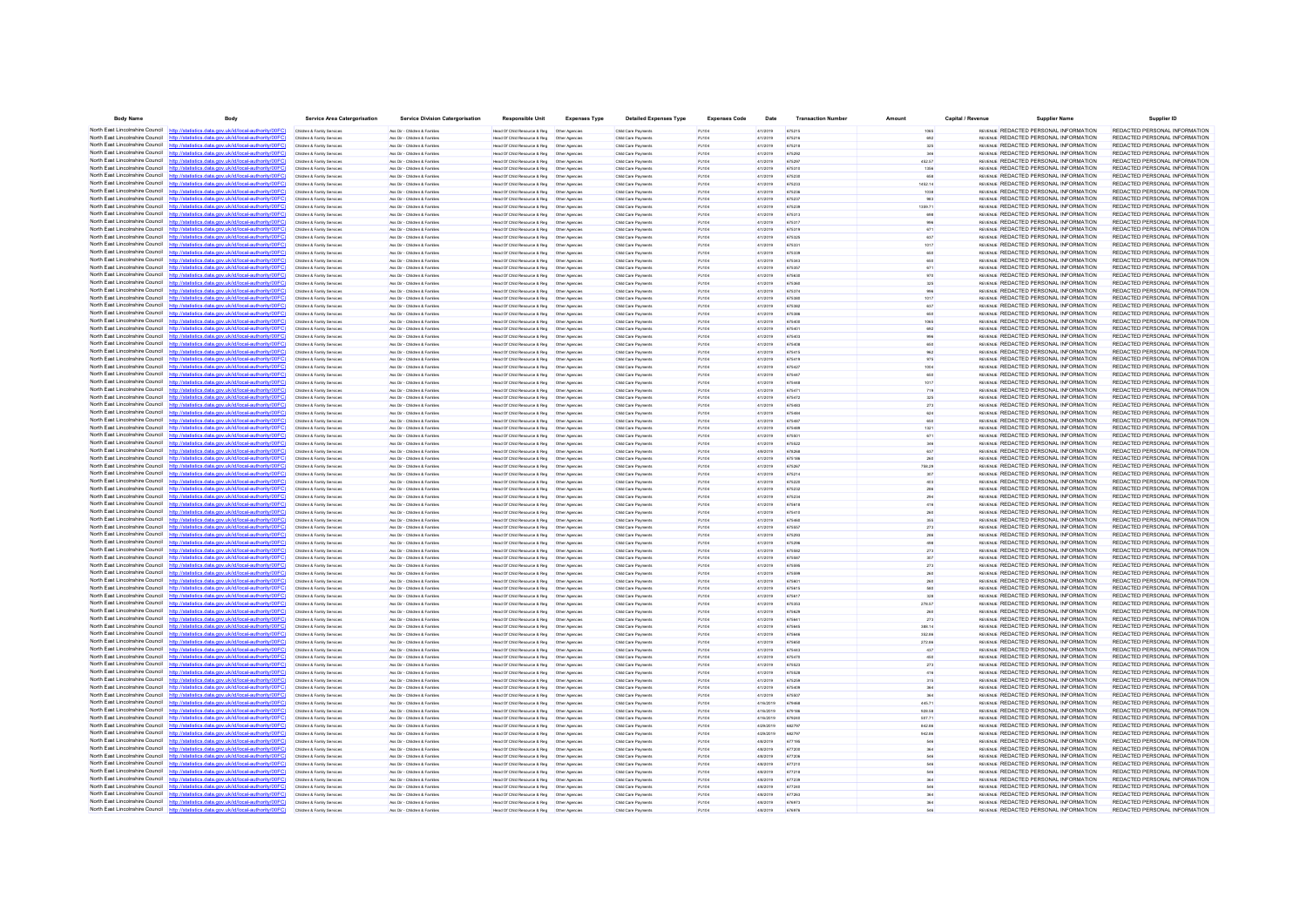| <b>Body Name</b>                             | Body                                                                                                                                                                             | <b>Service Area Catergorisation</b>                      | <b>Service Division Catergorisation</b>                       | <b>Responsible Unit</b>                                                                        | <b>Expenses Type</b> | <b>Detailed Expenses Type</b>              | <b>Expenses Code</b>  | Date                   | <b>Transaction Number</b> | Amount           | Capital / Revenue | <b>Supplier Name</b>                                                                  | Supplier ID                                                    |
|----------------------------------------------|----------------------------------------------------------------------------------------------------------------------------------------------------------------------------------|----------------------------------------------------------|---------------------------------------------------------------|------------------------------------------------------------------------------------------------|----------------------|--------------------------------------------|-----------------------|------------------------|---------------------------|------------------|-------------------|---------------------------------------------------------------------------------------|----------------------------------------------------------------|
| North East Lincolnshire Council http://stati | stics.data.gov.uk/id/local-authority/00FC)                                                                                                                                       | Children & Family Services                               | Ass Dir - Children & Familes                                  | Head Of Child Resource & Reg   Other Agencies                                                  |                      | Child Care Payments                        | PJ104                 | 4/1/2019               | 675215                    | 1065             |                   | REVENUE REDACTED PERSONAL INFORMATION                                                 | REDACTED PERSONAL INFORMATION                                  |
|                                              | North East Lincolnshire Council http://statistics.data.gov.uk/id/local-authority/00FC                                                                                            | Children & Family Services                               | Ass Dir - Children & Familes                                  | Head Of Child Resource & Reg   Other Agencies                                                  |                      | Child Care Payments                        | PJ104                 | 4/1/2019               | 675216                    | 692              |                   | REVENUE REDACTED PERSONAL INFORMATION                                                 | REDACTED PERSONAL INFORMATION                                  |
|                                              | North East Lincolnshire Council http://statistics.data.gov.uk/id/local-authority/00FC)                                                                                           | Children & Family Service                                | Ass Dir - Children & Familie                                  | Head Of Child Resource & Reg                                                                   | Other Agencie        | Child Care Payment                         | PJ104                 | 4/1/2019               | 675218                    | 325              |                   | REVENUE REDACTED PERSONAL INFORMATION                                                 | REDACTED PERSONAL INFORMATION                                  |
|                                              | North East Lincolnshire Council http://statistics.data.gov.uk/id/local-authority/00FC)                                                                                           | Children & Family Services                               | Ass Dir - Children & Familes                                  |                                                                                                |                      | Child Care Payments                        | PJ104                 | 4/1/2019               | 675292                    |                  |                   | REVENUE REDACTED PERSONAL INFORMATION                                                 | REDACTED PERSONAL INFORMATION                                  |
| North East Lincolnshire Council              | http://statistics.data.gov.uk/id/local-authority/00FC)<br>North East Lincolnshire Council http://statistics.data.gov.uk/id/local-authority/00FC)                                 | Children & Family Services<br>Children & Family Services | Ass Dir - Children & Familes<br>Ass Dir - Children & Familes  | Head Of Child Resource & Reg<br>Head Of Child Resource & Reg   Other Agencies                  | Other Agencies       | Child Care Payments<br>Child Care Payments | PJ104<br>PJ104        | 4/1/2019<br>4/1/2019   | 675297<br>675310          | 452.57<br>1356   |                   | REVENUE REDACTED PERSONAL INFORMATION<br>REVENUE REDACTED PERSONAL INFORMATION        | REDACTED PERSONAL INFORMATION<br>REDACTED PERSONAL INFORMATION |
|                                              | North East Lincolnshire Council http://statistics.data.gov.uk/id/local-authority/00FC                                                                                            | Children & Family Service                                | Ass Dir - Children & Famille                                  | Head Of Child Resource & Reg   Other Agencie                                                   |                      | Child Care Payments                        | PJ104                 | 4/1/2019               | 675230                    |                  |                   | REVENUE REDACTED PERSONAL INFORMATION                                                 | REDACTED PERSONAL INFORMATION                                  |
| North East Lincolnshire Council              | http://statistics.data.gov.uk/id/local-authority/00FC                                                                                                                            | Children & Family Service                                | Ass Dir - Children & Familie                                  | Head Of Child Resource & Reg                                                                   | Other Agencies       | Child Care Payments                        | PJ104                 | 4/1/2019               | 675233                    | 1452.14          |                   | REVENUE REDACTED PERSONAL INFORMATION                                                 | REDACTED PERSONAL INFORMATION                                  |
|                                              | North East Lincolnshire Council http://statistics.data.gov.uk/id/local-authority/00FC)                                                                                           | Children & Family Services                               | Ass Dir - Children & Familes                                  | Head Of Child Resource & Reg   Other Agencies                                                  |                      | Child Care Payments                        | PJ104                 | 4/1/2019               | 675236                    | 1038             |                   | REVENUE REDACTED PERSONAL INFORMATION                                                 | REDACTED PERSONAL INFORMATION                                  |
|                                              | North East Lincolnshire Council http://statistics.data.gov.uk/id/local-authority/00FC                                                                                            | Children & Family Service                                | Ass Dir - Children & Famille                                  | Head Of Child Resource & Reg                                                                   | Other Agencie        | Child Care Payments                        | PJ104                 | 4/1/2019               | 675237                    |                  |                   | REVENUE REDACTED PERSONAL INFORMATION                                                 | REDACTED PERSONAL INFORMATION                                  |
| North East Lincolnshire Council              | http://statistics.data.gov.uk/id/local-authority/00FC                                                                                                                            | Children & Family Services                               | Ass Dir - Children & Famille                                  | Head Of Child Resource & Reg                                                                   | Other Agencies       | Child Care Payments                        | PJ104                 | 4/1/2019               |                           | 1359.71          |                   | REVENUE REDACTED PERSONAL INFORMATION                                                 | REDACTED PERSONAL INFORMATION                                  |
|                                              | North East Lincolnshire Council http://statistics.data.gov.uk/id/local-authority/00FC)                                                                                           | Children & Family Services                               | Ass Dir - Children & Familes                                  | Head Of Child Resource & Reg   Other Agencies                                                  |                      | Child Care Payments                        | PJ104                 | 4/1/2019               | 675313                    |                  |                   | REVENUE REDACTED PERSONAL INFORMATION                                                 | REDACTED PERSONAL INFORMATION                                  |
|                                              | North East Lincolnshire Council http://statistics.data.gov.uk/id/local-authority/00FC                                                                                            | Children & Family Services                               | Ass Dir - Children & Familes                                  |                                                                                                |                      | Child Care Payments                        | PJ104                 | 4/1/2019               | 675317                    |                  |                   | REVENUE REDACTED PERSONAL INFORMATION                                                 | REDACTED PERSONAL INFORMATION                                  |
|                                              | North East Lincolnshire Council http://statistics.data.gov.uk/id/local-authority/00FC)                                                                                           | Children & Family Service                                | Ass Dir - Children & Familie                                  | Head Of Child Resource & Reg                                                                   | Other Agencie        | Child Care Payment                         | PJ104                 | 4/1/2019               | 675319                    | 671              |                   | REVENUE REDACTED PERSONAL INFORMATION                                                 | REDACTED PERSONAL INFORMATION                                  |
|                                              | North East Lincolnshire Council http://statistics.data.gov.uk/id/local-authority/00FC)<br>North East Lincolnshire Council http://statistics.data.gov.uk/id/local-authority/00FC) | Children & Family Service                                | Ass Dir - Children & Famille                                  | Head Of Child Resource & Reg   Other Agencies                                                  |                      | Child Care Payments                        | PJ104                 | 4/1/2019               | 675331                    | 1017             |                   | REVENUE REDACTED PERSONAL INFORMATION<br>REVENUE REDACTED PERSONAL INFORMATION        | REDACTED PERSONAL INFORMATION<br>REDACTED PERSONAL INFORMATION |
|                                              | North East Lincolnshire Council http://statistics.data.gov.uk/id/local-authority/00FC)                                                                                           | Children & Family Services<br>Children & Family Service  | Ass Dir - Children & Familes<br>Ass Dir - Children & Familie  | Head Of Child Resource & Reg   Other Agencies<br>lead Of Child Resource & Reg                  | Other Agencie        | Child Care Payments<br>Child Care Payments | PJ104<br>PJ104        | 4/1/2019<br>4/1/2019   | 675335                    | 650              |                   | REVENUE REDACTED PERSONAL INFORMATION                                                 | REDACTED PERSONAL INFORMATION                                  |
|                                              | North East Lincolnshire Council http://statistics.data.gov.uk/id/local-authority/00FC                                                                                            | Children & Family Service                                | Ass Dir - Children & Famille                                  |                                                                                                |                      | Child Care Payments                        | PJ104                 | 4/1/2019               |                           |                  |                   | REVENUE REDACTED PERSONAL INFORMATION                                                 | REDACTED PERSONAL INFORMATION                                  |
| North East Lincolnshire Council              | http://statistics.data.gov.uk/id/local-authority/00FC                                                                                                                            | Children & Family Services                               | Ass Dir - Children & Familes                                  | Head Of Child Resource & Reg                                                                   | Other Agencies       | Child Care Payments                        | PJ104                 | 4/1/2019               | 675357                    | 671              |                   | REVENUE REDACTED PERSONAL INFORMATION                                                 | REDACTED PERSONAL INFORMATION                                  |
|                                              | North East Lincolnshire Council http://statistics.data.gov.uk/id/local-authority/00FC)                                                                                           | Children & Family Services                               | Ass Dir - Children & Familes                                  | Head Of Child Resource & Reg   Other Agencies                                                  |                      | Child Care Payments                        | PJ104                 | 4/1/2019               | 675630                    | 970              |                   | REVENUE REDACTED PERSONAL INFORMATION                                                 | REDACTED PERSONAL INFORMATION                                  |
|                                              | North East Lincolnshire Council http://statistics.data.gov.uk/id/local-authority/00FC                                                                                            | Children & Family Service                                | Ass Dir - Children & Familie                                  | Head Of Child Resource & Reg                                                                   | Other Agencie        | Child Care Payments                        | PJ104                 | 4/1/2019               | 675360                    |                  |                   | REVENUE REDACTED PERSONAL INFORMATION                                                 | REDACTED PERSONAL INFORMATION                                  |
| North East Lincolnshire Council              | http://statistics.data.gov.uk/id/local-authority/00FC                                                                                                                            | Children & Family Service                                | les Dir - Children & Famile                                   | Head Of Child Resource & Reg                                                                   | Other Agencie        | Child Care Payments                        | PJ104                 | 4/1/2019               |                           |                  |                   | REVENUE REDACTED PERSONAL INFORMATION                                                 | REDACTED PERSONAL INFORMATION                                  |
|                                              | North East Lincolnshire Council http://statistics.data.gov.uk/id/local-authority/00FC)                                                                                           | Children & Family Services                               | Ass Dir - Children & Familes                                  |                                                                                                |                      | Child Care Payments                        | PJ104                 | 4/1/2019               | 675380                    |                  |                   | REVENUE REDACTED PERSONAL INFORMATION                                                 | REDACTED PERSONAL INFORMATION                                  |
|                                              | North East Lincolnshire Council http://statistics.data.gov.uk/id/local-authority/00FC)<br>North East Lincolnshire Council http://statistics.data.gov.uk/id/local-authority/00FC  | Children & Family Services                               | Ass Dir - Children & Familes                                  |                                                                                                |                      | Child Care Payments                        | PJ104                 | 4/1/2019               | 675382                    | 637              |                   | REVENUE REDACTED PERSONAL INFORMATION                                                 | REDACTED PERSONAL INFORMATION                                  |
|                                              | North East Lincolnshire Council http://statistics.data.gov.uk/id/local-authority/00FC)                                                                                           | Children & Family Service<br>Children & Family Services  | Ass Dir - Children & Famile<br>Ass Dir - Children & Familes   | Head Of Child Resource & Reg                                                                   | Other Agencie        | Child Care Payments<br>Child Care Payments | <b>PJ104</b><br>PJ104 | 4/1/2019               | 675400                    |                  |                   | REVENUE REDACTED PERSONAL INFORMATION<br>REVENUE REDACTED PERSONAL INFORMATION        | REDACTED PERSONAL INFORMATION<br>REDACTED PERSONAL INFORMATION |
|                                              | North East Lincolnshire Council http://statistics.data.gov.uk/id/local-authority/00FC                                                                                            | Children & Family Services                               | Ass Dir - Children & Families                                 | Head Of Child Resource & Reg   Other Agencies                                                  |                      | Child Care Payments                        | PJ104                 | 4/1/2019<br>4/1/2019   | 675401                    | 692              |                   | REVENUE REDACTED PERSONAL INFORMATION                                                 | REDACTED PERSONAL INFORMATION                                  |
|                                              | North East Lincolnshire Council http://statistics.data.gov.uk/id/local-authority/00FC)                                                                                           | Children & Family Services                               | Ass Dir - Children & Familie                                  | Head Of Child Resource & Reg                                                                   | Other Agencies       | Child Care Payments                        | PJ104                 | 4/1/2019               | 675403                    | 996              |                   | <b>REVENUE REDACTED PERSONAL INFORMATION</b>                                          | REDACTED PERSONAL INFORMATION                                  |
|                                              | North East Lincolnshire Council http://statistics.data.gov.uk/id/local-authority/00FC)                                                                                           | Children & Family Service                                | Ass Dir - Children & Famile                                   | Head Of Child Resource & Reg   Other Agencie                                                   |                      | Child Care Payments                        |                       | 4/1/2019               |                           |                  |                   | REVENUE REDACTED PERSONAL INFORMATION                                                 | REDACTED PERSONAL INFORMATION                                  |
| North East Lincolnshire Council              | http://statistics.data.gov.uk/id/local-authority/00FC                                                                                                                            | Children & Family Service                                | Ass Dir - Children & Familie                                  | Head Of Child Resource & Reg                                                                   | Other Agencies       | Child Care Payments                        | PJ104                 | 4/1/2019               | 675415                    |                  |                   | REVENUE REDACTED PERSONAL INFORMATION                                                 | REDACTED PERSONAL INFORMATION                                  |
|                                              | North East Lincolnshire Council http://statistics.data.gov.uk/id/local-authority/00FC)                                                                                           | Children & Family Services                               | Ass Dir - Children & Familes                                  | Head Of Child Resource & Reg   Other Agencies                                                  |                      | Child Care Payments                        | PJ104                 | 4/1/2019               | 675419                    | 975              |                   | REVENUE REDACTED PERSONAL INFORMATION                                                 | REDACTED PERSONAL INFORMATION                                  |
|                                              | North East Lincolnshire Council http://statistics.data.gov.uk/id/local-authority/00FC                                                                                            | Children & Family Services                               | Ass Dir - Children & Familes                                  |                                                                                                |                      | Child Care Payments                        | P.1104                | 4/1/2019               | 675427                    | 1004             |                   | REVENUE REDACTED PERSONAL INFORMATION                                                 | REDACTED PERSONAL INFORMATION                                  |
| North East Lincolnshire Council              | tatistics data nov uk/id/local-authority/00FC                                                                                                                                    | Children & Family Services                               | Ass Dir - Children & Familes                                  | Head Of Child Resource & Reg                                                                   | Other Agencies       | Child Care Payments                        | PJ104                 | 4/1/2019               | 675447                    |                  |                   | REVENUE REDACTED PERSONAL INFORMATION                                                 | REDACTED PERSONAL INFORMATION                                  |
| North East Lincolnshire Council http:        | ics data nov uk/id/local-authority/00EC                                                                                                                                          | Children & Family Services                               | Ass Dir - Children & Familes                                  | Head Of Child Resource & Reg   Other Agencies                                                  |                      | Child Care Payments                        | PJ104                 | 4/1/2019               | 675448                    | 1017             |                   | REVENUE REDACTED PERSONAL INFORMATION                                                 | REDACTED PERSONAL INFORMATION                                  |
|                                              | North East Lincolnshire Council http://statistics.data.gov.uk/id/local-authority/00FC)                                                                                           | Children & Family Services                               | Ass Dir - Children & Familes                                  | Head Of Child Resource & Reg   Other Agencies                                                  |                      | Child Care Payments                        | P.1104                | 4/1/2019               | 675471                    | 719              |                   | <b>REVENUE REDACTED PERSONAL INFORMATION</b>                                          | REDACTED PERSONAL INFORMATION                                  |
|                                              | North East Lincolnshire Council http://statistics.data.gov.uk/id/local-authority/00FC<br>North East Lincolnshire Council http://statistics.data.gov.uk/id/local-authority/00FC)  |                                                          | Ass Dir - Children & Family<br>Ass Dir - Children & Familes   | lead Of Child Resource & Reg                                                                   | Other Agencie        | Child Care Payment<br>Child Care Payments  | <b>PJ104</b>          | 4/1/2019               | 675472                    | 325              |                   | REVENUE REDACTED PERSONAL INFORMATION<br>REVENUE REDACTED PERSONAL INFORMATION        | REDACTED PERSONAL INFORMATION<br>REDACTED PERSONAL INFORMATION |
|                                              | North East Lincolnshire Council http://statistics.data.gov.uk/id/local-authority/00FC)                                                                                           | Children & Family Services<br>Children & Family Services | Ass Dir - Children & Familes                                  | Head Of Child Resource & Reg   Other Agencies<br>Head Of Child Resource & Reg   Other Agencies |                      | Child Care Payments                        | PJ104<br>PJ104        | 4/1/2019<br>4/1/2019   | 675483<br>675484          | 273<br>624       |                   | REVENUE REDACTED PERSONAL INFORMATION                                                 | REDACTED PERSONAL INFORMATION                                  |
|                                              | North East Lincolnshire Council http://statistics.data.gov.uk/id/local-authority/00FC)                                                                                           | Children & Family Services                               | Ass Dir - Children & Familie                                  | <b>Head Of Child Resource &amp; Reg</b>                                                        | Other Anencies       | Child Care Payments                        | P.1104                | 4/1/2019               | 675487                    | 650              |                   | <b>REVENUE REDACTED PERSONAL INFORMATION</b>                                          | REDACTED PERSONAL INFORMATION                                  |
|                                              | North East Lincolnshire Council http://statistics.data.gov.uk/id/local-authority/00FC)                                                                                           | Children & Family Service                                | Ass Dir - Children & Famile                                   | Head Of Child Resource & Reg   Other Agencie                                                   |                      | Child Care Payments                        | <b>PJ104</b>          | 4/1/2019               |                           |                  |                   | REVENUE REDACTED PERSONAL INFORMATION                                                 | REDACTED PERSONAL INFORMATION                                  |
| North East Lincolnshire Council http         | cs data gov uk/id/local-authority/00EC                                                                                                                                           | Children & Family Services                               | Ass Dir - Children & Familes                                  | Head Of Child Resource & Reg   Other Agencies                                                  |                      | Child Care Payments                        | PJ104                 | 4/1/2019               | 675501                    | 671              |                   | REVENUE REDACTED PERSONAL INFORMATION                                                 | REDACTED PERSONAL INFORMATION                                  |
|                                              | North East Lincolnshire Council http://statistics.data.gov.uk/id/local-authority/00FC)                                                                                           | Children & Family Service                                | Ass Dir - Children & Familie                                  | Head Of Child Resource & Reg                                                                   | Other Agencie        | Child Care Payments                        | P.1104                | 4/1/2019               | 675522                    | 346              |                   | <b>REVENUE REDACTED PERSONAL INFORMATION</b>                                          | REDACTED PERSONAL INFORMATION                                  |
|                                              | North East Lincolnshire Council http://statistics.data.gov.uk/id/local-authority/00FC                                                                                            | Children & Family Service                                | Ass Dir - Children & Famile                                   | Head Of Child Resource & Reg   Other Agencie                                                   |                      | Child Care Payments                        | PJ104                 | 4/9/2019               | 678268                    |                  |                   | REVENUE REDACTED PERSONAL INFORMATION                                                 | REDACTED PERSONAL INFORMATION                                  |
| North East Lincolnshire Council              | http://statistics.data.gov.uk/id/local-authority/00FC                                                                                                                            | Children & Family Services                               | Ass Dir - Children & Famille                                  | Head Of Child Resource & Reg                                                                   | Other Agencies       | Child Care Payments                        | PJ104                 | 4/1/2019               | 675186                    |                  |                   | REVENUE REDACTED PERSONAL INFORMATION                                                 | REDACTED PERSONAL INFORMATION                                  |
|                                              | North East Lincolnshire Council http://statistics.data.gov.uk/id/local-authority/00FC)                                                                                           | Children & Family Services                               | Ass Dir - Children & Familes                                  | Head Of Child Resource & Reg   Other Agencies                                                  |                      | Child Care Payments                        | PJ104                 | 4/1/2019               | 675267                    | 758.29           |                   | REVENUE REDACTED PERSONAL INFORMATION                                                 | REDACTED PERSONAL INFORMATION                                  |
|                                              | North East Lincolnshire Council http://statistics.data.gov.uk/id/local-authority/00FC)<br>North East Lincolnshire Council http://statistics.data.gov.uk/id/local-authority/00FC  | Children & Family Services                               | Ass Dir - Children & Familes                                  |                                                                                                |                      | Child Care Payments                        | PJ104                 | 4/1/2019               | 675214                    |                  |                   | REVENUE REDACTED PERSONAL INFORMATION<br>REVENUE REDACTED PERSONAL INFORMATION        | REDACTED PERSONAL INFORMATION<br>REDACTED PERSONAL INFORMATION |
|                                              | North East Lincolnshire Council http://statistics.data.gov.uk/id/local-authority/00FC)                                                                                           | Children & Family Service<br>Children & Family Services  | Ass Dir - Children & Family<br>Ass Dir - Children & Famille   | lead Of Child Resource & Reg                                                                   | Other Agencie        | Child Care Payment<br>Child Care Payments  | PJ104<br>PJ104        | 4/1/2019<br>4/1/2019   | 675220<br>675232          |                  |                   | REVENUE REDACTED PERSONAL INFORMATION                                                 | REDACTED PERSONAL INFORMATION                                  |
|                                              | North East Lincolnshire Council http://statistics.data.gov.uk/id/local-authority/00FC)                                                                                           | Children & Family Services                               | Ass Dir - Children & Familes                                  |                                                                                                |                      | Child Care Payments                        | PJ104                 | 4/1/2019               | 675234                    | 294              |                   | REVENUE REDACTED PERSONAL INFORMATION                                                 | REDACTED PERSONAL INFORMATION                                  |
|                                              | North East Lincolnshire Council http://statistics.data.gov.uk/id/local-authority/00FC)                                                                                           | Children & Family Service                                | Ass Dir - Children & Familie                                  | lead Of Child Resource & Reg                                                                   | Other Agencie        | Child Care Payments                        | PJ104                 | 4/1/2019               | 675618                    | 416              |                   | REVENUE REDACTED PERSONAL INFORMATION                                                 | REDACTED PERSONAL INFORMATION                                  |
|                                              | North East Lincolnshire Council http://statistics.data.gov.uk/id/local-authority/00FC)                                                                                           | Children & Family Services                               | Ass Dir - Children & Famille                                  |                                                                                                |                      | Child Care Payments                        | PJ104                 | 4/1/2019               | 675410                    |                  |                   | REVENUE REDACTED PERSONAL INFORMATION                                                 | REDACTED PERSONAL INFORMATION                                  |
| North East Lincolnshire Council              | http://statistics.data.gov.uk/id/local-authority/00FC                                                                                                                            | Children & Family Services                               | Ass Dir - Children & Families                                 | Head Of Child Resource & Reg                                                                   | Other Agencies       | Child Care Payments                        | PJ104                 | 4/1/2019               | 675460                    | 355              |                   | REVENUE REDACTED PERSONAL INFORMATION                                                 | REDACTED PERSONAL INFORMATION                                  |
|                                              | North East Lincolnshire Council http://statistics.data.gov.uk/id/local-authority/00FC)                                                                                           | Children & Family Services                               | Ass Dir - Children & Familie                                  | Head Of Child Resource & Reg                                                                   | Other Agencies       | Child Care Payments                        | PJ104                 | 4/1/2019               | 675557                    | 273              |                   | REVENUE REDACTED PERSONAL INFORMATION                                                 | REDACTED PERSONAL INFORMATION                                  |
|                                              | North East Lincolnshire Council http://statistics.data.gov.uk/id/local-authority/00FC                                                                                            | Children & Family Service                                | Ass Dir - Children & Famille                                  | Head Of Child Resource & Reg                                                                   | Other Agencie        | Child Care Payments                        | PJ104                 | 4/1/2019               | 675293                    |                  |                   | REVENUE REDACTED PERSONAL INFORMATION                                                 | REDACTED PERSONAL INFORMATION                                  |
| North East Lincolnshire Council              | http://statistics.data.gov.uk/id/local-authority/00FC                                                                                                                            | Children & Family Service                                | Ass Dir - Children & Familie                                  | Head Of Child Resource & Reg                                                                   | Other Agencie        | Child Care Payments                        | <b>PJ104</b>          | 4/1/2019               |                           |                  |                   | REVENUE REDACTED PERSONAL INFORMATION                                                 | REDACTED PERSONAL INFORMATION<br>REDACTED PERSONAL INFORMATION |
|                                              | North East Lincolnshire Council http://statistics.data.gov.uk/id/local-authority/00FC)<br>North East Lincolnshire Council http://statistics.data.gov.uk/id/local-authority/00FC  | Children & Family Services                               | Ass Dir - Children & Familes                                  | Head Of Child Resource & Reg   Other Agencies                                                  |                      | Child Care Payments                        | PJ104                 | 4/1/2019               | 675582<br>675587          | 273              |                   | REVENUE REDACTED PERSONAL INFORMATION<br>REVENUE REDACTED PERSONAL INFORMATION        | REDACTED PERSONAL INFORMATION                                  |
| North East Lincolnshire Council              | statistics data.gov.uk/id/local-authority/00FC                                                                                                                                   | Children & Family Service<br>Children & Family Service   | Ass Dir - Children & Famille<br>Ass Dir - Children & Famille  | Head Of Child Resource & Reg   Other Agencie<br>Head Of Child Resource & Reg                   | Other Agencies       | Child Care Payments<br>Child Care Payments | PJ104<br><b>PJ104</b> | 4/1/2019<br>4/1/2019   |                           | 273              |                   | REVENUE REDACTED PERSONAL INFORMATION                                                 | REDACTED PERSONAL INFORMATION                                  |
|                                              | North East Lincolnshire Council http://statistics.data.gov.uk/id/local-authority/00FC)                                                                                           | Children & Family Services                               | Ass Dir - Children & Familes                                  | Head Of Child Resource & Reg   Other Agencies                                                  |                      | Child Care Payments                        | PJ104                 | 4/1/2019               | 675599                    |                  |                   | REVENUE REDACTED PERSONAL INFORMATION                                                 | REDACTED PERSONAL INFORMATION                                  |
|                                              | North East Lincolnshire Council http://statistics.data.gov.uk/id/local-authority/00FC                                                                                            | Children & Family Services                               | Ass Dir - Children & Familes                                  | Head Of Child Resource & Reg   Other Agencies                                                  |                      | Child Care Payments                        | PJ104                 | 4/1/2019               | 675601                    |                  |                   | REVENUE REDACTED PERSONAL INFORMATION                                                 | REDACTED PERSONAL INFORMATION                                  |
|                                              | North East Lincolnshire Council http://statistics.data.gov.uk/id/local-authority/00FC)                                                                                           | Children & Family Service                                | Ass Dir - Children & Familie                                  | Head Of Child Resource & Reg                                                                   | Other Agencie        | Child Care Payments                        | PJ104                 | 4/1/2019               | 675615                    |                  |                   | REVENUE REDACTED PERSONAL INFORMATION                                                 | REDACTED PERSONAL INFORMATION                                  |
|                                              | North East Lincolnshire Council http://statistics.data.gov.uk/id/local-authority/00FC)                                                                                           | Children & Family Service                                | Ass Dir - Children & Famille                                  | Head Of Child Resource & Reg   Other Agencie                                                   |                      | Child Care Payments                        | PJ104                 | 4/1/2019               |                           |                  |                   | REVENUE REDACTED PERSONAL INFORMATION                                                 | REDACTED PERSONAL INFORMATION                                  |
| North East Lincolnshire Council              | http://statistics.data.gov.uk/id/local-authority/00FC                                                                                                                            | Children & Family Services                               | Ass Dir - Children & Familes                                  | Head Of Child Resource & Reg                                                                   | Other Agencies       | Child Care Payments                        | PJ104                 | 4/1/2019               | 675353                    | 278.57           |                   | REVENUE REDACTED PERSONAL INFORMATION                                                 | REDACTED PERSONAL INFORMATION                                  |
|                                              | North East Lincolnshire Council http://statistics.data.gov.uk/id/local-authority/00FC)                                                                                           | Children & Family Services                               | Ass Dir - Children & Familes                                  | Head Of Child Resource & Reg   Other Agencies                                                  |                      | Child Care Payments                        | PJ104                 | 4/1/2019               | 675629                    |                  |                   | REVENUE REDACTED PERSONAL INFORMATION                                                 | REDACTED PERSONAL INFORMATION                                  |
| North East Lincolnshire Council              | North East Lincolnshire Council http://statistics.data.gov.uk/id/local-authority/00FC                                                                                            | Children & Family Services                               | Ass Dir - Children & Familes                                  |                                                                                                |                      | Child Care Payments                        | PJ104                 | 4/1/2019               |                           |                  |                   | REVENUE REDACTED PERSONAL INFORMATION<br>REVENUE REDACTED PERSONAL INFORMATION        | REDACTED PERSONAL INFORMATION<br>REDACTED PERSONAL INFORMATION |
|                                              | North East Lincolnshire Council http://statistics.data.gov.uk/id/local-authority/00FC)                                                                                           | Children & Family Services<br>Children & Family Services | Ass Dir - Children & Families<br>Ass Dir - Children & Familes | Head Of Child Resource & Reg   Other Agencies<br>Head Of Child Resource & Reg   Other Agencies |                      | Child Care Payments<br>Child Care Payments | PJ104<br>PJ104        | 4/1/2019<br>4/1/2019   | 675645<br>675646          | 388.14<br>352.86 |                   | REVENUE REDACTED PERSONAL INFORMATION                                                 | REDACTED PERSONAL INFORMATION                                  |
|                                              | North East Lincolnshire Council http://statistics.data.gov.uk/id/local-authority/00FC)                                                                                           | Children & Family Service                                | Ass Dir - Children & Famille                                  | Head Of Child Resource & Reg                                                                   | Other Agencie        | Child Care Payments                        | PJ104                 | 4/1/2019               | 675650                    | 272.86           |                   | REVENUE REDACTED PERSONAL INFORMATION                                                 | REDACTED PERSONAL INFORMATION                                  |
|                                              | North East Lincolnshire Council http://statistics.data.gov.uk/id/local-authority/00FC                                                                                            | Children & Family Service                                | Ass Dir - Children & Famile                                   | Head Of Child Resource & Reg                                                                   | Other Agencies       | Child Care Payments                        | <b>PJ104</b>          | 4/1/2019               |                           |                  |                   | REVENUE REDACTED PERSONAL INFORMATION                                                 | REDACTED PERSONAL INFORMATION                                  |
|                                              | North East Lincolnshire Council http://statistics.data.gov.uk/id/local-authority/00FC)                                                                                           | Children & Family Services                               | Ass Dir - Children & Familes                                  |                                                                                                |                      | Child Care Payments                        | PJ104                 | 4/1/2019               | 675470                    |                  |                   | REVENUE REDACTED PERSONAL INFORMATION                                                 | REDACTED PERSONAL INFORMATION                                  |
|                                              | North East Lincolnshire Council http://statistics.data.gov.uk/id/local-authority/00FC)                                                                                           | Children & Family Services                               | Ass Dir - Children & Familes                                  | Head Of Child Resource & Reg   Other Agencies                                                  |                      | Child Care Payments                        | PJ104                 | 4/1/2019               | 675523                    | 273              |                   | REVENUE REDACTED PERSONAL INFORMATION                                                 | REDACTED PERSONAL INFORMATION                                  |
|                                              | North East Lincolnshire Council http://statistics.data.gov.uk/id/local-authority/00FC)                                                                                           | Children & Family Service                                | Ass Dir - Children & Familie                                  | Head Of Child Resource & Reg                                                                   | Other Agencie        | Child Care Payments                        | PJ104                 | 4/1/2019               | 675528                    | 416              |                   | REVENUE REDACTED PERSONAL INFORMATION                                                 | REDACTED PERSONAL INFORMATION                                  |
|                                              | North East Lincolnshire Council http://statistics.data.gov.uk/id/local-authority/00FC                                                                                            | Children & Family Services                               | Ass Dir - Children & Familes                                  | Head Of Child Resource & Reg   Other Agencies                                                  |                      | Child Care Payments                        | PJ104                 | 4/1/2019               | 675259                    | 315              |                   | REVENUE REDACTED PERSONAL INFORMATION                                                 | REDACTED PERSONAL INFORMATION                                  |
| North East Lincolnshire Council http         | cs data nov uk/id/local-authority/00EC                                                                                                                                           | Children & Family Services                               | Ass Dir - Children & Familes                                  | Head Of Child Resource & Reg   Other Agencies                                                  |                      | Child Care Payments                        | PJ104                 | 4/1/2019               | 675409                    | 364              |                   | REVENUE REDACTED PERSONAL INFORMATION                                                 | REDACTED PERSONAL INFORMATION                                  |
|                                              | North East Lincolnshire Council http://statistics.data.gov.uk/id/local-authority/00FC                                                                                            | Children & Family Service                                | Ass Dir - Children & Familie                                  | Head Of Child Resource & Reg                                                                   | Other Agencie        | Child Care Payments                        | PJ104                 | 4/1/2019               | 675507                    | 364              |                   | REVENUE REDACTED PERSONAL INFORMATION                                                 | REDACTED PERSONAL INFORMATION                                  |
| North East Lincolnshire Council              | North East Lincolnshire Council http://statistics.data.gov.uk/id/local-authority/00FC)<br>http://statistics.data.gov.uk/id/local-authority/00FC                                  | Children & Family Service                                | Ass Dir - Children & Famille<br>Ass Dir - Children & Familie  | Head Of Child Resource & Reg   Other Agencie                                                   |                      | Child Care Payments                        | PJ104                 | 4/16/2019<br>4/16/2019 | 679186                    | 445.71<br>928.58 |                   | REVENUE REDACTED PERSONAL INFORMATION<br>REVENUE REDACTED PERSONAL INFORMATION        | REDACTED PERSONAL INFORMATION<br>REDACTED PERSONAL INFORMATION |
|                                              | North East Lincolnshire Council http://statistics.data.gov.uk/id/local-authority/00FC)                                                                                           | Children & Family Services<br>Children & Family Services | Ass Dir - Children & Familes                                  | Head Of Child Resource & Reg<br>Head Of Child Resource & Reg   Other Agencies                  | Other Agencies       | Child Care Payments<br>Child Care Payments | PJ104                 | 4/16/2019              | 679240                    | 507.71           |                   | REVENUE REDACTED PERSONAL INFORMATION                                                 | REDACTED PERSONAL INFORMATION                                  |
|                                              | North East Lincolnshire Council http://statistics.data.gov.uk/id/local-authority/00FC                                                                                            | Children & Family Service                                | Ass Dir - Children & Famille                                  | Head Of Child Resource & Reg                                                                   | Other Agencie        | Child Care Payments                        | P.1104                | 4/29/2019              | 682797                    | 842.86           |                   | REVENLE REDACTED PERSONAL INFORMATION                                                 | REDACTED PERSONAL INFORMATION                                  |
|                                              | North East Lincolnshire Council http://statistics.data.gov.uk/id/local-authority/00FC                                                                                            | Children & Family Service                                | les Dir - Children & Family                                   | Head Of Child Resource & Reg                                                                   | Other Agencie        | Child Care Payments                        | PJ104                 | 4/29/2019              | 682797                    | 942.86           |                   | REVENUE REDACTED PERSONAL INFORMATION                                                 | REDACTED PERSONAL INFORMATION                                  |
| North East Lincolnshire Council http://stat  | tics.data.gov.uk/id/local-authority/00FC)                                                                                                                                        | Children & Family Services                               | Ass Dir - Children & Families                                 | Head Of Child Resource & Reg   Other Agencies                                                  |                      | Child Care Payments                        | PJ104                 | 4/8/2019               | 677195                    |                  |                   | REVENUE REDACTED PERSONAL INFORMATION                                                 | REDACTED PERSONAL INFORMATION                                  |
|                                              | North East Lincolnshire Council http://statistics.data.gov.uk/id/local-authority/00FC                                                                                            | Children & Family Services                               | Ass Dir - Children & Familes                                  | Head Of Child Resource & Reg   Other Agencies                                                  |                      | Child Care Payments                        | P.1104                | 4/8/2019               | 677200                    |                  |                   | <b>REVENUE REDACTED PERSONAL INFORMATION</b>                                          | REDACTED PERSONAL INFORMATION                                  |
|                                              | North East Lincolnshire Council http://statistics.data.gov.uk/id/local-authority/00FC                                                                                            |                                                          | les Dir - Children & Famile                                   | lead Of Child Resource & Reg                                                                   | Other Agencie        | Child Care Payment                         | PJ104                 | 4/8/2019               | 677206                    |                  |                   | REVENUE REDACTED PERSONAL INFORMATION                                                 | REDACTED PERSONAL INFORMATION                                  |
|                                              | North East Lincolnshire Council http://statistics.data.gov.uk/id/local-authority/00FC)                                                                                           | Children & Family Services                               | Ass Dir - Children & Familes                                  | Head Of Child Resource & Reg   Other Agencies                                                  |                      | Child Care Payments                        | PJ104                 | 4/8/2019               | 677210                    |                  |                   | REVENUE REDACTED PERSONAL INFORMATION                                                 | REDACTED PERSONAL INFORMATION                                  |
| North East Lincolnshire Council              | http://statistics.data.gov.uk/id/local-authority/00FC<br>North East Lincolnshire Council http://statistics.data.gov.uk/id/local-authority/00FC                                   | Children & Family Services                               | Ass Dir - Children & Familes<br>Ass Dir - Children & Familie  | Head Of Child Resource & Reg   Other Agencies                                                  |                      | Child Care Payments<br>Child Care Payments | PJ104                 | 4/8/2019<br>4/8/2019   | 677218                    |                  |                   | REVENUE REDACTED PERSONAL INFORMATION<br><b>REVENUE REDACTED PERSONAL INFORMATION</b> | REDACTED PERSONAL INFORMATION<br>REDACTED PERSONAL INFORMATION |
|                                              | North East Lincolnshire Council http://statistics.data.gov.uk/id/local-authority/00FC)                                                                                           | Children & Family Service<br>Children & Family Service   | Ass Dir - Children & Famille                                  | Head Of Child Resource & Reg   Other Agencie                                                   |                      | Child Care Payment                         | P.1104<br>PJ104       | 4/8/2019               | 677239                    |                  |                   | REVENUE REDACTED PERSONAL INFORMATION                                                 | REDACTED PERSONAL INFORMATION                                  |
| North East Lincolnshire Council              | http://statistics.data.gov.uk/id/local-authority/00FC                                                                                                                            | Children & Family Service                                | Ass Dir - Children & Famille                                  | Head Of Child Resource & Reg   Other Agencies                                                  |                      | Child Care Payments                        | PJ104                 | 4/8/2019               |                           |                  |                   | REVENUE REDACTED PERSONAL INFORMATION                                                 | REDACTED PERSONAL INFORMATION                                  |
|                                              | North East Lincolnshire Council http://statistics.data.gov.uk/id/local-authority/00FC)                                                                                           | Children & Family Services                               | Ass Dir - Children & Families                                 | Head Of Child Resource & Reg   Other Agencies                                                  |                      | Child Care Payments                        | P.1104                | 4/8/2019               | 676973                    |                  |                   | REVENUE REDACTED PERSONAL INFORMATION                                                 | REDACTED PERSONAL INFORMATION                                  |
| North East Lincolnshire Council http://stati |                                                                                                                                                                                  |                                                          | Ass Dir - Children & Famille                                  | Head Of Child Resource & Reg.  Other Agencie                                                   |                      | Child Care Payment                         |                       | 4/8/2019               |                           |                  |                   | REVENUE REDACTED PERSONAL INFORMATION                                                 | REDACTED PERSONAL INFORMATION                                  |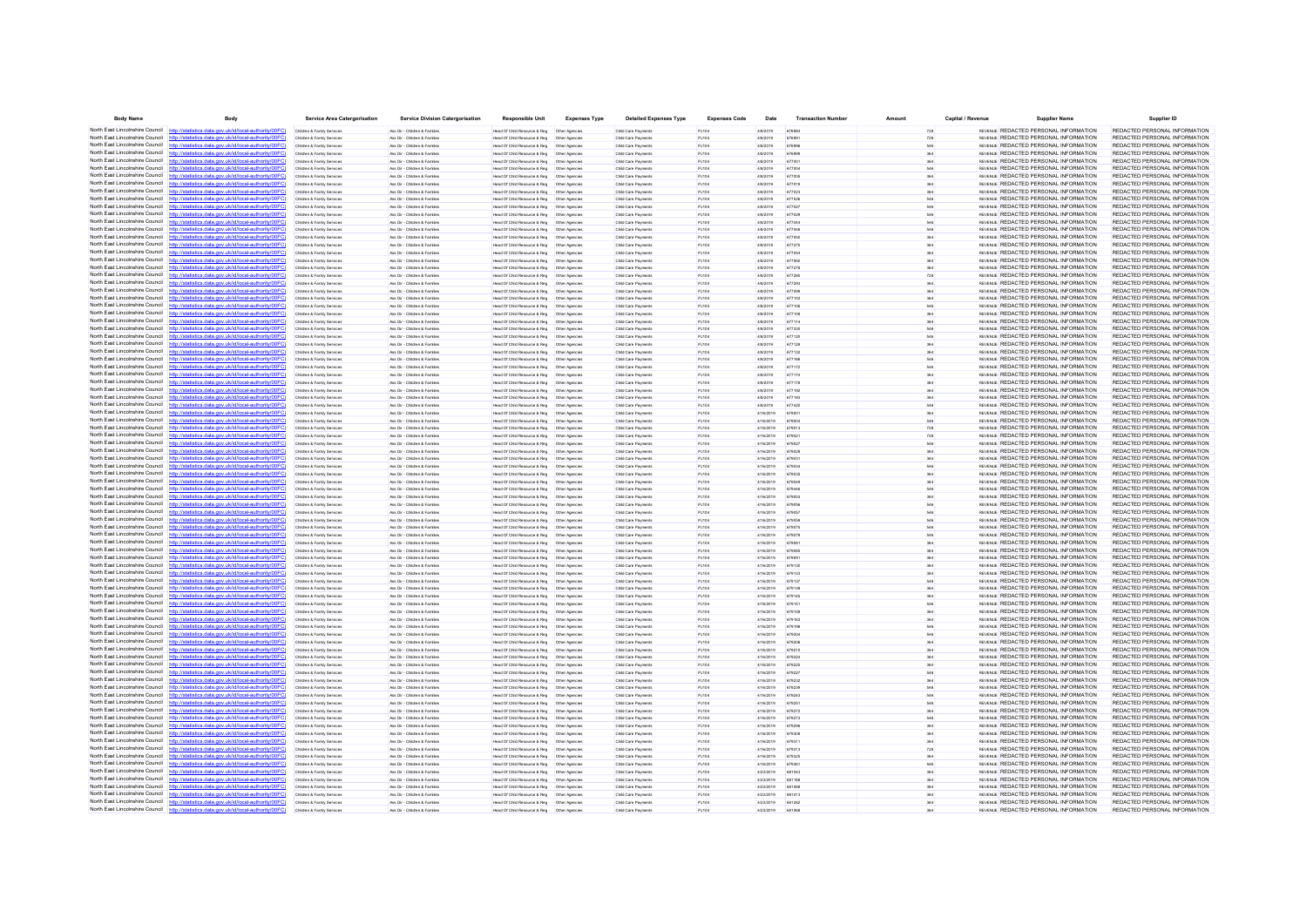| <b>Body Name</b>                             | Body                                                                                                                                                                             | <b>Service Area Catergorisation</b>                      | <b>Service Division Catergorisation</b>                        | <b>Responsible Unit</b>                                                                        | <b>Expenses Type</b> | <b>Detailed Expenses Type</b>              | <b>Expenses Code</b> | Date                   | <b>Transaction Number</b> | Amount | Capital / Revenue | <b>Supplier Name</b>                                                                  | Supplier ID                                                    |
|----------------------------------------------|----------------------------------------------------------------------------------------------------------------------------------------------------------------------------------|----------------------------------------------------------|----------------------------------------------------------------|------------------------------------------------------------------------------------------------|----------------------|--------------------------------------------|----------------------|------------------------|---------------------------|--------|-------------------|---------------------------------------------------------------------------------------|----------------------------------------------------------------|
| North East Lincolnshire Council http://stati | stics.data.gov.uk/id/local-authority/00FC)                                                                                                                                       | Children & Family Services                               | Ass Dir - Children & Familes                                   | Head Of Child Resource & Reg   Other Agencies                                                  |                      | Child Care Payments                        | PJ104                | 4/8/2019               | 676984                    |        |                   | REVENUE REDACTED PERSONAL INFORMATION                                                 | REDACTED PERSONAL INFORMATION                                  |
|                                              | North East Lincolnshire Council http://statistics.data.gov.uk/id/local-authority/00FC                                                                                            | Children & Family Services                               | Ass Dir - Children & Families                                  | Head Of Child Resource & Reg   Other Agencies                                                  |                      | Child Care Payments                        | PJ104                | 4/8/2019               | 676991                    |        |                   | REVENUE REDACTED PERSONAL INFORMATION                                                 | REDACTED PERSONAL INFORMATION                                  |
|                                              | North East Lincolnshire Council http://statistics.data.gov.uk/id/local-authority/00FC)                                                                                           | Children & Family Service                                | Ass Dir - Children & Famile                                    | Head Of Child Resource & Reg                                                                   | Other Agencie        | Child Care Payment                         | PJ104                | 4/8/2019               | 676996                    |        |                   | REVENUE REDACTED PERSONAL INFORMATION                                                 | REDACTED PERSONAL INFORMATION                                  |
|                                              | North East Lincolnshire Council http://statistics.data.gov.uk/id/local-authority/00FC)                                                                                           | Children & Family Services                               | Ass Dir - Children & Familes                                   | Head Of Child Resource & Reg   Other Agencie                                                   |                      | Child Care Payment                         | PJ104                | 4/8/2019               | 676999                    |        |                   | REVENUE REDACTED PERSONAL INFORMATION                                                 | REDACTED PERSONAL INFORMATION                                  |
| North East Lincolnshire Council              | http://statistics.data.gov.uk/id/local-authority/00FC)                                                                                                                           | Children & Family Services                               | Ass Dir - Children & Families                                  | Head Of Child Resource & Reg   Other Agencies                                                  |                      | Child Care Payments                        | PJ104                | 4/8/2019               | 677001                    |        |                   | REVENUE REDACTED PERSONAL INFORMATION                                                 | REDACTED PERSONAL INFORMATION                                  |
|                                              | North East Lincolnshire Council http://statistics.data.gov.uk/id/local-authority/00FC)<br>North East Lincolnshire Council http://statistics.data.gov.uk/id/local-authority/00FC  | Children & Family Services                               | Ass Dir - Children & Familes<br>Ass Dir - Children & Famille   | Head Of Child Resource & Reg   Other Agencie                                                   |                      | Child Care Payments                        | PJ104                | 4/8/2019<br>4/8/2019   | 677004<br>677005          |        |                   | REVENUE REDACTED PERSONAL INFORMATION<br>REVENUE REDACTED PERSONAL INFORMATION        | REDACTED PERSONAL INFORMATION<br>REDACTED PERSONAL INFORMATION |
| North East Lincolnshire Council              | http://statistics.data.gov.uk/id/local-authority/00FC                                                                                                                            | Children & Family Service<br>Children & Family Service   | Ass Dir - Children & Famile                                    | Head Of Child Resource & Reg   Other Agencie<br>Head Of Child Resource & Reg                   | Other Agencie        | Child Care Payment<br>Child Care Payment   | PJ10<br>PJ104        | 4/8/2019               | 677019                    |        |                   | REVENUE REDACTED PERSONAL INFORMATION                                                 | REDACTED PERSONAL INFORMATION                                  |
|                                              | North East Lincolnshire Council http://statistics.data.gov.uk/id/local-authority/00FC)                                                                                           | Children & Family Services                               | Ass Dir - Children & Families                                  | Head Of Child Resource & Reg   Other Agencie                                                   |                      | Child Care Payments                        | PJ104                | 4/8/2019               | 677023                    |        |                   | REVENUE REDACTED PERSONAL INFORMATION                                                 | REDACTED PERSONAL INFORMATION                                  |
|                                              | North East Lincolnshire Council http://statistics.data.gov.uk/id/local-authority/00FC                                                                                            | Children & Family Service                                | Ass Dir - Children & Families                                  | Head Of Child Resource & Reg                                                                   | Other Agencie        | Child Care Payment                         | PJ104                | 4/8/2019               | 677026                    |        |                   | REVENUE REDACTED PERSONAL INFORMATION                                                 | REDACTED PERSONAL INFORMATION                                  |
| North East Lincolnshire Council              | http://statistics.data.gov.uk/id/local-authority/00FC                                                                                                                            | Children & Family Services                               | Ass Dir - Children & Famille                                   | Head Of Child Resource & Reg                                                                   | Other Agencie        | Child Care Payment                         | PJ104                | 4/8/2019               |                           |        |                   | REVENUE REDACTED PERSONAL INFORMATION                                                 | REDACTED PERSONAL INFORMATION                                  |
|                                              | North East Lincolnshire Council http://statistics.data.gov.uk/id/local-authority/00FC)                                                                                           | Children & Family Services                               | Ass Dir - Children & Familes                                   | Head Of Child Resource & Reg   Other Agencies                                                  |                      | Child Care Payments                        | PJ104                | 4/8/2019               | 677029                    |        |                   | REVENUE REDACTED PERSONAL INFORMATION                                                 | REDACTED PERSONAL INFORMATION                                  |
|                                              | North East Lincolnshire Council http://statistics.data.gov.uk/id/local-authority/00FC                                                                                            | Children & Family Services                               | Ass Dir - Children & Families                                  | Head Of Child Resource & Reg   Other Agencie                                                   |                      | Child Care Payments                        | PJ104                | 4/8/2019               | 677044                    |        |                   | REVENUE REDACTED PERSONAL INFORMATION                                                 | REDACTED PERSONAL INFORMATION                                  |
|                                              | North East Lincolnshire Council http://statistics.data.gov.uk/id/local-authority/00FC)                                                                                           | Children & Family Service                                | Ass Dir - Children & Familie                                   | Head Of Child Resource & Reg                                                                   | Other Agencie        | Child Care Payment                         | PJ104                | 4/8/2019               | 677048                    |        |                   | REVENUE REDACTED PERSONAL INFORMATION                                                 | REDACTED PERSONAL INFORMATION                                  |
|                                              | North East Lincolnshire Council http://statistics.data.gov.uk/id/local-authority/00FC)                                                                                           | Children & Family Services                               | Ass Dir - Children & Families                                  | Head Of Child Resource & Reg   Other Agencie                                                   |                      | Child Care Payment                         | PJ104                | 4/8/2019               |                           |        |                   | REVENUE REDACTED PERSONAL INFORMATION                                                 | REDACTED PERSONAL INFORMATION                                  |
|                                              | North East Lincolnshire Council http://statistics.data.gov.uk/id/local-authority/00FC)                                                                                           | Children & Family Services                               | Ass Dir - Children & Families                                  | Head Of Child Resource & Reg   Other Agencie                                                   |                      | Child Care Payment                         | PJ104                | 4/8/2019               | 677275                    |        |                   | REVENUE REDACTED PERSONAL INFORMATION                                                 | REDACTED PERSONAL INFORMATION                                  |
|                                              | North East Lincolnshire Council http://statistics.data.gov.uk/id/local-authority/00FC)                                                                                           | Children & Family Service                                | Ass Dir - Children & Familie                                   | Head Of Child Resource & Reg                                                                   | Other Agencie        | Child Care Payment                         | PJ104                | 4/8/2019               | 677054                    |        |                   | REVENUE REDACTED PERSONAL INFORMATION                                                 | REDACTED PERSONAL INFORMATION                                  |
| North East Lincolnshire Council              | North East Lincolnshire Council http://statistics.data.gov.uk/id/local-authority/00FC<br>http://statistics.data.gov.uk/id/local-authority/00FC                                   | Children & Family Services                               | Ass Dir - Children & Famille                                   | Head Of Child Resource & Reg   Other Agencie                                                   |                      | Child Care Payment                         | PJ104                | 4/8/2019               |                           |        |                   | REVENUE REDACTED PERSONAL INFORMATION<br>REVENUE REDACTED PERSONAL INFORMATION        | REDACTED PERSONAL INFORMATION<br>REDACTED PERSONAL INFORMATION |
|                                              | North East Lincolnshire Council http://statistics.data.gov.uk/id/local-authority/00FC)                                                                                           | Children & Family Services<br>Children & Family Services | Ass Dir - Children & Families<br>Ass Dir - Children & Families | Head Of Child Resource & Reg   Other Agencie<br>Head Of Child Resource & Reg   Other Agencie   |                      | Child Care Payment<br>Child Care Payment   | PJ104<br>PJ104       | 4/8/2019<br>4/8/2019   | 677278<br>677280          |        |                   | REVENUE REDACTED PERSONAL INFORMATION                                                 | REDACTED PERSONAL INFORMATION                                  |
|                                              | North East Lincolnshire Council http://statistics.data.gov.uk/id/local-authority/00FC                                                                                            | Children & Family Service                                | Ass Dir - Children & Famille                                   | Head Of Child Resource & Reg                                                                   | Other Agencie        | Child Care Payment                         | PJ104                | 4/8/2019               | A77291                    |        |                   | REVENUE REDACTED PERSONAL INFORMATION                                                 | REDACTED PERSONAL INFORMATION                                  |
| North East Lincolnshire Council              | http://statistics.data.gov.uk/id/local-authority/00FC                                                                                                                            | Children & Family Service                                | les Dir - Children & Familie                                   | Head Of Child Resource & Reg                                                                   | Other Agencie        | Child Care Payment                         | PJ104                | 4/8/2019               |                           |        |                   | REVENUE REDACTED PERSONAL INFORMATION                                                 | REDACTED PERSONAL INFORMATION                                  |
|                                              | North East Lincolnshire Council http://statistics.data.gov.uk/id/local-authority/00FC)                                                                                           | Children & Family Services                               | Ass Dir - Children & Familes                                   | Head Of Child Resource & Reg   Other Agencie                                                   |                      | Child Care Payment                         | PJ104                | 4/8/2019               | 677102                    |        |                   | REVENUE REDACTED PERSONAL INFORMATION                                                 | REDACTED PERSONAL INFORMATION                                  |
|                                              | North East Lincolnshire Council http://statistics.data.gov.uk/id/local-authority/00FC)                                                                                           | Children & Family Services                               | Ass Dir - Children & Families                                  | Head Of Child Resource & Reg   Other Agencie                                                   |                      | Child Care Payments                        | PJ104                | 4/8/2019               | 677106                    | 546    |                   | REVENUE REDACTED PERSONAL INFORMATION                                                 | REDACTED PERSONAL INFORMATION                                  |
|                                              | North East Lincolnshire Council http://statistics.data.gov.uk/id/local-authority/00FC                                                                                            | tren & Family Service                                    | Ass Dir - Children & Famile                                    | Head Of Child Resource & Reg                                                                   | Other Agencie        | Child Care Payment                         | PJ104                | 4/8/2019               |                           |        |                   | REVENUE REDACTED PERSONAL INFORMATION                                                 | REDACTED PERSONAL INFORMATION                                  |
|                                              | North East Lincolnshire Council http://statistics.data.gov.uk/id/local-authority/00FC)                                                                                           | Children & Family Services                               | Ass Dir - Children & Familes                                   | Head Of Child Resource & Reg   Other Agencies                                                  |                      | Child Care Payments                        | PJ104                | 4/8/2019               | 677114                    |        |                   | REVENUE REDACTED PERSONAL INFORMATION                                                 | REDACTED PERSONAL INFORMATION                                  |
|                                              | North East Lincolnshire Council http://statistics.data.gov.uk/id/local-authority/00FC                                                                                            | Children & Family Services                               | Ass Dir - Children & Families                                  | Head Of Child Resource & Reg   Other Agencies                                                  |                      | Child Care Payments                        | PJ104                | 4/8/2019               | 677330                    |        |                   | REVENUE REDACTED PERSONAL INFORMATION                                                 | REDACTED PERSONAL INFORMATION                                  |
|                                              | North East Lincolnshire Council http://statistics.data.gov.uk/id/local-authority/00FC)                                                                                           | Children & Family Services                               | Ass Dir - Children & Familier                                  | Head Of Child Resource & Reg                                                                   | Other Anencie        | Child Care Payment                         | PJ104                | 4/8/2019               | 677120                    |        |                   | <b>REVENLE REDACTED PERSONAL INFORMATION</b>                                          | REDACTED PERSONAL INFORMATION                                  |
|                                              | North East Lincolnshire Council http://statistics.data.gov.uk/id/local-authority/00FC)                                                                                           | Children & Family Service                                | Ass Dir - Children & Famille                                   | Head Of Child Resource & Reg   Other Agencie                                                   |                      | Child Care Payment                         | PJ104                | 4/8/2019               |                           |        |                   | REVENUE REDACTED PERSONAL INFORMATION                                                 | REDACTED PERSONAL INFORMATION                                  |
| North East Lincolnshire Council              | http://statistics.data.gov.uk/id/local-authority/00FC                                                                                                                            | Children & Family Services                               | Ass Dir - Children & Famille                                   | Head Of Child Resource & Reg                                                                   | Other Agencie        | Child Care Payment                         | PJ104                | 4/8/2019               | 677132                    |        |                   | REVENUE REDACTED PERSONAL INFORMATION                                                 | REDACTED PERSONAL INFORMATION                                  |
|                                              | North East Lincolnshire Council http://statistics.data.gov.uk/id/local-authority/00FC)<br>North East Lincolnshire Council http://statistics.data.gov.uk/id/local-authority/00FC  | Children & Family Services                               | Ass Dir - Children & Families                                  | Head Of Child Resource & Reg   Other Agencies                                                  |                      | Child Care Payments                        | PJ104                | 4/8/2019               | 677166                    |        |                   | REVENUE REDACTED PERSONAL INFORMATION<br><b>REVENLE REDACTED PERSONAL INFORMATION</b> | REDACTED PERSONAL INFORMATION<br>REDACTED PERSONAL INFORMATION |
| North East Lincolnshire Council              | datistics data ony uk/d/bcal-authority/00FC                                                                                                                                      | Children & Family Services                               | Ass Dir - Children & Families                                  |                                                                                                |                      | Child Care Payment                         | PJ104                | 4/8/2019               | 677172                    |        |                   | REVENUE REDACTED PERSONAL INFORMATION                                                 | REDACTED PERSONAL INFORMATION                                  |
| North East Lincolnshire Council http:        | ics data nov uk/id/local-authority/00EC                                                                                                                                          | Children & Family Services<br>Children & Family Services | Ass Dir - Children & Families<br>Ass Dir - Children & Families | Head Of Child Resource & Reg   Other Agencies<br>Head Of Child Resource & Reg   Other Agencies |                      | Child Care Payments<br>Child Care Payments | PJ104<br>PJ104       | 4/8/2019<br>4/8/2019   | 677174<br>677178          |        |                   | REVENUE REDACTED PERSONAL INFORMATION                                                 | REDACTED PERSONAL INFORMATION                                  |
|                                              | North East Lincolnshire Council http://statistics.data.gov.uk/id/local-authority/00FC)                                                                                           | Children & Family Services                               | Ass Dir - Children & Familes                                   | Head Of Child Resource & Reg   Other Agencies                                                  |                      | Child Care Payments                        | PJ104                | 4/8/2019               | 677192                    |        |                   | <b>REVENLE REDACTED PERSONAL INFORMATION</b>                                          | REDACTED PERSONAL INFORMATION                                  |
|                                              | North East Lincolnshire Council http://statistics.data.gov.uk/id/local-authority/00FC                                                                                            |                                                          | Ass Dir - Children & Famile                                    | Head Of Child Resource & Reg                                                                   | Other Agencie        | Child Care Payment                         | PJ104                | 4/8/2019               | 677193                    |        |                   | REVENUE REDACTED PERSONAL INFORMATION                                                 | REDACTED PERSONAL INFORMATION                                  |
|                                              | North East Lincolnshire Council http://statistics.data.gov.uk/id/local-authority/00FC)                                                                                           | Children & Family Services                               | Ass Dir - Children & Families                                  | Head Of Child Resource & Reg   Other Agencies                                                  |                      | Child Care Payment                         | PJ104                | 4/8/2019               | 677420                    |        |                   | REVENUE REDACTED PERSONAL INFORMATION                                                 | REDACTED PERSONAL INFORMATION                                  |
|                                              | North East Lincolnshire Council http://statistics.data.gov.uk/id/local-authority/00FC)                                                                                           | Children & Family Services                               | Ass Dir - Children & Families                                  | Head Of Child Resource & Reg   Other Agencie                                                   |                      | Child Care Payments                        | PJ104                | 4/16/2019              | 679001                    |        |                   | REVENUE REDACTED PERSONAL INFORMATION                                                 | REDACTED PERSONAL INFORMATION                                  |
|                                              | North East Lincolnshire Council http://statistics.data.gov.uk/id/local-authority/00FC)                                                                                           | Children & Family Services                               | Ass Dir - Children & Familier                                  |                                                                                                |                      | Child Care Payment                         | PJ104                | 4/16/2019              | 679004                    |        |                   | <b>REVENLE REDACTED PERSONAL INFORMATION</b>                                          | REDACTED PERSONAL INFORMATION                                  |
|                                              | North East Lincolnshire Council http://statistics.data.gov.uk/id/local-authority/00FC)                                                                                           | Children & Family Service                                | Ass Dir - Children & Famille                                   | Head Of Child Resource & Reg   Other Agencie                                                   |                      | Child Care Payment                         | PJ10                 | 4/16/2019              |                           |        |                   | REVENUE REDACTED PERSONAL INFORMATION                                                 | REDACTED PERSONAL INFORMATION                                  |
| North East Lincolnshire Council http         | cs data gov uk/id/local-authority/00EC                                                                                                                                           | Children & Family Services                               | Ass Dir - Children & Families                                  | Head Of Child Resource & Reg   Other Agencies                                                  |                      | Child Care Payments                        | PJ104                | 4/16/2019              | 67902                     | 728    |                   | REVENUE REDACTED PERSONAL INFORMATION                                                 | REDACTED PERSONAL INFORMATION                                  |
|                                              | North East Lincolnshire Council http://statistics.data.gov.uk/id/local-authority/00FC)                                                                                           | Children & Family Service                                | Ass Dir - Children & Familier                                  | Head Of Child Resource & Reg                                                                   | Other Anencie        | Child Care Payment                         | PJ104                | 4/16/2019              | 679023                    | 546    |                   | <b>REVENLE REDACTED PERSONAL INFORMATION</b>                                          | REDACTED PERSONAL INFORMATION                                  |
|                                              | North East Lincolnshire Council http://statistics.data.gov.uk/id/local-authority/00FC                                                                                            | Children & Family Service                                | Ass Dir - Children & Famille                                   | Head Of Child Resource & Reg   Other Agencie                                                   |                      | Child Care Payment                         | PJ10                 | 4/16/2019              |                           |        |                   | REVENUE REDACTED PERSONAL INFORMATION                                                 | REDACTED PERSONAL INFORMATION                                  |
| North East Lincolnshire Council              | http://statistics.data.gov.uk/id/local-authority/00FC                                                                                                                            | Children & Family Services                               | Ass Dir - Children & Families                                  | Head Of Child Resource & Reg                                                                   | Other Agencie        | Child Care Payment                         | PJ104                | 4/16/2019              | 67903                     |        |                   | REVENUE REDACTED PERSONAL INFORMATION                                                 | REDACTED PERSONAL INFORMATION                                  |
|                                              | North East Lincolnshire Council http://statistics.data.gov.uk/id/local-authority/00FC)<br>North East Lincolnshire Council http://statistics.data.gov.uk/id/local-authority/00FC) | Children & Family Services                               | Ass Dir - Children & Familes                                   | Head Of Child Resource & Reg   Other Agencies                                                  |                      | Child Care Payment                         | PJ104                | 4/16/2019              | 679034                    |        |                   | REVENUE REDACTED PERSONAL INFORMATION                                                 | REDACTED PERSONAL INFORMATION                                  |
|                                              | North East Lincolnshire Council http://statistics.data.gov.uk/id/local-authority/00FC                                                                                            | Children & Family Services<br>Children & Family Service  | Ass Dir - Children & Families<br>Ass Dir - Children & Famile   | Head Of Child Resource & Reg   Other Agencie                                                   |                      | Child Care Payment                         | PJ104                | 4/16/2019<br>4/16/2019 | 679035<br>679049          |        |                   | REVENUE REDACTED PERSONAL INFORMATION<br>REVENUE REDACTED PERSONAL INFORMATION        | REDACTED PERSONAL INFORMATION<br>REDACTED PERSONAL INFORMATION |
|                                              | North East Lincolnshire Council http://statistics.data.gov.uk/id/local-authority/00FC)                                                                                           | Children & Family Services                               | Ass Dir - Children & Familes                                   | Head Of Child Resource & Reg                                                                   | Other Agencie        | Child Care Payment<br>Child Care Payment   | PJ104<br>PJ104       | 4/16/2019              |                           |        |                   | REVENUE REDACTED PERSONAL INFORMATION                                                 | REDACTED PERSONAL INFORMATION                                  |
|                                              | North East Lincolnshire Council http://statistics.data.gov.uk/id/local-authority/00FC)                                                                                           | Children & Family Services                               | Ass Dir - Children & Families                                  | Head Of Child Resource & Reg   Other Agencie                                                   |                      | Child Care Payments                        | PJ104                | 4/16/2019              | 679053                    |        |                   | REVENLE REDACTED PERSONAL INFORMATION                                                 | REDACTED PERSONAL INFORMATION                                  |
|                                              | North East Lincolnshire Council http://statistics.data.gov.uk/id/local-authority/00FC)                                                                                           | Children & Family Service                                | Ass Dir - Children & Famille                                   | Head Of Child Resource & Reg                                                                   | Other Agencie        | Child Care Payment                         | PJ104                | 4/16/2019              | 679056                    |        |                   | REVENUE REDACTED PERSONAL INFORMATION                                                 | REDACTED PERSONAL INFORMATION                                  |
|                                              | North East Lincolnshire Council http://statistics.data.gov.uk/id/local-authority/00FC)                                                                                           | Children & Family Services                               | Ass Dir - Children & Familes                                   | Head Of Child Resource & Reg   Other Agencie                                                   |                      | Child Care Payment                         | PJ104                | 4/16/2019              | 679057                    |        |                   | REVENUE REDACTED PERSONAL INFORMATION                                                 | REDACTED PERSONAL INFORMATION                                  |
| North East Lincolnshire Council              | http://statistics.data.gov.uk/id/local-authority/00FC                                                                                                                            | Children & Family Services                               | Ass Dir - Children & Families                                  | Head Of Child Resource & Reg   Other Agencie                                                   |                      | Child Care Payments                        | PJ104                | 4/16/2019              | 679059                    |        |                   | REVENUE REDACTED PERSONAL INFORMATION                                                 | REDACTED PERSONAL INFORMATION                                  |
|                                              | North East Lincolnshire Council http://statistics.data.gov.uk/id/local-authority/00FC)                                                                                           | Children & Family Services                               | Ass Dir - Children & Families                                  | Head Of Child Resource & Reg                                                                   | Other Agencie        | Child Care Payment                         | PJ104                | 4/16/2019              | 679075                    | 546    |                   | REVENLE REDACTED PERSONAL INFORMATION                                                 | REDACTED PERSONAL INFORMATION                                  |
|                                              | North East Lincolnshire Council http://statistics.data.gov.uk/id/local-authority/00FC                                                                                            | Children & Family Service                                | Ass Dir - Children & Famille                                   | Head Of Child Resource & Reg                                                                   | Other Agencie        | Child Care Payment                         | PJ10                 | 4/16/2019              | 679079                    |        |                   | REVENUE REDACTED PERSONAL INFORMATION                                                 | REDACTED PERSONAL INFORMATION                                  |
| North East Lincolnshire Council              | http://statistics.data.gov.uk/id/local-authority/00FC                                                                                                                            | Children & Family Service                                | Ass Dir - Children & Famile                                    | Head Of Child Resource & Reg                                                                   | Other Agencie        | Child Care Payment                         | PJ104                | 4/16/2019              |                           |        |                   | REVENUE REDACTED PERSONAL INFORMATION                                                 | REDACTED PERSONAL INFORMATION                                  |
|                                              | North East Lincolnshire Council http://statistics.data.gov.uk/id/local-authority/00FC)                                                                                           | Children & Family Services                               | Ass Dir - Children & Families                                  | Head Of Child Resource & Reg   Other Agencie                                                   |                      | Child Care Payment                         | PJ104                | 4/16/2019              | 679085                    |        |                   | REVENUE REDACTED PERSONAL INFORMATION                                                 | REDACTED PERSONAL INFORMATION                                  |
|                                              | North East Lincolnshire Council http://statistics.data.gov.uk/id/local-authority/00FC<br>statistics data.gov.uk/id/local-authority/00FC                                          | Children & Family Services                               | Ass Dir - Children & Families                                  | Head Of Child Resource & Reg                                                                   | Other Agencie        | Child Care Payment                         | PJ104                | 4/16/2019              | 679091                    |        |                   | REVENLE REDACTED PERSONAL INFORMATION                                                 | REDACTED PERSONAL INFORMATION                                  |
| North East Lincolnshire Council              | North East Lincolnshire Council http://statistics.data.gov.uk/id/local-authority/00FC)                                                                                           | Children & Family Service                                | Ass Dir - Children & Famille                                   | Head Of Child Resource & Reg                                                                   | Other Agencie        | Child Care Payment                         | PJ104                | 4/16/2019              | 679130                    |        |                   | REVENUE REDACTED PERSONAL INFORMATION<br>REVENUE REDACTED PERSONAL INFORMATION        | REDACTED PERSONAL INFORMATION<br>REDACTED PERSONAL INFORMATION |
|                                              | North East Lincolnshire Council http://statistics.data.gov.uk/id/local-authority/00FC                                                                                            | Children & Family Services<br>Children & Family Services | Ass Dir - Children & Familes<br>Ass Dir - Children & Families  | Head Of Child Resource & Reg   Other Agencies<br>Head Of Child Resource & Reg   Other Agencie  |                      | Child Care Payments<br>Child Care Payments | PJ104<br>PJ104       | 4/16/2019<br>4/16/2019 | 679133<br>679137          |        |                   | REVENLE REDACTED PERSONAL INFORMATION                                                 | REDACTED PERSONAL INFORMATION                                  |
|                                              | North East Lincolnshire Council http://statistics.data.gov.uk/id/local-authority/00FC)                                                                                           | Children & Family Service                                | Ass Dir - Children & Familie                                   | Head Of Child Resource & Reg                                                                   | Other Agencie        | Child Care Payment                         | PJ104                | 4/16/2019              | 679139                    |        |                   | REVENLE REDACTED PERSONAL INFORMATION                                                 | REDACTED PERSONAL INFORMATION                                  |
|                                              | North East Lincolnshire Council http://statistics.data.gov.uk/id/local-authority/00FC)                                                                                           | Children & Family Service                                | Ass Dir - Children & Famille                                   | Head Of Child Resource & Reg   Other Agencie                                                   |                      | Child Care Payment                         | PJ104                | 4/16/2019              | 679145                    |        |                   | REVENUE REDACTED PERSONAL INFORMATION                                                 | REDACTED PERSONAL INFORMATION                                  |
| North East Lincolnshire Council              | http://statistics.data.gov.uk/id/local-authority/00FC                                                                                                                            | Children & Family Services                               | Ass Dir - Children & Families                                  | Head Of Child Resource & Reg   Other Agencie                                                   |                      | Child Care Payment                         | PJ104                | 4/16/2019              | 679151                    |        |                   | REVENUE REDACTED PERSONAL INFORMATION                                                 | REDACTED PERSONAL INFORMATION                                  |
|                                              | North East Lincolnshire Council http://statistics.data.gov.uk/id/local-authority/00FC)                                                                                           | Children & Family Services                               | Ass Dir - Children & Families                                  | Head Of Child Resource & Reg   Other Agencie                                                   |                      | Child Care Payments                        | PJ104                | 4/16/2019              | 679159                    |        |                   | REVENLE REDACTED PERSONAL INFORMATION                                                 | REDACTED PERSONAL INFORMATION                                  |
|                                              | North East Lincolnshire Council http://statistics.data.gov.uk/id/local-authority/00FC                                                                                            | Children & Family Services                               | Ass Dir - Children & Familes                                   | Head Of Child Resource & Reg   Other Agencie                                                   |                      | Child Care Payment                         | PJ104                | 4/16/2019              | 679163                    |        |                   | REVENUE REDACTED PERSONAL INFORMATION                                                 | REDACTED PERSONAL INFORMATION                                  |
| North East Lincolnshire Council              |                                                                                                                                                                                  | Children & Family Services                               | Ass Dir - Children & Familes                                   | Head Of Child Resource & Reg   Other Agencies                                                  |                      | Child Care Payments                        | PJ104                | 4/16/2019              | 679198                    |        |                   | REVENUE REDACTED PERSONAL INFORMATION                                                 | REDACTED PERSONAL INFORMATION                                  |
|                                              | North East Lincolnshire Council http://statistics.data.gov.uk/id/local-authority/00FC)                                                                                           | Children & Family Services                               | Ass Dir - Children & Families                                  | Head Of Child Resource & Reg   Other Agencies                                                  |                      | Child Care Payments                        | PJ104                | 4/16/2019              | 679204                    |        |                   | REVENLE REDACTED PERSONAL INFORMATION                                                 | REDACTED PERSONAL INFORMATION                                  |
|                                              | North East Lincolnshire Council http://statistics.data.gov.uk/id/local-authority/00FC)                                                                                           | Children & Family Services                               | Ass Dir - Children & Familes                                   | Head Of Child Resource & Reg   Other Agencies                                                  |                      | Child Care Payment                         | PJ104                | 4/16/2019              | 679206                    |        |                   | <b>REVENLE REDACTED PERSONAL INFORMATION</b>                                          | REDACTED PERSONAL INFORMATION                                  |
|                                              | North East Lincolnshire Council http://statistics.data.gov.uk/id/local-authority/00FC                                                                                            | Children & Family Service                                | les Dir - Children & Familie                                   | Head Of Child Resource & Reg                                                                   | Other Agencie        | Child Care Payment                         | PJ104                | 4/16/2019              |                           |        |                   | REVENUE REDACTED PERSONAL INFORMATION                                                 | REDACTED PERSONAL INFORMATION                                  |
|                                              | North East Lincolnshire Council http://statistics.data.gov.uk/id/local-authority/00FC)<br>North East Lincolnshire Council http://statistics.data.gov.uk/id/local-authority/00FC) | Children & Family Services                               | Ass Dir - Children & Familes                                   | Head Of Child Resource & Reg   Other Agencie                                                   |                      | Child Care Payments                        | PJ104                | 4/16/2019              | 679224                    |        |                   | REVENUE REDACTED PERSONAL INFORMATION<br>REVENLE REDACTED PERSONAL INFORMATION        | REDACTED PERSONAL INFORMATION<br>REDACTED PERSONAL INFORMATION |
|                                              | North East Lincolnshire Council http://statistics.data.gov.uk/id/local-authority/00FC)                                                                                           | Children & Family Services<br>Children & Family Service  | Ass Dir - Children & Families<br>Ass Dir - Children & Familie  | Head Of Child Resource & Reg   Other Agencie<br>Head Of Child Resource & Reg                   | Other Agencie        | Child Care Payments<br>Child Care Payment  | PJ104<br>PJ104       | 4/16/2019<br>4/16/2019 | 679225<br>A79227          |        |                   | REVENLE REDACTED PERSONAL INFORMATION                                                 | REDACTED PERSONAL INFORMATION                                  |
|                                              | North East Lincolnshire Council http://statistics.data.gov.uk/id/local-authority/00FC                                                                                            |                                                          |                                                                |                                                                                                |                      |                                            |                      |                        |                           |        |                   | REVENUE REDACTED PERSONAL INFORMATION                                                 | REDACTED PERSONAL INFORMATION                                  |
| North East Lincolnshire Council http:        | cs data nov uk/id/local-author                                                                                                                                                   | Children & Family Services<br>Children & Family Services | Ass Dir - Children & Familes<br>Ass Dir - Children & Families  | Head Of Child Resource & Reg   Other Agencie<br>Head Of Child Resource & Reg   Other Agencies  |                      | Child Care Payments<br>Child Care Payments | PJ104<br>PJ104       | 4/16/2019<br>4/16/2019 | 679232<br>679239          |        |                   | REVENLE REDACTED PERSONAL INFORMATION                                                 | REDACTED PERSONAL INFORMATION                                  |
|                                              | North East Lincolnshire Council http://statistics.data.gov.uk/id/local-authority/00FC                                                                                            | Children & Family Service                                | Ass Dir - Children & Famille                                   | Head Of Child Resource & Reg                                                                   | Other Agencie        | Child Care Payment                         | PJ104                | 4/16/2019              | 679243                    |        |                   | REVENLE REDACTED PERSONAL INFORMATION                                                 | REDACTED PERSONAL INFORMATION                                  |
|                                              | North East Lincolnshire Council http://statistics.data.gov.uk/id/local-authority/00FC)                                                                                           | Children & Family Service                                | Ass Dir - Children & Famille                                   | Head Of Child Resource & Reg   Other Agencie                                                   |                      | Child Care Payment                         | PJ10                 | 4/16/2019              |                           |        |                   | REVENUE REDACTED PERSONAL INFORMATION                                                 | REDACTED PERSONAL INFORMATION                                  |
| North East Lincolnshire Council              | http://statistics.data.gov.uk/id/local-authority/00FC                                                                                                                            | Children & Family Services                               | Ass Dir - Children & Families                                  | Head Of Child Resource & Reg                                                                   | Other Agencie        | Child Care Payment                         | PJ104                | 4/16/2019              | 679272                    |        |                   | REVENUE REDACTED PERSONAL INFORMATION                                                 | REDACTED PERSONAL INFORMATION                                  |
|                                              | North East Lincolnshire Council http://statistics.data.gov.uk/id/local-authority/00FC)                                                                                           | Children & Family Services                               | Ass Dir - Children & Families                                  | Head Of Child Resource & Reg   Other Agencie                                                   |                      | Child Care Payment                         | PJ104                | 4/16/2019              | 679273                    |        |                   | REVENLE REDACTED PERSONAL INFORMATION                                                 | REDACTED PERSONAL INFORMATION                                  |
|                                              | North East Lincolnshire Council http://statistics.data.gov.uk/id/local-authority/00FC                                                                                            | Children & Family Services                               | Ass Dir - Children & Families                                  |                                                                                                |                      | Child Care Payments                        | PJ104                | 4/16/2019              | 679294                    |        |                   | <b>REVENLE REDACTED PERSONAL INFORMATION</b>                                          | REDACTED PERSONAL INFORMATION                                  |
|                                              | North East Lincolnshire Council http://statistics.data.gov.uk/id/local-authority/00FC                                                                                            | dren & Family Service                                    | les Dir - Children & Family                                    | Head Of Child Resource & Reg                                                                   | Other Agencie        | Child Care Payment                         | PJ104                | 4/16/2019              |                           |        |                   | REVENUE REDACTED PERSONAL INFORMATION                                                 | REDACTED PERSONAL INFORMATION                                  |
| North East Lincolnshire Council http://stat  | stics.data.gov.uk/id/local-authority/00FC)                                                                                                                                       | Children & Family Services                               | Ass Dir - Children & Families                                  | Head Of Child Resource & Reg   Other Agencies                                                  |                      | Child Care Payments                        | PJ104                | 4/16/2019              | 679311                    |        |                   | REVENUE REDACTED PERSONAL INFORMATION                                                 | REDACTED PERSONAL INFORMATION                                  |
|                                              | North East Lincolnshire Council http://statistics.data.gov.uk/id/local-authority/00FC                                                                                            | Children & Family Services                               | Ass Dir - Children & Fornites                                  | Head Of Child Resource & Reg   Other Agencies                                                  |                      | Child Care Payment                         | PJ104                | 4/16/2019              | 679313                    |        |                   | <b>REVENLE REDACTED PERSONAL INFORMATION</b>                                          | REDACTED PERSONAL INFORMATION                                  |
|                                              | North East Lincolnshire Council http://statistics.data.gov.uk/id/local-authority/00FC                                                                                            |                                                          | les Dir - Children & Familie                                   | Head Of Child Resource & Reg                                                                   | Other Agencie        | Child Care Payment                         | PJ104                | 4/16/2019              |                           |        |                   | REVENUE REDACTED PERSONAL INFORMATION                                                 | REDACTED PERSONAL INFORMATION                                  |
| North East Lincolnshire Council              | North East Lincolnshire Council http://statistics.data.gov.uk/id/local-authority/00FC)                                                                                           | Children & Family Services                               | Ass Dir - Children & Families                                  | Head Of Child Resource & Reg   Other Agencie                                                   |                      | Child Care Payment                         | PJ104                | 4/16/2019              | 679361<br>681043          |        |                   | REVENUE REDACTED PERSONAL INFORMATION<br>REVENUE REDACTED PERSONAL INFORMATION        | REDACTED PERSONAL INFORMATION<br>REDACTED PERSONAL INFORMATION |
|                                              | http://statistics.data.gov.uk/id/local-authority/00FC<br>North East Lincolnshire Council http://statistics.data.gov.uk/id/local-authority/00FC                                   | Children & Family Services<br>Children & Family Service  | Ass Dir - Children & Families<br>Ass Dir - Children & Familier | Head Of Child Resource & Reg   Other Agencies                                                  |                      | Child Care Payments<br>Child Care Payment  | PJ104<br>P.1104      | 4/23/2019<br>4/23/2019 | 681168                    |        |                   | <b>REVENLE REDACTED PERSONAL INFORMATION</b>                                          | REDACTED PERSONAL INFORMATION                                  |
|                                              | North East Lincolnshire Council http://statistics.data.gov.uk/id/local-authority/00FC)                                                                                           | Children & Family Service                                | Ass Dir - Children & Famille                                   |                                                                                                |                      | Child Care Payment                         |                      | 4/23/2019              |                           |        |                   | REVENUE REDACTED PERSONAL INFORMATION                                                 | REDACTED PERSONAL INFORMATION                                  |
| North East Lincolnshire Council              | http://statistics.data.gov.uk/id/local-authority/00FC                                                                                                                            | Children & Family Services                               | Ass Dir - Children & Famille                                   | Head Of Child Resource & Reg   Other Agencie                                                   |                      | Child Care Payment                         | PJ104                | 4/23/2019              | 681013                    |        |                   | REVENUE REDACTED PERSONAL INFORMATION                                                 | REDACTED PERSONAL INFORMATION                                  |
|                                              | North East Lincolnshire Council http://statistics.data.gov.uk/id/local-authority/00FC)                                                                                           | Children & Family Services                               | Ass Dir - Children & Familes                                   | Head Of Child Resource & Reg   Other Agencies                                                  |                      | Child Care Payments                        | P.I104               | 4/23/2019              | 681282                    |        |                   | REVENUE REDACTED PERSONAL INFORMATION                                                 | REDACTED PERSONAL INFORMATION                                  |
| North East Lincolnshire Council http://stati |                                                                                                                                                                                  |                                                          | les Dir - Children & Famille                                   | Head Of Child Resource & Reg.  Other Agencie                                                   |                      | Child Care Paymen                          |                      | 4/23/2019              |                           |        |                   | REVENUE REDACTED PERSONAL INFORMATION                                                 | REDACTED PERSONAL INFORMATION                                  |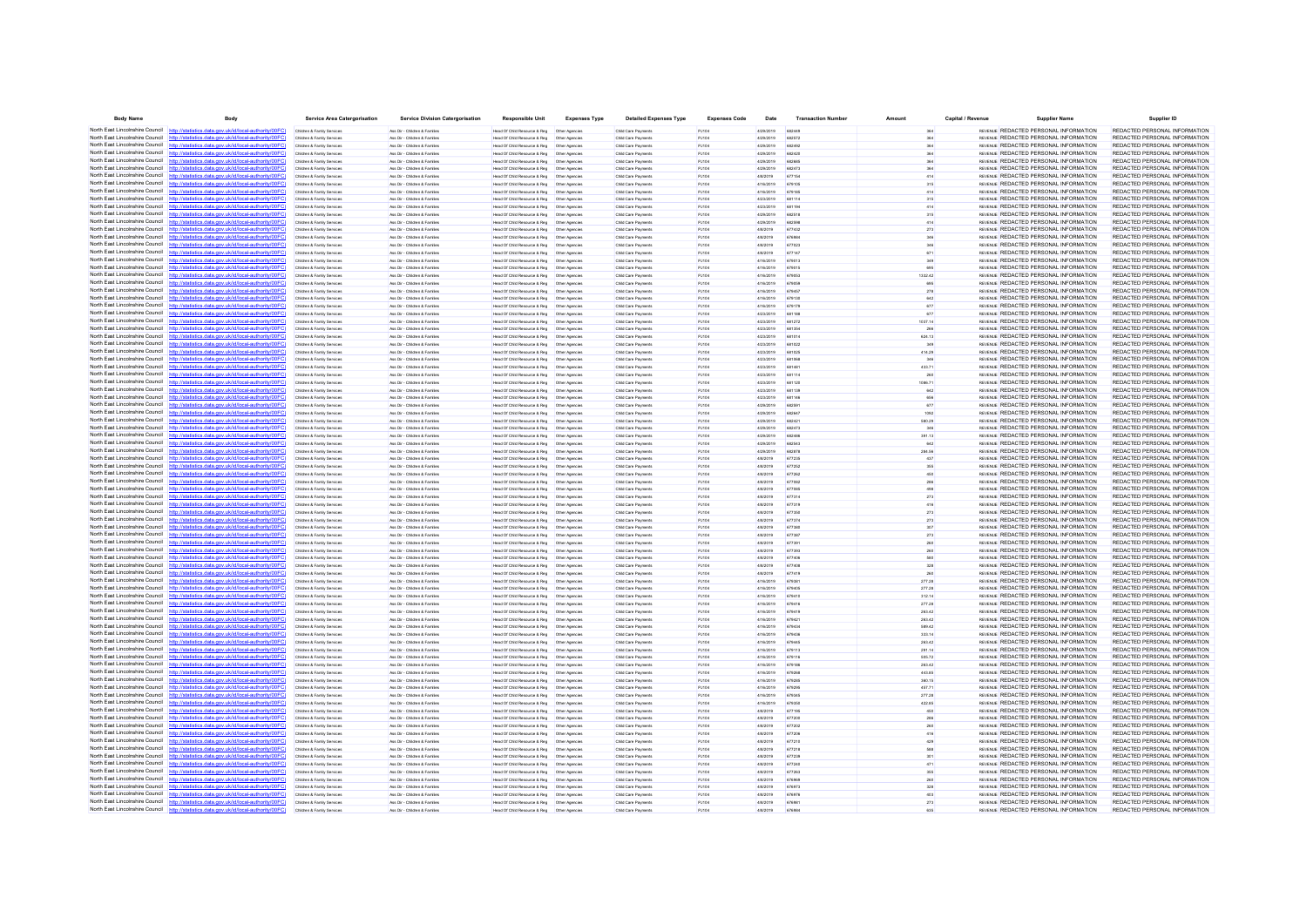| <b>Body Name</b>                              | Body                                                                                                                                                                             | <b>Service Area Catergorisation</b>                      | <b>Service Division Catergorisation</b>                       | <b>Responsible Unit</b>                                                                        | <b>Expenses Type</b> | <b>Detailed Expenses Type</b>              | <b>Expenses Code</b> | Date                   | <b>Transaction Number</b> | Amount           | Capital / Revenue | <b>Supplier Name</b>                                                                  | Supplier ID                                                    |
|-----------------------------------------------|----------------------------------------------------------------------------------------------------------------------------------------------------------------------------------|----------------------------------------------------------|---------------------------------------------------------------|------------------------------------------------------------------------------------------------|----------------------|--------------------------------------------|----------------------|------------------------|---------------------------|------------------|-------------------|---------------------------------------------------------------------------------------|----------------------------------------------------------------|
| North East Lincolnshire Council http://stati  | stics.data.gov.uk/id/local-authority/00FC)                                                                                                                                       | Children & Family Services                               | Ass Dir - Children & Familes                                  | Head Of Child Resource & Reg   Other Agencies                                                  |                      | Child Care Payments                        | PJ104                | 4/29/2019              | 682445                    |                  |                   | REVENUE REDACTED PERSONAL INFORMATION                                                 | REDACTED PERSONAL INFORMATION                                  |
|                                               | North East Lincolnshire Council http://statistics.data.gov.uk/id/local-authority/00FC                                                                                            | Children & Family Services                               | Ass Dir - Children & Familes                                  | Head Of Child Resource & Reg   Other Agencies                                                  |                      | Child Care Payments                        | PJ104                | 4/29/2019              | 682572                    |                  |                   | REVENUE REDACTED PERSONAL INFORMATION                                                 | REDACTED PERSONAL INFORMATION                                  |
|                                               | North East Lincolnshire Council http://statistics.data.gov.uk/id/local-authority/00FC)                                                                                           | Children & Family Service                                | Ass Dir - Children & Familie                                  | Head Of Child Resource & Reg                                                                   | Other Agencie        | Child Care Payment                         | PJ104                | 4/29/2019              | 682492                    |                  |                   | REVENUE REDACTED PERSONAL INFORMATION                                                 | REDACTED PERSONAL INFORMATION                                  |
|                                               | North East Lincolnshire Council http://statistics.data.gov.uk/id/local-authority/00FC)                                                                                           | Children & Family Services                               | Ass Dir - Children & Familes                                  |                                                                                                |                      | Child Care Payments                        | PJ104                | 4/29/2019              | 682420                    |                  |                   | REVENUE REDACTED PERSONAL INFORMATION                                                 | REDACTED PERSONAL INFORMATION                                  |
|                                               | North East Lincolnshire Council http://statistics.data.gov.uk/id/local-authority/00FC)<br>North East Lincolnshire Council http://statistics.data.gov.uk/id/local-authority/00FC) | Children & Family Services<br>Children & Family Services | Ass Dir - Children & Families<br>Ass Dir - Children & Familes | Head Of Child Resource & Reg<br>Head Of Child Resource & Reg   Other Agencies                  | Other Agencies       | Child Care Payments<br>Child Care Payments | PJ104<br>PJ104       | 4/29/2019<br>4/29/2019 | 682685<br>682473          |                  |                   | REVENUE REDACTED PERSONAL INFORMATION<br>REVENUE REDACTED PERSONAL INFORMATION        | REDACTED PERSONAL INFORMATION<br>REDACTED PERSONAL INFORMATION |
|                                               | North East Lincolnshire Council http://statistics.data.gov.uk/id/local-authority/00FC                                                                                            | Children & Family Service                                | Ass Dir - Children & Famille                                  | Head Of Child Resource & Reg   Other Agencie                                                   |                      | Child Care Payments                        | PJ104                | 4/8/2019               | 677154                    |                  |                   | REVENUE REDACTED PERSONAL INFORMATION                                                 | REDACTED PERSONAL INFORMATION                                  |
| North East Lincolnshire Council               | http://statistics.data.gov.uk/id/local-authority/00FC                                                                                                                            | Children & Family Service                                | Ass Dir - Children & Familie                                  | Head Of Child Resource & Reg                                                                   | Other Agencies       | Child Care Payments                        | PJ104                | 4/16/2019              | 679105                    |                  |                   | REVENUE REDACTED PERSONAL INFORMATION                                                 | REDACTED PERSONAL INFORMATION                                  |
|                                               | North East Lincolnshire Council http://statistics.data.gov.uk/id/local-authority/00FC)                                                                                           | Children & Family Services                               | Ass Dir - Children & Familes                                  | Head Of Child Resource & Reg   Other Agencies                                                  |                      | Child Care Payments                        | PJ104                | 4/16/2019              | 679185                    | 414              |                   | REVENUE REDACTED PERSONAL INFORMATION                                                 | REDACTED PERSONAL INFORMATION                                  |
|                                               | North East Lincolnshire Council http://statistics.data.gov.uk/id/local-authority/00FC                                                                                            | Children & Family Service                                | Ass Dir - Children & Famille                                  | Head Of Child Resource & Reg   Other Agencie                                                   |                      | Child Care Payments                        | PJ104                | 4/23/2019              | 681114                    |                  |                   | REVENUE REDACTED PERSONAL INFORMATION                                                 | REDACTED PERSONAL INFORMATION                                  |
| North East Lincolnshire Council               | http://statistics.data.gov.uk/id/local-authority/00FC                                                                                                                            | Children & Family Services                               | Ass Dir - Children & Famille                                  | Head Of Child Resource & Reg                                                                   | Other Agencies       | Child Care Payments                        | PJ104                | 4/23/2019              |                           |                  |                   | REVENUE REDACTED PERSONAL INFORMATION                                                 | REDACTED PERSONAL INFORMATION                                  |
|                                               | North East Lincolnshire Council http://statistics.data.gov.uk/id/local-authority/00FC)                                                                                           | Children & Family Services                               | Ass Dir - Children & Familes                                  | Head Of Child Resource & Reg   Other Agencies                                                  |                      | Child Care Payments                        | PJ104                | 4/29/2019              | 682518                    | 315              |                   | REVENUE REDACTED PERSONAL INFORMATION                                                 | REDACTED PERSONAL INFORMATION                                  |
|                                               | North East Lincolnshire Council http://statistics.data.gov.uk/id/local-authority/00FC                                                                                            | Children & Family Services                               | Ass Dir - Children & Familes                                  |                                                                                                |                      | Child Care Payments                        | PJ104                | 4/29/2019              | 682598                    | 414              |                   | REVENUE REDACTED PERSONAL INFORMATION                                                 | REDACTED PERSONAL INFORMATION                                  |
|                                               | North East Lincolnshire Council http://statistics.data.gov.uk/id/local-authority/00FC)                                                                                           | Children & Family Service                                | Ass Dir - Children & Familie                                  | Head Of Child Resource & Reg                                                                   | Other Agencie        | Child Care Payments                        | PJ104                | 4/8/2019               | 677432                    | 273              |                   | REVENUE REDACTED PERSONAL INFORMATION                                                 | REDACTED PERSONAL INFORMATION                                  |
|                                               | North East Lincolnshire Council http://statistics.data.gov.uk/id/local-authority/00FC)<br>North East Lincolnshire Council http://statistics.data.gov.uk/id/local-authority/00FC) | Children & Family Service                                | Ass Dir - Children & Famille                                  |                                                                                                |                      | Child Care Payments                        | PJ104                | 4/8/2019<br>4/8/2019   | 677023                    |                  |                   | REVENUE REDACTED PERSONAL INFORMATION<br>REVENUE REDACTED PERSONAL INFORMATION        | REDACTED PERSONAL INFORMATION<br>REDACTED PERSONAL INFORMATION |
|                                               | North East Lincolnshire Council http://statistics.data.gov.uk/id/local-authority/00FC)                                                                                           | Children & Family Services<br>Children & Family Service  | Ass Dir - Children & Familes<br>Ass Dir - Children & Familie  | Head Of Child Resource & Reg   Other Agencies<br>lead Of Child Resource & Reg                  | Other Agencie        | Child Care Payments<br>Child Care Payments | PJ104<br>PJ104       | 4/8/2019               | 677147                    | 671              |                   | REVENUE REDACTED PERSONAL INFORMATION                                                 | REDACTED PERSONAL INFORMATION                                  |
|                                               | North East Lincolnshire Council http://statistics.data.gov.uk/id/local-authority/00FC                                                                                            | Children & Family Service                                | Ass Dir - Children & Famille                                  | Head Of Child Resource & Reg   Other Agencies                                                  |                      | Child Care Payments                        | PJ104                | 4/16/2019              | 679013                    |                  |                   | REVENUE REDACTED PERSONAL INFORMATION                                                 | REDACTED PERSONAL INFORMATION                                  |
| North East Lincolnshire Council               | http://statistics.data.gov.uk/id/local-authority/00FC                                                                                                                            | Children & Family Services                               | Ass Dir - Children & Familes                                  | Head Of Child Resource & Reg                                                                   | Other Agencies       | Child Care Payments                        | PJ104                | 4/16/2019              | 679015                    |                  |                   | REVENLE REDACTED PERSONAL INFORMATION                                                 | REDACTED PERSONAL INFORMATION                                  |
|                                               | North East Lincolnshire Council http://statistics.data.gov.uk/id/local-authority/00FC)                                                                                           | Children & Family Services                               | Ass Dir - Children & Familes                                  | Head Of Child Resource & Reg   Other Agencies                                                  |                      | Child Care Payments                        | PJ104                | 4/16/2019              | 679053                    | 1332.42          |                   | REVENUE REDACTED PERSONAL INFORMATION                                                 | REDACTED PERSONAL INFORMATION                                  |
|                                               | North East Lincolnshire Council http://statistics.data.gov.uk/id/local-authority/00FC                                                                                            | Children & Family Service                                | Ass Dir - Children & Famille                                  | Head Of Child Resource & Reg                                                                   | Other Agencie        | Child Care Payments                        | PJ104                | 4/16/2019              | 679055                    |                  |                   | REVENUE REDACTED PERSONAL INFORMATION                                                 | REDACTED PERSONAL INFORMATION                                  |
| North East Lincolnshire Council               | http://statistics.data.gov.uk/id/local-authority/00FC                                                                                                                            | Children & Family Service                                | les Dir - Children & Famile                                   | Head Of Child Resource & Reg                                                                   | Other Agencie        | Child Care Payments                        | <b>PJ104</b>         | 4/16/2019              |                           | 278              |                   | REVENUE REDACTED PERSONAL INFORMATION                                                 | REDACTED PERSONAL INFORMATION                                  |
|                                               | North East Lincolnshire Council http://statistics.data.gov.uk/id/local-authority/00FC)                                                                                           | Children & Family Services                               | Ass Dir - Children & Familes                                  | Head Of Child Resource & Reg   Other Agencies                                                  |                      | Child Care Payments                        | PJ104                | 4/16/2019              | 679130                    |                  |                   | REVENLE REDACTED PERSONAL INFORMATION                                                 | REDACTED PERSONAL INFORMATION                                  |
|                                               | North East Lincolnshire Council http://statistics.data.gov.uk/id/local-authority/00FC)                                                                                           | Children & Family Services                               | Ass Dir - Children & Familes                                  |                                                                                                |                      | Child Care Payments                        | PJ104                | 4/16/2019              | 679179                    | 677              |                   | REVENUE REDACTED PERSONAL INFORMATION                                                 | REDACTED PERSONAL INFORMATION                                  |
|                                               | North East Lincolnshire Council http://statistics.data.gov.uk/id/local-authority/00FC<br>North East Lincolnshire Council http://statistics.data.gov.uk/id/local-authority/00FC)  | Children & Family Service                                | Ass Dir - Children & Famile<br>Ass Dir - Children & Familes   | Head Of Child Resource & Reg                                                                   | Other Agencie        | Child Care Payments<br>Child Care Payments | <b>PJ104</b>         | 4/23/2019<br>4/23/2019 |                           | 677<br>1037.14   |                   | REVENLE REDACTED PERSONAL INFORMATION<br>REVENUE REDACTED PERSONAL INFORMATION        | REDACTED PERSONAL INFORMATION<br>REDACTED PERSONAL INFORMATION |
|                                               | North East Lincolnshire Council http://statistics.data.gov.uk/id/local-authority/00FC                                                                                            | Children & Family Services<br>Children & Family Services | Ass Dir - Children & Families                                 | Head Of Child Resource & Reg   Other Agencies                                                  |                      | Child Care Payments                        | PJ104<br>PJ104       | 4/23/2019              | 681272<br>681354          | 266              |                   | REVENUE REDACTED PERSONAL INFORMATION                                                 | REDACTED PERSONAL INFORMATION                                  |
|                                               | North East Lincolnshire Council http://statistics.data.gov.uk/id/local-authority/00FC)                                                                                           | Children & Family Services                               | Ass Dir - Children & Familie                                  | Head Of Child Resource & Reg                                                                   | Other Agencies       | Child Care Payments                        | PJ104                | 4/23/2019              | 681014                    | 624.13           |                   | <b>REVENLE REDACTED PERSONAL INFORMATION</b>                                          | REDACTED PERSONAL INFORMATION                                  |
|                                               | North East Lincolnshire Council http://statistics.data.gov.uk/id/local-authority/00FC)                                                                                           | Children & Family Service                                | Ass Dir - Children & Famile                                   | Head Of Child Resource & Reg   Other Agencie                                                   |                      | Child Care Payments                        |                      | 4/23/2019              |                           |                  |                   | REVENUE REDACTED PERSONAL INFORMATION                                                 | REDACTED PERSONAL INFORMATION                                  |
| North East Lincolnshire Council               | http://statistics.data.gov.uk/id/local-authority/00FC                                                                                                                            | Children & Family Service                                | Ass Dir - Children & Familie                                  | Head Of Child Resource & Reg                                                                   | Other Agencies       | Child Care Payments                        | PJ104                | 4/23/2019              | 681025                    | 414.29           |                   | REVENUE REDACTED PERSONAL INFORMATION                                                 | REDACTED PERSONAL INFORMATION                                  |
|                                               | North East Lincolnshire Council http://statistics.data.gov.uk/id/local-authority/00FC)                                                                                           | Children & Family Services                               | Ass Dir - Children & Familes                                  | Head Of Child Resource & Reg   Other Agencies                                                  |                      | Child Care Payments                        | PJ104                | 4/23/2019              | 681068                    | 346              |                   | REVENUE REDACTED PERSONAL INFORMATION                                                 | REDACTED PERSONAL INFORMATION                                  |
|                                               | North East Lincolnshire Council http://statistics.data.gov.uk/id/local-authority/00FC                                                                                            | Children & Family Services                               | Ass Dir - Children & Familes                                  |                                                                                                |                      | Child Care Payments                        | P.1104               | 4/23/2019              | 681481                    | 433.71           |                   | REVENUE REDACTED PERSONAL INFORMATION                                                 | REDACTED PERSONAL INFORMATION                                  |
| North East Lincolnshire Council               | datistics data ony uk/d/bcal-authority/00FC                                                                                                                                      | Children & Family Services                               | Ass Dir - Children & Familes                                  | Head Of Child Resource & Reg   Other Agencies                                                  |                      | Child Care Payments                        | PJ104                | 4/23/2019              | 681114                    |                  |                   | REVENUE REDACTED PERSONAL INFORMATION                                                 | REDACTED PERSONAL INFORMATION                                  |
| North East Lincolnshire Council http:         | ics data nov uk/id/local-authority/00EC                                                                                                                                          | Children & Family Services                               | Ass Dir - Children & Familes                                  | Head Of Child Resource & Reg   Other Agencies                                                  |                      | Child Care Payments                        | PJ104                | 4/23/2019              | 681120                    | 1086.71          |                   | REVENUE REDACTED PERSONAL INFORMATION                                                 | REDACTED PERSONAL INFORMATION                                  |
|                                               | North East Lincolnshire Council http://statistics.data.gov.uk/id/local-authority/00FC)                                                                                           | Children & Family Services                               | Ass Dir - Children & Familes                                  | Head Of Child Resource & Reg   Other Agencies                                                  |                      | Child Care Payments                        | P.1104               | 4/23/2019              | 681139                    | 642              |                   | REVENLE REDACTED PERSONAL INFORMATION                                                 | REDACTED PERSONAL INFORMATION                                  |
|                                               | North East Lincolnshire Council http://statistics.data.gov.uk/id/local-authority/00FC<br>North East Lincolnshire Council http://statistics.data.gov.uk/id/local-authority/00FC)  |                                                          | Ass Dir - Children & Family<br>Ass Dir - Children & Familes   | lead Of Child Resource & Reg                                                                   | Other Agencie        | Child Care Payment<br>Child Care Payments  | <b>PJ104</b>         | 4/23/2019<br>4/29/2019 | 681146                    | 656              |                   | REVENUE REDACTED PERSONAL INFORMATION<br>REVENLE REDACTED PERSONAL INFORMATION        | REDACTED PERSONAL INFORMATION<br>REDACTED PERSONAL INFORMATION |
|                                               | North East Lincolnshire Council http://statistics.data.gov.uk/id/local-authority/00FC)                                                                                           | Children & Family Services<br>Children & Family Services | Ass Dir - Children & Familes                                  | Head Of Child Resource & Reg   Other Agencies<br>Head Of Child Resource & Reg   Other Agencies |                      | Child Care Payments                        | PJ104<br>PJ104       | 4/29/2019              | 68259<br>682647           | 1092             |                   | REVENUE REDACTED PERSONAL INFORMATION                                                 | REDACTED PERSONAL INFORMATION                                  |
|                                               | North East Lincolnshire Council http://statistics.data.gov.uk/id/local-authority/00FC)                                                                                           | Children & Family Services                               | Ass Dir - Children & Familie                                  | <b>Head Of Child Resource &amp; Reg</b>                                                        | Other Anencies       | Child Care Payments                        | P.1104               | 4/29/2019              | 682421                    | 580.29           |                   | <b>REVENLE REDACTED PERSONAL INFORMATION</b>                                          | REDACTED PERSONAL INFORMATION                                  |
|                                               | North East Lincolnshire Council http://statistics.data.gov.uk/id/local-authority/00FC)                                                                                           | Children & Family Service                                | Ass Dir - Children & Famile                                   | Head Of Child Resource & Reg   Other Agencie                                                   |                      | Child Care Payments                        | <b>PJ104</b>         | 4/29/2019              |                           |                  |                   | REVENUE REDACTED PERSONAL INFORMATION                                                 | REDACTED PERSONAL INFORMATION                                  |
| North East Lincolnshire Council http          | cs data gov uk/id/local-authority/00EC                                                                                                                                           | Children & Family Services                               | Ass Dir - Children & Familes                                  | Head Of Child Resource & Reg   Other Agencies                                                  |                      | Child Care Payments                        | PJ104                | 4/29/2019              | 682486                    | 391.13           |                   | REVENLE REDACTED PERSONAL INFORMATION                                                 | REDACTED PERSONAL INFORMATION                                  |
|                                               | North East Lincolnshire Council http://statistics.data.gov.uk/id/local-authority/00FC)                                                                                           | Children & Family Service                                | Ass Dir - Children & Familie                                  | Head Of Child Resource & Reg                                                                   | Other Agencie        | Child Care Payments                        | P.1104               | 4/29/2019              | 682543                    | 642              |                   | <b>REVENLE REDACTED PERSONAL INFORMATION</b>                                          | REDACTED PERSONAL INFORMATION                                  |
|                                               | North East Lincolnshire Council http://statistics.data.gov.uk/id/local-authority/00FC                                                                                            | Children & Family Service                                | Ass Dir - Children & Famile                                   | Head Of Child Resource & Reg   Other Agencie                                                   |                      | Child Care Payments                        | PJ104                | 4/29/2019              |                           | 284.56           |                   | REVENUE REDACTED PERSONAL INFORMATION                                                 | REDACTED PERSONAL INFORMATION                                  |
| North East Lincolnshire Council               | http://statistics.data.gov.uk/id/local-authority/00FC                                                                                                                            | Children & Family Services                               | Ass Dir - Children & Famille                                  | Head Of Child Resource & Reg                                                                   | Other Agencies       | Child Care Payments                        | PJ104                | 4/8/2019               | 677235                    | 437              |                   | REVENUE REDACTED PERSONAL INFORMATION                                                 | REDACTED PERSONAL INFORMATION                                  |
|                                               | North East Lincolnshire Council http://statistics.data.gov.uk/id/local-authority/00FC)                                                                                           | Children & Family Services                               | Ass Dir - Children & Familes                                  | Head Of Child Resource & Reg   Other Agencies                                                  |                      | Child Care Payments                        | PJ104                | 4/8/2019               | 677252                    | 355              |                   | REVENUE REDACTED PERSONAL INFORMATION                                                 | REDACTED PERSONAL INFORMATION                                  |
|                                               | North East Lincolnshire Council http://statistics.data.gov.uk/id/local-authority/00FC)<br>North East Lincolnshire Council http://statistics.data.gov.uk/id/local-authority/00FC  | Children & Family Services                               | Ass Dir - Children & Familes                                  |                                                                                                |                      | Child Care Payments                        | PJ104                | 4/8/2019               | 677262                    | 450              |                   | REVENUE REDACTED PERSONAL INFORMATION<br>REVENUE REDACTED PERSONAL INFORMATION        | REDACTED PERSONAL INFORMATION<br>REDACTED PERSONAL INFORMATION |
|                                               | North East Lincolnshire Council http://statistics.data.gov.uk/id/local-authority/00FC)                                                                                           | Children & Family Service<br>Children & Family Services  | Ass Dir - Children & Family<br>Ass Dir - Children & Famille   | lead Of Child Resource & Reg                                                                   | Other Agencie        | Child Care Payment<br>Child Care Payments  | PJ104<br>PJ104       | 4/8/2019<br>4/8/2019   | 677082                    |                  |                   | REVENUE REDACTED PERSONAL INFORMATION                                                 | REDACTED PERSONAL INFORMATION                                  |
|                                               | North East Lincolnshire Council http://statistics.data.gov.uk/id/local-authority/00FC)                                                                                           | Children & Family Services                               | Ass Dir - Children & Familes                                  |                                                                                                |                      | Child Care Payments                        | PJ104                | 4/8/2019               | 677314                    | 273              |                   | REVENUE REDACTED PERSONAL INFORMATION                                                 | REDACTED PERSONAL INFORMATION                                  |
|                                               | North East Lincolnshire Council http://statistics.data.gov.uk/id/local-authority/00FC)                                                                                           | Children & Family Service                                | Ass Dir - Children & Familie                                  | lead Of Child Resource & Reg                                                                   | Other Agencie        | Child Care Payments                        | PJ104                | 4/8/2019               | 677319                    | 416              |                   | REVENUE REDACTED PERSONAL INFORMATION                                                 | REDACTED PERSONAL INFORMATION                                  |
|                                               | North East Lincolnshire Council http://statistics.data.gov.uk/id/local-authority/00FC)                                                                                           | Children & Family Services                               | Ass Dir - Children & Famille                                  |                                                                                                |                      | Child Care Payments                        | PJ104                | 4/8/2019               | 677350                    | 273              |                   | REVENUE REDACTED PERSONAL INFORMATION                                                 | REDACTED PERSONAL INFORMATION                                  |
| North East Lincolnshire Council               | http://statistics.data.gov.uk/id/local-authority/00FC                                                                                                                            | Children & Family Services                               | Ass Dir - Children & Families                                 | Head Of Child Resource & Reg                                                                   | Other Agencies       | Child Care Payments                        | PJ104                | 4/8/2019               | 677374                    | 273              |                   | REVENUE REDACTED PERSONAL INFORMATION                                                 | REDACTED PERSONAL INFORMATION                                  |
|                                               | North East Lincolnshire Council http://statistics.data.gov.uk/id/local-authority/00FC)                                                                                           | Children & Family Services                               | Ass Dir - Children & Familie                                  | Head Of Child Resource & Reg                                                                   | Other Agencies       | Child Care Payments                        | PJ104                | 4/8/2019               | 677380                    | 307              |                   | REVENUE REDACTED PERSONAL INFORMATION                                                 | REDACTED PERSONAL INFORMATION                                  |
|                                               | North East Lincolnshire Council http://statistics.data.gov.uk/id/local-authority/00FC                                                                                            | Children & Family Service                                | Ass Dir - Children & Famille                                  | Head Of Child Resource & Reg                                                                   | Other Agencie        | Child Care Payments                        | PJ104                | 4/8/2019               | 677387                    |                  |                   | REVENUE REDACTED PERSONAL INFORMATION                                                 | REDACTED PERSONAL INFORMATION                                  |
| North East Lincolnshire Council               | http://statistics.data.gov.uk/id/local-authority/00FC                                                                                                                            | Children & Family Service                                | Ass Dir - Children & Familie                                  | Head Of Child Resource & Reg                                                                   | Other Agencie        | Child Care Payments                        | PJ104                | 4/8/2019               |                           |                  |                   | REVENUE REDACTED PERSONAL INFORMATION                                                 | REDACTED PERSONAL INFORMATION<br>REDACTED PERSONAL INFORMATION |
|                                               | North East Lincolnshire Council http://statistics.data.gov.uk/id/local-authority/00FC)<br>North East Lincolnshire Council http://statistics.data.gov.uk/id/local-authority/00FC  | Children & Family Services                               | Ass Dir - Children & Familes                                  | Head Of Child Resource & Reg   Other Agencies                                                  |                      | Child Care Payments                        | PJ104                | 4/8/2019               | 677393<br>677406          |                  |                   | REVENUE REDACTED PERSONAL INFORMATION<br>REVENUE REDACTED PERSONAL INFORMATION        | REDACTED PERSONAL INFORMATION                                  |
| North East Lincolnshire Council               | statistics data.gov.uk/id/local-authority/00FC                                                                                                                                   | Children & Family Service<br>Children & Family Service   | Ass Dir - Children & Famille<br>Ass Dir - Children & Famille  | Head Of Child Resource & Reg   Other Agencie<br>Head Of Child Resource & Reg                   | Other Agencies       | Child Care Payments<br>Child Care Payments | PJ104<br>PJ104       | 4/8/2019<br>4/8/2019   | 677408                    |                  |                   | REVENUE REDACTED PERSONAL INFORMATION                                                 | REDACTED PERSONAL INFORMATION                                  |
|                                               | North East Lincolnshire Council http://statistics.data.gov.uk/id/local-authority/00FC)                                                                                           | Children & Family Services                               | Ass Dir - Children & Familes                                  | Head Of Child Resource & Reg   Other Agencies                                                  |                      | Child Care Payments                        | PJ104                | 4/8/2019               | 677419                    |                  |                   | REVENUE REDACTED PERSONAL INFORMATION                                                 | REDACTED PERSONAL INFORMATION                                  |
|                                               | North East Lincolnshire Council http://statistics.data.gov.uk/id/local-authority/00FC                                                                                            | Children & Family Services                               | Ass Dir - Children & Familes                                  | Head Of Child Resource & Reg   Other Agencies                                                  |                      | Child Care Payments                        | PJ104                | 4/16/2019              | 679381                    | 277.28           |                   | REVENUE REDACTED PERSONAL INFORMATION                                                 | REDACTED PERSONAL INFORMATION                                  |
|                                               | North East Lincolnshire Council http://statistics.data.gov.uk/id/local-authority/00FC)                                                                                           | Children & Family Service                                | Ass Dir - Children & Familie                                  | Head Of Child Resource & Reg                                                                   | Other Agencie        | Child Care Payments                        | PJ104                | 4/16/2019              | 679405                    | 277.28           |                   | REVENUE REDACTED PERSONAL INFORMATION                                                 | REDACTED PERSONAL INFORMATION                                  |
|                                               | North East Lincolnshire Council http://statistics.data.gov.uk/id/local-authority/00FC)                                                                                           | Children & Family Service                                | Ass Dir - Children & Famille                                  | Head Of Child Resource & Reg  Other Agencie                                                    |                      | Child Care Payments                        | PJ104                | 4/16/2019              |                           | 312.14           |                   | REVENUE REDACTED PERSONAL INFORMATION                                                 | REDACTED PERSONAL INFORMATION                                  |
| North East Lincolnshire Council               | http://statistics.data.gov.uk/id/local-authority/00FC                                                                                                                            | Children & Family Services                               | Ass Dir - Children & Familes                                  | Head Of Child Resource & Reg                                                                   | Other Agencies       | Child Care Payments                        | PJ104                | 4/16/2019              | 679416                    | 277.28           |                   | REVENUE REDACTED PERSONAL INFORMATION                                                 | REDACTED PERSONAL INFORMATION                                  |
|                                               | North East Lincolnshire Council http://statistics.data.gov.uk/id/local-authority/00FC)                                                                                           | Children & Family Services                               | Ass Dir - Children & Familes                                  | Head Of Child Resource & Reg   Other Agencies                                                  |                      | Child Care Payments                        | PJ104                | 4/16/2019              | 679419                    | 263.42           |                   | REVENLE REDACTED PERSONAL INFORMATION                                                 | REDACTED PERSONAL INFORMATION                                  |
| North East Lincolnshire Council               | North East Lincolnshire Council http://statistics.data.gov.uk/id/local-authority/00FC                                                                                            | Children & Family Services                               | Ass Dir - Children & Familes                                  | Head Of Child Resource & Reg   Other Agencies                                                  |                      | Child Care Payments                        | PJ104                | 4/16/2019              |                           | 263.42           |                   | REVENUE REDACTED PERSONAL INFORMATION<br>REVENUE REDACTED PERSONAL INFORMATION        | REDACTED PERSONAL INFORMATION<br>REDACTED PERSONAL INFORMATION |
|                                               | North East Lincolnshire Council http://statistics.data.gov.uk/id/local-authority/00FC)                                                                                           | Children & Family Services<br>Children & Family Services | Ass Dir - Children & Families<br>Ass Dir - Children & Familes | Head Of Child Resource & Reg   Other Agencies<br>Head Of Child Resource & Reg   Other Agencies |                      | Child Care Payments<br>Child Care Payments | PJ104<br>PJ104       | 4/16/2019<br>4/16/2019 | 679434<br>679436          | 589.42<br>333.14 |                   | REVENUE REDACTED PERSONAL INFORMATION                                                 | REDACTED PERSONAL INFORMATION                                  |
|                                               | North East Lincolnshire Council http://statistics.data.gov.uk/id/local-authority/00FC)                                                                                           | Children & Family Service                                | Ass Dir - Children & Famille                                  | Head Of Child Resource & Reg.  Other Agencies                                                  |                      | Child Care Payments                        | PJ104                | 4/16/2019              | 679445                    | 263.42           |                   | REVENUE REDACTED PERSONAL INFORMATION                                                 | REDACTED PERSONAL INFORMATION                                  |
|                                               | North East Lincolnshire Council http://statistics.data.gov.uk/id/local-authority/00FC                                                                                            | Children & Family Service                                | Ass Dir - Children & Famile                                   | Head Of Child Resource & Reg                                                                   | Other Agencies       | Child Care Payments                        | PJ104                | 4/16/2019              |                           | 291.14           |                   | REVENUE REDACTED PERSONAL INFORMATION                                                 | REDACTED PERSONAL INFORMATION                                  |
|                                               | North East Lincolnshire Council http://statistics.data.gov.uk/id/local-authority/00FC)                                                                                           | Children & Family Services                               | Ass Dir - Children & Familes                                  |                                                                                                |                      | Child Care Payments                        | PJ104                | 4/16/2019              | 679116                    | 505.72           |                   | REVENLE REDACTED PERSONAL INFORMATION                                                 | REDACTED PERSONAL INFORMATION                                  |
|                                               | North East Lincolnshire Council http://statistics.data.gov.uk/id/local-authority/00FC)                                                                                           | Children & Family Services                               | Ass Dir - Children & Familes                                  | Head Of Child Resource & Reg   Other Agencies                                                  |                      | Child Care Payments                        | PJ104                | 4/16/2019              | 679186                    | 263.42           |                   | REVENUE REDACTED PERSONAL INFORMATION                                                 | REDACTED PERSONAL INFORMATION                                  |
|                                               | North East Lincolnshire Council http://statistics.data.gov.uk/id/local-authority/00FC)                                                                                           | Children & Family Service                                | Ass Dir - Children & Familie                                  | Head Of Child Resource & Reg                                                                   | Other Agencie        | Child Care Payments                        | PJ104                | 4/16/2019              | 679268                    | 443.85           |                   | REVENUE REDACTED PERSONAL INFORMATION                                                 | REDACTED PERSONAL INFORMATION                                  |
|                                               | North East Lincolnshire Council http://statistics.data.gov.uk/id/local-authority/00FC                                                                                            | Children & Family Services                               | Ass Dir - Children & Familes                                  | Head Of Child Resource & Reg   Other Agencies                                                  |                      | Child Care Payments                        | PJ104                | 4/16/2019              | 679285                    | 360.15           |                   | REVENLE REDACTED PERSONAL INFORMATION                                                 | REDACTED PERSONAL INFORMATION                                  |
| North East Lincolnshire Council http          | cs data nov uk/id/local-authority/00EC                                                                                                                                           | Children & Family Services                               | Ass Dir - Children & Familes                                  | Head Of Child Resource & Reg   Other Agencies                                                  |                      | Child Care Payments                        | PJ104                | 4/16/2019              | 679295                    | 457.71           |                   | REVENLE REDACTED PERSONAL INFORMATION                                                 | REDACTED PERSONAL INFORMATION                                  |
|                                               | North East Lincolnshire Council http://statistics.data.gov.uk/id/local-authority/00FC                                                                                            | Children & Family Service                                | Ass Dir - Children & Familie                                  | Head Of Child Resource & Reg                                                                   | Other Agencie        | Child Care Payments                        | PJ104                | 4/16/2019              | 679345                    | 277.28           |                   | REVENUE REDACTED PERSONAL INFORMATION                                                 | REDACTED PERSONAL INFORMATION                                  |
| North East Lincolnshire Council               | North East Lincolnshire Council http://statistics.data.gov.uk/id/local-authority/00FC)<br>http://statistics.data.gov.uk/id/local-authority/00FC                                  | Children & Family Service                                | Ass Dir - Children & Famille<br>Ass Dir - Children & Familie  | Head Of Child Resource & Reg   Other Agencie                                                   |                      | Child Care Payments                        | PJ104                | 4/16/2019<br>4/8/2019  | 677195                    | 422.85<br>450    |                   | REVENUE REDACTED PERSONAL INFORMATION<br>REVENUE REDACTED PERSONAL INFORMATION        | REDACTED PERSONAL INFORMATION<br>REDACTED PERSONAL INFORMATION |
|                                               | North East Lincolnshire Council http://statistics.data.gov.uk/id/local-authority/00FC)                                                                                           | Children & Family Services<br>Children & Family Services | Ass Dir - Children & Familes                                  | Head Of Child Resource & Reg<br>Head Of Child Resource & Reg   Other Agencies                  | Other Agencies       | Child Care Payments<br>Child Care Payments | PJ104                | 4/8/2019               | 677200                    | 286              |                   | REVENUE REDACTED PERSONAL INFORMATION                                                 | REDACTED PERSONAL INFORMATION                                  |
|                                               | North East Lincolnshire Council http://statistics.data.gov.uk/id/local-authority/00FC                                                                                            | Children & Family Service                                | Ass Dir - Children & Famille                                  |                                                                                                |                      | Child Care Payments                        | P.1104               | 4/8/2019               | 677202                    |                  |                   | <b>REVENUE REDACTED PERSONAL INFORMATION</b>                                          | REDACTED PERSONAL INFORMATION                                  |
|                                               | North East Lincolnshire Council http://statistics.data.gov.uk/id/local-authority/00FC                                                                                            | Children & Family Service                                | les Dir - Children & Famile                                   | Head Of Child Resource & Reg                                                                   | Other Agencie        | Child Care Payments                        | PJ104                | 4/8/2019               | 677206                    | 416              |                   | REVENUE REDACTED PERSONAL INFORMATION                                                 | REDACTED PERSONAL INFORMATION                                  |
| North East Lincolnshire Council http://stat   | tics.data.gov.uk/id/local-authority/00FC)                                                                                                                                        | Children & Family Services                               | Ass Dir - Children & Families                                 | Head Of Child Resource & Reg   Other Agencies                                                  |                      | Child Care Payments                        | PJ104                | 4/8/2019               | 677210                    | 429              |                   | REVENUE REDACTED PERSONAL INFORMATION                                                 | REDACTED PERSONAL INFORMATION                                  |
|                                               | North East Lincolnshire Council http://statistics.data.gov.uk/id/local-authority/00FC                                                                                            | Children & Family Services                               | Ass Dir - Children & Familes                                  | Head Of Child Resource & Reg   Other Agencies                                                  |                      | Child Care Payments                        | P.1104               | 4/8/2019               | 677218                    |                  |                   | <b>REVENUE REDACTED PERSONAL INFORMATION</b>                                          | REDACTED PERSONAL INFORMATION                                  |
|                                               | North East Lincolnshire Council http://statistics.data.gov.uk/id/local-authority/00FC                                                                                            |                                                          | les Dir - Children & Famile                                   | lead Of Child Resource & Reg                                                                   | Other Agencie        | Child Care Payment                         | PJ104                | 4/8/2019               | 677239                    |                  |                   | REVENUE REDACTED PERSONAL INFORMATION                                                 | REDACTED PERSONAL INFORMATION                                  |
|                                               | North East Lincolnshire Council http://statistics.data.gov.uk/id/local-authority/00FC)                                                                                           | Children & Family Services                               | Ass Dir - Children & Familes                                  | Head Of Child Resource & Reg   Other Agencies                                                  |                      | Child Care Payments                        | PJ104                | 4/8/2019               | 677240                    |                  |                   | REVENUE REDACTED PERSONAL INFORMATION                                                 | REDACTED PERSONAL INFORMATION                                  |
| North East Lincolnshire Council               | http://statistics.data.gov.uk/id/local-authority/00FC<br>North East Lincolnshire Council http://statistics.data.gov.uk/id/local-authority/00FC                                   | Children & Family Services                               | Ass Dir - Children & Familes<br>Ass Dir - Children & Familie  | Head Of Child Resource & Reg   Other Agencies                                                  |                      | Child Care Payments<br>Child Care Payments | PJ104                | 4/8/2019<br>4/8/2019   | 677263                    |                  |                   | REVENUE REDACTED PERSONAL INFORMATION<br><b>REVENUE REDACTED PERSONAL INFORMATION</b> | REDACTED PERSONAL INFORMATION<br>REDACTED PERSONAL INFORMATION |
|                                               | North East Lincolnshire Council http://statistics.data.gov.uk/id/local-authority/00FC)                                                                                           | Children & Family Service<br>Children & Family Service   | Ass Dir - Children & Famile                                   | Head Of Child Resource & Reg   Other Agencie                                                   |                      | Child Care Payment                         | P.1104<br>PJ104      | 4/8/2019               | <b>A7RORE</b>             |                  |                   | REVENUE REDACTED PERSONAL INFORMATION                                                 | REDACTED PERSONAL INFORMATION                                  |
| North East Lincolnshire Council               | http://statistics.data.gov.uk/id/local-authority/00FC                                                                                                                            | Children & Family Service                                | Ass Dir - Children & Famille                                  | Head Of Child Resource & Reg   Other Agencies                                                  |                      | Child Care Payments                        | PJ104                | 4/8/2019               |                           |                  |                   | REVENUE REDACTED PERSONAL INFORMATION                                                 | REDACTED PERSONAL INFORMATION                                  |
|                                               | North East Lincolnshire Council http://statistics.data.gov.uk/id/local-authority/00FC)                                                                                           | Children & Family Services                               | Ass Dir - Children & Families                                 | Head Of Child Resource & Reg   Other Agencies                                                  |                      | Child Care Payments                        | P.1104               | 4/8/2019               | 676981                    |                  |                   | REVENUE REDACTED PERSONAL INFORMATION                                                 | REDACTED PERSONAL INFORMATION                                  |
| North East Lincolnshire Council http://statis |                                                                                                                                                                                  |                                                          | Ass Dir - Children & Famille                                  | Head Of Child Resource & Reg.  Other Agencie                                                   |                      | Child Care Payment                         |                      | 4/8/2019               |                           |                  |                   | REVENUE REDACTED PERSONAL INFORMATION                                                 | REDACTED PERSONAL INFORMATION                                  |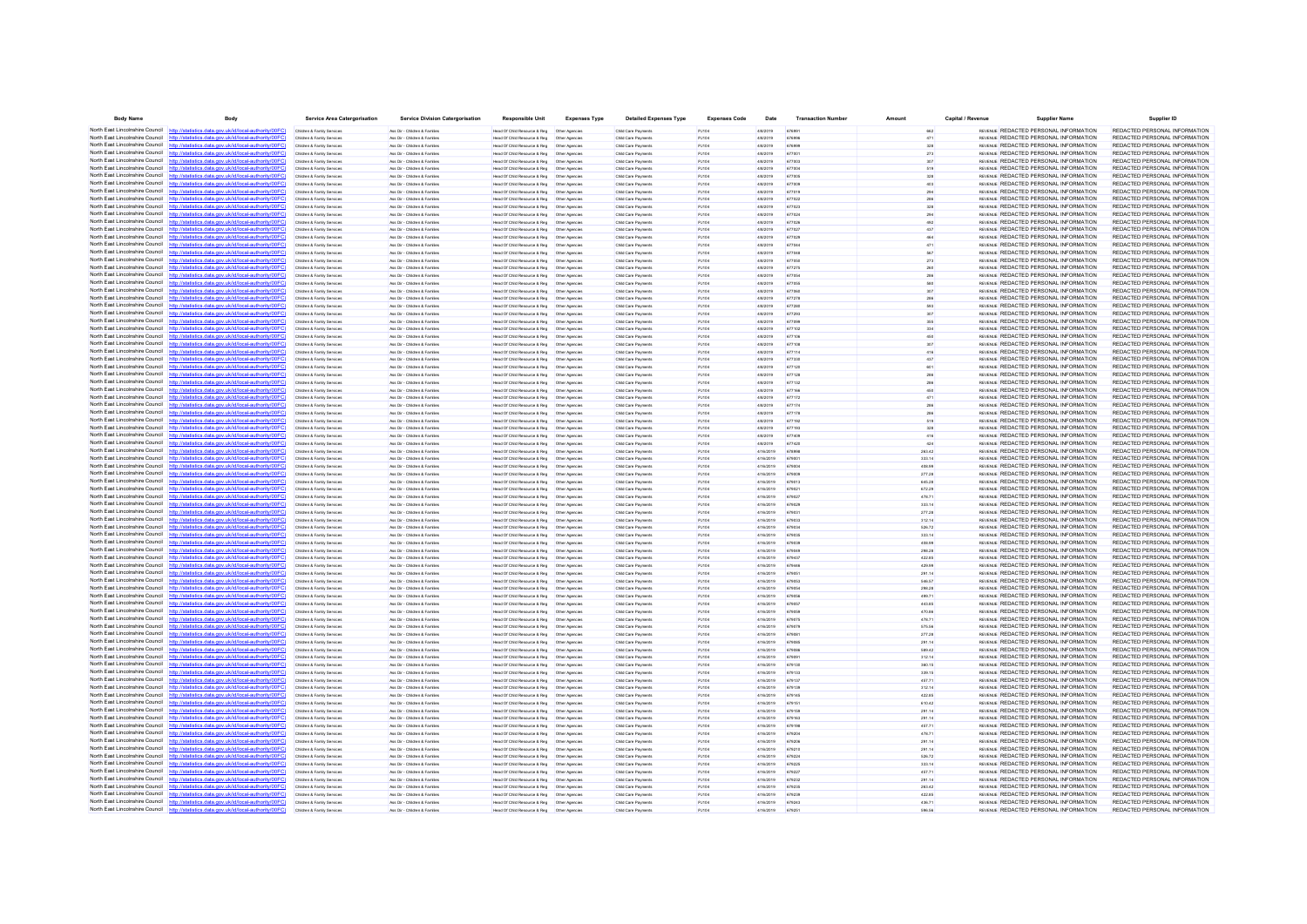| <b>Body Name</b>                              | Body                                                                                                                                                                             | <b>Service Area Catergorisation</b>                      | <b>Service Division Catergorisation</b>                       | <b>Responsible Unit</b>                                                                        | <b>Expenses Type</b> | <b>Detailed Expenses Type</b>              | <b>Expenses Code</b>  | Date                   | <b>Transaction Number</b> | Amount           | Capital / Revenue | <b>Supplier Name</b>                                                                  | Supplier ID                                                    |
|-----------------------------------------------|----------------------------------------------------------------------------------------------------------------------------------------------------------------------------------|----------------------------------------------------------|---------------------------------------------------------------|------------------------------------------------------------------------------------------------|----------------------|--------------------------------------------|-----------------------|------------------------|---------------------------|------------------|-------------------|---------------------------------------------------------------------------------------|----------------------------------------------------------------|
| North East Lincolnshire Council http://stati  | stics.data.gov.uk/id/local-authority/00FC)                                                                                                                                       | Children & Family Services                               | Ass Dir - Children & Familes                                  | Head Of Child Resource & Reg   Other Agencies                                                  |                      | Child Care Payments                        | PJ104                 | 4/8/2019               | 676991                    | 662              |                   | REVENUE REDACTED PERSONAL INFORMATION                                                 | REDACTED PERSONAL INFORMATION                                  |
|                                               | North East Lincolnshire Council http://statistics.data.gov.uk/id/local-authority/00FC                                                                                            | Children & Family Services                               | Ass Dir - Children & Familes                                  | Head Of Child Resource & Reg   Other Agencies                                                  |                      | Child Care Payments                        | PJ104                 | 4/8/2019               | 676996                    |                  |                   | REVENUE REDACTED PERSONAL INFORMATION                                                 | REDACTED PERSONAL INFORMATION                                  |
|                                               | North East Lincolnshire Council http://statistics.data.gov.uk/id/local-authority/00FC)                                                                                           | Children & Family Service                                | Ass Dir - Children & Familie                                  | Head Of Child Resource & Reg                                                                   | Other Agencie        | Child Care Payment                         | PJ104                 | 4/8/2019               | 676999                    | 328              |                   | REVENUE REDACTED PERSONAL INFORMATION                                                 | REDACTED PERSONAL INFORMATION                                  |
|                                               | North East Lincolnshire Council http://statistics.data.gov.uk/id/local-authority/00FC)                                                                                           | Children & Family Services                               | Ass Dir - Children & Familes                                  |                                                                                                |                      | Child Care Payments                        | PJ104                 | 4/8/2019               |                           |                  |                   | REVENUE REDACTED PERSONAL INFORMATION                                                 | REDACTED PERSONAL INFORMATION                                  |
|                                               | North East Lincolnshire Council http://statistics.data.gov.uk/id/local-authority/00FC)<br>North East Lincolnshire Council http://statistics.data.gov.uk/id/local-authority/00FC) | Children & Family Services<br>Children & Family Services | Ass Dir - Children & Families<br>Ass Dir - Children & Familes | Head Of Child Resource & Reg<br>Head Of Child Resource & Reg   Other Agencies                  | Other Agencies       | Child Care Payments<br>Child Care Payments | PJ104<br>PJ104        | 4/8/2019<br>4/8/2019   | 677003<br>677004          | 307<br>519       |                   | REVENUE REDACTED PERSONAL INFORMATION<br>REVENUE REDACTED PERSONAL INFORMATION        | REDACTED PERSONAL INFORMATION<br>REDACTED PERSONAL INFORMATION |
|                                               | North East Lincolnshire Council http://statistics.data.gov.uk/id/local-authority/00FC                                                                                            | Children & Family Service                                | Ass Dir - Children & Famille                                  | Head Of Child Resource & Reg   Other Agencie                                                   |                      | Child Care Payments                        | PJ104                 | 4/8/2019               | 677005                    |                  |                   | REVENUE REDACTED PERSONAL INFORMATION                                                 | REDACTED PERSONAL INFORMATION                                  |
| North East Lincolnshire Council               | http://statistics.data.gov.uk/id/local-authority/00FC                                                                                                                            | Children & Family Service                                | Ass Dir - Children & Familie                                  | Head Of Child Resource & Reg                                                                   | Other Agencies       | Child Care Payments                        | <b>PJ104</b>          | 4/8/2019               | 677009                    |                  |                   | REVENUE REDACTED PERSONAL INFORMATION                                                 | REDACTED PERSONAL INFORMATION                                  |
|                                               | North East Lincolnshire Council http://statistics.data.gov.uk/id/local-authority/00FC)                                                                                           | Children & Family Services                               | Ass Dir - Children & Familes                                  | Head Of Child Resource & Reg   Other Agencies                                                  |                      | Child Care Payments                        | PJ104                 | 4/8/2019               | 677019                    | 294              |                   | REVENUE REDACTED PERSONAL INFORMATION                                                 | REDACTED PERSONAL INFORMATION                                  |
|                                               | North East Lincolnshire Council http://statistics.data.gov.uk/id/local-authority/00FC                                                                                            | Children & Family Service                                | Ass Dir - Children & Famille                                  | Head Of Child Resource & Reg   Other Agencie                                                   |                      | Child Care Payments                        | PJ104                 | 4/8/2019               | 677022                    |                  |                   | REVENUE REDACTED PERSONAL INFORMATION                                                 | REDACTED PERSONAL INFORMATION                                  |
| North East Lincolnshire Council               | http://statistics.data.gov.uk/id/local-authority/00FC                                                                                                                            | Children & Family Services                               | Ass Dir - Children & Famille                                  | Head Of Child Resource & Reg                                                                   | Other Agencies       | Child Care Payments                        | <b>PJ104</b>          | 4/8/2019               | 577023                    |                  |                   | REVENUE REDACTED PERSONAL INFORMATION                                                 | REDACTED PERSONAL INFORMATION                                  |
|                                               | North East Lincolnshire Council http://statistics.data.gov.uk/id/local-authority/00FC)                                                                                           | Children & Family Services                               | Ass Dir - Children & Familes                                  | Head Of Child Resource & Reg   Other Agencies                                                  |                      | Child Care Payments                        | PJ104                 | 4/8/2019               | 677024                    |                  |                   | REVENUE REDACTED PERSONAL INFORMATION                                                 | REDACTED PERSONAL INFORMATION                                  |
|                                               | North East Lincolnshire Council http://statistics.data.gov.uk/id/local-authority/00FC                                                                                            | Children & Family Services                               | Ass Dir - Children & Familes                                  |                                                                                                |                      | Child Care Payments                        | PJ104                 | 4/8/2019               | 677026                    | 492              |                   | REVENUE REDACTED PERSONAL INFORMATION                                                 | REDACTED PERSONAL INFORMATION                                  |
|                                               | North East Lincolnshire Council http://statistics.data.gov.uk/id/local-authority/00FC)                                                                                           | Children & Family Service                                | Ass Dir - Children & Familie                                  | Head Of Child Resource & Reg                                                                   | Other Agencie        | Child Care Payment                         | PJ104                 | 4/8/2019               | 677027                    | 437              |                   | REVENUE REDACTED PERSONAL INFORMATION                                                 | REDACTED PERSONAL INFORMATION                                  |
|                                               | North East Lincolnshire Council http://statistics.data.gov.uk/id/local-authority/00FC)<br>North East Lincolnshire Council http://statistics.data.gov.uk/id/local-authority/00FC) | Children & Family Service                                | Ass Dir - Children & Famille                                  |                                                                                                |                      | Child Care Payments                        | PJ104                 | 4/8/2019               | 677044                    | 471              |                   | REVENUE REDACTED PERSONAL INFORMATION<br>REVENUE REDACTED PERSONAL INFORMATION        | REDACTED PERSONAL INFORMATION<br>REDACTED PERSONAL INFORMATION |
|                                               | North East Lincolnshire Council http://statistics.data.gov.uk/id/local-authority/00FC)                                                                                           | Children & Family Services<br>Children & Family Service  | Ass Dir - Children & Familes<br>Ass Dir - Children & Familie  | Head Of Child Resource & Reg   Other Agencies<br>lead Of Child Resource & Reg                  | Other Agencie        | Child Care Payments<br>Child Care Payments | PJ104<br>PJ104        | 4/8/2019<br>4/8/2019   | 677048                    |                  |                   | REVENUE REDACTED PERSONAL INFORMATION                                                 | REDACTED PERSONAL INFORMATION                                  |
|                                               | North East Lincolnshire Council http://statistics.data.gov.uk/id/local-authority/00FC                                                                                            | Children & Family Service                                | Ass Dir - Children & Famille                                  | Head Of Child Resource & Reg   Other Agencies                                                  |                      | Child Care Payments                        | PJ104                 | 4/8/2019               |                           |                  |                   | REVENUE REDACTED PERSONAL INFORMATION                                                 | REDACTED PERSONAL INFORMATION                                  |
| North East Lincolnshire Council               | http://statistics.data.gov.uk/id/local-authority/00FC                                                                                                                            | Children & Family Services                               | Ass Dir - Children & Familes                                  | Head Of Child Resource & Reg                                                                   | Other Agencies       | Child Care Payments                        | PJ104                 | 4/8/2019               | 677275                    |                  |                   | REVENUE REDACTED PERSONAL INFORMATION                                                 | REDACTED PERSONAL INFORMATION                                  |
|                                               | North East Lincolnshire Council http://statistics.data.gov.uk/id/local-authority/00FC)                                                                                           | Children & Family Services                               | Ass Dir - Children & Familes                                  | Head Of Child Resource & Reg   Other Agencies                                                  |                      | Child Care Payments                        | PJ104                 | 4/8/2019               | 677054                    | 286              |                   | REVENUE REDACTED PERSONAL INFORMATION                                                 | REDACTED PERSONAL INFORMATION                                  |
|                                               | North East Lincolnshire Council http://statistics.data.gov.uk/id/local-authority/00FC                                                                                            | Children & Family Service                                | Ass Dir - Children & Famille                                  | Head Of Child Resource & Reg                                                                   | Other Agencie        | Child Care Payments                        | PJ104                 | 4/8/2019               | 677055                    |                  |                   | REVENUE REDACTED PERSONAL INFORMATION                                                 | REDACTED PERSONAL INFORMATION                                  |
| North East Lincolnshire Council               | http://statistics.data.gov.uk/id/local-authority/00FC                                                                                                                            | Children & Family Service                                | les Dir - Children & Famile                                   | Head Of Child Resource & Reg                                                                   | Other Agencie        | Child Care Payments                        | <b>PJ104</b>          | 4/8/2019               |                           |                  |                   | REVENUE REDACTED PERSONAL INFORMATION                                                 | REDACTED PERSONAL INFORMATION                                  |
|                                               | North East Lincolnshire Council http://statistics.data.gov.uk/id/local-authority/00FC)                                                                                           | Children & Family Services                               | Ass Dir - Children & Familes                                  | Head Of Child Resource & Reg   Other Agencies                                                  |                      | Child Care Payments                        | PJ104                 | 4/8/2019               | 677278                    |                  |                   | REVENUE REDACTED PERSONAL INFORMATION                                                 | REDACTED PERSONAL INFORMATION                                  |
|                                               | North East Lincolnshire Council http://statistics.data.gov.uk/id/local-authority/00FC)<br>North East Lincolnshire Council http://statistics.data.gov.uk/id/local-authority/00FC  | Children & Family Services                               | Ass Dir - Children & Familes                                  |                                                                                                |                      | Child Care Payments                        | PJ104                 | 4/8/2019               | 677280                    | 593              |                   | REVENUE REDACTED PERSONAL INFORMATION                                                 | REDACTED PERSONAL INFORMATION                                  |
|                                               | North East Lincolnshire Council http://statistics.data.gov.uk/id/local-authority/00FC)                                                                                           | Children & Family Service<br>Children & Family Services  | Ass Dir - Children & Famile<br>Ass Dir - Children & Familes   | Head Of Child Resource & Reg<br>Head Of Child Resource & Reg   Other Agencies                  | Other Agencie        | Child Care Payments<br>Child Care Payments | <b>PJ104</b><br>PJ104 | 4/8/2019<br>4/8/2019   | 677099                    |                  |                   | REVENUE REDACTED PERSONAL INFORMATION<br>REVENUE REDACTED PERSONAL INFORMATION        | REDACTED PERSONAL INFORMATION<br>REDACTED PERSONAL INFORMATION |
|                                               | North East Lincolnshire Council http://statistics.data.gov.uk/id/local-authority/00FC                                                                                            | Children & Family Services                               | Ass Dir - Children & Families                                 | Head Of Child Resource & Reg   Other Agencies                                                  |                      | Child Care Payments                        | PJ104                 | 4/8/2019               | 677102                    | 334              |                   | REVENUE REDACTED PERSONAL INFORMATION                                                 | REDACTED PERSONAL INFORMATION                                  |
|                                               | North East Lincolnshire Council http://statistics.data.gov.uk/id/local-authority/00FC)                                                                                           | Children & Family Services                               | Ass Dir - Children & Familie                                  | Head Of Child Resource & Reg                                                                   | Other Agencie        | Child Care Payments                        | PJ104                 | 4/8/2019               | 677106                    | 450              |                   | <b>REVENUE REDACTED PERSONAL INFORMATION</b>                                          | REDACTED PERSONAL INFORMATION                                  |
|                                               | North East Lincolnshire Council http://statistics.data.gov.uk/id/local-authority/00FC)                                                                                           | Children & Family Service                                | Ass Dir - Children & Famile                                   | Head Of Child Resource & Reg   Other Agencie                                                   |                      | Child Care Payments                        |                       | 4/8/2019               |                           |                  |                   | REVENUE REDACTED PERSONAL INFORMATION                                                 | REDACTED PERSONAL INFORMATION                                  |
| North East Lincolnshire Council               | http://statistics.data.gov.uk/id/local-authority/00FC                                                                                                                            | Children & Family Service                                | Ass Dir - Children & Familie                                  | Head Of Child Resource & Reg                                                                   | Other Agencies       | Child Care Payments                        | PJ104                 | 4/8/2019               | 677114                    | 416              |                   | REVENUE REDACTED PERSONAL INFORMATION                                                 | REDACTED PERSONAL INFORMATION                                  |
|                                               | North East Lincolnshire Council http://statistics.data.gov.uk/id/local-authority/00FC)                                                                                           | Children & Family Services                               | Ass Dir - Children & Familes                                  | Head Of Child Resource & Reg   Other Agencies                                                  |                      | Child Care Payments                        | PJ104                 | 4/8/2019               | 677330                    | 437              |                   | REVENUE REDACTED PERSONAL INFORMATION                                                 | REDACTED PERSONAL INFORMATION                                  |
|                                               | North East Lincolnshire Council http://statistics.data.gov.uk/id/local-authority/00FC                                                                                            | Children & Family Services                               | Ass Dir - Children & Familes                                  |                                                                                                |                      | Child Care Payments                        | P.1104                | 4/8/2019               | 677120                    |                  |                   | REVENUE REDACTED PERSONAL INFORMATION                                                 | REDACTED PERSONAL INFORMATION                                  |
| North East Lincolnshire Council               | datistics data ony uk/d/bcal-authority/00FC                                                                                                                                      | Children & Family Services                               | Ass Dir - Children & Familes                                  | Head Of Child Resource & Reg   Other Agencies                                                  |                      | Child Care Payments                        | PJ104                 | 4/8/2019               | 677128                    |                  |                   | REVENUE REDACTED PERSONAL INFORMATION                                                 | REDACTED PERSONAL INFORMATION                                  |
| North East Lincolnshire Council http:         | ics data nov uk/id/local-authority/00EC                                                                                                                                          | Children & Family Services                               | Ass Dir - Children & Familes                                  | Head Of Child Resource & Reg   Other Agencies                                                  |                      | Child Care Payments                        | PJ104                 | 4/8/2019               | 677132                    |                  |                   | REVENUE REDACTED PERSONAL INFORMATION                                                 | REDACTED PERSONAL INFORMATION                                  |
|                                               | North East Lincolnshire Council http://statistics.data.gov.uk/id/local-authority/00FC)<br>North East Lincolnshire Council http://statistics.data.gov.uk/id/local-authority/00FC  | Children & Family Services                               | Ass Dir - Children & Familes                                  | Head Of Child Resource & Reg   Other Agencies                                                  |                      | Child Care Payments                        | PJ104                 | 4/8/2019               | 677166<br>677172          |                  |                   | <b>REVENUE REDACTED PERSONAL INFORMATION</b><br>REVENUE REDACTED PERSONAL INFORMATION | REDACTED PERSONAL INFORMATION<br>REDACTED PERSONAL INFORMATION |
|                                               | North East Lincolnshire Council http://statistics.data.gov.uk/id/local-authority/00FC)                                                                                           | Children & Family Services                               | les Dir - Children & Family<br>Ass Dir - Children & Familes   | lead Of Child Resource & Reg<br>Head Of Child Resource & Reg   Other Agencies                  | Other Agencie        | Child Care Payment<br>Child Care Payments  | <b>PJ104</b><br>PJ104 | 4/8/2019<br>4/8/2019   | 677174                    |                  |                   | REVENUE REDACTED PERSONAL INFORMATION                                                 | REDACTED PERSONAL INFORMATION                                  |
|                                               | North East Lincolnshire Council http://statistics.data.gov.uk/id/local-authority/00FC)                                                                                           | Children & Family Services                               | Ass Dir - Children & Familes                                  | Head Of Child Resource & Reg   Other Agencies                                                  |                      | Child Care Payments                        | PJ104                 | 4/8/2019               | 677178                    |                  |                   | REVENUE REDACTED PERSONAL INFORMATION                                                 | REDACTED PERSONAL INFORMATION                                  |
|                                               | North East Lincolnshire Council http://statistics.data.gov.uk/id/local-authority/00FC)                                                                                           | Children & Family Services                               | Ass Dir - Children & Familie                                  | <b>Head Of Child Resource &amp; Reg</b>                                                        | Other Anencies       | Child Care Payments                        | P.1104                | 4/8/2019               | 677192                    | 519              |                   | <b>REVENUE REDACTED PERSONAL INFORMATION</b>                                          | REDACTED PERSONAL INFORMATION                                  |
|                                               | North East Lincolnshire Council http://statistics.data.gov.uk/id/local-authority/00FC)                                                                                           | Children & Family Service                                | Ass Dir - Children & Famile                                   | Head Of Child Resource & Reg   Other Agencie                                                   |                      | Child Care Payments                        | <b>PJ104</b>          | 4/8/2019               |                           |                  |                   | REVENUE REDACTED PERSONAL INFORMATION                                                 | REDACTED PERSONAL INFORMATION                                  |
| North East Lincolnshire Council http          | cs data gov uk/id/local-authority/00EC                                                                                                                                           | Children & Family Services                               | Ass Dir - Children & Familes                                  | Head Of Child Resource & Reg   Other Agencies                                                  |                      | Child Care Payments                        | PJ104                 | 4/8/2019               | 677409                    | 416              |                   | REVENUE REDACTED PERSONAL INFORMATION                                                 | REDACTED PERSONAL INFORMATION                                  |
|                                               | North East Lincolnshire Council http://statistics.data.gov.uk/id/local-authority/00FC)                                                                                           | Children & Family Service                                | Ass Dir - Children & Familie                                  | Head Of Child Resource & Reg                                                                   | Other Agencie        | Child Care Payments                        | P.1104                | 4/8/2019               | 677420                    | 424              |                   | <b>REVENUE REDACTED PERSONAL INFORMATION</b>                                          | REDACTED PERSONAL INFORMATION                                  |
|                                               | North East Lincolnshire Council http://statistics.data.gov.uk/id/local-authority/00FC                                                                                            | Children & Family Service                                | Ass Dir - Children & Famile                                   | Head Of Child Resource & Reg   Other Agencie                                                   |                      | Child Care Payments                        | PJ104                 | 4/16/2019              |                           | 263.42           |                   | REVENUE REDACTED PERSONAL INFORMATION                                                 | REDACTED PERSONAL INFORMATION                                  |
| North East Lincolnshire Council               | http://statistics.data.gov.uk/id/local-authority/00FC                                                                                                                            | Children & Family Services                               | Ass Dir - Children & Famille                                  | Head Of Child Resource & Reg                                                                   | Other Agencies       | Child Care Payments                        | PJ104                 | 4/16/2019              | 67900                     | 333.14           |                   | REVENUE REDACTED PERSONAL INFORMATION                                                 | REDACTED PERSONAL INFORMATION                                  |
|                                               | North East Lincolnshire Council http://statistics.data.gov.uk/id/local-authority/00FC)<br>North East Lincolnshire Council http://statistics.data.gov.uk/id/local-authority/00FC) | Children & Family Services<br>Children & Family Services | Ass Dir - Children & Familes                                  | Head Of Child Resource & Reg   Other Agencies                                                  |                      | Child Care Payments                        | PJ104<br>PJ104        | 4/16/2019<br>4/16/2019 | 679004                    | 408.99           |                   | REVENUE REDACTED PERSONAL INFORMATION<br>REVENUE REDACTED PERSONAL INFORMATION        | REDACTED PERSONAL INFORMATION<br>REDACTED PERSONAL INFORMATION |
|                                               | North East Lincolnshire Council http://statistics.data.gov.uk/id/local-authority/00FC                                                                                            | Children & Family Service                                | Ass Dir - Children & Familes<br>Ass Dir - Children & Family   | Head Of Child Resource & Reg   Other Agencies<br>lead Of Child Resource & Reg                  | Other Agencie        | Child Care Payments<br>Child Care Payment  | PJ104                 | 4/16/2019              | 679009                    | 277.28<br>645.28 |                   | REVENUE REDACTED PERSONAL INFORMATION                                                 | REDACTED PERSONAL INFORMATION                                  |
|                                               | North East Lincolnshire Council http://statistics.data.gov.uk/id/local-authority/00FC)                                                                                           | Children & Family Services                               | Ass Dir - Children & Famille                                  |                                                                                                |                      | Child Care Payments                        | PJ104                 | 4/16/2019              | 67902                     | 672.29           |                   | REVENUE REDACTED PERSONAL INFORMATION                                                 | REDACTED PERSONAL INFORMATION                                  |
|                                               | North East Lincolnshire Council http://statistics.data.gov.uk/id/local-authority/00FC)                                                                                           | Children & Family Services                               | Ass Dir - Children & Familes                                  |                                                                                                |                      | Child Care Payments                        | PJ104                 | 4/16/2019              | 679027                    | 478.71           |                   | REVENUE REDACTED PERSONAL INFORMATION                                                 | REDACTED PERSONAL INFORMATION                                  |
|                                               | North East Lincolnshire Council http://statistics.data.gov.uk/id/local-authority/00FC)                                                                                           | Children & Family Service                                | Ass Dir - Children & Familie                                  | lead Of Child Resource & Reg                                                                   | Other Agencie        | Child Care Payments                        | PJ104                 | 4/16/2019              | 679029                    | 333.14           |                   | REVENUE REDACTED PERSONAL INFORMATION                                                 | REDACTED PERSONAL INFORMATION                                  |
|                                               | North East Lincolnshire Council http://statistics.data.gov.uk/id/local-authority/00FC)                                                                                           | Children & Family Services                               | Ass Dir - Children & Famille                                  |                                                                                                |                      | Child Care Payments                        | PJ104                 | 4/16/2019              | 67903                     | 277.28           |                   | REVENUE REDACTED PERSONAL INFORMATION                                                 | REDACTED PERSONAL INFORMATION                                  |
| North East Lincolnshire Council               | http://statistics.data.gov.uk/id/local-authority/00FC                                                                                                                            | Children & Family Services                               | Ass Dir - Children & Families                                 | Head Of Child Resource & Reg                                                                   | Other Agencies       | Child Care Payments                        | PJ104                 | 4/16/2019              | 679033                    | 312.14           |                   | REVENLE REDACTED PERSONAL INFORMATION                                                 | REDACTED PERSONAL INFORMATION                                  |
|                                               | North East Lincolnshire Council http://statistics.data.gov.uk/id/local-authority/00FC)                                                                                           | Children & Family Services                               | Ass Dir - Children & Familie                                  | Head Of Child Resource & Reg                                                                   | Other Agencies       | Child Care Payments                        | PJ104                 | 4/16/2019              | 679034                    | 526.72           |                   | REVENUE REDACTED PERSONAL INFORMATION                                                 | REDACTED PERSONAL INFORMATION                                  |
| North East Lincolnshire Council               | North East Lincolnshire Council http://statistics.data.gov.uk/id/local-authority/00FC                                                                                            | Children & Family Service                                | Ass Dir - Children & Famille                                  | Head Of Child Resource & Reg                                                                   | Other Agencie        | Child Care Payments                        | PJ104                 | 4/16/2019              |                           | 333.14           |                   | REVENUE REDACTED PERSONAL INFORMATION                                                 | REDACTED PERSONAL INFORMATION                                  |
|                                               | http://statistics.data.gov.uk/id/local-authority/00FC<br>North East Lincolnshire Council http://statistics.data.gov.uk/id/local-authority/00FC)                                  | Children & Family Service<br>Children & Family Services  | Ass Dir - Children & Familie<br>Ass Dir - Children & Familes  | Head Of Child Resource & Reg<br>Head Of Child Resource & Reg   Other Agencies                  | Other Agencie        | Child Care Payments<br>Child Care Payments | <b>PJ104</b><br>PJ104 | 4/16/2019<br>4/16/2019 | 679049                    | 408.99<br>298.28 |                   | REVENUE REDACTED PERSONAL INFORMATION<br>REVENUE REDACTED PERSONAL INFORMATION        | REDACTED PERSONAL INFORMATION<br>REDACTED PERSONAL INFORMATION |
|                                               | North East Lincolnshire Council http://statistics.data.gov.uk/id/local-authority/00FC                                                                                            | Children & Family Service                                | Ass Dir - Children & Famille                                  | Head Of Child Resource & Reg   Other Agencie                                                   |                      | Child Care Payments                        | PJ104                 | 4/16/2019              | 679437                    | 422.85           |                   | REVENUE REDACTED PERSONAL INFORMATION                                                 | REDACTED PERSONAL INFORMATION                                  |
| North East Lincolnshire Council               | statistics data.gov.uk/id/local-authority/00FC                                                                                                                                   | Children & Family Service                                | Ass Dir - Children & Famille                                  | Head Of Child Resource & Reg                                                                   | Other Agencies       | Child Care Payments                        | PJ104                 | 4/16/2019              |                           | 429.99           |                   | REVENUE REDACTED PERSONAL INFORMATION                                                 | REDACTED PERSONAL INFORMATION                                  |
|                                               | North East Lincolnshire Council http://statistics.data.gov.uk/id/local-authority/00FC)                                                                                           | Children & Family Services                               | Ass Dir - Children & Familes                                  | Head Of Child Resource & Reg   Other Agencies                                                  |                      | Child Care Payments                        | PJ104                 | 4/16/2019              | 679051                    | 291.14           |                   | REVENUE REDACTED PERSONAL INFORMATION                                                 | REDACTED PERSONAL INFORMATION                                  |
|                                               | North East Lincolnshire Council http://statistics.data.gov.uk/id/local-authority/00FC                                                                                            | Children & Family Services                               | Ass Dir - Children & Familes                                  | Head Of Child Resource & Reg   Other Agencies                                                  |                      | Child Care Payments                        | PJ104                 | 4/16/2019              | 679053                    | 546.57           |                   | REVENUE REDACTED PERSONAL INFORMATION                                                 | REDACTED PERSONAL INFORMATION                                  |
|                                               | North East Lincolnshire Council http://statistics.data.gov.uk/id/local-authority/00FC)                                                                                           | Children & Family Service                                | Ass Dir - Children & Familie                                  | Head Of Child Resource & Reg                                                                   | Other Agencie        | Child Care Payments                        | PJ104                 | 4/16/2019              | 679054                    | 298.28           |                   | REVENUE REDACTED PERSONAL INFORMATION                                                 | REDACTED PERSONAL INFORMATION                                  |
|                                               | North East Lincolnshire Council http://statistics.data.gov.uk/id/local-authority/00FC)                                                                                           | Children & Family Service                                | Ass Dir - Children & Famille                                  | Head Of Child Resource & Reg  Other Agencie                                                    |                      | Child Care Payments                        | PJ104                 | 4/16/2019              |                           | 499.71           |                   | REVENUE REDACTED PERSONAL INFORMATION                                                 | REDACTED PERSONAL INFORMATION                                  |
| North East Lincolnshire Council               | http://statistics.data.gov.uk/id/local-authority/00FC                                                                                                                            | Children & Family Services                               | Ass Dir - Children & Familes                                  | Head Of Child Resource & Reg                                                                   | Other Agencies       | Child Care Payments                        | PJ104                 | 4/16/2019              | 679057                    | 443.85           |                   | REVENUE REDACTED PERSONAL INFORMATION                                                 | REDACTED PERSONAL INFORMATION                                  |
|                                               | North East Lincolnshire Council http://statistics.data.gov.uk/id/local-authority/00FC)<br>North East Lincolnshire Council http://statistics.data.gov.uk/id/local-authority/00FC  | Children & Family Services                               | Ass Dir - Children & Familes                                  | Head Of Child Resource & Reg   Other Agencies                                                  |                      | Child Care Payments                        | PJ104                 | 4/16/2019              | 679059                    | 470.86           |                   | REVENLE REDACTED PERSONAL INFORMATION                                                 | REDACTED PERSONAL INFORMATION                                  |
| North East Lincolnshire Council               |                                                                                                                                                                                  | Children & Family Services<br>Children & Family Services | Ass Dir - Children & Familes                                  | Head Of Child Resource & Reg   Other Agencies                                                  |                      | Child Care Payments<br>Child Care Payments | PJ104<br>PJ104        | 4/16/2019<br>4/16/2019 | 679079                    | 478.71           |                   | REVENUE REDACTED PERSONAL INFORMATION<br>REVENUE REDACTED PERSONAL INFORMATION        | REDACTED PERSONAL INFORMATION<br>REDACTED PERSONAL INFORMATION |
|                                               | North East Lincolnshire Council http://statistics.data.gov.uk/id/local-authority/00FC)                                                                                           | Children & Family Services                               | Ass Dir - Children & Families<br>Ass Dir - Children & Familes | Head Of Child Resource & Reg   Other Agencies<br>Head Of Child Resource & Reg   Other Agencies |                      | Child Care Payments                        | PJ104                 | 4/16/2019              | 679081                    | 575.56<br>277.28 |                   | REVENUE REDACTED PERSONAL INFORMATION                                                 | REDACTED PERSONAL INFORMATION                                  |
|                                               | North East Lincolnshire Council http://statistics.data.gov.uk/id/local-authority/00FC)                                                                                           | Children & Family Service                                | Ass Dir - Children & Famille                                  | Head Of Child Resource & Reg                                                                   | Other Agencie        | Child Care Payments                        | PJ104                 | 4/16/2019              | 67908F                    | 291.14           |                   | REVENUE REDACTED PERSONAL INFORMATION                                                 | REDACTED PERSONAL INFORMATION                                  |
|                                               | North East Lincolnshire Council http://statistics.data.gov.uk/id/local-authority/00FC                                                                                            | Children & Family Service                                | Ass Dir - Children & Famile                                   | Head Of Child Resource & Reg                                                                   | Other Agencies       | Child Care Payments                        | <b>PJ104</b>          | 4/16/2019              |                           | 589.42           |                   | REVENUE REDACTED PERSONAL INFORMATION                                                 | REDACTED PERSONAL INFORMATION                                  |
|                                               | North East Lincolnshire Council http://statistics.data.gov.uk/id/local-authority/00FC)                                                                                           | Children & Family Services                               | Ass Dir - Children & Familes                                  |                                                                                                |                      | Child Care Payments                        | PJ104                 | 4/16/2019              | 67909                     | 312.14           |                   | REVENLE REDACTED PERSONAL INFORMATION                                                 | REDACTED PERSONAL INFORMATION                                  |
|                                               | North East Lincolnshire Council http://statistics.data.gov.uk/id/local-authority/00FC)                                                                                           | Children & Family Services                               | Ass Dir - Children & Familes                                  | Head Of Child Resource & Reg   Other Agencies                                                  |                      | Child Care Payments                        | PJ104                 | 4/16/2019              | 679130                    | 360.15           |                   | REVENUE REDACTED PERSONAL INFORMATION                                                 | REDACTED PERSONAL INFORMATION                                  |
|                                               | North East Lincolnshire Council http://statistics.data.gov.uk/id/local-authority/00FC)                                                                                           | Children & Family Service                                | Ass Dir - Children & Familie                                  | Head Of Child Resource & Reg                                                                   | Other Agencie        | Child Care Payments                        | PJ104                 | 4/16/2019              | 679137                    | 339.15           |                   | REVENUE REDACTED PERSONAL INFORMATION                                                 | REDACTED PERSONAL INFORMATION                                  |
|                                               | North East Lincolnshire Council http://statistics.data.gov.uk/id/local-authority/00FC                                                                                            | Children & Family Services                               | Ass Dir - Children & Familes                                  | Head Of Child Resource & Reg   Other Agencies                                                  |                      | Child Care Payments                        | PJ104                 | 4/16/2019              | 679137                    | 457.71           |                   | REVENLE REDACTED PERSONAL INFORMATION                                                 | REDACTED PERSONAL INFORMATION                                  |
| North East Lincolnshire Council http          | cs data nov uk/id/local-authority/00EC                                                                                                                                           | Children & Family Services                               | Ass Dir - Children & Familes                                  | Head Of Child Resource & Reg   Other Agencies                                                  |                      | Child Care Payments                        | PJ104                 | 4/16/2019              | 679139                    | 312.14           |                   | REVENLE REDACTED PERSONAL INFORMATION                                                 | REDACTED PERSONAL INFORMATION                                  |
|                                               | North East Lincolnshire Council http://statistics.data.gov.uk/id/local-authority/00FC                                                                                            | Children & Family Service<br>Children & Family Service   | Ass Dir - Children & Familie<br>Ass Dir - Children & Famille  | Head Of Child Resource & Reg<br>Head Of Child Resource & Reg   Other Agencie                   | Other Agencie        | Child Care Payments<br>Child Care Payments | PJ104                 | 4/16/2019<br>4/16/2019 | 679145                    | 422.85<br>610.42 |                   | REVENUE REDACTED PERSONAL INFORMATION<br>REVENUE REDACTED PERSONAL INFORMATION        | REDACTED PERSONAL INFORMATION<br>REDACTED PERSONAL INFORMATION |
| North East Lincolnshire Council               | North East Lincolnshire Council http://statistics.data.gov.uk/id/local-authority/00FC)<br>http://statistics.data.gov.uk/id/local-authority/00FC                                  | Children & Family Services                               | Ass Dir - Children & Familie                                  | Head Of Child Resource & Reg                                                                   | Other Agencies       | Child Care Payments                        | PJ104                 | 4/16/2019              | 679159                    | 291.14           |                   | REVENUE REDACTED PERSONAL INFORMATION                                                 | REDACTED PERSONAL INFORMATION                                  |
|                                               | North East Lincolnshire Council http://statistics.data.gov.uk/id/local-authority/00FC)                                                                                           | Children & Family Services                               | Ass Dir - Children & Familes                                  | Head Of Child Resource & Reg   Other Agencies                                                  |                      | Child Care Payments                        | PJ104                 | 4/16/2019              | 679163                    | 291.14           |                   | REVENUE REDACTED PERSONAL INFORMATION                                                 | REDACTED PERSONAL INFORMATION                                  |
|                                               | North East Lincolnshire Council http://statistics.data.gov.uk/id/local-authority/00FC                                                                                            | Children & Family Service                                | Ass Dir - Children & Famille                                  |                                                                                                |                      | Child Care Payments                        | P.1104                | 4/16/2019              | 679198                    | 457.71           |                   | REVENLE REDACTED PERSONAL INFORMATION                                                 | REDACTED PERSONAL INFORMATION                                  |
|                                               | North East Lincolnshire Council http://statistics.data.gov.uk/id/local-authority/00FC                                                                                            | Children & Family Service                                | les Dir - Children & Famile                                   | Head Of Child Resource & Reg                                                                   | Other Agencie        | Child Care Payments                        | <b>PJ104</b>          | 4/16/2019              |                           | 478.71           |                   | REVENUE REDACTED PERSONAL INFORMATION                                                 | REDACTED PERSONAL INFORMATION                                  |
| North East Lincolnshire Council http://stat   | stics.data.gov.uk/id/local-authority/00FC)                                                                                                                                       | Children & Family Services                               | Ass Dir - Children & Families                                 | Head Of Child Resource & Reg   Other Agencies                                                  |                      | Child Care Payments                        | PJ104                 | 4/16/2019              | 679206                    | 291.14           |                   | REVENUE REDACTED PERSONAL INFORMATION                                                 | REDACTED PERSONAL INFORMATION                                  |
|                                               | North East Lincolnshire Council http://statistics.data.gov.uk/id/local-authority/00FC                                                                                            | Children & Family Services                               | Ass Dir - Children & Familes                                  | Head Of Child Resource & Reg   Other Agencies                                                  |                      | Child Care Payments                        | P.1104                | 4/16/2019              | 679210                    | 291.14           |                   | REVENLE REDACTED PERSONAL INFORMATION                                                 | REDACTED PERSONAL INFORMATION                                  |
|                                               | North East Lincolnshire Council http://statistics.data.gov.uk/id/local-authority/00FC                                                                                            |                                                          | les Dir - Children & Famile                                   | lead Of Child Resource & Reg                                                                   | Other Agencie        | Child Care Payment                         | <b>PJ104</b>          | 4/16/2019              | 679224                    | 526.72           |                   | REVENLE REDACTED PERSONAL INFORMATION                                                 | REDACTED PERSONAL INFORMATION                                  |
| North East Lincolnshire Council               | North East Lincolnshire Council http://statistics.data.gov.uk/id/local-authority/00FC)<br>http://statistics.data.gov.uk/id/local-authority/00FC                                  | Children & Family Services<br>Children & Family Services | Ass Dir - Children & Familes<br>Ass Dir - Children & Familes  | Head Of Child Resource & Reg   Other Agencies                                                  |                      | Child Care Payments<br>Child Care Payments | PJ104<br>PJ104        | 4/16/2019<br>4/16/2019 | 679225<br>679227          | 333.14<br>457.71 |                   | REVENLE REDACTED PERSONAL INFORMATION<br>REVENLE REDACTED PERSONAL INFORMATION        | REDACTED PERSONAL INFORMATION<br>REDACTED PERSONAL INFORMATION |
|                                               | North East Lincolnshire Council http://statistics.data.gov.uk/id/local-authority/00FC                                                                                            | Children & Family Service                                | Ass Dir - Children & Familie                                  | Head Of Child Resource & Reg   Other Agencies                                                  |                      | Child Care Payments                        | P.1104                | 4/16/2019              | 679232                    | 291.14           |                   | <b>REVENLE REDACTED PERSONAL INFORMATION</b>                                          | REDACTED PERSONAL INFORMATION                                  |
|                                               | North East Lincolnshire Council http://statistics.data.gov.uk/id/local-authority/00FC)                                                                                           | Children & Family Service                                | Ass Dir - Children & Famile                                   | Head Of Child Resource & Reg   Other Agencie                                                   |                      | Child Care Payment                         | PJ104                 | 4/16/2019              |                           | 263.42           |                   | REVENUE REDACTED PERSONAL INFORMATION                                                 | REDACTED PERSONAL INFORMATION                                  |
| North East Lincolnshire Council               | http://statistics.data.gov.uk/id/local-authority/00FC                                                                                                                            | Children & Family Service                                | Ass Dir - Children & Famille                                  | Head Of Child Resource & Reg   Other Agencies                                                  |                      | Child Care Payments                        | PJ104                 | 4/16/2019              |                           | 422.85           |                   | REVENUE REDACTED PERSONAL INFORMATION                                                 | REDACTED PERSONAL INFORMATION                                  |
|                                               | North East Lincolnshire Council http://statistics.data.gov.uk/id/local-authority/00FC)                                                                                           | Children & Family Services                               | Ass Dir - Children & Families                                 | Head Of Child Resource & Reg   Other Agencies                                                  |                      | Child Care Payments                        | P.1104                | 4/16/2019              | 679243                    | 436.71           |                   | REVENUE REDACTED PERSONAL INFORMATION                                                 | REDACTED PERSONAL INFORMATION                                  |
| North East Lincolnshire Council http://statis |                                                                                                                                                                                  |                                                          | Ass Dir - Children & Famille                                  | Head Of Child Resource & Reg.  Other Agencie                                                   |                      | Child Care Payment                         |                       | 4/16/2019              |                           |                  |                   | REVENUE REDACTED PERSONAL INFORMATION                                                 | REDACTED PERSONAL INFORMATION                                  |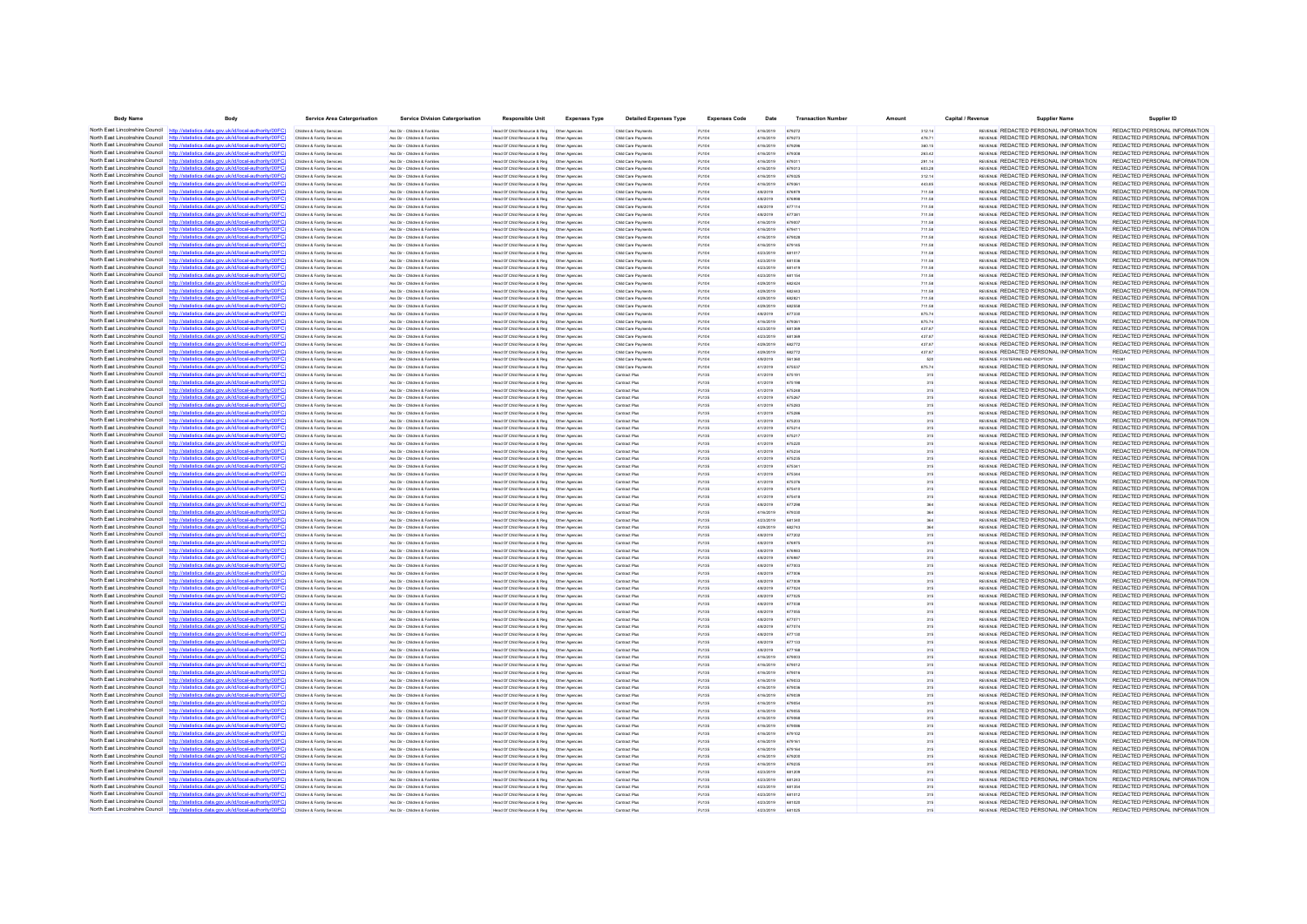| <b>Body Name</b>                             | Body                                                                                                                                                                             | Service Area Catergorisation                             | <b>Service Division Catergorisation</b>                        | <b>Responsible Unit</b>                                                                       | <b>Expenses Type</b>            | <b>Detailed Expenses Type</b>              | <b>Expenses Code</b> | Date                   | <b>Transaction Numbe</b> | Amoun            | Capital / Revenue | <b>Supplier Name</b>                                                                  | Supplier ID                                                    |
|----------------------------------------------|----------------------------------------------------------------------------------------------------------------------------------------------------------------------------------|----------------------------------------------------------|----------------------------------------------------------------|-----------------------------------------------------------------------------------------------|---------------------------------|--------------------------------------------|----------------------|------------------------|--------------------------|------------------|-------------------|---------------------------------------------------------------------------------------|----------------------------------------------------------------|
|                                              | North East Lincolnshire Council http://statistics.data.gov.uk/id/local-authority/00FC)                                                                                           | Children & Family Services                               | Ass Dir - Children & Families                                  | Head Of Child Resource & Reg  Other Agencies                                                  |                                 | Child Care Payments                        | PJ104                | 4/16/2019              | 679272                   | 312.14           |                   | REVENUE REDACTED PERSONAL INFORMATION                                                 | REDACTED PERSONAL INFORMATION                                  |
|                                              | North East Lincolnshire Council http://statistics.data.gov.uk/id/local-authority/00FC                                                                                            | Children & Family Services                               | Ass Dir - Children & Families                                  |                                                                                               |                                 | Child Care Payments                        | PJ104                | 4/16/2019              | 679273                   | 478.71           |                   | REVENUE REDACTED PERSONAL INFORMATION                                                 | REDACTED PERSONAL INFORMATION                                  |
|                                              | North East Lincolnshire Council http://statistics.data.gov.uk/id/local-authority/00FC)                                                                                           | Children & Family Service                                | Ass Dir - Children & Famille                                   | lead Of Child Resource & Reg                                                                  | Other Agencie                   | Child Care Payment                         | PJ104                | 4/16/2019              | 679296                   | 360.15           |                   | REVENUE REDACTED PERSONAL INFORMATION                                                 | REDACTED PERSONAL INFORMATION                                  |
|                                              | North East Lincolnshire Council http://statistics.data.gov.uk/id/local-authority/00FC)                                                                                           | Children & Family Services                               | Ass Dir - Children & Familes                                   |                                                                                               |                                 | Child Care Payments                        | PJ104                | 4/16/2019              | 67930                    | 263.42           |                   | REVENUE REDACTED PERSONAL INFORMATION                                                 | REDACTED PERSONAL INFORMATION                                  |
|                                              | North East Lincolnshire Council http://statistics.data.gov.uk/id/local-authority/00FC<br>North East Lincolnshire Council http://statistics.data.gov.uk/id/local-authority/00FC)  | Children & Family Services<br>Children & Family Services | Ass Dir - Children & Familes<br>Ass Dir - Children & Families  | Head Of Child Resource & Reg                                                                  | Other Agencies                  | Child Care Payments<br>Child Care Payments | PJ104<br>PJ104       | 4/16/2019<br>4/16/2019 | 679311<br>679313         | 291.14<br>603.28 |                   | REVENUE REDACTED PERSONAL INFORMATION<br>REVENUE REDACTED PERSONAL INFORMATION        | REDACTED PERSONAL INFORMATION<br>REDACTED PERSONAL INFORMATION |
|                                              | North East Lincolnshire Council http://statistics.data.gov.uk/id/local-authority/00FC)                                                                                           | Children & Family Service                                | Ass Dir - Children & Famile                                    | Head Of Child Resource & Reg   Other Agencie                                                  |                                 | Child Care Payment                         | PJ104                | 4/16/2019              | 67932                    | 312.14           |                   | REVENUE REDACTED PERSONAL INFORMATION                                                 | REDACTED PERSONAL INFORMATION                                  |
| North East Lincolnshire Council              | //statistics.data.gov.uk/id/local-authority/00FC)                                                                                                                                | Children & Family Service                                | Ass Dir - Children & Familie                                   | Head Of Child Resource & Reg                                                                  | Other Agencie                   | Child Care Payments                        | PJ104                | 4/16/2019              | 67936                    | 443.85           |                   | REVENUE REDACTED PERSONAL INFORMATION                                                 | REDACTED PERSONAL INFORMATION                                  |
|                                              | North East Lincolnshire Council http://statistics.data.gov.uk/id/local-authority/00FC)                                                                                           | Children & Family Services                               | Ass Dir - Children & Families                                  | Head Of Child Resource & Reg                                                                  | Other Agencies                  | Child Care Payments                        | PJ104                | 4/8/2019               | 676979                   | 711.58           |                   | REVENUE REDACTED PERSONAL INFORMATION                                                 | REDACTED PERSONAL INFORMATION                                  |
|                                              | North East Lincolnshire Council http://statistics.data.gov.uk/id/local-authority/00FC                                                                                            | Children & Family Service                                | Ass Dir - Children & Famille                                   | lead Of Child Resource & Reg                                                                  | Other Agencie                   | Child Care Payments                        | PJ104                | 4/8/2019               |                          | 711.58           |                   | REVENUE REDACTED PERSONAL INFORMATION                                                 | REDACTED PERSONAL INFORMATION                                  |
| North East Lincolnshire Council              | statistics.data.gov.uk/id/local-authority/00FC1                                                                                                                                  | Children & Family Services                               | Ass Dir - Children & Families                                  | Head Of Child Resource & Reg                                                                  | Other Agencies                  | Child Care Payments                        | PJ104                | 4/8/2019               |                          | 711.58           |                   | REVENUE REDACTED PERSONAL INFORMATION                                                 | REDACTED PERSONAL INFORMATION                                  |
|                                              | North East Lincolnshire Council http://statistics.data.gov.uk/id/local-authority/00FC)                                                                                           | Children & Family Services                               | Ass Dir - Children & Familes                                   | Head Of Child Resource & Reg   Other Agencies                                                 |                                 | Child Care Payments                        | PJ104                | 4/8/2019               | 677381                   | 711.58           |                   | REVENUE REDACTED PERSONAL INFORMATION                                                 | REDACTED PERSONAL INFORMATION                                  |
|                                              | North East Lincolnshire Council http://statistics.data.gov.uk/id/local-authority/00FC                                                                                            | Children & Family Services                               | Ass Dir - Children & Families                                  | Head Of Child Resource & Reg                                                                  | Other Agencies                  | Child Care Payments                        | PJ104                | 4/16/2019              | 679007                   | 711.58           |                   | REVENUE REDACTED PERSONAL INFORMATION                                                 | REDACTED PERSONAL INFORMATION                                  |
|                                              | North East Lincolnshire Council http://statistics.data.gov.uk/id/local-authority/00FC)                                                                                           | Children & Family Service                                | Ass Dir - Children & Familie                                   | lead Of Child Resource & Reg                                                                  | Other Agencie                   | Child Care Payment                         | PJ104                | 4/16/2019              | 67941                    | 711.58           |                   | REVENUE REDACTED PERSONAL INFORMATION                                                 | REDACTED PERSONAL INFORMATION                                  |
|                                              | North East Lincolnshire Council http://statistics.data.gov.uk/id/local-authority/00FC)<br>North East Lincolnshire Council http://statistics.data.gov.uk/id/local-authority/00FC) | Children & Family Service                                | Ass Dir - Children & Families                                  |                                                                                               |                                 | Child Care Payments                        | PJ104                | 4/16/2019              | 679145                   | 711.58<br>711.58 |                   | REVENUE REDACTED PERSONAL INFORMATION<br>REVENUE REDACTED PERSONAL INFORMATION        | REDACTED PERSONAL INFORMATION<br>REDACTED PERSONAL INFORMATION |
|                                              | North East Lincolnshire Council http://statistics.data.gov.uk/id/local-authority/00FC                                                                                            | Children & Family Services<br>Children & Family Service  | Ass Dir - Children & Families<br>Ass Dir - Children & Familie  | Head Of Child Resource & Reg<br>lead Of Child Resource & Reg                                  | Other Agencies<br>Other Agencie | Child Care Payments<br>Child Care Payment  | PJ104                | 4/16/2019<br>4/23/2019 | 68101                    | 711.58           |                   | REVENUE REDACTED PERSONAL INFORMATION                                                 | REDACTED PERSONAL INFORMATION                                  |
|                                              | North East Lincolnshire Council http://statistics.data.gov.uk/id/local-authority/00FC)                                                                                           | Children & Family Service                                | Ass Dir - Children & Familes                                   | Head Of Child Resource & Reg   Other Agencies                                                 |                                 | Child Care Payments                        | PJ104                | 4/23/2019              |                          | 711.58           |                   | REVENUE REDACTED PERSONAL INFORMATION                                                 | REDACTED PERSONAL INFORMATION                                  |
| North East Lincolnshire Council              | tics.data.gov.uk/id/local-authority/00FC]                                                                                                                                        | Children & Family Services                               | Ass Dir - Children & Families                                  | Head Of Child Resource & Reg                                                                  | Other Agencies                  | Child Care Payments                        | PJ104                | 4/23/2019              | 681419                   | 711.58           |                   | REVENLE REDACTED PERSONAL INFORMATION                                                 | REDACTED PERSONAL INFORMATION                                  |
|                                              | North East Lincolnshire Council http://statistics.data.gov.uk/id/local-authority/00FC)                                                                                           | Children & Family Services                               | Ass Dir - Children & Families                                  | Head Of Child Resource & Reg                                                                  | Other Agencies                  | Child Care Payments                        | PJ104                | 4/23/2019              | 681154                   | 711.58           |                   | REVENUE REDACTED PERSONAL INFORMATION                                                 | REDACTED PERSONAL INFORMATION                                  |
|                                              | North East Lincolnshire Council http://statistics.data.gov.uk/id/local-authority/00FC)                                                                                           | Children & Family Service                                | Ass Dir - Children & Families                                  | Head Of Child Resource & Reg                                                                  | Other Agencie                   | Child Care Payments                        | P.1104               | 4/29/2019              | 68242                    | 711.58           |                   | REVENUE REDACTED PERSONAL INFORMATION                                                 | REDACTED PERSONAL INFORMATION                                  |
| North East Lincolnshire Council              | http://statistics.data.gov.uk/id/local-authority/00FC)                                                                                                                           | Children & Family Service                                | Ass Dir - Children & Famille                                   | lead Of Child Resource & Reg                                                                  | Other Agencie                   | Child Care Payments                        |                      | 4/29/2019              |                          | 711.58           |                   | REVENUE REDACTED PERSONAL INFORMATION                                                 | REDACTED PERSONAL INFORMATION                                  |
|                                              | North East Lincolnshire Council http://statistics.data.gov.uk/id/local-authority/00FC)                                                                                           | Children & Family Services                               | Ass Dir - Children & Families                                  |                                                                                               |                                 | Child Care Payments                        | PJ104                | 4/29/2019              | 68282                    | 711.58           |                   | REVENUE REDACTED PERSONAL INFORMATION                                                 | REDACTED PERSONAL INFORMATION                                  |
|                                              | North East Lincolnshire Council http://statistics.data.gov.uk/id/local-authority/00FC)                                                                                           | Children & Family Services                               | Ass Dir - Children & Families                                  | Head Of Child Resource & Reg                                                                  | Other Agencies                  | Child Care Payments                        | PJ104                | 4/29/2019              | 682558                   | 711.58           |                   | REVENUE REDACTED PERSONAL INFORMATION                                                 | REDACTED PERSONAL INFORMATION                                  |
|                                              | North East Lincolnshire Council http://statistics.data.gov.uk/id/local-authority/00FC<br>North East Lincolnshire Council http://statistics.data.gov.uk/id/local-authority/00FC)  | Children & Family Service                                | Ass Dir - Children & Families<br>Ass Dir - Children & Familes  | lead Of Child Resource & Reg                                                                  | Other Agencie                   | Child Care Payments                        | PJ104                | 4/8/2019               |                          | 875.74           |                   | REVENUE REDACTED PERSONAL INFORMATION<br>REVENUE REDACTED PERSONAL INFORMATION        | REDACTED PERSONAL INFORMATION<br>REDACTED PERSONAL INFORMATION |
| North East Lincolnshire Council              | http://statistics.data.gov.uk/id/local-authority/00FC]                                                                                                                           | Children & Family Services<br>Children & Family Services | Ass Dir - Children & Familes                                   | Head Of Child Resource & Reg   Other Agencies                                                 |                                 | Child Care Payments<br>Child Care Payments | PJ104<br>PJ104       | 4/16/2019<br>4/23/2019 | 67936<br>681369          | 875.74<br>437.87 |                   | REVENUE REDACTED PERSONAL INFORMATION                                                 | REDACTED PERSONAL INFORMATION                                  |
|                                              | North East Lincolnshire Council http://statistics.data.gov.uk/id/local-authority/00FC                                                                                            | Children & Family Service                                | Ass Dir - Children & Families                                  | lead Of Child Resource & Reg                                                                  | Other Agencie                   | Child Care Payments                        | P.1104               | 4/23/2019              | 681369                   | 437.87           |                   | REVENLE REDACTED PERSONAL INFORMATION                                                 | REDACTED PERSONAL INFORMATION                                  |
|                                              | North East Lincolnshire Council http://statistics.data.gov.uk/id/local-authority/00FC)                                                                                           | Children & Family Service                                | Ass Dir - Children & Famile                                    | Head Of Child Resource & Reg   Other Agencie                                                  |                                 | Child Care Payment                         |                      | 4/29/2019              |                          | 437.87           |                   | REVENUE REDACTED PERSONAL INFORMATION                                                 | REDACTED PERSONAL INFORMATION                                  |
| North East Lincolnshire Council              | stics.data.gov.uk/id/local-authority/00FC1                                                                                                                                       | Children & Family Service                                | Ass Dir - Children & Families                                  | Head Of Child Resource & Reg                                                                  | Other Agencie                   | Child Care Payments                        | PJ104                | 4/29/2019              | 682772                   | 437.87           |                   | REVENUE REDACTED PERSONAL INFORMATION                                                 | REDACTED PERSONAL INFORMATION                                  |
|                                              | North East Lincolnshire Council http://statistics.data.gov.uk/id/local-authority/00FC)                                                                                           | Children & Family Services                               | Ass Dir - Children & Familes                                   | Head Of Child Resource & Reg   Other Agencies                                                 |                                 | Child Care Payments                        | PJ104                | 4/9/2019               | 561360                   | 520              |                   | REVENUE FOSTERING AND ADDPTION                                                        |                                                                |
|                                              | North East Lincolnshire Council http://statistics.data.gov.uk/id/local-authority/00FC                                                                                            | Children & Family Service                                | Ass Dir - Children & Families                                  | Head Of Child Resource & Reg                                                                  | Other Agencie                   | Child Care Payment                         | P.1104               | 4/1/2019               | 675537                   | 875.74           |                   | REVENUE REDACTED PERSONAL INFORMATION                                                 | REDACTED PERSONAL INFORMATION                                  |
| North East Lincolnshire Council              |                                                                                                                                                                                  | Children & Family Services                               | Ass Dir - Children & Familes                                   | Head Of Child Resource & Reg                                                                  | Other Agencies                  | Contract Plus                              | PJ135                | 4/1/2019               | 675191                   | 315              |                   | REVENUE REDACTED PERSONAL INFORMATION                                                 | REDACTED PERSONAL INFORMATION                                  |
| North East Lincolnshire Council http         | ics data nov uk/id/local-authority/00EC!                                                                                                                                         | Children & Family Services                               | Ass Dir - Children & Familes                                   | Head Of Child Resource & Reg   Other Agencies                                                 |                                 | Contract Plus                              | PJ135                | 4/1/2019               | 675198                   | 315              |                   | REVENUE REDACTED PERSONAL INFORMATION                                                 | REDACTED PERSONAL INFORMATION                                  |
|                                              | North East Lincolnshire Council http://statistics.data.gov.uk/id/local-authority/00FC)                                                                                           | Children & Family Services                               | Ass Dir - Children & Families                                  | Head Of Child Resource & Reg                                                                  | Other Agencie                   | Contract Plus                              | P.1135               | 4/1/2019               | 675248                   |                  |                   | <b>REVENUE REDACTED PERSONAL INFORMATION</b>                                          | REDACTED PERSONAL INFORMATION                                  |
|                                              | North East Lincolnshire Council http://statistics.data.gov.uk/id/local-authority/00FC)<br>North East Lincolnshire Council http://statistics.data.gov.uk/id/local-authority/00FC) | Children & Family Services                               | Ass Dir - Children & Famille<br>Ass Dir - Children & Families  | lead Of Child Resource & Reg                                                                  | Other Agencie                   | Contract Plus<br>Contract Plus             | PJ135<br>PJ135       | 4/1/2019<br>4/1/2019   |                          | 315              |                   | REVENUE REDACTED PERSONAL INFORMATION<br>REVENUE REDACTED PERSONAL INFORMATION        | REDACTED PERSONAL INFORMATION<br>REDACTED PERSONAL INFORMATION |
|                                              | North East Lincolnshire Council http://statistics.data.oov.uk/id/local-authority/00FC                                                                                            | Children & Family Services                               | Ass Dir - Children & Familes                                   | Head Of Child Resource & Reg                                                                  | Other Agencies                  | Contract Plus                              | PJ135                | 4/1/2019               | 675283<br><b>67528F</b>  | 315              |                   | REVENUE REDACTED PERSONAL INFORMATION                                                 | REDACTED PERSONAL INFORMATION                                  |
|                                              | North East Lincolnshire Council http://statistics.data.gov.uk/id/local-authority/00FC)                                                                                           | Children & Family Service                                | Ass Dir - Children & Fortifier                                 | lead Of Child Resource & Reg                                                                  | Other Agencie                   | Contract Plus                              | P.1135               | 4/1/2019               | 675203                   | 315              |                   | <b>REVENUE REDACTED PERSONAL INFORMATION</b>                                          | REDACTED PERSONAL INFORMATION                                  |
|                                              | North East Lincolnshire Council http://statistics.data.gov.uk/id/local-authority/00FC)                                                                                           | Children & Family Service                                | Ass Dir - Children & Famile                                    | Head Of Child Resource & Reg   Other Agencie                                                  |                                 | Contract Plus                              | PJ135                | 4/1/2019               |                          |                  |                   | REVENUE REDACTED PERSONAL INFORMATION                                                 | REDACTED PERSONAL INFORMATION                                  |
| North East Lincolnshire Council httn         | cs.data.gov.uk/id/local-authority/00FC1                                                                                                                                          | Children & Family Services                               | Ass Dir - Children & Familes                                   | Head Of Child Resource & Reg                                                                  | Other Agencies                  | Contract Plus                              | PJ135                | 4/1/2019               | 675217                   | 315              |                   | REVENUE REDACTED PERSONAL INFORMATION                                                 | REDACTED PERSONAL INFORMATION                                  |
| North East Lincolnshire Council http:/       | statistics data nov uk/id/local-authority/00EC)                                                                                                                                  | Children & Family Service                                | Ass Dir - Children & Familes                                   | Head Of Child Resource & Reg                                                                  | Other Agencie                   | Contract Plus                              | P.1135               | 4/1/2019               | A75220                   | 315              |                   | <b>REVENUE REDACTED PERSONAL INFORMATION</b>                                          | REDACTED PERSONAL INFORMATION                                  |
|                                              | North East Lincolnshire Council http://statistics.data.gov.uk/id/local-authority/00FC                                                                                            | Children & Family Service                                | Ass Dir - Children & Famile                                    | lead Of Child Resource & Reg                                                                  | Other Agencie                   | Contract Plus                              | PJ135                | 4/1/2019               |                          |                  |                   | REVENUE REDACTED PERSONAL INFORMATION                                                 | REDACTED PERSONAL INFORMATION                                  |
| North East Lincolnshire Council              | http://statistics.data.gov.uk/id/local-authority/00FC                                                                                                                            | Children & Family Services                               | Ass Dir - Children & Families                                  | Head Of Child Resource & Reg                                                                  | Other Agencies                  | Contract Plus                              | PJ135                | 4/1/2019               | 675235                   | 315              |                   | REVENUE REDACTED PERSONAL INFORMATION                                                 | REDACTED PERSONAL INFORMATION                                  |
|                                              | North East Lincolnshire Council http://statistics.data.gov.uk/id/local-authority/00FC)                                                                                           | Children & Family Services                               | Ass Dir - Children & Familes                                   | Head Of Child Resource & Reg                                                                  | Other Agencies                  | Contract Plus                              | PJ135                | 4/1/2019               | 675341                   | 315              |                   | REVENUE REDACTED PERSONAL INFORMATION                                                 | REDACTED PERSONAL INFORMATION                                  |
|                                              | North East Lincolnshire Council http://statistics.data.gov.uk/id/local-authority/00FC<br>North East Lincolnshire Council http://statistics.data.gov.uk/id/local-authority/00FC)  | Children & Family Services                               | Ass Dir - Children & Families                                  | Head Of Child Resource & Reg                                                                  | Other Agencie                   | Contract Plus                              | PJ135                | 4/1/2019               | 675344                   |                  |                   | REVENUE REDACTED PERSONAL INFORMATION<br>REVENUE REDACTED PERSONAL INFORMATION        | REDACTED PERSONAL INFORMATION<br>REDACTED PERSONAL INFORMATION |
|                                              | North East Lincolnshire Council http://statistics.data.gov.uk/id/local-authority/00FC)                                                                                           | Iren & Family Service<br>Children & Family Service       | Ass Dir - Children & Famile<br>Ass Dir - Children & Families   | lead Of Child Resource & Reg<br>Head Of Child Resource & Reg   Other Agencie                  | Other Agencie                   | Contract Plus<br>Contract Plus             | PJ135<br>PJ135       | 4/1/2019<br>4/1/2019   | 675376<br>67541          |                  |                   | REVENUE REDACTED PERSONAL INFORMATION                                                 | REDACTED PERSONAL INFORMATION                                  |
|                                              | North East Lincolnshire Council http://statistics.data.gov.uk/id/local-authority/00FC)                                                                                           | Children & Family Services                               | Ass Dir - Children & Familes                                   |                                                                                               |                                 | Contract Plus                              | PJ135                | 4/1/2019               | 675418                   | 315              |                   | REVENUE REDACTED PERSONAL INFORMATION                                                 | REDACTED PERSONAL INFORMATION                                  |
|                                              | North East Lincolnshire Council http://statistics.data.gov.uk/id/local-authority/00FC)                                                                                           | Children & Family Service                                | Ass Dir - Children & Famille                                   | lead Of Child Resource & Reg                                                                  | Other Agencie                   | Contract Plus                              | PJ135                | 4/8/2019               |                          |                  |                   | REVENUE REDACTED PERSONAL INFORMATION                                                 | REDACTED PERSONAL INFORMATION                                  |
|                                              | North East Lincolnshire Council http://statistics.data.gov.uk/id/local-authority/00FC)                                                                                           | Children & Family Services                               | Ass Dir - Children & Familes                                   |                                                                                               |                                 | Contract Plus                              | PJ135                | 4/16/2019              | 679330                   |                  |                   | REVENUE REDACTED PERSONAL INFORMATION                                                 | REDACTED PERSONAL INFORMATION                                  |
| North East Lincolnshire Council              | http://statistics.data.gov.uk/id/local-authority/00FC]                                                                                                                           | Children & Family Services                               | Ass Dir - Children & Families                                  | Head Of Child Resource & Reg                                                                  | Other Agencies                  | Contract Plus                              | PJ135                | 4/23/2019              | 681340                   |                  |                   | REVENUE REDACTED PERSONAL INFORMATION                                                 | REDACTED PERSONAL INFORMATION                                  |
|                                              | North East Lincolnshire Council http://statistics.data.gov.uk/id/local-authority/00FC)                                                                                           | Children & Family Service                                | Ass Dir - Children & Families                                  | Head Of Child Resource & Reg                                                                  | Other Agencie                   | Contract Plus                              | PJ135                | 4/29/2019              | 682743                   |                  |                   | REVENUE REDACTED PERSONAL INFORMATION                                                 | REDACTED PERSONAL INFORMATION                                  |
|                                              | North East Lincolnshire Council http://statistics.data.gov.uk/id/local-authority/00FC)                                                                                           | Children & Family Service                                | Ass Dir - Children & Familie                                   | lead Of Child Resource & Reg                                                                  | Other Agencie                   | Contract Plus                              | PJ135                | 4/8/2019               |                          |                  |                   | REVENUE REDACTED PERSONAL INFORMATION                                                 | REDACTED PERSONAL INFORMATION                                  |
| North East Lincolnshire Council              | http://statistics.data.gov.uk/id/local-authority/00FC)                                                                                                                           | Children & Family Service                                | Ass Dir - Children & Famille                                   | Head Of Child Resource & Reg                                                                  | Other Agencie                   | Contract Plus                              | PJ135                | 4/8/2019               |                          |                  |                   | REVENUE REDACTED PERSONAL INFORMATION                                                 | REDACTED PERSONAL INFORMATION                                  |
|                                              | North East Lincolnshire Council http://statistics.data.gov.uk/id/local-authority/00FC)<br>North East Lincolnshire Council http://statistics.data.gov.uk/id/local-authority/00FC  | Children & Family Services                               | Ass Dir - Children & Familes                                   | Head Of Child Resource & Reg                                                                  | Other Agencies                  | Contract Plus                              | PJ135                | 4/8/2019               | 676983                   |                  |                   | REVENUE REDACTED PERSONAL INFORMATION<br>REVENUE REDACTED PERSONAL INFORMATION        | REDACTED PERSONAL INFORMATION<br>REDACTED PERSONAL INFORMATION |
| North East Lincolnshire Council              | atistics data.gov.uk/id/local-authority/00FC                                                                                                                                     | Children & Family Service<br>Children & Family Service   | Ass Dir - Children & Families<br>Ass Dir - Children & Families | Head Of Child Resource & Reg<br>Head Of Child Resource & Reg                                  | Other Agencie<br>Other Agencie  | Contract Plus<br>Contract Plus             | PJ135<br>PJ135       | 4/8/2019<br>4/8/2019   | 67698<br>677003          | 315              |                   | REVENUE REDACTED PERSONAL INFORMATION                                                 | REDACTED PERSONAL INFORMATION                                  |
|                                              | North East Lincolnshire Council http://statistics.data.gov.uk/id/local-authority/00FC)                                                                                           | Children & Family Services                               | Ass Dir - Children & Familes                                   | Head Of Child Resource & Reg   Other Agencies                                                 |                                 | Contract Plus                              | PJ135                | 4/8/2019               | 677006                   | 315              |                   | REVENUE REDACTED PERSONAL INFORMATION                                                 | REDACTED PERSONAL INFORMATION                                  |
| North East Lincolnshire Council              | http://statistics.data.gov.uk/id/local-authority/00FC]                                                                                                                           | Children & Family Services                               | Ass Dir - Children & Familes                                   | Head Of Child Resource & Reg                                                                  | Other Agencies                  | Contract Plus                              | PJ135                | 4/8/2019               | 677009                   | 315              |                   | REVENUE REDACTED PERSONAL INFORMATION                                                 | REDACTED PERSONAL INFORMATION                                  |
| North East Lincolnshire Council              | http://statistics.data.gov.uk/id/local-authority/00FC)                                                                                                                           | Children & Family Service                                | Ass Dir - Children & Familie                                   | lead Of Child Resource & Reg                                                                  | Other Agencie                   | Contract Plus                              | PJ135                | 4/8/2019               | 677024                   |                  |                   | REVENUE REDACTED PERSONAL INFORMATION                                                 | REDACTED PERSONAL INFORMATION                                  |
|                                              | North East Lincolnshire Council http://statistics.data.gov.uk/id/local-authority/00FC)                                                                                           | Children & Family Service                                | Ass Dir - Children & Familes                                   | Head Of Child Resource & Reg   Other Agencie                                                  |                                 | Contract Plus                              | PJ135                | 4/8/2019               |                          |                  |                   | REVENUE REDACTED PERSONAL INFORMATION                                                 | REDACTED PERSONAL INFORMATION                                  |
| North East Lincolnshire Council              | stics.data.gov.uk/id/local-authority/00FC1                                                                                                                                       | Children & Family Services                               | Ass Dir - Children & Families                                  | Head Of Child Resource & Reg                                                                  | Other Agencies                  | Contract Plus                              | PJ135                | 4/8/2019               | 677038                   | 315              |                   | REVENUE REDACTED PERSONAL INFORMATION                                                 | REDACTED PERSONAL INFORMATION                                  |
|                                              | North East Lincolnshire Council http://statistics.data.gov.uk/id/local-authority/00FC)                                                                                           | Children & Family Services                               | Ass Dir - Children & Families                                  | Head Of Child Resource & Reg                                                                  | Other Agencies                  | Contract Plus                              | PJ135                | 4/8/2019               | 677055                   | 315              |                   | REVENUE REDACTED PERSONAL INFORMATION                                                 | REDACTED PERSONAL INFORMATION                                  |
|                                              | North East Lincolnshire Council http://statistics.data.gov.uk/id/local-authority/00FC)                                                                                           | Children & Family Services                               | Ass Dir - Children & Familes                                   | Head Of Child Resource & Reg   Other Agencies                                                 |                                 | Contract Plus                              | PJ135                | 4/8/2019               |                          |                  |                   | REVENUE REDACTED PERSONAL INFORMATION                                                 | REDACTED PERSONAL INFORMATION                                  |
| North East Lincolnshire Council              | North East Lincolnshire Council http://statistics.data.gov.uk/id/local-authority/00FC)                                                                                           | Children & Family Services                               | Ass Dir - Children & Familes                                   | Head Of Child Resource & Reg                                                                  | Other Agencies                  | Contract Plus                              | PJ135                | 4/8/2019               | 677074                   | 315              |                   | REVENUE REDACTED PERSONAL INFORMATION<br>REVENUE REDACTED PERSONAL INFORMATION        | REDACTED PERSONAL INFORMATION<br>REDACTED PERSONAL INFORMATION |
|                                              | North East Lincolnshire Council http://statistics.data.gov.uk/id/local-authority/00FC                                                                                            | Children & Family Services<br>Children & Family Service  | Ass Dir - Children & Familes<br>Ass Dir - Children & Families  | Head Of Child Resource & Reg   Other Agencies<br>Head Of Child Resource & Reg                 | Other Agencie                   | Contract Plus<br>Contract Plus             | PJ135<br>PJ135       | 4/8/2019<br>4/8/2019   | 677130<br>677133         | 315              |                   | REVENUE REDACTED PERSONAL INFORMATION                                                 | REDACTED PERSONAL INFORMATION                                  |
| North East Lincolnshire Council              | http://statistics.data.gov.uk/id/local-authority/00FC                                                                                                                            | Children & Family Service                                | Ass Dir - Children & Famile                                    | lead Of Child Resource & Reg                                                                  | Other Agencie                   | Contract Plus                              | PJ135                | 4/8/2019               |                          | 315              |                   | REVENUE REDACTED PERSONAL INFORMATION                                                 | REDACTED PERSONAL INFORMATION                                  |
|                                              | North East Lincolnshire Council http://statistics.data.gov.uk/id/local-authority/00FC)                                                                                           | Children & Family Services                               | Ass Dir - Children & Familes                                   |                                                                                               |                                 | Contract Plus                              | PJ135                | 4/16/2019              | 679003                   |                  |                   | REVENLE REDACTED PERSONAL INFORMATION                                                 | REDACTED PERSONAL INFORMATION                                  |
|                                              | North East Lincolnshire Council http://statistics.data.gov.uk/id/local-authority/00FC                                                                                            | Children & Family Services                               | Ass Dir - Children & Familes                                   | Head Of Child Resource & Reg                                                                  | Other Agencies                  | Contract Plus                              | PJ135                | 4/16/2019              | 679012                   | 315              |                   | REVENUE REDACTED PERSONAL INFORMATION                                                 | REDACTED PERSONAL INFORMATION                                  |
|                                              | North East Lincolnshire Council http://statistics.data.gov.uk/id/local-authority/00FC)                                                                                           | Children & Family Service                                | Ass Dir - Children & Families                                  | lead Of Child Resource & Reg                                                                  | Other Agencie                   | Contract Plus                              | PJ135                | 4/16/2019              |                          | 315              |                   | REVENUE REDACTED PERSONAL INFORMATION                                                 | REDACTED PERSONAL INFORMATION                                  |
|                                              | North East Lincolnshire Council http://statistics.data.gov.uk/id/local-authority/00FC                                                                                            | Children & Family Services                               | Ass Dir - Children & Familes                                   |                                                                                               |                                 | Contract Plus                              | PJ135                | 4/16/2019              | 679033                   | 315              |                   | REVENLE REDACTED PERSONAL INFORMATION                                                 | REDACTED PERSONAL INFORMATION                                  |
| North East Lincolnshire Council httn         |                                                                                                                                                                                  | Children & Family Services                               | Ass Dir - Children & Familes                                   | Head Of Child Resource & Reg   Other Agencies                                                 |                                 | Contract Plus                              | PJ135                | 4/16/2019              | 679036                   | 315              |                   | REVENLE REDACTED PERSONAL INFORMATION                                                 | REDACTED PERSONAL INFORMATION                                  |
|                                              | North East Lincolnshire Council http://statistics.data.gov.uk/id/local-authority/00FC                                                                                            | Children & Family Service                                | Ass Dir - Children & Familie                                   | Head Of Child Resource & Reg                                                                  | Other Agencie                   | Contract Plus                              | PJ135                | 4/16/2019              | 679035                   | 315              |                   | REVENUE REDACTED PERSONAL INFORMATION                                                 | REDACTED PERSONAL INFORMATION                                  |
|                                              | North East Lincolnshire Council http://statistics.data.gov.uk/id/local-authority/00FC)                                                                                           | Children & Family Service                                | Ass Dir - Children & Families                                  | lead Of Child Resource & Reg   Other Agencie                                                  |                                 | Contract Plus                              |                      | 4/16/2019              |                          |                  |                   | REVENUE REDACTED PERSONAL INFORMATION                                                 | REDACTED PERSONAL INFORMATION                                  |
| North East Lincolnshire Council              | http://statistics.data.gov.uk/id/local-authority/00FC<br>North East Lincolnshire Council http://statistics.data.gov.uk/id/local-authority/00FC)                                  | Children & Family Service<br>Children & Family Services  | Ass Dir - Children & Families<br>Ass Dir - Children & Familes  | Head Of Child Resource & Reg<br>Head Of Child Resource & Reg                                  | Other Agencie<br>Other Agencies | Contract Plus<br>Contract Plus             | PJ135<br>PJ135       | 4/16/2019<br>4/16/2019 | 679055<br>679068         | 315<br>315       |                   | REVENUE REDACTED PERSONAL INFORMATION<br>REVENUE REDACTED PERSONAL INFORMATION        | REDACTED PERSONAL INFORMATION<br>REDACTED PERSONAL INFORMATION |
|                                              | North East Lincolnshire Council http://statistics.data.gov.uk/id/local-authority/00FC)                                                                                           | Children & Family Service                                | Ass Dir - Children & Familes                                   | Head Of Child Resource & Reg                                                                  | Other Agencie                   | Contract Plus                              | P.1135               | 4/16/2019              | <b>679086</b>            |                  |                   | REVENLE REDACTED PERSONAL INFORMATION                                                 | REDACTED PERSONAL INFORMATION                                  |
| North East Lincolnshire Council              | http://statistics.data.gov.uk/id/local-authority/00FC                                                                                                                            | Children & Family Service                                | Ass Dir - Children & Famille                                   | lead Of Child Resource & Reg                                                                  | Other Agencie                   | Contract Plus                              | PJ135                | 4/16/2019              |                          |                  |                   | REVENUE REDACTED PERSONAL INFORMATION                                                 | REDACTED PERSONAL INFORMATION                                  |
| North East Lincolnshire Council http://sta   | tics.data.gov.uk/id/local-authority/00FC)                                                                                                                                        | Children & Family Services                               | Ass Dir - Children & Familes                                   | Head Of Child Resource & Reg   Other Agencies                                                 |                                 | Contract Plus                              | PJ135                | 4/16/2019              | 679161                   | 315              |                   | REVENUE REDACTED PERSONAL INFORMATION                                                 | REDACTED PERSONAL INFORMATION                                  |
|                                              | North East Lincolnshire Council http://statistics.data.gov.uk/id/local-authority/00FC                                                                                            | Children & Family Services                               | Ass Dir - Children & Familes                                   | Head Of Child Resource & Reg                                                                  | Other Agencie                   | Contract Plus                              | P.1135               | 4/16/2019              | 679164                   |                  |                   | <b>REVENLE REDACTED PERSONAL INFORMATION</b>                                          | REDACTED PERSONAL INFORMATION                                  |
|                                              | North East Lincolnshire Council http://statistics.data.gov.uk/id/local-authority/00FC)                                                                                           |                                                          | Ass Dir - Children & Famille                                   | lead Of Child Resource & Reg                                                                  | Other Agencie                   | Contract Plus                              | PJ135                | 4/16/2019              |                          |                  |                   | REVENUE REDACTED PERSONAL INFORMATION                                                 | REDACTED PERSONAL INFORMATION                                  |
|                                              | North East Lincolnshire Council http://statistics.data.gov.uk/id/local-authority/00FC)                                                                                           | Children & Family Services                               | Ass Dir - Children & Familes                                   | Head Of Child Resource & Reg   Other Agencies                                                 |                                 | Contract Plus                              | PJ135                | 4/16/2019              | 679235                   |                  |                   | REVENLE REDACTED PERSONAL INFORMATION                                                 | REDACTED PERSONAL INFORMATION                                  |
| North East Lincolnshire Council              | http://statistics.data.gov.uk/id/local-authority/00FC                                                                                                                            | Children & Family Services                               | Ass Dir - Children & Familes                                   | Head Of Child Resource & Reg   Other Agencies                                                 |                                 | Contract Plus                              | PJ135                | 4/23/2019              | 681209                   | 315              |                   | REVENLE REDACTED PERSONAL INFORMATION                                                 | REDACTED PERSONAL INFORMATION                                  |
|                                              | North East Lincolnshire Council http://statistics.data.gov.uk/id/local-authority/00FC)                                                                                           | Children & Family Service                                | Ass Dir - Children & Familier                                  |                                                                                               |                                 | Contract Plus                              | P.1135               | 4/23/2019<br>4/23/2019 | 681243                   |                  |                   | <b>REVENLE REDACTED PERSONAL INFORMATION</b><br>REVENUE REDACTED PERSONAL INFORMATION | REDACTED PERSONAL INFORMATION<br>REDACTED PERSONAL INFORMATION |
| North East Lincolnshire Council              | North East Lincolnshire Council http://statistics.data.gov.uk/id/local-authority/00FC)<br>http://statistics.data.gov.uk/id/local-authority/00FC                                  | Children & Family Service<br>Children & Family Service   | Ass Dir - Children & Famille<br>Ass Dir - Children & Families  | lead Of Child Resource & Reg   Other Agencie<br>Head Of Child Resource & Reg   Other Agencies |                                 | Contract Plus<br>Contract Plus             | PJ135                | 4/23/2019              |                          |                  |                   | REVENUE REDACTED PERSONAL INFORMATION                                                 | REDACTED PERSONAL INFORMATION                                  |
|                                              | North East Lincolnshire Council http://statistics.data.gov.uk/id/local-authority/00FC)                                                                                           | Children & Family Services                               | Ass Dir - Children & Familes                                   | Head Of Child Resource & Reg   Other Agencies                                                 |                                 | Contract Plus                              | P.1135               | 4/23/2019              | 681020                   |                  |                   | REVENUE REDACTED PERSONAL INFORMATION                                                 | REDACTED PERSONAL INFORMATION                                  |
| North East Lincolnshire Council http://stati |                                                                                                                                                                                  |                                                          | Ass Dir - Children & Famille                                   | Head Of Child Resource & Reg   Other Agencie                                                  |                                 |                                            |                      | 4/23/2019              |                          |                  |                   | REVENUE REDACTED PERSONAL INFORMATION                                                 | REDACTED PERSONAL INFORMATION                                  |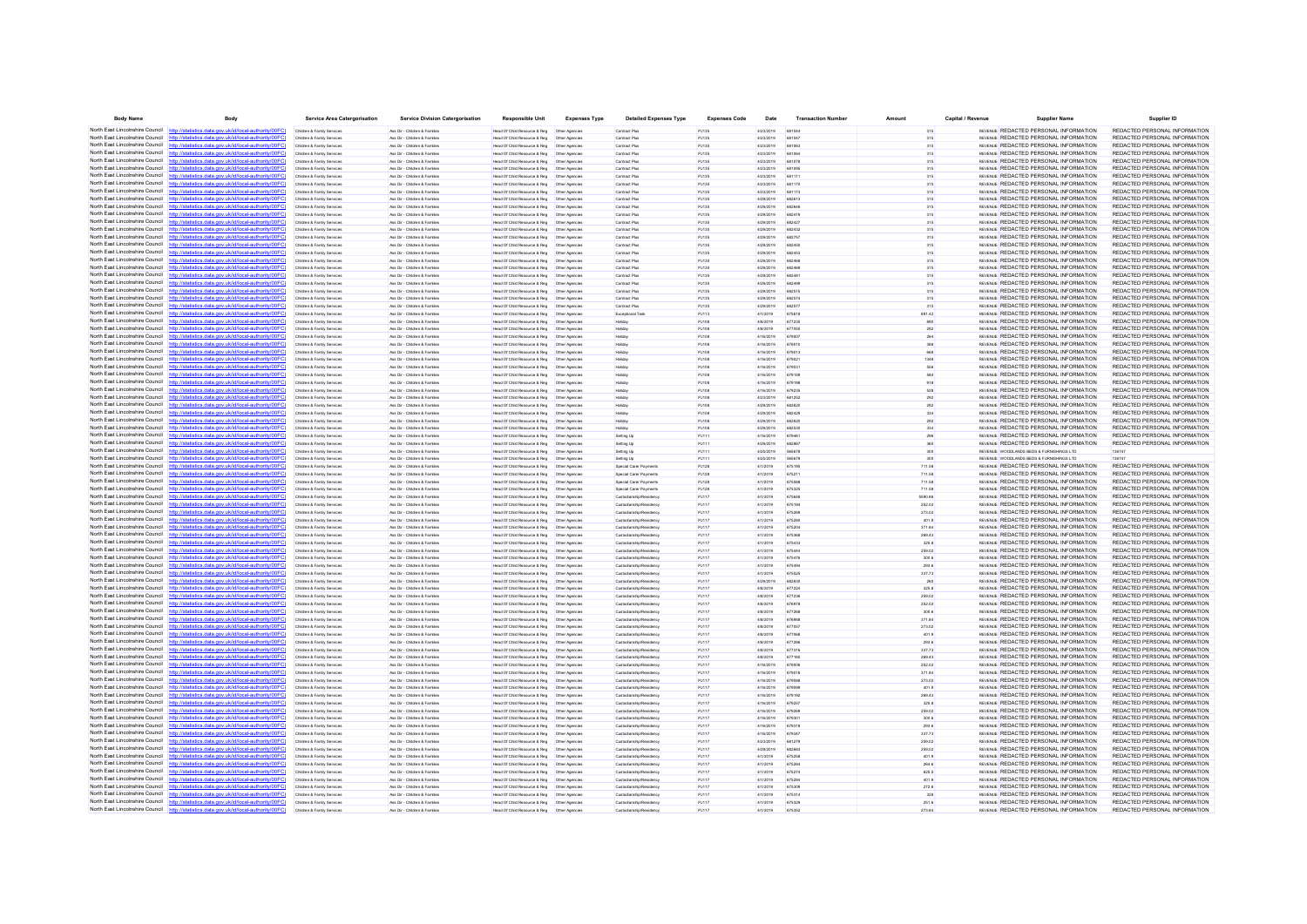| <b>Body Name</b>                                                   | Body                                                                                                                                                                            | <b>Service Area Catergorisation</b>                      | <b>Service Division Catergorisation</b>                      | <b>Responsible Unit</b>                                                      | <b>Expenses Type</b>           | <b>Detailed Expenses Type</b>                      | <b>Expenses Code</b> | Date                   | <b>Transaction Numbe</b> |                  | Capital / Revenue | <b>Supplier Name</b>                                                                  | Supplier ID                                                    |
|--------------------------------------------------------------------|---------------------------------------------------------------------------------------------------------------------------------------------------------------------------------|----------------------------------------------------------|--------------------------------------------------------------|------------------------------------------------------------------------------|--------------------------------|----------------------------------------------------|----------------------|------------------------|--------------------------|------------------|-------------------|---------------------------------------------------------------------------------------|----------------------------------------------------------------|
|                                                                    | North East Lincolnshire Council http://statistics.data.gov.uk/id/local-authority/00FC).                                                                                         | Children & Family Services                               | Ass Dir - Children & Familes                                 | Head Of Child Resource & Reg   Other Agencie                                 |                                | Contract Plus                                      | PJ135                | 4/23/2019              | 68104                    | 315              |                   | REVENUE REDACTED PERSONAL INFORMATION                                                 | REDACTED PERSONAL INFORMATION                                  |
|                                                                    | North East Lincolnshire Council http://statistics.data.gov.uk/id/local-authority/00FC                                                                                           | Children & Family Services                               | Ass Dir - Children & Famille                                 | Head Of Child Resource & Reg                                                 | Other Agencies                 | Contract Plus                                      | PJ135                | 4/23/2019              | 681047                   | 315              |                   | REVENUE REDACTED PERSONAL INFORMATION                                                 | REDACTED PERSONAL INFORMATION                                  |
|                                                                    | North East Lincolnshire Council http://statistics.data.gov.uk/id/local-authority/00FC)                                                                                          | Children & Family Service                                | Ass Dir - Children & Familie                                 | Head Of Child Resource & Reg                                                 | Other Agencie                  | Contract Plus                                      | PJ135                | 4/23/2019              | 681063                   | 315              |                   | REVENUE REDACTED PERSONAL INFORMATION                                                 | REDACTED PERSONAL INFORMATION                                  |
|                                                                    | North East Lincolnshire Council http://statistics.data.gov.uk/id/local-authority/00FC)                                                                                          | Children & Family Service                                | Ass Dir - Children & Famile                                  | Head Of Child Resource & Reg                                                 | Other Agencie                  | Contract Plus                                      | PJ135                | 4/23/2019              | 681064                   |                  |                   | REVENUE REDACTED PERSONAL INFORMATION                                                 | REDACTED PERSONAL INFORMATION                                  |
| North East Lincolnshire Council                                    | http://statistics.data.gov.uk/id/local-authority/00FC)                                                                                                                          | Children & Family Service                                | Ass Dir - Children & Familie                                 | Head Of Child Resource & Reg                                                 | Other Agencie                  | Contract Plus                                      | PJ135                | 4/23/2019              |                          | 315              |                   | REVENUE REDACTED PERSONAL INFORMATION                                                 | REDACTED PERSONAL INFORMATION                                  |
|                                                                    | North East Lincolnshire Council http://statistics.data.gov.uk/id/local-authority/00FC)<br>North East Lincolnshire Council http://statistics.data.gov.uk/id/local-authority/00FC | Children & Family Services                               | Ass Dir - Children & Families                                | Head Of Child Resource & Reg                                                 | Other Agencie                  | Contract Plus                                      | PJ135                | 4/23/2019              | 681095                   | 315              |                   | REVENUE REDACTED PERSONAL INFORMATION                                                 | REDACTED PERSONAL INFORMATION                                  |
| North East Lincolnshire Council                                    | http://statistics.data.gov.uk/id/local-authority/00FC)                                                                                                                          | Children & Family Service<br>Children & Family Service   | Ass Dir - Children & Familie<br>las Dir - Children & Family  | Head Of Child Resource & Reg<br>Head Of Child Resource & Reg                 | Other Agencie<br>Other Agencia | Contract Plus<br>Contract Plus                     | PJ135<br>PJ135       | 4/23/2019<br>4/23/2019 | 681111<br>681170         | 315              |                   | REVENLE REDACTED PERSONAL INFORMATION<br>REVENUE REDACTED PERSONAL INFORMATION        | REDACTED PERSONAL INFORMATION<br>REDACTED PERSONAL INFORMATION |
| North East Lincolnshire Council http:/                             | tics.data.gov.uk/id/local-authority/00FC)                                                                                                                                       | Children & Family Services                               | Ass Dir - Children & Families                                | Head Of Child Resource & Reg                                                 | Other Agencie                  | Contract Plus                                      | PJ135                | 4/23/2019              | 681173                   | 315              |                   | REVENUE REDACTED PERSONAL INFORMATION                                                 | REDACTED PERSONAL INFORMATION                                  |
| North East Lincolnshire Council                                    | http://statistics.data.gov.uk/id/local-authority/00EC                                                                                                                           | Children & Family Services                               | Ass Dir - Children & Familes                                 | Head Of Child Resource & Reg                                                 | Other Agencie                  | Contract Plus                                      | PJ135                | 4/29/2019              | 682613                   | 315              |                   | REVENLE REDACTED PERSONAL INFORMATION                                                 | REDACTED PERSONAL INFORMATION                                  |
|                                                                    | North East Lincolnshire Council http://statistics.data.gov.uk/id/local-authority/00FC)                                                                                          | Children & Family Service                                | Ass Dir - Children & Famille                                 | lead Of Child Resource & Reg                                                 | Other Agencia                  | Contract Plus                                      | PJ135                | 4/29/2019              |                          |                  |                   | REVENUE REDACTED PERSONAL INFORMATION                                                 | REDACTED PERSONAL INFORMATION                                  |
| North East Lincolnshire Council                                    | http://statistics.data.gov.uk/id/local-authority/00FC)                                                                                                                          | Children & Family Service                                | Ass Dir - Children & Famille                                 | Head Of Child Resource & Reg   Other Agencies                                |                                | Contract Plus                                      | PJ135                | 4/29/2019              | 682419                   |                  |                   | REVENUE REDACTED PERSONAL INFORMATION                                                 | REDACTED PERSONAL INFORMATION                                  |
| North East Lincolnshire Council                                    | http://statistics.data.gov.uk/id/local-authority/00FC)                                                                                                                          | Children & Family Services                               | Ass Dir - Children & Famille                                 | Head Of Child Resource & Reg                                                 | Other Agencie                  | Contract Plus                                      | PJ135                | 4/29/2019              | 682427                   | 315              |                   | REVENUE REDACTED PERSONAL INFORMATION                                                 | REDACTED PERSONAL INFORMATION                                  |
| North East Lincolnshire Council                                    | http://statistics.data.gov.uk/id/local-authority/00FC)                                                                                                                          | Children & Family Service                                | Ass Dir - Children & Familie                                 | Head Of Child Resource & Reg                                                 | Other Agencie                  | Contract Plus                                      | PJ135                | 4/29/2019              | 682432                   | 315              |                   | REVENLE REDACTED PERSONAL INFORMATION                                                 | REDACTED PERSONAL INFORMATION                                  |
|                                                                    | North East Lincolnshire Council http://statistics.data.gov.uk/id/local-authority/00FC)                                                                                          | Children & Family Service                                | Ass Dir - Children & Famille                                 | Head Of Child Resource & Reg                                                 | Other Agencie                  | Contract Plus                                      | PJ135                | 4/29/2019              | 682757                   |                  |                   | REVENUE REDACTED PERSONAL INFORMATION                                                 | REDACTED PERSONAL INFORMATION                                  |
| North East Lincolnshire Council                                    | http://statistics.data.gov.uk/id/local-authority/00FC)                                                                                                                          | Children & Family Service                                | Ass Dir - Children & Famille                                 | Head Of Child Resource & Reg                                                 | Other Agencie                  | Contract Plus                                      | PJ135                | 4/29/2019              |                          | 315              |                   | REVENUE REDACTED PERSONAL INFORMATION                                                 | REDACTED PERSONAL INFORMATION                                  |
| North East Lincolnshire Council                                    | tics.data.gov.uk/id/local-authority/00FC]<br>http://sta                                                                                                                         | Children & Family Service                                | Ass Dir - Children & Familie                                 | Head Of Child Resource & Reg                                                 | Other Agencie                  | Contract Plus                                      | PJ135                | 4/29/2019              | 682453                   | 315              |                   | REVENUE REDACTED PERSONAL INFORMATION                                                 | REDACTED PERSONAL INFORMATION                                  |
| North East Lincolnshire Council<br>North East Lincolnshire Council | tics data ony uk/id/local-authority/00FC!                                                                                                                                       | Children & Family Service                                | Ass Dir - Children & Famile                                  | Head Of Child Resource & Reg                                                 | Other Agencie                  | Contract Plus                                      | PJ135                | 4/29/2019              |                          |                  |                   | REVENUE REDACTED PERSONAL INFORMATION                                                 | REDACTED PERSONAL INFORMATION                                  |
|                                                                    | statistics.data.gov.uk/id/local-authority/00FC1<br>North East Lincolnshire Council http://statistics.data.gov.uk/id/local-authority/00FC)                                       | Children & Family Service<br>Children & Family Services  | Ass Dir - Children & Famille<br>Ass Dir - Children & Familes | Head Of Child Resource & Reg<br>Head Of Child Resource & Reg                 | Other Agencie<br>Other Agencie | Contract Plus<br>Contract Plus                     | PJ135<br>PJ135       | 4/29/2019<br>4/29/2019 | 682481                   | 315<br>315       |                   | REVENUE REDACTED PERSONAL INFORMATION<br>REVENUE REDACTED PERSONAL INFORMATION        | REDACTED PERSONAL INFORMATION<br>REDACTED PERSONAL INFORMATION |
|                                                                    | North East Lincolnshire Council http://statistics.data.gov.uk/id/local-authority/00FC                                                                                           | Children & Family Service                                | Ass Dir - Children & Familes                                 | Head Of Child Resource & Reg                                                 | Other Agencie                  | Contract Plus                                      | PJ135                | 4/29/2019              | 682499                   | 315              |                   | REVENLE REDACTED PERSONAL INFORMATION                                                 | REDACTED PERSONAL INFORMATION                                  |
|                                                                    | North East Lincolnshire Council http://statistics.data.gov.uk/id/local-authority/00FC)                                                                                          | Children & Family Service                                | les Dir - Children & Famile                                  | lead Of Child Resource & Reg                                                 | Other Agencia                  | Contract Plus                                      | PJ135                | 4/29/2019              | 682515                   |                  |                   | REVENUE REDACTED PERSONAL INFORMATION                                                 | REDACTED PERSONAL INFORMATION                                  |
|                                                                    | North East Lincolnshire Council http://statistics.data.gov.uk/id/local-authority/00FC)                                                                                          | Children & Family Service                                | Ass Dir - Children & Famille                                 | Head Of Child Resource & Reg   Other Agencie                                 |                                | Contract Plus                                      | PJ135                | 4/29/2019              |                          |                  |                   | REVENUE REDACTED PERSONAL INFORMATION                                                 | REDACTED PERSONAL INFORMATION                                  |
|                                                                    | North East Lincolnshire Council http://statistics.data.gov.uk/id/local-authority/00FC                                                                                           | Children & Family Services                               | Ass Dir - Children & Famille                                 | Head Of Child Resource & Reg                                                 | Other Agencie                  | Contract Plus                                      | PJ135                | 4/29/2019              | 682577                   | 315              |                   | REVENUE REDACTED PERSONAL INFORMATION                                                 | REDACTED PERSONAL INFORMATION                                  |
| North East Lincolnshire Council http://                            | statistics data nov uk/id/local-authority/00FC!                                                                                                                                 | Children & Family Service                                | Ass Dir - Children & Famille                                 | Head Of Child Resource & Reg                                                 | Other Agencia                  | Exceptional Tas                                    | PJ113                | 4/1/2019               | 675618                   | 891.42           |                   | REVENUE REDACTED PERSONAL INFORMATION                                                 | REDACTED PERSONAL INFORMATION                                  |
|                                                                    | North East Lincolnshire Council http://statistics.data.gov.uk/id/local-authority/00FC)                                                                                          | Children & Family Service                                | Ass Dir - Children & Famille                                 | Head Of Child Resource & Reg   Other Agencie                                 |                                | Holiday                                            | PJ108                | 4/8/2019               |                          |                  |                   | REVENUE REDACTED PERSONAL INFORMATION                                                 | REDACTED PERSONAL INFORMATION                                  |
|                                                                    | North East Lincolnshire Council http://statistics.data.gov.uk/id/local-authority/00FC                                                                                           | Children & Family Services                               | Ass Dir - Children & Familes                                 | Head Of Child Resource & Reg                                                 | Other Agencie                  | Holiday                                            | PJ108                | 4/8/2019               | 677050                   |                  |                   | REVENJE REDACTED PERSONAL INFORMATION                                                 | REDACTED PERSONAL INFORMATION                                  |
|                                                                    | North East Lincolnshire Council http://statistics.data.gov.uk/id/local-authority/00FC)                                                                                          | Children & Family Service                                | Ass Dir - Children & Familie                                 | Head Of Child Resource & Reg                                                 | Other Agencie                  | Holiday                                            | PJ108                | 4/16/2019              | 679007                   |                  |                   | REVENUE REDACTED PERSONAL INFORMATION                                                 | REDACTED PERSONAL INFORMATION                                  |
|                                                                    | North East Lincolnshire Council http://statistics.data.gov.uk/id/local-authority/00FC                                                                                           | Children & Family Service                                | Ass Dir - Children & Famile                                  | Head Of Child Resource & Reg                                                 | Other Agencie                  |                                                    | PJ108                | 4/16/2019              | 679010                   |                  |                   | REVENUE REDACTED PERSONAL INFORMATION                                                 | REDACTED PERSONAL INFORMATION                                  |
| North East Lincolnshire Council                                    | http://statistics.data.gov.uk/id/local-authority/00FC)                                                                                                                          | Children & Family Service                                | Ass Dir - Children & Famille                                 | Head Of Child Resource & Reg                                                 | Other Agencie                  | Holiday                                            | PJ108                | 4/16/2019              |                          |                  |                   | REVENUE REDACTED PERSONAL INFORMATION                                                 | REDACTED PERSONAL INFORMATION<br>REDACTED PERSONAL INFORMATION |
|                                                                    | North East Lincolnshire Council http://statistics.data.gov.uk/id/local-authority/00FC)<br>North East Lincolnshire Council http://statistics.data.gov.uk/id/local-authority/00FC | Children & Family Service                                | Ass Dir - Children & Familes<br>Ass Dir - Children & Familes | Head Of Child Resource & Reg<br>Head Of Child Resource & Reg                 | Other Agencie<br>Other Agencie | Holiday                                            | PJ108                | 4/16/2019<br>4/16/2019 | 67902                    |                  |                   | REVENUE REDACTED PERSONAL INFORMATION<br>REVENUE REDACTED PERSONAL INFORMATION        | REDACTED PERSONAL INFORMATION                                  |
|                                                                    | North East Lincolnshire Council http://statistics.data.gov.uk/id/local-authority/00FC                                                                                           | Children & Family Service                                |                                                              |                                                                              |                                | Holiday                                            | PJ108                |                        | 679031                   |                  |                   | REVENUE REDACTED PERSONAL INFORMATION                                                 | REDACTED PERSONAL INFORMATION                                  |
|                                                                    | North East Lincolnshire Council http://statistics.data.gov.uk/id/local-authority/00FC                                                                                           | Children & Family Service<br>Children & Family Services  | Ass Dir - Children & Familie<br>Ass Dir - Children & Familes | Head Of Child Resource & Reg<br>Head Of Child Resource & Reg   Other Agencie | Other Agencie                  | Holiday<br>Holiday                                 | PJ108<br>PJ108       | 4/16/2019<br>4/16/2019 | 679198                   |                  |                   | REVENJE REDACTED PERSONAL INFORMATION                                                 | REDACTED PERSONAL INFORMATION                                  |
|                                                                    | North East Lincolnshire Council http://statistics.data.gov.uk/id/local-authority/00FC)                                                                                          | Children & Family Service                                | Ass Dir - Children & Familes                                 | Head Of Child Resource & Reg                                                 | Other Agencie                  | Holiday                                            | PJ108                | 4/16/2019              | 679235                   | 528              |                   | REVENUE REDACTED PERSONAL INFORMATION                                                 | REDACTED PERSONAL INFORMATION                                  |
|                                                                    | North East Lincolnshire Council http://statistics.data.gov.uk/id/local-authority/00FC                                                                                           | Children & Family Service                                | Ass Dir - Children & Famille                                 | Head Of Child Resource & Reg                                                 | Other Agencie                  | łolida <sub>)</sub>                                | PJ108                | 4/23/2019              | 681252                   |                  |                   | REVENUE REDACTED PERSONAL INFORMATION                                                 | REDACTED PERSONAL INFORMATION                                  |
|                                                                    | North East Lincolnshire Council http://statistics.data.gov.uk/id/local-authority/00FC)                                                                                          | Children & Family Service                                | Ass Dir - Children & Famille                                 | Head Of Child Resource & Reg                                                 | Other Agencie                  | Holiday                                            | PJ108                | 4/29/2019              |                          |                  |                   | REVENUE REDACTED PERSONAL INFORMATION                                                 | REDACTED PERSONAL INFORMATION                                  |
| North East Lincolnshire Council                                    | http://statistics.data.gov.uk/id/local-authority/00FC]                                                                                                                          | Children & Family Service                                | Ass Dir - Children & Familie                                 | Head Of Child Resource & Reg                                                 | Other Agencie                  | Holiday                                            | PJ108                | 4/29/2019              | 682429                   |                  |                   | REVENJE REDACTED PERSONAL INFORMATION                                                 | REDACTED PERSONAL INFORMATION                                  |
|                                                                    | North East Lincolnshire Council http://statistics.data.gov.uk/id/local-authority/00FC)                                                                                          | Children & Family Service                                | Ass Dir - Children & Familie                                 | Head Of Child Resource & Reg                                                 | Other Agencie                  | Holiday                                            | PJ108                | 4/29/2019              | 682620                   |                  |                   | REVENUE REDACTED PERSONAL INFORMATION                                                 | REDACTED PERSONAL INFORMATION                                  |
|                                                                    | North East Lincolnshire Council http://statistics.data.gov.uk/id/local-authority/00FC)                                                                                          | Children & Family Service                                | Ass Dir - Children & Famile                                  | Head Of Child Resource & Reg                                                 | Other Agencia                  |                                                    | PJ108                | 4/29/2019              | 682530                   |                  |                   | REVENUE REDACTED PERSONAL INFORMATION                                                 | REDACTED PERSONAL INFORMATION                                  |
| North East Lincolnshire Council                                    |                                                                                                                                                                                 | Children & Family Service                                | Ass Dir - Children & Famille                                 | Head Of Child Resource & Reg                                                 | Other Agencie                  | Setting Up                                         | PJ111                | 4/16/2019              | 679461                   | 296              |                   | REVENUE REDACTED PERSONAL INFORMATION                                                 | REDACTED PERSONAL INFORMATION                                  |
| North East Lincolnshire Council http://sta                         | stics.data.gov.uk/id/local-authority/00FC)                                                                                                                                      | Children & Family Service                                | Ass Dir - Children & Familie                                 | Head Of Child Resource & Reg                                                 | Other Agencie                  | Setting Up                                         | PJ111                | 4/29/2019              | 682867                   |                  |                   | REVENLE REDACTED PERSONAL INFORMATION                                                 | REDACTED PERSONAL INFORMATION                                  |
|                                                                    | North East Lincolnshire Council http://statistics.data.gov.uk/id/local-authority/00FC)                                                                                          | Children & Family Service                                | Ass Dir - Children & Famille                                 | Head Of Child Resource & Reg                                                 | Other Agencie                  | Setting Up                                         | PJ111                | 4/25/2019              |                          |                  |                   | REVENUE WOODLANDS BEDS & FURNISHINGS LTD                                              | 138747                                                         |
| North East Lincolnshire Council                                    | http://statistics.data.gov.uk/id/local-authority/00FC                                                                                                                           | Children & Family Service                                | Ass Dir - Children & Famille                                 | Head Of Child Resource & Reg                                                 | Other Agencie                  | Setting Up                                         | PJ111                | 4/25/2019              |                          |                  |                   | REVENUE WOODLANDS BEDS & FURNISHINGS LTD                                              |                                                                |
| North East Lincolnshire Council<br>North East Lincolnshire Council | stics.data.gov.uk/id/local-authority/00FC)<br>http://stati<br>http://statistics.data.gov.uk/id/local-authority/00FC]                                                            | Children & Family Service<br>Children & Family Services  | Ass Dir - Children & Familes<br>Ass Dir - Children & Familes | Head Of Child Resource & Reg   Other Agencie<br>Head Of Child Resource & Reg | Other Agencie                  | Special Carer Payment<br>Special Carer Payments    | PJ128<br>PJ128       | 4/1/2019<br>4/1/2019   | 675195<br>675211         | 711.58<br>711.58 |                   | REVENJE REDACTED PERSONAL INFORMATION<br>REVENUE REDACTED PERSONAL INFORMATION        | REDACTED PERSONAL INFORMATION<br>REDACTED PERSONAL INFORMATION |
| North East Lincolnshire Council                                    | http://statistics.data.gov.uk/id/local-authority/00FC)                                                                                                                          | Children & Family Service                                | Ass Dir - Children & Familie                                 | Head Of Child Resource & Reg                                                 | Other Agencie                  | <b>Special Carer Payment</b>                       | PJ128                | 4/1/2019               | <b>A75588</b>            | 711.58           |                   | REVENUE REDACTED PERSONAL INFORMATION                                                 | REDACTED PERSONAL INFORMATION                                  |
|                                                                    | North East Lincolnshire Council http://statistics.data.gov.uk/id/local-authority/00FC)                                                                                          | Children & Family Service                                | Ass Dir - Children & Famille                                 | Head Of Child Resource & Reg   Other Agencie                                 |                                | Special Carer Payment                              | PJ128                | 4/1/2019               |                          | 711.58           |                   | REVENUE REDACTED PERSONAL INFORMATION                                                 | REDACTED PERSONAL INFORMATION                                  |
| North East Lincolnshire Council                                    | tics data nov uk/id/local-authority/00EC!                                                                                                                                       | Children & Family Services                               | Ass Dir - Children & Familes                                 | Head Of Child Resource & Reg   Other Agencie                                 |                                | Custodianship/Residence                            | PJ117                | 4/1/2019               | <b>ATSA45</b>            | 5590.86          |                   | REVENUE REDACTED PERSONAL INFORMATION                                                 | REDACTED PERSONAL INFORMATION                                  |
| North East Lincolnshire Council                                    | http://statistics.data.gov.uk/id/local-authority/00EC                                                                                                                           | Children & Family Service                                | Ass Dir - Children & Familie                                 | Head Of Child Resource & Reg                                                 | Other Agencie                  | Custorianshin/Residence                            | PJ117                | 4/1/2019               | 675194                   | 252.02           |                   | REVENUE REDACTED PERSONAL INFORMATION                                                 | REDACTED PERSONAL INFORMATION                                  |
|                                                                    | North East Lincolnshire Council http://statistics.data.gov.uk/id/local-authority/00FC)                                                                                          | Children & Family Service                                | Ass Dir - Children & Famille                                 | Head Of Child Resource & Reg   Other Agencie                                 |                                | Custodianship/Residenc                             | PJ117                | 4/1/2019               |                          | 273.02           |                   | REVENUE REDACTED PERSONAL INFORMATION                                                 | REDACTED PERSONAL INFORMATION                                  |
| North East Lincolnshire Council                                    | tics.data.gov.uk/id/local-authority/00FC1                                                                                                                                       | Children & Family Service                                | Ass Dir - Children & Familie                                 | Head Of Child Resource & Reg                                                 | Other Agencie                  | Custodianship/Residence                            | PJ117                | 4/1/2019               | 675280                   | 401.9            |                   | REVENUE REDACTED PERSONAL INFORMATION                                                 | REDACTED PERSONAL INFORMATION                                  |
| North East Lincolnshire Council                                    | http://statistics.data.gov.uk/id/local-authority/00FC)                                                                                                                          | Children & Family Services                               | Ass Dir - Children & Familes                                 | Head Of Child Resource & Reg                                                 | Other Agencie                  | Custodianship/Residence                            | PJ117                | 4/1/2019               | 675204                   | 371.84           |                   | REVENUE REDACTED PERSONAL INFORMATION                                                 | REDACTED PERSONAL INFORMATION                                  |
|                                                                    | North East Lincolnshire Council http://statistics.data.gov.uk/id/local-authority/00FC                                                                                           | Children & Family Service                                | Ass Dir - Children & Famille                                 | Head Of Child Resource & Reg                                                 | Other Agencie                  | Custodianship/Resident                             | P.1117               | 4/1/2019               | 675368                   | 269.43           |                   | REVENUE REDACTED PERSONAL INFORMATION                                                 | REDACTED PERSONAL INFORMATION                                  |
| North East Lincolnshire Council                                    | /statistics.data.gov.uk/id/local-authority/00FC)                                                                                                                                |                                                          | les Dir - Children & Family                                  | Head Of Child Resource & Reg                                                 | Other Agencie                  | ustodianship/Reside                                | PJ117                | 4/1/2019               |                          |                  |                   | REVENUE REDACTED PERSONAL INFORMATION                                                 | REDACTED PERSONAL INFORMATION                                  |
|                                                                    | North East Lincolnshire Council http://statistics.data.gov.uk/id/local-authority/00FC)                                                                                          | Children & Family Service                                | Ass Dir - Children & Familie                                 | Head Of Child Resource & Reg   Other Agencie                                 |                                | Custodianship/Residence                            | PJ117                | 4/1/2019               | 67544                    | 259.02           |                   | REVENJE REDACTED PERSONAL INFORMATION                                                 | REDACTED PERSONAL INFORMATION                                  |
| North East Lincolnshire Council<br>North East Lincolnshire Council | http://statistics.data.gov.uk/id/local-authority/00EC<br>statistics data ony uk/id/local-authority/00FC                                                                         | Children & Family Service                                | Ass Dir - Children & Familie                                 | Head Of Child Resource & Reg                                                 | Other Agencie                  | Custodianship/Residence                            | PJ117                | 4/1/2019               | 675476                   | 300.6            |                   | <b>REVENUE REDACTED PERSONAL INFORMATION</b>                                          | REDACTED PERSONAL INFORMATION                                  |
|                                                                    |                                                                                                                                                                                 | Children & Family Service                                | Ass Dir - Children & Famille<br>Ass Dir - Children & Familes | Head Of Child Resource & Reg                                                 | Other Agencie                  | Custodianship/Residenc                             | PJ117                | 4/1/2019               |                          | 293.6            |                   | REVENUE REDACTED PERSONAL INFORMATION<br>REVENJE REDACTED PERSONAL INFORMATION        | REDACTED PERSONAL INFORMATION<br>REDACTED PERSONAL INFORMATION |
| North East Lincolnshire Council                                    | North East Lincolnshire Council http://statistics.data.gov.uk/id/local-authority/00FC)<br>http://statistics.data.gov.uk/id/local-authority/00EC                                 | Children & Family Services<br>Children & Family Services | Ass Dir - Children & Familes                                 | Head Of Child Resource & Reg                                                 | Other Agencie                  | Custodianship/Residenc<br>Custodianship/Residence  | PJ117<br>PJ117       | 4/1/2019<br>4/29/2019  | 675525<br><b>GRORNE</b>  | 337.73<br>260    |                   | REVENUE REDACTED PERSONAL INFORMATION                                                 | REDACTED PERSONAL INFORMATION                                  |
|                                                                    | North East Lincolnshire Council http://statistics.data.gov.uk/id/local-authority/00FC)                                                                                          | Children & Family Service                                | Ass Dir - Children & Familie                                 | Head Of Child Resource & Reg                                                 | Other Agencie                  | Custorianshin/Residence                            | PJ117                | 4/8/2019               | A77224                   | 325.8            |                   | <b>REVENUE REDACTED PERSONAL INFORMATION</b>                                          | REDACTED PERSONAL INFORMATION                                  |
|                                                                    | North East Lincolnshire Council http://statistics.data.gov.uk/id/local-authority/00FC)                                                                                          | Children & Family Service                                | Ass Dir - Children & Famille                                 | Head Of Child Resource & Reg   Other Agencie                                 |                                | Custodianship/Residenc                             | PJ117                | 4/8/2019               |                          | 259.02           |                   | REVENJE REDACTED PERSONAL INFORMATION                                                 | REDACTED PERSONAL INFORMATION                                  |
| North East Lincolnshire Council                                    | http://statistics.data.gov.uk/id/local-authority/00FC                                                                                                                           | Children & Family Service                                | Ass Dir - Children & Familie                                 | Head Of Child Resource & Reg                                                 | Other Agencie                  | Custodianship/Residency                            | PJ117                | 4/8/2019               | 676978                   | 252.02           |                   | REVENUE REDACTED PERSONAL INFORMATION                                                 | REDACTED PERSONAL INFORMATION                                  |
|                                                                    | North East Lincolnshire Council http://statistics.data.gov.uk/id/local-authority/00FC)                                                                                          | Children & Family Service                                | Ass Dir - Children & Familie                                 | Head Of Child Resource & Reg                                                 | Other Agencie                  | Custodianship/Residence                            | PJ117                | 4/8/2019               | 677268                   | 300.6            |                   | REVENUE REDACTED PERSONAL INFORMATION                                                 | REDACTED PERSONAL INFORMATION                                  |
|                                                                    | North East Lincolnshire Council http://statistics.data.gov.uk/id/local-authority/00FC                                                                                           | Children & Family Service                                | Ass Dir - Children & Famille                                 | Head Of Child Resource & Reg   Other Agencie                                 |                                | Custodianship/Residenc                             | PJ117                | 4/8/2019               |                          | 371.84           |                   | REVENUE REDACTED PERSONAL INFORMATION                                                 | REDACTED PERSONAL INFORMATION                                  |
| North East Lincolnshire Council                                    |                                                                                                                                                                                 | Children & Family Services                               | Ass Dir - Children & Familes                                 | Head Of Child Resource & Reg                                                 | Other Agencie                  | Custodianship/Residency                            | PJ117                | 4/8/2019               | 677057                   | 273.02           |                   | REVENJE REDACTED PERSONAL INFORMATION                                                 | REDACTED PERSONAL INFORMATION                                  |
|                                                                    | North East Lincolnshire Council http://statistics.data.gov.uk/id/local-authority/00FC)                                                                                          | Children & Family Services                               | Ass Dir - Children & Familes                                 | Head Of Child Resource & Reg   Other Agencie                                 |                                | Custodianship/Residence                            | PJ117                | 4/8/2019               | 677068                   | 401.9            |                   | REVENUE REDACTED PERSONAL INFORMATION                                                 | REDACTED PERSONAL INFORMATION                                  |
|                                                                    | North East Lincolnshire Council http://statistics.data.gov.uk/id/local-authority/00FC                                                                                           | Children & Family Service                                | Ass Dir - Children & Famille                                 | Head Of Child Resource & Reg                                                 | Other Agencie                  | Custodianship/Residence                            | PJ117                | 4/8/2019               | <b>677286</b>            | 293 B            |                   | <b>REVENUE REDACTED PERSONAL INFORMATION</b>                                          | REDACTED PERSONAL INFORMATION                                  |
|                                                                    | North East Lincolnshire Council http://statistics.data.gov.uk/id/local-authority/00FC)                                                                                          |                                                          | les Dir - Children & Famile                                  | lead Of Child Resource & Reg                                                 | Other Agencie                  | Custodianship/Residence                            | PJ117                | 4/8/2019               | 677316                   | 337.73           |                   | REVENUE REDACTED PERSONAL INFORMATION                                                 | REDACTED PERSONAL INFORMATION                                  |
|                                                                    | North East Lincolnshire Council http://statistics.data.gov.uk/id/local-authority/00FC)                                                                                          | Children & Family Service                                | Ass Dir - Children & Famille                                 | Head Of Child Resource & Reg                                                 | Other Agencie                  | Custodianship/Residenc                             | PJ117                | 4/8/2019               | 677160                   | 269.43           |                   | REVENJE REDACTED PERSONAL INFORMATION                                                 | REDACTED PERSONAL INFORMATION                                  |
| North East Lincolnshire Council                                    | http://statistics.data.gov.uk/id/local-authority/00EC                                                                                                                           | Children & Family Services                               | Ass Dir - Children & Familes                                 | Head Of Child Resource & Reg                                                 | Other Agencie                  | Custodianship/Residence                            | PJ117                | 4/16/2019              | 679006                   | 252.02           |                   | REVENUE REDACTED PERSONAL INFORMATION                                                 | REDACTED PERSONAL INFORMATION                                  |
|                                                                    | North East Lincolnshire Council http://statistics.data.gov.uk/id/local-authority/00FC)                                                                                          | Children & Family Service                                | Ass Dir - Children & Familie                                 | Head Of Child Resource & Reg                                                 | Other Agencie                  | Custodianship/Residence                            | PJ117                | 01003014               | 679018                   | 371.84           |                   | REVENUE REDACTED PERSONAL INFORMATION                                                 | REDACTED PERSONAL INFORMATION                                  |
| North East Lincolnshire Council httn                               | North East Lincolnshire Council http://statistics.data.gov.uk/id/local-authority/00FC                                                                                           | Children & Family Service                                | Ass Dir - Children & Familes                                 | Head Of Child Resource & Reg   Other Agencies                                |                                | Custodianship/Residenc                             | PJ117                | 4/16/2019              | 679088                   | 273.02           |                   | REVENJE REDACTED PERSONAL INFORMATION                                                 | REDACTED PERSONAL INFORMATION                                  |
|                                                                    | North East Lincolnshire Council http://statistics.data.gov.uk/id/local-authority/00FC)                                                                                          | Children & Family Services<br>Children & Family Service  | Ass Dir - Children & Familes<br>Ass Dir - Children & Famile  | Head Of Child Resource & Reg<br>Head Of Child Resource & Reg                 | Other Agencie<br>Other Agencie | Custodianship/Residence<br>Custorianshin/Residence | PJ117<br>PJ117       | 4/16/2019<br>4/16/2019 | 679099<br>679192         | 401.9<br>269.43  |                   | REVENUE REDACTED PERSONAL INFORMATION<br>REVENUE REDACTED PERSONAL INFORMATION        | REDACTED PERSONAL INFORMATION<br>REDACTED PERSONAL INFORMATION |
|                                                                    | North East Lincolnshire Council http://statistics.data.gov.uk/id/local-authority/00FC)                                                                                          | Children & Family Service                                | Ass Dir - Children & Famille                                 | Head Of Child Resource & Reg                                                 | Other Agencie                  | Custodianship/Residence                            |                      | 4/16/2019              |                          |                  |                   | REVENUE REDACTED PERSONAL INFORMATION                                                 | REDACTED PERSONAL INFORMATION                                  |
| North East Lincolnshire Council                                    | http://statistics.data.gov.uk/id/local-authority/00FC                                                                                                                           | Children & Family Service                                | Ass Dir - Children & Familie                                 | Head Of Child Resource & Reg                                                 | Other Agencie                  | Custodianship/Residenc                             | PJ117                | 4/16/2019              | 679269                   | 259.02           |                   | REVENJE REDACTED PERSONAL INFORMATION                                                 | REDACTED PERSONAL INFORMATION                                  |
|                                                                    | North East Lincolnshire Council http://statistics.data.gov.uk/id/local-authority/00FC)                                                                                          | Children & Family Service                                | Ass Dir - Children & Familes                                 | Head Of Child Resource & Reg                                                 | Other Agencie                  | Custodianship/Residence                            | PJ117                | 4/16/2019              | 679301                   | 300.6            |                   | REVENUE REDACTED PERSONAL INFORMATION                                                 | REDACTED PERSONAL INFORMATION                                  |
|                                                                    | North East Lincolnshire Council http://statistics.data.gov.uk/id/local-authority/00FC                                                                                           | Children & Family Service                                | Ass Dir - Children & Famille                                 | Head Of Child Resource & Reg                                                 | Other Agencie                  | Custodianship/Residence                            | P.1117               | 4/16/2019              | 679318                   | 293 B            |                   | <b>REVENUE REDACTED PERSONAL INFORMATION</b>                                          | REDACTED PERSONAL INFORMATION                                  |
| North East Lincolnshire Council                                    | http://statistics.data.gov.uk/id/local-authority/00FC                                                                                                                           |                                                          | les Dir - Children & Family                                  | lead Of Child Resource & Reg                                                 | Other Agencie                  | ustodianship/Reside                                | PJ117                | 4/16/2019              |                          | 337.73           |                   | REVENUE REDACTED PERSONAL INFORMATION                                                 | REDACTED PERSONAL INFORMATION                                  |
| North East Lincolnshire Council http://str                         | tics.data.gov.uk/id/local-authority/00FC)                                                                                                                                       | Children & Family Services                               | Ass Dir - Children & Familes                                 | Head Of Child Resource & Reg                                                 | Other Agencie                  | Custodianship/Residence                            | PJ117                | 4/23/2019              | 681279                   | 259.02           |                   | REVENJE REDACTED PERSONAL INFORMATION                                                 | REDACTED PERSONAL INFORMATION                                  |
|                                                                    | North East Lincolnshire Council http://statistics.data.gov.uk/id/local-authority/00FC                                                                                           | Children & Family Service                                | Ass Dir - Children & Familes                                 | Head Of Child Resource & Reg                                                 | Other Agencie                  | Custorianshin/Residence                            | P.1117               | 4/29/2019              | <b>GROBR?</b>            | 259.02           |                   | REVENUE REDACTED PERSONAL INFORMATION                                                 | REDACTED PERSONAL INFORMATION                                  |
|                                                                    | North East Lincolnshire Council http://statistics.data.gov.uk/id/local-authority/00FC)                                                                                          |                                                          | les Dir - Children & Family                                  | lead Of Child Resource & Reg                                                 | Other Agencie                  | Custodianship/Residenc                             | PJ117                | 4/1/2019               | 675258                   | 401.9            |                   | REVENUE REDACTED PERSONAL INFORMATION                                                 | REDACTED PERSONAL INFORMATION                                  |
| North East Lincolnshire Council                                    | http://statistics.data.gov.uk/id/local-authority/00FC)                                                                                                                          | Children & Family Service                                | Ass Dir - Children & Familes                                 | Head Of Child Resource & Reg   Other Agencies                                |                                | Custodianship/Residence                            | PJ117                | 4/1/2019               | 675264                   | 264.6            |                   | REVENUE REDACTED PERSONAL INFORMATION                                                 | REDACTED PERSONAL INFORMATION                                  |
| North East Lincolnshire Council                                    | http://statistics.data.gov.uk/id/local-authority/00FC                                                                                                                           | Children & Family Services                               | Ass Dir - Children & Familes                                 | Head Of Child Resource & Reg   Other Agencie                                 |                                | Custodianship/Residence                            | PJ117                | 4/1/2019               | 675274                   | 625.5            |                   | REVENUE REDACTED PERSONAL INFORMATION                                                 | REDACTED PERSONAL INFORMATION                                  |
| North East Lincolnshire Council                                    | http://statistics.data.gov.uk/id/local-authority/00FC                                                                                                                           | Children & Family Service                                | Ass Dir - Children & Familie                                 |                                                                              |                                | Custorianshin/Residence<br>Custodianship/Reside    | P.1117               | 4/1/2019<br>4/1/2019   | <b>675284</b>            | 401.9<br>272.6   |                   | <b>REVENUE REDACTED PERSONAL INFORMATION</b><br>REVENUE REDACTED PERSONAL INFORMATION | REDACTED PERSONAL INFORMATION<br>REDACTED PERSONAL INFORMATION |
| North East Lincolnshire Council                                    | North East Lincolnshire Council http://statistics.data.gov.uk/id/local-authority/00FC)<br>http://statistics.data.gov.uk/id/local-authority/00FC                                 | Children & Family Servic<br>Children & Family Service    | Ass Dir - Children & Famille<br>Ass Dir - Children & Familie | Head Of Child Resource & Reg   Other Agencie                                 |                                | Custodianship/Residenc                             | PJ117                | 4/1/2019               |                          |                  |                   | REVENUE REDACTED PERSONAL INFORMATION                                                 | REDACTED PERSONAL INFORMATION                                  |
|                                                                    | North East Lincolnshire Council http://statistics.data.gov.uk/id/local-authority/00FC)                                                                                          | Children & Family Services                               | Ass Dir - Children & Familes                                 | Head Of Child Resource & Reg   Other Agencies                                |                                | Custodianship/Residence                            | P.1117               | 4/1/2019               | 676326                   | 251 B            |                   | REVENUE REDACTED PERSONAL INFORMATION                                                 | REDACTED PERSONAL INFORMATION                                  |
| North East Lincolnshire Council http:                              |                                                                                                                                                                                 |                                                          | Ass Dir - Children & Familie                                 | Head Of Child Resource & Reg.  Other Agencie                                 |                                |                                                    |                      |                        |                          |                  |                   | REVENUE REDACTED PERSONAL INFORMATION                                                 | REDACTED PERSONAL INFORMATION                                  |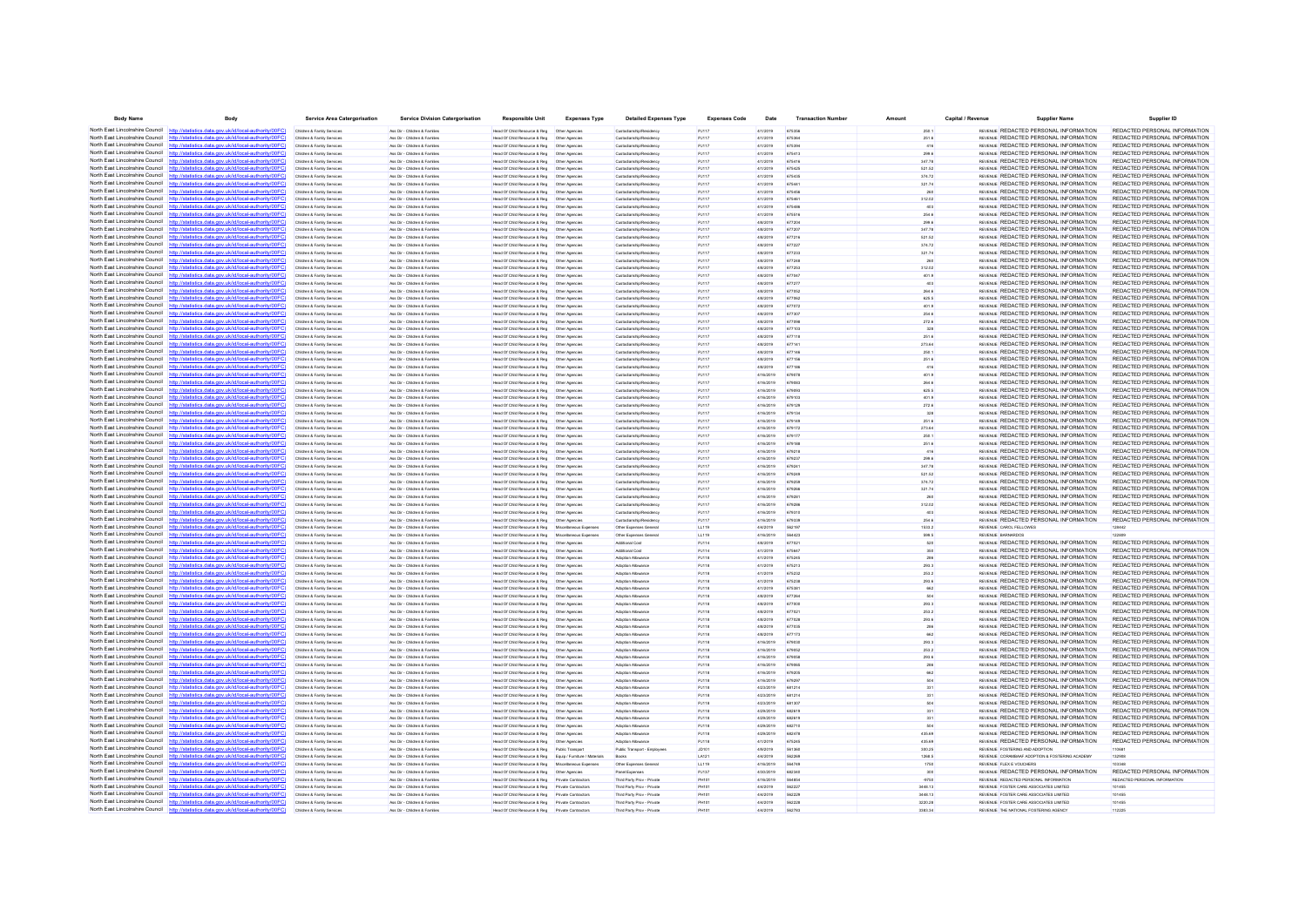| <b>Body Name</b>                                                   | Body                                                                                                                                                                             | <b>Service Area Catergorisation</b>                      | <b>Service Division Catergorisation</b>                        | <b>Responsible Unit</b>                                                       | <b>Expenses Type</b>             | <b>Detailed Expenses Type</b>                      | <b>Expenses Code</b> | Date                   | <b>Transaction Number</b> | Amoun            | Capital / Revenue | <b>Supplier Name</b>                                                           | Supplier ID                                                    |
|--------------------------------------------------------------------|----------------------------------------------------------------------------------------------------------------------------------------------------------------------------------|----------------------------------------------------------|----------------------------------------------------------------|-------------------------------------------------------------------------------|----------------------------------|----------------------------------------------------|----------------------|------------------------|---------------------------|------------------|-------------------|--------------------------------------------------------------------------------|----------------------------------------------------------------|
|                                                                    | North East Lincolnshire Council http://statistics.data.gov.uk/id/local-authority/00FC)                                                                                           | Children & Family Services                               | Ass Dir - Children & Familes                                   | Head Of Child Resource & Reg   Other Agencies                                 |                                  | Custodianship/Residency                            | PJ117                | 4/1/2019               | 675356                    | 250.1            |                   | REVENUE REDACTED PERSONAL INFORMATION                                          | REDACTED PERSONAL INFORMATION                                  |
|                                                                    | North East Lincolnshire Council http://statistics.data.gov.uk/id/local-authority/00FC                                                                                            | Children & Family Services                               | Ass Dir - Children & Families                                  | Head Of Child Resource & Reg   Other Agencies                                 |                                  | Custodianship/Residency                            | PJ117                | 4/1/2019               | 675364                    | 251.6            |                   | REVENUE REDACTED PERSONAL INFORMATION                                          | REDACTED PERSONAL INFORMATION                                  |
|                                                                    | North East Lincolnshire Council http://statistics.data.gov.uk/id/local-authority/00FC)                                                                                           | Children & Family Service                                | Ass Dir - Children & Famile                                    | Head Of Child Resource & Reg                                                  | Other Agencie                    | Custodianship/Residenc                             | PJ117                | 4/1/2019               | 675394                    | 416              |                   | REVENUE REDACTED PERSONAL INFORMATION                                          | REDACTED PERSONAL INFORMATION                                  |
|                                                                    | North East Lincolnshire Council http://statistics.data.gov.uk/id/local-authority/00FC)                                                                                           | Children & Family Services                               | Ass Dir - Children & Familes                                   |                                                                               |                                  | Custodianship/Residency                            | PJ117                | 4/1/2019               | 675413                    | 299.6            |                   | REVENUE REDACTED PERSONAL INFORMATION                                          | REDACTED PERSONAL INFORMATION                                  |
| North East Lincolnshire Council                                    | http://statistics.data.gov.uk/id/local-authority/00FC                                                                                                                            | Children & Family Services                               | Ass Dir - Children & Familes                                   | Head Of Child Resource & Reg                                                  | Other Agencies                   | Custodianship/Residenc                             | PJ117                | 4/1/2019               | 675416                    | 347.78           |                   | REVENUE REDACTED PERSONAL INFORMATION                                          | REDACTED PERSONAL INFORMATION                                  |
| North East Lincolnshire Council                                    | http://statistics.data.gov.uk/id/local-authority/00FC)                                                                                                                           | Children & Family Services                               | Ass Dir - Children & Families                                  | Head Of Child Resource & Reg                                                  | Other Agencies                   | Custodianship/Residence                            | PJ117                | 4/1/2019               | 675425                    | 521.52           |                   | REVENUE REDACTED PERSONAL INFORMATION                                          | REDACTED PERSONAL INFORMATION                                  |
| North East Lincolnshire Council                                    | North East Lincolnshire Council http://statistics.data.gov.uk/id/local-authority/00FC)<br>http://statistics.data.gov.uk/id/local-authority/00FC                                  | Children & Family Service                                | Ass Dir - Children & Families                                  | Head Of Child Resource & Reg                                                  | Other Agencie                    | Custodianship/Residenc                             | PJ117                | 4/1/2019               | 675435                    | 374.72           |                   | REVENUE REDACTED PERSONAL INFORMATION<br>REVENUE REDACTED PERSONAL INFORMATION | REDACTED PERSONAL INFORMATION<br>REDACTED PERSONAL INFORMATIO  |
| North East Lincolnshire Council                                    | stics.data.gov.uk/id/local-authority/00FC<br>http://stat                                                                                                                         | Children & Family Service<br>Children & Family Services  | Ass Dir - Children & Famille<br>Ass Dir - Children & Families  | Head Of Child Resource & Reg<br>Head Of Child Resource & Reg                  | Other Agencies<br>Other Agencies | Custodianship/Residenc<br>Custodianship/Residence  | PJ117<br>PJ117       | 4/1/2019<br>4/1/2019   | 67544<br>675456           | 321.74           |                   | REVENUE REDACTED PERSONAL INFORMATION                                          | REDACTED PERSONAL INFORMATION                                  |
| North East Lincolnshire Council                                    | http://statistics.data.gov.uk/id/local-authority/00EC                                                                                                                            | Children & Family Service                                | Ass Dir - Children & Families                                  | Head Of Child Resource & Reg                                                  | Other Agencie                    | Custodianship/Residenc                             | PJ117                | 4/1/2019               | 67546                     | 312.02           |                   | REVENUE REDACTED PERSONAL INFORMATION                                          | REDACTED PERSONAL INFORMATION                                  |
| North East Lincolnshire Council                                    | statistics.data.gov.uk/id/local-authority/00FC                                                                                                                                   | Children & Family Services                               | las Dir - Children & Families                                  | Head Of Child Resource & Reg                                                  | Other Agencies                   | Custodianship/Residenc                             | PJ117                | 4/1/2019               |                           | 403              |                   | REVENUE REDACTED PERSONAL INFORMATION                                          | REDACTED PERSONAL INFORMATION                                  |
|                                                                    | North East Lincolnshire Council http://statistics.data.gov.uk/id/local-authority/00FC)                                                                                           | Children & Family Services                               | Ass Dir - Children & Familes                                   | Head Of Child Resource & Reg   Other Agencies                                 |                                  | Custodianship/Residency                            | PJ117                | 4/1/2019               | 675516                    | 254.6            |                   | REVENUE REDACTED PERSONAL INFORMATION                                          | REDACTED PERSONAL INFORMATION                                  |
| North East Lincolnshire Council                                    | http://statistics.data.gov.uk/id/local-authority/00FC                                                                                                                            | Children & Family Services                               | Ass Dir - Children & Families                                  | Head Of Child Resource & Reg                                                  | Other Agencies                   | Custodianship/Residence                            | PJ117                | 4/8/2019               | 677204                    | 299.6            |                   | REVENUE REDACTED PERSONAL INFORMATION                                          | REDACTED PERSONAL INFORMATION                                  |
|                                                                    | North East Lincolnshire Council http://statistics.data.gov.uk/id/local-authority/00FC)                                                                                           | Children & Family Service                                | Ass Dir - Children & Familie                                   | Head Of Child Resource & Reg                                                  | Other Agencie                    | Custodianship/Residenc                             | PJ117                | 4/8/2019               | 677207                    | 347.78           |                   | REVENUE REDACTED PERSONAL INFORMATION                                          | REDACTED PERSONAL INFORMATION                                  |
|                                                                    | North East Lincolnshire Council http://statistics.data.gov.uk/id/local-authority/00FC)                                                                                           | Children & Family Service                                | Ass Dir - Children & Familes                                   | Head Of Child Resource & Reg   Other Agencie                                  |                                  | Custodianship/Residenc                             | PJ117                | 4/8/2019               |                           | 521.52           |                   | REVENUE REDACTED PERSONAL INFORMATION                                          | REDACTED PERSONAL INFORMATION                                  |
| North East Lincolnshire Council                                    | http://statistics.data.gov.uk/id/local-authority/00FC)                                                                                                                           | Children & Family Services                               | Ass Dir - Children & Families                                  | Head Of Child Resource & Reg                                                  | Other Agencies                   | Custodianship/Residenc                             | PJ117                | 4/8/2019               | 677227                    | 374.72           |                   | REVENUE REDACTED PERSONAL INFORMATION                                          | REDACTED PERSONAL INFORMATION                                  |
|                                                                    | North East Lincolnshire Council http://statistics.data.gov.uk/id/local-authority/00FC                                                                                            | Children & Family Service                                | Ass Dir - Children & Famille                                   | Head Of Child Resource & Reg                                                  | Other Agenci                     | Custodianship/Residenc                             | PJ117                | 4/8/2019               | 677233                    | 321.74           |                   | REVENUE REDACTED PERSONAL INFORMATION                                          | REDACTED PERSONAL INFORMATION                                  |
|                                                                    | North East Lincolnshire Council http://statistics.data.gov.uk/id/local-authority/00FC)                                                                                           | Children & Family Services                               | Ass Dir - Children & Families                                  | Head Of Child Resource & Reg   Other Agencies                                 |                                  | Custodianship/Residency                            | PJ117                | 4/8/2019               |                           |                  |                   | REVENUE REDACTED PERSONAL INFORMATION                                          | REDACTED PERSONAL INFORMATION                                  |
| North East Lincolnshire Council                                    | stics.data.gov.uk/id/local-authority/00FC<br>http://stati<br>North East Lincolnshire Council http://statistics.data.gov.uk/id/local-authority/00FC)                              | Children & Family Services<br>Children & Family Services | Ass Dir - Children & Families<br>Ass Dir - Children & Families | Head Of Child Resource & Reg<br>Head Of Child Resource & Reg                  | Other Agencies<br>Other Agencies | Custodianship/Residency<br>Custodianship/Residence | PJ117<br>PJ117       | 4/8/2019<br>4/8/2019   | 677253<br>677047          | 312.02<br>401.9  |                   | REVENUE REDACTED PERSONAL INFORMATION<br>REVENUE REDACTED PERSONAL INFORMATION | REDACTED PERSONAL INFORMATION<br>REDACTED PERSONAL INFORMATION |
|                                                                    | North East Lincolnshire Council http://statistics.data.gov.uk/id/local-authority/00FC                                                                                            | Children & Family Service                                | Ass Dir - Children & Families                                  | Head Of Child Resource & Reg                                                  | Other Agencie                    | Custodianship/Residenc                             | PJ117                | 4/8/2019               | A77273                    |                  |                   | REVENUE REDACTED PERSONAL INFORMATION                                          | REDACTED PERSONAL INFORMATION                                  |
| North East Lincolnshire Council                                    | http://statistics.data.gov.uk/id/local-authority/00FC                                                                                                                            |                                                          | les Dir - Children & Familie                                   | Head Of Child Resource & Reg                                                  | Other Agencie                    |                                                    | <b>PJ117</b>         | 4/8/2019               |                           | 264.6            |                   | REVENUE REDACTED PERSONAL INFORMATION                                          | REDACTED PERSONAL INFORMATIO                                   |
|                                                                    | North East Lincolnshire Council http://statistics.data.gov.uk/id/local-authority/00FC)                                                                                           | Children & Family Services                               | Ass Dir - Children & Families                                  |                                                                               |                                  | Custodianship/Residenc                             | PJ117                | 4/8/2019               | 677062                    | 625.5            |                   | REVENUE REDACTED PERSONAL INFORMATION                                          | REDACTED PERSONAL INFORMATION                                  |
|                                                                    | North East Lincolnshire Council http://statistics.data.gov.uk/id/local-authority/00FC)                                                                                           | Children & Family Services                               | Ass Dir - Children & Families                                  | Head Of Child Resource & Reg   Other Agencies                                 |                                  | Custodianship/Residence                            | PJ117                | 4/8/2019               | 677072                    | 401.9            |                   | REVENUE REDACTED PERSONAL INFORMATION                                          | REDACTED PERSONAL INFORMATION                                  |
| North East Lincolnshire Council http:                              | statistics data nov uk/id/local-authority/00FC                                                                                                                                   | Children & Family Service                                | les Dir - Children & Families                                  | Head Of Child Resource & Reg                                                  | Other Agencies                   | Custodianship/Residenc                             | <b>PJ117</b>         | 4/8/2019               |                           | 254.6            |                   | REVENUE REDACTED PERSONAL INFORMATION                                          | REDACTED PERSONAL INFORMATION                                  |
| North East Lincolnshire Council http                               | /statistics.data.gov.uk/id/local-authority/00FC                                                                                                                                  | Children & Family Services                               | Ass Dir - Children & Familes                                   | Head Of Child Resource & Reg   Other Agencies                                 |                                  | Custodianship/Residency                            | PJ117                | 4/8/2019               | 677098                    | 272.6            |                   | REVENUE REDACTED PERSONAL INFORMATION                                          | REDACTED PERSONAL INFORMATION                                  |
|                                                                    | North East Lincolnshire Council http://statistics.data.gov.uk/id/local-authority/00FC                                                                                            | Children & Family Services                               | Ass Dir - Children & Families                                  | Head Of Child Resource & Reg                                                  | Other Agencies                   | Custodianship/Residence                            | PJ117                | 4/8/2019               | 677103                    | 328              |                   | REVENUE REDACTED PERSONAL INFORMATION                                          | REDACTED PERSONAL INFORMATION                                  |
|                                                                    | North East Lincolnshire Council http://statistics.data.gov.uk/id/local-authority/00FC)                                                                                           | Children & Family Service                                | Ass Dir - Children & Familes                                   | Head Of Child Resource & Reg                                                  | Other Agencie                    | Custodianship/Residenc                             | PJ117                | 4/8/2019               | 677118                    | 251.6            |                   | <b>REVENLE REDACTED PERSONAL INFORMATION</b>                                   | REDACTED PERSONAL INFORMATION                                  |
|                                                                    | North East Lincolnshire Council http://statistics.data.gov.uk/id/local-authority/00FC)                                                                                           | Children & Family Service                                | Ass Dir - Children & Families                                  | Head Of Child Resource & Reg                                                  | Other Agencie                    | Custodianship/Residenc                             | <b>PJ117</b>         | 4/8/2019               |                           | 273.64           |                   | REVENUE REDACTED PERSONAL INFORMATION                                          | REDACTED PERSONAL INFORMATION                                  |
| North East Lincolnshire Council                                    | http://statistics.data.gov.uk/id/local-authority/00FC                                                                                                                            | Children & Family Services                               | Ass Dir - Children & Families                                  | Head Of Child Resource & Reg                                                  | Other Agencies                   | Custodianship/Residenc                             | PJ117                | 4/8/2019               | 677146                    | 250.1            |                   | REVENUE REDACTED PERSONAL INFORMATION                                          | REDACTED PERSONAL INFORMATION                                  |
|                                                                    | North East Lincolnshire Council http://statistics.data.gov.uk/id/local-authority/00FC)<br>North East Lincolnshire Council http://statistics.data.gov.uk/id/local-authority/00FC) | Children & Family Services                               | Ass Dir - Children & Families                                  | Head Of Child Resource & Reg                                                  | Other Agencies                   | Custodianship/Residence                            | PJ117                | 4/8/2019               | 677156                    | 251.6            |                   | REVENUE REDACTED PERSONAL INFORMATION                                          | REDACTED PERSONAL INFORMATION                                  |
| North East Lincolnshire Council                                    |                                                                                                                                                                                  | Children & Family Service                                | Ass Dir - Children & Families                                  | Head Of Child Resource & Reg                                                  | Other Agencie                    | Custodianship/Residence                            | P.I117               | 4/8/2019<br>4/16/2019  | A771N                     | 416<br>401.9     |                   | REVENUE REDACTED PERSONAL INFORMATION<br>REVENUE REDACTED PERSONAL INFORMATION | REDACTED PERSONAL INFORMATION<br>REDACTED PERSONAL INFORMATION |
|                                                                    | North East Lincolnshire Council http://statistics.data.oov.uk/id/local-authority/00FC                                                                                            | Children & Family Services<br>Children & Family Services | Ass Dir - Children & Families<br>Ass Dir - Children & Families | Head Of Child Resource & Reg<br>Head Of Child Resource & Reg   Other Agencies | Other Agencies                   | Custodianship/Residenc<br>Custodianship/Residency  | PJ117<br>PJ117       | 4/16/2019              | 679078<br>679083          | 264.6            |                   | REVENUE REDACTED PERSONAL INFORMATION                                          | REDACTED PERSONAL INFORMATION                                  |
|                                                                    | North East Lincolnshire Council http://statistics.data.gov.uk/id/local-authority/00FC                                                                                            | Children & Family Services                               | Ass Dir - Children & Families                                  | Head Of Child Resource & Reg                                                  | Other Agencie                    | Custodianship/Residence                            | PJ117                | 4/16/2019              | 679093                    | 625.5            |                   | <b>REVENLE REDACTED PERSONAL INFORMATION</b>                                   | REDACTED PERSONAL INFORMATION                                  |
|                                                                    | North East Lincolnshire Council http://statistics.data.gov.uk/id/local-authority/00FC)                                                                                           |                                                          | les Dir - Children & Familie                                   | Head Of Child Resource & Reg                                                  | Other Agencie                    | Lustodianship/Residenc                             | PJ117                | 4/16/2019              |                           | 401.9            |                   | REVENUE REDACTED PERSONAL INFORMATION                                          | REDACTED PERSONAL INFORMATIO                                   |
|                                                                    | North East Lincolnshire Council http://statistics.data.gov.uk/id/local-authority/00FC)                                                                                           | Children & Family Services                               | Ass Dir - Children & Families                                  |                                                                               |                                  | Custodianship/Residency                            | PJ117                | 4/16/2019              | 679129                    | 272.6            |                   | REVENUE REDACTED PERSONAL INFORMATION                                          | REDACTED PERSONAL INFORMATION                                  |
|                                                                    | North East Lincolnshire Council http://statistics.data.oov.uk/id/local-authority/00FC                                                                                            | Children & Family Services                               | Ass Dir - Children & Families                                  | Head Of Child Resource & Reg                                                  | Other Agencies                   | Custodianship/Residence                            | PJ117                | 4/16/2019              | 679134                    | 328              |                   | REVENUE REDACTED PERSONAL INFORMATION                                          | REDACTED PERSONAL INFORMATION                                  |
|                                                                    | North East Lincolnshire Council http://statistics.data.gov.uk/id/local-authority/00FC)                                                                                           | Children & Family Service                                | Ass Dir - Children & Fortifier                                 | Head Of Child Resource & Reg                                                  | Other Anencie                    | Custorlianship/Residence                           | P.1117               | 4/16/2019              | 679149                    | 251.6            |                   | <b>REVENLE REDACTED PERSONAL INFORMATION</b>                                   | REDACTED PERSONAL INFORMATION                                  |
|                                                                    | North East Lincolnshire Council http://statistics.data.gov.uk/id/local-authority/00FC)                                                                                           | Children & Family Service                                | Ass Dir - Children & Famille                                   | Head Of Child Resource & Reg                                                  | Other Agencie                    | Custodianship/Residenc                             | <b>PJ117</b>         | 4/16/2019              |                           | 273.64           |                   | REVENUE REDACTED PERSONAL INFORMATION                                          | REDACTED PERSONAL INFORMATION                                  |
| North East Lincolnshire Council http                               | cs data nov uk/id/local-authority/00EC                                                                                                                                           | Children & Family Services                               | Ass Dir - Children & Families                                  | Head Of Child Resource & Reg                                                  | Other Agencies                   | Custodianship/Residence                            | PJ117                | 4/16/2019              | 679177                    | 250.1            |                   | REVENUE REDACTED PERSONAL INFORMATION                                          | REDACTED PERSONAL INFORMATION                                  |
|                                                                    | North East Lincolnshire Council http://statistics.data.gov.uk/id/local-authority/00FC)                                                                                           | Children & Family Service                                | Ass Dir - Children & Familes                                   | Head Of Child Resource & Reg                                                  | Other Agencie                    | Custorlianship/Residence                           | PJ117                | 4/16/2019              | 679188                    | 251.6            |                   | <b>REVENLE REDACTED PERSONAL INFORMATION</b>                                   | REDACTED PERSONAL INFORMATION                                  |
|                                                                    | North East Lincolnshire Council http://statistics.data.gov.uk/id/local-authority/00FC                                                                                            | Children & Family Service                                | Ass Dir - Children & Famille                                   | Head Of Child Resource & Reg                                                  | Other Agencie                    | Custodianship/Residenc                             | <b>PJ117</b>         | 4/16/2019              |                           |                  |                   | REVENUE REDACTED PERSONAL INFORMATION                                          | REDACTED PERSONAL INFORMATION                                  |
| North East Lincolnshire Council                                    | http://statistics.data.gov.uk/id/local-authority/00FC                                                                                                                            | Children & Family Services                               | Ass Dir - Children & Families                                  | Head Of Child Resource & Reg                                                  | Other Agencies                   | Custodianship/Residenc                             | PJ117                | 4/16/2019              | 67923                     | 299.6            |                   | REVENUE REDACTED PERSONAL INFORMATION                                          | REDACTED PERSONAL INFORMATION                                  |
|                                                                    | North East Lincolnshire Council http://statistics.data.gov.uk/id/local-authority/00FC)<br>North East Lincolnshire Council http://statistics.data.gov.uk/id/local-authority/00FC  | Children & Family Services                               | Ass Dir - Children & Familes                                   | Head Of Child Resource & Reg   Other Agencies                                 |                                  | Custodianship/Residency                            | PJ117                | 4/16/2019              | 679241                    | 347.78           |                   | REVENUE REDACTED PERSONAL INFORMATION                                          | REDACTED PERSONAL INFORMATION                                  |
|                                                                    | North East Lincolnshire Council http://statistics.data.gov.uk/id/local-authority/00FC)                                                                                           | Children & Family Services                               | Ass Dir - Children & Families                                  | Head Of Child Resource & Reg                                                  | Other Agencies                   | Custodianship/Residence<br>Custodianship/Reside    | PJ117<br>PJ117       | 4/16/2019<br>4/16/2019 | 679249                    | 521.52           |                   | REVENUE REDACTED PERSONAL INFORMATION<br>REVENUE REDACTED PERSONAL INFORMATION | REDACTED PERSONAL INFORMATION<br>REDACTED PERSONAL INFORMATIO  |
|                                                                    | North East Lincolnshire Council http://statistics.data.gov.uk/id/local-authority/00FC)                                                                                           | Children & Family Service                                | Ass Dir - Children & Family<br>Ass Dir - Children & Families   | Head Of Child Resource & Reg<br>Head Of Child Resource & Reg   Other Agencies | Other Agencie                    | Custodianship/Residenc                             | PJ117                | 4/16/2019              | 67926                     | 374.72<br>321.74 |                   | REVENUE REDACTED PERSONAL INFORMATION                                          | REDACTED PERSONAL INFORMATION                                  |
|                                                                    | North East Lincolnshire Council http://statistics.data.gov.uk/id/local-authority/00FC)                                                                                           | Children & Family Services                               | Ass Dir - Children & Families                                  | Head Of Child Resource & Reg                                                  | Other Agencies                   | Custodianship/Residence                            | PJ117                | 4/16/2019              | 679281                    |                  |                   | REVENUE REDACTED PERSONAL INFORMATION                                          | REDACTED PERSONAL INFORMATION                                  |
|                                                                    | North East Lincolnshire Council http://statistics.data.gov.uk/id/local-authority/00FC                                                                                            |                                                          | Ass Dir - Children & Famile                                    | lead Of Child Resource & Reg                                                  | Other Agenci                     | Custodianship/Residenc                             | PJ117                | 4/16/2019              |                           | 312.02           |                   | REVENUE REDACTED PERSONAL INFORMATION                                          | REDACTED PERSONAL INFORMATION                                  |
|                                                                    | North East Lincolnshire Council http://statistics.data.gov.uk/id/local-authority/00FC)                                                                                           | Children & Family Services                               | Ass Dir - Children & Familes                                   | Head Of Child Resource & Reg   Other Agencies                                 |                                  | Custodianship/Residenc                             | PJ117                | 4/16/2019              | 679310                    | 403              |                   | REVENUE REDACTED PERSONAL INFORMATION                                          | REDACTED PERSONAL INFORMATION                                  |
| North East Lincolnshire Council                                    | http://statistics.data.gov.uk/id/local-authority/00FC                                                                                                                            | Children & Family Services                               | Ass Dir - Children & Families                                  | Head Of Child Resource & Reg                                                  | Other Agencies                   | Custodianship/Residenc                             | PJ117                | 4/16/2019              | 679339                    | 254.6            |                   | REVENUE REDACTED PERSONAL INFORMATION                                          | REDACTED PERSONAL INFORMATION                                  |
|                                                                    | North East Lincolnshire Council http://statistics.data.gov.uk/id/local-authority/00FC)                                                                                           | Children & Family Service                                | Ass Dir - Children & Families                                  | Head Of Child Resource & Reg                                                  | Miscellaneous Expenses           | Other Expenses General                             | LL119                | 4/4/2019               | 562197                    | 1533.2           |                   | REVENUE CAROL FELLOWES                                                         | 128442                                                         |
|                                                                    | North East Lincolnshire Council http://statistics.data.gov.uk/id/local-authority/00FC                                                                                            | Children & Family Service                                | Ass Dir - Children & Famile                                    | Head Of Child Resource & Reg                                                  | Miscellaneous Exp                | Other Expenses Gen                                 | LL119                | 4/16/2019              |                           | 599.5            |                   | REVENUE BARNARDOS                                                              |                                                                |
| North East Lincolnshire Council                                    | http://statistics.data.gov.uk/id/local-authority/00FC                                                                                                                            | Children & Family Service                                | las Dir - Children & Families                                  | Head Of Child Resource & Reg                                                  | Other Agencies                   | Additional Cos                                     | PJ114                | 4/8/2019               |                           | 520              |                   | REVENUE REDACTED PERSONAL INFORMATION                                          | REDACTED PERSONAL INFORMATION                                  |
|                                                                    | North East Lincolnshire Council http://statistics.data.gov.uk/id/local-authority/00FC)                                                                                           | Children & Family Services                               | Ass Dir - Children & Familes                                   | Head Of Child Resource & Reg   Other Agencies                                 |                                  | Additional Cost                                    | PJ114                | 4/1/2019               | 67564                     | 350              |                   | REVENUE REDACTED PERSONAL INFORMATION                                          | REDACTED PERSONAL INFORMATION                                  |
|                                                                    | North East Lincolnshire Council http://statistics.data.gov.uk/id/local-authority/00FC                                                                                            | Children & Family Service                                | Ass Dir - Children & Families                                  | Head Of Child Resource & Reg                                                  | Other Agencie                    | Adoption Allowance                                 | PJ118                | 4/1/2019               | 675245                    |                  |                   | REVENLE REDACTED PERSONAL INFORMATION                                          | REDACTED PERSONAL INFORMATION                                  |
| North East Lincolnshire Council httn                               | etatietics data nov uk/id/local-authority/00FC                                                                                                                                   | Children & Family Service                                | Ass Dir - Children & Famille                                   | Head Of Child Resource & Reg                                                  | Other Agencies                   | Adoption Allowancy                                 | PJ118                | 4/1/2019               | 675213                    | 293.3            |                   | REVENUE REDACTED PERSONAL INFORMATION                                          | REDACTED PERSONAL INFORMATION                                  |
|                                                                    | North East Lincolnshire Council http://statistics.data.gov.uk/id/local-authority/00FC)<br>North East Lincolnshire Council http://statistics.data.gov.uk/id/local-authority/00FC  | Children & Family Services                               | Ass Dir - Children & Familes                                   | Head Of Child Resource & Reg   Other Agencies                                 |                                  | Adoption Allowance                                 | PJ118                | 4/1/2019               | 675232                    | 253.2            |                   | REVENUE REDACTED PERSONAL INFORMATION                                          | REDACTED PERSONAL INFORMATION                                  |
|                                                                    | North East Lincolnshire Council http://statistics.data.gov.uk/id/local-authority/00FC                                                                                            | Children & Family Services<br>Children & Family Service  | Ass Dir - Children & Families<br>Ass Dir - Children & Familie  | Head Of Child Resource & Reg<br>Head Of Child Resource & Reg                  | Other Agencies<br>Other Agenci   | Adoption Allowance<br>Adoption Allowanc            | PJ118<br>PJ118       | 4/1/2019<br>4/1/2019   | 675238<br>675381          | 293.6            |                   | REVENLE REDACTED PERSONAL INFORMATION<br>REVENUE REDACTED PERSONAL INFORMATION | REDACTED PERSONAL INFORMATION<br>REDACTED PERSONAL INFORMATION |
|                                                                    | North East Lincolnshire Council http://statistics.data.gov.uk/id/local-authority/00FC)                                                                                           | Children & Family Service                                | Ass Dir - Children & Families                                  | Head Of Child Resource & Reg   Other Agencie                                  |                                  | Adoption Allowancy                                 | PJ118                | 4/8/2019               |                           |                  |                   | REVENUE REDACTED PERSONAL INFORMATION                                          | REDACTED PERSONAL INFORMATION                                  |
| North East Lincolnshire Council                                    | http://statistics.data.gov.uk/id/local-authority/00FC                                                                                                                            | Children & Family Services                               | Ass Dir - Children & Families                                  | Head Of Child Resource & Reg                                                  | Other Agencies                   | Adoption Allowance                                 | PJ118                | 4/8/2019               | 677000                    | 293.3            |                   | REVENUE REDACTED PERSONAL INFORMATION                                          | REDACTED PERSONAL INFORMATION                                  |
|                                                                    | North East Lincolnshire Council http://statistics.data.gov.uk/id/local-authority/00FC)                                                                                           | Children & Family Service                                | Ass Dir - Children & Families                                  | Head Of Child Resource & Reg                                                  | Other Agencies                   | Adoption Allowance                                 | PJ118                | 4/8/2019               | 67702                     | 253.2            |                   | REVENLE REDACTED PERSONAL INFORMATION                                          | REDACTED PERSONAL INFORMATION                                  |
|                                                                    | North East Lincolnshire Council http://statistics.data.gov.uk/id/local-authority/00FC)                                                                                           | Children & Family Service                                | Ass Dir - Children & Familes                                   | Head Of Child Resource & Reg   Other Agencie                                  |                                  | Adoption Allowance                                 | PJ118                | 4/8/2019               |                           | 293.6            |                   | REVENUE REDACTED PERSONAL INFORMATION                                          | REDACTED PERSONAL INFORMATION                                  |
| North East Lincolnshire Council                                    |                                                                                                                                                                                  | Children & Family Services                               | Ass Dir - Children & Familes                                   | Head Of Child Resource & Reg                                                  | Other Agencies                   | Adoption Allowance                                 | PJ118                | 4/8/2019               | 677035                    | 286              |                   | REVENUE REDACTED PERSONAL INFORMATION                                          | REDACTED PERSONAL INFORMATION                                  |
|                                                                    | North East Lincolnshire Council http://statistics.data.gov.uk/id/local-authority/00FC)                                                                                           | Children & Family Services                               | Ass Dir - Children & Families                                  | Head Of Child Resource & Reg   Other Agencies                                 |                                  | Adoption Allowance                                 | PJ118                | 4/8/2019               | 677173                    | 662              |                   | REVENLE REDACTED PERSONAL INFORMATION                                          | REDACTED PERSONAL INFORMATION                                  |
|                                                                    | North East Lincolnshire Council http://statistics.data.gov.uk/id/local-authority/00FC                                                                                            | Children & Family Service                                | Ass Dir - Children & Familes                                   | Head Of Child Resource & Reg                                                  | Other Agencie                    | Adoption Allowancy                                 | PJ118                | 4/16/2019              | 679030                    | 293.3            |                   | REVENLE REDACTED PERSONAL INFORMATION                                          | REDACTED PERSONAL INFORMATION                                  |
| North East Lincolnshire Council                                    | http://statistics.data.gov.uk/id/local-authority/00FC                                                                                                                            | Children & Family Service                                | les Dir - Children & Familie                                   | Head Of Child Resource & Reg                                                  | Other Agencie                    | Adoption Allowancy                                 | PJ118                | 4/16/2019              |                           | 253.2            |                   | REVENUE REDACTED PERSONAL INFORMATION                                          | REDACTED PERSONAL INFORMATIO                                   |
| North East Lincolnshire Council                                    | http://statistics.data.gov.uk/id/local-authority/00FC                                                                                                                            | Children & Family Service                                | Ass Dir - Children & Families                                  |                                                                               |                                  | Adoption Allowance                                 | PJ118                | 4/16/2019              | 679058                    | 293.6            |                   | REVENUE REDACTED PERSONAL INFORMATION                                          | REDACTED PERSONAL INFORMATION                                  |
| North East Lincolnshire Council                                    | http://statistics.data.gov.uk/id/local-authority/00FC                                                                                                                            | Children & Family Services                               | Ass Dir - Children & Families                                  | Head Of Child Resource & Reg                                                  | Other Agencies                   | Adoption Allowance                                 | PJ118                | 4/16/2019              | 679065                    |                  |                   | REVENLE REDACTED PERSONAL INFORMATION                                          | REDACTED PERSONAL INFORMATION                                  |
|                                                                    | North East Lincolnshire Council http://statistics.data.gov.uk/id/local-authority/00FC<br>North East Lincolnshire Council http://statistics.data.gov.uk/id/local-authority/00FC)  | Children & Family Service                                | Ass Dir - Children & Families<br>Ass Dir - Children & Familes  | Head Of Child Resource & Reg                                                  | Other Agencie                    | <b>Montion Allowance</b>                           | PJ118                | 4/16/2019              | 679205                    | 662              |                   | REVENLE REDACTED PERSONAL INFORMATION<br>REVENUE REDACTED PERSONAL INFORMATION | REDACTED PERSONAL INFORMATION<br>REDACTED PERSONAL INFORMATION |
| North East Lincolnshire Council                                    | cs data gov uk/id/local-authority/00EC                                                                                                                                           | Children & Family Services<br>Children & Family Services | Ass Dir - Children & Families                                  | Head Of Child Resource & Reg   Other Agencies<br>Head Of Child Resource & Reg | Other Agencies                   | Adoption Allowance<br>Adoption Allowance           | PJ118<br>PJ118       | 4/16/2019<br>4/23/2019 | 679297<br>681214          | 331              |                   | REVENUE REDACTED PERSONAL INFORMATION                                          | REDACTED PERSONAL INFORMATION                                  |
|                                                                    | North East Lincolnshire Council http://statistics.data.gov.uk/id/local-authority/00FC                                                                                            | Children & Family Service                                | Ass Dir - Children & Familie                                   | Head Of Child Resource & Reg                                                  | Other Agencie                    | Adordon Aliowance                                  | PJ118                | 4/23/2019              | 681214                    | 331              |                   | REVENLE REDACTED PERSONAL INFORMATION                                          | REDACTED PERSONAL INFORMATION                                  |
|                                                                    | North East Lincolnshire Council http://statistics.data.gov.uk/id/local-authority/00FC)                                                                                           | Children & Family Service                                | Ass Dir - Children & Families                                  | Head Of Child Resource & Reg   Other Agencie                                  |                                  | Adoption Allowancy                                 | PJ118                | 4/23/2019              |                           |                  |                   | REVENUE REDACTED PERSONAL INFORMATION                                          | REDACTED PERSONAL INFORMATION                                  |
| North East Lincolnshire Council                                    | http://statistics.data.gov.uk/id/local-authority/00FC                                                                                                                            | Children & Family Service                                | Ass Dir - Children & Families                                  | Head Of Child Resource & Reg                                                  | Other Agencie                    | Adoption Allowance                                 | PJ118                | 4/29/2019              | 682619                    | 331              |                   | REVENUE REDACTED PERSONAL INFORMATION                                          | REDACTED PERSONAL INFORMATION                                  |
| North East Lincolnshire Council                                    | http://statistics.data.gov.uk/id/local-authority/00FC)                                                                                                                           | Children & Family Services                               | Ass Dir - Children & Families                                  | Head Of Child Resource & Reg   Other Agencies                                 |                                  | Adoption Allowance                                 | PJ118                | 4/29/2019              | 682619                    | 331              |                   | REVENLE REDACTED PERSONAL INFORMATION                                          | REDACTED PERSONAL INFORMATION                                  |
| North East Lincolnshire Council                                    | http://statistics.data.gov.uk/id/local-authority/00FC                                                                                                                            | Children & Family Service                                | Ass Dir - Children & Families                                  | Head Of Child Resource & Reg                                                  | Other Agencie                    | Adoption Allowance                                 | <b>P.I118</b>        | 4/29/2019              | 682710                    |                  |                   | <b>REVENLE REDACTED PERSONAL INFORMATION</b>                                   | REDACTED PERSONAL INFORMATION                                  |
| North East Lincolnshire Council                                    | ttp://statistics.data.gov.uk/id/local-authority/00FC                                                                                                                             | dren & Family Service                                    | les Dir - Children & Familie                                   | Head Of Child Resource & Reg                                                  | Other Agencie                    | doption Allowancy                                  | PJ118                | 4/29/2019              |                           | 435.69           |                   | REVENUE REDACTED PERSONAL INFORMATION                                          | REDACTED PERSONAL INFORMATIO                                   |
| North East Lincolnshire Council http:/                             | lics.data.gov.uk/id/local-authority/00FC                                                                                                                                         | Children & Family Services                               | Ass Dir - Children & Families                                  | Head Of Child Resource & Reg   Other Agencies                                 |                                  | Adoption Allowance                                 | PJ118                | 4/1/2019               | 675245                    | 435.69           |                   | REVENUE REDACTED PERSONAL INFORMATION                                          | REDACTED PERSONAL INFORMATION                                  |
| North East Lincolnshire Council                                    | http://statistics.data.gov.uk/id/local-authority/00EC                                                                                                                            | Children & Family Services                               | Ass Dir - Children & Familes                                   | Head Of Child Resource & Reg                                                  | Public Transport                 | Public Transport - Employee                        | <b>JD101</b>         | 4/9/2019               | 561360                    | 300.25           |                   | REVENUE FOSTERING AND ADDPTION                                                 | 110681                                                         |
| North East Lincolnshire Council                                    | http://statistics.data.gov.uk/id/local-authority/00FC                                                                                                                            |                                                          | les Dir - Children & Familie                                   | Head Of Child Resource & Reg                                                  | Equip / Fumiture / Mat           |                                                    | LA121                | 4/4/2019               |                           | 1268.5           |                   | REVENUE CORAMBAAF ADOPTION & FOSTERING ACADEM                                  | 132908                                                         |
| North East Lincolnshire Council<br>North East Lincolnshire Council | http://statistics.data.gov.uk/id/local-authority/00FC)                                                                                                                           | Children & Family Services                               | Ass Dir - Children & Familes                                   | Head Of Child Resource & Reg Miscellaneous Expenses                           |                                  | Other Expenses General                             | LL119                | 4/16/2019              | 564749                    | 1750             |                   | REVENUE FLEX E VOLCHERS                                                        |                                                                |
| North East Lincolnshire Council                                    | http://statistics.data.gov.uk/id/local-authority/00FC)<br>http://statistics.data.gov.uk/id/local-authority/00EC                                                                  | Children & Family Services<br>Children & Family Service  | Ass Dir - Children & Families<br>Ass Dir - Children & Familier | Head Of Child Resource & Reg   Other Agencies<br>Head Of Child Resource & Reg | Private Contractor               | Panel Expenses<br>Third Party Private Private      | PJ137<br>PH101       | 4/30/2019<br>4/16/2019 | 682340<br><b>GRARE</b>    | 300<br>-9750     |                   | REVENUE REDACTED PERSONAL INFORMATION<br>REVENUE REDACTED PERSONAL INFORMATION | REDACTED PERSONAL INFORMATION<br>REDACTED PERSONAL INFORMATION |
|                                                                    | North East Lincolnshire Council http://statistics.data.gov.uk/id/local-authority/00FC)                                                                                           | Children & Family Service                                | Ass Dir - Children & Famille                                   | Head Of Child Resource & Reg Private Contracto                                |                                  | Third Party Prov - Privat                          |                      | 4/4/2019               |                           | 3448.13          |                   | REVENUE FOSTER CARE ASSOCIATES LIMITED                                         | 101455                                                         |
| North East Lincolnshire Council                                    | http://statistics.data.gov.uk/id/local-authority/00FC                                                                                                                            | Children & Family Services                               | Ass Dir - Children & Families                                  | Head Of Child Resource & Reg Private Contractor                               |                                  | Third Party Prov - Private                         | PH101                | 4/4/2019               | 562221                    | 3448.13          |                   | REVENUE FOSTER CARE ASSOCIATES LIMITED                                         | 101455                                                         |
|                                                                    | North East Lincolnshire Council http://statistics.data.gov.uk/id/local-authority/00FC)                                                                                           | Children & Family Services                               | Ass Dir - Children & Families                                  | Head Of Child Resource & Reg Private Contractors                              |                                  | Third Party Proy - Private                         | PH101                | 4/4/2019               | 562228                    | 3220.28          |                   | REVENUE FOSTER CARE ASSOCIATES LIMITED                                         | 101455                                                         |
| North East Lincolnshire Council http                               |                                                                                                                                                                                  |                                                          | les Dir - Children & Famille                                   | Head Of Child Resource & Reg                                                  |                                  | Third Party Prov - Privat                          |                      |                        |                           |                  |                   | REVENUE THE NATIONAL FOSTERING AGENC                                           |                                                                |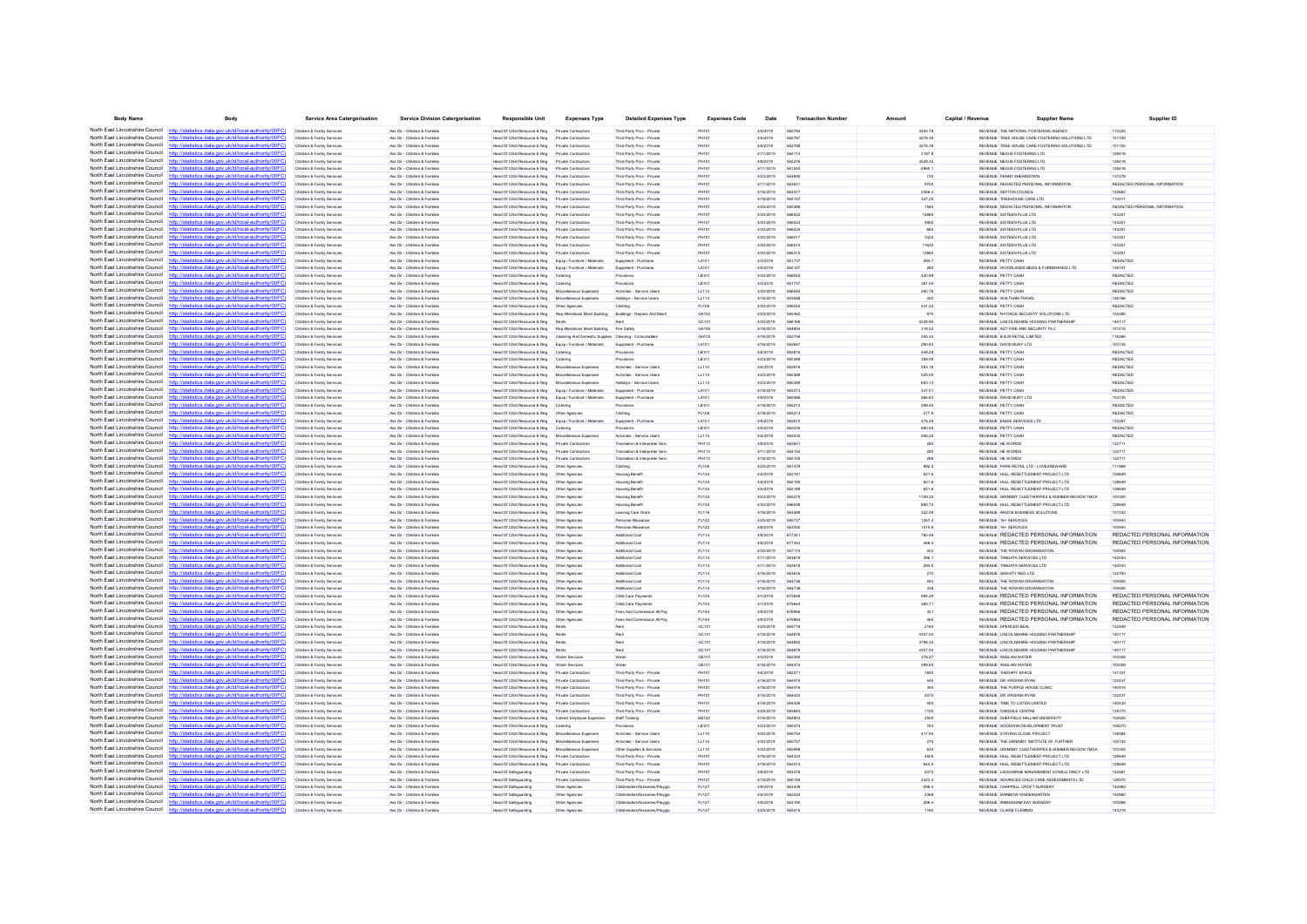| <b>Body Name</b>                                                   | Body                                                                                                                                            | <b>Service Area Catergorisation</b>                      | <b>Service Division Catergorisation</b>                       | <b>Responsible Unit</b>                                                       | <b>Expenses Type</b>                                                    | <b>Detailed Expenses Type</b>                                   | <b>Expenses Code</b>  | Date                   | <b>Transaction Numbe</b> | Amoun              | Capital / Revenue | <b>Supplier Name</b>                                                                        | Supplier ID                   |
|--------------------------------------------------------------------|-------------------------------------------------------------------------------------------------------------------------------------------------|----------------------------------------------------------|---------------------------------------------------------------|-------------------------------------------------------------------------------|-------------------------------------------------------------------------|-----------------------------------------------------------------|-----------------------|------------------------|--------------------------|--------------------|-------------------|---------------------------------------------------------------------------------------------|-------------------------------|
|                                                                    | North East Lincolnshire Council http://statistics.data.gov.uk/id/local-authority/00FC).                                                         | Children & Family Services                               | Ass Dir - Children & Familes                                  | Head Of Child Resource & Reg                                                  | Private Contractor                                                      | Third Party Prov - Private                                      |                       | 4/4/2019               |                          | 3350.79            |                   | REVENUE THE NATIONAL FOSTERING AGENCY                                                       | 11222                         |
| North East Lincolnshire Council                                    | http://statistics.data.gov.uk/id/local-authority/00FC                                                                                           | Children & Family Services                               | Ass Dir - Children & Families                                 | Head Of Child Resource & Reg                                                  | Private Contractors                                                     | Third Party Prov - Private                                      | PH101                 | 4/4/2019               | 562787                   | 3276.39            |                   | REVENUE TREE HOUSE CARE FOSTERING SOLUTIONS LTD                                             | 101150                        |
| North East Lincolnshire Council                                    | http://statistics.data.gov.uk/id/local-authority/00FC                                                                                           | Children & Family Services                               | Ass Dir - Children & Familes                                  | Head Of Child Resource & Reg                                                  | Private Contractors                                                     | Third Party Prov - Private                                      | <b>PH101</b>          | 4/4/2019               | 562788                   | 3276.39            |                   | REVENUE TREE HOUSE CARE FOSTERING SOLUTIONS LTD                                             | 101150                        |
| North East Lincolnshire Council<br>North East Lincolnshire Council | http://statistics.data.gov.uk/id/local-authority/00EC<br>http://statistics.data.gov.uk/id/local-authority/00FC                                  | Children & Family Services<br>Children & Family Service  | Ass Dir - Children & Fornites<br>Ass Dir - Children & Famile  | Head Of Child Resource & Reg<br>Head Of Child Resource & Reg                  | Private Contractors<br>Private Contractor                               | Third Party Prov - Private<br>Third Party Prov - Privat         | PH101<br>PH101        | 4/11/2019<br>4/9/2019  | 564114<br>562278         | 3187.8<br>3529.35  |                   | REVENUE NEXUS FOSTERING LTD.<br>REVENUE NEXUS FOSTERING LTD                                 | 128418<br>128418              |
| North East Lincolnshire Council                                    | http://statistics.data.gov.uk/id/local-authority/00FC                                                                                           | Children & Family Services                               | Ass Dir - Children & Familes                                  | Head Of Child Resource & Reg                                                  | Private Contractor                                                      | Third Party Prov - Private                                      | PH10                  | 4/11/2019              | 561245                   | $-2960.1$          |                   | REVENUE NEXUS FOSTERING LTD                                                                 | 128418                        |
| North East Lincolnshire Council                                    | http://statistics.data.gov.uk/id/local-authority/00FC)                                                                                          | Children & Family Services                               | Ass Dir - Children & Families                                 | Head Of Child Resource & Reg                                                  | Private Contractors                                                     | Third Party Prov - Private                                      | PH101                 | 4/23/2019              | 564890                   | 720                |                   | REVENUE PENNY SHEARDOWN                                                                     | 137278                        |
| North East Lincolnshire Council                                    | http://statistics.data.gov.uk/id/local-authority/00FC)                                                                                          | Children & Family Services                               | Ass Dir - Children & Familes                                  | Head Of Child Resource & Reg                                                  | Private Contractors                                                     | Third Party Prov - Private                                      | <b>PH101</b>          | 4/11/2019              | 563631                   | 9750               |                   | REVENUE REDACTED PERSONAL INFORMATION                                                       | REDACTED PERSONAL INFORMATION |
| North East Lincolnshire Council                                    | http://statistics.data.gov.uk/id/local-authority/00FC                                                                                           | Children & Family Services                               | Ass Dir - Children & Familes                                  | Head Of Child Resource & Reg                                                  | Private Contractor                                                      | Third Party Prov - Privat                                       | PH101                 | 4/16/2019              |                          | 2366.4             |                   | REVENUE SEFTON COUNCIL                                                                      | 142662                        |
| North East Lincolnshire Council                                    |                                                                                                                                                 | Children & Family Services                               | Ass Dir - Children & Familes                                  | Head Of Child Resource & Reg                                                  | Private Contractors                                                     | Third Party Prov - Private                                      | <b>PH101</b>          | 4/18/2019              | 565157                   | 347.25             |                   | REVENUE TREEHOUSE CARE LTD                                                                  | 11451                         |
| North East Lincolnshire Council                                    | http://statistics.data.gov.uk/id/local-authority/00FC                                                                                           | Children & Family Services                               | Ass Dir - Children & Familes                                  | Head Of Child Resource & Reg                                                  | Private Contractors                                                     | Third Party Prov - Private                                      | PH101                 | 4/25/2019              | 565388                   | 1550               |                   | REVENUE REDACTED PERSONAL INFORMATION                                                       | REDACTED PERSONAL INFORMATION |
| North East Lincolnshire Council                                    | http://statistics.data.gov.uk/id/local-authority/00EC                                                                                           | Children & Family Services                               | Ass Dir - Children & Fornites                                 | Head Of Child Resource & Reg                                                  | Private Contractors                                                     | Third Party Prov - Private                                      | PH101                 | 4/30/2019              | 566022                   | 12865              |                   | REVENUE SIXTEEN PLUS LTD.                                                                   | 143251                        |
| North East Lincolnshire Council<br>North East Lincolnshire Council | http://statistics.data.gov.uk/id/local-authority/00FC<br>http://statistics.data.gov.uk/id/local-authority/00FC                                  | Children & Family Service<br>Children & Family Services  | Ass Dir - Children & Famile<br>Ass Dir - Children & Familes   | Head Of Child Resource & Reg<br>Head Of Child Resource & Reg                  | Private Contractor                                                      | Third Party Prov - Privat<br>Third Party Prov - Privat          | PH10                  | 4/30/2019              | 566023                   | 4900               |                   | REVENUE SIXTEEN PLUS LTD<br>REVENUE SIXTEEN PLUS LTD                                        | 14325                         |
| North East Lincolnshire Council                                    | http://statistics.data.gov.uk/id/local-authority/00FC                                                                                           | Children & Family Services                               | Ass Dir - Children & Familes                                  | Head Of Child Resource & Reg                                                  | Private Contractor<br>Private Contractors                               | Third Party Prov - Private                                      | PH101<br>PH101        | 4/30/2019<br>4/30/2019 | 566017                   | 3320               |                   | REVENUE SIXTEEN PLUS LTD                                                                    | 14325<br>14325                |
| North East Lincolnshire Council                                    | http://statistics.data.gov.uk/id/local-authority/00FC]                                                                                          | Children & Family Services                               | Ass Dir - Children & Familes                                  | Head Of Child Resource & Reg                                                  | Private Contractors                                                     | Third Party Prov - Private                                      | <b>PH101</b>          | 4/30/2019              | 566014                   | 11620              |                   | REVENUE SIXTEEN PLUS LTD                                                                    | 143251                        |
| North East Lincolnshire Council                                    | http://statistics.data.gov.uk/id/local-authority/00EC                                                                                           | Children & Family Services                               | Ass Dir - Children & Familes                                  | Head Of Child Resource & Reg                                                  | Private Contractors                                                     | Third Party Prov - Privar                                       | PH10                  | 4/30/2019              |                          |                    |                   | REVENUE SIXTEEN PLUS LTD                                                                    | 14325                         |
| North East Lincolnshire Council                                    |                                                                                                                                                 | Children & Family Services                               | Ass Dir - Children & Familes                                  | Head Of Child Resource & Reg                                                  | Equip / Furniture / Materials                                           | Equipment - Purchase                                            | LA101                 | 4/3/2019               | 561737                   | 294.7              |                   | <b>REVENUE PETTY CASE</b>                                                                   | REDACTED                      |
| North East Lincolnshire Council                                    | http://statistics.data.gov.uk/id/local-authority/00FC                                                                                           | Children & Family Services                               | Ass Dir - Children & Familes                                  | Head Of Child Resource & Reg                                                  | Equip / Fumiture / Materials                                            | Equipment - Purchase                                            | LA101                 | 4/4/2019               | 562127                   | 260                |                   | REVENUE WOODLANDS BEDS & FURNISHINGS LTD                                                    | 138747                        |
| North East Lincolnshire Council                                    | http://statistics.data.gov.uk/id/local-authority/00FC                                                                                           | Children & Family Services                               | Ass Dir - Children & Familes                                  | Head Of Child Resource & Reg                                                  | Caterine                                                                | Provisions                                                      | LB101                 | 4/30/2019              | 566045                   | 420.89             |                   | REVENUE PETTY CASH                                                                          | REDACTED                      |
| North East Lincolnshire Council<br>North East Lincolnshire Council | http://statistics.data.gov.uk/id/local-authority/00FC                                                                                           | Children & Family Service                                | Ass Dir - Children & Famille                                  | Head Of Child Resource & Reg                                                  | Caterin                                                                 |                                                                 | LB101                 | 4/3/2019               | 561737                   | 381.04             |                   | REVENUE PETTY CASH                                                                          | REDACTED                      |
| North East Lincolnshire Council                                    | http://statistics.data.gov.uk/id/local-authority/00FC<br>http://statistics.data.gov.uk/id/local-authority/00FC                                  | Children & Family Services<br>Children & Family Services | Ass Dir - Children & Familes<br>Ass Dir - Children & Families | Head Of Child Resource & Reg<br>Head Of Child Resource & Reg                  | Miscellaneous Expenses<br>Miscellaneous Expenses                        | Activities - Service User<br>Holidays - Service Users           | LL114<br>LL113        | 4/30/2019<br>4/16/2019 | 563588                   | 260.76<br>450      |                   | REVENUE PETTY CASH<br>REVENUE WALTHAM TRAVEL                                                | REDACTED<br>126166            |
| North East Lincolnshire Council                                    | http://statistics.data.gov.uk/id/local-authority/00FC)                                                                                          | Children & Family Services                               | Ass Dir - Children & Familes                                  | Head Of Child Resource & Reg                                                  | Other Agencies                                                          | Clothing                                                        | PJ106                 | 4/30/2019              | <b>SARDAS</b>            | 431.22             |                   | REVENUE PETTY CASH                                                                          | REDACTED                      |
|                                                                    | North East Lincolnshire Council http://statistics.data.ogu.uk/id/local-authority/00EC)                                                          | Children & Family Services                               | Ass Dir - Children & Familes                                  | Head Of Child Resource & Reg                                                  |                                                                         | Buildings - Repairs And Ma                                      | GA10                  | 4/23/2019              | 565362                   |                    |                   | REVENUE N-FORCE SECURITY SOLUTIONS LTD                                                      | 0528                          |
| North East Lincolnshire Council                                    |                                                                                                                                                 | Children & Family Services                               | Ass Dir - Children & Families                                 | Head Of Child Resource & Reg                                                  | Rents                                                                   |                                                                 | GC101                 | 4/30/2019              | 566169                   | 4338.95            |                   | REVENUE LINCOLNSHIRE HOUSING PARTNERSHIP                                                    | 140117                        |
| North East Lincolnshire Council                                    | http://statistics.data.gov.uk/id/local-authority/00FC                                                                                           | Children & Family Services                               | Ass Dir - Children & Familes                                  |                                                                               | Head Of Child Resource & Reg Rep Atterations Maint Building Fire Safety |                                                                 | GA106                 | 4/18/2019              | <b>SA4804</b>            | 318.52             |                   | REVENUE ADT FIRE AND SECURITY PLC                                                           | 101015                        |
| North East Lincolnshire Council                                    | http://statistics.data.gov.uk/id/local-authority/00FC                                                                                           | Children & Family Services                               | Ass Dir - Children & Familes                                  | Head Of Child Resource & Reg                                                  | Cleaning And Domestic Supplies Cleaning - Consumable                    |                                                                 | GH103                 | 4/16/2019              | 562759                   | 345.34             |                   | REVENUE B & M RETAIL LIMITED                                                                | 116266                        |
| North East Lincolnshire Council                                    | http://statistics.data.gov.uk/id/local-authority/00FC                                                                                           | Children & Family Service                                | Ass Dir - Children & Familie                                  | Head Of Child Resource & Reg                                                  | Equip / Furniture / Materials                                           | Equipment - Purchas                                             | LA101                 | 4/16/2019              | SAORA?                   | 290.83             |                   | REVENUE DAVID BURY LTD                                                                      | 103135                        |
| North East Lincolnshire Council<br>North East Lincolnshire Council | http://statistics.data.gov.uk/id/local-authority/00FC                                                                                           | Children & Family Services                               | Ass Dir - Children & Familes                                  | Head Of Child Resource & Reg                                                  |                                                                         | rovisions                                                       | LB10                  | 4/4/2019               |                          | 448.28             |                   | REVENUE PETTY CASH                                                                          | REDACTE                       |
| North East Lincolnshire Council                                    | http://statistics.data.gov.uk/id/local-authority/00FC<br>http://statistics.data.gov.uk/id/local-authority/00FC                                  | Children & Family Services<br>Children & Family Services | Ass Dir - Children & Familes<br>Ass Dir - Children & Familes  | Head Of Child Resource & Reg<br>Head Of Child Resource & Reg                  | Catering<br>Miscellaneous Expenses                                      | Provisions<br>Activities - Service User                         | LB101<br>LL114        | 4/23/2019<br>4/4/2019  | 565385<br>562816         | 389.09<br>593.18   |                   | REVENUE PETTY CASH<br>REVENUE PETTY CASH                                                    | REDACTED<br>REDACTED          |
|                                                                    | North East Lincolnshire Council http://gtatistics.data.gov.uk/id/local-authority/00EC1                                                          | Children & Family Service                                | Ass Dir - Children & Famile                                   | Head Of Child Resource & Reg                                                  | Miscellaneous Expenses                                                  | Activities - Service Use                                        | LL114                 | 4/23/2019              | 565389                   | 529.05             |                   | REVENUE PETTY CASH                                                                          | REDACTED                      |
| North East Lincolnshire Council                                    | tistics data onu uklidlocal suthority/00FC                                                                                                      | Children & Family Services                               | Ass Dir - Children & Families                                 | Head Of Child Resource & Reg                                                  | ous Expenses                                                            | Holidays - Service Users                                        | LL113                 | 4/23/2019              | 565389                   | 683.13             |                   | REVENUE PETTY CASH                                                                          | REDACTED                      |
| North East Lincolnshire Council                                    | http://statistics.data.gov.uk/id/local-authority/00FC)                                                                                          | Children & Family Services                               | Ass Dir - Children & Familes                                  | Head Of Child Resource & Reg                                                  | Equip / Furniture / Materials                                           | Equipment - Purchase                                            | LA101                 | 4/18/2019              | 565213                   | 347.01             |                   | REVENUE PETTY CASH                                                                          | REDACTED                      |
| North East Lincolnshire Council                                    | http://statistics.data.gov.uk/id/local-authority/00FC]                                                                                          | Children & Family Services                               | Ass Dir - Children & Familes                                  | Head Of Child Resource & Reg                                                  | Equip / Furniture / Materials                                           | Equipment - Purchase                                            | LA101                 | 4/9/2019               | 560466                   | 266.63             |                   | REVENUE DAVID BURY LTD                                                                      | 103135                        |
| North East Lincolnshire Council                                    | http://statistics.data.gov.uk/id/local-authority/00FC                                                                                           | Children & Family Services                               | Ass Dir - Children & Familier                                 | Head Of Child Resource & Reg                                                  | Cateria                                                                 |                                                                 | LB101                 | 4/18/2019              | 565213                   | 299.55             |                   | <b>REVENUE PETTY CASE</b>                                                                   | <b>REDACTED</b>               |
| North East Lincolnshire Council                                    | http://statistics.data.gov.uk/id/local-authority/00FC                                                                                           | Children & Family Service                                | Ass Dir - Children & Famile                                   | Head Of Child Resource & Reg                                                  | Other Agencies                                                          | Clothing                                                        | PJ106                 | 4/18/2019              |                          | 277.9              |                   | REVENUE PETTY CASH                                                                          | REDACTED                      |
| North East Lincolnshire Council<br>North East Lincolnshire Council | http://statistics.data.gov.uk/id/local-authority/00FC                                                                                           | Children & Family Services                               | Ass Dir - Children & Families                                 | Head Of Child Resource & Reg                                                  | Equip / Furniture / Materials                                           | Equipment - Purchase                                            | LA101                 | 4/4/2019               | 562610                   | 478.29             |                   | REVENUE ENGIE SERVICES LTD                                                                  | 133267                        |
| North East Lincolnshire Council                                    | http://statistics.data.gov.uk/id/local-authority/00FC<br>http://gtgtigting.digtg.gov.uk/id/longLguthority/00EC1                                 | Children & Family Services                               | Ass Dir - Children & Familes                                  | Head Of Child Resource & Reg                                                  | Catering                                                                | Provisions                                                      | LB101                 | 4/4/2019               | 562434                   | 880.55             |                   | REVENUE PETTY CASH                                                                          | REDACTED                      |
| North East Lincolnshire Council                                    | tatistics data nov uk/id/local-authority/00EC                                                                                                   | Children & Family Service                                | Ass Dir - Children & Familes<br>Ass Dir - Children & Families | Head Of Child Resource & Reg<br>Head Of Child Resource & Reg                  | Miscellaneous Expenses<br>Private Contractors                           | Activities - Service User:                                      | LL114<br>PH113        | 4/4/2019<br>4/9/2019   | 562434<br>56265          | 506.25<br>285      |                   | REVENUE PETTY CASH<br>REVENUE HE WORDS                                                      | REDACTED<br>122711            |
| North East Lincolnshire Council                                    | http://statistics.data.gov.uk/id/local-authority/00FC)                                                                                          | Children & Family Services<br>Children & Family Services | Ass Dir - Children & Familes                                  | Head Of Child Resource & Reg                                                  | Private Contractors                                                     | Translation & Interpreter Ser<br>Translation & Interpreter Serv | PH113                 | 4/11/2019              | 564152                   | 285                |                   | REVENUE HE WORDS                                                                            | 122711                        |
| North East Lincolnshire Council                                    | http://statistics.data.gov.uk/id/local-authority/00FC]                                                                                          | Children & Family Services                               | Ass Dir - Children & Familes                                  | Head Of Child Resource & Reg                                                  | Private Contractors                                                     | Translation & Interpreter Serv                                  | <b>PH113</b>          | 4/18/2019              | 565159                   | 288                |                   | REVENUE HE WORDS                                                                            | 122711                        |
| North East Lincolnshire Council                                    | http://statistics.data.gov.uk/id/local-authority/00EC                                                                                           | Children & Family Services                               | Ass Dir - Children & Familier                                 | Head Of Child Resource & Reg                                                  | Other Anencies                                                          | Clothing                                                        | PJ106                 | 4/25/2019              | 561479                   | 992.5              |                   | REVENUE PARK RETAIL LTD - LOVE2REWARD                                                       | 111869                        |
| North East Lincolnshire Council                                    | http://statistics.data.gov.uk/id/local-authority/00FC)                                                                                          | Children & Family Service                                | Ass Dir - Children & Famile                                   | Head Of Child Resource & Reg                                                  | Other Agencie                                                           | <b>Housing Benet</b>                                            | PJ134                 | 4/4/2019               |                          | 821.6              |                   | REVENUE HULL RESETTLEMENT PROJECT LTD                                                       |                               |
| North East Lincolnshire Council                                    | http://statistics.data.gov.uk/id/local-authority/00FC                                                                                           | Children & Family Services                               | Ass Dir - Children & Families                                 | Head Of Child Resource & Reg                                                  | Other Agencies                                                          | <b>Housing Benefi</b>                                           | PJ134                 | 4/4/2019               | 562190                   | 821.6              |                   | REVENUE HULL RESETTLEMENT PROJECT LTD                                                       | 128649                        |
| North East Lincolnshire Council                                    | http://statistics.data.gov.uk/id/local-authority/00FC                                                                                           | Children & Family Services                               | Ass Dir - Children & Familes                                  | Head Of Child Resource & Reg   Other Agencies                                 |                                                                         | <b>Housing Benefit</b>                                          | PJ134                 | 4/4/2019               | 562189                   | 821.6              |                   | REVENUE HULL RESETTLEMENT PROJECT LTD                                                       | 128649                        |
| North East Lincolnshire Council<br>North East Lincolnshire Council | http://statistics.data.gov.uk/id/local-authority/00EC<br>distinguish and ukhdhood authoritations                                                | Children & Family Services                               | Ass Dir - Children & Families                                 | Head Of Child Resource & Reg                                                  | Other Agencie                                                           | <b>Housing Benefi</b>                                           | PJ134                 | 4/23/2019              | 565270                   | 1149.25            |                   | REVENUE GRIMSBY CLEETHORPES & HUMBER REGION YMCA                                            | 10030                         |
| North East Lincolnshire Council                                    | http://statistics.data.gov.uk/id/local-authority/00FC)                                                                                          | Children & Family Services<br>Children & Family Services | Ass Dir - Children & Familes<br>Ass Dir - Children & Familes  | Head Of Child Resource & Reg                                                  | Other Agencies                                                          | <b>Housing Benefi</b><br>Leaving Care Gran                      | PJ134<br>PJ116        | 4/30/2019<br>4/16/2019 | 566028<br>563489         | 885.72<br>322.49   |                   | REVENUE HULL RESETTLEMENT PROJECT LTD<br>REVENUE ARGOS BUSINESS SOLUTIONS                   | 12864<br>101032               |
| North East Lincolnshire Council                                    | http://statistics.data.gov.uk/id/local-authority/00FC]                                                                                          | Children & Family Services                               | Ass Dir - Children & Familes                                  | Head Of Child Resource & Reg   Other Agencies                                 |                                                                         | Personal Allowance                                              | PJ122                 | 4/25/2019              | 565727                   | 1267.4             |                   | REVENUE 16+ SERVICES                                                                        | 100943                        |
|                                                                    | North East Lincolnshire Council http://statistics.data.gov.uk/id/local-authority/00FC)                                                          | Children & Family Services                               | Ass Dir - Children & Familier                                 | Head Of Child Resource & Reg                                                  | Other Anencies                                                          | Personal Allowano                                               | PJ122                 | 4/9/2019               | 583050                   | 1015.8             |                   | REVENUE 16+ SERVICES                                                                        | 100941                        |
|                                                                    | North East Lincolnshire Council http://statistics.data.gov.uk/id/local-authority/00FC)                                                          | Children & Family Service                                | Ass Dir - Children & Famile                                   | Head Of Child Resource & Reg                                                  | Other Agencie                                                           | Additional Cos                                                  | PJ114                 | 4/8/2019               | 67734                    | 780.48             |                   | REVENJE REDACTED PERSONAL INFORMATION                                                       | REDACTED PERSONAL INFORMATION |
| North East Lincolnshire Council                                    | http://statistics.data.gov.uk/id/local-authority/00FC                                                                                           | Children & Family Services                               | Ass Dir - Children & Families                                 | Head Of Child Resource & Reg                                                  | Other Agencies                                                          | Additional Cost                                                 | PJ114                 | 4/8/2019               | 677343                   | 466.4              |                   | REVENUE REDACTED PERSONAL INFORMATION                                                       | REDACTED PERSONAL INFORMATION |
| North East Lincolnshire Council                                    | http://statistics.data.gov.uk/id/local-authority/00FC)                                                                                          | Children & Family Services                               | Ass Dir - Children & Familes                                  | Head Of Child Resource & Reg   Other Agencies                                 |                                                                         | Additional Cost                                                 | PJ114                 | 4/30/2019              | 557174                   | 403                |                   | REVENUE THE ROWAN ORGANISATION                                                              | 105925                        |
| North East Lincolnshire Council                                    | North East Lincolnshire Council http://statistics.data.gov.uk/id/local-authority/00FC<br>http://etatietics.data.gov.uk/id/local.guthority/00EC1 | Children & Family Service                                | Ass Dir - Children & Familes                                  | Head Of Child Resource & Reg                                                  | Other Agencie                                                           | Additional Cos                                                  | PJ114                 | 4/11/2019              | 118883                   | 396.1              |                   | REVENUE TANGATA SERVICES LTD                                                                | 142043                        |
| North East Lincolnshire Council                                    | http://statistics.data.gov.uk/id/local-authority/00FC)                                                                                          | Children & Family Services                               | Ass Dir - Children & Famille<br>Ass Dir - Children & Familes  | Head Of Child Resource & Reg                                                  | Other Agencies                                                          | Additional Cos                                                  | PJ114                 | 4/11/2019              |                          | 294.5              |                   | REVENUE TANGATA SERVICES LTD<br>REVENUE GRAVITY RED LTD                                     | 142043                        |
| North East Lincolnshire Council                                    | http://statistics.data.gov.uk/id/local-authority/00FC]                                                                                          | Children & Family Services<br>Children & Family Services | Ass Dir - Children & Familes                                  | Head Of Child Resource & Reg   Other Agencies<br>Head Of Child Resource & Reg | Other Agencies                                                          | Additional Cost<br>Additional Cost                              | PJ114<br>PJ114        | 4/16/2019<br>4/16/2019 | 563616<br>564736         | 270<br>583         |                   | REVENUE THE ROWAN ORGANISATION                                                              | 122793<br>105925              |
| North East Lincolnshire Council                                    | http://statistics.data.gov.uk/id/local-authority/00EC                                                                                           | Children & Family Services                               | Ass Dir - Children & Familier                                 | Head Of Child Resource & Reg                                                  | Other Agencie                                                           | Arktinnal Cost                                                  | P.1114                | 4/16/2019              | 564738                   | 338                |                   | REVEN IF THE ROWAN ORGANISATION                                                             | acoan                         |
|                                                                    | North East Lincolnshire Council http://statistics.data.gov.uk/id/local-authority/00FC)                                                          | Children & Family Service                                | Ass Dir - Children & Famile                                   | Head Of Child Resource & Reg                                                  | Other Agencie                                                           | Child Care Payment                                              | PJ10                  | 4/1/2019               |                          | 994.29             |                   | REVENUE REDACTED PERSONAL INFORMATION                                                       | REDACTED PERSONAL INFORMATION |
| North East Lincolnshire Council                                    | http://statistics.data.gov.uk/id/local-authority/00FC                                                                                           | Children & Family Services                               | Ass Dir - Children & Families                                 | Head Of Child Resource & Reg                                                  | Other Agencies                                                          | Child Care Payment                                              | PJ104                 | 4/1/2019               | 67564                    | 385.71             |                   | REVENUE REDACTED PERSONAL INFORMATION                                                       | REDACTED PERSONAL INFORMATION |
| North East Lincolnshire Council                                    | http://statistics.data.gov.uk/id/local-authority/00FC)                                                                                          | Children & Family Services                               | Ass Dir - Children & Familes                                  | Head Of Child Resource & Reg   Other Agencies                                 |                                                                         | Fees And Commission All Pa                                      | PJ144                 | 4/9/2019               | 676966                   | 351                |                   | REVENUE REDACTED PERSONAL INFORMATION                                                       | REDACTED PERSONAL INFORMATION |
| North East Lincolnshire Council                                    | http://statistics.data.gov.uk/id/local-authority/00EC                                                                                           | Children & Family Services                               | Ass Dir - Children & Families                                 | Head Of Child Resource & Reg                                                  | Other Agencie                                                           | Fees And Commission All Pa                                      | PJ144                 | 4/9/2019               | <b>A7A9A</b>             | 465                |                   | REVENUE REDACTED PERSONAL INFORMATION                                                       | REDACTED PERSONAL INFORMATION |
| North East Lincolnshire Council<br>North East Lincolnshire Council | http://statistics.data.gov.uk/id/local-authority/00EC                                                                                           | Children & Family Service                                | Ass Dir - Children & Famile                                   | Head Of Child Resource & Reg                                                  |                                                                         |                                                                 | GC101                 | 4/25/2019              | 565718                   | 2160               |                   | REVENUE SPENCER BEAL                                                                        |                               |
| North East Lincolnshire Council                                    | http://statistics.data.gov.uk/id/local-authority/00FC)<br>http://statistics.data.gov.uk/id/local-authority/00FC                                 | Children & Family Services<br>Children & Family Services | Ass Dir - Children & Familes<br>Ass Dir - Children & Familes  | Head Of Child Resource & Reg<br>Head Of Child Resource & Reg                  | Rents<br>Rents                                                          | Rent                                                            | GC101<br>GC101        | 4/18/2019<br>4/18/2019 | 564876<br><b>SAARR2</b>  | 4307.04<br>3796.32 |                   | REVENUE LINCOLNSHIRE HOUSING PARTNERSHIP<br>REVENUE LINCOLNSHIRE HOUSING PARTNERSHIP        | 140117<br>140117              |
| North East Lincolnshire Council                                    | http://statistics.data.gov.uk/id/local-authority/00FC                                                                                           | Children & Family Services                               | Ass Dir - Children & Fornites                                 | Head Of Child Resource & Reg.                                                 | Rents                                                                   | Rent                                                            | GC101                 | 4/18/2019              | <b>SAARTS</b>            | 4307.04            |                   | REVENUE LINCOLNSHIRE HOUSING PARTNERSHIP                                                    | 140117                        |
| North East Lincolnshire Council                                    | http://statistics.data.gov.uk/id/local-authority/00FC)                                                                                          | Children & Family Service                                | Ass Dir - Children & Famille                                  | Head Of Child Resource & Reg                                                  | Water Service                                                           |                                                                 | GE10                  | 4/3/2019               | 562394                   | 378.27             |                   | REVENUE ANGLIAN WATER                                                                       | 100508                        |
| North East Lincolnshire Council                                    | http://statistics.data.gov.uk/id/local-authority/00FC                                                                                           | Children & Family Service                                | Ass Dir - Children & Famile                                   | Head Of Child Resource & Reg                                                  | <b>Water Services</b>                                                   |                                                                 | GE101                 | 4/16/2019              |                          | 599.65             |                   | REVENUE ANGLIAN WATE                                                                        | 10050                         |
| North East Lincolnshire Council                                    | http://statistics.data.gov.uk/id/local-authority/00FC)                                                                                          | Children & Family Services                               | Ass Dir - Children & Familes                                  | Head Of Child Resource & Reg                                                  | Private Contractors                                                     | Third Party Prov - Privat                                       | PH101                 | 4/4/2019               | 56227                    | 1840               |                   | REVENUE THERAPY SPACE                                                                       | 141337                        |
| North East Lincolnshire Council                                    | http://statistics.data.gov.uk/id/local-authority/00EC                                                                                           | Children & Family Services                               | Ass Dir - Children & Familes                                  | Head Of Child Resource & Reg                                                  | Private Contractor                                                      | Third Party Prov - Privat                                       | PH101                 | 4/16/2019              | 584415                   | 445                |                   | REVENUE DR VIRGINIA RYAN                                                                    | 122437                        |
| North East Lincolnshire Council                                    | http://statistics.data.gov.uk/id/local-authority/00EC                                                                                           | Children & Family Service                                | Ass Dir - Children & Familie                                  | Head Of Child Resource & Reg                                                  |                                                                         | Third Party Prov - Privat                                       | PH10                  | 4/16/2019              |                          |                    |                   | REVENUE THE PURPLE HOUSE CLINIC                                                             | 140915                        |
| North East Lincolnshire Council<br>North East Lincolnshire Council | http://statistics.data.gov.uk/id/local-authority/00FC)                                                                                          | Children & Family Services                               | Ass Dir - Children & Familes                                  | Head Of Child Resource & Reg                                                  | Private Contractors                                                     | Third Party Prov - Private                                      | PH101                 | 4/16/2019              | 564424                   | 2475               |                   | REVENUE DR VIRGINIA RYAN                                                                    | 122437                        |
| North East Lincolnshire Council                                    | http://statistics.data.gov.uk/id/local-authority/00FC<br>http://statistics.data.gov.uk/id/local-authority/00FC                                  | Children & Family Services<br>Children & Family Services | Ass Dir - Children & Familes<br>Ass Dir - Children & Familes  | Head Of Child Resource & Reg<br>Head Of Child Resource & Reg                  | Private Contractors<br>Private Contractors                              | Third Party Prov - Private<br>Third Party Prov - Private        | <b>PH101</b><br>PH101 | 4/16/2019<br>4/25/2019 | <b>SR442F</b><br>565683  | 450<br>1100        |                   | REVENUE TIME TO LISTEN LIMITED<br>REVENUE OAKDALE CENTRE                                    | 140435<br>135770              |
| North East Lincolnshire Council                                    | http://statistics.data.gov.uk/id/local-authority/00FC                                                                                           | Children & Family Service                                | Ass Dir - Children & Familes                                  | Head Of Child Resource & Reg                                                  | Indirect Employee Expense                                               | Staff Training                                                  | EB122                 | 4/16/2019              | 564807                   | 2500               |                   | REVENUE SHEFFIELD HALLAM UNIVERSITY                                                         | 102825                        |
| North East Lincolnshire Council                                    | http://statistics.data.gov.uk/id/local-authority/00FC)                                                                                          | Children & Family Service                                | Ass Dir - Children & Familie                                  | Head Of Child Resource & Reg                                                  | Catering                                                                |                                                                 | LB101                 | 4/23/2019              |                          |                    |                   | REVENUE GOODWIN DEVELOPMENT TRUST                                                           | 10827                         |
| North East Lincolnshire Council                                    | http://statistics.data.gov.uk/id/local-authority/00FC)                                                                                          | Children & Family Services                               | Ass Dir - Children & Familes                                  | Head Of Child Resource & Reg                                                  | Miscellaneous Expenses                                                  | Activities - Service User:                                      | LL114                 | 4/30/2019              | 565754                   | 417.94             |                   | REVENUE STAYING CLOSE PROJECT                                                               | 13958                         |
| North East Lincolnshire Council                                    | http://statistics.data.gov.uk/id/local-authority/00EC                                                                                           | Children & Family Services                               | Ass Dir - Children & Familes                                  | Head Of Child Resource & Reg                                                  | Miscellaneous Expenses                                                  | Antivities - Service Lisers                                     | LL114                 | 4/30/2019              | 565757                   | 275                |                   | REVENUE THE GRIMSBY INSTITUTE OF FURTHER                                                    | 102743                        |
| North East Lincolnshire Council                                    | stigting data now uk/id/incal-authority/00FC!                                                                                                   | dren & Family Service                                    | Ass Dir - Children & Familie                                  | Head Of Child Resource & Reg                                                  | ous Expenses                                                            | Other Supplies & Service                                        | <b>LL110</b>          | 4/30/2019              | 565999                   | 630                |                   | REVENUE GRIMSBY CLEETHORPES & HUMBER REGION YMCA                                            | 100305                        |
| North East Lincolnshire Council                                    | http://statistics.data.gov.uk/id/local-authority/00FC                                                                                           | Children & Family Services                               | Ass Dir - Children & Families                                 | Head Of Child Resource & Reg Private Contractors                              |                                                                         | Third Party Proy - Private                                      | PH101                 | 4/16/2019              | 564324                   | 4500               |                   | REVENUE HULL RESETTLEMENT PROJECT LTD                                                       | 128649                        |
| North East Lincolnshire Council                                    | http://statistics.data.gov.uk/id/local-authority/00FC<br>North East Lincolnshire Council http://statistics.data.gov.uk/id/local-authority/00FC) | Children & Family Services                               | Ass Dir - Children & Familes                                  | Head Of Child Resource & Reg                                                  | Private Contractors                                                     | Third Party Prov - Private                                      | PH101                 | 4/16/2019              | 564413                   | 643.5              |                   | REVENUE HULL RESETTLEMENT PROJECT LTD                                                       | 12864                         |
|                                                                    | North East Lincolnshire Council http://statistics.data.gov.uk/id/local-authority/00FC                                                           | Children & Family Services<br>Children & Family Services | Ass Dir - Children & Familes<br>Ass Dir - Children & Familes  | Head Of Safeguarding                                                          | Private Contractors<br>Private Contractor                               | Third Party Proy - Private                                      | <b>PH101</b><br>PH10  | 4/9/2019<br>4/18/2019  | 563478<br>565148         | 2475<br>2323.4     |                   | REVENUE LAUGHARNE MANAGEMENT CONSULTANCY LTD<br>REVENUE ADVANCED CHILD CARE ASSESSMENTS LTD | 142881<br>129570              |
| North East Lincolnshire Council                                    | http://statistics.data.gov.uk/id/local-authority/00FC                                                                                           | dren & Family Service                                    | Ass Dir - Children & Familie                                  | Head Of Safeguarding<br>Head Of Safeguarding                                  | Other Agencies                                                          | Third Party Prov - Private<br>Childminders/Nurseries/Playgrp    | PJ127                 | 4/9/2019               | 563439                   | 296.4              |                   | REVENUE CHAPPELL CROFT NURSER                                                               | 14299                         |
|                                                                    | North East Lincolnshire Council http://statistics.data.gov.uk/id/local-authority/00FC)                                                          | Children & Family Services                               | Ass Dir - Children & Familes                                  | Head Of Safeguarding                                                          | Other Agencies                                                          | Childminders/Nurseries/Playarp                                  | PJ127                 | 4/4/2019               | 562224                   | 2368               |                   | REVENUE RAINBOW KINDERGARTEN                                                                | 142960                        |
|                                                                    | North East Lincolnshire Council http://statistics.data.gov.uk/id/local-authority/00FC)                                                          | Children & Family Services                               | Ass Dir - Children & Familes                                  | Head Of Safeguarding                                                          | Other Agencies                                                          | Childminders/Nurseries/Playarp                                  | PJ127                 | 4/9/2019               | <b>663190</b>            | 296.4              |                   | REVENUE IMMINGHAM DAY NURSERY                                                               | 100991                        |
|                                                                    | North East Lincolnshire Council http://statistics.data.gov.uk/id/local-authority/00FC)                                                          |                                                          | Ass Dir - Children & Familie                                  | Head Of Safeguarding                                                          | Other Agencies                                                          | Childminders/Nurseries/Playgrp                                  | PJ127                 | 4/25/2019              | <b>SAS418</b>            |                    |                   | REVENUE CLAIRE FLEMIMO                                                                      | 143219                        |
|                                                                    |                                                                                                                                                 |                                                          |                                                               |                                                                               |                                                                         |                                                                 |                       |                        |                          |                    |                   |                                                                                             |                               |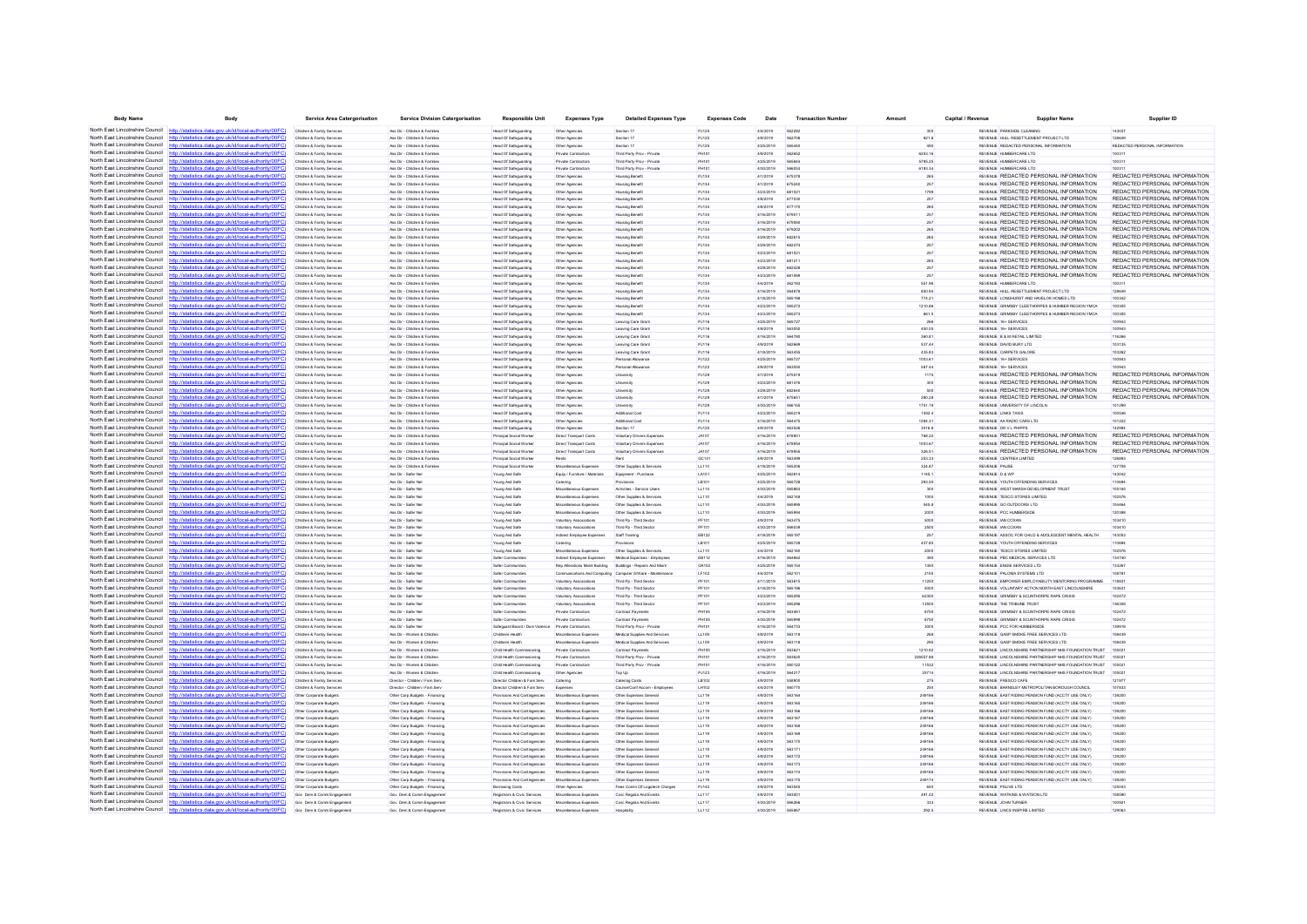| <b>Body Name</b>                              | Body                                                                                                                                            | Service Area Catergorisatio | <b>Service Division Catergorisation</b> | Responsible Uni                                    | <b>Expenses Type</b>           | <b>Detailed Expenses Type</b>                              | <b>Expenses Code</b> | Date      | <b>Transaction Numbe</b> | Amount    | Capital / Revenu | <b>Supplier Nan</b>                                       | Supplier ID                   |
|-----------------------------------------------|-------------------------------------------------------------------------------------------------------------------------------------------------|-----------------------------|-----------------------------------------|----------------------------------------------------|--------------------------------|------------------------------------------------------------|----------------------|-----------|--------------------------|-----------|------------------|-----------------------------------------------------------|-------------------------------|
| North East Lincolnshire Council http://statio | cal-authority/00FC1                                                                                                                             | Children & Family Services  | Ass Dir - Children & Families           | Head Of Safeguarding                               | Other Agencies                 | Section 17                                                 | PJ12                 | 4/4/2019  | 562282                   |           |                  | REVENUE PARKSIDE CLEANING                                 | 143037                        |
|                                               | North East Lincolnshire Council http://statistics.data.gov.uk/id/local-authority/00FC                                                           | Children & Family Services  | Ass Dir - Children & Families           | Head Of Safeguarding                               |                                | Section 17                                                 | PJ125                | 4/9/2019  | 562708                   | 821.6     |                  | REVENUE HULL RESETTLEMENT PROJECT LTD                     | 128649                        |
|                                               | North East Lincolnshire Council http://statistics.data.gov.uk/id/local-authority/00FC)                                                          |                             |                                         |                                                    | Other Agencies                 |                                                            |                      |           |                          |           |                  |                                                           |                               |
|                                               | North East Lincolnshire Council http://statistics.data.gov.uk/id/local-authority/00FC                                                           | Children & Family Services  | Ass Dir - Children & Familes            | Head Of Safeguarding                               | Other Agencies                 | Section 17                                                 | PJ125                | 4/25/2019 | 565440                   | 490       |                  | REVENUE REDACTED PERSONAL INFORMATION                     | REDACTED PERSONAL INFORMATION |
|                                               |                                                                                                                                                 | Children & Family Services  | Ass Dir - Children & Familes            | Head Of Safeguarding                               | Private Contractors            | Third Party Prov - Privat                                  | <b>PH101</b>         | 4/9/2019  | 562652                   | 6253.16   |                  | REVENUE HUMBERCARE LTD                                    | 100311                        |
|                                               | North East Lincolnshire Council http://statistics.data.gov.uk/id/local-authority/00FC                                                           | Children & Family Service   | Ass Dir - Children & Famille            | Head Of Safeguarding                               | Private Contracto              | Third Party Prov - Privat                                  | PH101                | 4/25/2019 | <b>SASRA</b>             | 5795.25   |                  | REVENUE HUMBERCARE LTD                                    | 100311                        |
|                                               | North East Lincolnshire Council http://statistics.data.gov.uk/id/local-authority/00FC)                                                          | Children & Family Services  | Ass Dir - Children & Familes            | Head Of Safeguarding                               | Private Contractors            | Third Party Prov - Private                                 | PH10                 | 4/30/2019 | 566053                   | 6193.34   |                  | REVENUE HUMBERCARE LTD                                    |                               |
| North East Lincolnshire Council               | http://statistics.data.gov.uk/id/local-authority/00FC)                                                                                          | Children & Family Services  | Ass Dir - Children & Families           | Head Of Safeguarding                               | Other Agencies                 | <b>Housing Benefit</b>                                     | PJ134                | 4/1/2019  | 675378                   | 265       |                  | REVENUE REDACTED PERSONAL INFORMATION                     | REDACTED PERSONAL INFORMATION |
|                                               | North East Lincolnshire Council http://statistics.data.gov.uk/id/local-authority/00FC)                                                          | Children & Family Services  | Ass Dir - Children & Familes            | Head Of Safeguarding                               | Other Agencies                 | Housing Benefit                                            | PJ134                | 4/1/2019  | 675240                   | 257       |                  | REVENUE REDACTED PERSONAL INFORMATION                     | REDACTED PERSONAL INFORMATION |
|                                               | North East Lincolnshire Council http://statistics.data.gov.uk/id/local-authority/00FC                                                           | Children & Family Services  | Ass Dir - Children & Familes            | Head Of Safeguarding                               | Other Agencies                 | <b>Housing Benefit</b>                                     | PJ134                | 4/23/2019 | 68102                    | 1799      |                  | REVENUE REDACTED PERSONAL INFORMATION                     | REDACTED PERSONAL INFORMATION |
| North East Lincolnshire Council               |                                                                                                                                                 | Children & Family Services  | Ass Dir - Children & Familes            | Head Of Safeguarding                               | Other Agencies                 | <b>Housing Benefit</b>                                     | PJ134                | 4/8/2019  | 677030                   | 257       |                  | REVENUE REDACTED PERSONAL INFORMATION                     | REDACTED PERSONAL INFORMATION |
|                                               | North East Lincolnshire Council http://statistics.data.gov.uk/id/local-authority/00FC                                                           | Children & Family Services  | Ass Dir - Children & Familes            | Head Of Safeguarding                               | Other Agencies                 | Housing Benefit                                            | PJ134                | 4/8/2019  | 677170                   | 265       |                  | REVENUE REDACTED PERSONAL INFORMATION                     | REDACTED PERSONAL INFORMATION |
|                                               | North East Lincolnshire Council http://statistics.data.gov.uk/id/local-authority/00FC                                                           | Children & Family Service   | Ass Dir - Children & Familes            | Head Of Safeguarding                               | Other Agencies                 | Housing Benef                                              | PJ13                 | 4/16/2019 | 679011                   | 257       |                  | REVENUE REDACTED PERSONAL INFORMATION                     | REDACTED PERSONAL INFORMATION |
| North East Lincolnshire Council               | http://statistics.data.gov.uk/id/local-authority/00FC                                                                                           | Children & Family Services  | Ass Dir - Children & Families           | Head Of Safeguarding                               | Other Agencies                 | Housing Benefit                                            | PJ134                | 4/16/2019 | 67906                    | 257       |                  | REVENUE REDACTED PERSONAL INFORMATION                     | REDACTED PERSONAL INFORMATIO  |
|                                               | North East Lincolnshire Council http://statistics.data.gov.uk/id/local-authority/00FC)                                                          | Children & Family Services  | Ass Dir - Children & Families           | Head Of Safeguarding                               | Other Agencies                 | <b>Housing Benefit</b>                                     | PJ134                | 4/16/2019 | 679202                   | 265       |                  | REVENUE REDACTED PERSONAL INFORMATION                     | REDACTED PERSONAL INFORMATION |
|                                               | North East Lincolnshire Council http://statistics.data.gov.uk/id/local-authority/00FC                                                           | Children & Family Services  | Ass Dir - Children & Familes            | Head Of Safeguarding                               | Other Agencies                 | Housing Benefit                                            | PJ134                | 4/29/2019 | 682615                   | 265       |                  | REVENUE REDACTED PERSONAL INFORMATION                     | REDACTED PERSONAL INFORMATION |
|                                               | North East Lincolnshire Council http://statistics.data.gov.uk/id/local-authority/00FC                                                           | Children & Family Servic    | Ass Dir - Children & Famile             | Head Of Safeguarding                               | Other Agencies                 | Housing Benef                                              | PJ134                | 4/29/2019 | 682474                   | 257       |                  | REVENUE REDACTED PERSONAL INFORMATION                     | REDACTED PERSONAL INFORMATION |
|                                               | North East Lincolnshire Council http://statistics.data.gov.uk/id/local-authority/00FC)                                                          | Children & Family Services  | Ass Dir - Children & Familes            | Head Of Safeguarding                               | Other Agencies                 | <b>Housing Benefit</b>                                     | PJ134                | 4/23/2019 | 681021                   | 257       |                  | REVENUE REDACTED PERSONAL INFORMATION                     | REDACTED PERSONAL INFORMATION |
|                                               | North East Lincolnshire Council http://statistics.data.gov.uk/id/local-authority/00FC                                                           | Children & Family Services  | Ass Dir - Children & Familes            | Head Of Safeguarding                               | Other Agencies                 | <b>Housing Benefit</b>                                     | PJ134                | 4/23/2019 | 681211                   | 265       |                  | REVENUE REDACTED PERSONAL INFORMATION                     | REDACTED PERSONAL INFORMATION |
|                                               | North East Lincolnshire Council http://statistics.data.gov.uk/id/local-authority/00FC                                                           | Children & Family Service   | Ass Dir - Children & Familie            | Head Of Safeguarding                               | Other Agencies                 | Housing Benef                                              | PJ134                | 4/29/2019 | 682428                   | 257       |                  | REVENUE REDACTED PERSONAL INFORMATION                     | REDACTED PERSONAL INFORMATION |
|                                               | North East Lincolnshire Council http://statistics.data.gov.uk/id/local-authority/00FC                                                           | Children & Family Services  | Ass Dir - Children & Familes            |                                                    |                                |                                                            | PJ134                | 4/23/2019 |                          | 257       |                  | REVENUE REDACTED PERSONAL INFORMATION                     | REDACTED PERSONAL INFORMATION |
| North East Lincolnshire Council               |                                                                                                                                                 |                             |                                         | Head Of Safeguarding                               | Other Agencies                 | Housing Benef                                              |                      |           | 681069                   |           |                  |                                                           |                               |
|                                               | http://statistics.data.gov.uk/id/local-authority/00FC)<br>North East Lincolnshire Council http://statistics.data.gov.uk/id/local-authority/00FC | Children & Family Services  | Ass Dir - Children & Familes            | Head Of Safeguarding                               | Other Agencies                 | Housing Benefit                                            | PJ134                | 4/4/2019  | 562193                   | 551.96    |                  | REVENUE HUMBERCARE LTD                                    | 100311                        |
|                                               |                                                                                                                                                 | Children & Family Services  | Ass Dir - Children & Familes            | Head Of Safeguarding                               | Other Agencies                 | Housing Benefit                                            | PJ134                | 4/16/2019 | 564678                   | 850.94    |                  | REVENUE HULL RESETTLEMENT PROJECT LTD                     | 128649                        |
|                                               | North East Lincolnshire Council http://statistics.data.gov.uk/id/local-authority/00FC)                                                          | Children & Family Service   | Ass Dir - Children & Familes            | Head Of Safeguarding                               | Other Agencie                  | Housing Benef                                              | PJ13                 | 4/18/2019 | 565198                   | 774.21    |                  | REVENUE LONGHURST AND HAVELOK HOMES LTD                   | 100342                        |
| North East Lincolnshire Council               | http://statistics.data.gov.uk/id/local-authority/00FC                                                                                           | Children & Family Services  | Ass Dir - Children & Families           | Head Of Safeguarding                               | Other Agencies                 | Housing Benefit                                            | PJ134                | 4/23/2019 | 565272                   | 1210.86   |                  | REVENUE GRIMSBY CLEETHORPES & HUMBER REGION YMCA          | 100305                        |
|                                               | North East Lincolnshire Council http://statistics.data.gov.uk/id/local-authority/00FC                                                           | Children & Family Services  | Ass Dir - Children & Familes            | Head Of Safeguarding                               | Other Agencies                 | Housing Benefit                                            | PJ134                | 4/23/2019 | 565273                   | 661.5     |                  | REVENUE GRIMSBY CLEETHORPES & HUMBER REGION YMCA          | 100305                        |
|                                               | North East Lincolnshire Council http://statistics.data.gov.uk/id/local-authority/00FC                                                           | Children & Family Service   | Ass Dir - Children & Families           | Head Of Safeguarding                               | Other Agencie                  | Leaving Care Gra                                           | PJ116                | 4/25/2019 | 565727                   |           |                  | REVENUE 16+ SERVICES                                      | 100943                        |
| North East Lincolnshire Council               | atistics.data.gov.uk/id/local-authority/00FC                                                                                                    | Children & Family Services  | Ass Dir - Children & Families           | Head Of Safeguarding                               | Other Agencies                 | Leaving Care Grant                                         | PJ116                | 4/9/2019  | 563050                   | 450.05    |                  | REVENUE 16+ SERVICES                                      | 100943                        |
| North East Lincolnshire Council               | http://statistics.data.gov.uk/id/local-authority/00FC)                                                                                          | Children & Family Services  | Ass Dir - Children & Families           | Head Of Safeguarding                               | Other Agencies                 | Leaving Care Grant                                         | PJ116                | 4/16/2019 | 564780                   | 360.81    |                  | REVENUE B & M RETAIL LIMITED                              | 116266                        |
|                                               | North East Lincolnshire Council http://statistics.data.gov.uk/id/local-authority/00FC                                                           | Children & Family Services  | Ass Dir - Children & Familes            | Head Of Safeguarding                               | Other Agencies                 | Leaving Care Grant                                         | PJ116                | 4/9/2019  | 562669                   | 537.44    |                  | REVENUE DAVID BURY LTD                                    | 103135                        |
| North East Lincolnshire Council               | http://statistics.data.gov.uk/id/local-authority/00FC)                                                                                          | Children & Family Service   | Ass Dir - Children & Familie            | Head Of Safeguarding                               | Other Agencie                  | Leaving Care Gran                                          | PJ116                | 4/18/2019 | 563455                   | 435.83    |                  | REVENUE CARPETS GALORE                                    | 103262                        |
| North East Lincolnshire Council               | http://statistics.data.gov.uk/id/local-authority/00FC                                                                                           | Children & Family Services  | Ass Dir - Children & Familes            | Head Of Safeguarding                               | Other Agencies                 | Personal Allowance                                         | PJ122                | 4/25/2019 | 56572                    | 1003.61   |                  | REVENUE 16+ SERVICES                                      | 100943                        |
| North East Lincolnshire Council               | http://statistics.data.gov.uk/id/local-authority/00FC)                                                                                          | Children & Family Services  | Ass Dir - Children & Families           | Head Of Safeguarding                               | Other Agencies                 | Personal Allowance                                         | PJ122                | 4/9/2019  | 563050                   | 587.44    |                  | REVENUE 16+ SERVICES                                      |                               |
|                                               | North East Lincolnshire Council http://statistics.data.gov.uk/id/local-authority/00FC                                                           | Children & Family Service   | Ass Dir - Children & Families           | Head Of Safeguarding                               | Other Agencie                  |                                                            | PJ129                | 4/1/2019  | 675519                   | 1175      |                  | REVENUE REDACTED PERSONAL INFORMATION                     | REDACTED PERSONAL INFORMATION |
|                                               | North East Lincolnshire Council http://statistics.data.gov.uk/id/local-authority/00FC                                                           | Children & Family Services  | Ass Dir - Children & Familes            |                                                    |                                |                                                            |                      | 4/23/2019 | 681476                   | 300       |                  | REVENUE REDACTED PERSONAL INFORMATION                     | REDACTED PERSONAL INFORMATIO  |
| North East Lincolnshire Council               | http://statistics.data.gov.uk/id/local-authority/00FC                                                                                           |                             |                                         | Head Of Safeguarding                               | Other Agencies                 | <b>University</b>                                          | PJ129                |           | 682640                   | 500       |                  | REVENLE REDACTED PERSONAL INFORMATION                     | REDACTED PERSONAL INFORMATION |
| North East Lincolnshire Council               |                                                                                                                                                 | Children & Family Services  | Ass Dir - Children & Families           | Head Of Safeguarding                               | Other Agencies                 | University                                                 | PJ129                | 4/29/2019 |                          |           |                  |                                                           |                               |
|                                               | http://statistics.data.gov.uk/id/local-authority/00FC]                                                                                          | Children & Family Services  | Ass Dir - Children & Familes            | Head Of Safeguarding                               | Other Agencies                 | University                                                 | PJ129                | 4/1/2019  | 675651                   | 280.28    |                  | REVENUE REDACTED PERSONAL INFORMATION                     | REDACTED PERSONAL INFORMATION |
|                                               | North East Lincolnshire Council http://statistics.data.gov.uk/id/local-authority/00FC                                                           | Children & Family Service   | Ass Dir - Children & Families           | Head Of Safeguarding                               | Other Agencie                  |                                                            | PJ12                 | 4/30/2019 | 566155                   | 1751.19   |                  | REVENUE UNIVERSITY OF LINCOLN                             | 101299                        |
| North East Lincolnshire Council               | http://statistics.data.gov.uk/id/local-authority/00FC                                                                                           | Children & Family Service   | Ass Dir - Children & Families           | Head Of Safeguarding                               | Other Agencies                 | Additional Cos                                             | PJ114                | 4/23/2019 | 565219                   | 1592.4    |                  | REVENUE LINKS TAXIS                                       | 100546                        |
| North East Lincolnshire Council               | http://statistics.data.gov.uk/id/local-authority/00FC                                                                                           | Children & Family Services  | Ass Dir - Children & Families           | Head Of Safeguarding                               | Other Agencies                 | Additional Cost                                            | PJ114                | 4/16/2019 | 564475                   | 1284.31   |                  | REVENUE AA RADIO CARS LTD                                 | 101222                        |
| North East Lincolnshire Council               | http://statistics.data.gov.uk/id/local-authority/00EC                                                                                           | Children & Family Services  | Ass Dir - Children & Fornites           | Head Of Safeguarding                               | Other Agencies                 | Section 17                                                 | PJ125                | 4/9/2019  | 563526                   | 3016.8    |                  | REVENUE DR V L PHPPS                                      | 142994                        |
| North East Lincolnshire Council               | statistics.data.gov.uk/id/local-authority/00FC1                                                                                                 | Children & Family Services  | Ass Dir - Children & Familes            | Principal Social Worker                            | Direct Transport Costs         | Voluntary Drivers Expense                                  | <b>JA107</b>         | 4/16/2019 | 67890                    | 768.22    |                  | REVENUE REDACTED PERSONAL INFORMATION                     | REDACTED PERSONAL INFORMATION |
| North East Lincolnshire Council               | tics data nov uk/id/local-authority/00FC<br>http                                                                                                | Children & Family Services  | Ass Dir - Children & Families           | Principal Social Worker                            | Direct Transport Costs         | Voluntary Drivers Expenses                                 | <b>JA107</b>         | 4/16/2019 | 678954                   | 1003.67   |                  | REVENUE REDACTED PERSONAL INFORMATION                     | REDACTED PERSONAL INFORMATION |
| North East Lincolnshire Council               | http://statistics.data.gov.uk/id/local-authority/00FC]                                                                                          | Children & Family Services  | Ass Dir - Children & Fornites           | Principal Social Worker                            | Direct Transport Costs         | <b>Voluntary Drivers Expenses</b>                          | <b>JA107</b>         | 4/16/2019 | 678955                   | 326.51    |                  | <b>REVENUE REDACTED PERSONAL INFORMATION</b>              | REDACTED PERSONAL INFORMATION |
|                                               | North East Lincolnshire Council http://statistics.data.gov.uk/id/local-authority/00FC                                                           | Children & Family Service   | Ass Dir - Children & Famille            | Principal Social Worker                            |                                |                                                            | GC101                | 4/9/2019  | 563499                   | 253.33    |                  | REVENUE CENTRE4 LIMITED                                   | 126893                        |
|                                               | North East Lincolnshire Council http://statistics.data.gov.uk/id/local-authority/00FC                                                           | Children & Family Services  | Ass Dir - Children & Familes            | Principal Social Worker                            | Miscellaneous Expenses         | Other Supplies & Services                                  | LL110                | 4/18/2019 | 56520                    | 324.87    |                  | REVENUE PAUSE                                             | 137708                        |
| North East Lincolnshire Council               | http://statistics.data.gov.uk/id/local-authority/00FC)                                                                                          | Children & Family Services  | Ass Dir - Safer Nel                     | Young And Safe                                     | Equip / Furniture / Materials  | Equipment - Purchase                                       | LA101                | 4/25/2019 | 562814                   | 1145.1    |                  | REVENUE D & WP                                            | 143042                        |
|                                               | North East Lincolnshire Council http://statistics.data.gov.uk/id/local-authority/00FC                                                           | Children & Family Services  | Ass Dir - Safer Nel                     | Young And Safe                                     | Catering                       | Provisions                                                 | LB101                | 4/25/2019 | 565728                   | 293.55    |                  | REVENUE YOUTH OFFENDING SERVICES                          | 110694                        |
|                                               | North East Lincolnshire Council http://statistics.data.gov.uk/id/local-authority/00FC)                                                          | Children & Family Service   | Ass Dir - Safer No                      | Young And Safe                                     | Miscellaneous Expense          | Activities - Service User:                                 | LL114                | 4/30/2019 | 565863                   | 300       |                  | REVENUE WEST MARSH DEVELOPMENT TRUST                      | 105165                        |
| North East Lincolnshire Council               |                                                                                                                                                 |                             |                                         |                                                    |                                |                                                            |                      |           | 562148                   | 1000      |                  |                                                           |                               |
|                                               | North East Lincolnshire Council http://statistics.data.gov.uk/id/local-authority/00FC                                                           | Children & Family Services  | Ass Dir - Safer Nel                     | Young And Safe                                     | Miscellaneous Expenses         | Other Supplies & Services                                  | LL110                | 4/4/2019  |                          |           |                  | REVENUE TESCO STORES LIMITED<br>BEVEN IF GO OUTDOORS LTD. | 102576                        |
|                                               |                                                                                                                                                 | Children & Family Services  | Ass Dir - Safer Nel                     | Young And Safe                                     | Miscellaneous Expenses         | Other Supplies & Services                                  | LL110                | 4/30/2019 | 565995                   | 545.8     |                  |                                                           | 104464                        |
|                                               | North East Lincolnshire Council http://statistics.data.gov.uk/id/local-authority/00FC                                                           | Children & Family Services  | Ass Dir - Safer No                      | Young And Safe                                     | Miscellaneous Expenses         | Other Supplies & Service                                   | LL110                | 4/30/2019 | 56599                    | 2000      |                  | REVENUE PCC HUMBERSIDE                                    | 120398                        |
| North East Lincolnshire Council               | http://statistics.data.gov.uk/id/local-authority/00FC                                                                                           | Children & Family Services  | Ass Dir - Safer No                      | Young And Safe                                     | Voluntary Associations         | Third Pp - Third Sector                                    | PF101                | 4/9/2019  | 56347                    | 5000      |                  | REVENUE IAN COXAN                                         | 103410                        |
|                                               | North East Lincolnshire Council http://statistics.data.gov.uk/id/local-authority/00FC)                                                          | Children & Family Services  | Ass Dir - Safer Nel                     | Young And Safe                                     | Voluntary Associations         | Third Pp - Third Sector                                    | PF101                | 4/30/2019 | 566039                   | 2500      |                  | REVENUE IAN COXAN                                         | 103410                        |
|                                               | North East Lincolnshire Council http://statistics.data.gov.uk/id/local-authority/00FC                                                           | Children & Family Services  | Ass Dir - Safer Nel                     | Young And Safe                                     | Indrect Employee Expenses      | Staff Training                                             | EB122                | 4/18/2019 | 565197                   | 257       |                  | REVENUE ASSOC FOR CHILD & ADOLESCENT MENTAL HEALTH        | 143053                        |
|                                               | North East Lincolnshire Council http://statistics.data.gov.uk/id/local-authority/00FC                                                           | Children & Family Service   | Ass Dir - Safer No                      | Young And Safe                                     |                                |                                                            | LB10                 | 4/25/2019 | 565728                   | 437.85    |                  | REVENUE YOUTH OFFENDING SERVICES                          | 110694                        |
|                                               | North East Lincolnshire Council http://statistics.data.gov.uk/id/local-authority/00FC                                                           | Children & Family Services  | Ass Dir - Safer No                      | Young And Safe                                     | Miscellaneous Expenses         | Other Supplies & Services                                  | LL110                | 4/4/2019  | 562160                   | 2000      |                  | REVENUE TESCO STORES LIMITED                              | 102576                        |
|                                               | North East Lincolnshire Council http://statistics.data.gov.uk/id/local-authority/00FC                                                           | Children & Family Services  | Ass Dir - Safer Nel                     | Safer Communities                                  | Indrect Employee Expenses      | Medical Expenses - Employees                               | <b>EB112</b>         | 4/16/2019 | 564662                   | 395       |                  | REVENUE PRO MEDICAL SERVICES LTD.                         | 134740                        |
|                                               | North East Lincolnshire Council http://statistics.data.gov.uk/id/local-authority/00FC                                                           | Children & Family Service   | Ass Dir - Safer No                      | Safer Communitie                                   | Rep Alterations Maint Building | Buildings - Repairs And Main                               | GA102                | 4/25/2019 | 565154                   | 1350      |                  | REVENUE ENGIE SERVICES LTD                                | 133267                        |
|                                               | North East Lincolnshire Council http://statistics.data.gov.uk/id/local-authority/00FC)                                                          | Children & Family Services  | Ass Dir - Safer No                      | Safer Communities                                  |                                | Communications And Computing Computer S/Ware - Maintenance | LF102                | 4/4/2019  | 56210                    | 2150      |                  | REVENUE PALOMA SYSTEMS LTD                                | 108781                        |
| North East Lincolnshire Council               | http://statistics.data.gov.uk/id/local-authority/00FC]                                                                                          | Children & Family Services  | Ass Dir - Safer Nel                     | Safer Communities                                  | Voluntary Associations         | Third Pp - Third Sector                                    | PF101                | 4/11/2019 | 563615                   | 11250     |                  | REVENUE EMPOWER EMPLOYABILITY MENTORING PROGRAMME         | 118831                        |
|                                               | North East Lincolnshire Council http://statistics.data.gov.uk/id/local-authority/00FC                                                           | Children & Family Services  | Ass Dir - Safer Nel                     | Safer Communities                                  | Voluntary Associations         | Third Po - Third Sector                                    | PF101                | 4/18/2019 | 565196                   | 5000      |                  | REVENUE VOLUNTARY ACTION NORTH EAST LINCOLNSHIRE          | 103631                        |
|                                               | North East Lincolnshire Council http://statistics.data.gov.uk/id/local-authority/00FC)                                                          | Children & Family Service   | Ass Dir - Safer No                      | Safer Communitie                                   | Voluntary Associations         | Third Pp - Third Secto                                     | <b>PF10</b>          | 4/23/2019 | 565295                   | 62350     |                  | REVENUE GRIMSBY & SCUNTHORPE RAPE CRISIS                  | 102472                        |
| North East Lincolnshire Council               | http://statistics.data.gov.uk/id/local-authority/00FC                                                                                           | Children & Family Services  | Ass Dir - Safer No                      | Safer Communities                                  | Voluntary Associations         | Third Pp - Third Sector                                    | PF101                | 4/23/2019 | 565296                   | 12500     |                  | REVENUE THE TRIBUNE TRUS                                  | 136308                        |
|                                               | North East Lincolnshire Council http://statistics.data.gov.uk/id/local-authority/00FC)                                                          | Children & Family Services  | Ass Dir - Safer Nel                     | Safer Communities                                  | Private Contractors            | Contract Payments                                          | <b>PH105</b>         | 4/16/2019 | 563461                   | 6750      |                  | REVENUE GRIMSBY & SCUNTHORPE RAPE CRISIS                  | 102472                        |
|                                               | North East Lincolnshire Council http://statistics.data.gov.uk/id/local-authority/00FC                                                           | Children & Family Service   | Ass Dir - Safer Nel                     | Safer Communities                                  | Private Contractors            | Contract Payments                                          | PH10                 | 4/30/2019 | 56599                    | 6750      |                  | REVENUE GRIMSBY & SCUNTHORPE RAPE CRISIS                  | 102472                        |
|                                               | otatiotics data one uk/id/local-authority/00FC                                                                                                  |                             |                                         |                                                    |                                |                                                            |                      |           |                          |           |                  |                                                           |                               |
| North East Lincolnshire Council http:         |                                                                                                                                                 | Children & Family Services  | Ass Dir - Safer Nel                     | Safeguard Board / Dom Violence Private Contractors |                                | Third Party Prov - Private                                 | PH101                | 4/16/2019 | 564733                   | 3000      |                  | REVENUE PCC FOR HUMBERSID                                 | 139918                        |
|                                               | North East Lincolnshire Council http://statistics.data.gov.uk/id/local-authority/00FC)                                                          | Children & Family Services  | Ass Dir - Women & Children              | Childrens Health                                   | Miscellaneous Expenses         | Medical Supplies And Services                              | LL109                | 4/9/2019  | 563118                   | 268       |                  | REVENUE GASP SMOKE FREE SERVICES LTD                      | 108439                        |
|                                               | North East Lincolnshire Council http://statistics.data.gov.uk/id/local-authority/00FC                                                           | Children & Family Services  | Ass Dir - Women & Children              | Childrens Health                                   | Miscellaneous Expenses         | Medical Supplies And Services                              | LL109                | 4/9/2019  | 563118                   | 295       |                  | REVENUE GASP SMOKE FREE SERVICES LTD                      | 108439                        |
|                                               | North East Lincolnshire Council http://statistics.data.gov.uk/id/local-authority/00FC)                                                          | Children & Family Servic    | Ass Dir - Women & Childre               | Child Health Corr                                  | Private Contractors            | Contract Payment                                           | <b>PH105</b>         | 4/16/2019 | 563621                   | 1210.92   |                  | REVENUE LINCOLNSHIRE PARTNERSHIP NHS FOUNDATION TRUST     | 105021                        |
|                                               | North East Lincolnshire Council http://statistics.data.gov.uk/id/local-authority/00FC                                                           | Children & Family Services  | Ass Dir - Women & Children              | Child Health Commissioning                         | Private Contractors            | Third Party Prov - Privat                                  | PH10                 | 4/16/2019 | 563620                   | 226557.88 |                  | REVENUE LINCOLNSHIRE PARTNERSHIP NHS FOUNDATION TRUST     |                               |
| North East Lincolnshire Council               | http://statistics.data.gov.uk/id/local-authority/00FC)                                                                                          | Children & Family Services  | Ass Dir - Women & Children              | Child Health Commssioning                          | Private Contractors            | Third Party Prov - Private                                 | PH101                | 4/16/2019 | 560122                   | 11532     |                  | REVENUE LINCOLNSHIRE PARTNERSHIP NHS FOUNDATION TRUST     | 105021                        |
|                                               | North East Lincolnshire Council http://statistics.data.gov.uk/id/local-authority/00FC                                                           | Children & Family Services  | Ass Dir - Women & Children              | Child Health Commissioning                         | Other Agencies                 | Top Up                                                     | PJ123                | 4/16/2019 | 564217                   | 25714     |                  | REVENUE LINCOLNSHIRE PARTNERSHIP NHS FOUNDATION TRUST     | 105021                        |
|                                               | North East Lincolnshire Council http://statistics.data.gov.uk/id/local-authority/00FC                                                           | Children & Family Services  | Director - Children / Fam Sen           | Director Children & Fam Serv                       | Catering                       | Catering Costs                                             | LB102                | 4/9/2019  | 558900                   | 275       |                  | REVENUE FRESCO CAFE                                       | 121977                        |
| North East Lincolnshire Council               | cs.data.gov.uk/id/local-auth                                                                                                                    | Children & Family Services  | Director - Children / Fam Serv          | Director Children & Fam Serv                       | Expenses                       | Course/Conf Accom - Employees                              | LH102                | 4/4/2019  | 560770                   | 250       |                  | REVENUE BARNSLEY METROPOLITAN BOROUGH COUNCIL             | 107833                        |
|                                               | North East Lincolnshire Council http://statistics.data.gov.uk/id/local-authority/00FC                                                           | Other Corporate Budgets     | Other Corp Budgets - Financing          | Provisions And Contingencies                       | Miscellaneous Expense          | Other Expenses Genera                                      | LL119                | 4/9/2019  | 563164                   | 249166    |                  | REVENUE EAST RIDING PENSION FUND (ACCTY USE ONLY)         | 139200                        |
|                                               | North East Lincolnshire Council http://statistics.data.gov.uk/id/local-authority/00FC                                                           | Other Corporate Budget      | Other Corp Budgets - Financing          | Provisions And Contingencies                       | Miscellaneous Expense          | Other Expenses Genera                                      | LL119                | 4/9/2019  | 563165                   | 249166    |                  | REVENUE EAST RIDING PENSION FUND (ACCTY USE ONLY)         | 139200                        |
| North East Lincolnshire Council               | http://statistics.data.gov.uk/id/local-authority/00FC                                                                                           | Other Corporate Budget      | Other Corp Budgets - Financing          | Provisions And Contingencies                       | Miscellaneous Expenses         | Other Expenses Genera                                      | LL119                | 4/9/2019  | 563166                   | 249166    |                  | REVENUE EAST RIDING PENSION FUND (ACCTY USE ONLY)         | 139200                        |
|                                               | North East Lincolnshire Council http://statistics.data.gov.uk/id/local-authority/00FC)                                                          | Other Corporate Budgets     | Other Corp Budgets - Financing          | Provisions And Contingencies                       | Miscellaneous Expenses         | Other Expenses General                                     | LL119                | 4/9/2019  | 563167                   | 249166    |                  | REVENUE EAST RIDING PENSION FUND (ACCTY USE ONLY)         | 139200                        |
|                                               | North East Lincolnshire Council http://statistics.data.gov.uk/id/local-authority/00FC                                                           | Other Corporate Budgets     |                                         | Provisions And Contingencies                       | Miscellaneous Expenses         | Other Expenses General                                     | LL119                | 4/9/2019  | 563168                   | 249166    |                  | REVENUE EAST RIDING PENSION FUND (ACCTY USE ONLY)         | 139200                        |
| North East Lincolnshire Council               | http://statistics.data.gov.uk/id/local-authority/00FC                                                                                           |                             | Other Corp Budgets - Financing          |                                                    |                                |                                                            |                      |           |                          |           |                  |                                                           |                               |
|                                               |                                                                                                                                                 | Other Corporate Budget      | Other Corp Budgets - Financing          | Provisions And Contingencies                       | Miscella<br>ous Expense        | Other Expenses Genera                                      | LL119                | 4/9/2019  | 563169                   | 249166    |                  | REVENUE EAST RIDING PENSION FUND (ACCTY USE ONLY)         | 139200                        |
| North East Lincolnshire Council http:/        | lics.data.gov.uk/id/local-authority/00FC                                                                                                        | Other Corporate Budgets     | Other Corp Budgets - Financing          | Provisions And Contingencies                       | Miscellaneous Expenses         | Other Expenses General                                     | LL119                | 4/9/2019  | 563170                   | 249166    |                  | REVENUE EAST RIDING PENSION FUND (ACCTY USE ONLY)         | 139200                        |
| North East Lincolnshire Council               | http://statistics.data.gov.uk/id/local-authority/00FC                                                                                           | Other Corporate Budgets     | Other Corp Budgets - Financing          | Provisions And Contingencies                       | Miscellaneous Expenses         | Other Expenses General                                     | LL119                | 4/9/2019  | 563171                   | 249166    |                  | REVENUE EAST RIDING PENSION FUND (ACCTY USE ONLY)         | 139200                        |
|                                               | North East Lincolnshire Council http://statistics.data.gov.uk/id/local-authority/00FC)                                                          | Other Corporate Budget      | Other Corp Budgets - Financing          | Provisions And Contingencies                       | Miscellaneous Expense          | Other Expenses General                                     | LL119                | 4/9/2019  | 563172                   | 249166    |                  | REVENUE EAST RIDING PENSION FUND (ACCTY USE ONLY)         | 139200                        |
| North East Lincolnshire Council               | http://statistics.data.gov.uk/id/local-authority/00FC                                                                                           | Other Corporate Budgets     | Other Corp Budgets - Financing          | Provisions And Contingencies                       | Miscellaneous Expenses         | Other Expenses General                                     | LL119                | 4/9/2019  | 563173                   | 249166    |                  | REVENUE EAST RIDING PENSION FUND (ACCTY USE ONLY)         | 139200                        |
| North East Lincolnshire Council               | http://statistics.data.gov.uk/id/local-authority/00FC                                                                                           | Other Corporate Budgets     | Other Corp Budgets - Financing          | Provisions And Contingencies                       | Miscellaneous Expenses         | Other Expenses General                                     | LL119                | 4/9/2019  | 563174                   | 249166    |                  | REVENUE EAST RIDING PENSION FUND (ACCTY USE ONLY)         | 139200                        |
| North East Lincolnshire Council               | http://statistics.data.gov.uk/id/local-authority/00FC]                                                                                          | Other Corporate Budgets     | Other Corp Budgets - Financing          | Provisions And Contingencies                       | Miscellaneous Expense          | Other Expenses General                                     | LL119                | 4/9/2019  | 563175                   | 249174    |                  | REVENUE. FAST RIDING PENSION FUND (ACCTY USE ON Y)        | 139200                        |
|                                               | North East Lincolnshire Council http://statistics.data.gov.uk/id/local-authority/00FC                                                           | Other Corporate Budget      | Other Corp Budgets - Financing          | Borrowing Costs                                    | Other Agencies                 | Fees Comm Cif Logotech Charge                              | PJ142                | 4/9/2019  | 563545                   |           |                  | REVENUE PSLIVE LTD                                        | 25043                         |
| North East Lincolnshire Council               | http://statistics.data.gov.uk/id/local-authority/00FC)                                                                                          | Gov Dem & Comm Engagemen    | Gov Dem & Comm Engagemen                | Registrars & Civic Services                        | Miscellaneous Expense          | Civic Regalia And Event                                    | LL117                | 4/9/2019  | 56350                    | 491.02    |                  | REVENUE WATKINS & WATSON LTD                              | 108590                        |
|                                               | North East Lincolnshire Council http://statistics.data.gov.uk/id/local-authority/00FC)                                                          | Gov Dem & Comm Engagement   | Gov Dem & Comm Engagement               | Registrars & Civic Services                        | Miscellaneous Expenses         | Civic Regalia And Events                                   | LL117                | 4/30/2019 | 566266                   | 333       |                  | REVENUE JOHN TURNER                                       | 100921                        |
| North East Lincolnshire Council               |                                                                                                                                                 | Gov Dem & Comm Engage       | Gov Dem & Comm Engagemo                 | Registrars & Civic Services                        |                                |                                                            |                      | 4/30/2019 |                          | 292.5     |                  | REVENUE LINCS INSPIRE LIMITED                             |                               |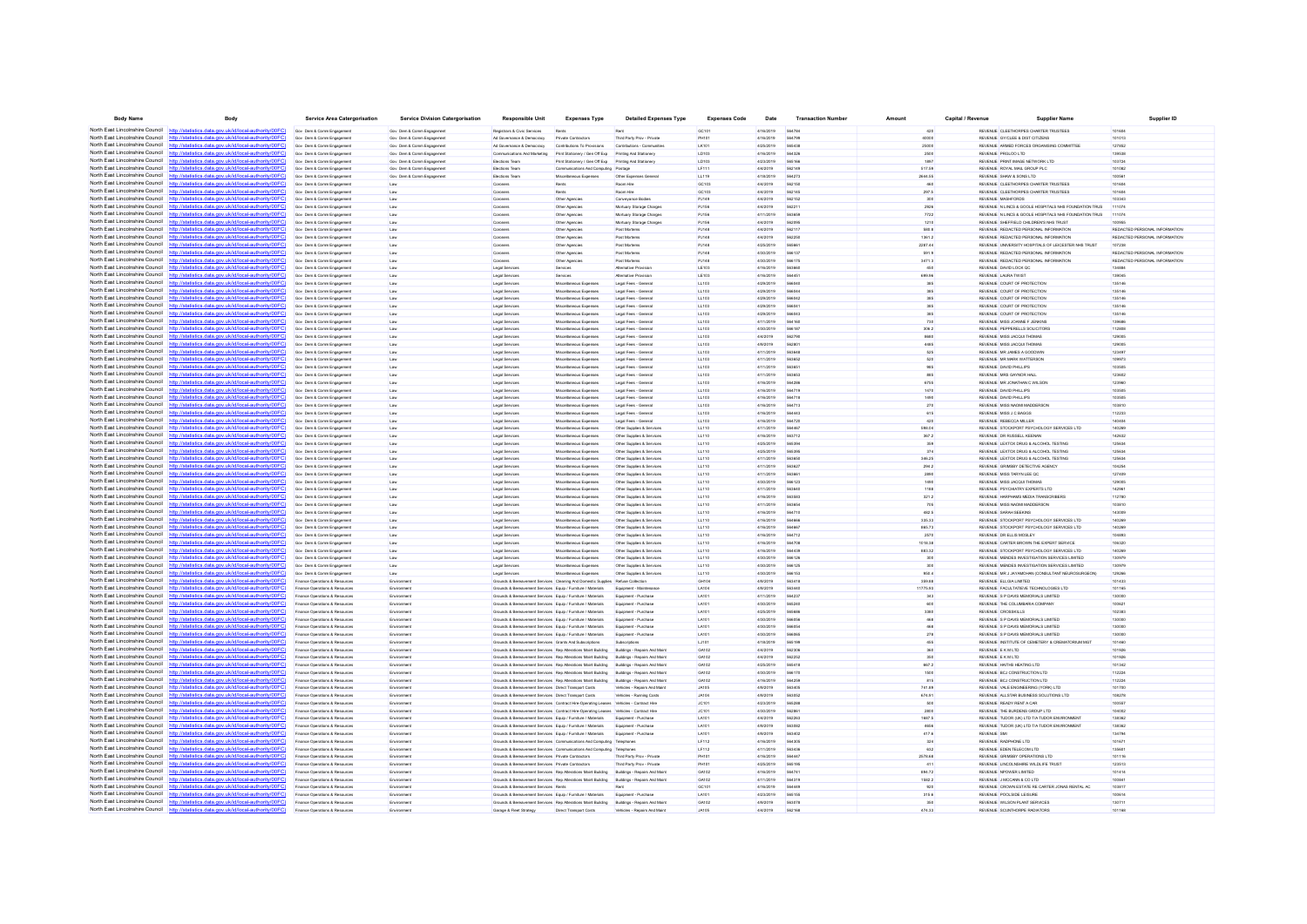| <b>Body Name</b>                                                   | Body                                                                                                                                                                            | <b>Service Area Catergorisation</b>                              | <b>Service Division Catergorisation</b> | <b>Responsible Unit</b>                                                                                                      | <b>Expenses Type</b>                                                                                                           | <b>Detailed Expenses Type</b>                          | <b>Expenses Code</b>  | Date                   | <b>Transaction Number</b>      | Amount           | Capital / Revenue | <b>Supplier Name</b>                                                 | Supplier ID                   |
|--------------------------------------------------------------------|---------------------------------------------------------------------------------------------------------------------------------------------------------------------------------|------------------------------------------------------------------|-----------------------------------------|------------------------------------------------------------------------------------------------------------------------------|--------------------------------------------------------------------------------------------------------------------------------|--------------------------------------------------------|-----------------------|------------------------|--------------------------------|------------------|-------------------|----------------------------------------------------------------------|-------------------------------|
| North East Lincolnshire Council http://sta                         | tics.data.gov.uk/id/local-authority/00FC)                                                                                                                                       | Gov Dem & Comm Engagement                                        | Gov Dem & Comm Engagement               | Registrars & Civic Services                                                                                                  | Rents                                                                                                                          | Rent                                                   | GC101                 | 4/16/2019              | 564784                         | 420              |                   | REVENUE CLEETHORPES CHARTER TRUSTEES                                 | 101604                        |
|                                                                    | North East Lincolnshire Council http://statistics.data.gov.uk/id/local-authority/00FC)                                                                                          | Gov Dem & Comm Engagement                                        | Gov Dem & Comm Engagement               | Ad Governance & Democracy                                                                                                    | Private Contractors                                                                                                            | Third Party Prov - Private                             | PH101                 | 4/16/2019              | 564799                         | 40000            |                   | REVENUE GY/CLEE & DIST CITIZENS                                      | 101013                        |
|                                                                    | North East Lincolnshire Council http://statistics.data.gov.uk/id/local-authority/00FC)                                                                                          | Gov Dem & Comm Engagement                                        | Gov Dem & Comm Engagemen                | Ad Governance & Democracy                                                                                                    | Contributions To Provision                                                                                                     | Contributions - Communiti                              | LK101                 | 4/25/2019              | 565438                         | 25000            |                   | REVENUE ARMED FORCES ORGANISING COMMITTE                             | 127852                        |
|                                                                    | North East Lincolnshire Council http://statistics.data.gov.uk/id/local-authority/00FC)                                                                                          | Gov Dem & Comm Engagement                                        | Gov Dem & Comm Engagement               | Communications And Marketing                                                                                                 | Print Stationery / Gen Off Exp                                                                                                 | Printing And Stationery                                | LD103                 | 4/16/2019              | 56432                          |                  |                   | REVENUE PRGLOD LTD                                                   | 139538                        |
| North East Lincolnshire Council                                    | http://statistics.data.gov.uk/id/local-authority/00FC)                                                                                                                          | Gov Dem & Comm Engagement                                        | Gov Dem & Comm Engagement               | Elections Team                                                                                                               | Print Stationery / Gen Off Exp                                                                                                 | Printing And Stationery                                | LD103                 | 4/23/2019              | 565166                         | 1897             |                   | REVENUE PRINT IMAGE NETWORK LTD                                      | 103724                        |
| North East Lincolnshire Council                                    | http://statistics.data.gov.uk/id/local-authority/00FC)                                                                                                                          | Gov Dem & Comm Engagement                                        | Gov Dem & Comm Engagement               | Elections Team                                                                                                               | Communications And Computing Postage                                                                                           |                                                        | LF111                 | 4/4/2019               | 562149                         | 517.59           |                   | REVENUE ROYAL MAIL GROUP PLC                                         | 101082                        |
| North East Lincolnshire Council                                    | North East Lincolnshire Council http://statistics.data.gov.uk/id/local-authority/00FC)<br>statistics.data.gov.uk/id/local-authority/00FC                                        | Gov Dem & Comm Engagement<br>Gov Dem & Comm Engagement           | Gov Dem & Comm Engagement               | Elections Team<br>Coroners                                                                                                   | Miscellaneous Expenses<br>Rent                                                                                                 | Other Expenses Genera<br>Room Hire                     | LL119<br>GC103        | 4/18/2019<br>4/4/2019  | 584273                         | 2644.55<br>460   |                   | REVENUE SHAW & SONS LTD<br>REVENUE CLEETHORPES CHARTER TRUSTEES      | 100561<br>101604              |
| North East Lincolnshire Council http:/                             | statistics.data.gov.uk/id/local-authority/00FC)                                                                                                                                 | Gov Dem & Comm Engagement                                        | Law                                     | Coroners                                                                                                                     | Rents                                                                                                                          | Room Hire                                              | GC103                 | 4/4/2019               | 562145                         | 297.5            |                   | REVENUE CLEETHORPES CHARTER TRUSTEES                                 | 101604                        |
| North East Lincolnshire Council                                    | http://statistics.data.gov.uk/id/local-authority/00EC                                                                                                                           | Gov Dem & Comm Engagement                                        | Law<br>Law                              | Coronen                                                                                                                      | Other Agencie                                                                                                                  | Conveyance Bodies                                      | PJ149                 | 4/4/2019               | 562152                         | 300              |                   | REVENUE MASHFORDS                                                    | 103347                        |
| North East Lincolnshire Council                                    | /statistics.data.gov.uk/id/local-authority/00FC                                                                                                                                 | Gov Dem & Comm Engagement                                        | Law                                     | Coroners                                                                                                                     | Other Agencies                                                                                                                 | Mortuary Storage Charge                                | PJ156                 | 4/4/2019               | 56221                          | 2926             |                   | REVENUE N LINCS & GOOLE HOSPITALS NHS FOUNDATION TRUS                | 11107                         |
|                                                                    | North East Lincolnshire Council http://statistics.data.gov.uk/id/local-authority/00FC)                                                                                          | Gov Dem & Comm Engagement                                        | Law                                     | Coroners                                                                                                                     | Other Agencies                                                                                                                 | Mortuary Storage Charge                                | PJ156                 | 4/11/2019              | 563659                         | 7722             |                   | REVENUE N LINCS & GOOLE HOSPITALS NHS FOUNDATION TRUS                | 111074                        |
|                                                                    | North East Lincolnshire Council http://statistics.data.gov.uk/id/local-authority/00FC)                                                                                          | Gov Dem & Comm Engagement                                        | Law                                     | Coroners                                                                                                                     | Other Agencies                                                                                                                 | Mortuary Storage Charge                                | PJ156                 | 4/4/2019               | 562095                         | 1210             |                   | REVENUE SHEFFIELD CHILDREN'S NHS TRUST                               |                               |
|                                                                    | North East Lincolnshire Council http://statistics.data.gov.uk/id/local-authority/00FC)                                                                                          | Gov Dem & Comm Engagement                                        | Law                                     | Coroner:                                                                                                                     | Other Agencie                                                                                                                  | <b>Post Morteme</b>                                    | PJ148                 | 4/4/2019               | 562117                         | 580.8            |                   | REVENUE REDACTED PERSONAL INFORMATION                                | REDACTED PERSONAL INFORMATION |
|                                                                    | North East Lincolnshire Council http://statistics.data.gov.uk/id/local-authority/00FC)                                                                                          | Gov Dem & Comm Engagement                                        | Law                                     | Coroners                                                                                                                     | Other Agencies                                                                                                                 | Post Mortems                                           | PJ148                 | 4/4/2019               |                                | 1361.2           |                   | REVENUE REDACTED PERSONAL INFORMATION                                | REDACTED PERSONAL INFORMATION |
| North East Lincolnshire Council                                    | http://statistics.data.gov.uk/id/local-authority/00FC)                                                                                                                          | Gov Dem & Comm Engagement                                        | Law                                     | Coroners                                                                                                                     | Other Agencies                                                                                                                 | Post Mortems                                           | PJ148                 | 4/25/2019              | 56566                          | 2287.44          |                   | REVENUE UNIVERSITY HOSPITALS OF LEICESTER NHS TRUST                  | 107238                        |
|                                                                    | North East Lincolnshire Council http://statistics.data.gov.uk/id/local-authority/00FC)                                                                                          | Gov Dem & Comm Engagement                                        | Law                                     | Coroner:                                                                                                                     | Other Agencie                                                                                                                  | <b>Post Mortems</b>                                    | PJ148                 | 4/30/2019              | 566137                         | 591.9            |                   | REVENUE REDACTED PERSONAL INFORMATION                                | REDACTED PERSONAL INFORMATION |
| North East Lincolnshire Council                                    | North East Lincolnshire Council http://statistics.data.gov.uk/id/local-authority/00FC)<br>http://statistics.data.gov.uk/id/local-authority/00FC                                 | Gov Dem & Comm Engagement                                        | Law                                     | Coroners                                                                                                                     | Other Agencies                                                                                                                 | Post Mortems                                           | <b>PJ148</b><br>LE103 | 4/30/2019              | 563660                         | 3471.3<br>450    |                   | REVENUE REDACTED PERSONAL INFORMATION                                | REDACTED PERSONAL INFORMATION |
|                                                                    | North East Lincolnshire Council http://statistics.data.gov.uk/id/local-authority/00FC)                                                                                          | Gov Dem & Comm Engagement<br>Gov Dem & Comm Engagement           | Law<br>Law                              | Legal Services<br>Legal Services                                                                                             | Services<br>Services                                                                                                           | Alternative Provisio<br>Alternative Provision          | LE103                 | 4/16/2019<br>4/16/2019 | 564451                         | 699.96           |                   | REVENUE DAVID LOCK QC<br>REVENUE LAURA TWIST                         | 134884<br>139045              |
|                                                                    | North East Lincolnshire Council http://statistics.data.gov.uk/id/local-authority/00FC)                                                                                          | Gov Dem & Comm Engagement                                        | Law                                     | Legal Services                                                                                                               | Miscellaneous Expenses                                                                                                         | Legal Fees - Genera                                    | LL103                 | 4/29/2019              | 56604                          | 385              |                   | REVENUE COURT OF PROTECTION                                          | 135146                        |
|                                                                    | North East Lincolnshire Council http://statistics.data.gov.uk/id/local-authority/00FC)                                                                                          | Gov Dem & Comm Engagement                                        | Law                                     | Legal Services                                                                                                               | Miscellaneous Expenses                                                                                                         | Legal Fees - Genera                                    | LL103                 | 4/29/2019              | 56604                          | 385              |                   | REVENUE COURT OF PROTECTION                                          | 135146                        |
|                                                                    | North East Lincolnshire Council http://statistics.data.gov.uk/id/local-authority/00FC)                                                                                          | Gov Dem & Comm Engagement                                        | Law                                     | Legal Services                                                                                                               | Miscellaneous Expenses                                                                                                         | Legal Fees - Genera                                    | LL103                 | 4/29/2019              | 56604                          |                  |                   | REVENUE COURT OF PROTECTION                                          | 135146                        |
|                                                                    | North East Lincolnshire Council http://statistics.data.gov.uk/id/local-authority/00FC)                                                                                          | Gov Dem & Comm Engagement                                        | Law                                     | Legal Services                                                                                                               | Miscellaneous Expenses                                                                                                         | Legal Fees - General                                   | LL103                 | 4/29/2019              | 56604                          | 385              |                   | REVENUE COURT OF PROTECTION                                          | 135146                        |
|                                                                    | North East Lincolnshire Council http://statistics.data.gov.uk/id/local-authority/00FC)                                                                                          | Gov Dem & Comm Engagement                                        | Law                                     | Legal Services                                                                                                               | Miscellaneous Expenses                                                                                                         | Legal Fees - Genera                                    | LL103                 | 4/29/2019              | 56604                          | 385              |                   | REVENUE COURT OF PROTECTION                                          | 135146                        |
|                                                                    | North East Lincolnshire Council http://statistics.data.gov.uk/id/local-authority/00FC                                                                                           | Gov Dem & Comm Engagement                                        | Law                                     | Legal Services                                                                                                               | Miscellaneous Expenses                                                                                                         | Legal Fees - Genera                                    | LL103                 | 4/11/2019              | 564160                         | 730              |                   | REVENUE MISS JOANNE F JENKINS                                        | 139686                        |
|                                                                    | North East Lincolnshire Council http://statistics.data.gov.uk/id/local-authority/00FC)                                                                                          | Gov Dem & Comm Engagement                                        | Law                                     | Legal Services                                                                                                               | Miscellaneous Expenses                                                                                                         | Legal Fees - General                                   | LL103                 | 4/30/2019              | 566187                         | 306.2            |                   | REVENUE PEPPERELLS SOLICITORS                                        | 112808                        |
|                                                                    | North East Lincolnshire Council http://statistics.data.gov.uk/id/local-authority/00FC)                                                                                          | Gov Dem & Comm Engagement                                        | Law                                     | Legal Services                                                                                                               | Miscellaneous Exnenser                                                                                                         | Legal Fees - Genera                                    | LL103                 | 4/4/2019               | 562790                         | 8680             |                   | REVEN IF MISS JACQUITHOMAS                                           | 129005                        |
| North East Lincolnshire Council                                    | North East Lincolnshire Council http://statistics.data.gov.uk/id/local-authority/00FC)<br>http://statistics.data.gov.uk/id/local-authority/00FC                                 | Gov Dem & Comm Engagemen                                         |                                         | Legal Services                                                                                                               | Miscellaneous Expenses                                                                                                         | Legal Fees - Genera                                    | LL103                 | 4/9/2019               | 56280                          | 4485<br>525      |                   | REVENUE MISS JACQUI THOMAL                                           | 12900<br>123497               |
|                                                                    | North East Lincolnshire Council http://statistics.data.gov.uk/id/local-authority/00FC)                                                                                          | Gov Dem & Comm Engagement<br>Gov Dem & Comm Engagement           | Law<br>Law                              | Legal Services<br>Legal Services                                                                                             | Miscellaneous Expenses<br>Miscellaneous Expenses                                                                               | Legal Fees - Genera<br>Legal Fees - General            | LL103<br>LL103        | 4/11/2019<br>4/11/2019 | 56364<br>563652                | 520              |                   | REVENUE MR JAMES A GOODWII<br>REVENUE MR MARK WATTERSON              | 109973                        |
|                                                                    | North East Lincolnshire Council http://statistics.data.gov.uk/id/local-authority/00FC)                                                                                          | Gov Dem & Comm Engagement                                        | Law                                     | Legal Services                                                                                                               | Miscellaneous Expenses                                                                                                         | Legal Fees - Genera                                    | LL103                 | 4/11/2019              | 58385                          | 985              |                   | REVENUE DAVID PHILLIPS                                               | 103505                        |
| North East Lincolnshire Council                                    | http://statistics.data.gov.uk/id/local-authority/00FC                                                                                                                           | Goy Dem & Comm Engagement                                        | Law                                     | Legal Services                                                                                                               | Miscellaneous Expenses                                                                                                         | Legal Fees - Genera                                    | LL103                 | 4/11/2019              | 563653                         | 885              |                   | REVENUE MRS GAYNOR HALL                                              | 123602                        |
|                                                                    | North East Lincolnshire Council http://statistics.data.gov.uk/id/local-authority/00FC)                                                                                          | Gov Dem & Comm Engagement                                        | Law                                     | Legal Services                                                                                                               | Miscellaneous Expenses                                                                                                         | Legal Fees - General                                   | LL103                 | 4/16/2019              | 564286                         | 6755             |                   | REVENUE MR JONATHAN C WILSON                                         | 123960                        |
|                                                                    | North East Lincolnshire Council http://statistics.data.gov.uk/id/local-authority/00FC)                                                                                          | Gov Dem & Comm Engagement                                        | Low                                     | Legal Services                                                                                                               | Miscellaneous Exnerses                                                                                                         | Legal Fees - Genera                                    | 11103                 | 4/16/2019              | <b>SA4719</b>                  | 1470             |                   | REVENUE DAMD PHILLIPS                                                | 103505                        |
| North East Lincolnshire Council                                    | http://statistics.data.gov.uk/id/local-authority/00FC)                                                                                                                          | Gov Dem & Comm Engage                                            | Law                                     | Legal Services                                                                                                               | Miscellaneous Expense                                                                                                          | Legal Fees - Genera                                    | LL103                 | 4/16/2019              | 564718                         | 1490             |                   | REVENUE DAVID PHILLIPS                                               | 103505                        |
| North East Lincolnshire Council                                    | http://statistics.data.gov.uk/id/local-authority/00FC)                                                                                                                          | Gov Dem & Comm Engagement                                        | Law                                     | Legal Services                                                                                                               | Miscellaneous Expenses                                                                                                         | Legal Fees - Genera                                    | LL103                 | 4/16/2019              | 564713                         | 270              |                   | REVENUE MISS NADMI MADDERSON                                         | 103810                        |
| North East Lincolnshire Council                                    | http://statistics.data.gov.uk/id/local-authority/00FC)                                                                                                                          | Gov Dem & Comm Engagement                                        | Law                                     | Legal Services                                                                                                               | Miscellaneous Expenses                                                                                                         | Legal Fees - General                                   | LL103                 | 4/16/2019              | 584447                         | 615              |                   | REVENUE MISS J C BAGGS                                               | 112233                        |
| North East Lincolnshire Council                                    | http://statistics.data.gov.uk/id/local-authority/00EC)                                                                                                                          | Gov Dem & Comm Engagement                                        | Law                                     | Legal Services                                                                                                               | Miscellaneous Expenses                                                                                                         | Lenal Fees - General                                   | 11103                 | 4/16/2019              | <b>564720</b>                  | 420              |                   | REVENUE REBECCA MULER                                                | 140404                        |
|                                                                    | North East Lincolnshire Council http://statistics.data.gov.uk/id/local-authority/00FC)                                                                                          | Gov Dem & Comm Engagemen                                         |                                         | Legal Services                                                                                                               | Miscellaneous Expenses                                                                                                         | Other Supplies & Service                               | LL110                 | 4/11/2019              | COAAC                          | 598.04           |                   | REVENUE STOCKPORT PSYCHOLOGY SERVICES LTD                            | 140269                        |
| North East Lincolnshire Council<br>North East Lincolnshire Council | cs data gov uk/id/local-authority/00EC<br>statistics data nov uk/d/local-authority/00EC)<br>http:                                                                               | Gov Dem & Comm Engagement<br>Gov. Dem & Comm Ennanement          | Law                                     | Legal Services<br>Legal Services                                                                                             | Miscellaneous Expenses<br>Miscellaneous Exnerses                                                                               | Other Supplies & Services<br>Other Sunnies & Services  | LL110<br>11110        | 4/16/2019<br>4/25/2019 | <b>663712</b>                  | 367.2            |                   | REVENUE DR RUSSELL KEENAN<br>REVENUE LEXTOX DRUG & ALCOHOL TESTING.  | 142632<br>125634              |
|                                                                    | North East Lincolnshire Council http://statistics.data.gov.uk/id/local-authority/00FC)                                                                                          | Gov Dem & Comm Engagement                                        | Law                                     | Legal Services                                                                                                               | Miscellaneous Expenses                                                                                                         | Other Supplies & Service                               | LL110                 | 4/25/2019              | 565394<br>66282                | 359<br>374       |                   | REVENUE LEXTOX DRUG & ALCOHOL TESTING                                | 125634                        |
| North East Lincolnshire Council                                    | http://statistics.data.gov.uk/id/local-authority/00FC                                                                                                                           | Gov Dem & Comm Engagement                                        | Law                                     | Legal Services                                                                                                               | Miscellaneous Expenses                                                                                                         | Other Supplies & Service                               | LL110                 | 4/11/2019              | 56365                          | 346.25           |                   | REVENUE LEXTOX DRUG & ALCOHOL TESTING                                | 125634                        |
| North East Lincolnshire Council                                    | http://statistics.data.gov.uk/id/local-authority/00FC)                                                                                                                          | Gov Dem & Comm Engagement                                        | Law                                     | Legal Services                                                                                                               | Miscellaneous Expenses                                                                                                         | Other Supplies & Services                              | LL110                 | 4/11/2019              | 563627                         | 294.2            |                   | REVENUE GRIMSBY DETECTIVE AGENCY                                     | 104254                        |
| North East Lincolnshire Council                                    | http://statistics.data.gov.uk/id/local-authority/00FC)                                                                                                                          | Gov Dem & Comm Engagement                                        | Law                                     | Legal Services                                                                                                               | Miscellaneous Expenses                                                                                                         | Other Supplies & Services                              | LL110                 | 4/11/2019              | 56366                          | 2890             |                   | REVENUE MISS TARYN LEE QC                                            | 127409                        |
| North East Lincolnshire Council                                    | http://statistics.data.gov.uk/id/local-authority/00FC)                                                                                                                          | Gov Dem & Comm Engagemen                                         | Law                                     | Legal Services                                                                                                               | Miscellaneous Expenses                                                                                                         | Other Supplies & Service                               | LL110                 | 4/30/2019              | 566123                         | 1490             |                   | REVENUE MISS JACQUI THOMAS                                           | 129005                        |
| North East Lincolnshire Council                                    | http://statistics.data.gov.uk/id/local-authority/00FC)                                                                                                                          | Gov Dem & Comm Engagement                                        | Law                                     | Legal Services                                                                                                               | Miscellaneous Expenses                                                                                                         | Other Supplies & Service                               | LL110                 | 4/11/2019              |                                |                  |                   | REVENUE PSYCHIATRY EXPERTS LTD                                       | 14296                         |
| North East Lincolnshire Council                                    | http://statistics.data.gov.uk/id/local-authority/00FC)                                                                                                                          | Gov Dem & Comm Engagement                                        | Law                                     | Legal Services                                                                                                               | Miscellaneous Expenses                                                                                                         | Other Supplies & Services                              | LL110                 | 4/16/2019              | 563583                         | 321.2            |                   | REVENUE HARPHAMS MEDIA TRANSCRIBERS                                  | 112780                        |
| North East Lincolnshire Council http:/                             | (statistics data nov uk/id/local-authority/00EC)                                                                                                                                | Gov Dem & Comm Engagement                                        | Law                                     | Legal Services                                                                                                               | Miscellaneous Expenses                                                                                                         | Other Supplies & Services                              | LL110                 | 4/11/2019              | 563654                         | 705              |                   | REVENUE MISS NAOMI MADDERSON                                         | 103810                        |
|                                                                    | North East Lincolnshire Council http://statistics.data.gov.uk/id/local-authority/00FC)                                                                                          | Gov Dem & Comm Engagement                                        | Law                                     | Legal Services                                                                                                               | Miscellaneous Expenses                                                                                                         | Other Supplies & Service                               | LL110                 | 4/16/2019              |                                | 482.5            |                   | REVENUE SARAH SEEKINS                                                | 143009                        |
| North East Lincolnshire Council                                    | http://statistics.data.gov.uk/id/local-authority/00FC)<br>North East Lincolnshire Council http://statistics.data.gov.uk/id/local-authority/00FC)                                | Gov Dem & Comm Engagement                                        | Law                                     | Legal Services                                                                                                               | Miscellaneous Expenses                                                                                                         | Other Supplies & Services                              | LL110                 | 4/16/2019              | 56466                          | 335.33           |                   | REVENUE STOCKPORT PSYCHOLOGY SERVICES LTD                            | 140269                        |
|                                                                    | North East Lincolnshire Council http://statistics.data.gov.uk/id/local-authority/00FC)                                                                                          | Gov Dem & Comm Engagement<br>Gov Dem & Comm Engagement           | Law<br>Law                              | Legal Services<br>Legal Services                                                                                             | Miscellaneous Expenses<br>Miscellaneous Expenses                                                                               | Other Supplies & Services<br>Other Supplies & Services | LL110<br>LL110        | 4/16/2019<br>4/16/2019 | 564667<br>564712               | 865.73<br>2570   |                   | REVENUE STOCKPORT PSYCHOLOGY SERVICES LTD<br>REVENUE DR ELLIS MOSLEY | 140269<br>104893              |
| North East Lincolnshire Council                                    | http://statistics.data.gov.uk/id/local-authority/00FC)                                                                                                                          | Gov Dem & Comm Engagement                                        | Law                                     | Legal Services                                                                                                               | Miscellaneous Expenses                                                                                                         | Other Supplies & Service                               | LL110                 | 4/16/2019              |                                | 1018.38          |                   | REVENUE CARTER BROWN THE EXPERT SERVICE                              | 106320                        |
|                                                                    | North East Lincolnshire Council http://statistics.data.gov.uk/id/local-authority/00FC)                                                                                          | Gov Dem & Comm Engagement                                        | Law                                     | Legal Services                                                                                                               | Miscellaneous Expenses                                                                                                         | Other Supplies & Services                              | LL110                 | 4/16/2019              | 564439                         | 883.32           |                   | REVENUE STOCKPORT PSYCHOLOGY SERVICES LTD                            | 140269                        |
|                                                                    | North East Lincolnshire Council http://statistics.data.gov.uk/id/local-authority/00FC)                                                                                          | Gov Dem & Comm Engagement                                        | Law                                     | Legal Services                                                                                                               | Miscellaneous Expenses                                                                                                         | Other Supplies & Service                               | LL110                 | 4/30/2019              | 56612                          | 300              |                   | REVENUE MENDES INVESTIGATION SERVICES LIMITED                        | 130979                        |
| North East Lincolnshire Council http:                              | statistics data nov uklidlocal authority/00EC)                                                                                                                                  | Gov Dem & Comm Engagement                                        | Law                                     | Legal Services                                                                                                               | Miscellaneous Expenses                                                                                                         | Other Supplies & Service                               | LL110                 | 4/30/2019              | 566125                         | 300              |                   | REVENUE MENDES INVESTIGATION SERVICES LIMITED                        | 130979                        |
|                                                                    | North East Lincolnshire Council http://statistics.data.gov.uk/id/local-authority/00FC)                                                                                          | Gov Dem & Comm Engagement                                        | Law                                     | Legal Services                                                                                                               | Miscellaneous Expenses                                                                                                         | Other Supplies & Services                              | LL110                 | 4/30/2019              | 566153                         | 950.4            |                   | REVENUE MR J JAYAMOHAN (CONSULTANT NEUROSURGEON)                     | 129266                        |
|                                                                    | North East Lincolnshire Council http://statistics.data.gov.uk/id/local-authority/00FC)                                                                                          | Finance Operations & Resources                                   | Environmen                              |                                                                                                                              | Grounds & Bereavement Services Cleaning And Domestic Supplies Refuse Collection                                                |                                                        | GH104                 | 4/9/2019               | 563418                         | 359.88           |                   | REVENUE ELLGIA LIMITED                                               | 101433                        |
|                                                                    | North East Lincolnshire Council http://statistics.data.gov.uk/id/local-authority/00FC)                                                                                          | Finance Operations & Resources                                   | Environme                               | Grounds & Bereavement Services Equip / Furniture / Materials                                                                 |                                                                                                                                | Equipment - Maintena                                   | LA104                 | 4/9/2019               | 563440                         | 11775.93         |                   | REVENUE FACULTATIEVE TECHNOLOGIES LTD                                | 101165                        |
| North East Lincolnshire Council                                    | North East Lincolnshire Council http://statistics.data.gov.uk/id/local-authority/00FC)                                                                                          | Finance Operations & Resources                                   | Environmen                              | Grounds & Bereavement Services Equip / Furniture / Materials                                                                 |                                                                                                                                | Equipment - Purchase                                   | LA101                 | 4/11/2019              |                                | 343              |                   | REVENUE S P DAVIS MEMORIALS LIMITED                                  | 130001                        |
|                                                                    | http://statistics.data.gov.uk/id/local-authority/00FC)<br>North East Lincolnshire Council http://statistics.data.gov.uk/id/local-authority/00FC)                                | Finance Operations & Resources<br>Finance Operations & Resources | Environment<br>Environment              | Grounds & Bereavement Services Equip / Furniture / Materials<br>Grounds & Bereavement Services Equip / Furniture / Materials |                                                                                                                                | Equipment - Purchase<br>Equipment - Purchase           | LA101<br>LA101        | 4/30/2019<br>4/25/2019 | 565240<br><b><i>FAFARE</i></b> | 600<br>3380      |                   | REVENUE THE COLUMBARIA COMPANY<br>REVENUE CROSSKILLS                 | 100621<br>102383              |
|                                                                    | North East Lincolnshire Council http://statistics.data.gov.uk/id/local-authority/00FC)                                                                                          | Finance Operations & Resources                                   | Environmen                              |                                                                                                                              | Grounds & Bereavement Services Equip / Furniture / Materials                                                                   | Equipment - Purchase                                   | LA101                 | 4/30/2019              |                                |                  |                   | REVENUE S P DAVIS MEMORIALS LIMITED                                  | 130001                        |
| North East Lincolnshire Council                                    | tatiotics data now uk/id/local-authority/00EC                                                                                                                                   | Finance Operations & Resources                                   | Environmen                              | Grounds & Bereavement Services Equip / Furniture / Materials                                                                 |                                                                                                                                | Equipment - Purchase                                   | LA101                 | 4/30/2019              | 566054                         | 468              |                   | REVENUE S P DAVIS MEMORIALS LIMITED                                  | 130000                        |
|                                                                    | North East Lincolnshire Council http://statistics.data.gov.uk/id/local-authority/00FC)                                                                                          | Finance Operations & Resources                                   | Environment                             | Grounds & Bereavement Services Equip / Furniture / Materials                                                                 |                                                                                                                                | Equipment - Purchase                                   | LA101                 | 4/30/2019              | 566065                         | 278              |                   | REVENUE S P DAVIS MEMORIALS LIMITED                                  | 130000                        |
|                                                                    | North East Lincolnshire Council http://statistics.data.gov.uk/id/local-authority/00FC                                                                                           | Finance Operations & Resources                                   | Environmen                              | Grounds & Bereavement Services Grants And Subscriptions                                                                      |                                                                                                                                | Subscription                                           | LJ101                 | 4/18/2019              | 565190                         | 455              |                   | REVENUE INSTITUTE OF CEMETERY & CREMATORIUM MGT                      | 101460                        |
|                                                                    | North East Lincolnshire Council http://statistics.data.gov.uk/id/local-authority/00FC)                                                                                          | Finance Operations & Resources                                   | Environmen                              |                                                                                                                              | Grounds & Bereavement Services Rep Alterations Maint Building                                                                  | Buildings - Repairs And Mai                            | GA10                  | 4/4/2019               | 56230                          | 360              |                   | REVENUE E K M LTD                                                    | 101926                        |
|                                                                    | North East Lincolnshire Council http://statistics.data.gov.uk/id/local-authority/00FC)                                                                                          | Finance Operations & Resources                                   | Environment                             |                                                                                                                              | Grounds & Bereavement Services Rep Alterations Maint Building                                                                  | Buildings - Repairs And Main                           | GA102                 | 4/4/2019               | 562252                         | 350              |                   | REVENUE E K M LTD                                                    | 101926                        |
| North East Lincolnshire Council                                    | http://statistics.data.gov.uk/id/local-authority/00FC)                                                                                                                          | Finance Operations & Resources                                   | Environment                             |                                                                                                                              | Grounds & Bereavement Services Rep Alterations Maint Building                                                                  | Buildings - Repairs And Maint                          | GA102                 | 4/25/2019              | 565418                         | 667.2            |                   | REVENUE HAITHS HEATING LTD                                           | 101342                        |
|                                                                    | North East Lincolnshire Council http://statistics.data.gov.uk/id/local-authority/00FC)                                                                                          | Finance Operations & Resources                                   | Environmen                              |                                                                                                                              | Grounds & Bereavement Services Rep Alterations Maint Building                                                                  | Buildings - Repairs And Main                           | GA102                 | 4/30/2019              | 566170                         | 1500             |                   | REVENUE BCJ CONSTRUCTION LTD                                         | 112224                        |
| North East Lincolnshire Council http://sta                         | North East Lincolnshire Council http://statistics.data.gov.uk/id/local-authority/00FC                                                                                           | Finance Operations & Resources                                   | Environment                             |                                                                                                                              | Grounds & Bereavement Services Rep Alterations Maint Building Buildings - Repairs And Main                                     |                                                        | GA102                 | 4/16/2019              | 564259                         | 815              |                   | REVENUE BCJ CONSTRUCTION LTD                                         | 112224                        |
|                                                                    | ics data gov uk/id/local-authority/00EC)                                                                                                                                        | Finance Operations & Resources                                   | Environment                             | Grounds & Bereavement Services Direct Transport Costs<br>Grounds & Reregyement Services Direct Transport Costs               |                                                                                                                                | Vehicles - Repairs And Maint                           | <b>JA105</b><br>14104 | 4/9/2019<br>4/9/2019   | 563405                         | 741.89           |                   | REVENUE VALE ENGINEERING (YORK) LTD                                  | 101700                        |
|                                                                    | North East Lincolnshire Council http://statistics.data.gov.uk/id/local-authority/00FC<br>North East Lincolnshire Council http://statistics.data.gov.uk/id/local-authority/00FC) | Finance Operations & Resources<br>Finance Operations & Resources | Environmen                              |                                                                                                                              | Grounds & Bereavement Services Contract Hire-Operating Leases Vehicles - Contract Hir                                          | Vehicles - Running Costs                               | <b>JC10</b>           | 4/23/2019              | 563052<br>56528                | 674.91<br>500    |                   | REVENUE ALLSTAR BUSINESS SOLUTIONS LTD<br>REVENUE READY RENT A CAR   | 108278<br>100557              |
| North East Lincolnshire Council                                    | http://statistics.data.gov.uk/id/local-authority/00FC                                                                                                                           | Finance Operations & Resources                                   | Environmen                              |                                                                                                                              | Grounds & Bereavement Services Contract Hire-Operating Leases Vehicles - Contract Hir                                          |                                                        | JC101                 | 4/30/2019              | 56286                          | 2800             |                   | REVENUE THE BURDENS GROUP LTD                                        | 104002                        |
|                                                                    | North East Lincolnshire Council http://statistics.data.gov.uk/id/local-authority/00FC)                                                                                          | Finance Operations & Resources                                   | Environment                             | Grounds & Bereavement Services Equip / Furniture / Materials                                                                 |                                                                                                                                | Equipment - Purchase                                   | LA101                 | 4/4/2019               | 562263                         | 1687.5           |                   | REVENUE TUDOR (UK) LTD T/A TUDOR ENVIRONMENT                         | 138362                        |
|                                                                    | North East Lincolnshire Council http://statistics.data.gov.uk/id/local-authority/00FC                                                                                           | Finance Operations & Resources                                   | Environmen                              | Grounds & Bereavement Services Equip / Furniture / Materials                                                                 |                                                                                                                                | Equipment - Purchase                                   | 1.4101                | 4/9/2019               | 563082                         | 4656             |                   | REVENUE TUDOR (UK) LTD T/A TUDOR ENVIRONMENT                         | 138362                        |
| North East Lincolnshire Council                                    | http://statistics.data.gov.uk/id/local-authority/00FC)                                                                                                                          | Finance Operations & Resources                                   |                                         | Grounds & Bereavement Services Equip / Furniture / Materials                                                                 |                                                                                                                                | Equipment - Purchas                                    | LA101                 | 4/9/2019               | 563402                         | 417.6            |                   | REVENUE SM                                                           | 134794                        |
| North East Lincolnshire Council http://sta                         | stics.data.gov.uk/id/local-authority/00FC)                                                                                                                                      | Finance Operations & Resources                                   | Environment                             |                                                                                                                              | Grounds & Bereavement Services Communications And Computing Telephones                                                         |                                                        | LF112                 | 4/16/2019              | 564305                         | 324              |                   | REVENUE RADPHONE LTD                                                 | 101671                        |
| North East Lincolnshire Council                                    | http://statistics.data.gov.uk/id/local-authority/00EC                                                                                                                           | Finance Operations & Resources                                   | Environment                             |                                                                                                                              | Grounds & Bereavement Services Communications And Computing Telephones                                                         |                                                        | IF112                 | 4/11/2019              | 563436                         | 632              |                   | REVENUE EDEN TELECOM LTD                                             | 135601                        |
|                                                                    | North East Lincolnshire Council http://statistics.data.gov.uk/id/local-authority/00FC)                                                                                          | Finance Operations & Resources                                   |                                         | Grounds & Bereavement Services Private Contractor                                                                            |                                                                                                                                | Third Party Prov - Privat                              | PH10                  | 4/16/2019              | COAAK                          | 2578.68          |                   | REVENUE GRIMSBY OPERATIONS LTD                                       | 101116                        |
| North East Lincolnshire Council                                    | http://statistics.data.gov.uk/id/local-authority/00FC                                                                                                                           | Finance Operations & Resources                                   | Environmen                              | Grounds & Bereavement Services Private Contractors                                                                           |                                                                                                                                | Third Party Prov - Private                             | PH101                 | 4/25/2019              | 565195                         | 411              |                   | REVENUE LINCOLNSHIRE WILDLIFE TRUST                                  | 123513                        |
| North East Lincolnshire Council<br>North East Lincolnshire Council | http://statistics.data.gov.uk/id/local-authority/00FC<br>http://statistics.data.gov.uk/id/local-authority/00EC                                                                  | Finance Operations & Resources<br>Finance Operations & Resources | Environment                             |                                                                                                                              | Grounds & Bereavement Services Rep Alterations Maint Building<br>Grounds & Rerequement Services Ren Alterations Maint Ruilding | Buildings - Repairs And Main                           | GA102<br>GA102        | 4/16/2019<br>4/11/2019 | 564741                         | 894.72<br>1582.2 |                   | REVENUE NPOWER LIMITED<br>REVENUE JIMOCANNIA COLITO                  | 101414<br>100841              |
|                                                                    | North East Lincolnshire Council http://statistics.data.gov.uk/id/local-authority/00FC)                                                                                          | Finance Operations & Resource                                    | Environment                             | Grounds & Bereavement Services Rent                                                                                          |                                                                                                                                | Rullding - Renairs And Main                            | GC10                  | 4/16/2019              | 564319                         | 920              |                   | REVENUE CROWN ESTATE RE CARTER JONAS RENTAL AC                       | 10381                         |
| North East Lincolnshire Council                                    | http://statistics.data.gov.uk/id/local-authority/00FC)                                                                                                                          | Finance Operations & Resources                                   |                                         | Grounds & Bereavement Services Equip / Furniture / Materials                                                                 |                                                                                                                                | Equipment - Purchase                                   | LA101                 | 4/23/2019              | 565155                         | 315.6            |                   | REVENUE POOLSIDE LEISUR                                              | 100614                        |
|                                                                    | North East Lincolnshire Council http://statistics.data.gov.uk/id/local-authority/00FC)                                                                                          | Finance Operations & Resources                                   | Environmen                              |                                                                                                                              | Grounds & Bereavement Services Rep Alterations Maint Building Buildings - Repairs And Maint                                    |                                                        | GA102                 | 4/9/2019               | <b>563078</b>                  | 350              |                   | REVENUE WILSON PLANT SERVICES                                        | 130711                        |
| North East Lincolnshire Council                                    |                                                                                                                                                                                 |                                                                  |                                         | Garage & Fleet Strategy Direct Transport Costs                                                                               |                                                                                                                                |                                                        |                       | 4/4/2019               |                                | 474.33           |                   | REVENUE SCUNTHORPE RADIATOR                                          |                               |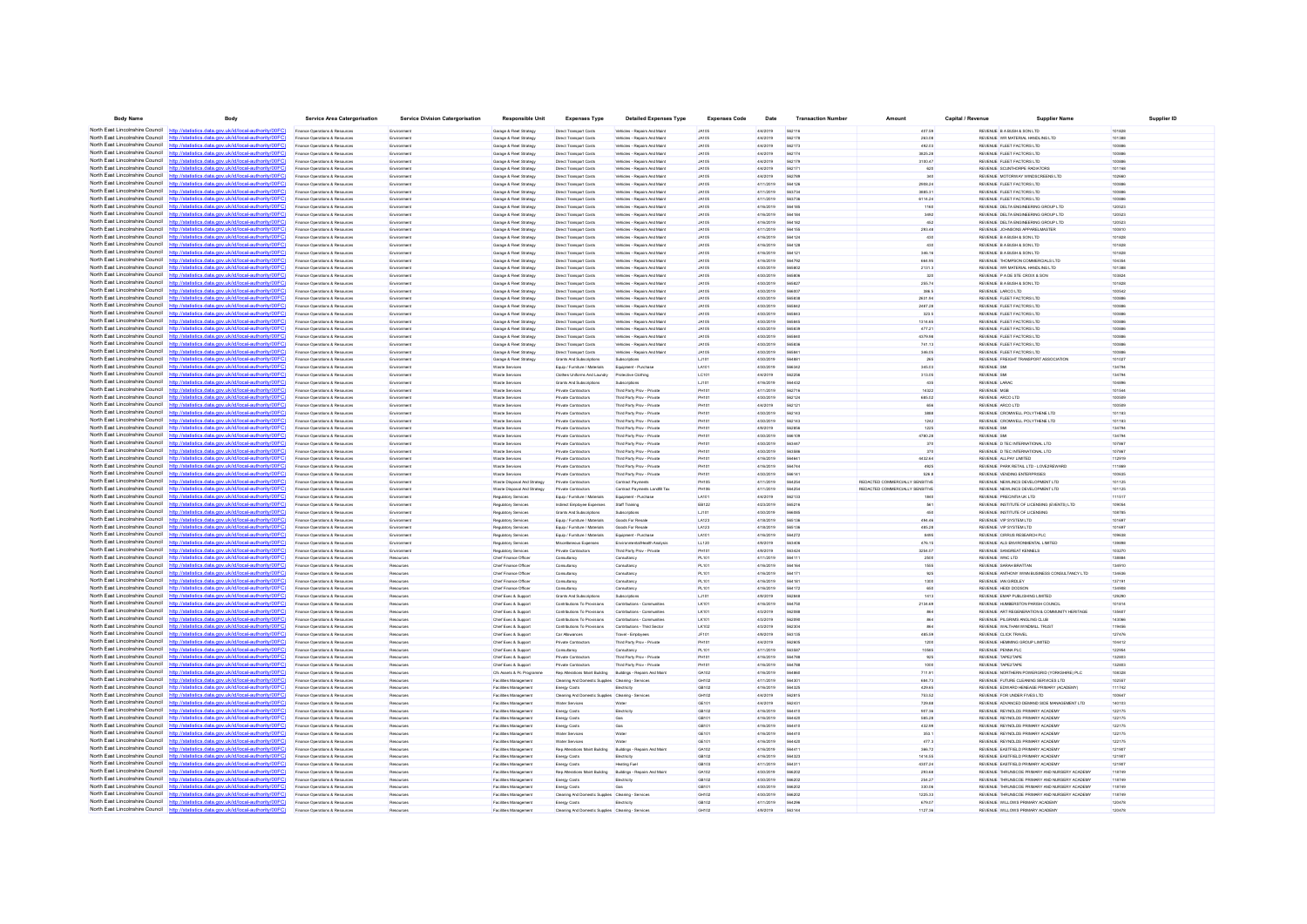| <b>Body Name</b>                                                   | Body                                                                                                                                             | <b>Service Area Catergorisation</b>                              | <b>Service Division Catergorisation</b> | Responsible Unit                                   | <b>Expenses Type</b>                                  | <b>Detailed Expenses Type</b>                                | <b>Expenses Code</b>         | Date                   | <b>Transaction Numbe</b> | Amoun                           | Capital / Revenue | Supplier Name                                                        | Supplier ID      |
|--------------------------------------------------------------------|--------------------------------------------------------------------------------------------------------------------------------------------------|------------------------------------------------------------------|-----------------------------------------|----------------------------------------------------|-------------------------------------------------------|--------------------------------------------------------------|------------------------------|------------------------|--------------------------|---------------------------------|-------------------|----------------------------------------------------------------------|------------------|
|                                                                    | North East Lincolnshire Council http://statistics.data.gov.uk/id/local-authority/00FC)                                                           | Finance Operations & Resources                                   | Environmen                              | Garage & Fleet Strategy                            | Direct Transport Costs                                | Vehicles - Repairs And Main                                  | <b>JA105</b>                 | 4/4/2019               | 562116                   | 407.59                          |                   | REVENUE B A BUSH & SON LTD                                           | 101828           |
|                                                                    | North East Lincolnshire Council http://statistics.data.gov.uk/id/local-authority/00FC                                                            | Finance Operations & Resources                                   | Environment                             | Garage & Fleet Strategy                            | Direct Transport Costs                                | Vehicles - Repairs And Maint                                 | <b>JA105</b>                 | 4/4/2019               | 562178                   | 263.08                          |                   | REVENUE WR MATERIAL HANDLING LTD                                     | 101388           |
|                                                                    | North East Lincolnshire Council http://statistics.data.gov.uk/id/local-authority/00FC)                                                           | Finance Operations & Resources                                   | Environment                             | Garage & Fleet Strategy                            | Direct Transport Costs                                | Vehicles - Repairs And Maint                                 | <b>JA105</b>                 | 4/4/2019               | 562173                   | 492.03                          |                   | REVENUE FLEET FACTORS LTD                                            | 100886           |
|                                                                    | North East Lincolnshire Council http://statistics.data.gov.uk/id/local-authority/00FC                                                            | Finance Operations & Resource                                    | Environmen                              | Garage & Fleet Strategy                            | Direct Transport Costs                                | Vehicles - Repairs And Main                                  | <b>JA105</b>                 | 4/4/2019               | 562174                   | 3825.28                         |                   | REVENUE FLEET FACTORS LTD                                            | 100886           |
| North East Lincolnshire Council                                    | http://statistics.data.gov.uk/id/local-authority/00FC                                                                                            | Finance Operations & Resources                                   | Environmen                              | Garage & Fleet Strategy                            | Direct Transport Costs                                | Vehicles - Repairs And Main                                  | <b>JA105</b>                 | 4/4/2019               | 562179                   | 3100.47                         |                   | REVENUE FLEET FACTORS LTD                                            | 100881           |
| North East Lincolnshire Council                                    | http://statistics.data.gov.uk/id/local-authority/00FC)                                                                                           | Finance Operations & Resources                                   | Environment                             | Garage & Fleet Strategy                            | Direct Transport Costs                                | Vehicles - Repairs And Maint                                 | <b>JA105</b>                 | 4/4/2019               | 562171                   | 620                             |                   | REVENUE SCUNTHORPE RADIATORS                                         | 101168           |
| North East Lincolnshire Council                                    | http://statistics.data.gov.uk/id/local-authority/00FC                                                                                            | Finance Operations & Resources                                   | Environment                             | Garage & Fleet Strategy                            | Direct Transport Costs                                | Vehicles - Repairs And Maint                                 | <b>JA105</b>                 | 4/4/2019               | 562789                   | 340                             |                   | REVENUE MOTORWAY WINDSCREENS LTD                                     | 102660           |
| North East Lincolnshire Council                                    | http://statistics.data.gov.uk/id/local-authority/00FC                                                                                            | Finance Operations & Resource                                    | Environmen                              | Garage & Fleet Strategy                            | Direct Transport Costs                                | Vehicles - Repairs And Main                                  | <b>JA105</b>                 | 4/11/2019              | <b>564126</b>            | 2908.24                         |                   | REVENUE FLEET FACTORS LTD                                            | 100886           |
| North East Lincolnshire Council http:                              | atistics.data.gov.uk/id/local-authority/00FC)                                                                                                    | Finance Operations & Resources                                   | Environment                             | Garage & Fleet Strategy                            | Direct Transport Costs                                | Vehicles - Repairs And Maint                                 | <b>JA105</b>                 | 4/11/2019              | 563734                   | 3885.31                         |                   | REVENUE FLEET FACTORS LTD                                            | 100886           |
| North East Lincolnshire Council                                    | http://statistics.data.gov.uk/id/local-authority/00FC                                                                                            | Finance Operations & Resources                                   | Environment                             | Garage & Fleet Strategy                            | Direct Transport Costs                                | Vehicles - Repairs And Maint                                 | <b>JA105</b>                 | 4/11/2019              | 563736                   | 6114.24                         |                   | REVENUE FLEET FACTORS LTD                                            | 100886           |
| North East Lincolnshire Council                                    | http://statistics.data.gov.uk/id/local-authority/00FC                                                                                            | Finance Operations & Resources                                   | Environmen                              | Garage & Fleet Strategy                            | Direct Transport Costs                                | Vehicles - Repairs And Maint                                 | <b>JA105</b>                 | 4/16/2019              | <b>SA4185</b>            | 1160                            |                   | REVENUE DELTA ENGINEERING GROUP LTD                                  | 120523           |
| North East Lincolnshire Council                                    | http://statistics.data.gov.uk/id/local-authority/00FC                                                                                            | Finance Operations & Resources                                   | Environmen                              | Garage & Fleet Strategy                            | Direct Transport Costs                                | Vehicles - Repairs And Main                                  | <b>JA105</b>                 | 4/16/2019              |                          | 3492                            |                   | REVENUE DELTA ENGINEERING GROUP LTD                                  | 120523           |
| North East Lincolnshire Council                                    | http://statistics.data.gov.uk/id/local-authority/00FC                                                                                            | Finance Operations & Resources                                   | Environment                             | Garage & Fleet Strategy                            | Direct Transport Costs                                | Vehicles - Repairs And Maint                                 | <b>JA105</b>                 | 4/16/2019              | 564182                   | 452                             |                   | REVENUE DELTA ENGINEERING GROUP LTD                                  | 120523           |
| North East Lincolnshire Council                                    | http://statistics.data.gov.uk/id/local-authority/00FC                                                                                            | Finance Operations & Resources                                   | Environment                             | Garage & Fleet Strategy                            | Direct Transport Costs                                | Vehicles - Repairs And Maint                                 | <b>JA105</b>                 | 4/11/2019              | 564155                   | 293.48                          |                   | REVENUE JOHNSONS APPARELMASTER                                       | 100810           |
| North East Lincolnshire Council                                    | http://statistics.data.gov.uk/id/local-authority/00FC                                                                                            | Finance Operations & Resource                                    | Environmen                              | Garage & Fleet Strategy                            | Direct Transport Costs                                | Vehicles - Repairs And Maint                                 | <b>JA105</b>                 | 4/16/2019              | 564124                   | 430                             |                   | REVENUE B A BUSH & SON LTD                                           | 101828           |
| North East Lincolnshire Council                                    | http://statistics.data.gov.uk/id/local-authority/00FC                                                                                            | Finance Operations & Resources                                   |                                         | Garage & Fleet Strategy                            | Direct Transport Costs                                | Vehicles - Repairs And Main                                  | <b>JA105</b>                 | 4/16/2019              |                          | 430                             |                   | REVENUE B A BUSH & SON LTD                                           | 101828           |
| North East Lincolnshire Council                                    | stics.data.gov.uk/id/local-authority/00FC<br>http:                                                                                               | Finance Operations & Resources                                   | Environment                             | Garage & Fleet Strategy                            | Direct Transport Costs                                | Vehicles - Repairs And Maint                                 | <b>JA105</b>                 | 4/16/2019              | 564121                   | 346.16                          |                   | REVENUE B A BUSH & SON LTD                                           | 101828           |
| North East Lincolnshire Council                                    | ics data nov uk/id/local-authority/00EC                                                                                                          | Finance Operations & Resources                                   | Environmen                              | Garage & Fleet Strategy                            | Direct Transport Costs                                | Vehicles - Repairs And Maint                                 | <b>JA105</b>                 | 4/16/2019              | <b>564793</b>            | 664.95                          |                   | REVENUE THOMPSON COMMERCIALS LTD                                     | 104354           |
| North East Lincolnshire Council                                    | tatistics.data.gov.uk/id/local-authority/00FC                                                                                                    | Finance Operations & Resources                                   | Environmen                              | Garage & Fleet Strategy                            | Direct Transport Costs                                | Vehicles - Repairs And Maint                                 | <b>JA105</b>                 | 4/30/2019              | 565802                   | 2131.3                          |                   | REVENUE WR MATERIAL HANDLING LTD                                     | 101388           |
| North East Lincolnshire Council                                    | http://statistics.data.gov.uk/id/local-authority/00FC)                                                                                           | Finance Operations & Resources                                   | Environment                             | Garage & Fleet Strategy                            | Direct Transport Costs                                | Vehicles - Repairs And Maint                                 | <b>JA105</b>                 | 4/30/2019              | <b>565806</b>            | 320                             |                   | REVENUE P A DE STE CROIX & SON                                       | 103824           |
| North East Lincolnshire Council                                    | http://statistics.data.gov.uk/id/local-authority/00FC                                                                                            | Finance Operations & Resources                                   | Environment                             | Garage & Fleet Strategy                            | Direct Transport Costs                                | Vehicles - Repairs And Maint                                 | <b>JA105</b>                 | 4/30/2019              | 565827                   | 255.74                          |                   | REVENUE B A BUSH & SON LTD                                           | 101828           |
|                                                                    | North East Lincolnshire Council http://statistics.data.gov.uk/id/local-authority/00FC                                                            | Finance Operations & Resources                                   | Environmen                              | Garage & Fleet Strategy                            | Direct Transport Costs                                | Vehicles - Repairs And Maint                                 | <b>JA105</b>                 | 4/30/2019              | 566007                   | 386.5                           |                   | REVENUE LARCO LTD                                                    | 100542           |
| North East Lincolnshire Council                                    | North East Lincolnshire Council http://statistics.data.gov.uk/id/local-authority/00FC)<br>http://statistics.data.gov.uk/id/local-authority/00FC  | Finance Operations & Resources                                   | Environmen                              | Garage & Fleet Strategy                            | Direct Transport Costs                                | Vehicles - Repairs And Main                                  | <b>JA105</b>                 | 4/30/2019              |                          | 2631.94                         |                   | REVENUE FLEET FACTORS LTD                                            | 100886           |
| North East Lincolnshire Council http                               | statistics data nov uk/id/local-authority/00FC!                                                                                                  | Finance Operations & Resources                                   | Environment                             | Garage & Fleet Strategy                            | Direct Transport Costs                                | Vehicles - Repairs And Maint                                 | <b>JA105</b>                 | 4/30/2019              | 565842                   | 2487.28                         |                   | REVENUE FLEET FACTORS LTD                                            | 100886           |
|                                                                    |                                                                                                                                                  | Finance Operations & Resource                                    | Environmen                              | Garage & Fleet Strategy                            | Direct Transport Costs                                | Vehicles - Repairs And Main                                  | <b>JA105</b>                 | 4/30/2019              | <b>SASRA3</b>            | 323.5                           |                   | REVENUE FLEET FACTORS LTD                                            | 100886           |
| North East Lincolnshire Council                                    | North East Lincolnshire Council http://statistics.data.gov.uk/id/local-authority/00FC)<br>http://statistics.data.gov.uk/id/local-authority/00FC  | Finance Operations & Resources                                   | Environmen                              | Garage & Fleet Strategy                            | Direct Transport Costs                                | Vehicles - Repairs And Main                                  | <b>JA105</b>                 | 4/30/2019              | 565839                   | 1314.65                         |                   | REVENUE FLEET FACTORS LTD                                            | 100881           |
|                                                                    | North East Lincolnshire Council http://statistics.data.gov.uk/id/local-authority/00FC)                                                           | Finance Operations & Resources<br>Finance Operations & Resources | Environment<br>Environment              | Garage & Fleet Strategy<br>Garage & Fleet Strategy | Direct Transport Costs<br>Direct Transport Costs      | Vehicles - Repairs And Maint<br>Vehicles - Repairs And Maint | <b>JA105</b><br><b>JA105</b> | 4/30/2019<br>4/30/2019 | 565840                   | 477.21<br>4379.98               |                   | REVENUE FLEET FACTORS LTD<br>REVENUE FLEET FACTORS LTD               | 100886<br>100886 |
|                                                                    | North East Lincolnshire Council http://statistics.data.gov.uk/id/local-authority/00FC                                                            |                                                                  | Environmen                              |                                                    |                                                       | Vehicles - Repairs And Main                                  | <b>JA105</b>                 | 4/30/2019              | <b>GASS3</b>             | 741.13                          |                   | REVENUE FLEET FACTORS LTD                                            | 100886           |
|                                                                    | North East Lincolnshire Council http://statistics.data.gov.uk/id/local-authority/00FC                                                            | Finance Operations & Resources<br>Finance Operations & Resources | Environmen                              | Garage & Fleet Strategy<br>Garage & Fleet Strategy | Direct Transport Costs<br>Direct Transport Costs      | Ahicles - Repairs And Main                                   | JA105                        | 4/30/2019              | 56584                    | 346.05                          |                   | REVENUE FLEET FACTORS LTD                                            | 100881           |
|                                                                    | North East Lincolnshire Council http://statistics.data.gov.uk/id/local-authority/00FC)                                                           | Finance Operations & Resources                                   | Environment                             | Garage & Fleet Strategy                            | Grants And Subscriptions                              | Subscriptions                                                | LJ101                        | 4/30/2019              | 56488                    | 265                             |                   | REVENUE FREIGHT TRANSPORT ASSOCIATION                                | 101027           |
| North East Lincolnshire Council                                    | http://statistics.data.gov.uk/id/local-authority/00FC                                                                                            | Finance Operations & Resources                                   | Environment                             | Waste Services                                     | Equip / Furniture / Materials                         | Equipment - Purchase                                         | LA101                        | 4/30/2019              | 566342                   | 345.03                          |                   | <b>REVENUE SMI</b>                                                   | 134794           |
|                                                                    | North East Lincolnshire Council http://statistics.data.gov.uk/id/local-authority/00FC                                                            | Finance Operations & Resources                                   | Environmen                              | Waste Services                                     | Clothes Uniforms And Laundry                          | Protective Clothing                                          | LC101                        | 4/4/2019               | 562256                   | 313.05                          |                   | REVENUE SM                                                           | 134794           |
|                                                                    | North East Lincolnshire Council http://statistics.data.gov.uk/id/local-authority/00FC                                                            | Finance Operations & Resources                                   | Environment                             | Waste Services                                     | Grants And Subscriptions                              | Subscriptions                                                | LJ101                        | 4/16/2019              | 564432                   | 435                             |                   | REVENUE LARAC                                                        | 104896           |
| North East Lincolnshire Council                                    | http://statistics.data.gov.uk/id/local-authority/00FC                                                                                            | Finance Operations & Resources                                   | Environment                             | Waste Services                                     | Private Contractors                                   | Third Party Prov - Private                                   | <b>PH101</b>                 | 4/11/2019              | 562716                   | 14322                           |                   | <b>REVENUE MGB</b>                                                   | 101544           |
| North East Lincolnshire Council                                    | http://statistics.data.gov.uk/id/local-authority/00FC                                                                                            | Finance Operations & Resource                                    | Environmen                              | Waste Service                                      | Private Contractors                                   | Third Party Prov - Privat                                    | PH101                        | 4/30/2019              | <b>562124</b>            | 685.02                          |                   | REVENUE ARCO LTD                                                     | 100509           |
|                                                                    | North East Lincolnshire Council http://statistics.data.gov.uk/id/local-authority/00FC)                                                           | Finance Operations & Resources                                   | Environmen                              | Waste Services                                     | Private Contractors                                   | Third Party Prov - Privat                                    | PH10                         | 4/4/2019               |                          | 656                             |                   | REVENUE ARCO LTD                                                     | 100509           |
| North East Lincolnshire Council                                    | http://statistics.data.gov.uk/id/local-authority/00FC                                                                                            | Finance Operations & Resources                                   | Environmen                              | Waste Services                                     | Private Contractors                                   | Third Party Prov - Private                                   | PH101                        | 4/30/2019              | 562143                   | 3888                            |                   | REVENUE CROMWELL POLYTHENE LTD                                       | 101183           |
|                                                                    | North East Lincolnshire Council http://statistics.data.gov.uk/id/local-authority/00FC)                                                           | Finance Operations & Resources                                   | Environment                             | Waste Services                                     | Private Contractors                                   | Third Party Prov - Private                                   | PH101                        | 4/30/2019              | 562143                   | 1242                            |                   | REVENUE CROMWELL POLYTHENE LTD                                       | 101183           |
|                                                                    | North East Lincolnshire Council http://statistics.data.gov.uk/id/local-authority/00FC                                                            | Finance Operations & Resource                                    | Environmen                              | Waste Service                                      | Private Contractors                                   | Third Party Prov - Privat                                    | <b>PH101</b>                 | 4/9/2019               | <b>GAORS</b>             | 1225                            |                   | REVENUE SMI                                                          | 134794           |
| North East Lincolnshire Council                                    | tatistics.data.gov.uk/id/local-authority/00FC                                                                                                    | Finance Operations & Resources                                   | Environment                             | Waste Services                                     | Private Contractors                                   | Third Party Prov - Private                                   | PH101                        | 4/30/2019              | 566109                   | 4780.28                         |                   | <b>REVENUE SMI</b>                                                   | 134794           |
|                                                                    | North East Lincolnshire Council http://statistics.data.gov.uk/id/local-authority/00FC)                                                           | Finance Operations & Resources                                   | Environment                             | Waste Services                                     | Private Contractors                                   | Third Party Prov - Private                                   | PH101                        | 4/30/2019              | 563447                   | 370                             |                   | REVENUE D TEC INTERNATIONAL LTD                                      | 107867           |
| North East Lincolnshire Council                                    | http://statistics.data.gov.uk/id/local-authority/00FC                                                                                            | Finance Operations & Resources                                   | Environmen                              | Waste Services                                     | Private Contractors                                   | Third Party Prov - Privat                                    | PH101                        | 4/30/2019              | <b>GARRA</b>             | 370                             |                   | REVENUE D TEC INTERNATIONAL LTD                                      | 107867           |
| North East Lincolnshire Council                                    | http://statistics.data.gov.uk/id/local-authority/00FC                                                                                            | Finance Operations & Resources                                   | Environmen                              | Waste Service                                      | Private Contractors                                   | Third Party Prov - Privat                                    | PH10                         | 4/16/2019              | 56464                    | 4432.64                         |                   | REVENUE ALLPAY LIMITED                                               | 112919           |
| North East Lincolnshire Council                                    | http://statistics.data.gov.uk/id/local-authority/00FC                                                                                            | Finance Operations & Resources                                   | Environmen                              | Waste Services                                     | Private Contractors                                   | Third Party Prov - Private                                   | <b>PH101</b>                 | 4/16/2019              | 56474                    | 4925                            |                   | REVENUE PARK RETAIL LTD - LOVE2REWARD                                | 111869           |
| North East Lincolnshire Council                                    | http://statistics.data.gov.uk/id/local-authority/00FC                                                                                            | Finance Operations & Resources                                   | Environment                             | Waste Services                                     | Private Contractors                                   | Third Party Prov - Private                                   | PH101                        | 4/30/2019              | 566141                   | 526.8                           |                   | REVENUE VENDING ENTERPRISES                                          | 100635           |
| North East Lincolnshire Council                                    | http://statistics.data.gov.uk/id/local-authority/00FC                                                                                            | Finance Operations & Resources                                   | Environment                             | Waste Disnosal And Strater                         | Private Contractors                                   | Contract Payments                                            | PHIOS                        | 4/11/2019              | <b>564254</b>            | REDACTED COMMERCIALLY SENSITIVE |                   | REVENUE NEW INCS DEVELOPMENT LTD                                     | 101125           |
|                                                                    | North East Lincolnshire Council http://statistics.data.gov.uk/id/local-authority/00FC)                                                           | Finance Operations & Resources                                   |                                         | Waste Disposal And Strategy                        | Private Contractors                                   | Contract Payments Landfil Ta                                 |                              | 4/11/2019              |                          | REDACTED COMMERCIALLY SENSITIVE |                   | REVENUE NEWLINCS DEVELOPMENT LTD                                     | 101125           |
| North East Lincolnshire Council                                    | tics.data.gov.uk/id/local-authority/00FC                                                                                                         | Finance Operations & Resources                                   | Environment                             | Regulatory Services                                | Equip / Furniture / Materials                         | Equipment - Purchase                                         | LA101                        | 4/4/2019               | 562133                   | 1840                            |                   | REVENUE PRECINTIA UK LTD                                             | 111517           |
| North East Lincolnshire Council                                    | statistics data nov uk/id/local-authority/00FC!                                                                                                  | Finance Operations & Resources                                   | Environment                             | Requisitory Services                               | Indirect Employee Expenses                            | Staff Training                                               | EB122                        | 4/23/2019              | <b>665216</b>            | 561                             |                   | REVENUE INSTITUTE OF LICENSING (EVENTS) LTD                          | 109054           |
|                                                                    | North East Lincolnshire Council http://statistics.data.gov.uk/id/local-authority/00FC)                                                           | Finance Operations & Resources                                   | Environmen                              | Regulatory Services                                | Grants And Subscriptions                              | Subscriptions                                                | LJ101                        | 4/30/2019              |                          | 450                             |                   | REVENUE INSTITUTE OF LICENSING                                       | 108785           |
| North East Lincolnshire Council                                    | listics.data.gov.uk/id/local-authority/00FC                                                                                                      | Finance Operations & Resources                                   | Environmen                              | Regulatory Services                                | Equip / Furniture / Material                          | Goods For Resal                                              | LA123                        | 4/18/2019              | 565136                   | 494.46                          |                   | REVENUE VIP SYSTEM LTD                                               | 101697           |
| North East Lincolnshire Council                                    | http://statistics.data.gov.uk/id/local-authority/00FC                                                                                            | Finance Operations & Resources                                   | Environment                             | Regulatory Services                                | Equip / Furniture / Materials                         | Goods For Resale                                             | LA123                        | 4/18/2019              | 565136                   | 485.28                          |                   | REVENUE VIP SYSTEM LTD                                               | 101697           |
| North East Lincolnshire Council                                    | http://statistics.data.gov.uk/id/local-authority/00FC                                                                                            | Finance Operations & Resources                                   | Environmen                              | Regulatory Services                                | Equip / Furniture / Materials                         | Equipment - Purchase                                         | 1.410 <sup>-</sup>           | 4/16/2019              | 564272                   | 8495                            |                   | REVENUE CIRRUS RESEARCH PLC                                          | 109638           |
| North East Lincolnshire Council                                    | statistics.data.gov.uk/id/local-authority/00FC                                                                                                   | Finance Operations & Resource                                    | Environmen                              | Regulatory Services                                | Miscellaneous Expenses                                |                                                              | LL120                        | 4/9/2019               | 563406                   | 476.15                          |                   | REVENUE ALS ENVIRONMENTAL LIMITED                                    | 139891           |
| North East Lincolnshire Council                                    | http://statistics.data.gov.uk/id/local-authority/00FC)                                                                                           | Finance Operations & Resources                                   | Environmen                              | Regulatory Services                                | Private Contractors                                   | Third Party Prov - Privat                                    | <b>PH101</b>                 | 4/9/2019               | 563424                   | 3254.07                         |                   | REVENUE SANGREAT KENNELS                                             | 103270           |
| North East Lincolnshire Council                                    | statistics data nov uk/id/local-authority/00FC                                                                                                   | Finance Operations & Resources                                   | Resources                               | Chief Finance Officer                              | Consultancy                                           | Consultance                                                  | PL101                        | 4/11/2019              | <b>S64111</b>            | 2500                            |                   | REVENUE WNC LTD                                                      | 138884           |
| North East Lincolnshire Council                                    | istics data now uk/id/local-authority/00EC                                                                                                       | Finance Operations & Resources                                   | Resources                               | Chief Finance Office                               |                                                       | Consultanc                                                   | PL101                        | 4/16/2019              | 564164                   | 1555                            |                   | REVENUE SARAH BRATTA                                                 | 134910           |
| North East Lincolnshire Council<br>North East Lincolnshire Council | http://statistics.data.gov.uk/id/local-authority/00FC)                                                                                           | Finance Operations & Resources                                   | Resources                               | Chief Finance Officer                              | Consultancy                                           | Consultancy                                                  | PL101                        | 4/16/2019              | 56417                    | 925                             |                   | REVENUE ANTHONY WINN BUSINESS CONSULTANCY LTD                        | 134636           |
|                                                                    | http://statistics.data.gov.uk/id/local-authority/00FC)<br>North East Lincolnshire Council http://statistics.data.nov.uk/id/local-authority/00FC) | Finance Operations & Resources                                   | Resources                               | Chief Finance Officer<br>Chief Finance Officer     | Consultancy                                           | Consultancy<br>Consultancy                                   | PL101<br>PL 101              | 4/16/2019<br>4/16/2019 | <b>S64181</b>            | 1300                            |                   | REVENUE IAN GIRDLEY<br>REVENUE HEIDLOOGON                            | 137191<br>134908 |
|                                                                    |                                                                                                                                                  | Finance Operations & Resources                                   | Resources                               |                                                    | Consultancy                                           |                                                              |                              |                        | <b>564172</b>            | 650                             |                   |                                                                      |                  |
| North East Lincolnshire Council                                    | North East Lincolnshire Council http://statistics.data.gov.uk/id/local-authority/00FC)<br>http://statistics.data.gov.uk/id/local-authority/00FC  | Finance Operations & Resource<br>Finance Operations & Resources  | Resources<br>Resources                  | Chief Exec & Suppor<br>Chief Exec & Support        | Grants And Subscription<br>Contributions To Provision | Subscriptions<br>Contributions - Communitie                  | LJ101<br>LK101               | 4/9/2019<br>4/16/2019  | 564750                   | 1413<br>2134.69                 |                   | REVENUE EMAP PUBLISHING LIMITED<br>REVENUE HUMBERSTON PARISH COUNCIL | 12929<br>101814  |
|                                                                    | North East Lincolnshire Council http://statistics.data.gov.uk/id/local-authority/00FC)                                                           | Finance Operations & Resources                                   | Resources                               | Chief Exec & Support                               | Contributions To Provisions                           | Contributions - Communitie                                   | LK101                        | 4/3/2019               | <b>SA20RF</b>            | 864                             |                   | REVENUE ART REGENERATION & COMMUNITY HERITAGE                        | 135607           |
|                                                                    | North East Lincolnshire Council http://etatistics.data.ogv.uk/id/local-authority/00EC)                                                           | Finance Operations & Resources                                   | Resources                               | Chief Exec & Suppor                                | Contributions To Provisions                           | Contributions - Communitie                                   | LK10                         | 4/3/2019               | 56209                    | 864                             |                   | REVENUE PILGRIMS ANGLING CLUE                                        | 4306             |
| North East Lincolnshire Council                                    | printing data one ukhilikool outbody/00EC                                                                                                        | Finance Operations & Resources                                   | Resources                               | Chief Exec & Support                               | Contributions To Provisions                           | Contributions - Third Sector                                 | LK102                        | 4/3/2019               | 562304                   | 864                             |                   | REVENUE WALTHAM WINDMILL TRUST                                       | 119456           |
|                                                                    | North East Lincolnshire Council http://statistics.data.gov.uk/id/local-authority/00FC)                                                           | Finance Operations & Resources                                   | Resources                               | Chief Exec & Support                               | Car Allowances                                        | Travel - Employees                                           | JF101                        | 4/9/2019               | 563135                   | 485.59                          |                   | REVENUE CLICK TRAVEL                                                 | 127476           |
|                                                                    | North East Lincolnshire Council http://statistics.data.gov.uk/id/local-authority/00FC                                                            | Finance Operations & Resources                                   | Resources                               | Chief Exec & Support                               | Private Contractors                                   | Third Party Prov - Privat                                    | PH101                        | 4/4/2019               | <b>SA2A05</b>            | 1200                            |                   | REVENUE HEMMING GROUP LIMITED                                        | 104412           |
|                                                                    | North East Lincolnshire Council http://statistics.data.gov.uk/id/local-authority/00FC                                                            | inance Operations & Resource                                     | Resources                               | Chief Exec & Support                               | Consultancy                                           | Consultancy                                                  | PL101                        | 4/11/2019              | 563587                   | 10585                           |                   | REVENUE PENNA PLC                                                    | 122954           |
|                                                                    | North East Lincolnshire Council http://statistics.data.gov.uk/id/local-authority/00FC                                                            | Finance Operations & Resources                                   | Resources                               | Chief Exec & Support                               | Private Contractors                                   | Third Party Prov - Private                                   | PH101                        | 4/16/2019              | 564788                   | 925                             |                   | REVENUE TAPE2TAPE                                                    | 132803           |
| North East Lincolnshire Council                                    | http://statistics.data.gov.uk/id/local-authority/00FC)                                                                                           | Finance Operations & Resources                                   | Resources                               | Chief Exec & Support                               | Private Contractors                                   | Third Party Proy - Private                                   | PH101                        | 4/16/2019              | <b>SA47RF</b>            | 1000                            |                   | REVENUE TAPE2TAPE                                                    | 132803           |
|                                                                    | North East Lincolnshire Council http://statistics.data.gov.uk/id/local-authority/00FC                                                            | Finance Operations & Resources                                   | Resources                               | Cfs Assets & Pc Programm                           | Ren Alterations Maint Rul/Sno                         | Rullriggs - Renairs And Main                                 | GA102                        | 4/16/2019              | <b>SAARAC</b>            | 711.91                          |                   | REVENUE NORTHERN POWERGRID (YORKSHIRE) PLO                           | 108328           |
|                                                                    | North East Lincolnshire Council http://statistics.data.gov.uk/id/local-authority/00FC)                                                           | Finance Operations & Resources                                   | Resources                               | Facilities Management                              | Cleaning And Domestic Supplies Cleaning - Service     |                                                              | GH102                        | 4/11/2019              | 564301                   | 684.73                          |                   | REVENUE FUTURE CLEANING SERVICES LTD                                 | 102557           |
| North East Lincolnshire Council                                    | s data nov uk/id/local-autho<br>htte                                                                                                             | Finance Operations & Resources                                   | Resources                               | <b>Facilities Management</b>                       | Energy Costs                                          | Electricity                                                  | GB102                        | 4/16/2019              | 564325                   | 429.65                          |                   | REVENUE EDWARD HENEAGE PRIMARY (ACADEMY)                             | 111742           |
|                                                                    | North East Lincolnshire Council http://statistics.data.gov.uk/id/local-authority/00FC                                                            | Finance Operations & Resources                                   | Resources                               | Facilities Management                              | Cleaning And Domestic Supplies Cleaning - Service     |                                                              | GH102                        | 4/4/2019               | <b>562815</b>            | 753.52                          |                   | REVENUE FOR UNDER FIVES LTD                                          | 100647           |
|                                                                    | North East Lincolnshire Council http://statistics.data.gov.uk/id/local-authority/00FC                                                            | Finance Operations & Resource                                    |                                         | Facilities Management                              | Water Services                                        |                                                              | GE101                        | 4/4/2019               | 56243                    | 729.88                          |                   | REVENUE ADVANCED DEMAND SIDE MANAGEMENT LTD                          | 4010             |
| North East Lincolnshire Council                                    | http://statistics.data.gov.uk/id/local-authority/00FC                                                                                            | Finance Operations & Resources                                   | Resources                               | Facilities Management                              | <b>Energy Costs</b>                                   | Electricity                                                  | GB102                        | 4/16/2019              | 564410                   | 907.36                          |                   | REVENUE REYNOLDS PRIMARY ACADEMY                                     | 122175           |
|                                                                    | North East Lincolnshire Council http://statistics.data.gov.uk/id/local-authority/00FC)                                                           | Finance Operations & Resources                                   | Resources                               | <b>Facilities Management</b>                       | Energy Costs                                          | Gas                                                          | GB101                        | 4/16/2019              | 564420                   | 585.28                          |                   | REVENUE REYNOLDS PRIMARY ACADEMY                                     | 122175           |
| North East Lincolnshire Council                                    | http://statistics.data.gov.uk/id/local-authority/00EC                                                                                            | Finance Operations & Resources                                   | Resources                               | <b>Facilities Management</b>                       | Energy Costs                                          |                                                              | GR101                        | 4/16/2019              | SR4410                   | 432.99                          |                   | REVENUE REYNOLDS PRIMARY ACADEMY                                     | 122175           |
| North East Lincolnshire Council                                    | http://statistics.data.gov.uk/id/local-authority/00FC                                                                                            | Finance Operations & Resource                                    | Resources                               | Facilities Management                              | Water Services                                        |                                                              | GE101                        | 4/16/2019              | SR4410                   | 353.1                           |                   | REVENUE REYNOLDS PRIMARY ACADEMY                                     | 122175           |
| North East Lincolnshire Council http://sta                         | lics.data.gov.uk/id/local-authority/00FC                                                                                                         | Finance Operations & Resources                                   | Resources                               | <b>Facilities Management</b>                       | <b>Water Services</b>                                 | W ate                                                        | GE101                        | 4/16/2019              | 564420                   | 477.3                           |                   | REVENUE REYNOLDS PRIMARY ACADEMY                                     | 122175           |
| North East Lincolnshire Council                                    | http://statistics.data.gov.uk/id/local-authority/00EC                                                                                            | Finance Operations & Resources                                   | Resources                               | Facilities Management                              | Ren Alterations Maint Ruilding                        | Buildings - Repairs And Main                                 | GA102                        | 4/16/2019              | <b>SA441</b>             | 366.72                          |                   | REVENUE FASTEIELD PRIMARY ACADEMY                                    | 121907           |
| North East Lincolnshire Council                                    | http://statistics.data.gov.uk/id/local-authority/00FC                                                                                            | Finance Operations & Resource                                    | Resources                               | Facilities Management                              | Energy Costs                                          |                                                              | GB102                        | 4/16/2019              | 564323                   | 1414.55                         |                   | REVENUE EASTFIELD PRIMARY ACADEMY                                    | 121907           |
| North East Lincolnshire Council                                    | http://statistics.data.gov.uk/id/local-authority/00FC                                                                                            | Finance Operations & Resources                                   | Resources                               | Facilities Management                              | Energy Costs                                          | <b>Heating Fuel</b>                                          | GB103                        | 4/11/2019              | 564311                   | 4307.24                         |                   | REVENUE EASTFIELD PRIMARY ACADEMY                                    | 121907           |
| North East Lincolnshire Council                                    | http://statistics.data.gov.uk/id/local-authority/00FC                                                                                            | Finance Operations & Resources                                   | Resources                               | <b>Facilities Management</b>                       | Rep Alterations Maint Building                        | Buildings - Repairs And Main                                 | GA102                        | 4/30/2019              | 566202                   | 293.68                          |                   | REVENUE THRUNSCOE PRIMARY AND NURSERY ACADEMY                        | 118749           |
| North East Lincolnshire Council                                    | http://statistics.data.gov.uk/id/local-authority/00EC                                                                                            | Finance Operations & Resources                                   | Resources                               | Facilities Management                              | <b>Energy Costs</b>                                   | <b>Flechticity</b>                                           | GR102                        | 4/30/2019              | <b>SAR202</b>            | 254.27                          |                   | REVENUE. THRUNSCOF PRIMARY AND NURSERY ACADEMY                       | 118749           |
|                                                                    | North East Lincolnshire Council http://statistics.data.gov.uk/id/local-authority/00FC                                                            | Finance Operations & Resource                                    |                                         | <b>Facilities Management</b>                       | Energy Costs                                          |                                                              | GB101                        | 4/30/2019              | <b>566202</b>            | 330.06                          |                   | REVENUE THRUNSCOE PRIMARY AND NURSERY ACADEMY                        | 118749           |
| North East Lincolnshire Council                                    | http://statistics.data.gov.uk/id/local-authority/00FC                                                                                            | Finance Operations & Resources                                   | Resources                               | Facilities Management                              | Cleaning And Domestic Supplies Cleaning - Services    |                                                              | GH102                        | 4/30/2019              | 566202                   | 1225.33                         |                   | REVENUE THRUNSCOE PRIMARY AND NURSERY ACADEMY                        | 118749           |
|                                                                    | North East Lincolnshire Council http://statistics.data.gov.uk/id/local-authority/00FC)                                                           | Finance Operations & Resources                                   | Resources                               | <b>Facilities Management</b>                       | Energy Costs                                          | Flechticity                                                  | GR102                        | 4/11/2019              | <b>FR429F</b>            | 679.07                          |                   | REVENUE WILLOWS PRIMARY ACADEMY                                      | 120478           |
| North East Lincolnshire Council                                    |                                                                                                                                                  |                                                                  |                                         | Facilities M                                       | Cleaning And Domestic Supplies Cleaning - Servi       |                                                              |                              | 4/9/2019               |                          | 1127.36                         |                   | REVENUE WILLOWS PRIMARY ACADEM                                       |                  |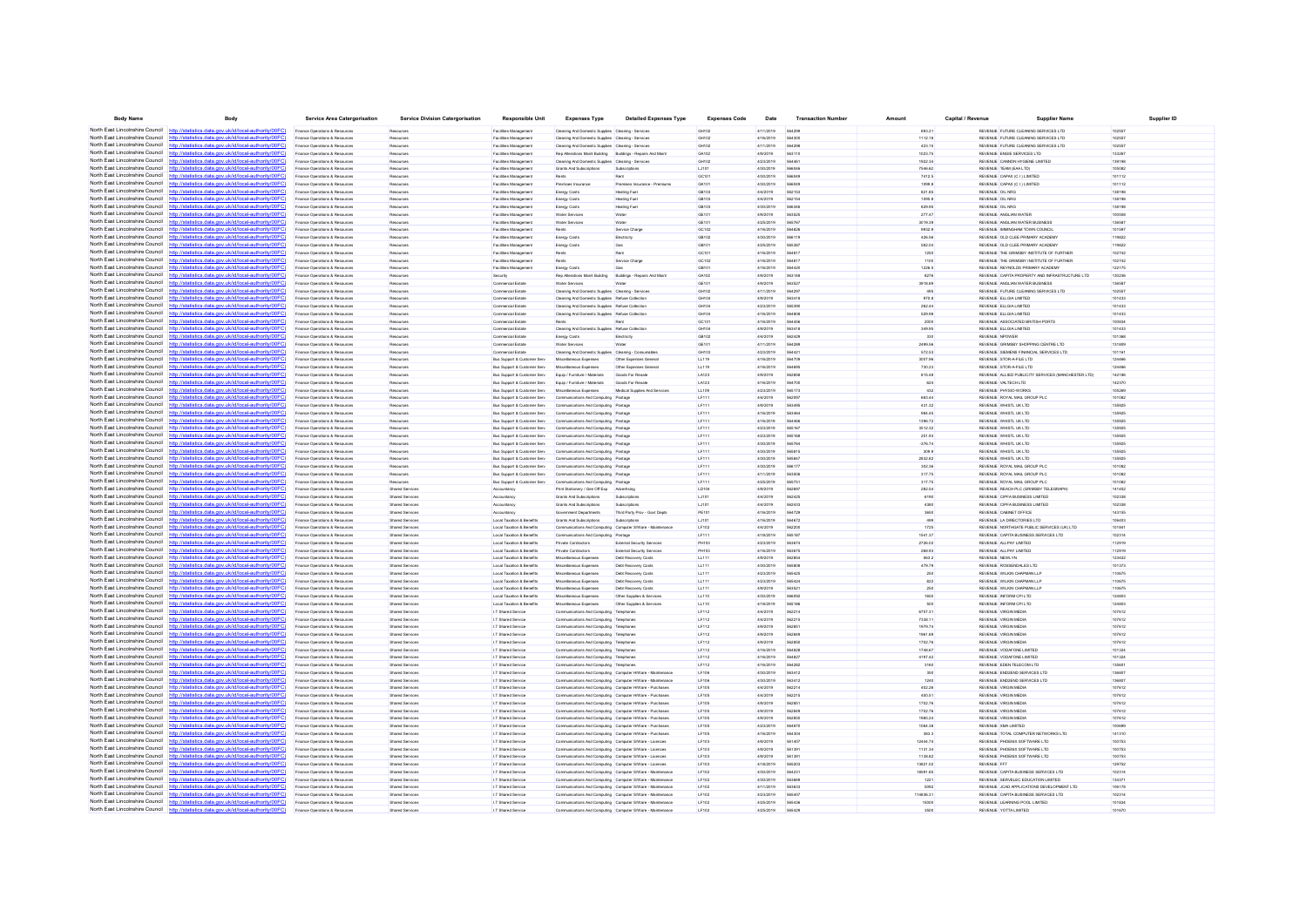| <b>Body Name</b>                                                   | Body                                                                                                                                                                            | <b>Service Area Catergorisation</b>                              | <b>Service Division Catergorisation</b>         | <b>Responsible Unit</b>                    | <b>Expenses Type</b>                                                                  | <b>Detailed Expenses Type</b>                              | <b>Expenses Code</b>  | Date                   | <b>Transaction Numbe</b>       | Amoun              | Capital / Revenue | Supplier Name                                                                     | Supplier ID      |
|--------------------------------------------------------------------|---------------------------------------------------------------------------------------------------------------------------------------------------------------------------------|------------------------------------------------------------------|-------------------------------------------------|--------------------------------------------|---------------------------------------------------------------------------------------|------------------------------------------------------------|-----------------------|------------------------|--------------------------------|--------------------|-------------------|-----------------------------------------------------------------------------------|------------------|
|                                                                    | North East Lincolnshire Council http://statistics.data.gov.uk/id/local-authority/00FC)                                                                                          | Finance Operations & Resources                                   | Resources                                       | Facilities Management                      | Cleaning And Domestic Supplies Cleaning - Services                                    |                                                            | GH102                 | 4/11/2019              | 564299                         | 893.21             |                   | REVENUE FUTURE CLEANING SERVICES LTD                                              | 10255            |
|                                                                    | North East Lincolnshire Council http://statistics.data.gov.uk/id/local-authority/00FC)                                                                                          | Finance Operations & Resources                                   | Resources                                       | <b>Facilities Management</b>               | Cleaning And Domestic Supplies Cleaning - Services                                    |                                                            | GH102                 | 4/16/2019              | 564300                         | 1112.18            |                   | REVENUE FUTURE CLEANING SERVICES LTD                                              | 102557           |
|                                                                    | North East Lincolnshire Council http://statistics.data.gov.uk/id/local-authority/00FC)                                                                                          | Finance Operations & Resources                                   | Resources                                       | Facilities Management                      | Cleaning And Domestic Supplies Cleaning - Services                                    |                                                            | GH102                 | 4/11/2019              | 564298                         | 423.15             |                   | REVENUE FUTURE CLEANING SERVICES LTD                                              | 102557           |
|                                                                    | North East Lincolnshire Council http://statistics.data.gov.uk/id/local-authority/00FC                                                                                           | Finance Operations & Resource                                    |                                                 | <b>Facilities Management</b>               | Rep Alterations Maint Building Buildings - Repairs And Main                           |                                                            | GA102                 | 4/9/2019               | 563110                         | 1023.75            |                   | REVENUE ENGIE SERVICES LTD                                                        | 133267           |
| North East Lincolnshire Council                                    | http://statistics.data.gov.uk/id/local-authority/00FC                                                                                                                           | Finance Operations & Resources                                   | Resources                                       | Facilities Management                      | Cleaning And Domestic Supplies Cleaning - Service                                     |                                                            | GH102                 | 4/23/2019              |                                | 1922.34            |                   | REVENUE CANNON HYGIENE LIMITED                                                    | 139198           |
| North East Lincolnshire Council                                    | http://statistics.data.gov.uk/id/local-authority/00FC)                                                                                                                          | Finance Operations & Resources                                   | Resources                                       | Facilities Management                      | Grants And Subscriptions                                                              | Subscriptions                                              | LJ101                 | 4/30/2019              | 566046                         | 7546.62            |                   | REVENUE TEAM (EAA LTD)                                                            | 105082           |
| North East Lincolnshire Council                                    | http://statistics.data.gov.uk/id/local-authority/00FC                                                                                                                           | Finance Operations & Resources                                   | Resources                                       | <b>Facilities Management</b>               | Rents                                                                                 | Rent                                                       | GC101                 | 4/30/2019              | 566049                         | 7412.5             |                   | REVENUE CAPAX (C I ) LIMITED                                                      | 101112           |
| North East Lincolnshire Council                                    | http://statistics.data.gov.uk/id/local-authority/00FC)                                                                                                                          | Finance Operations & Resource                                    | Resources                                       | Facilities Management                      | Premises Insura                                                                       | Premises Insurance - Premium                               | GK101                 | 4/30/2019              | <b>SARDAS</b>                  | 1099.8             |                   | REVENUE CAPAX (C I ) LIMITED                                                      | 101112           |
| North East Lincolnshire Council http:                              | atistics.data.gov.uk/id/local-authority/00FC)                                                                                                                                   | Finance Operations & Resources                                   | Resources                                       | <b>Facilities Management</b>               | Energy Costs                                                                          | <b>Heating Fuel</b>                                        | GB103                 | 4/4/2019               | 562153                         | 821.85             |                   | REVENUE OIL NRG                                                                   | 138198           |
| North East Lincolnshire Council                                    | http://statistics.data.gov.uk/id/local-authority/00FC                                                                                                                           | Finance Operations & Resources                                   | Resources                                       | <b>Facilities Management</b>               | Energy Costs                                                                          | Heating Fuel                                               | GB103                 | 4/4/2019               | 562154                         | 1095.8             |                   | REVENUE OIL NRG                                                                   | 138198           |
| North East Lincolnshire Council                                    | http://statistics.data.gov.uk/id/local-authority/00FC                                                                                                                           | Finance Operations & Resources                                   | Resources                                       | Facilities Management                      | Energy Costs                                                                          | Heating Fue                                                | GB103                 | 4/30/2019              | <b>SAR344</b>                  | 829.95             |                   | REVENUE OIL NRG                                                                   | 138198           |
| North East Lincolnshire Council                                    | http://statistics.data.gov.uk/id/local-authority/00FC                                                                                                                           | Finance Operations & Resources                                   | Resources                                       | Facilities Management                      | Water Services                                                                        | <b>Water</b>                                               | GE101                 | 4/9/2019               | 56352                          | 277.47             |                   | REVENUE ANGLIAN WATER                                                             | 100508           |
| North East Lincolnshire Council                                    | http://statistics.data.gov.uk/id/local-authority/00FC                                                                                                                           | Finance Operations & Resources                                   | Resources                                       | <b>Facilities Management</b>               | <b>Water Services</b>                                                                 | Water                                                      | GE101                 | 4/25/2019              | 565767                         | 3019.39            |                   | REVENUE ANGLIAN WATER BUSINESS                                                    | 136587           |
| North East Lincolnshire Council                                    | http://statistics.data.gov.uk/id/local-authority/00FC                                                                                                                           | Finance Operations & Resources                                   | Resources                                       | <b>Facilities Management</b>               | Rents                                                                                 | Service Charge                                             | GC102                 | 4/16/2019              | 564826                         | 9932.9             |                   | REVENUE IMMINGHAM TOWN COUNCIL                                                    | 101597           |
| North East Lincolnshire Council<br>North East Lincolnshire Council | http://statistics.data.gov.uk/id/local-authority/00FC                                                                                                                           | Finance Operations & Resource                                    |                                                 | <b>Facilities Management</b>               | Energy Costs                                                                          | Electricity                                                | GB102                 | 4/30/2019              | 566119                         | 426.56             |                   | REVENUE OLD CLEE PRIMARY ACADEMY                                                  | 119822           |
| North East Lincolnshire Council                                    | http://statistics.data.gov.uk/id/local-authority/00FC                                                                                                                           | Finance Operations & Resources                                   | Resources                                       | Facilities Management                      | Energy Costs                                                                          |                                                            | GB101                 | 4/25/2019              | 56538                          | 582.04             |                   | REVENUE OLD CLEE PRIMARY ACADEM                                                   | 19822            |
| North East Lincolnshire Council                                    | http://statistics.data.gov.uk/id/local-authority/00FC<br>ics data nov uk/id/local-authority/00EC                                                                                | Finance Operations & Resources                                   | Resources                                       | <b>Facilities Management</b>               | Rents                                                                                 | Rent                                                       | GC101                 | 4/16/2019              | 564817                         | 1250               |                   | REVENUE THE GRIMSBY INSTITUTE OF FURTHER                                          | 102742           |
| North East Lincolnshire Council                                    | tatistics.data.gov.uk/id/local-authority/00FC                                                                                                                                   | Finance Operations & Resources                                   | Resources                                       | Facilities Management                      | Rent                                                                                  | Service Charg                                              | GC102                 | 4/16/2019              | <b>SA4817</b>                  | 1100               |                   | REVENUE THE GRIMSBY INSTITUTE OF FURTHER                                          | 102742           |
|                                                                    | North East Lincolnshire Council http://statistics.data.gov.uk/id/local-authority/00FC)                                                                                          | Finance Operations & Resources<br>Finance Operations & Resources | Resources                                       | Facilities Management                      | <b>Energy Costs</b>                                                                   |                                                            | GB101                 | 4/16/2019              | 564420<br>563148               | 1226.5             |                   | REVENUE REYNOLDS PRIMARY ACADEM<br>REVENUE CAPITA PROPERTY AND INFRASTRUCTURE LTD | 122175           |
| North East Lincolnshire Council                                    | http://statistics.data.gov.uk/id/local-authority/00FC                                                                                                                           | Finance Operations & Resources                                   | Resources<br>Resources                          | Security<br>Commercial Estate              | Rep Alterations Maint Building Buildings - Repairs And Maint<br><b>Water Services</b> | <b>Water</b>                                               | GA102<br>GE101        | 4/9/2019<br>4/9/2019   | 563527                         | 8276<br>3918.89    |                   | REVENUE ANGLIAN WATER BUSINESS                                                    | 130236<br>136587 |
|                                                                    | North East Lincolnshire Council http://statistics.data.gov.uk/id/local-authority/00FC                                                                                           | Finance Operations & Resources                                   | Resources                                       | Commercial Fstate                          | Cleaning And Domestic Supplies Cleaning - Service                                     |                                                            | GH102                 | 4/11/2019              | <b>564293</b>                  | 495                |                   | REVENUE FUTURE CLEANING SERVICES LTD                                              | 102557           |
|                                                                    | North East Lincolnshire Council http://statistics.data.gov.uk/id/local-authority/00FC)                                                                                          | Finance Operations & Resources                                   | Resources                                       | Commercial Estate                          | Cleaning And Domestic Supplies Refuse Collection                                      |                                                            | GH104                 | 4/9/2019               |                                | 970.8              |                   | REVENUE ELLGIA LIMITED                                                            | 101433           |
| North East Lincolnshire Council                                    | http://statistics.data.gov.uk/id/local-authority/00FC                                                                                                                           | Finance Operations & Resources                                   | Resources                                       | Commercial Estate                          | Cleaning And Domestic Supplies Refuse Collection                                      |                                                            | GH104                 | 4/23/2019              | 565390                         | 262.44             |                   | REVENUE ELLGIA LIMITED                                                            | 101433           |
| North East Lincolnshire Council http:                              | lstatistics data nov uklid/local-authority/00FC                                                                                                                                 | Finance Operations & Resource                                    | Resources                                       | Commercial Estate                          | Cleaning And Domestic Supplies Refuse Collection                                      |                                                            | GH104                 | 4/16/2019              | 564808                         | 529.98             |                   | REVENUE ELLGIA LIMITED                                                            | 101433           |
|                                                                    | North East Lincolnshire Council http://statistics.data.gov.uk/id/local-authority/00FC)                                                                                          | Finance Operations & Resources                                   | Resources                                       | Commercial Estate                          |                                                                                       |                                                            | GC101                 | 4/16/2019              |                                | 2000               |                   | REVENUE ASSOCIATED BRITISH PORT                                                   | 100834           |
| North East Lincolnshire Council                                    | http://statistics.data.gov.uk/id/local-authority/00FC                                                                                                                           | Finance Operations & Resources                                   | Resources                                       | Commercial Estate                          | Cleaning And Domestic Supplies Refuse Collection                                      |                                                            | GH104                 | 4/9/2019               | 563418                         | 349.95             |                   | REVENUE ELLGIA LIMITED                                                            | 101433           |
|                                                                    | North East Lincolnshire Council http://statistics.data.gov.uk/id/local-authority/00FC)                                                                                          | Finance Operations & Resources                                   | Resources                                       | Commercial Estate                          | Energy Costs                                                                          | Electricity                                                | GB102                 | 4/4/2019               | 562429                         | 330                |                   | REVENUE NPOWER                                                                    | 101368           |
|                                                                    | North East Lincolnshire Council http://statistics.data.gov.uk/id/local-authority/00FC                                                                                           | Finance Operations & Resources                                   | Resources                                       | Commercial Estate                          | <b>Water Services</b>                                                                 | Water                                                      | GE101                 | 4/11/2019              | <b>564289</b>                  | 2499.56            |                   | REVENUE GRIMSBY SHOPPING CENTRE LTD                                               | 131809           |
|                                                                    | North East Lincolnshire Council http://statistics.data.gov.uk/id/local-authority/00FC                                                                                           | Finance Operations & Resources                                   | Resources                                       | Commercial Estate                          | Cleaning And Domestic Supplies Cleaning - Consumable                                  |                                                            | GH103                 | 4/23/2019              | 56442                          | 572.53             |                   | REVENUE SIEMENS FINANCIAL SERVICES LTD                                            | 101161           |
|                                                                    | North East Lincolnshire Council http://statistics.data.gov.uk/id/local-authority/00FC)                                                                                          | Finance Operations & Resources                                   | Resources                                       | Bus Support & Customer Serv                | Miscellaneous Expenses                                                                | Other Expenses General                                     | LL119                 | 4/16/2019              | 564709                         | 3007.96            |                   | REVENUE STOR-A-FILE LTD                                                           | 124466           |
| North East Lincolnshire Council                                    | http://statistics.data.gov.uk/id/local-authority/00FC                                                                                                                           | Finance Operations & Resources                                   | Resources                                       | Bus Support & Customer Serv                | Miscellaneous Expenses                                                                | Other Expenses General                                     | LL119                 | 4/16/2019              | <b>SAARO</b>                   | 730.23             |                   | REVENUE STOR-A-FILE LTD                                                           | 124466           |
|                                                                    | North East Lincolnshire Council http://statistics.data.gov.uk/id/local-authority/00FC                                                                                           | Finance Operations & Resources                                   | Resources                                       | Bus Support & Customer Serv                | Equip / Furniture / Materials                                                         | Goods For Resal                                            | LA123                 | 4/9/2019               |                                | 815.48             |                   | REVENUE ALLIED PUBLICITY SERVICES (MANCHESTER LTD)                                | 142186           |
|                                                                    | North East Lincolnshire Council http://statistics.data.gov.uk/id/local-authority/00FC                                                                                           | Finance Operations & Resources                                   | Resources                                       | Bus Support & Customer Serv                | Equip / Furniture / Materials                                                         | Goods For Resale                                           | LA123                 | 4/16/2019              | 564700                         | 624                |                   | REVENUE VALTECH LTD                                                               | 142370           |
| North East Lincolnshire Council                                    | http://statistics.data.gov.uk/id/local-authority/00FC                                                                                                                           | Finance Operations & Resources                                   | Resources                                       | Bus Support & Customer Serv                | Miscellaneous Expenses                                                                | Medical Supples And Services                               | LL109                 | 4/23/2019              | 565173                         | 432                |                   | REVENUE PHYSIO-WORKS                                                              | 105269           |
|                                                                    | North East Lincolnshire Council http://statistics.data.gov.uk/id/local-authority/00FC                                                                                           | Finance Operations & Resource                                    | Resources                                       | Bus Support & Customer Serv                | Communications And Computing Postag                                                   |                                                            | LF111                 | 4/4/2019               | 562097                         | 683.44             |                   | REVENUE ROYAL MAIL GROUP PLO                                                      | 101082           |
|                                                                    | North East Lincolnshire Council http://statistics.data.gov.uk/id/local-authority/00FC)                                                                                          | Finance Operations & Resources                                   | Resources                                       | Bus Support & Customer Serv                | Communications And Computing Postage                                                  |                                                            | LF11                  | 4/9/2019               |                                | 431.32             |                   | REVENUE WHSTL UK LTD                                                              | 135925           |
| North East Lincolnshire Council                                    | http://statistics.data.gov.uk/id/local-authority/00FC)                                                                                                                          | Finance Operations & Resources                                   | Resources                                       | Bus Support & Customer Serv                | Communications And Computing Postage                                                  |                                                            | LF111                 | 4/16/2019              | 563464                         | 984.45             |                   | REVENUE WHSTL UK LTD                                                              | 135925           |
|                                                                    | North East Lincolnshire Council http://statistics.data.gov.uk/id/local-authority/00FC)                                                                                          | Finance Operations & Resources                                   | Resources                                       | Bus Support & Customer Serv                | Communications And Computing Postage                                                  |                                                            | LF111                 | 4/16/2019              | <b><i><u>FRAARA</u></i></b>    | 1396.72            |                   | REVENUE WHISTL UK LTD                                                             | 135925           |
|                                                                    | North East Lincolnshire Council http://statistics.data.gov.uk/id/local-authority/00FC                                                                                           | Finance Operations & Resources                                   | Resource                                        | Bus Support & Customer Serv                | Communications And Computing Postage                                                  |                                                            | <b>IF111</b>          | 4/23/2019              | 565167                         | 3512.32            |                   | REVENUE WHSTL UK LTD                                                              | 135925           |
| North East Lincolnshire Council                                    | tatistics.data.gov.uk/id/local-authority/00FC                                                                                                                                   | Finance Operations & Resources                                   | Resources                                       | Bus Support & Customer Serv                | Communications And Computing Postage                                                  |                                                            | LF111                 | 4/23/2019              | 565168                         | 251.93             |                   | REVENUE WHISTL UK LTD                                                             | 135925           |
|                                                                    | North East Lincolnshire Council http://statistics.data.gov.uk/id/local-authority/00FC)                                                                                          | Finance Operations & Resources                                   | Resources                                       | Bus Support & Customer Serv                | Communications And Computing Postage                                                  |                                                            | LF111                 | 4/30/2019              | 565764                         | $-376.74$          |                   | REVENUE WHISTL UK LTD                                                             | 135925           |
|                                                                    | North East Lincolnshire Council http://statistics.data.gov.uk/id/local-authority/00FC                                                                                           | Finance Operations & Resources                                   | Resources                                       | Bus Support & Customer Serv                | Communications And Computing Postag                                                   |                                                            | <b>IF111</b>          | 4/30/2019              | <b>GAS818</b>                  | 309.9              |                   | REVENUE WHSTL UK LTD                                                              | 135925           |
| North East Lincolnshire Council                                    | http://statistics.data.gov.uk/id/local-authority/00FC                                                                                                                           | Finance Operations & Resources                                   | Resources                                       | Bus Support & Customer Serv                | Communications And Computing Postage                                                  |                                                            | LF11                  | 4/30/2019              | 56584                          | 2832.82            |                   | REVENUE WHSTL UK LTD                                                              | 13592            |
| North East Lincolnshire Council<br>North East Lincolnshire Council | http://statistics.data.gov.uk/id/local-authority/00FC)                                                                                                                          | Finance Operations & Resources                                   | Resources                                       | Bus Support & Customer Serv                | Communications And Computing Postage                                                  |                                                            | LF111                 | 4/30/2019              | 56617                          | 302.36             |                   | REVENUE ROYAL MAIL GROUP PLC                                                      | 101082           |
| North East Lincolnshire Council                                    | http://statistics.data.gov.uk/id/local-authority/00FC<br>http://statistics.data.gov.uk/id/local-authority/00FC                                                                  | Finance Operations & Resources                                   | Resources<br>Resources                          | Bus Support & Customer Serv                | Communications And Computing Postage                                                  |                                                            | LF111<br><b>IF111</b> | 4/11/2019<br>4/25/2019 | <b>563506</b><br><b>SAS751</b> | 317.75<br>317.75   |                   | REVENUE ROYAL MAIL GROUP PLC<br>REVEN IF ROYAL MAIL GROUP PLC                     | 101082           |
|                                                                    | North East Lincolnshire Council http://statistics.data.gov.uk/id/local-authority/00FC)                                                                                          | Finance Operations & Resources<br>Finance Operations & Resources | Shared Service                                  | Bus Support & Customer Serv<br>Accountancy | Communications And Computing Postag<br>Print Stationery / Gen Off Exp Advertising     |                                                            | LD10                  | 4/9/2019               |                                | 282.54             |                   | REVENUE REACH PLC (GRIMSBY TELEGRAPH                                              | 101082<br>141452 |
| North East Lincolnshire Council                                    | tics.data.gov.uk/id/local-authority/00FC                                                                                                                                        | Finance Operations & Resources                                   | <b>Shared Services</b>                          | Accountancy                                | Grants And Subscriptions                                                              | Subscriptions                                              | LJ101                 | 4/4/2019               | 562425                         | 6190               |                   | REVENUE CIPFA BUSINESS LIMITED                                                    | 102338           |
| North East Lincolnshire Council                                    | statistics data nov uk/id/local-authority/00FC!<br>http                                                                                                                         | Finance Operations & Resources                                   | <b>Shared Services</b>                          | Accountancy                                | Grants And Subscriptions                                                              | Subscriptions                                              | LJ101                 | 4/4/2019               | 562437                         | 4380               |                   | REVENUE CIPEA BUSINESS LIMITED                                                    | 102338           |
|                                                                    | North East Lincolnshire Council http://statistics.data.gov.uk/id/local-authority/00FC)                                                                                          | Finance Operations & Resources                                   | Shared Services                                 | Accountancy                                | <b>Sovernment Departments</b>                                                         | Third Party Prov - Govt Dept                               | <b>PE101</b>          | 4/16/2019              |                                | 3650               |                   | REVENUE CABINET OFFICE                                                            | 143155           |
| North East Lincolnshire Council                                    | listics.data.gov.uk/id/local-authority/00FC                                                                                                                                     | Finance Operations & Resources                                   | Shared Services                                 | Local Taxation & Benefits                  | Grants And Subscriptions                                                              | Subscriptions                                              | LJ101                 | 4/16/2019              | 564672                         | 499                |                   | REVENUE LA DIRECTORIES LTD                                                        | 106403           |
| North East Lincolnshire Council                                    | http://statistics.data.gov.uk/id/local-authority/00FC                                                                                                                           | Finance Operations & Resources                                   | Shared Services                                 | Local Taxation & Benefits                  | Communications And Computing Computer S/Ware - Maintenance                            |                                                            | LF102                 | 4/4/2019               | <b>562200</b>                  | 1725               |                   | REVENUE NORTHGATE PUBLIC SERVICES (UK) LTD                                        | 101841           |
| North East Lincolnshire Council                                    | http://statistics.data.gov.uk/id/local-authority/00EC                                                                                                                           | Finance Operations & Resources                                   | <b>Shared Services</b>                          | I oral Taxation & Renefits                 | Communications And Computing Postage                                                  |                                                            | <b>IF111</b>          | 4/18/2019              | 565187                         | 1541.37            |                   | REVENUE CAPITA BUSINESS SERVICES LTD                                              | 102314           |
| North East Lincolnshire Council                                    | /statistics.data.gov.uk/id/local-authority/00FC                                                                                                                                 | Finance Operations & Resource                                    | <b>Shared Service</b>                           | Local Taxation & Benefits                  | Private Contractors                                                                   | External Security Service                                  | PH103                 | 4/23/2019              | 563674                         | 2726.02            |                   | REVENUE ALLPAY LIMITED                                                            | 112919           |
| North East Lincolnshire Council                                    | http://statistics.data.gov.uk/id/local-authority/00FC)                                                                                                                          | Finance Operations & Resources                                   | Shared Services                                 | Local Taxation & Benefits                  | Private Contractors                                                                   | External Security Services                                 | PH103                 | 4/16/2019              | 563675                         | 268.93             |                   | REVENUE ALLPAY LIMITED                                                            | 112919           |
| North East Lincolnshire Council                                    | statistics data nov uk/id/local-authority/00FC!                                                                                                                                 | Finance Operations & Resources                                   | <b>Shared Services</b>                          | Local Taxation & Benefits                  | Miscellaneous Expenses                                                                | Debt Recovery Costs                                        | <b>LL111</b>          | 4/9/2019               | <b>GAORSA</b>                  | 563.2              |                   | REVEN IF NEWLYN                                                                   | 123422           |
| North East Lincolnshire Council                                    | atiotics data now uk/id/local-authority/00EC                                                                                                                                    | Finance Operations & Resources                                   | Shared Service                                  | Local Taxation & Benefits                  | Miscellaneous Expense                                                                 | Debt Recovery Costs                                        | <b>LL111</b>          | 4/30/2019              | 565808                         | 479.79             |                   | REVENUE ROSSENDALES LTD                                                           | 101373           |
| North East Lincolnshire Council                                    | http://statistics.data.gov.uk/id/local-authority/00FC)                                                                                                                          | Finance Operations & Resources                                   | <b>Shared Services</b>                          | Local Taxation & Benefits                  | Miscellaneous Expenses                                                                | Debt Recovery Costs                                        | LL111                 | 4/23/2019              | 565425                         | 250                |                   | REVENUE WILKIN CHAPMAN LLF                                                        | 110675           |
| North East Lincolnshire Council                                    | http://statistics.data.gov.uk/id/local-authority/00FC)                                                                                                                          | Finance Operations & Resources                                   | Shared Services                                 | Local Taxation & Benefits                  | Miscellaneous Expenses                                                                | Debt Recovery Costs                                        | LL111                 | 4/23/2019              | 565424                         | 822                |                   | REVENUE WILKIN CHAPMAN LLP                                                        | 110675           |
|                                                                    | North East Lincolnshire Council http://statistics.data.nov.uk/id/local-authority/00FC)                                                                                          | Finance Operations & Resources                                   | <b>Shared Services</b>                          | I oral Taxation & Renefits                 | Miscellaneous Exnenser                                                                | <b>Dett Recovery Costs</b>                                 | LL111                 | 4/9/2019               | <b>663521</b>                  | 250                |                   | REVENUE WILKIN CHAPMAN LLP                                                        | 110675           |
|                                                                    | North East Lincolnshire Council http://statistics.data.gov.uk/id/local-authority/00FC)                                                                                          | Finance Operations & Resource                                    | Shared Service                                  | Local Taxation & Benefits                  | Miscellaneous Expenses                                                                | Other Supplies & Service                                   | LL110                 | 4/30/2019              |                                | 1650               |                   | REVENUE INFORM CPI LTD                                                            | 12480            |
| North East Lincolnshire Council                                    | http://statistics.data.gov.uk/id/local-authority/00FC                                                                                                                           | Finance Operations & Resources                                   | <b>Shared Services</b>                          | Local Taxation & Benefits                  | Miscellaneous Expenser                                                                | Other Supplies & Services                                  | LL110                 | 4/18/2019              | 565186                         | 500                |                   | REVENUE INFORM CPI LTD                                                            | 124803           |
|                                                                    | North East Lincolnshire Council http://statistics.data.gov.uk/id/local-authority/00FC)                                                                                          | Finance Operations & Resources                                   | Shared Services                                 | <b>I.T Shared Service</b>                  | Communications And Computing Telephones                                               |                                                            | LF112                 | 4/4/2019               | 562214                         | 6707.31            |                   | REVENUE VIRGIN MEDIA                                                              | 107612           |
|                                                                    | North East Lincolnshire Council http://etatistics.data.ogv.uk/id/local-authority/00EC)                                                                                          | Finance Operations & Resources                                   | Shared Services                                 | I.T Shared Service                         | Communications And Computing Telephones                                               |                                                            | LF112                 | 4/4/2019               | 562215                         | 7338.11            |                   | REVENUE VIRGIN MEDIA                                                              | 107612           |
| North East Lincolnshire Council                                    | printing data one ukhilikool outbody/00EC                                                                                                                                       | Finance Operations & Resources                                   | Shared Services                                 | <b>I.T Shared Service</b>                  | Communications And Computing Telephones                                               |                                                            | LF112                 | 4/9/2019               | 562851                         | 1979.74            |                   | REVENUE VIRGIN MEDIA                                                              | 107612           |
|                                                                    | North East Lincolnshire Council http://statistics.data.gov.uk/id/local-authority/00FC)<br>North East Lincolnshire Council http://statistics.data.gov.uk/id/local-authority/00FC | Finance Operations & Resources                                   | Shared Services                                 | <b>I.T Shared Service</b>                  | Communications And Computing Telephones                                               |                                                            | LF112<br>I F112       | 4/9/2019<br>4/9/2019   | 562849                         | 1961.89<br>1702.76 |                   | REVENUE VIRGIN MEDIA<br>REVEN IF MRGIN MEDIA                                      | 107612           |
|                                                                    | North East Lincolnshire Council http://statistics.data.gov.uk/id/local-authority/00FC                                                                                           | Finance Operations & Resources                                   | <b>Shared Services</b><br><b>Shared Service</b> | <b>I.T Shared Service</b>                  | Communications And Computing Telephones                                               |                                                            |                       | 4/16/2019              | <b>SAZASE</b><br>564828        |                    |                   | REVENUE VODAFONE LIMITED                                                          | 107612           |
|                                                                    | North East Lincolnshire Council http://statistics.data.gov.uk/id/local-authority/00FC                                                                                           | inance Operations & Resource<br>Finance Operations & Resources   | <b>Shared Services</b>                          | I.T Shared Service<br>I.T Shared Service   | Communications And Computing Telephones<br>Communications And Computing Telephones    |                                                            | LF112<br>LF112        | 4/16/2019              | 56482                          | 1748.67<br>4197.42 |                   | REVENUE VODAFONE LIMITED                                                          | 101324<br>101324 |
| North East Lincolnshire Council                                    | http://statistics.data.gov.uk/id/local-authority/00FC)                                                                                                                          | Finance Operations & Resources                                   | Shared Services                                 | <b>I.T Shared Service</b>                  | Communications And Computing Telephone:                                               |                                                            | LF112                 | 4/16/2019              | <b>564282</b>                  | 3160               |                   | REVENUE EDEN TELECOM LTD                                                          | 135601           |
|                                                                    | North East Lincolnshire Council http://statistics.data.gov.uk/id/local-authority/00FC)                                                                                          | Finance Operations & Resources                                   | <b>Shared Services</b>                          | I T Shared Service                         | Communications And Computing Computer HWare - Maintenance                             |                                                            | <b>I F106</b>         | 4/30/2019              | 563412                         | 350                |                   | REVEN IF END2END SERVICES LTD                                                     | 136807           |
|                                                                    | North East Lincolnshire Council http://statistics.data.gov.uk/id/local-authority/00FC)                                                                                          | Finance Operations & Resources                                   | Shared Services                                 | I.T Shared Service                         |                                                                                       | Communications And Computing Computer HWare - Maintenance  | LF106                 | 4/30/2019              | 563412                         | 1240               |                   | REVENUE END2END SERVICES LTD                                                      | 136807           |
| North East Lincolnshire Council                                    | s data nov uk/id/local-autho<br>http                                                                                                                                            | Finance Operations & Resources                                   | Shared Services                                 | <b>I.T Shared Service</b>                  | Communications And Computing Computer HWare - Purchases                               |                                                            | LF105                 | 4/4/2019               | 562214                         | 402.26             |                   | REVENUE VIRGIN MEDIA                                                              | 107612           |
|                                                                    | North East Lincolnshire Council http://statistics.data.gov.uk/id/local-authority/00FC)                                                                                          | Finance Operations & Resources                                   | <b>Shared Services</b>                          | I T Shared Service                         | Communications And Computing Computer HWare - Purchases                               |                                                            | <b>I F105</b>         | 4/4/2019               | <b>562215</b>                  | 400.51             |                   | REVENUE MRGIN MEDIA                                                               | 107612           |
|                                                                    | North East Lincolnshire Council http://statistics.data.gov.uk/id/local-authority/00FC                                                                                           | Finance Operations & Resource                                    | Shared Service                                  | I.T Shared Service                         | Communications And Computing Computer HWare - Purchases                               |                                                            | LF105                 | 4/9/2019               | 56285                          | 1702.76            |                   | REVENUE VIRGIN MEDIA                                                              | 107612           |
| North East Lincolnshire Council                                    | http://statistics.data.gov.uk/id/local-authority/00FC                                                                                                                           | Finance Operations & Resources                                   | <b>Shared Services</b>                          | I.T Shared Service                         | Communications And Computing Computer HWare - Purchases                               |                                                            | <b>LF105</b>          | 4/9/2019               | 562849                         | 1702.76            |                   | REVENUE VIRGIN MEDIA                                                              | 107612           |
|                                                                    | North East Lincolnshire Council http://statistics.data.gov.uk/id/local-authority/00FC)                                                                                          | Finance Operations & Resources                                   | Shared Services                                 | <b>I.T Shared Service</b>                  | Communications And Computing Computer HWare - Purchases                               |                                                            | LF105                 | 4/9/2019               | 562850                         | 1985.24            |                   | REVENUE VIRGIN MEDIA                                                              | 107612           |
| North East Lincolnshire Council                                    | http://statistics.data.gov.uk/id/local-authority/00EC                                                                                                                           | Finance Operations & Resources                                   | <b>Shared Services</b>                          | <b>I.T Shared Service</b>                  | Communications And Computing Computer HWare - Purchases                               |                                                            | <b>IF105</b>          | 4/23/2019              | <b>SAARTE</b>                  | 1064.38            |                   | REVENUE XMA UMITED                                                                | 100699           |
| North East Lincolnshire Council                                    | http://statistics.data.gov.uk/id/local-authority/00FC                                                                                                                           | Finance Operations & Resource                                    | <b>Shared Service</b>                           | I.T Shared Service                         | Communications And Computing Computer HWare - Purchase                                |                                                            | LF105                 | 4/16/2019              | <b>SA4304</b>                  | 383.3              |                   | REVENUE TOTAL COMPUTER NETWORKS LTD                                               | 141310           |
| North East Lincolnshire Council http://stat                        | tics.data.gov.uk/id/local-authority/00FC1                                                                                                                                       | Finance Operations & Resources                                   | Shared Services                                 | <b>I.T Shared Service</b>                  | Communications And Computing Computer S/Ware - Licences                               |                                                            | LF103                 | 4/9/2019               | 561407                         | 12444.74           |                   | REVENUE PHOENIX SOFTWARE LTD                                                      | 100753           |
| North East Lincolnshire Council                                    | http://statistics.data.gov.uk/id/local-authority/00EC                                                                                                                           | Finance Operations & Resources                                   | <b>Shared Services</b>                          | <b>I.T Shared Service</b>                  | Communications And Computing Computer S/Ware - Licences                               |                                                            | <b>IF103</b>          | 4/9/2019               | <b>661391</b>                  | 1131.34            |                   | REVENUE PHOENIX SOFTWARE ITD                                                      | 100753           |
| North East Lincolnshire Council                                    | http://statistics.data.gov.uk/id/local-authority/00FC                                                                                                                           | Finance Operations & Resource                                    | <b>Shared Service</b>                           | I.T Shared Service                         | Communications And Computing Computer S/Ware - Licence                                |                                                            | LF103                 | 4/9/2019               | 561391                         | 1138.82            |                   | REVENUE PHOENIX SOFTWARE LTD                                                      | 100753           |
| North East Lincolnshire Council                                    | http://statistics.data.gov.uk/id/local-authority/00FC                                                                                                                           | Finance Operations & Resources                                   | Shared Services                                 | I.T Shared Service                         | Communications And Computing Computer S/Ware - Licences                               |                                                            | LF103                 | 4/18/2019              | 565203                         | 13821.02           | REVENUE FFT       |                                                                                   | 129752           |
| North East Lincolnshire Council                                    | http://statistics.data.gov.uk/id/local-authority/00FC                                                                                                                           | Finance Operations & Resources                                   | Shared Services                                 | <b>I.T Shared Service</b>                  | Communications And Computing Computer S/Ware - Maintenance                            |                                                            | LF102                 | 4/30/2019              | <b>564231</b>                  | 18591.85           |                   | REVENUE CAPITA BUSINESS SERVICES LTD                                              | 102314           |
| North East Lincolnshire Council                                    | http://statistics.data.gov.uk/id/local-authority/00EC                                                                                                                           | Finance Operations & Resources                                   | <b>Shared Services</b>                          | I T Shared Service                         | Communications And Computing Computer S/Ware - Maintenance                            |                                                            | <b>IF102</b>          | 4/30/2019              | <b>SARAAS</b>                  | 1221               |                   | REVENUE SERVELEC EDUCATION LIMITED.                                               | 134371           |
|                                                                    | North East Lincolnshire Council http://statistics.data.gov.uk/id/local-authority/00FC                                                                                           | Finance Operations & Resource                                    | <b>Shared Service</b>                           | I.T Shared Service                         |                                                                                       | Communications And Computing Computer S/Ware - Maintenance | LF102                 | 4/11/2019              | <b>SARRY</b>                   | 5092               |                   | REVENUE JCAD APPLICATIONS DEVELOPMENT LTD                                         | 06178            |
| North East Lincolnshire Council                                    | http://statistics.data.gov.uk/id/local-authority/00FC                                                                                                                           | Finance Operations & Resources                                   | <b>Shared Service</b>                           | I.T Shared Service                         | Communications And Computing Computer S/Ware - Maintenance                            |                                                            | LF102                 | 4/23/2019              |                                | 114836.31          |                   | REVENUE CAPITA BUSINESS SERVICES LTD                                              | 102314           |
|                                                                    | North East Lincolnshire Council http://statistics.data.gov.uk/id/local-authority/00FC)                                                                                          | Finance Operations & Resources                                   | Shared Services                                 | <b>I.T Shared Service</b>                  |                                                                                       | Communications And Computing Computer S/Ware - Maintenance | <b>IF102</b>          | 4/25/2019              | <b>FARANE</b>                  | 15000              |                   | REVENUE LEARNING POOL LIMITED                                                     | 101834           |
| North East Lincolnshire Council                                    |                                                                                                                                                                                 |                                                                  |                                                 | I.T Shared Service                         |                                                                                       | And Computing Computer S/Ware - Maint                      |                       | 4/25/2019              |                                |                    |                   | REVENUE YOTTA LIMITED                                                             |                  |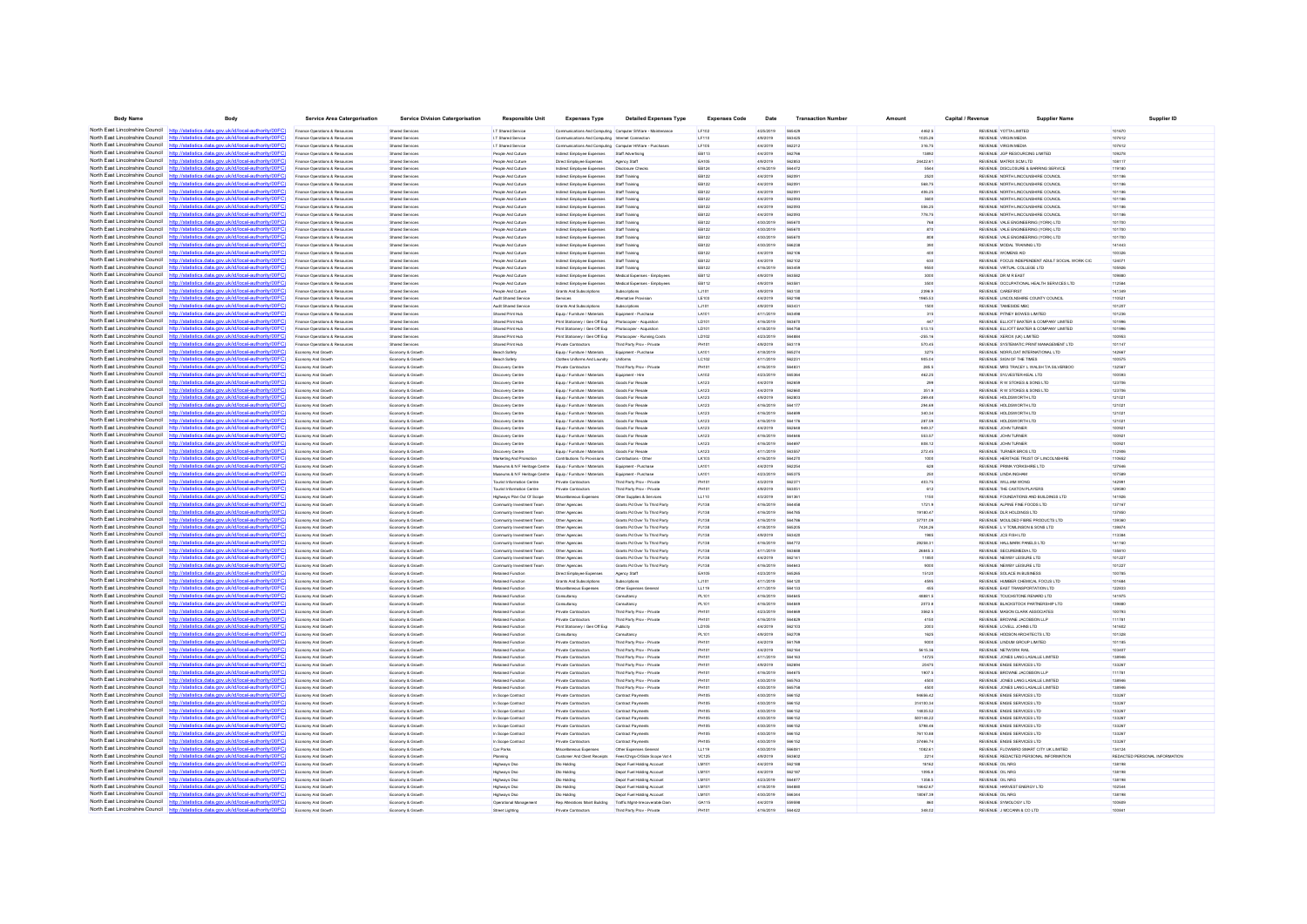| <b>Body Name</b>                                                   | Body                                                                                                             | Service Area Catergorisation                                     | <b>Service Division Catergorisation</b>   | <b>Responsible Unit</b>                                     | <b>Expenses Type</b>                                           | <b>Detailed Expenses Type</b>                             | <b>Expenses Code</b> | Date                   | <b>Transaction Number</b> | Amoun             | Capital / Revenu | <b>Supplier Name</b>                                                  | Supplier ID                   |
|--------------------------------------------------------------------|------------------------------------------------------------------------------------------------------------------|------------------------------------------------------------------|-------------------------------------------|-------------------------------------------------------------|----------------------------------------------------------------|-----------------------------------------------------------|----------------------|------------------------|---------------------------|-------------------|------------------|-----------------------------------------------------------------------|-------------------------------|
| North East Lincolnshire Council http://statistics.data.org         | cal-authority/00FC)                                                                                              | Finance Operations & Resources                                   | Shared Services                           | I.T Shared Service                                          |                                                                | Communications And Computing Computer S/Ware - Maintenane | LF102                | 4/25/2019              | 56542                     | 4462.5            |                  | REVENUE YOTTA LIMITED                                                 | 101670                        |
|                                                                    | North East Lincolnshire Council http://etatistics.data.gov.uk/id/local-authority/00EC1                           | Finance Operations & Resources                                   | <b>Shared Services</b>                    | I.T Shared Service                                          | Communications And Computing Internet Connection               |                                                           | LF110                | 4/9/2019               | 563425                    | 1025.26           |                  | REVENUE VIRGIN MEDIA                                                  | 107612                        |
|                                                                    | North East Lincolnshire Council http://statistics.data.gov.uk/id/local-authority/00FC)                           | Finance Operations & Resources                                   | Shared Services                           | I.T Shared Service                                          | Communications And Computing Computer HWare - Purchases        |                                                           | LF105                | 4/4/2019               | 562212                    | 316.75            |                  | REVENUE VIRGIN MEDIA                                                  | 107612                        |
| North East Lincolnshire Council                                    | http://statistics.data.gov.uk/id/local-authority/00FC                                                            | Finance Operations & Resources                                   | <b>Shared Services</b>                    | People And Culture                                          | Indirect Employee Expenses                                     | Staff Advertising                                         | EB113                | 4/4/2019               | 562766                    | 13892             |                  | REVENUE JGP RESOURCING LIMITED                                        | 109278                        |
| North East Lincolnshire Council                                    | http://statistics.data.gov.uk/id/local-authority/00FC                                                            | Finance Operations & Resources                                   | Shared Service                            | People And Culture                                          | Direct Employee Expenses                                       | Agency Staff                                              | EA105                | 4/9/2019               | 562853                    | 24422.61          |                  | REVENUE MATRIX SCM LTD                                                | 108117                        |
| North East Lincolnshire Council                                    | http://statistics.data.gov.uk/id/local-authority/00FC)                                                           | Finance Operations & Resources                                   | Shared Services                           | People And Culture                                          | Indirect Employee Expenses                                     | Disclosure Check                                          | EB124                | 4/16/2019              | 564472                    |                   |                  | REVENUE DISCLOSURE & BARRING SERVICE                                  | 119180                        |
| North East Lincolnshire Council                                    | http://statistics.data.gov.uk/id/local-authority/00FC)                                                           | Finance Operations & Resources                                   | Shared Services                           | People And Culture                                          | Indirect Employee Expenses                                     | Staff Training                                            | EB122                | 4/4/2019               | 562091                    | 2520              |                  | REVENUE NORTH LINCOLNSHIRE COUNCIL                                    | 101186                        |
| North East Lincolnshire Council                                    | http://statistics.data.gov.uk/id/local-authority/00FC)                                                           | Finance Operations & Resources                                   | <b>Shared Services</b>                    | People And Culture                                          | Indirect Employee Expenses                                     | Staff Training                                            | EB122                | 4/4/2019               | 562091                    | 568.75            |                  | REVENUE NORTH LINCOLNSHIRE COUNCIL                                    | 101186                        |
| North East Lincolnshire Council                                    | http://statistics.data.gov.uk/id/local-authority/00FC                                                            | Finance Operations & Resources                                   | <b>Shared Services</b>                    | People And Culture                                          | Indirect Employee Expenses                                     | Staff Training                                            | EB122                | 4/4/2019               | 56209                     | 406.25            |                  | REVENUE NORTH LINCOLNSHIRE COUNCIL                                    | 101186                        |
| North East Lincolnshire Council                                    |                                                                                                                  | Finance Operations & Resources                                   | Shared Services                           | People And Culture                                          | Indirect Employee Expenses                                     | Staff Training                                            | EB122                | 4/4/2019               | 562093                    | 3600              |                  | REVENUE NORTH LINCOLNSHIRE COUNCIL                                    | 101186                        |
| North East Lincolnshire Council                                    | http://statistics.data.gov.uk/id/local-authority/00FC                                                            | Finance Operations & Resources                                   | <b>Shared Services</b>                    | People And Culture                                          | Indirect Employee Expenses                                     | Staff Training                                            | EB122                | 4/4/2019               | 562093                    | 556.25            |                  | REVENUE NORTH LINCOLNSHIRE COUNCIL                                    | 101186                        |
|                                                                    | North East Lincolnshire Council http://statistics.data.gov.uk/id/local-authority/00FC                            | Finance Operations & Resources                                   | Shared Services                           | People And Culture                                          | Indirect Employee Expenses                                     | Staff Training                                            | EB122                | 4/4/2019               | 562093                    | 778.75            |                  | REVENUE NORTH LINCOLNSHIRE COUNCIL                                    | 101186                        |
| North East Lincolnshire Council                                    | http://statistics.data.gov.uk/id/local-authority/00FC                                                            | Finance Operations & Resources                                   | Shared Services                           | People And Culture                                          | Indirect Employee Expenses                                     | Staff Training                                            | EB122                | 4/30/2019              | 56567                     | 768               |                  | REVENUE VALE ENGINEERING (YORK) LTD                                   | 101700                        |
| North East Lincolnshire Council<br>North East Lincolnshire Council | http://statistics.data.gov.uk/id/local-authority/00FC)                                                           | Finance Operations & Resources                                   | Shared Services                           | People And Culture                                          | Indirect Employee Expenses                                     | Staff Training                                            | EB122                | 4/30/2019              | 565670                    | 870               |                  | REVENUE VALE ENGINEERING (YORK) LTD                                   | 101700                        |
| North East Lincolnshire Council                                    | http://statistics.data.gov.uk/id/local-authority/00FC]<br>http://statistics.data.gov.uk/id/local-authority/00FC) | Finance Operations & Resources                                   | <b>Shared Services</b>                    | People And Culture                                          | Indirect Employee Expenses                                     | Staff Training                                            | EB122                | 4/30/2019<br>4/30/2019 | 565670<br>566238          | 808               |                  | REVENUE VALE ENGINEERING (YORK) LTD                                   | 101700<br>141443              |
| North East Lincolnshire Council                                    | http://statistics.data.gov.uk/id/local-authority/00FC)                                                           | Finance Operations & Resources                                   | Shared Service                            | People And Culture                                          | ndrect Employee Expense                                        | Staff Training                                            | EB122                |                        |                           | 390               |                  | REVENUE MODAL TRAINING LTD                                            |                               |
| North East Lincolnshire Council                                    | http://statistics.data.gov.uk/id/local-authority/00FC                                                            | Finance Operations & Resources<br>Finance Operations & Resources | Shared Services<br><b>Shared Services</b> | People And Culture<br>People And Culture                    | Indirect Employee Expenses                                     | Staff Training<br>Staff Training                          | EB122<br>EB122       | 4/4/2019<br>4/4/2019   | 562106<br>562102          | 400<br>630        |                  | REVENUE WOMENS AID<br>REVENUE FOCUS INDEPENDENT ADULT SOCIAL WORK CIC | 100326<br>124071              |
| North East Lincolnshire Council                                    | http://statistics.data.gov.uk/id/local-authority/00FC)                                                           | Finance Operations & Resources                                   | Shared Services                           | People And Culture                                          | Indirect Employee Expenses<br>Indirect Employee Expense        | Staff Training                                            | EB122                | 4/16/2019              | 563459                    | 9550              |                  | REVENUE VIRTUAL COLLEGE LTD                                           | 105926                        |
| North East Lincolnshire Council                                    | http://statistics.data.gov.uk/id/local-authority/00FC                                                            | Finance Operations & Resources                                   | <b>Shared Services</b>                    | People And Culture                                          | Indirect Employee Expenses                                     | Medical Expenses - Employees                              | EB112                | 4/9/2019               | 563582                    | 3000              |                  | REVENUE DR M R EAST                                                   | 10988                         |
| North East Lincolnshire Council                                    | http://statistics.data.gov.uk/id/local-authority/00FC                                                            | Finance Operations & Resources                                   | Shared Services                           | People And Culture                                          | Indirect Employee Expenses                                     | Medical Expenses - Employees                              | EB112                | 4/9/2019               | 563581                    | 3500              |                  | REVENUE OCCUPATIONAL HEALTH SERVICES LTD                              | 112584                        |
| North East Lincolnshire Council                                    | http://statistics.data.gov.uk/id/local-authority/00FC                                                            | Finance Operations & Resources                                   | <b>Shared Services</b>                    | People And Culture                                          | Grants And Subscriptions                                       | Subscriptions                                             | LJ101                | 4/9/2019               | 563130                    | 2396.9            |                  | REVENUE CAREFIRST                                                     | 141349                        |
| North East Lincolnshire Council                                    | http://statistics.data.gov.uk/id/local-authority/00FC)                                                           | Finance Operations & Resources                                   | Shared Services                           | Audit Shared Service                                        | Services                                                       | <b>Atternative Provid</b>                                 | LE103                | 4/4/2019               | 562198                    | 1965.53           |                  | REVENUE LINCOLNSHIRE COUNTY COUNCIL                                   | 11052                         |
| North East Lincolnshire Council                                    | http://statistics.data.gov.uk/id/local-authority/00FC                                                            | Finance Operations & Resources                                   | Shared Services                           | Audit Shared Service                                        | Grants And Subscriptions                                       | Subscriptions                                             | LJ101                | 4/9/2019               | 56343                     | 1500              |                  | REVENUE TAMESIDE MB                                                   | 10120                         |
| North East Lincolnshire Council                                    | http://statistics.data.gov.uk/id/local-authority/00FC                                                            | Finance Operations & Resources                                   | <b>Shared Services</b>                    | Shared Print Hub                                            | Fouin / Furniture / Materials                                  | Equipment - Purchase                                      | LA101                | 4/11/2019              | 563498                    | 315               |                  | REVENUE PITNEY BOWES LIMITED                                          | 101236                        |
| North East Lincolnshire Council                                    | http://statistics.data.gov.uk/id/local-authority/00EC                                                            | Finance Operations & Resources                                   | Shared Services                           | Shared Print Hub                                            | Print Stationery / Gen Off Exp                                 | Photocopier - Acquistio                                   | LD101                | 4/16/2019              | 56367                     | 447               |                  | REVENUE ELLIOTT BAXTER & COMPANY LIMITED                              | 10199                         |
| North East Lincolnshire Council                                    | atistics.data.gov.uk/id/local-authority/00FC                                                                     | Finance Operations & Resources                                   | Shared Services                           | Shared Print Hub                                            | Print Stationery / Gen Off Exp                                 | Photocopier - Acquistion                                  | LD101                | 4/18/2019              | 564758                    | 513.15            |                  | REVENUE ELLIOTT BAXTER & COMPANY LIMITED                              | 101996                        |
| North East Lincolnshire Council                                    | http://statistics.data.gov.uk/id/local-authority/00FC)                                                           | Finance Operations & Resources                                   | Shared Services                           | Shared Print Hub                                            | Print Stationery / Gen Off Exp                                 | Photocopier - Running Costs                               | LD102                | 4/23/2019              | 564884                    | $-255.16$         |                  | REVENUE XEROX (UK) LIMITED                                            | 100953                        |
| North East Lincolnshire Council                                    | http://statistics.data.gov.uk/id/local-authority/00FC                                                            | Finance Operations & Resources                                   | Shared Services                           | Shared Print Hub                                            | Private Contractors                                            | Third Party Prov - Private                                | PH101                | 4/9/2019               | 563119                    | 570.45            |                  | REVENUE SYSTEMATIC PRINT MANAGEMENT LTD                               | 101147                        |
| North East Lincolnshire Council                                    | http://statistics.data.gov.uk/id/local-authority/00FC                                                            | nomy And Grow                                                    | Economy & Growt                           | Beach Safet                                                 | Equip / Furniture / Material:                                  | Equipment - Purchas                                       | LA101                | 4/18/2019              | 565274                    | 3275              |                  | REVENUE NORFLOAT INTERNATIONAL LTD                                    | 142667                        |
| North East Lincolnshire Council                                    | http://statistics.data.gov.uk/id/local-authority/00FC                                                            | Economy And Growt                                                | Economy & Growt                           | Beach Safety                                                | Clothes Uniforms And Laundry                                   | Uniforms                                                  | LC102                | 4/11/2019              | 56223                     | 905.04            |                  | REVENUE SIGN OF THE TIMES                                             | 100575                        |
| North East Lincolnshire Council                                    | http://statistics.data.gov.uk/id/local-authority/00FC)                                                           | Economy And Growth                                               | Economy & Growth                          | <b>Discovery Centre</b>                                     | Private Contractors                                            | Third Party Prov - Private                                | PH101                | 4/16/2019              | 564831                    | 285.5             |                  | REVENUE MRS TRACEY L WALSH T/A SILVERBOO                              | 132567                        |
|                                                                    | North East Lincolnshire Council http://statistics.data.gov.uk/id/local-authority/00FC                            | omy And Grow                                                     | Economy & Grow                            | <b>Discovery Centre</b>                                     | Equip / Furniture / Material:                                  | Equipment - Hin                                           | LA102                | 4/23/2019              | 565364                    | 462.25            |                  | REVENUE SYLVESTER-KEAL LTD                                            | 10059                         |
|                                                                    | North East Lincolnshire Council http://statistics.data.gov.uk/id/local-authority/00FC                            | Economy And Growth                                               | Economy & Growth                          | <b>Discovery Centre</b>                                     | Equip / Furniture / Materials                                  | Goods For Resale                                          | LA123                | 4/4/2019               | 562659                    | 299               |                  | REVENUE R W STOKES & SONS LTD                                         | 123706                        |
| North East Lincolnshire Council                                    | http://statistics.data.gov.uk/id/local-authority/00FC                                                            | Economy And Growth                                               | Economy & Growth                          | <b>Discovery Centre</b>                                     | Equip / Furniture / Materials                                  | Goods For Resale                                          | LA123                | 4/4/2019               | 562660                    | 351.9             |                  | REVENUE R W STOKES & SONS LTD                                         | 123706                        |
| North East Lincolnshire Council                                    | http://statistics.data.gov.uk/id/local-authority/00FC                                                            | Economy And Growth                                               | Economy & Growth                          | <b>Discovery Centre</b>                                     | Equip / Furniture / Materials                                  | Goods For Resale                                          | LA123                | 4/9/2019               | 562803                    | 269.48            |                  | REVENUE HOLDSWORTH LTD                                                | 121021                        |
| North East Lincolnshire Council                                    | http://statistics.data.gov.uk/id/local-authority/00FC                                                            | Economy And Growt                                                | Economy & Growt                           | <b>Discovery Centr</b>                                      | Equip / Furniture / Materials                                  | Goods For Resal                                           | LA123                | 4/16/2019              | 564177                    | 294.69            |                  | REVENUE HOLDSWORTH LTD                                                | 12102                         |
| North East Lincolnshire Council                                    | http://statistics.data.gov.uk/id/local-authority/00FC                                                            | Economy And Growt                                                | Economy & Growt                           | <b>Discovery Centre</b>                                     | Equip / Furniture / Materials                                  | <b>Goods For Resak</b>                                    | LA123                | 4/16/2019              |                           | 340.34            |                  | REVENUE HOLDSWORTH LTD                                                | 12102                         |
| North East Lincolnshire Council<br>North East Lincolnshire Council | http://statistics.data.gov.uk/id/local-authority/00FC)                                                           | Economy And Growth                                               | Economy & Growth                          | <b>Discovery Centre</b>                                     | Equip / Furniture / Materials                                  | Goods For Resale                                          | LA123                | 4/16/2019              | 564176                    | 287.59            |                  | REVENUE HOLDSWORTH LTD                                                | 121021                        |
| North East Lincolnshire Council                                    | http://statistics.data.gov.uk/id/local-authority/00FC                                                            | Economy And Growth                                               | Economy & Growth                          | <b>Discovery Centre</b>                                     | Equip / Furniture / Materials                                  | Goods For Resale                                          | LA123                | 4/4/2019               | 562648                    | 949.37            |                  | REVENUE JOHN TURNER                                                   | 100921                        |
| North East Lincolnshire Council                                    | statistics.data.gov.uk/id/local-authority/00FC<br>http://statistics.data.gov.uk/id/local-authority/00EC          | Economy And Growt                                                | Economy & Growth                          | <b>Discovery Centre</b>                                     | Equip / Furniture / Materials                                  | Goods For Resak                                           | LA123                | 4/16/2019              | 56464                     | 553.57            |                  | REVENUE JOHN TURNER                                                   | 100921                        |
| North East Lincolnshire Council                                    | http://statistics.data.gov.uk/id/local-authority/00FC                                                            | Economy And Growth<br>Economy And Growth                         | Economy & Growth<br>Economy & Growth      | <b>Discovery Centre</b><br><b>Discovery Centre</b>          | Equip / Furniture / Materials<br>Equip / Furniture / Materials | Goods For Resale<br>Goods For Resale                      | LA123<br>LA123       | 4/16/2019<br>4/11/2019 | 564697<br>563557          | 808.12<br>272.45  |                  | REVENUE JOHN TURNER<br>REVENUE TURNER BROS LTD                        | 100921<br>112906              |
| North East Lincolnshire Council                                    | http://statistics.data.gov.uk/id/local-authority/00FC                                                            | nomy And Grow                                                    | Economy & Growt                           | Marketing And Promoti                                       | Contributions To Provision                                     | Contributions - Othe                                      | LK103                | 4/16/2019              | 564270                    | 1000              |                  | REVENUE HERITAGE TRUST OF LINCOLNSHIRE                                | 110652                        |
| North East Lincolnshire Council                                    | http://statistics.data.gov.uk/id/local-authority/00FC                                                            | Economy And Growth                                               | Economy & Growt                           | Museums & N F Heritage Centre Equip / Furniture / Materials |                                                                | Equipment - Purchase                                      | LA101                | 4/4/2019               | 562254                    | 628               |                  | REVENUE PRIMA YORKSHIRE LTD                                           | 12764                         |
| North East Lincolnshire Council                                    | http://statistics.data.gov.uk/id/local-authority/00FC)                                                           | Economy And Growth                                               | Economy & Growth                          | Museums & N F Heritage Centre Equip / Furniture / Materials |                                                                | Equipment - Purchase                                      | LA101                | 4/23/2019              | 565375                    | 250               |                  | REVENUE LINDA INGHAM                                                  | 107589                        |
| North East Lincolnshire Council                                    | http://statistics.data.gov.uk/id/local-authority/00FC                                                            | Economy And Growth                                               | Economy & Growth                          | <b>Tourist Information Centre</b>                           | Private Contractors                                            | Third Party Proy - Private                                | <b>PH101</b>         | 4/3/2019               | 562371                    | 403.75            |                  | REVENUE WILLIAM WONG                                                  | 142991                        |
| North East Lincolnshire Council                                    | http://statistics.data.gov.uk/id/local-authority/00FC                                                            | <b>Economy And Growt</b>                                         | Economy & Growt                           | Tourist Information Centre                                  | Private Contractors                                            | Third Party Prov - Privat                                 | <b>PH10</b>          | 4/9/2019               | 56305                     | 612               |                  | REVENUE THE CAXTON PLAYERS                                            | 12959                         |
| North East Lincolnshire Council                                    | ics data nov uk/id/local-authority/00FC<br>http://sta                                                            | Economy And Growth                                               | Economy & Growth                          | Highways Plan Out Of Scope                                  | Miscellaneous Expenses                                         | Other Supplies & Services                                 | LL110                | 4/3/2019               | 561361                    | 1150              |                  | REVENUE FOUNDATIONS AND BUILDINGS LTD                                 | 141926                        |
| North East Lincolnshire Council                                    | http://statistics.data.gov.uk/id/local-authority/00EC                                                            | Economy And Growth                                               | Economy & Growth                          | Community Investment Team                                   | Other Agencies                                                 | Grants Pd Over To Third Party                             | PJ138                | 4/16/2019              | 564458                    | 1721.9            |                  | REVENUE ALPINE FINE FOODS LTD                                         | 137167                        |
| North East Lincolnshire Council                                    | http://statistics.data.gov.uk/id/local-authority/00FC)                                                           | Economy And Growth                                               | Economy & Growt                           | Community Investment Team                                   | Other Agencie                                                  | Grants Pd Over To Third Party                             | PJ138                | 4/16/2019              | 564785                    | 19180.47          |                  | REVENUE DLR HOLDINGS LTD                                              | 137850                        |
| North East Lincolnshire Council                                    | http://statistics.data.gov.uk/id/local-authority/00FC                                                            | Economy And Growt                                                | Economy & Growt                           | Community Investment Tear                                   | Other Agencies                                                 | Grants Pd Over To Third Party                             | PJ138                | 4/16/2019              | 564786                    | 37701.09          |                  | REVENUE MOULDED FIBRE PRODUCTS LTD                                    | 13936                         |
| North East Lincolnshire Council                                    | http://statistics.data.gov.uk/id/local-authority/00FC                                                            | Economy And Growth                                               | Economy & Growth                          | Community Investment Team                                   | Other Agencies                                                 | Grants Pd Over To Third Party                             | PJ138                | 4/18/2019              | 565205                    | 7424.26           |                  | REVENUE L V TOMLINSON & SONS LTD                                      | 139874                        |
| North East Lincolnshire Council                                    | http://statistics.data.gov.uk/id/local-authority/00FC]                                                           | Economy And Growth                                               | Economy & Growth                          | Community Investment Team                                   | Other Agencies                                                 | Grants Pd Over To Third Party                             | PJ138                | 4/9/2019               | 563420                    | 1985              |                  | REVENUE JCS FISH LTD                                                  | 113384                        |
| North East Lincolnshire Council                                    | http://statistics.data.gov.uk/id/local-authority/00FC                                                            | Economy And Growt                                                | Economy & Growt                           | Community Investment Team                                   | Other Agencie                                                  | <b>Brants Pd Over To Third Party</b>                      | PJ138                | 4/16/2019              | 584772                    | 29258.31          |                  | REVENUE HALLMARK PANELS LTD                                           | 141160                        |
| North East Lincolnshire Council                                    | http://statistics.data.gov.uk/id/local-authority/00FC                                                            | Economy And Growth                                               | Economy & Growt                           | Community Investment Team                                   | Other Agencies                                                 | Grants Pd Over To Third Party                             | PJ138                | 4/11/2019              | 56368                     | 26845.3           |                  | REVENUE SECUREMEDIA LTD                                               | 135810                        |
| North East Lincolnshire Council                                    | http://statistics.data.gov.uk/id/local-authority/00EC                                                            | Economy And Growth                                               | Economy & Growth                          | Community Investment Team                                   | Other Agencies                                                 | Grants Pd Over To Third Party                             | PJ138                | 4/4/2019               | 562141                    | 11850             |                  | REVENUE NEWBY LEISURE LTD                                             | 101227                        |
| North East Lincolnshire Council                                    | statistics data nov uk/id/local-authority/00EC                                                                   | omy And Growt                                                    | Economy & Growt                           | Community Investment Tear                                   | Other Agencie                                                  | Grants Pd Over To Third Party                             | PJ138                | 4/16/2019              | 564643                    | 9000              |                  | REVENUE NEWBY LEISURE LTD                                             | 101227                        |
| North East Lincolnshire Council                                    | http://statistics.data.gov.uk/id/local-authority/00FC                                                            | Economy And Growth                                               | Economy & Growth                          | Retained Function                                           | Direct Employee Expenses                                       | Agency Staff                                              | EA105                | 4/23/2019              | 565265                    | 15120             |                  | REVENUE SOLACE IN BUSINESS                                            | 100785                        |
| North East Lincolnshire Council                                    | http://statistics.data.gov.uk/id/local-authority/00FC)                                                           | Economy And Growth                                               | Economy & Growth                          | Retained Function                                           | Grants And Subscriptions                                       | Subscriptions                                             | LJ101                | 4/11/2019              | 564120                    | 4595              |                  | REVENUE HUMBER CHEMICAL FOCUS LTD                                     | 101684                        |
| North East Lincolnshire Council                                    | http://statistics.data.gov.uk/id/local-authority/00FC                                                            | Economy And Growth                                               | Economy & Growth                          | Retained Function                                           | Miscellaneous Expenses                                         | Other Expenses General                                    | LL119                | 4/11/2019              | 564133                    | 455               |                  | REVENUE EAST TRANSPORTATION LTD                                       | 122833                        |
| North East Lincolnshire Council<br>North East Lincolnshire Council | http://statistics.data.gov.uk/id/local-authority/00FC)<br>http://statistics.data.gov.uk/id/local-authority/00FC  | Economy And Growt                                                | Economy & Growt                           | Retained Functio                                            | Consultancy                                                    | Consultancy                                               | PL101<br>PL101       | 4/16/2019<br>4/16/2019 | SRARA                     | 48881.5<br>2073.8 |                  | REVENUE TOUCHSTONE RENARD LTD<br>REVENUE BLACKSTOCK PARTNERSHIP LTD   | 141975<br>139880              |
| North East Lincolnshire Council                                    | http://statistics.data.gov.uk/id/local-authority/00FC)                                                           | Economy And Growt<br>Economy And Growth                          | Economy & Growt<br>Economy & Growth       | Retained Functio<br>Retained Function                       | Consultancy<br>Private Contractors                             | Consultancy<br>Third Party Prov - Private                 | PH101                | 4/23/2019              | 564669                    | 3562.5            |                  | REVENUE MASON CLARK ASSOCIATES                                        | 100793                        |
| North East Lincolnshire Council                                    | http://statistics.data.gov.uk/id/local-authority/00EC                                                            | Economy And Growt                                                | Economy & Growt                           | Retained Functio                                            | Private Contractor                                             | Third Party Prov - Priv.                                  | PH101                | 4/16/2019              | 56482                     | 4150              |                  | REVENUE BROWNE JACOBSON LLP                                           | 11178                         |
| North East Lincolnshire Council                                    | CRIMINAL AND AN UNIVERSITY AND PROVINCING                                                                        | Economy And Growth                                               | Economy & Growtl                          | Retained Function                                           | Print Stationery / Gen Off Exp                                 | Publicity                                                 | LD105                | 4/4/2019               | 562103                    | 2003              |                  | REVENUE LOVELL JOHNS LTD                                              | 141602                        |
|                                                                    | North East Lincolnshire Council http://statistics.data.gov.uk/id/local-authority/00FC)                           | Economy And Growth                                               | Economy & Growth                          | Retained Function                                           | Consultancy                                                    | Consultancy                                               | PL101                | 4/9/2019               | 562709                    | 1625              |                  | REVENUE HODSON ARCHITECTS LTD                                         | 101328                        |
| North East Lincolnshire Council                                    | http://statistics.data.gov.uk/id/local-authority/00FC                                                            | Economy And Growth                                               | Economy & Growth                          | Retained Function                                           | Private Contractors                                            | Third Party Proy - Private                                | <b>PH101</b>         | 4/4/2019               | 561769                    | 9000              |                  | REVENUE LINDUM GROUP LIMITED                                          | 101185                        |
| North East Lincolnshire Council                                    | http://statistics.data.gov.uk/id/local-authority/00FC                                                            | omy And Grow                                                     | Economy & Growt                           | Retained Functio                                            | Private Contractor                                             | Third Party Prov - Privat                                 | PH101                | 4/4/2019               | 562164                    | 5615.36           |                  | REVENUE NETWORK RAI                                                   | 103407                        |
| North East Lincolnshire Council                                    | http://statistics.data.gov.uk/id/local-authority/00FC                                                            | Economy And Growth                                               | Economy & Growth                          | Retained Function                                           | Private Contractors                                            | Third Party Prov - Private                                | PH101                | 4/11/2019              | 564163                    | 14725             |                  | REVENUE JONES LANG LASALLE LIMITED                                    | 13894                         |
| North East Lincolnshire Council                                    | http://statistics.data.gov.uk/id/local-authority/00FC)                                                           | Economy And Growth                                               | Economy & Growth                          | Retained Function                                           | Private Contractors                                            | Third Party Prov - Private                                | PH101                | 4/9/2019               | 562694                    | 20475             |                  | REVENUE ENGIE SERVICES LTD                                            | 133267                        |
| North East Lincolnshire Council                                    | http://statistics.data.gov.uk/id/local-authority/00FC                                                            | Economy And Growth                                               | Economy & Growth                          | Retained Function                                           | Private Contractors                                            | Third Party Proy - Private                                | <b>PH101</b>         | 4/16/2019              | 564675                    | 1907.5            |                  | REVENUE BROWNE JACOBSON LLP                                           | 111781                        |
|                                                                    | North East Lincolnshire Council http://statistics.data.gov.uk/id/local-authority/00FC                            | Economy And Growth                                               | Economy & Growth                          | Retained Function                                           | Private Contractors                                            | Third Party Prov - Private                                | PH101                | 4/30/2019              | 565763                    | 4500              |                  | REVENUE JONES LANG LASALLE LIMITED                                    | 138946                        |
| North East Lincolnshire Council                                    |                                                                                                                  | Economy And Growth                                               | Economy & Growth                          | Retained Function                                           | Private Contractors                                            | Third Party Prov - Private                                | PH101                | 4/30/2019              | 565758                    | 4500              |                  | REVENUE JONES LANG LASALLE LIMITED                                    | 138946                        |
|                                                                    | North East Lincolnshire Council http://statistics.data.gov.uk/id/local-authority/00FC)                           | Economy And Growth                                               | Economy & Growth                          | In Scope Contract                                           | Private Contractors                                            | Contract Payments                                         | <b>PH105</b>         | 4/30/2019              | 566152                    | 94656.42          |                  | REVENUE ENGIE SERVICES LTD                                            | 133267                        |
|                                                                    | North East Lincolnshire Council http://statistics.data.gov.uk/id/local-authority/00FC                            | Economy And Growt                                                | Economy & Growt                           | In Scope Contrac                                            | Private Contractor                                             | Contract Payment                                          | PH103                | 4/30/2019              | 566152                    | 314100.34         |                  | REVENUE ENGIE SERVICES LTD                                            | 13326                         |
| North East Lincolnshire Council                                    | http://statistics.data.gov.uk/id/local-authority/00FC                                                            | Economy And Growt                                                | Economy & Growt                           | In Scope Contract                                           | Private Contractors                                            | Contract Payments                                         | <b>PH105</b>         | 4/30/2019              | 566152                    | 14835.52          |                  | REVENUE ENGIE SERVICES LTD                                            | 13326                         |
| North East Lincolnshire Council                                    | http://statistics.data.gov.uk/id/local-authority/00FC)                                                           | Economy And Growth                                               | Economy & Growth                          | In Scope Contract                                           | Private Contractors                                            | Contract Payments                                         | <b>PH105</b>         | 4/30/2019              | 566152                    | 500148.22         |                  | REVENUE ENGIE SERVICES LTD                                            | 133267                        |
| North East Lincolnshire Council                                    | http://statistics.data.gov.uk/id/local-authority/00FC                                                            | Economy And Growth                                               | Economy & Growth                          | In Scope Contract                                           | Private Contractors                                            | Contract Payments                                         | <b>PH105</b>         | 4/30/2019              | 566152                    | 5798.46           |                  | REVENUE ENGIE SERVICES LTD                                            | 133267                        |
| North East Lincolnshire Council                                    | http://statistics.data.gov.uk/id/local-authority/00FC                                                            | amy And Grow                                                     | Economy & Growt                           | In Scope Contras                                            | Private Contractor                                             | Contract Payment                                          | <b>PH105</b>         | 4/30/2019              | 566152                    | 76110.88          |                  | REVENUE ENGIE SERVICES LTD                                            | 133267                        |
|                                                                    | North East Lincolnshire Council http://statistics.data.gov.uk/id/local-authority/00FC)                           | Economy And Growth                                               | Economy & Growth                          | In Scope Contract                                           | Private Contractors                                            | Contract Payments                                         | <b>PH105</b>         | 4/30/2019              | 566152                    | 37466.74          |                  | REVENUE ENGIE SERVICES LTD                                            | 133267                        |
| North East Lincolnshire Council                                    | http://statistics.data.gov.uk/id/local-authority/00FC                                                            | Economy And Growth                                               | Economy & Growth                          | Car Parks                                                   | Miscellaneous Expenses                                         | Other Expenses General                                    | LL119                | 4/30/2019              | 56608                     | 1082.61           |                  | REVENUE FLOWBIRD SMART CITY UK LIMITED                                | 134124                        |
| North East Lincolnshire Council<br>North East Lincolnshire Council | http://statistics.data.gov.uk/id/local-authority/00FC                                                            | omy And Growt                                                    | Economy & Growt                           | Planning                                                    | Customer And Client Receipt                                    | Fees/Chros-O/Side Scope Vat 4                             | <b>VC125</b>         | 4/9/2019               | 563602                    | 2214              |                  | REVENUE REDACTED PERSONAL INFORMATION                                 | REDACTED PERSONAL INFORMATION |
| North East Lincolnshire Council                                    | http://statistics.data.gov.uk/id/local-authority/00FC<br>http://statistics.data.gov.uk/id/local-authority/00FC   | Economy And Growth                                               | Economy & Growt                           | <b>Highways Dso</b>                                         | Dio Holding                                                    | Depot Fuel Holding Account                                | LM101                | 4/4/2019               | 562188<br>562187          | 18162             |                  | REVENUE OIL NRG                                                       | 138198                        |
| North East Lincolnshire Council                                    | http://statistics.data.gov.uk/id/local-authority/00FC                                                            | Economy And Growth<br>Economy And Growth                         | Economy & Growth<br>Economy & Growth      | <b>Highways Dso</b><br><b>Highways Dso</b>                  | Dio Holding<br>Dio Holding                                     | Depot Fuel Holding Account<br>Depot Fuel Holding Account  | LM101<br>LM101       | 4/4/2019<br>4/23/2019  | 564877                    | 1095.8<br>1358.5  |                  | REVENUE OIL NRG<br>REVENUE OIL NRG                                    | 138198<br>138198              |
| North East Lincolnshire Council                                    | http://statistics.data.gov.uk/id/local-authority/00FC                                                            | nomy And Growt                                                   | Economy & Growt                           | Highways Dsc                                                | Dio Holding                                                    | Depot Fuel Holding Account                                | LM10                 | 4/18/2019              | <b>SAARR</b>              | 14642.67          |                  | REVENUE HARVEST ENERGY LTD                                            | 10254                         |
| North East Lincolnshire Council                                    | http://statistics.data.gov.uk/id/local-authority/00FC                                                            | Economy And Grow                                                 | Economy & Growt                           | <b>Highways Dso</b>                                         | Dio Holding                                                    | Depot Fuel Holding Account                                | LM101                | 4/30/2019              | 56634                     | 18067.39          |                  | REVENUE OIL NRG                                                       | 138198                        |
|                                                                    | North East Lincolnshire Council http://statistics.data.gov.uk/id/local-authority/00FC                            | Economy And Growth                                               | Economy & Growth                          | Operational Management                                      | Rep Alterations Maint Building                                 | Traffic Mont-Irrecoverable Dan                            | GA115                | 4/4/2019               | 559598                    | 860               |                  | REVENUE SYMOLOGY LTD                                                  | 100609                        |
| North East Lincolnshire Council                                    |                                                                                                                  |                                                                  | Economy & Grow                            | Street Lighting                                             |                                                                | Third Party Prov - Private                                |                      | 4/16/2019              |                           | 348.02            |                  | REVENUE J MCCANN & CO LTD                                             |                               |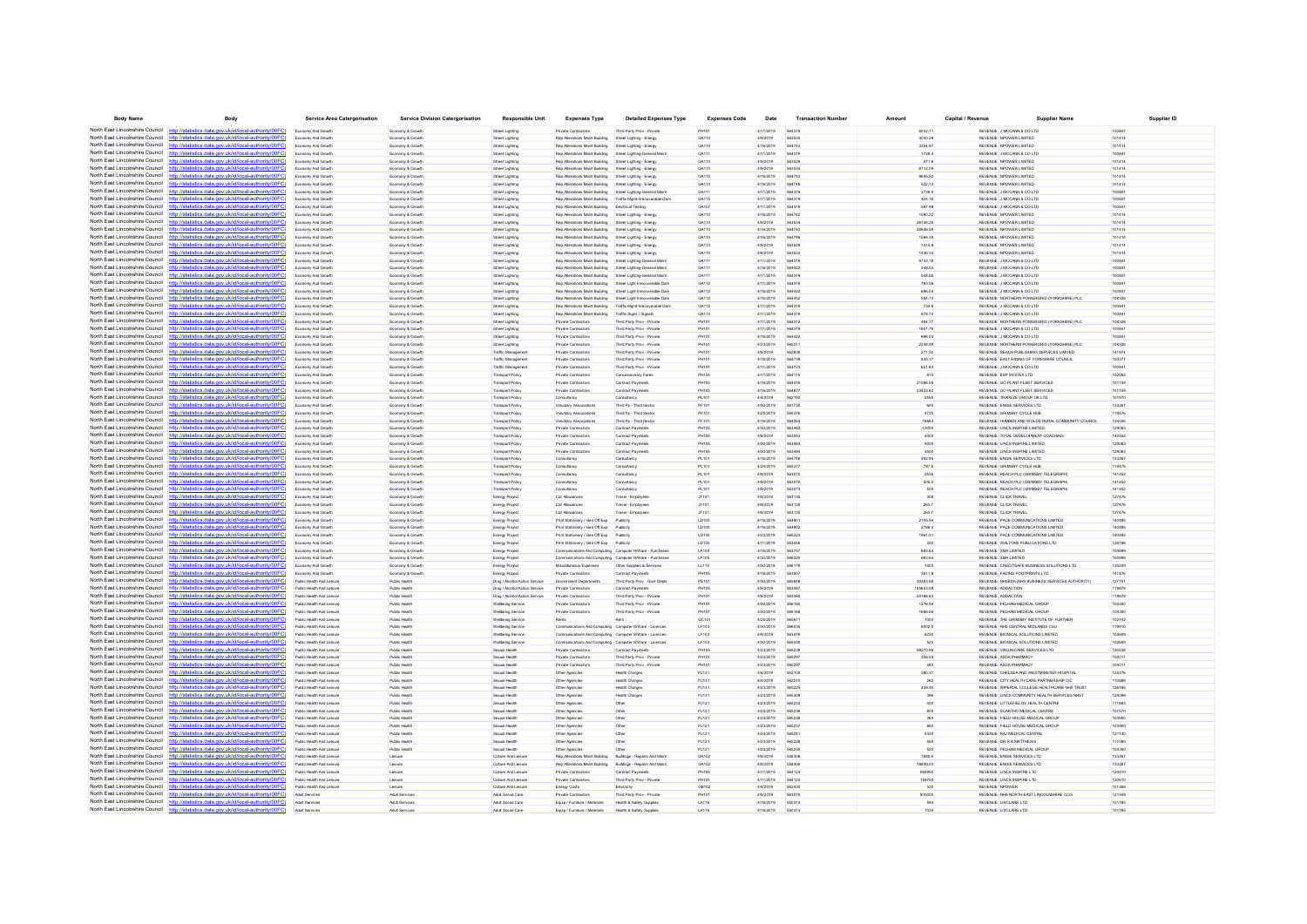| <b>Body Name</b>                                                   | Body                                                                                                                                           | Service Area Catergorisation                           | <b>Service Division Catergorisation</b> | <b>Responsible Unit</b>                             | <b>Expenses Typ</b>                                                                                               | <b>Detailed Expenses Type</b>                            | <b>Expenses Code</b> | Date                   | <b>Transaction Number</b> | Amount             | Capital / Revenue | Supplier Nam                                                             | <b>Supplier ID</b> |
|--------------------------------------------------------------------|------------------------------------------------------------------------------------------------------------------------------------------------|--------------------------------------------------------|-----------------------------------------|-----------------------------------------------------|-------------------------------------------------------------------------------------------------------------------|----------------------------------------------------------|----------------------|------------------------|---------------------------|--------------------|-------------------|--------------------------------------------------------------------------|--------------------|
| North East Lincolnshire Council http://statistics.data.org         | uk/id/local-authority/00EC)                                                                                                                    | Economy And Growth                                     | Economy & Growt                         | Street Lighting                                     | Private Contractors                                                                                               | Third Party Prov - Privat                                |                      | 4/11/2019              | 564319                    | 8232.11            |                   | REVENUE J MCCANN & CO LTD                                                | 10084              |
|                                                                    | North East Lincolnshire Council http://etatistics.data.gov.uk/id/local-authority/00EC                                                          | Economy And Growth                                     | Economy & Growth                        | Street Lighting                                     | Rep Alterations Maint Building                                                                                    | Street Lighting - Energy                                 | GA110                | 4/9/2019               | 56353                     | 3030.29            |                   | REVENUE NPOWER LIMITED                                                   | 101414             |
|                                                                    | North East Lincolnshire Council http://statistics.data.gov.uk/id/local-authority/00FC)                                                         | Economy And Growth                                     | Economy & Growth                        | Street Lighting                                     | Rep Alterations Maint Building                                                                                    | Street Lighting - Energy                                 | GA110                | 4/16/2019              | 564743                    | 3354.97            |                   | REVENUE NPOWER LIMITED                                                   | 101414             |
| North East Lincolnshire Council                                    | http://statistics.data.gov.uk/id/local-authority/00FC                                                                                          | Economy And Growth                                     | Economy & Growth                        | Street Lighting                                     | Rep Alterations Maint Building                                                                                    | Street Lighting-General Main                             | GA111                | 4/11/2019              | 564319                    | 1728.4             |                   | REVENUE J MCCANN & CO LTD                                                | 100841             |
| North East Lincolnshire Council                                    | http://statistics.data.gov.uk/id/local-authority/00FC                                                                                          | nomy And Growt                                         | Economy & Grow                          | Street Lighting                                     | Rep Alterations Maint Building                                                                                    | Street Lighting - Energy                                 | GA110                | 4/9/2019               | 563529                    | 471.6              |                   | REVENUE NPOWER LIMITED                                                   | 101414             |
| North East Lincolnshire Council                                    | http://statistics.data.gov.uk/id/local-authority/00FC                                                                                          | Economy And Growth                                     | Economy & Growth                        | Street Lighting                                     | Rep Alterations Maint Building                                                                                    | Street Lighting - Energy                                 | GA110                | 4/9/2019               | 56353                     | 8712.09            |                   | REVENUE NPOWER LIMITED                                                   | 101414             |
| North East Lincolnshire Council                                    | http://statistics.data.gov.uk/id/local-authority/00FC                                                                                          | Economy And Growth                                     | Economy & Growth                        | Street Lighting                                     | Rep Alterations Maint Building                                                                                    | Street Lighting - Energy                                 | GA110                | 4/16/2019              | 564743                    | 9645.52            |                   | REVENUE NPOWER LIMITED                                                   | 101414             |
|                                                                    | North East Lincolnshire Council http://statistics.data.gov.uk/id/local-authority/00FC)                                                         | Economy And Growth                                     | Economy & Growth                        | Street Lighting                                     | Rep Alterations Maint Building                                                                                    | Street Lighting - Energy                                 | GA110                | 4/16/2019              | 564746                    | 522.13             |                   | REVENUE NPOWER LIMITED                                                   | 101414             |
|                                                                    | North East Lincolnshire Council http://statistics.data.gov.uk/id/local-authority/00FC                                                          | Economy And Growth                                     | Economy & Growth                        | Street Lighting                                     | Rep Alterations Maint Building Street Lighting-General Maint                                                      |                                                          | GA111                | 4/11/2019              | 564319                    | 3739.5             |                   | REVENUE J MCCANN & CO LTD                                                | 10084              |
| North East Lincolnshire Council                                    |                                                                                                                                                | Economy And Growth                                     | Economy & Growth                        | Street Lighting                                     | Rep Alterations Maint Building                                                                                    | Traffic Mgmt-Irrecoverable Dan                           | GA115                | 4/11/2019              | 564319                    | 424.18             |                   | REVENUE J MCCANN & CO LTD                                                | 100841             |
|                                                                    | North East Lincolnshire Council http://statistics.data.gov.uk/id/local-authority/00FC                                                          | Economy And Growth                                     | Economy & Growth                        | Street Lighting                                     | Rep Alterations Maint Building                                                                                    | Electrical Testing                                       | GA107                | 4/11/2019              | 564319                    | 587.98             |                   | REVENUE J MCCANN & CO LTD                                                | 100841             |
|                                                                    | North East Lincolnshire Council http://statistics.data.gov.uk/id/local-authority/00FC                                                          | Economy And Growth                                     | Economy & Growt                         | Street Lighting                                     | Rep Alterations Maint Building                                                                                    | Street Lighting - Energy                                 | GA110                | 4/16/2019              | 564742                    | 1590.22            |                   | REVENUE NPOWER LIMITED                                                   | 101414             |
| North East Lincolnshire Council                                    | http://statistics.data.gov.uk/id/local-authority/00FC                                                                                          | Economy And Growth                                     | Economy & Growt                         | Street Lighting                                     | Rep Alterations Maint Building                                                                                    | Street Lighting - Energy                                 | GA110                | 4/9/2019               | 563534                    | 26136.28           |                   | REVENUE NPOWER LIMITED                                                   | 101414             |
| North East Lincolnshire Council<br>North East Lincolnshire Council | http://statistics.data.gov.uk/id/local-authority/00FC                                                                                          | Economy And Growth                                     | Economy & Growth                        | Street Lighting                                     | Rep Alterations Maint Building                                                                                    | Street Lighting - Energy                                 | GA110                | 4/16/2019              | 564743                    | 28936.59           |                   | REVENUE NPOWER LIMITED                                                   | 101414             |
| North East Lincolnshire Council                                    | http://statistics.data.gov.uk/id/local-authority/00FC<br>http://statistics.data.gov.uk/id/local-authority/00FC                                 | Economy And Growth                                     | Economy & Growth                        | Street Lighting                                     | Rep Alterations Maint Building<br>Rep Alterations Maint Building                                                  | Street Lighting - Energy<br>Street Lighting - Energy     | GA110<br>GA110       | 4/16/2019<br>4/9/2019  | 564746<br>563529          | 1566.39<br>1414.8  |                   | REVENUE NPOWER LIMITED<br>REVENUE NPOWER LIMITED                         | 101414<br>101414   |
| North East Lincolnshire Council                                    | http://statistics.data.gov.uk/id/local-authority/00FC)                                                                                         | Economy And Grow                                       | Economy & Grow                          | Street Lighting                                     |                                                                                                                   |                                                          |                      |                        | 563533                    |                    |                   |                                                                          |                    |
| North East Lincolnshire Council                                    | http://statistics.data.gov.uk/id/local-authority/00FC                                                                                          | Economy And Growth<br>Economy And Growth               | Economy & Growth<br>Economy & Growth    | Street Lighting<br>Street Lighting                  | Rep Alterations Maint Building<br>Rep Alterations Maint Building                                                  | Street Lighting - Energy<br>Street Lighting-General Main | GA110<br>GA111       | 4/9/2019<br>4/11/2019  | 564319                    | 1436.33<br>9733.18 |                   | REVENUE NPOWER LIMITED<br>REVENUE J MCCANN & CO LTD                      | 101414<br>100841   |
| North East Lincolnshire Council                                    | http://statistics.data.gov.uk/id/local-authority/00FC                                                                                          | nomy And Growt                                         | Economy & Grow                          | Street Lighting                                     | Rep Alterations Maint Building                                                                                    | Street Lighting-General Main                             | GA111                | 4/16/2019              | 564422                    | 348.02             |                   | REVENUE J MCCANN & CO LTD                                                | 100841             |
| North East Lincolnshire Council                                    | http://statistics.data.gov.uk/id/local-authority/00FC)                                                                                         | Economy And Growth                                     | Economy & Growth                        | Street Lighting                                     | Rep Alterations Maint Building                                                                                    | Street Lighting-General Main                             | GA111                | 4/11/2019              | 564319                    | 548.68             |                   | REVENUE J MCCANN & CO LTD                                                | 10084              |
| North East Lincolnshire Council                                    | http://statistics.data.gov.uk/id/local-authority/00FC                                                                                          | Economy And Growth                                     | Economy & Growth                        | Street Lighting                                     | Rep Alterations Maint Building                                                                                    | Street Light-Irrecoverable Dam                           | GA112                | 4/11/2019              | 564319                    | 793.56             |                   | REVENUE J MCCANN & CO LTD                                                | 100841             |
| North East Lincolnshire Council                                    | http://statistics.data.gov.uk/id/local-authority/00EC                                                                                          | Economy And Growth                                     | Economy & Growth                        | Street Lighting                                     | Rep Alterations Maint Building                                                                                    | Street Light-Irrecoverable Dam                           | GA112                | 4/16/2019              | 564422                    | 696.04             |                   | REVENUE J MCCANN & CO LTD                                                | 100841             |
|                                                                    | North East Lincolnshire Council http://statistics.data.gov.uk/id/local-authority/00FC                                                          | Economy And Growt                                      | Economy & Growt                         | Street Lighting                                     | Rep Alterations Maint Building                                                                                    | Street Light-Irrecoverable Dan                           | GA112                | 4/16/2019              | 564452                    | 554.73             |                   | REVENUE NORTHERN POWERGRID (YORKSHIRE) PLO                               | 108328             |
| North East Lincolnshire Council                                    | http://statistics.data.gov.uk/id/local-authority/00FC                                                                                          | Economy And Growth                                     | Economy & Growt                         | Street Lighting                                     | Rep Alterations Maint Building                                                                                    | Traffic Mgmt-Imecoverable Dan                            | GA115                | 4/11/2019              | 564319                    | 734.6              |                   | REVENUE J MCCANN & CO LTD                                                | 10084              |
|                                                                    | North East Lincolnshire Council http://statistics.data.oov.uk/id/local-authority/00FC                                                          | Economy And Growth                                     | Economy & Growth                        | Street Lighting                                     | Rep Alterations Maint Building                                                                                    | Traffic Signs / Signals                                  | GA113                | 4/11/2019              | 564319                    | 878.72             |                   | REVENUE JIMOCANN & CO LTD.                                               | 100841             |
| North East Lincolnshire Council                                    | http://etgtietics.data.gov.uk/id/local.guthority/00EC                                                                                          | Economy And Growth                                     | Economy & Growt                         | Street Lighting                                     | Private Contractors                                                                                               | Third Party Prov - Privat                                | PH10                 | 4/11/2019              | 564312                    | 484.77             |                   | REVENUE NORTHERN POWERGRID (YORKSHIRE) PLO                               | 108328             |
| North East Lincolnshire Council                                    | stics.data.gov.uk/id/local-authority/00F                                                                                                       | Economy And Growth                                     | Economy & Growt                         | Street Lighting                                     | Private Contractors                                                                                               | Third Party Prov - Private                               | PH101                | 4/11/2019              | 564319                    | 1851.79            |                   | REVENUE J MCCANN & CO LTD                                                | 10084              |
| North East Lincolnshire Council                                    | http://statistics.data.gov.uk/id/local-authority/00FC                                                                                          | Economy And Growth                                     | Economy & Growth                        | Street Lighting                                     | Private Contractors                                                                                               | Third Party Prov - Private                               | PH101                | 4/16/2019              | 564422                    | 696.04             |                   | REVENUE J MCCANN & CO LTD                                                | 100841             |
| North East Lincolnshire Council                                    | http://statistics.data.gov.uk/id/local-authority/00FC                                                                                          | Economy And Growth                                     | Economy & Growth                        | Street Lighting                                     | Private Contractors                                                                                               | Third Party Proy - Private                               | PH101                | 4/23/2019              | 565211                    | 2238.99            |                   | REVENUE NORTHERN POWERGRID (YORKSHIRE) PLC                               | 108328             |
| North East Lincolnshire Council                                    | http://statistics.data.gov.uk/id/local-authority/00FC                                                                                          | Economy And Growt                                      | Economy & Growt                         | Traffic Manageme                                    | Private Contractors                                                                                               | Third Party Prov - Privat                                | PH101                | 4/9/2019               | 562638                    | 271.32             |                   | REVENUE REACH PUBLISHING SERVICES LIMITED                                | 141974             |
| North East Lincolnshire Council                                    | http://statistics.data.gov.uk/id/local-authority/00FC                                                                                          | Economy And Growth                                     | Economy & Growt                         | Traffic Managemen                                   | Private Contractors                                                                                               | Third Party Prov - Private                               | PH101                | 4/18/2019              | 564739                    | 835.17             |                   | REVENUE EAST RIDING OF YORKSHIRE COUNCIL                                 | 100377             |
| North East Lincolnshire Council                                    | http://statistics.data.gov.uk/id/local-authority/00FC                                                                                          | Economy And Growth                                     | Economy & Growth                        | Traffic Managemen                                   | Private Contractors                                                                                               | Third Party Prov - Private                               | PH101                | 4/11/2019              | 563723                    | 651.84             |                   | REVENUE J MCCANN & CO LTD                                                | 100841             |
| North East Lincolnshire Council<br>North East Lincolnshire Council | http://statistics.data.gov.uk/id/local-authority/00EC                                                                                          | Economy And Growt                                      | Economy & Growt                         | <b>Transport Policy</b>                             | Private Contractors                                                                                               | Concessionary Fares                                      | PH104                | 4/11/2019              | 564115                    | 815                |                   | REVENUE ESP SYSTEX LTD                                                   | 102062             |
| North East Lincolnshire Council                                    | http://statistics.data.gov.uk/id/local-authority/00FC                                                                                          | Economy And Growth                                     | Economy & Growth                        | <b>Transport Policy</b>                             | Private Contractors                                                                                               | Contract Payments                                        | PH105                | 4/16/2019              | 564476                    | 21086.56           |                   | REVENUE GO PLANT FLEET SERVICES                                          | 101159             |
| North East Lincolnshire Council                                    | http://statistics.data.gov.uk/id/local-authority/00FC<br>http://statistics.data.gov.uk/id/local-authority/00FC                                 | Economy And Growth<br>Economy And Growth               | Economy & Growth<br>Economy & Growth    | <b>Transport Policy</b><br><b>Transport Policy</b>  | Private Contractors<br>Consultancy                                                                                | Contract Payments<br>Consultancy                         | PH105<br>PL101       | 4/16/2019<br>4/4/2019  | 564677<br>562192          | 23423.62<br>2550   |                   | REVENUE GO PLANT FLEET SERVICES<br>REVENUE TRAPEZE GROUP UK LTD          | 101159<br>101970   |
| North East Lincolnshire Council                                    | http://statistics.data.gov.uk/id/local-authority/00FC                                                                                          | Economy And Growth                                     | Economy & Growt                         | Transport Policy                                    | Voluntary Association                                                                                             | Third Pp - Third Secto                                   | PF101                | 4/30/2019              | 561730                    | 645                |                   | REVENUE ENGIE SERVICES LTD                                               | 133267             |
| North East Lincolnshire Council                                    | http://statistics.data.gov.uk/id/local-authority/00FC                                                                                          | Economy And Growth                                     | Economy & Growt                         | <b>Transport Policy</b>                             | Voluntary Association                                                                                             | Third Pp - Third Secto                                   | PF101                | 4/25/2019              | 565376                    | 4725               |                   | REVENUE GRIMSBY CYCLE HUB                                                | 119476             |
| North East Lincolnshire Council                                    | http://statistics.data.gov.uk/id/local-authority/00FC                                                                                          | Economy And Growth                                     | Economy & Growth                        | <b>Transport Policy</b>                             | Voluntary Associations                                                                                            | Third Pp - Third Sector                                  | PF101                | 4/16/2019              | 564263                    | 16883              |                   | REVENUE HUMBER AND WOLDS RURAL COMMUNITY COUNCIL                         | 134026             |
| North East Lincolnshire Council                                    | http://statistics.data.gov.uk/id/local-authority/00EC                                                                                          | Economy And Growth                                     | Economy & Growth                        | <b>Transport Policy</b>                             | Private Contractors                                                                                               | Contract Payments                                        | <b>PH105</b>         | 4/30/2019              | 563482                    | 12000              |                   | REVENUE LINCS INSPIRE LIMITED                                            | 129063             |
| North East Lincolnshire Council                                    | statistics.data.gov.uk/id/local-authority/00FC                                                                                                 | Economy And Growth                                     | Economy & Growth                        | <b>Transport Policy</b>                             | Private Contractors                                                                                               | Contract Payments                                        | <b>PH105</b>         | 4/9/2019               | 563053                    | 4000               |                   | REVENUE TOTAL DEVELOPMENT COACHING                                       | 140552             |
| North East Lincolnshire Council                                    | ics.data.gov.uk/id/local-authority/00FC                                                                                                        | Economy And Growth                                     | Economy & Growth                        | <b>Transport Policy</b>                             | Private Contractors                                                                                               | Contract Payments                                        | PH105                | 4/30/2019              | 563483                    | 5000               |                   | REVENUE LINCS INSPIRE LIMITED                                            | 129063             |
| North East Lincolnshire Council                                    | http://statistics.data.gov.uk/id/local-authority/00FC                                                                                          | Economy And Growth                                     | Economy & Growth                        | <b>Transport Policy</b>                             | Private Contractors                                                                                               | Contract Payment                                         | <b>PH105</b>         | 4/30/2019              | 563484                    | 4500               |                   | REVENUE LINCS INSPIRE LIMITED.                                           | 129063             |
| North East Lincolnshire Council                                    | http://statistics.data.gov.uk/id/local-authority/00FC                                                                                          | Economy And Growt                                      | Economy & Growt                         | <b>Transport Polic</b>                              |                                                                                                                   | Consultanc                                               | PL101                | 4/16/2019              | 564748                    | 492.95             |                   | REVENUE ENGIE SERVICES LTD                                               | 133267             |
| North East Lincolnshire Council                                    | http://statistics.data.gov.uk/id/local-authority/00FC                                                                                          | Economy And Growth                                     | Economy & Growth                        | Transport Policy                                    | Consultancy                                                                                                       | Consultancy                                              | PL101                | 4/25/2019              | 56537                     | 787.5              |                   | REVENUE GRIMSBY CYCLE HUB                                                | 119476             |
| North East Lincolnshire Council                                    | http://statistics.data.gov.uk/id/local-authority/00FC                                                                                          | Economy And Growth                                     | Economy & Growth                        | <b>Transport Policy</b>                             | Consultancy                                                                                                       | Consultancy                                              | PL101                | 4/9/2019               | 563072                    | 2526               |                   | REVENUE REACH PLC (GRIMSBY TELEGRAPH)                                    | 141452             |
| North East Lincolnshire Council                                    | http://statistics.data.gov.uk/id/local-authority/00FC)                                                                                         | Economy And Growth                                     | Economy & Growth                        | <b>Transport Policy</b>                             | Consultancy                                                                                                       | Consultancy                                              | PL101                | 4/9/2019               | 563072                    | 505.2              |                   | REVENUE REACH PLC (GRIMSBY TELEGRAPH)                                    | 141452             |
| North East Lincolnshire Council                                    | http://statistics.data.gov.uk/id/local-authority/00FC                                                                                          | Economy And Growth                                     | Economy & Growt                         | <b>Transport Polic</b>                              | Consultancy                                                                                                       | Consultancy                                              | PL101                | 4/9/2019               | 563073                    | 500                |                   | REVENUE REACH PLC (GRIMSBY TELEGRAPH                                     | 141452             |
| North East Lincolnshire Council                                    |                                                                                                                                                | Economy And Growth                                     | Economy & Growth                        | Energy Project                                      | Car Allowances                                                                                                    | Travel - Employee:                                       | JF101                | 4/9/2019               | 563135                    | 308                |                   | REVENUE CLICK TRAVEL                                                     | 127476             |
| North East Lincolnshire Council                                    | http://statistics.data.gov.uk/id/local-authority/00FC<br>North East Lincolnshire Council http://statistics.data.gov.uk/id/local-authority/00FC | Economy And Growth                                     | Economy & Growth                        | Energy Project                                      | Car Allowances                                                                                                    | Travel - Employees                                       | JF101                | 4/9/2019               | 563135                    | 263.7              |                   | REVENUE CLICK TRAVEL                                                     | 127476             |
| North East Lincolnshire Council                                    | http://statistics.data.gov.uk/id/local-authority/00FC                                                                                          | Economy And Growth                                     | Economy & Growt                         | Energy Projec                                       | Car Allowances                                                                                                    | Travel - Employe                                         | JF10<br>LD105        | 4/9/2019<br>4/16/2019  | 563135                    | 263.7<br>2105.94   |                   | REVENUE CLICK TRAVEL<br>REVENUE PACE COMMUNICATIONS LIMITED              | 127476<br>140495   |
| North East Lincolnshire Council                                    | http://statistics.data.gov.uk/id/local-authority/00FC                                                                                          | Economy And Growth<br>Economy And Growth               | Economy & Growth<br>Economy & Growth    | Energy Project<br>Energy Project                    | Print Stationery / Gen Off Exp<br>Print Stationery / Gen Off Exp Publicity                                        | Publicity                                                | LD105                | 4/16/2019              | 56480<br>564802           | 2786.3             |                   | REVENUE PACE COMMUNICATIONS LIMITED                                      | 140495             |
| North East Lincolnshire Council                                    | http://statistics.data.gov.uk/id/local-authority/00EC                                                                                          | Economy And Growth                                     | Economy & Growth                        | Energy Project                                      | Print Stationery / Gen Off Exp Publicity                                                                          |                                                          | LD105                | 4/23/2019              | 565223                    | 1961.51            |                   | REVENUE PACE COMMUNICATIONS LIMITED                                      | 140495             |
| North East Lincolnshire Council                                    | http://statistics.data.gov.uk/id/local-authority/00FC                                                                                          | Economy And Growt                                      | Economy & Grow                          | Energy Projec                                       | Print Stationery / Gen Off Exp                                                                                    | Publicit                                                 | LD105                | 4/11/2019              | 563446                    | 350                |                   | REVENUE WALTONS PUBLICATIONS LTD                                         | 128186             |
|                                                                    | North East Lincolnshire Council http://statistics.data.gov.uk/id/local-authority/00FC)                                                         | Economy And Growth                                     | Economy & Growth                        | Energy Project                                      | Communications And Computing Computer HWare - Purchases                                                           |                                                          | LF105                | 4/16/2019              | 56375                     | 683.64             |                   | REVENUE XMA LIMITED                                                      | 100695             |
|                                                                    | North East Lincolnshire Council http://statistics.data.gov.uk/id/local-authority/00FC                                                          | Economy And Growth                                     | Economy & Growth                        | Energy Project                                      | Communications And Computing Computer HWare - Purchases                                                           |                                                          | <b>LF105</b>         | 4/30/2019              | 566320                    | 683.64             |                   | REVENUE XMA LIMITED                                                      | 100699             |
| North East Lincolnshire Council                                    | datistics data ony uk/d/local-authority/00FC<br>http:/                                                                                         | nomy And Growt                                         | Economy & Grow                          | Energy Projec                                       | Miscellaneous Expenses                                                                                            | Other Supplies & Service                                 | LL110                | 4/30/2019              | 566178                    | 1400               |                   | REVENUE CREDITSAFE BUSINESS SOLUTIONS LTD                                | 135409             |
| North East Lincolnshire Council                                    | http://statistics.data.gov.uk/id/local-authority/00FC)                                                                                         | Economy And Growth                                     | Economy & Growt                         | Energy Project                                      | Private Contractors                                                                                               | Contract Payments                                        | PH105                | 4/18/2019              | 56350                     | 3611.9             |                   | REVENUE FADING FOOTPRINTS LTD                                            | 141476             |
| North East Lincolnshire Council                                    | http://statistics.data.gov.uk/id/local-authority/00FC                                                                                          | Public Health And Leisure                              | Public Health                           | Drug / Alcohol Action Service                       | Government Departments                                                                                            | Third Party Prov - Govt Depts                            | PE101                | 4/30/2019              | 565848                    | 30283.68           |                   | REVENUE NHSBSA (NHS BUSINESS SERVICES AUTHORITY)                         | 127751             |
| North East Lincolnshire Council                                    | http://statistics.data.gov.uk/id/local-authority/00FC)                                                                                         | Public Health And Leisure                              | Public Health                           | Drug / Alcohol Action Service                       | Private Contractors                                                                                               | Contract Payments                                        | <b>PH105</b>         | 4/9/2019               | 563487                    | 145643.58          |                   | REVENUE ADDACTION                                                        | 119878             |
|                                                                    | North East Lincolnshire Council http://statistics.data.gov.uk/id/local-authority/00FC                                                          | Public Health And Leisur                               | Public Health                           | Drug / Alcohol Action Service                       | Private Contractors                                                                                               | Third Party Prov - Privar                                | PH10                 | 4/9/2019               | 56348                     | 24166.63           |                   | REVENUE ADDACTION                                                        | 119878             |
| North East Lincolnshire Council                                    | http://statistics.data.gov.uk/id/local-authority/00FC                                                                                          | Public Health And Leisure                              | Public Health                           | <b>Welbeing Service</b>                             | Private Contractors                                                                                               | Third Party Prov - Private                               | PH101                | 4/30/2019              | 566165                    | 1276.94            |                   | REVENUE PELHAM MEDICAL GROUP                                             | 104350             |
| North East Lincolnshire Council                                    | http://statistics.data.gov.uk/id/local-authority/00FC)                                                                                         | Public Health And Leisure                              | Public Health                           | <b>Welbeing Service</b>                             | Private Contractors                                                                                               | Third Party Prov - Private                               | PH101                | 4/30/2019              | 566166                    | 1688.68            |                   | REVENUE PELHAM MEDICAL GROUP                                             | 104350             |
| North East Lincolnshire Council                                    | North East Lincolnshire Council http://statistics.data.gov.uk/id/local-authority/00FC)<br>atistics data nov uk/id/local-authority/00FC         | Public Health And Leisu                                | Public Health                           | <b>Welbeing Servic</b>                              |                                                                                                                   |                                                          | GC101                | 4/25/2019              | 56567                     | 1000               |                   | REVENUE THE GRIMSBY INSTITUTE OF FURTHER                                 | 102742             |
| North East Lincolnshire Council                                    |                                                                                                                                                | Public Health And Leisure                              | Public Health                           | <b>Welbeing Service</b>                             | Communications And Computing Computer S/Ware - Licences                                                           |                                                          | LF103                | 4/30/2019              | 56603                     | 8002.5             |                   | REVENUE NHS CENTRAL MIDLANDS CSU                                         | 119910             |
| North East Lincolnshire Council                                    | http://statistics.data.gov.uk/id/local-authority/00FC)<br>http://statistics.data.gov.uk/id/local-authority/00FC                                | Public Health And Leisure<br>Public Health And Leisure | Public Health<br>Public Health          | <b>Welbeing Service</b><br><b>Wellbeing Service</b> | Communications And Computing Computer S/Ware - Licences<br>Communications And Computing Computer S/Ware - Licence |                                                          | LF103<br>LF103       | 4/9/2019<br>4/30/2019  | 563476<br>565430          | 6230<br>525        |                   | REVENUE BIONICAL SOLUTIONS LIMITED<br>REVENUE BIONICAL SOLUTIONS LIMITED | 102609<br>102609   |
| North East Lincolnshire Council                                    | http://statistics.data.gov.uk/id/local-authority/00FC                                                                                          | Public Health And Leisu                                | Public Health                           | Sexual Health                                       | Private Contractor                                                                                                | Contract Payment                                         | PH105                | 4/23/2019              | 565239                    | 59270.98           |                   | REVENUE VIRGIN CARE SERVICES LTD                                         | 120538             |
| North East Lincolnshire Council                                    | http://statistics.data.gov.uk/id/local-authority/00FC                                                                                          | Public Health And Leisure                              | Public Health                           | Sexual Health                                       | Private Contractors                                                                                               | Third Party Prov - Private                               | PH10                 | 4/23/2019              | 56529                     | 358.55             |                   | REVENUE ASDA PHARMACY                                                    | 10401              |
| North East Lincolnshire Council                                    | http://statistics.data.gov.uk/id/local-authority/00FC                                                                                          | Public Health And Leisure                              | Public Health                           | Sexual Health                                       | Private Contractors                                                                                               | Third Party Prov - Private                               | PH101                | 4/23/2019              | 565297                    | 480                |                   | REVENUE ASDA PHARMACY                                                    | 104011             |
| North East Lincolnshire Council                                    | http://statistics.data.gov.uk/id/local-authority/00FC)                                                                                         | Public Health And Leisure                              | Public Health                           | Sexual Health                                       | Other Agencies                                                                                                    | Health Charge                                            | PJ131                | 4/4/2019               | 562100                    | 280.37             |                   | REVENUE CHELSEA AND WESTMINSTER HOSPITAL                                 | 124276             |
|                                                                    | North East Lincolnshire Council http://statistics.data.gov.uk/id/local-authority/00FC)                                                         | Public Health And Leisure                              | Public Health                           | Sexual Health                                       | Other Agencies                                                                                                    | Health Charges                                           | PJ131                | 4/4/2019               | 562210                    | 262                |                   | REVENUE CITY HEALTH CARE PARTNERSHIP CIC                                 | 110889             |
| North East Lincolnshire Council                                    | cs.data.gov.uk/id/local-authori                                                                                                                | Public Health And Leisure                              | Public Health                           | Sexual Health                                       | Other Agencies                                                                                                    | <b>Health Charges</b>                                    | PJ131                | 4/23/2019              | 565225                    | 439.45             |                   | REVENUE IMPERIAL COLLEGE HEALTHCARE NHS TRUST                            | 126785             |
| North East Lincolnshire Council                                    | http://statistics.data.gov.uk/id/local-authority/00FC                                                                                          | Public Health And Leisure                              | Public Health                           | Sexual Health                                       | Other Agencies                                                                                                    | Health Charge                                            | PJ131                | 4/23/2019              | 565309                    | 396                |                   | REVENUE LINCS COMMUNITY HEALTH SERVICES NHST                             | 124099             |
| North East Lincolnshire Council                                    | http://statistics.data.gov.uk/id/local-authority/00FC                                                                                          | Public Health And Leisur                               | Public Health                           | Sexual Health                                       | Other Agencies                                                                                                    |                                                          | PJ121                | 4/23/2019              | 565233                    |                    |                   | REVENUE LITTLEFIELDS HEALTH CENTRE                                       | 111683             |
| North East Lincolnshire Council                                    | http://statistics.data.gov.uk/id/local-authority/00FC                                                                                          | Public Health And Leisur                               | Public Health                           | Sexual Health                                       | Other Agencies                                                                                                    | Other                                                    | PJ121                | 4/23/2019              | 565236                    | 800                |                   | REVENUE SCARTHO MEDICAL CENTRE                                           | 107570             |
| North East Lincolnshire Council                                    | http://statistics.data.gov.uk/id/local-authority/00FC                                                                                          | Public Health And Leisure                              | Public Health                           | Sexual Health                                       | Other Agencies                                                                                                    | Other                                                    | PJ121                | 4/23/2019              | 565238                    | 360                |                   | REVENUE FIELD HOUSE MEDICAL GROUP                                        | 103900             |
| North East Lincolnshire Council                                    | http://statistics.data.gov.uk/id/local-authority/00EC                                                                                          | Public Health And Leisure                              | Public Health                           | Sexual Health                                       | Other Agencies                                                                                                    | Other                                                    | PJ121                | 4/23/2019              | 565237                    | 880                |                   | REVENUE FIELD HOUSE MEDICAL GROUP                                        | 103900             |
| North East Lincolnshire Council                                    | http://statistics.data.gov.uk/id/local-authority/00FC                                                                                          | Public Health And Leisu                                | Public Health                           | Sexual Health                                       | Other Agencies                                                                                                    | Othe                                                     | PJ121                | 4/23/2019              | 56524                     | 5320               |                   | REVENUE RAJ MEDICAL CENTRI                                               | 121130             |
| North East Lincolnshire Council                                    | ics.data.gov.uk/id/local-authority/00FC<br>http:                                                                                               | Public Health And Leisure                              | Public Health                           | Sexual Health                                       | Other Agencies                                                                                                    | Othe                                                     | PJ121                | 4/23/2019              | 565228                    | 560                |                   | REVENUE DR R K MATTHEWS                                                  | 111090             |
| North East Lincolnshire Council                                    | http://statistics.data.gov.uk/id/local-authority/00FC                                                                                          | Public Health And Leisure                              | Public Health                           | Sexual Health                                       | Other Agencies                                                                                                    |                                                          | PJ121                | 4/23/2019              | 565230                    | 520                |                   | REVENUE PELHAM MEDICAL GROUP                                             | 104350             |
| North East Lincolnshire Council                                    | http://statistics.data.gov.uk/id/local-authority/00FC                                                                                          | Public Health And Leisu                                | Leisure                                 | Culture And Leisur                                  | Rep Alterations Maint Building                                                                                    | Buildings - Repairs And Main                             | GA102                | 4/9/2019               | 558306                    | 1880.9             |                   | REVENUE ENGIE SERVICES LTD                                               | 133267             |
| North East Lincolnshire Council<br>North East Lincolnshire Council | http://statistics.data.gov.uk/id/local-authority/00FC                                                                                          | Public Health And Leisure                              | Leisure                                 | Culture And Leisure                                 | Rep Alterations Maint Building Buildings - Repairs And Main                                                       |                                                          | GA102                | 4/9/2019               | 558306                    | 18809.03           |                   | REVENUE ENGIE SERVICES LTD                                               | 133267             |
| North East Lincolnshire Council                                    | http://statistics.data.gov.uk/id/local-authority/00FC<br>http://statistics.data.gov.uk/id/local-authority/00EC                                 | Public Health And Leisure<br>Public Health And Leisur  | Leisure<br>Leisure                      | Culture And Leisure<br>Culture And Leisure          | Private Contractors<br>Private Contractors                                                                        | Contract Payments<br>Third Party Proy - Private          | PH105<br>PH101       | 4/11/2019<br>4/11/2019 | 564123<br>564123          | 584950<br>159750   |                   | REVENUE LINCS INSPIRE LTD<br>REVENUE LINCS INSPIRE LTD                   | 120610<br>120610   |
| North East Lincolnshire Council                                    | http://statistics.data.gov.uk/id/local-authority/00FC                                                                                          | Public Health And Leisu                                | Leisure                                 | Culture And Leisure                                 | Energy Costs                                                                                                      | Electricity                                              | GB102                | 4/4/2019               | 562430                    | 330                |                   | REVENUE NPOWER                                                           | 101361             |
| North East Lincolnshire Council                                    | http://statistics.data.gov.uk/id/local-authority/00FC                                                                                          |                                                        | <b>Adult Service</b>                    | Adult Social Care                                   | Private Contractors                                                                                               | Third Party Prov - Private                               | PH101                | 4/9/2019               | 563075                    | 500000             |                   | REVENUE NHS NORTH EAST LINCOLNSHIRE CCG                                  | 121549             |
|                                                                    | North East Lincolnshire Council http://statistics.data.gov.uk/id/local-authority/00FC)                                                         | Adult Services                                         | <b>Adult Services</b>                   | Adult Social Care                                   | Equip / Furniture / Materials                                                                                     | Health & Safety Supplies                                 | LA116                | 4/18/2019              | 550313                    |                    |                   | REVENUE LISCLARE LTD                                                     | 101785             |
| North East Lincolnshire Council                                    |                                                                                                                                                |                                                        | Adult Service                           | Adult Social Care                                   |                                                                                                                   | Health & Safety Supp                                     |                      | 4/18/2019              |                           |                    |                   | REVENUE LISCLARE LTI                                                     |                    |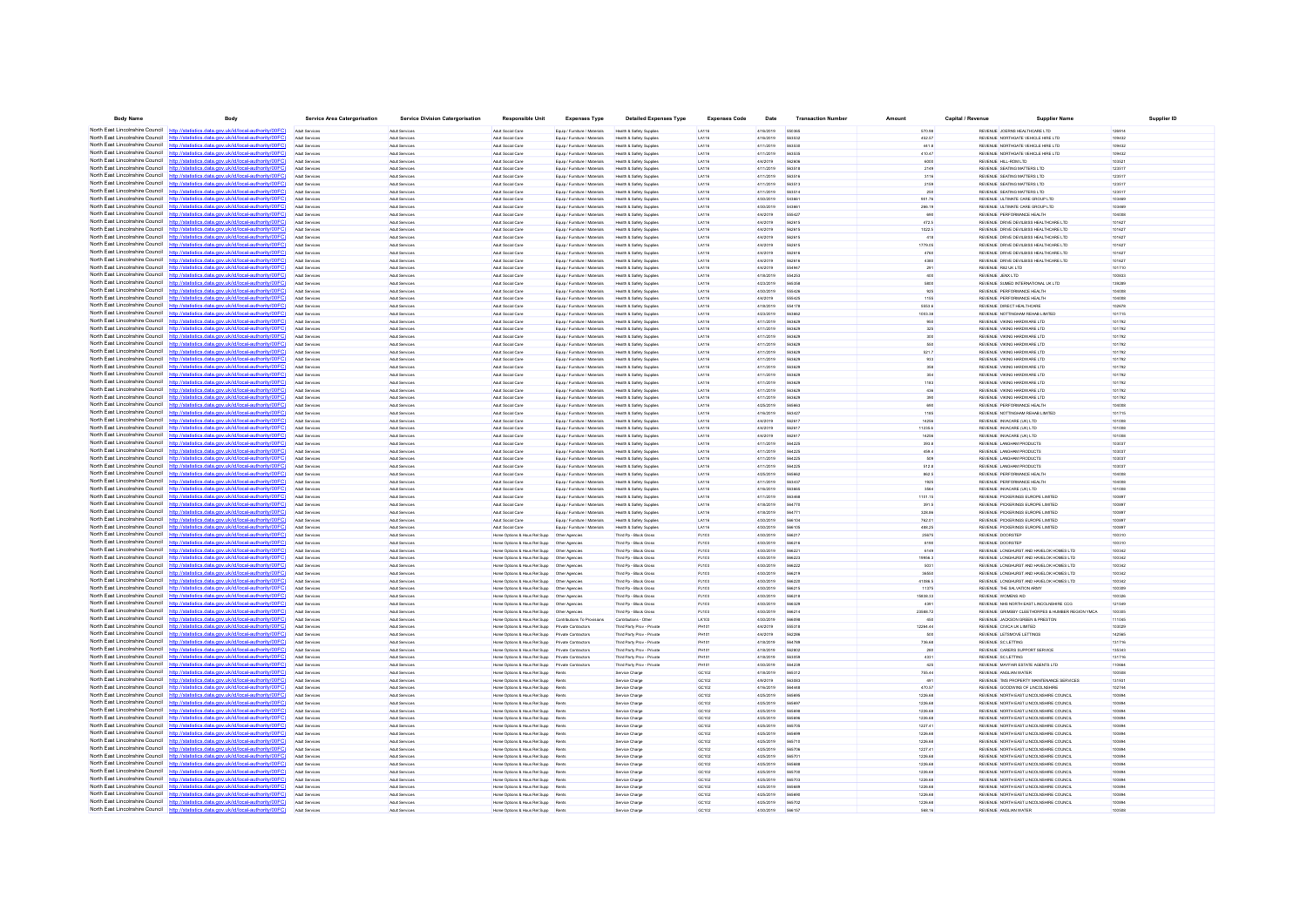| <b>Body Name</b>                                                   | Body                                                                                                                                                                            | <b>Service Area Catergorisation</b>     | <b>Service Division Catergorisation</b>         | <b>Responsible Unit</b>                                                                              | <b>Expenses Type</b>                                           | <b>Detailed Expenses Type</b>                          | <b>Expenses Code</b> | Date                   | <b>Transaction Number</b> | Amoun              | Capital / Revenue | Supplier Nam                                                                      |                  | Supplier ID |
|--------------------------------------------------------------------|---------------------------------------------------------------------------------------------------------------------------------------------------------------------------------|-----------------------------------------|-------------------------------------------------|------------------------------------------------------------------------------------------------------|----------------------------------------------------------------|--------------------------------------------------------|----------------------|------------------------|---------------------------|--------------------|-------------------|-----------------------------------------------------------------------------------|------------------|-------------|
|                                                                    | North East Lincolnshire Council http://statistics.data.gov.uk/id/local-authority/00FC)                                                                                          | Adult Services                          | Adult Services                                  | Adult Social Care                                                                                    | Equip / Furniture / Materials                                  | Health & Safety Supplies                               | LA116                | 4/16/2019              | 550365                    | 570.98             |                   | REVENUE JOERNS HEALTHCARE LTD                                                     | 126914           |             |
|                                                                    | North East Lincolnshire Council http://statistics.data.gov.uk/id/local-authority/00FC                                                                                           | Adult Services                          | Adult Services                                  | Adult Social Care                                                                                    | Equip / Furniture / Materials                                  | Health & Safety Supplies                               | LA116                | 4/16/2019              | 563532                    | 452.57             |                   | REVENUE NORTHGATE VEHICLE HIRE LTD                                                | 109432           |             |
|                                                                    | North East Lincolnshire Council http://statistics.data.gov.uk/id/local-authority/00FC)                                                                                          | Adult Services                          | Adult Services                                  | Adult Social Care                                                                                    | Equip / Furniture / Materials                                  | Health & Safety Supplies                               | LA116                | 4/11/2019              | 563530                    | 441.8              |                   | REVENUE NORTHGATE VEHICLE HIRE LTD                                                | 109432           |             |
|                                                                    | North East Lincolnshire Council http://statistics.data.gov.uk/id/local-authority/00FC                                                                                           | Adult Service                           | Adult Services                                  | Adult Social Care                                                                                    | Equip / Furniture / Materials                                  | Health & Safety Supplie                                | LA116                | 4/11/2019              | 56353                     | 410.47             |                   | REVENUE NORTHGATE VEHICLE HIRE LTD                                                | 109432           |             |
| North East Lincolnshire Council                                    | http://statistics.data.gov.uk/id/local-authority/00FC)                                                                                                                          | <b>Adult Service</b>                    | Adult Services                                  | Adult Social Care                                                                                    | Equip / Furniture / Material                                   | Health & Safety Supplie                                | LA116                | 4/4/2019               | 56260                     | 6000               |                   | REVENUE HILL-ROM LTD                                                              | 103521           |             |
|                                                                    | North East Lincolnshire Council http://statistics.data.gov.uk/id/local-authority/00FC)<br>North East Lincolnshire Council http://statistics.data.gov.uk/id/local-authority/00FC | Adult Services                          | Adult Services                                  | Adult Social Care                                                                                    | Equip / Furniture / Materials                                  | Health & Safety Supplies                               | LA116                | 4/11/2019              | 563518                    | 2149               |                   | REVENUE SEATING MATTERS LTD                                                       | 123517           |             |
| North East Lincolnshire Council                                    | http://statistics.data.gov.uk/id/local-authority/00FC)                                                                                                                          | Adult Services<br>Adult Service         | Adult Services<br>Adult Services                | Adult Social Care<br>Adult Social Car                                                                | Equip / Furniture / Materials<br>Equip / Furniture / Material  | Health & Safety Supplies<br>Health & Safety Supple     | LA116<br>LA116       | 4/11/2019<br>4/11/2019 | 563516<br>563513          | 3116<br>2159       |                   | REVENUE SEATING MATTERS LTD<br>REVENUE SEATING MATTERS LTD                        | 123517<br>123517 |             |
| North East Lincolnshire Council http:/                             | tatistics.data.gov.uk/id/local-authority/00FC                                                                                                                                   | Adult Services                          | Adult Services                                  | Adult Social Care                                                                                    | Equip / Furniture / Materials                                  | Health & Safety Supplies                               | LA116                | 4/11/2019              | 563514                    | 250                |                   | REVENUE SEATING MATTERS LTD                                                       | 123517           |             |
| North East Lincolnshire Council                                    | http://statistics.data.gov.uk/id/local-authority/00FC]                                                                                                                          | Adult Services                          | Adult Services                                  | Adult Social Care                                                                                    | Equip / Furniture / Materials                                  | Health & Safety Supplies                               | LA116                | 4/30/2019              | 543661                    | 901.76             |                   | REVENUE ULTIMATE CARE GROUP LTD                                                   | 103469           |             |
| North East Lincolnshire Council                                    | http://statistics.data.gov.uk/id/local-authority/00FC)                                                                                                                          | Adult Service                           | <b>Adult Services</b>                           | Adult Social Care                                                                                    | Equip / Furniture / Materials                                  | Health & Safety Supple                                 | LA116                | 4/30/2019              | 54388                     | 266.19             |                   | REVENUE ULTIMATE CARE GROUP LTD                                                   | 103469           |             |
| North East Lincolnshire Council                                    | http://statistics.data.gov.uk/id/local-authority/00FC)                                                                                                                          | <b>Adult Services</b>                   | Adult Services                                  | Adult Social Care                                                                                    | Equip / Furniture / Materials                                  | Health & Safety Supplie                                | LA116                | 4/4/2019               | 55542                     | 690                |                   | REVENUE PERFORMANCE HEALTH                                                        | 104008           |             |
| North East Lincolnshire Council                                    | http://statistics.data.gov.uk/id/local-authority/00FC)                                                                                                                          | Adult Services                          | Adult Services                                  | Adult Social Care                                                                                    | Equip / Furniture / Materials                                  | Health & Safety Supplies                               | LA116                | 4/4/2019               | 562615                    | 472.5              |                   | REVENUE DRIVE DEVILBISS HEALTHCARE LTD                                            | 101627           |             |
|                                                                    | North East Lincolnshire Council http://statistics.data.gov.uk/id/local-authority/00FC                                                                                           | Adult Services                          | Adult Services                                  | Adult Social Care                                                                                    | Equip / Furniture / Materials                                  | Health & Safety Supplies                               | LA116                | 4/4/2019               | 562615                    | 1022.5             |                   | REVENUE DRIVE DEVILBISS HEALTHCARE LTD                                            | 101627           |             |
|                                                                    | North East Lincolnshire Council http://statistics.data.gov.uk/id/local-authority/00FC                                                                                           | Adult Service                           | Adult Services                                  | Adult Social Care                                                                                    | Equip / Furniture / Materials                                  | Health & Safety Supple                                 | LA116                | 4/4/2019               | <b>SADA15</b>             | 418                |                   | REVENUE DRIVE DEVILBISS HEALTHCARE LTD                                            | 101627           |             |
| North East Lincolnshire Council                                    | http://statistics.data.gov.uk/id/local-authority/00FC)                                                                                                                          | Adult Service                           | Adult Services                                  | Adult Social Care                                                                                    | Equip / Furniture / Materials                                  | Health & Safety Supplie                                | LA116                | 4/4/2019               | 562615                    | 1779.05            |                   | REVENUE DRIVE DEVILBISS HEALTHCARE LTD                                            | 101627           |             |
| North East Lincolnshire Council                                    | http://statistics.data.gov.uk/id/local-authority/00FC]<br>North East Lincolnshire Council http://statistics.data.gov.uk/id/local-authority/00FC                                 | Adult Services                          | Adult Services                                  | Adult Social Care                                                                                    | Equip / Furniture / Materials                                  | Health & Safety Supplies                               | LA116                | 4/4/2019               | 562616<br><b>SADA18</b>   | 4760               |                   | REVENUE DRIVE DEVILBISS HEALTHCARE LTD                                            | 101627           |             |
| North East Lincolnshire Council                                    | tatistics.data.gov.uk/id/local-authority/00FC                                                                                                                                   | Adult Service<br>Adult Service          | Adult Services<br>Adult Services                | Adult Social Care<br>Adult Social Care                                                               | Equip / Furniture / Materials<br>Equip / Furniture / Materials | Health & Safety Supplie<br>Health & Safety Supplie     | LA116<br>LA116       | 4/4/2019<br>4/4/2019   | 55494                     | 4380<br>291        |                   | REVENUE DRIVE DEVILBISS HEALTHCARE LTD<br>REVENUE R82 UK LTD                      | 101627<br>101710 |             |
| North East Lincolnshire Council                                    | http://statistics.data.gov.uk/id/local-authority/00FC)                                                                                                                          | Adult Services                          | Adult Services                                  | Adult Social Care                                                                                    | Equip / Furniture / Materials                                  | Health & Safety Supplies                               | LA116                | 4/18/2019              | 554253                    | 400                |                   | REVENUE JENX LTD                                                                  | 100833           |             |
| North East Lincolnshire Council                                    | http://statistics.data.gov.uk/id/local-authority/00FC]                                                                                                                          | Adult Services                          | Adult Services                                  | Adult Social Care                                                                                    | Equip / Furniture / Materials                                  | Health & Safety Supplies                               | LA116                | 4/23/2019              | 565358                    | 5800               |                   | REVENUE SUMED INTERNATIONAL UK LTD                                                | 139289           |             |
| North East Lincolnshire Council                                    | http://statistics.data.gov.uk/id/local-authority/00FC)                                                                                                                          | Arkit Service                           | <b>Artist Services</b>                          | Artist Social Care                                                                                   | Equip / Furniture / Materials                                  | Health & Safety Sunnie                                 | LA116                | 4/30/2019              | 555426                    | 925                |                   | REVEN IF PERFORMANCE HEALTH                                                       | 104008           |             |
| North East Lincolnshire Council                                    | http://statistics.data.gov.uk/id/local-authority/00FC                                                                                                                           | Adult Service                           | Adult Services                                  | Adult Social Care                                                                                    | Equip / Furniture / Materials                                  | Health & Safety Supplie                                | LA116                | 4/4/2019               |                           | 1155               |                   | REVENUE PERFORMANCE HEALTH                                                        | 104008           |             |
| North East Lincolnshire Council                                    | http://statistics.data.gov.uk/id/local-authority/00FC)                                                                                                                          | Adult Services                          | Adult Services                                  | Adult Social Care                                                                                    | Equip / Furniture / Materials                                  | Health & Safety Supplies                               | LA116                | 4/18/2019              | 554178                    | 5553.6             |                   | REVENUE DIRECT HEALTHCARE                                                         | 102678           |             |
| North East Lincolnshire Council http:/                             | statistics data nov uk/id/local-authority/00FC!                                                                                                                                 | Arkit Service                           | <b>Adult Services</b>                           | Adult Social Care                                                                                    | Equip / Furniture / Materials                                  | Health & Safety Supple                                 | LA116                | 4/23/2019              | <b>SARAR</b>              | 1003.38            |                   | REVENUE NOTTINGHAM REHAB LIMITED                                                  | 101715           |             |
| North East Lincolnshire Council                                    | http://statistics.data.gov.uk/id/local-authority/00FC                                                                                                                           | <b>Adult Services</b>                   | Adult Services                                  | Adult Social Care                                                                                    | Equip / Furniture / Materials                                  | Health & Safety Supplies                               | LA116                | 4/11/2019              |                           | 950                |                   | REVENUE VIKING HARDWARE LTD                                                       | 101792           |             |
| North East Lincolnshire Council<br>North East Lincolnshire Council | http://statistics.data.gov.uk/id/local-authority/00FC                                                                                                                           | Adult Services                          | Adult Services                                  | Adult Social Care                                                                                    | Equip / Furniture / Materials                                  | Health & Safety Supplies                               | LA116                | 4/11/2019              | 563629                    | 325                |                   | REVENUE VIKING HARDWARE LTD                                                       | 101792           |             |
|                                                                    | http://statistics.data.gov.uk/id/local-authority/00FC]<br>North East Lincolnshire Council http://statistics.data.gov.uk/id/local-authority/00FC                                 | Adult Services<br>Arkit Service         | <b>Adult Services</b><br>Adult Services         | Adult Social Care<br>Adult Social Care                                                               | Equip / Furniture / Materials<br>Equip / Furniture / Materials | Health & Safety Supplies<br>Health & Safety Supple     | LA116<br>LA116       | 4/11/2019<br>4/11/2019 | 563625<br><b>SARADI</b>   | 300<br>550         |                   | REVENUE VIKING HARDWARE LTD<br>REVENUE VIKING HARDWARE LTD                        | 101792<br>101792 |             |
| North East Lincolnshire Council                                    | /statistics.data.gov.uk/id/local-authority/00FC)                                                                                                                                | Adult Service                           | Adult Services                                  | Adult Social Care                                                                                    | Equip / Furniture / Material                                   | Health & Safety Suppl                                  | LA116                | 4/11/2019              | 56362                     | 521.7              |                   | REVENUE VIKING HARDWARE LTI                                                       | 101792           |             |
| North East Lincolnshire Council                                    | http://statistics.data.gov.uk/id/local-authority/00FC)                                                                                                                          | Adult Services                          | Adult Services                                  | Adult Social Care                                                                                    | Equip / Furniture / Materials                                  | Health & Safety Supplies                               | LA116                | 4/11/2019              | 563629                    | 933                |                   | REVENUE VIKING HARDWARE LTD                                                       | 101792           |             |
| North East Lincolnshire Council                                    | http://statistics.data.gov.uk/id/local-authority/00FC]                                                                                                                          | Adult Services                          | Adult Services                                  | Adult Social Care                                                                                    | Equip / Furniture / Materials                                  | Health & Safety Supplies                               | LA116                | 4/11/2019              | 563629                    | 358                |                   | REVENUE VIKING HARDWARE LTD                                                       | 101792           |             |
| North East Lincolnshire Council                                    | http://statistics.data.gov.uk/id/local-authority/00FC                                                                                                                           |                                         | Adult Services                                  | Adult Social Care                                                                                    | Equip / Furniture / Materials                                  | Health & Safety Supple                                 | LA116                | 4/11/2019              |                           | 354                |                   | REVENUE VIKING HARDWARE LTD                                                       | 101792           |             |
| North East Lincolnshire Council                                    | atistics.data.gov.uk/id/local-authority/00FC<br>http:                                                                                                                           | Adult Services                          | Adult Services                                  | Adult Social Care                                                                                    | Equip / Furniture / Materials                                  | Health & Safety Supplies                               | LA116                | 4/11/2019              | 563629                    | 1183               |                   | REVENUE VIKING HARDWARE LTD                                                       | 101792           |             |
| North East Lincolnshire Council                                    | http://statistics.data.gov.uk/id/local-authority/00FC]                                                                                                                          | Adult Services                          | Adult Services                                  | Adult Social Care                                                                                    | Equip / Furniture / Materials                                  | Health & Safety Supplies                               | LA116                | 4/11/2019              | 563625                    | 436                |                   | REVENUE VIKING HARDWARE LTD                                                       | 101792           |             |
|                                                                    | North East Lincolnshire Council http://statistics.data.gov.uk/id/local-authority/00FC                                                                                           | Arkit Services                          | <b>Artist Services</b>                          | Adult Social Care                                                                                    | Equip / Furniture / Materials                                  | Health & Safety Sunnier                                | LA116                | 4/11/2019              | <b>SARADE</b>             | 390                |                   | REVENUE MKING HARDWARE LTD                                                        | 101792           |             |
|                                                                    | North East Lincolnshire Council http://statistics.data.gov.uk/id/local-authority/00FC                                                                                           |                                         | Adult Services                                  | Adult Social Care                                                                                    | Equip / Furniture / Materials                                  | Health & Safety Supplie                                | LA116                | 4/25/2019              |                           | 690                |                   | REVENUE PERFORMANCE HEALTH                                                        | 104008           |             |
| North East Lincolnshire Council                                    | http://statistics.data.gov.uk/id/local-authority/00FC<br>North East Lincolnshire Council http://statistics.data.gov.uk/id/local-authority/00FC)                                 | Adult Services                          | Adult Services                                  | Adult Social Care                                                                                    | Equip / Furniture / Materials                                  | Health & Safety Supplies                               | LA116                | 4/16/2019              | 563427                    | 1185               |                   | REVENUE NOTTINGHAM REHAB LIMITED                                                  | 101715           |             |
|                                                                    | North East Lincolnshire Council http://statistics.data.gov.uk/id/local-authority/00FC                                                                                           | Adult Services<br>Arkit Services        | Adult Services<br>Adult Services                | Adult Social Care<br>Adult Social Care                                                               | Equip / Furniture / Materials<br>Equip / Furniture / Materials | Health & Safety Supplies<br>Health & Safety Supple     | LA116<br>LA116       | 4/4/2019<br>4/4/2019   | 562617<br><b>SA2617</b>   | 14256<br>11235.6   |                   | REVENUE INVACARE (UK) LTD<br>REVENUE INVACARE (UK) LTD                            | 101008<br>101008 |             |
| North East Lincolnshire Council                                    |                                                                                                                                                                                 | Adult Services                          | Adult Services                                  | Adult Social Care                                                                                    | Equip / Furniture / Materials                                  | Health & Safety Supplies                               | LA116                | 4/4/2019               | 562617                    | 14256              |                   | REVENUE INVACARE (UK) LTD                                                         | 101008           |             |
| North East Lincolnshire Council http:/                             | atistics.data.gov.uk/id/local-authority/00FC                                                                                                                                    | Adult Services                          | Adult Services                                  | Adult Social Care                                                                                    | Equip / Furniture / Materials                                  | Health & Safety Supplies                               | LA116                | 4/11/2019              | 564225                    | 393.8              |                   | REVENUE LANGHAM PRODUCTS                                                          | 103037           |             |
|                                                                    | North East Lincolnshire Council http://statistics.data.gov.uk/id/local-authority/00FC                                                                                           | Arkit Services                          | Adult Services                                  | Adult Social Care                                                                                    | Equip / Furniture / Materials                                  | Health & Safety Supple                                 | LA116                | 4/11/2019              | <b>564221</b>             | 459.4              |                   | REVENUE LANGHAM PRODUCTS                                                          | 103037           |             |
|                                                                    | North East Lincolnshire Council http://statistics.data.gov.uk/id/local-authority/00FC)                                                                                          |                                         | Adult Services                                  | Adult Social Care                                                                                    | Equip / Furniture / Materials                                  | Health & Safety Supplie                                | LA116                | 4/11/2019              | 56422                     | 509                |                   | REVENUE LANGHAM PRODUCTI                                                          | 103037           |             |
|                                                                    | North East Lincolnshire Council http://statistics.data.gov.uk/id/local-authority/00FC)                                                                                          | Adult Services                          | <b>Adult Services</b>                           | Adult Social Care                                                                                    | Equip / Furniture / Materials                                  | Health & Safety Supplies                               | LA116                | 4/11/2019              | 564225                    | 512.8              |                   | REVENUE LANGHAM PRODUCTS                                                          | 103037           |             |
|                                                                    | North East Lincolnshire Council http://statistics.data.gov.uk/id/local-authority/00FC)                                                                                          | Adult Services                          | Adult Services                                  | Adult Social Care                                                                                    | Equip / Furniture / Materials                                  | Health & Safety Supplies                               | LA116                | 4/25/2019              | 565662                    | 862.5              |                   | REVENUE PERFORMANCE HEALTH                                                        | 104008           |             |
|                                                                    | North East Lincolnshire Council http://statistics.data.gov.uk/id/local-authority/00FC                                                                                           | Arkit Service                           | <b>Artist Services</b>                          | Artist Social Care                                                                                   | Equip / Furniture / Materials                                  | Health & Safety Sunnie                                 | LA116                | 4/11/2019              | 563437                    | 1925               |                   | REVENUE PERFORMANCE HEALTH                                                        | 104008           |             |
|                                                                    | North East Lincolnshire Council http://statistics.data.gov.uk/id/local-authority/00FC)                                                                                          |                                         | Adult Services                                  | Adult Social Care                                                                                    | Equip / Furniture / Materials                                  | Health & Safety Supplie                                | LATH                 | 4/16/2019              |                           | 3564               |                   | REVENUE INVACARE (UK) LTD                                                         | 101008           |             |
| North East Lincolnshire Council http://stati                       | stics.data.gov.uk/id/local-authority/00FC1<br>North East Lincolnshire Council http://statistics.data.gov.uk/id/local-authority/00FC                                             | Adult Services                          | <b>Adult Services</b><br><b>Artist Services</b> | Adult Social Care                                                                                    | Equip / Furniture / Materials                                  | Health & Safety Supplies                               | LA116                | 4/11/2019<br>4/18/2019 | <b>FARAAN</b>             | 1101.15            |                   | REVENUE PICKERINGS EUROPE LIMITED                                                 | 100897<br>100897 |             |
|                                                                    | North East Lincolnshire Council http://statistics.data.gov.uk/id/local-authority/00FC                                                                                           | Arkit Service                           | Adult Services                                  | Adult Social Care<br>Adult Social Care                                                               | Equip / Furniture / Materials<br>Equip / Furniture / Materials | Health & Safety Sunnier<br>Health & Safety Supple      | LA116<br>LATH        | 4/18/2019              | <b>SA4770</b>             | 391.5<br>328.86    |                   | REVENUE PICKERINGS EUROPE LIMITED<br>REVENUE PICKERINGS EUROPE LIMITED            | 10089            |             |
| North East Lincolnshire Council                                    | http://statistics.data.gov.uk/id/local-authority/00FC                                                                                                                           | <b>Adult Services</b>                   | Adult Services                                  | Adult Social Care                                                                                    | Equip / Furniture / Materials                                  | Health & Safety Supplies                               | LA116                | 4/30/2019              | 566104                    | 762.01             |                   | REVENUE PICKERINGS EUROPE LIMITED                                                 | 100897           |             |
|                                                                    | North East Lincolnshire Council http://statistics.data.gov.uk/id/local-authority/00FC)                                                                                          | Arkit Services                          | Adult Services                                  | Adult Social Care                                                                                    | Equip / Furniture / Materials                                  | Health & Safety Supplies                               | LA116                | 4/30/2019              | 566105                    | 488.25             |                   | REVENUE PICKERINGS EUROPE LIMITED                                                 | 100897           |             |
|                                                                    | North East Lincolnshire Council http://statistics.data.gov.uk/id/local-authority/00FC                                                                                           | Arkit Service                           | Adult Services                                  |                                                                                                      |                                                                | Third Po - Block Gross                                 | P.HO                 | 4/30/2019              | <b>SAR217</b>             | 25675              |                   | REVENUE DOORSTEP                                                                  | 100310           |             |
|                                                                    | North East Lincolnshire Council http://statistics.data.gov.uk/id/local-authority/00FC)                                                                                          |                                         | Adult Services                                  | Home Options & Hous Rel Supp                                                                         | Other Agencies                                                 | Third Pp - Block Gross                                 | PJ103                | 4/30/2019              | 566216                    | 8190               |                   | REVENUE DOORSTER                                                                  | 100310           |             |
|                                                                    | North East Lincolnshire Council http://statistics.data.gov.uk/id/local-authority/00FC)                                                                                          | Adult Services                          | <b>Adult Services</b>                           |                                                                                                      |                                                                | Third Pp - Block Gross                                 | PJ103                | 4/30/2019              | 56622                     | 6149               |                   | REVENUE LONGHURST AND HAVELOK HOMES LTD                                           | 100342           |             |
|                                                                    | North East Lincolnshire Council http://statistics.data.gov.uk/id/local-authority/00FC                                                                                           | Arkit Service                           | Adult Services                                  |                                                                                                      |                                                                | Third Po - Block Gross                                 | PJ103                | 4/30/2019              | <b>SAR223</b>             | 19956.3            |                   | REVENUE LONGHURST AND HAVELOK HOMES LTD                                           | 100342           |             |
|                                                                    | North East Lincolnshire Council http://etatistics.data.gov.uk/id/local-authority/00EC1                                                                                          |                                         | Adult Services                                  | Home Options & Hous Rel Supp                                                                         | Other Agencies                                                 | Third Pp - Block Gross                                 | PJ103                | 4/30/2019              | 566222                    | 5031               |                   | REVENUE LONGHURST AND HAVELOK HOMES LTD                                           | 100342           |             |
| North East Lincolnshire Council                                    | North East Lincolnshire Council http://statistics.data.gov.uk/id/local-authority/00FC)                                                                                          | <b>Adult Services</b>                   | <b>Adult Services</b>                           |                                                                                                      |                                                                | Third Pp - Block Gross                                 | PJ103                | 4/30/2019              | 566219                    | 36550              |                   | REVENUE LONGHURST AND HAVELOK HOMES LTD                                           | 100342           |             |
|                                                                    | http://statistics.data.gov.uk/id/local-authority/00FC]<br>North East Lincolnshire Council http://statistics.data.gov.uk/id/local-authority/00FC                                 | Adult Services<br>Arkit Service         | <b>Adult Services</b><br><b>Artist Services</b> | Home Octions & Hous Rel Supp   Other Agencies<br>Home Octions & Hous Rel Supp    Qther Agencie       |                                                                | Third Po - Block Gross<br>Third Po - Block Gross       | PJ103<br>P.1103      | 4/30/2019<br>4/30/2019 | 566220<br><b>S66215</b>   | 41086.5<br>11375   |                   | REVENUE LONGHURST AND HAVELOK HOMES LTD<br>REVENUE THE SALVATION ARM              | 100342<br>100309 |             |
|                                                                    | North East Lincolnshire Council http://statistics.data.gov.uk/id/local-authority/00FC)                                                                                          | Adult Services                          | Adult Services                                  |                                                                                                      |                                                                | Third Pp - Block Gross                                 | PJ103                | 4/30/2019              | 56621                     | 15838.33           |                   | REVENUE WOMENS AID                                                                | 0032             |             |
| North East Lincolnshire Council                                    | http://statistics.data.gov.uk/id/local-authority/00FC                                                                                                                           | <b>Adult Services</b>                   | <b>Adult Services</b>                           |                                                                                                      |                                                                | Third Pp - Block Gross                                 | PJ103                | 4/30/2019              | 566329                    | 4391               |                   | REVENUE NHS NORTH EAST LINCOLNSHIRE CCG                                           | 121549           |             |
|                                                                    | North East Lincolnshire Council http://statistics.data.gov.uk/id/local-authority/00FC)                                                                                          | Arkit Services                          | Adult Services                                  | Home Octions & Hous Rel Supp   Other Agencies                                                        |                                                                | Third Po - Block Gross                                 | PJ103                | 4/30/2019              | 566214                    | 23588.72           |                   | REVENUE GRIMSBY CLEETHORPES & HUMBER REGION YMCA                                  | 100305           |             |
|                                                                    | North East Lincolnshire Council http://statistics.data.gov.uk/id/local-authority/00FC                                                                                           |                                         | Adult Services                                  | Home Options & Hous Rel Supp Contributions To Provision                                              |                                                                | Contributions - Othe                                   | LK10                 | 4/30/2019              |                           |                    |                   | REVENUE JACKSON GREEN & PRESTO                                                    | 11045            |             |
| North East Lincolnshire Council                                    |                                                                                                                                                                                 | Adult Services                          | <b>Adult Services</b>                           | Home Options & Hous Rel Supp Private Contractors                                                     |                                                                | Third Party Prov - Privat                              | <b>PH101</b>         | 4/4/2019               | 555318                    | 12264.44           |                   | REVENUE CIVICA UK LIMITED                                                         | 103029           |             |
|                                                                    | North East Lincolnshire Council http://statistics.data.gov.uk/id/local-authority/00FC)                                                                                          | Adult Services                          | <b>Adult Services</b>                           | Home Octions & Hous Rel Supp Private Contractors                                                     |                                                                | Third Party Proy - Private                             | <b>PH101</b>         | 4/4/2019               | 562286                    | 500                |                   | REVENUE LETSMOVE LETTINGS                                                         | 142565           |             |
|                                                                    | North East Lincolnshire Council http://statistics.data.gov.uk/id/local-authority/00FC                                                                                           | Arkit Services                          | <b>Artist Services</b>                          | Home Options & Hous Rel Supp Private Contractors                                                     |                                                                | Third Party Prov - Privat                              | PH101                | 4/18/2019              | <b>GRA7RS</b>             | 736.68             |                   | REVENUE SC LETTING                                                                | 131716           |             |
| North East Lincolnshire Council                                    | http://statistics.data.gov.uk/id/local-authority/00FC)                                                                                                                          | Adult Service                           | Adult Service                                   | Home Options & Hous Rel Supp                                                                         | Private Contractor                                             | Third Party Prov - Privat                              | <b>PH10</b>          | 4/18/2019              | 562802                    | 280                |                   | REVENUE CARERS SUPPORT SERVICE                                                    | 135343           |             |
| North East Lincolnshire Council<br>North East Lincolnshire Council | http://statistics.data.gov.uk/id/local-authority/00FC)<br>http://statistics.data.gov.uk/id/local-authority/00FC                                                                 | <b>Adult Services</b><br>Adult Services | Adult Services<br><b>Adult Services</b>         | Home Options & Hous Rel Supp Private Contractors<br>Home Octions & Hous Rel Supp Private Contractors |                                                                | Third Party Prov - Privat<br>Third Party Prov - Privat | PH10<br>PH101        | 4/18/2019<br>4/30/2019 | 563059<br>564236          | 4331<br>425        |                   | REVENUE SC LETTING<br>REVENUE MAYFAIR ESTATE AGENTS LTD                           | 131716<br>110664 |             |
|                                                                    | North East Lincolnshire Council http://statistics.data.gov.uk/id/local-authority/00FC                                                                                           | Arkit Service                           | <b>Artist Services</b>                          | Home Ontions & Hous Rel Sunn Rents                                                                   |                                                                | Service Charg                                          | GC102                | 4/18/2019              | 565312                    | 755.44             |                   | REVEN IF ANGLIAN WATER                                                            | 100508           |             |
|                                                                    | North East Lincolnshire Council http://statistics.data.gov.uk/id/local-authority/00FC)                                                                                          | Adult Services                          | <b>Adult Services</b>                           | Home Options & Hous Rel Supp Rents                                                                   |                                                                | Service Charge                                         | GC102                | 4/9/2019               | 563083                    | 491                |                   | REVENUE TMS PROPERTY MAINTENANCE SERVICES                                         | 131931           |             |
| North East Lincolnshire Council                                    | s data nov uk/id/local-authority/00FC<br>http                                                                                                                                   | Adult Services                          | Adult Services                                  | Home Octions & Hous Rel Supp Rents                                                                   |                                                                | Service Charge                                         | GC102                | 4/16/2019              | <b>SRAAAS</b>             | 470.57             |                   | REVENUE GOODWINS OF LINCOLNSHIRE                                                  | 102744           |             |
| North East Lincolnshire Council                                    | http://statistics.data.gov.uk/id/local-authority/00FC                                                                                                                           | Arkit Services                          | <b>Artist Services</b>                          | Home Ontions & Hous Rel Sunn                                                                         | Rents                                                          | Service Charge                                         | GC102                | 4/25/2019              | <b>SASA91</b>             | 1226 68            |                   | REVENUE NORTH EAST LINCOLNSHIRE COUNCIL                                           | 100894           |             |
|                                                                    | North East Lincolnshire Council http://statistics.data.gov.uk/id/local-authority/00FC)                                                                                          | Adult Service                           | Adult Services                                  | Home Options & Hous Rel Supp                                                                         |                                                                | Service Charge                                         | GC102                | 4/25/2019              | 68583                     | 1226.68            |                   | REVENUE NORTH EAST LINCOLNSHIRE COUNCI                                            | 0089             |             |
| North East Lincolnshire Council                                    | http://statistics.data.gov.uk/id/local-authority/00FC                                                                                                                           | Adult Service                           | Adult Services                                  | Home Options & Hous Rel Supp                                                                         | Rents                                                          | Service Charge                                         | GC102                | 4/25/2019              | 56569                     | 1226.68            |                   | REVENUE NORTH EAST LINCOLNSHIRE COUNCIL                                           | 100894           |             |
| North East Lincolnshire Council                                    | http://statistics.data.gov.uk/id/local-authority/00FC                                                                                                                           | Arkit Services                          | Adult Services                                  | Home Octions & Hous Rel Supp Rents                                                                   |                                                                | Service Charge                                         | GC102                | 4/25/2019              | <b>SASAN</b>              | 1226.68            |                   | REVENUE NORTH EAST LINCOLNSHIRE COUNCIL                                           | 100894           |             |
|                                                                    | North East Lincolnshire Council http://statistics.data.gov.uk/id/local-authority/00FC                                                                                           | Arkit Services                          | <b>Artist Services</b>                          | Home Options & Hous Rel Supp Rent                                                                    |                                                                | Service Charge                                         | GC102                | 4/25/2019              | 565705                    | 1227.41            |                   | REVENUE NORTH EAST LINCOLNSHIRE COUNCIL                                           | 100894           |             |
| North East Lincolnshire Council                                    | http://statistics.data.gov.uk/id/local-authority/00FC)                                                                                                                          | Adult Service                           | Adult Service                                   | Home Options & Hous Rel Supp                                                                         | Rent                                                           | Service Charge                                         | GC102                | 4/25/2019              | cacoos                    | 1226.68            |                   | REVENUE NORTH EAST LINCOLNSHIRE COUNCI                                            | 100894           |             |
| North East Lincolnshire Council http:/                             | tics.data.gov.uk/id/local-authority/00FC                                                                                                                                        | Arkit Services                          | <b>Adult Services</b>                           | Home Octions & Hous Rel Supp Rents                                                                   |                                                                | Service Charge                                         | GC102                | 4/25/2019              | 565710                    | 1226.68            |                   | REVENUE NORTH EAST LINCOLNSHIRE COUNCIL                                           | 100894           |             |
| North East Lincolnshire Council                                    | http://statistics.data.gov.uk/id/local-authority/00EC<br>North East Lincolnshire Council http://statistics.data.gov.uk/id/local-authority/00FC                                  | Arkit Services<br>Adult Service         | <b>Artist Services</b><br>Adult Services        | Home Octions & Hous Rel Supp Rents<br>Home Options & Hous Rel Supp                                   | Rent                                                           | Service Charge                                         | GC102<br>GC102       | 4/25/2019<br>4/25/2019 | 565708<br><b>665701</b>   | 1227.41            |                   | REVENUE NORTH FAST LINCOLNSHIRE COUNCIL                                           | 100894<br>100894 |             |
| North East Lincolnshire Council                                    | http://statistics.data.gov.uk/id/local-authority/00FC                                                                                                                           | Adult Services                          | Adult Services                                  | Home Options & Hous Rel Supp Rent                                                                    |                                                                | Service Charge<br>Service Charge                       | GC102                | 4/25/2019              | 56568                     | 1226.68<br>1226.68 |                   | REVENUE NORTH EAST LINCOLNSHIRE COUNCI<br>REVENUE NORTH EAST LINCOLNSHIRE COUNCIL | 100894           |             |
| North East Lincolnshire Council                                    | http://statistics.data.gov.uk/id/local-authority/00FC)                                                                                                                          | Arkit Services                          | Adult Services                                  | Home Octions & Hous Rel Supp Rents                                                                   |                                                                | Service Charge                                         | GC102                | 4/25/2019              | 565700                    | 1226.68            |                   | REVENUE NORTH EAST LINCOLNSHIRE COUNCIL                                           | 100894           |             |
| North East Lincolnshire Council                                    | http://statistics.data.gov.uk/id/local-authority/00EC                                                                                                                           | Arkit Services                          | <b>Artist Services</b>                          | Home Ontions & Hous Rel Sunn Rents                                                                   |                                                                | Service Charn                                          | GC102                | 4/25/2019              | 565707                    | 1226 68            |                   | REVENUE NORTH FAST LINCOLNSHIRE COUNCIL                                           | 100894           |             |
|                                                                    | North East Lincolnshire Council http://statistics.data.gov.uk/id/local-authority/00FC)                                                                                          | Arkit Service                           | Adult Service                                   | Home Options & Hous Rel Supp                                                                         |                                                                | Service Charge                                         | GC102                | 4/25/2019              |                           | 1226.68            |                   | REVENUE NORTH EAST LINCOLNSHIRE COUNCI                                            | 0089             |             |
| North East Lincolnshire Council                                    | http://statistics.data.gov.uk/id/local-authority/00FC                                                                                                                           |                                         | Adult Services                                  | Home Options & Hous Rel Supp                                                                         |                                                                | Service Charge                                         | GC102                | 4/25/2019              |                           | 1226.68            |                   | REVENUE NORTH EAST LINCOLNSHIRE COUNCIL                                           | 100894           |             |
|                                                                    | North East Lincolnshire Council http://statistics.data.gov.uk/id/local-authority/00FC                                                                                           | Arkit Services                          | Adult Services                                  | Home Octions & Hous Rel Supp Rents                                                                   |                                                                | Service Charge                                         | GC102                | 4/25/2019              | 565702                    | 1226.68            |                   | REVENUE NORTH EAST LINCOLNSHIRE COUNCIL                                           | 100894           |             |
| North East Lincolnshire Council                                    |                                                                                                                                                                                 |                                         | Adult Serv                                      | ome Options & Hous Rel Supp                                                                          |                                                                |                                                        |                      | 4/30/2019              |                           | 568.16             |                   | REVENUE ANGLIAN WATER                                                             |                  |             |